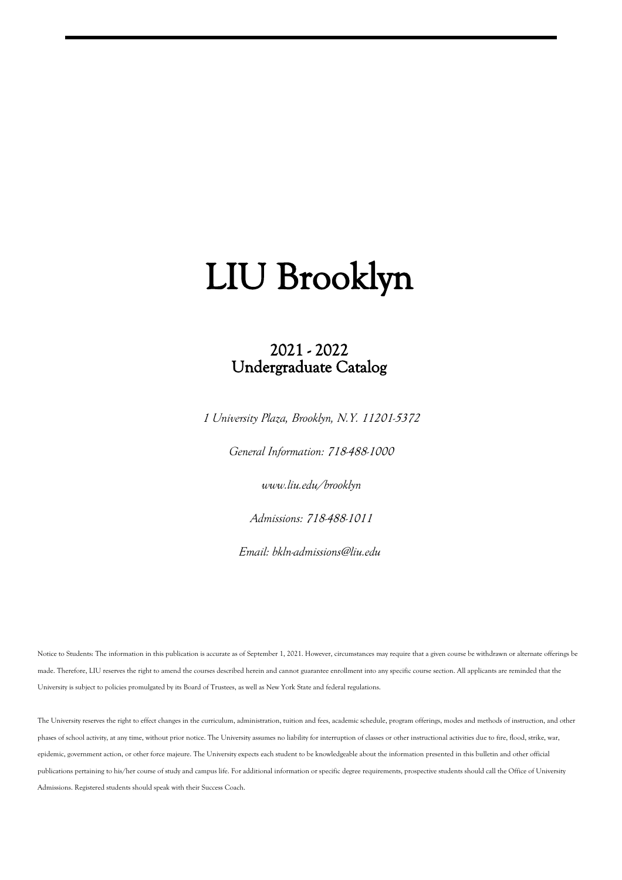### 2021 - 2022 Undergraduate Catalog

*1 University Plaza, Brooklyn, N.Y. 11201-5372*

*General Information: 718-488-1000*

*www.liu.edu/brooklyn*

*Admissions: 718-488-1011*

*Email: bkln-admissions@liu.edu*

Notice to Students: The information in this publication is accurate as of September 1, 2021. However, circumstances may require that a given course be withdrawn or alternate offerings be made. Therefore, LIU reserves the right to amend the courses described herein and cannot guarantee enrollment into any specific course section. All applicants are reminded that the University is subject to policies promulgated by its Board of Trustees, as well as New York State and federal regulations.

The University reserves the right to effect changes in the curriculum, administration, tuition and fees, academic schedule, program offerings, modes and methods of instruction, and other phases of school activity, at any time, without prior notice. The University assumes no liability for interruption of classes or other instructional activities due to fire, flood, strike, war, epidemic, government action, or other force majeure. The University expects each student to be knowledgeable about the information presented in this bulletin and other official publications pertaining to his/her course of study and campus life. For additional information or specific degree requirements, prospective students should call the Office of University Admissions. Registered students should speak with their Success Coach.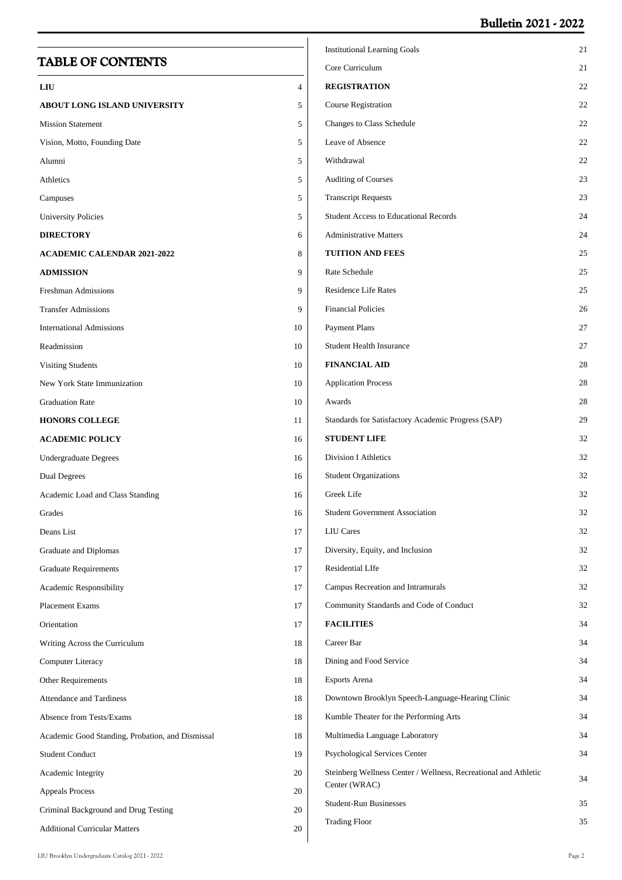### **Bulletin 2021 - 2022**

| <b>TABLE OF CONTENTS</b>                         |                | <b>Institutional Learning Goals</b><br>Core Curriculum          | 21<br>21 |
|--------------------------------------------------|----------------|-----------------------------------------------------------------|----------|
| LIU                                              | $\overline{4}$ | <b>REGISTRATION</b>                                             | 22       |
| <b>ABOUT LONG ISLAND UNIVERSITY</b>              | 5              | <b>Course Registration</b>                                      | 22       |
| <b>Mission Statement</b>                         | 5              | Changes to Class Schedule                                       | 22       |
| Vision, Motto, Founding Date                     | 5              | Leave of Absence                                                | 22       |
| Alumni                                           | 5              | Withdrawal                                                      | 22       |
| Athletics                                        | 5              | Auditing of Courses                                             | 23       |
| Campuses                                         | 5              | <b>Transcript Requests</b>                                      | 23       |
| <b>University Policies</b>                       | 5              | <b>Student Access to Educational Records</b>                    | 24       |
| <b>DIRECTORY</b>                                 | 6              | <b>Administrative Matters</b>                                   | 24       |
| <b>ACADEMIC CALENDAR 2021-2022</b>               | 8              | <b>TUITION AND FEES</b>                                         | 25       |
| <b>ADMISSION</b>                                 | 9              | Rate Schedule                                                   | 25       |
| Freshman Admissions                              | 9              | <b>Residence Life Rates</b>                                     | 25       |
| <b>Transfer Admissions</b>                       | 9              | <b>Financial Policies</b>                                       | 26       |
| <b>International Admissions</b>                  | 10             | <b>Payment Plans</b>                                            | 27       |
| Readmission                                      | 10             | <b>Student Health Insurance</b>                                 | 27       |
| <b>Visiting Students</b>                         | 10             | <b>FINANCIAL AID</b>                                            | 28       |
| New York State Immunization                      | 10             | <b>Application Process</b>                                      | 28       |
| <b>Graduation Rate</b>                           | 10             | Awards                                                          | 28       |
| <b>HONORS COLLEGE</b>                            | 11             | Standards for Satisfactory Academic Progress (SAP)              | 29       |
| <b>ACADEMIC POLICY</b>                           | 16             | <b>STUDENT LIFE</b>                                             | 32       |
| <b>Undergraduate Degrees</b>                     | 16             | <b>Division I Athletics</b>                                     | 32       |
| <b>Dual Degrees</b>                              | 16             | <b>Student Organizations</b>                                    | 32       |
| Academic Load and Class Standing                 | 16             | Greek Life                                                      | 32       |
| Grades                                           | 16             | <b>Student Government Association</b>                           | 32       |
| Deans List                                       | 17             | <b>LIU</b> Cares                                                | 32       |
| Graduate and Diplomas                            | 17             | Diversity, Equity, and Inclusion                                | 32       |
| <b>Graduate Requirements</b>                     | 17             | Residential LIfe                                                | 32       |
| Academic Responsibility                          | 17             | Campus Recreation and Intramurals                               | 32       |
| Placement Exams                                  | 17             | Community Standards and Code of Conduct                         | 32       |
| Orientation                                      | 17             | <b>FACILITIES</b>                                               | 34       |
| Writing Across the Curriculum                    | 18             | Career Bar                                                      | 34       |
| Computer Literacy                                | 18             | Dining and Food Service                                         | 34       |
| Other Requirements                               | 18             | <b>Esports Arena</b>                                            | 34       |
| <b>Attendance and Tardiness</b>                  | 18             | Downtown Brooklyn Speech-Language-Hearing Clinic                | 34       |
| Absence from Tests/Exams                         | 18             | Kumble Theater for the Performing Arts                          | 34       |
| Academic Good Standing, Probation, and Dismissal | 18             | Multimedia Language Laboratory                                  | 34       |
| <b>Student Conduct</b>                           | 19             | <b>Psychological Services Center</b>                            | 34       |
| Academic Integrity                               | 20             | Steinberg Wellness Center / Wellness, Recreational and Athletic | 34       |
| <b>Appeals Process</b>                           | 20             | Center (WRAC)                                                   |          |
| Criminal Background and Drug Testing             | 20             | <b>Student-Run Businesses</b>                                   | 35       |
| <b>Additional Curricular Matters</b>             | 20             | <b>Trading Floor</b>                                            | 35       |
|                                                  |                |                                                                 |          |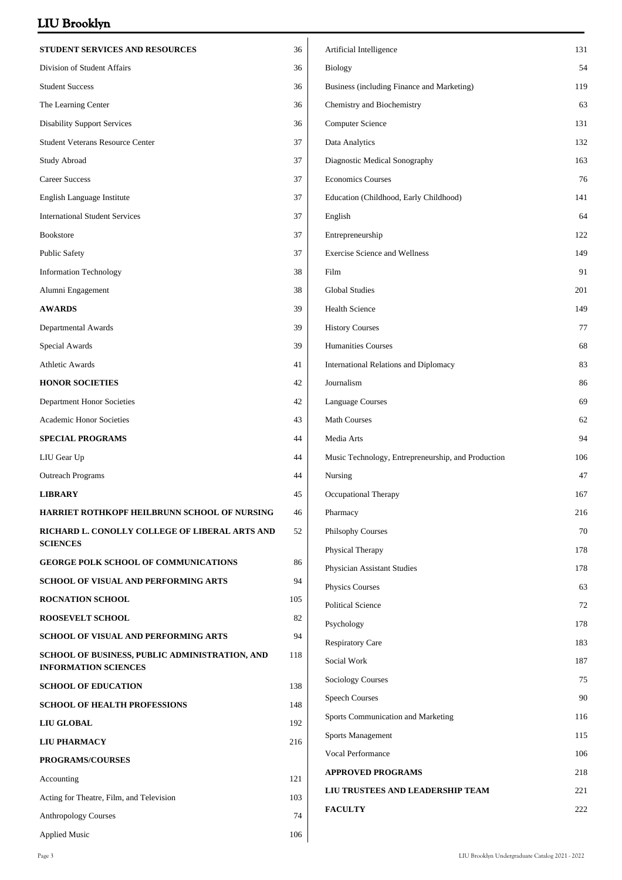| 36  | Artificial Intelligence                            | 131                                                                                                                               |
|-----|----------------------------------------------------|-----------------------------------------------------------------------------------------------------------------------------------|
|     |                                                    |                                                                                                                                   |
| 36  | <b>Biology</b>                                     | 54                                                                                                                                |
| 36  | Business (including Finance and Marketing)         | 119                                                                                                                               |
| 36  | Chemistry and Biochemistry                         | 63                                                                                                                                |
| 36  | <b>Computer Science</b>                            | 131                                                                                                                               |
| 37  | Data Analytics                                     | 132                                                                                                                               |
| 37  | Diagnostic Medical Sonography                      | 163                                                                                                                               |
| 37  | <b>Economics Courses</b>                           | 76                                                                                                                                |
| 37  | Education (Childhood, Early Childhood)             | 141                                                                                                                               |
| 37  | English                                            | 64                                                                                                                                |
| 37  | Entrepreneurship                                   | 122                                                                                                                               |
| 37  | <b>Exercise Science and Wellness</b>               | 149                                                                                                                               |
| 38  | Film                                               | 91                                                                                                                                |
| 38  | <b>Global Studies</b>                              | 201                                                                                                                               |
| 39  | <b>Health Science</b>                              | 149                                                                                                                               |
| 39  | <b>History Courses</b>                             | 77                                                                                                                                |
| 39  | <b>Humanities Courses</b>                          | 68                                                                                                                                |
| 41  | International Relations and Diplomacy              | 83                                                                                                                                |
| 42  | Journalism                                         | 86                                                                                                                                |
| 42  | <b>Language Courses</b>                            | 69                                                                                                                                |
| 43  | <b>Math Courses</b>                                | 62                                                                                                                                |
| 44  | Media Arts                                         | 94                                                                                                                                |
| 44  | Music Technology, Entrepreneurship, and Production | 106                                                                                                                               |
| 44  | Nursing                                            | 47                                                                                                                                |
| 45  | Occupational Therapy                               | 167                                                                                                                               |
| 46  | Pharmacy                                           | 216                                                                                                                               |
| 52  | Philsophy Courses                                  | 70                                                                                                                                |
|     | Physical Therapy                                   | 178                                                                                                                               |
|     | Physician Assistant Studies                        | 178                                                                                                                               |
|     | <b>Physics Courses</b>                             | 63                                                                                                                                |
|     | <b>Political Science</b>                           | 72                                                                                                                                |
|     | Psychology                                         | 178                                                                                                                               |
|     | <b>Respiratory Care</b>                            | 183                                                                                                                               |
|     | Social Work                                        | 187                                                                                                                               |
| 138 |                                                    | 75                                                                                                                                |
| 148 |                                                    | 90                                                                                                                                |
| 192 |                                                    | 116                                                                                                                               |
| 216 |                                                    | 115                                                                                                                               |
|     |                                                    | 106                                                                                                                               |
|     | <b>APPROVED PROGRAMS</b>                           | 218                                                                                                                               |
| 121 |                                                    |                                                                                                                                   |
| 103 | LIU TRUSTEES AND LEADERSHIP TEAM                   | 221                                                                                                                               |
| 74  | <b>FACULTY</b>                                     | 222                                                                                                                               |
|     | 86<br>94<br>105<br>82<br>94<br>118                 | <b>Sociology Courses</b><br><b>Speech Courses</b><br>Sports Communication and Marketing<br>Sports Management<br>Vocal Performance |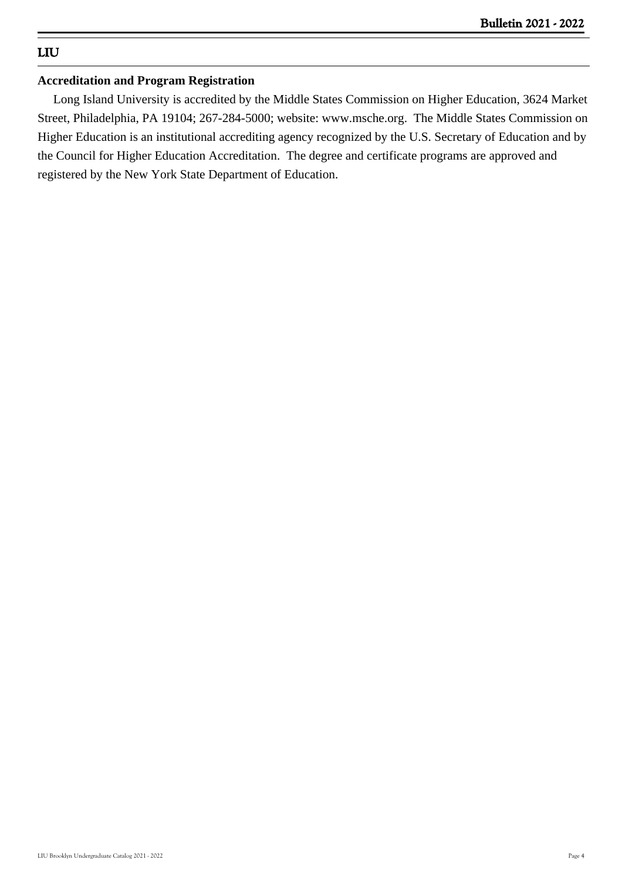### **LIU**

### **Accreditation and Program Registration**

 Long Island University is accredited by the Middle States Commission on Higher Education, 3624 Market Street, Philadelphia, PA 19104; 267-284-5000; website: www.msche.org. The Middle States Commission on Higher Education is an institutional accrediting agency recognized by the U.S. Secretary of Education and by the Council for Higher Education Accreditation. The degree and certificate programs are approved and registered by the New York State Department of Education.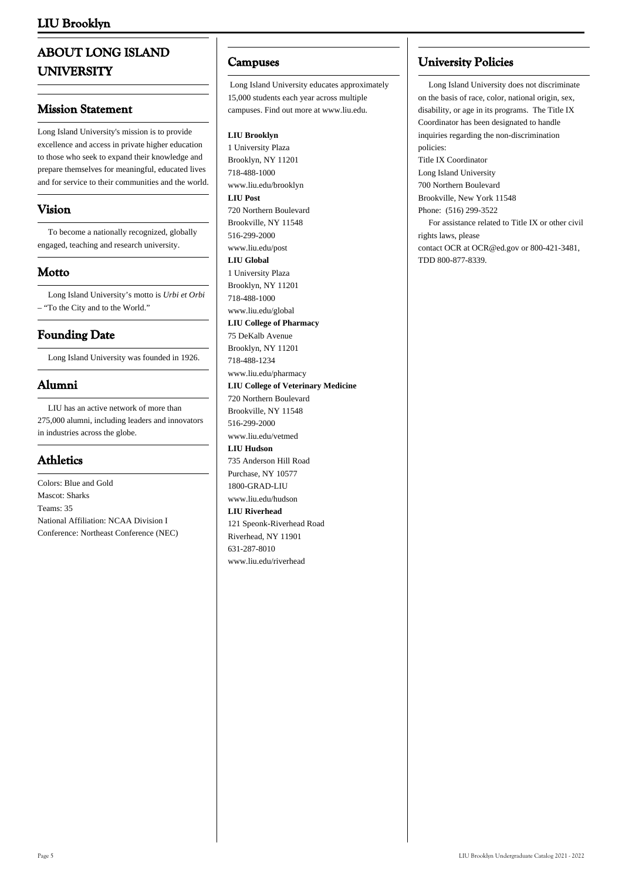### **ABOUT LONG ISLAND UNIVERSITY**

### **Mission Statement**

Long Island University's mission is to provide excellence and access in private higher education to those who seek to expand their knowledge and prepare themselves for meaningful, educated lives and for service to their communities and the world.

### **Vision**

 To become a nationally recognized, globally engaged, teaching and research university.

### **Motto**

 Long Island University's motto is *Urbi et Orbi* – "To the City and to the World."

### **Founding Date**

Long Island University was founded in 1926.

### **Alumni**

 LIU has an active network of more than 275,000 alumni, including leaders and innovators in industries across the globe.

### **Athletics**

Colors: Blue and Gold Mascot: Sharks Teams: 35 National Affiliation: NCAA Division I Conference: Northeast Conference (NEC)

### **Campuses**

Long Island University educates approximately 15,000 students each year across multiple campuses. Find out more at www.liu.edu.

#### **LIU Brooklyn**

1 University Plaza Brooklyn, NY 11201 718-488-1000 www.liu.edu/brooklyn **LIU Post** 720 Northern Boulevard Brookville, NY 11548 516-299-2000 www.liu.edu/post **LIU Global** 1 University Plaza Brooklyn, NY 11201 718-488-1000 www.liu.edu/global **LIU College of Pharmacy** 75 DeKalb Avenue Brooklyn, NY 11201 718-488-1234 www.liu.edu/pharmacy **LIU College of Veterinary Medicine** 720 Northern Boulevard Brookville, NY 11548 516-299-2000 www.liu.edu/vetmed **LIU Hudson** 735 Anderson Hill Road Purchase, NY 10577 1800-GRAD-LIU www.liu.edu/hudson **LIU Riverhead** 121 Speonk-Riverhead Road Riverhead, NY 11901 631-287-8010 www.liu.edu/riverhead

### **University Policies**

 Long Island University does not discriminate on the basis of race, color, national origin, sex, disability, or age in its programs. The Title IX Coordinator has been designated to handle inquiries regarding the non-discrimination policies: Title IX Coordinator Long Island University 700 Northern Boulevard Brookville, New York 11548 Phone: (516) 299-3522 For assistance related to Title IX or other civil rights laws, please contact [OCR](https://wdcrobcolp01.ed.gov/CFAPPS/OCR/contactus.cfm) at [OCR@ed.gov](mailto:ocr@ed.gov) or 800-421-3481, TDD 800-877-8339.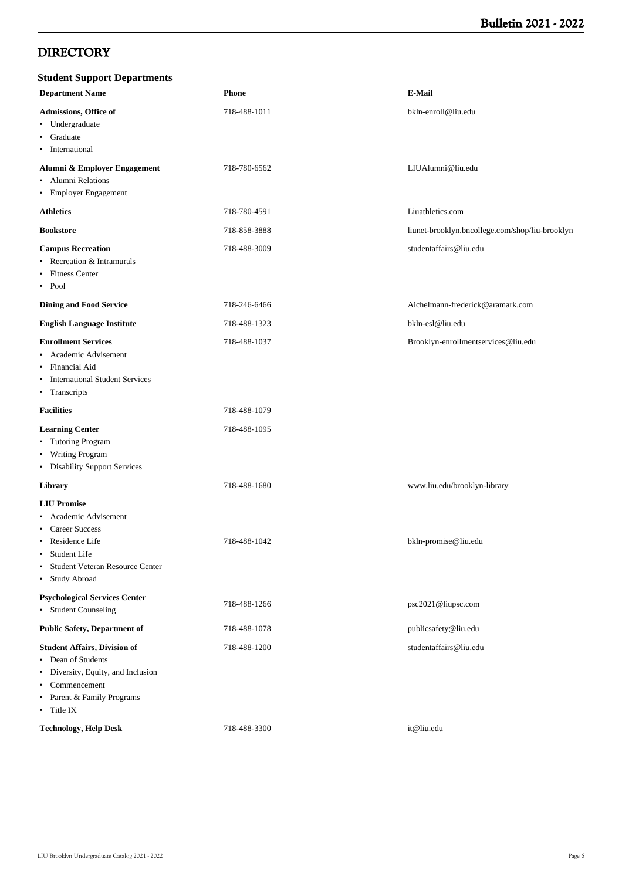### **DIRECTORY**

| <b>Student Support Departments</b>                                                                                                                                                       |              |                                                 |
|------------------------------------------------------------------------------------------------------------------------------------------------------------------------------------------|--------------|-------------------------------------------------|
| <b>Department Name</b>                                                                                                                                                                   | <b>Phone</b> | E-Mail                                          |
| Admissions, Office of<br>• Undergraduate<br>Graduate<br>$\bullet$<br>International<br>٠                                                                                                  | 718-488-1011 | bkln-enroll@liu.edu                             |
| Alumni & Employer Engagement<br>Alumni Relations<br>٠<br><b>Employer Engagement</b><br>$\bullet$                                                                                         | 718-780-6562 | LIUAlumni@liu.edu                               |
| <b>Athletics</b>                                                                                                                                                                         | 718-780-4591 | Liuathletics.com                                |
| <b>Bookstore</b>                                                                                                                                                                         | 718-858-3888 | liunet-brooklyn.bncollege.com/shop/liu-brooklyn |
| <b>Campus Recreation</b><br>Recreation & Intramurals<br><b>Fitness Center</b><br>$\bullet$<br>$\bullet$ Pool                                                                             | 718-488-3009 | studentaffairs@liu.edu                          |
| <b>Dining and Food Service</b>                                                                                                                                                           | 718-246-6466 | Aichelmann-frederick@aramark.com                |
| <b>English Language Institute</b>                                                                                                                                                        | 718-488-1323 | bkln-esl@liu.edu                                |
| <b>Enrollment Services</b><br>Academic Advisement<br>٠<br>Financial Aid<br>$\bullet$<br><b>International Student Services</b><br>$\bullet$<br>• Transcripts                              | 718-488-1037 | Brooklyn-enrollmentservices@liu.edu             |
| <b>Facilities</b>                                                                                                                                                                        | 718-488-1079 |                                                 |
| <b>Learning Center</b><br>• Tutoring Program<br>• Writing Program<br>• Disability Support Services                                                                                       | 718-488-1095 |                                                 |
| Library                                                                                                                                                                                  | 718-488-1680 | www.liu.edu/brooklyn-library                    |
| <b>LIU Promise</b><br>Academic Advisement<br><b>Career Success</b><br>٠<br>Residence Life<br>Student Life<br>$\bullet$<br>Student Veteran Resource Center<br>$\bullet$<br>• Study Abroad | 718-488-1042 | bkln-promise@liu.edu                            |
| <b>Psychological Services Center</b><br>• Student Counseling                                                                                                                             | 718-488-1266 | psc2021@liupsc.com                              |
| <b>Public Safety, Department of</b>                                                                                                                                                      | 718-488-1078 | publicsafety@liu.edu                            |
| <b>Student Affairs, Division of</b><br>• Dean of Students<br>Diversity, Equity, and Inclusion<br>$\bullet$<br>• Commencement<br>• Parent & Family Programs<br>• Title IX                 | 718-488-1200 | studentaffairs@liu.edu                          |
| <b>Technology, Help Desk</b>                                                                                                                                                             | 718-488-3300 | it@liu.edu                                      |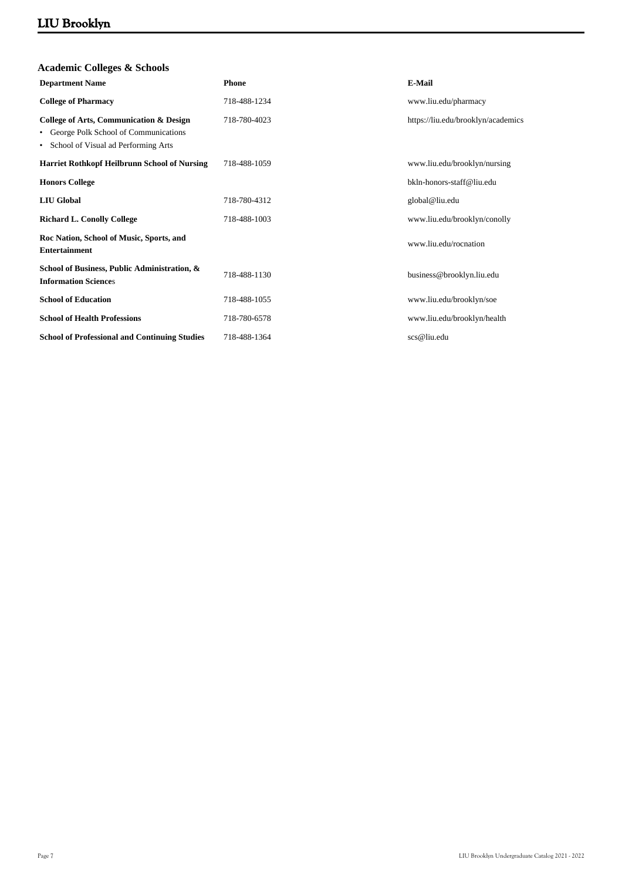| <b>Phone</b> | E-Mail                             |
|--------------|------------------------------------|
| 718-488-1234 | www.liu.edu/pharmacy               |
| 718-780-4023 | https://liu.edu/brooklyn/academics |
| 718-488-1059 | www.liu.edu/brooklyn/nursing       |
|              | bkln-honors-staff@liu.edu          |
| 718-780-4312 | global@liu.edu                     |
| 718-488-1003 | www.liu.edu/brooklyn/conolly       |
|              | www.liu.edu/rocnation              |
| 718-488-1130 | business@brooklyn.liu.edu          |
| 718-488-1055 | www.liu.edu/brooklyn/soe           |
| 718-780-6578 | www.liu.edu/brooklyn/health        |
| 718-488-1364 | scs@liu.edu                        |
|              |                                    |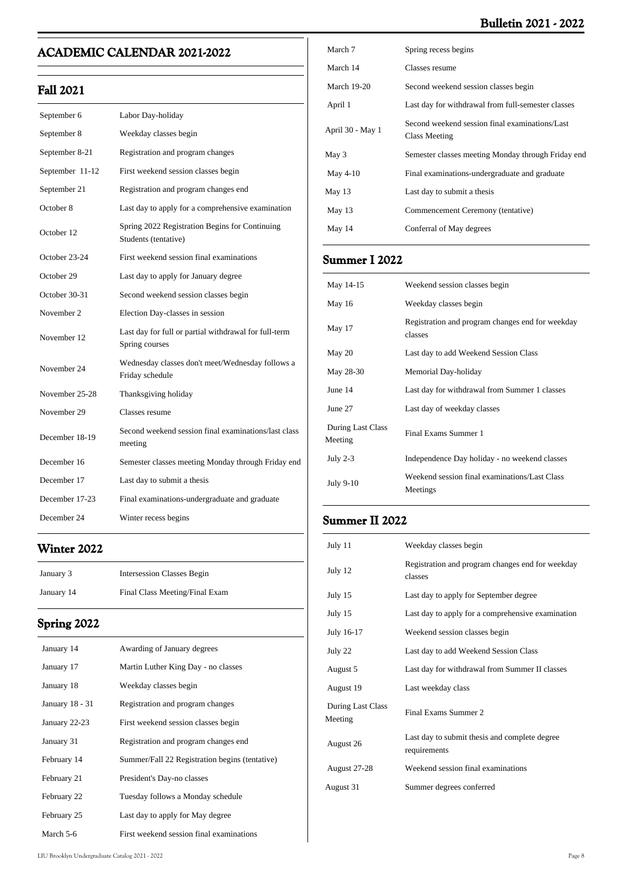### **Bulletin 2021 - 2022**

### **ACADEMIC CALENDAR 2021-2022**

### **Fall 2021**

| September 6     | Labor Day-holiday                                                       |
|-----------------|-------------------------------------------------------------------------|
| September 8     | Weekday classes begin                                                   |
| September 8-21  | Registration and program changes                                        |
| September 11-12 | First weekend session classes begin                                     |
| September 21    | Registration and program changes end                                    |
| October 8       | Last day to apply for a comprehensive examination                       |
| October 12      | Spring 2022 Registration Begins for Continuing<br>Students (tentative)  |
| October 23-24   | First weekend session final examinations                                |
| October 29      | Last day to apply for January degree                                    |
| October 30-31   | Second weekend session classes begin                                    |
| November 2      | Election Day-classes in session                                         |
| November 12     | Last day for full or partial withdrawal for full-term<br>Spring courses |
| November 24     | Wednesday classes don't meet/Wednesday follows a<br>Friday schedule     |
| November 25-28  | Thanksgiving holiday                                                    |
| November 29     | Classes resume                                                          |
| December 18-19  | Second weekend session final examinations/last class<br>meeting         |
| December 16     | Semester classes meeting Monday through Friday end                      |
| December 17     | Last day to submit a thesis                                             |
| December 17-23  | Final examinations-undergraduate and graduate                           |
| December 24     | Winter recess begins                                                    |

## **Winter 2022**

| January 3  | Intersession Classes Begin     |
|------------|--------------------------------|
| January 14 | Final Class Meeting/Final Exam |

### **Spring 2022**

| January 14      | Awarding of January degrees                    |
|-----------------|------------------------------------------------|
| January 17      | Martin Luther King Day - no classes            |
| January 18      | Weekday classes begin                          |
| January 18 - 31 | Registration and program changes               |
| January 22-23   | First weekend session classes begin            |
| January 31      | Registration and program changes end           |
| February 14     | Summer/Fall 22 Registration begins (tentative) |
| February 21     | President's Day-no classes                     |
| February 22     | Tuesday follows a Monday schedule              |
| February 25     | Last day to apply for May degree               |
| March 5-6       | First weekend session final examinations       |

| March 7            | Spring recess begins                                            |
|--------------------|-----------------------------------------------------------------|
| March 14           | Classes resume                                                  |
| <b>March 19-20</b> | Second weekend session classes begin                            |
| April 1            | Last day for withdrawal from full-semester classes              |
| April 30 - May 1   | Second weekend session final examinations/Last<br>Class Meeting |
| May 3              | Semester classes meeting Monday through Friday end              |
| May $4-10$         | Final examinations-undergraduate and graduate                   |
| May 13             | Last day to submit a thesis                                     |
| May $13$           | Commencement Ceremony (tentative)                               |
| May 14             | Conferral of May degrees                                        |
|                    |                                                                 |

### **Summer I 2022**

| May 14-15                    | Weekend session classes begin                               |
|------------------------------|-------------------------------------------------------------|
| May 16                       | Weekday classes begin                                       |
| May 17                       | Registration and program changes end for weekday<br>classes |
| May 20                       | Last day to add Weekend Session Class                       |
| May 28-30                    | Memorial Day-holiday                                        |
| June 14                      | Last day for withdrawal from Summer 1 classes               |
| June 27                      | Last day of weekday classes                                 |
| During Last Class<br>Meeting | Final Exams Summer 1                                        |
| July $2-3$                   | Independence Day holiday - no weekend classes               |
| July 9-10                    | Weekend session final examinations/Last Class<br>Meetings   |
|                              |                                                             |

### **Summer II 2022**

| July 11                      | Weekday classes begin                                         |
|------------------------------|---------------------------------------------------------------|
| July 12                      | Registration and program changes end for weekday<br>classes   |
| July 15                      | Last day to apply for September degree                        |
| July 15                      | Last day to apply for a comprehensive examination             |
| July 16-17                   | Weekend session classes begin                                 |
| July 22                      | Last day to add Weekend Session Class                         |
| August 5                     | Last day for withdrawal from Summer II classes                |
| August 19                    | Last weekday class                                            |
| During Last Class<br>Meeting | Final Exams Summer 2                                          |
| August 26                    | Last day to submit thesis and complete degree<br>requirements |
| August 27-28                 | Weekend session final examinations                            |
| August 31                    | Summer degrees conferred                                      |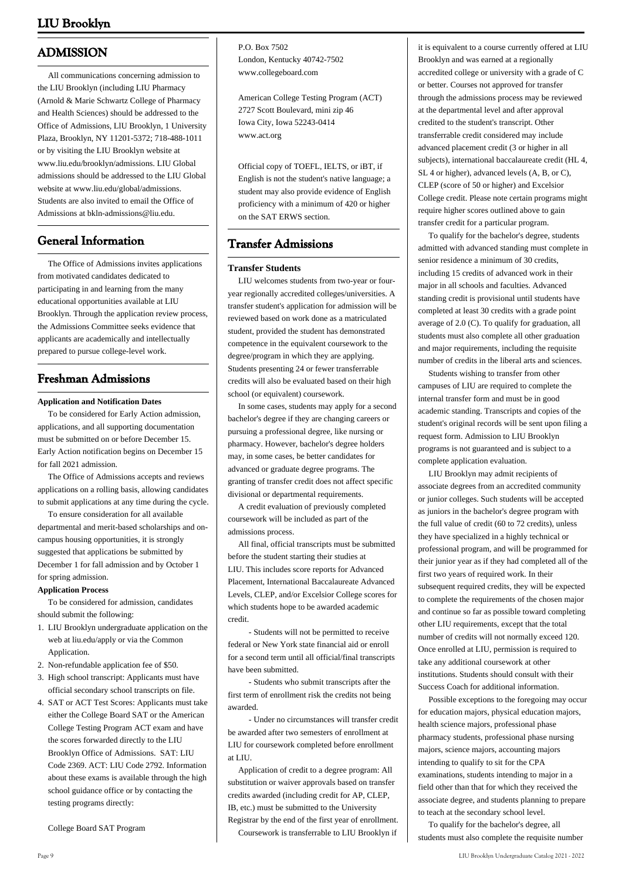### **ADMISSION**

 All communications concerning admission to the LIU Brooklyn (including LIU Pharmacy (Arnold & Marie Schwartz College of Pharmacy and Health Sciences) should be addressed to the Office of Admissions, LlU Brooklyn, 1 University Plaza, Brooklyn, NY 11201-5372; 718-488-1011 or by visiting the LIU Brooklyn website at www.liu.edu/brooklyn/admissions. LIU Global admissions should be addressed to the LIU Global website at www.liu.edu/global/admissions. Students are also invited to email the Office of Admissions at bkln-admissions@liu.edu.

### **General Information**

 The Office of Admissions invites applications from motivated candidates dedicated to participating in and learning from the many educational opportunities available at LIU Brooklyn. Through the application review process, the Admissions Committee seeks evidence that applicants are academically and intellectually prepared to pursue college-level work.

### **Freshman Admissions**

#### **Application and Notification Dates**

 To be considered for Early Action admission, applications, and all supporting documentation must be submitted on or before December 15. Early Action notification begins on December 15 for fall 2021 admission.

 The Office of Admissions accepts and reviews applications on a rolling basis, allowing candidates to submit applications at any time during the cycle.

 To ensure consideration for all available departmental and merit-based scholarships and oncampus housing opportunities, it is strongly suggested that applications be submitted by December 1 for fall admission and by October 1 for spring admission.

#### **Application Process**

 To be considered for admission, candidates should submit the following:

- 1. LIU Brooklyn undergraduate application on the web at liu.edu/apply or via the Common Application.
- 2. Non-refundable application fee of \$50.
- 3. High school transcript: Applicants must have official secondary school transcripts on file.
- 4. SAT or ACT Test Scores: Applicants must take either the College Board SAT or the American College Testing Program ACT exam and have the scores forwarded directly to the LIU Brooklyn Office of Admissions. SAT: LIU Code 2369. ACT: LIU Code 2792. Information about these exams is available through the high school guidance office or by contacting the testing programs directly:

College Board SAT Program

P.O. Box 7502 London, Kentucky 40742-7502 www.collegeboard.com

American College Testing Program (ACT) 2727 Scott Boulevard, mini zip 46 Iowa City, Iowa 52243-0414 www.act.org

Official copy of TOEFL, IELTS, or iBT, if English is not the student's native language; a student may also provide evidence of English proficiency with a minimum of 420 or higher on the SAT ERWS section.

### **Transfer Admissions**

#### **Transfer Students**

 LIU welcomes students from two-year or fouryear regionally accredited colleges/universities. A transfer student's application for admission will be reviewed based on work done as a matriculated student, provided the student has demonstrated competence in the equivalent coursework to the degree/program in which they are applying. Students presenting 24 or fewer transferrable credits will also be evaluated based on their high school (or equivalent) coursework.

 In some cases, students may apply for a second bachelor's degree if they are changing careers or pursuing a professional degree, like nursing or pharmacy. However, bachelor's degree holders may, in some cases, be better candidates for advanced or graduate degree programs. The granting of transfer credit does not affect specific divisional or departmental requirements.

 A credit evaluation of previously completed coursework will be included as part of the admissions process.

 All final, official transcripts must be submitted before the student starting their studies at LIU. This includes score reports for Advanced Placement, International Baccalaureate Advanced Levels, CLEP, and/or Excelsior College scores for which students hope to be awarded academic credit.

 - Students will not be permitted to receive federal or New York state financial aid or enroll for a second term until all official/final transcripts have been submitted.

 - Students who submit transcripts after the first term of enrollment risk the credits not being awarded.

 - Under no circumstances will transfer credit be awarded after two semesters of enrollment at LIU for coursework completed before enrollment at LIU.

 Application of credit to a degree program: All substitution or waiver approvals based on transfer credits awarded (including credit for AP, CLEP, IB, etc.) must be submitted to the University Registrar by the end of the first year of enrollment.

Coursework is transferrable to LIU Brooklyn if

it is equivalent to a course currently offered at LIU Brooklyn and was earned at a regionally accredited college or university with a grade of C or better. Courses not approved for transfer through the admissions process may be reviewed at the departmental level and after approval credited to the student's transcript. Other transferrable credit considered may include advanced placement credit (3 or higher in all subjects), international baccalaureate credit (HL 4, SL 4 or higher), advanced levels (A, B, or C), CLEP (score of 50 or higher) and Excelsior College credit. Please note certain programs might require higher scores outlined above to gain transfer credit for a particular program.

 To qualify for the bachelor's degree, students admitted with advanced standing must complete in senior residence a minimum of 30 credits, including 15 credits of advanced work in their major in all schools and faculties. Advanced standing credit is provisional until students have completed at least 30 credits with a grade point average of 2.0 (C). To qualify for graduation, all students must also complete all other graduation and major requirements, including the requisite number of credits in the liberal arts and sciences.

 Students wishing to transfer from other campuses of LIU are required to complete the internal transfer form and must be in good academic standing. Transcripts and copies of the student's original records will be sent upon filing a request form. Admission to LIU Brooklyn programs is not guaranteed and is subject to a complete application evaluation.

 LIU Brooklyn may admit recipients of associate degrees from an accredited community or junior colleges. Such students will be accepted as juniors in the bachelor's degree program with the full value of credit (60 to 72 credits), unless they have specialized in a highly technical or professional program, and will be programmed for their junior year as if they had completed all of the first two years of required work. In their subsequent required credits, they will be expected to complete the requirements of the chosen major and continue so far as possible toward completing other LIU requirements, except that the total number of credits will not normally exceed 120. Once enrolled at LIU, permission is required to take any additional coursework at other institutions. Students should consult with their Success Coach for additional information.

 Possible exceptions to the foregoing may occur for education majors, physical education majors, health science majors, professional phase pharmacy students, professional phase nursing majors, science majors, accounting majors intending to qualify to sit for the CPA examinations, students intending to major in a field other than that for which they received the associate degree, and students planning to prepare to teach at the secondary school level.

 To qualify for the bachelor's degree, all students must also complete the requisite number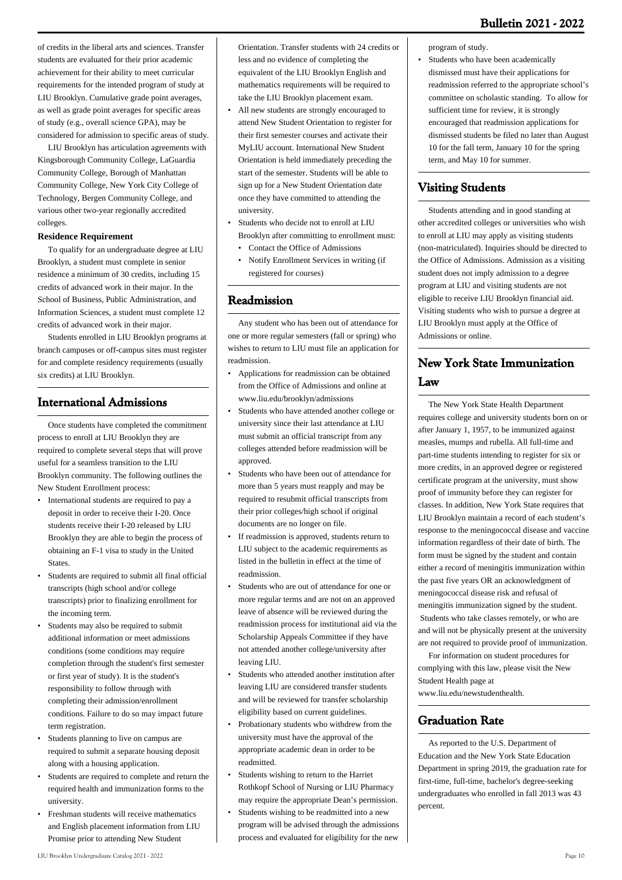of credits in the liberal arts and sciences. Transfer students are evaluated for their prior academic achievement for their ability to meet curricular requirements for the intended program of study at LIU Brooklyn. Cumulative grade point averages, as well as grade point averages for specific areas of study (e.g., overall science GPA), may be considered for admission to specific areas of study.

 LIU Brooklyn has articulation agreements with Kingsborough Community College, LaGuardia Community College, Borough of Manhattan Community College, New York City College of Technology, Bergen Community College, and various other two-year regionally accredited colleges.

#### **Residence Requirement**

 To qualify for an undergraduate degree at LIU Brooklyn, a student must complete in senior residence a minimum of 30 credits, including 15 credits of advanced work in their major. In the School of Business, Public Administration, and Information Sciences, a student must complete 12 credits of advanced work in their major.

 Students enrolled in LIU Brooklyn programs at branch campuses or off-campus sites must register for and complete residency requirements (usually six credits) at LIU Brooklyn.

### **International Admissions**

 Once students have completed the commitment process to enroll at LIU Brooklyn they are required to complete several steps that will prove useful for a seamless transition to the LIU Brooklyn community. The following outlines the New Student Enrollment process:

- International students are required to pay a deposit in order to receive their I-20. Once students receive their I-20 released by LIU Brooklyn they are able to begin the process of obtaining an F-1 visa to study in the United States.
- Students are required to submit all final official transcripts (high school and/or college transcripts) prior to finalizing enrollment for the incoming term. •
- Students may also be required to submit additional information or meet admissions conditions (some conditions may require completion through the student's first semester or first year of study). It is the student's responsibility to follow through with completing their admission/enrollment conditions. Failure to do so may impact future term registration.
- Students planning to live on campus are required to submit a separate housing deposit along with a housing application. •
- Students are required to complete and return the required health and immunization forms to the university. •
- Freshman students will receive mathematics and English placement information from LIU Promise prior to attending New Student
- All new students are strongly encouraged to attend New Student Orientation to register for their first semester courses and activate their MyLIU account. International New Student Orientation is held immediately preceding the start of the semester. Students will be able to sign up for a New Student Orientation date once they have committed to attending the university. •
- Students who decide not to enroll at LIU Brooklyn after committing to enrollment must: •
- Contact the Office of Admissions
- Notify Enrollment Services in writing (if registered for courses)

### **Readmission**

 Any student who has been out of attendance for one or more regular semesters (fall or spring) who wishes to return to LIU must file an application for readmission.

- Applications for readmission can be obtained from the Office of Admissions and online at www.liu.edu/brooklyn/admissions •
- Students who have attended another college or university since their last attendance at LIU must submit an official transcript from any colleges attended before readmission will be approved. •
- Students who have been out of attendance for more than 5 years must reapply and may be required to resubmit official transcripts from their prior colleges/high school if original documents are no longer on file. •
- If readmission is approved, students return to LIU subject to the academic requirements as listed in the bulletin in effect at the time of readmission. •
- Students who are out of attendance for one or more regular terms and are not on an approved leave of absence will be reviewed during the readmission process for institutional aid via the Scholarship Appeals Committee if they have not attended another college/university after leaving LIU. •
- Students who attended another institution after leaving LIU are considered transfer students and will be reviewed for transfer scholarship eligibility based on current guidelines. •
- Probationary students who withdrew from the university must have the approval of the appropriate academic dean in order to be readmitted. •
- Students wishing to return to the Harriet Rothkopf School of Nursing or LIU Pharmacy may require the appropriate Dean's permission. •
- Students wishing to be readmitted into a new program will be advised through the admissions process and evaluated for eligibility for the new •

program of study.

Students who have been academically dismissed must have their applications for readmission referred to the appropriate school's committee on scholastic standing. To allow for sufficient time for review, it is strongly encouraged that readmission applications for dismissed students be filed no later than August 10 for the fall term, January 10 for the spring term, and May 10 for summer. •

### **Visiting Students**

 Students attending and in good standing at other accredited colleges or universities who wish to enroll at LIU may apply as visiting students (non-matriculated). Inquiries should be directed to the Office of Admissions. Admission as a visiting student does not imply admission to a degree program at LIU and visiting students are not eligible to receive LIU Brooklyn financial aid. Visiting students who wish to pursue a degree at LIU Brooklyn must apply at the Office of Admissions or online.

### **New York State Immunization Law**

 The New York State Health Department requires college and university students born on or after January 1, 1957, to be immunized against measles, mumps and rubella. All full-time and part-time students intending to register for six or more credits, in an approved degree or registered certificate program at the university, must show proof of immunity before they can register for classes. In addition, New York State requires that LIU Brooklyn maintain a record of each student's response to the meningococcal disease and vaccine information regardless of their date of birth. The form must be signed by the student and contain either a record of meningitis immunization within the past five years OR an acknowledgment of meningococcal disease risk and refusal of meningitis immunization signed by the student. Students who take classes remotely, or who are and will not be physically present at the university are not required to provide proof of immunization.

 For information on student procedures for complying with this law, please visit the New Student Health page at www.liu.edu/newstudenthealth.

### **Graduation Rate**

 As reported to the U.S. Department of Education and the New York State Education Department in spring 2019, the graduation rate for first-time, full-time, bachelor's degree-seeking undergraduates who enrolled in fall 2013 was 43 percent.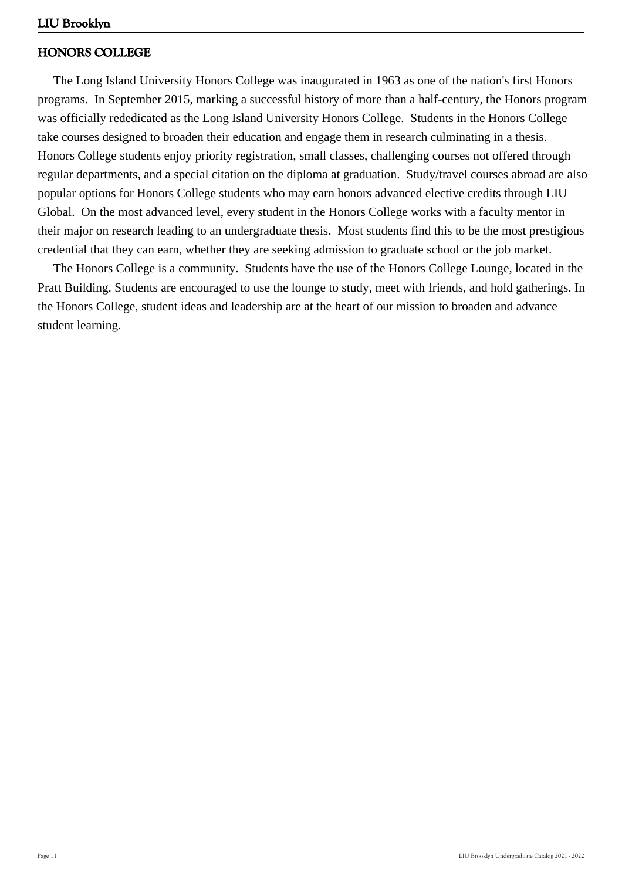### **HONORS COLLEGE**

 The Long Island University Honors College was inaugurated in 1963 as one of the nation's first Honors programs. In September 2015, marking a successful history of more than a half-century, the Honors program was officially rededicated as the Long Island University Honors College. Students in the Honors College take courses designed to broaden their education and engage them in research culminating in a thesis. Honors College students enjoy priority registration, small classes, challenging courses not offered through regular departments, and a special citation on the diploma at graduation. Study/travel courses abroad are also popular options for Honors College students who may earn honors advanced elective credits through LIU Global. On the most advanced level, every student in the Honors College works with a faculty mentor in their major on research leading to an undergraduate thesis. Most students find this to be the most prestigious credential that they can earn, whether they are seeking admission to graduate school or the job market.

 The Honors College is a community. Students have the use of the Honors College Lounge, located in the Pratt Building. Students are encouraged to use the lounge to study, meet with friends, and hold gatherings. In the Honors College, student ideas and leadership are at the heart of our mission to broaden and advance student learning.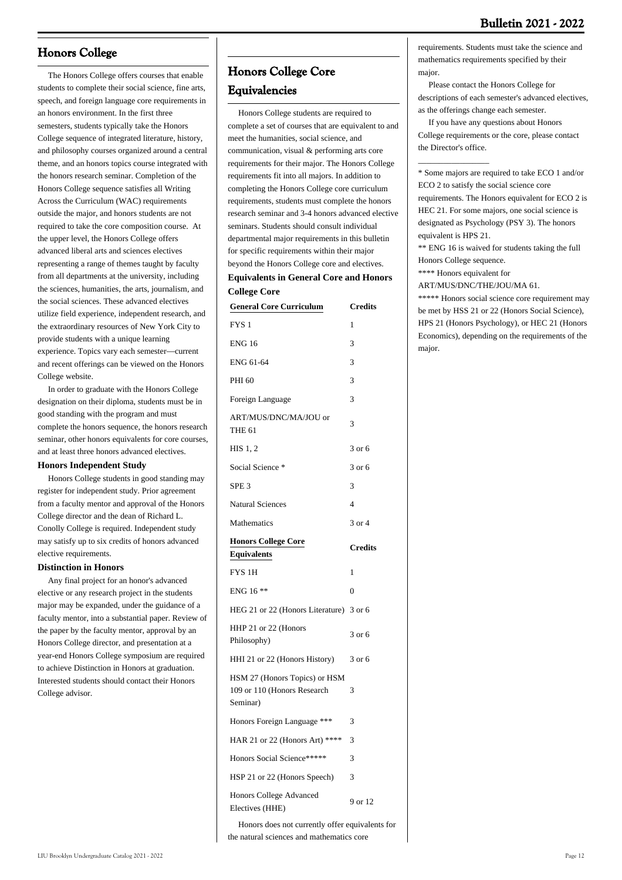### **Honors College**

 The Honors College offers courses that enable students to complete their social science, fine arts, speech, and foreign language core requirements in an honors environment. In the first three semesters, students typically take the Honors College sequence of integrated literature, history, and philosophy courses organized around a central theme, and an honors topics course integrated with the honors research seminar. Completion of the Honors College sequence satisfies all Writing Across the Curriculum (WAC) requirements outside the major, and honors students are not required to take the core composition course. At the upper level, the Honors College offers advanced liberal arts and sciences electives representing a range of themes taught by faculty from all departments at the university, including the sciences, humanities, the arts, journalism, and the social sciences. These advanced electives utilize field experience, independent research, and the extraordinary resources of New York City to provide students with a unique learning experience. Topics vary each semester—current and recent offerings can be viewed on the Honors College website.

 In order to graduate with the Honors College designation on their diploma, students must be in good standing with the program and must complete the honors sequence, the honors research seminar, other honors equivalents for core courses, and at least three honors advanced electives.

#### **Honors Independent Study**

 Honors College students in good standing may register for independent study. Prior agreement from a faculty mentor and approval of the Honors College director and the dean of Richard L. Conolly College is required. Independent study may satisfy up to six credits of honors advanced elective requirements.

#### **Distinction in Honors**

 Any final project for an honor's advanced elective or any research project in the students major may be expanded, under the guidance of a faculty mentor, into a substantial paper. Review of the paper by the faculty mentor, approval by an Honors College director, and presentation at a year-end Honors College symposium are required to achieve Distinction in Honors at graduation. Interested students should contact their Honors College advisor.

### **Honors College Core Equivalencies**

 Honors College students are required to complete a set of courses that are equivalent to and meet the humanities, social science, and communication, visual & performing arts core requirements for their major. The Honors College requirements fit into all majors. In addition to completing the Honors College core curriculum requirements, students must complete the honors research seminar and 3-4 honors advanced elective seminars. Students should consult individual departmental major requirements in this bulletin for specific requirements within their major beyond the Honors College core and electives. **Equivalents in General Core and Honors**

# **College Core**

| <b>General Core Curriculum</b>                                           | <b>Credits</b> |
|--------------------------------------------------------------------------|----------------|
| FYS <sub>1</sub>                                                         | 1              |
| <b>ENG 16</b>                                                            | 3              |
| ENG 61-64                                                                | 3              |
| PHI 60                                                                   | 3              |
| Foreign Language                                                         | 3              |
| ART/MUS/DNC/MA/JOU or<br><b>THE 61</b>                                   | 3              |
| $HIS$ 1, 2                                                               | 3 or 6         |
| Social Science *                                                         | $3$ or $6$     |
| SPE <sub>3</sub>                                                         | 3              |
| <b>Natural Sciences</b>                                                  | $\overline{4}$ |
| Mathematics                                                              | 3 or 4         |
| <b>Honors College Core</b><br><b>Equivalents</b>                         | <b>Credits</b> |
| FYS <sub>1H</sub>                                                        | 1              |
| ENG 16 **                                                                | $\theta$       |
| HEG 21 or 22 (Honors Literature) 3 or 6                                  |                |
| HHP 21 or 22 (Honors<br>Philosophy)                                      | 3 or 6         |
| HHI 21 or 22 (Honors History)                                            | 3 or 6         |
| HSM 27 (Honors Topics) or HSM<br>109 or 110 (Honors Research<br>Seminar) | 3              |
| Honors Foreign Language ***                                              | 3              |
| HAR 21 or 22 (Honors Art) ****                                           | 3              |
| Honors Social Science*****                                               | 3              |
| HSP 21 or 22 (Honors Speech)                                             | 3              |
| Honors College Advanced<br>Electives (HHE)                               | 9 or 12        |

 Honors does not currently offer equivalents for the natural sciences and mathematics core

requirements. Students must take the science and mathematics requirements specified by their major.

 Please contact the Honors College for descriptions of each semester's advanced electives, as the offerings change each semester.

 If you have any questions about Honors College requirements or the core, please contact the Director's office.

\* Some majors are required to take ECO 1 and/or ECO 2 to satisfy the social science core requirements. The Honors equivalent for ECO 2 is HEC 21. For some majors, one social science is designated as Psychology (PSY 3). The honors equivalent is HPS 21.

\*\* ENG 16 is waived for students taking the full Honors College sequence.

\*\*\*\* Honors equivalent for

 $\overline{\phantom{a}}$  , where the contract of  $\overline{\phantom{a}}$ 

ART/MUS/DNC/THE/JOU/MA 61.

\*\*\*\*\* Honors social science core requirement may be met by HSS 21 or 22 (Honors Social Science), HPS 21 (Honors Psychology), or HEC 21 (Honors Economics), depending on the requirements of the major.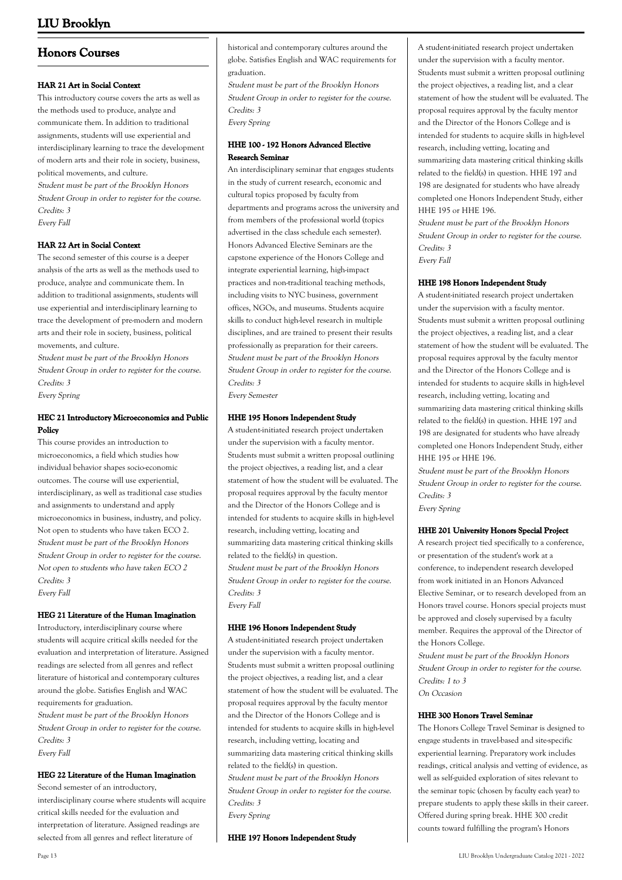### **Honors Courses**

#### **HAR 21 Art in Social Context**

This introductory course covers the arts as well as the methods used to produce, analyze and communicate them. In addition to traditional assignments, students will use experiential and interdisciplinary learning to trace the development of modern arts and their role in society, business, political movements, and culture. Student must be part of the Brooklyn Honors

Student Group in order to register for the course. Credits: 3 Every Fall

#### **HAR 22 Art in Social Context**

The second semester of this course is a deeper analysis of the arts as well as the methods used to produce, analyze and communicate them. In addition to traditional assignments, students will use experiential and interdisciplinary learning to trace the development of pre-modern and modern arts and their role in society, business, political movements, and culture.

Student must be part of the Brooklyn Honors Student Group in order to register for the course. Credits: 3 Every Spring

#### **HEC 21 Introductory Microeconomics and Public Policy**

This course provides an introduction to microeconomics, a field which studies how individual behavior shapes socio-economic outcomes. The course will use experiential, interdisciplinary, as well as traditional case studies and assignments to understand and apply microeconomics in business, industry, and policy. Not open to students who have taken ECO 2. Student must be part of the Brooklyn Honors Student Group in order to register for the course. Not open to students who have taken ECO 2 Credits: 3 Every Fall

#### **HEG 21 Literature of the Human Imagination**

Introductory, interdisciplinary course where students will acquire critical skills needed for the evaluation and interpretation of literature. Assigned readings are selected from all genres and reflect literature of historical and contemporary cultures around the globe. Satisfies English and WAC requirements for graduation. Student must be part of the Brooklyn Honors Student Group in order to register for the course. Credits: 3 Every Fall

#### **HEG 22 Literature of the Human Imagination**

Second semester of an introductory, interdisciplinary course where students will acquire critical skills needed for the evaluation and interpretation of literature. Assigned readings are selected from all genres and reflect literature of

historical and contemporary cultures around the globe. Satisfies English and WAC requirements for graduation.

Student must be part of the Brooklyn Honors Student Group in order to register for the course. Credits: 3 Every Spring

#### **HHE 100 - 192 Honors Advanced Elective Research Seminar**

An interdisciplinary seminar that engages students in the study of current research, economic and cultural topics proposed by faculty from departments and programs across the university and from members of the professional world (topics advertised in the class schedule each semester). Honors Advanced Elective Seminars are the capstone experience of the Honors College and integrate experiential learning, high-impact practices and non-traditional teaching methods, including visits to NYC business, government offices, NGOs, and museums. Students acquire skills to conduct high-level research in multiple disciplines, and are trained to present their results professionally as preparation for their careers. Student must be part of the Brooklyn Honors Student Group in order to register for the course. Credits: 3 Every Semester

#### **HHE 195 Honors Independent Study**

A student-initiated research project undertaken under the supervision with a faculty mentor. Students must submit a written proposal outlining the project objectives, a reading list, and a clear statement of how the student will be evaluated. The proposal requires approval by the faculty mentor and the Director of the Honors College and is intended for students to acquire skills in high-level research, including vetting, locating and summarizing data mastering critical thinking skills related to the field(s) in question. Student must be part of the Brooklyn Honors Student Group in order to register for the course. Credits: 3 Every Fall

#### **HHE 196 Honors Independent Study**

A student-initiated research project undertaken under the supervision with a faculty mentor. Students must submit a written proposal outlining the project objectives, a reading list, and a clear statement of how the student will be evaluated. The proposal requires approval by the faculty mentor and the Director of the Honors College and is intended for students to acquire skills in high-level research, including vetting, locating and summarizing data mastering critical thinking skills related to the field(s) in question. Student must be part of the Brooklyn Honors Student Group in order to register for the course.

Credits: 3

Every Spring

**HHE 197 Honors Independent Study**

A student-initiated research project undertaken under the supervision with a faculty mentor. Students must submit a written proposal outlining the project objectives, a reading list, and a clear statement of how the student will be evaluated. The proposal requires approval by the faculty mentor and the Director of the Honors College and is intended for students to acquire skills in high-level research, including vetting, locating and summarizing data mastering critical thinking skills related to the field(s) in question. HHE 197 and 198 are designated for students who have already completed one Honors Independent Study, either HHE 195 or HHE 196.

Student must be part of the Brooklyn Honors Student Group in order to register for the course. Credits: 3 Every Fall

#### **HHE 198 Honors Independent Study**

A student-initiated research project undertaken under the supervision with a faculty mentor. Students must submit a written proposal outlining the project objectives, a reading list, and a clear statement of how the student will be evaluated. The proposal requires approval by the faculty mentor and the Director of the Honors College and is intended for students to acquire skills in high-level research, including vetting, locating and summarizing data mastering critical thinking skills related to the field(s) in question. HHE 197 and 198 are designated for students who have already completed one Honors Independent Study, either HHE 195 or HHE 196.

Student must be part of the Brooklyn Honors Student Group in order to register for the course. Credits: 3 Every Spring

#### **HHE 201 University Honors Special Project**

A research project tied specifically to a conference, or presentation of the student's work at a conference, to independent research developed from work initiated in an Honors Advanced Elective Seminar, or to research developed from an Honors travel course. Honors special projects must be approved and closely supervised by a faculty member. Requires the approval of the Director of the Honors College.

Student must be part of the Brooklyn Honors Student Group in order to register for the course. Credits: 1 to 3 On Occasion

#### **HHE 300 Honors Travel Seminar**

The Honors College Travel Seminar is designed to engage students in travel-based and site-specific experiential learning. Preparatory work includes readings, critical analysis and vetting of evidence, as well as self-guided exploration of sites relevant to the seminar topic (chosen by faculty each year) to prepare students to apply these skills in their career. Offered during spring break. HHE 300 credit counts toward fulfilling the program's Honors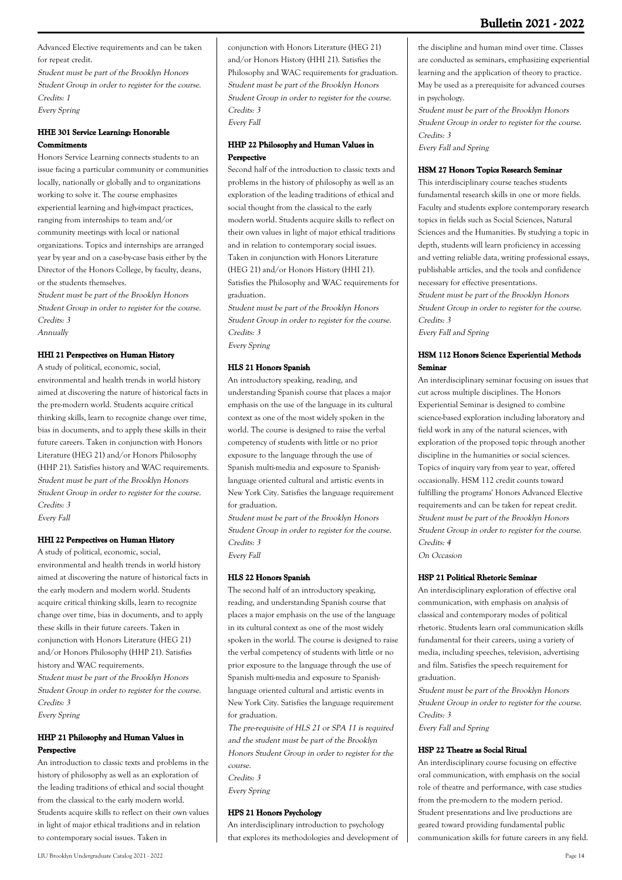Advanced Elective requirements and can be taken for repeat credit.

Student must be part of the Brooklyn Honors Student Group in order to register for the course. Credits: 1 Every Spring

### **HHE 301 Service Learning: Honorable Commitments**

Honors Service Learning connects students to an issue facing a particular community or communities locally, nationally or globally and to organizations working to solve it. The course emphasizes experiential learning and high-impact practices, ranging from internships to team and/or community meetings with local or national organizations. Topics and internships are arranged year by year and on a case-by-case basis either by the Director of the Honors College, by faculty, deans, or the students themselves.

Student must be part of the Brooklyn Honors Student Group in order to register for the course. Credits: 3

Annually

#### **HHI 21 Perspectives on Human History**

A study of political, economic, social, environmental and health trends in world history aimed at discovering the nature of historical facts in the pre-modern world. Students acquire critical thinking skills, learn to recognize change over time, bias in documents, and to apply these skills in their future careers. Taken in conjunction with Honors Literature (HEG 21) and/or Honors Philosophy (HHP 21). Satisfies history and WAC requirements. Student must be part of the Brooklyn Honors Student Group in order to register for the course. Credits: 3 Every Fall

### **HHI 22 Perspectives on Human History**

A study of political, economic, social, environmental and health trends in world history aimed at discovering the nature of historical facts in the early modern and modern world. Students acquire critical thinking skills, learn to recognize change over time, bias in documents, and to apply these skills in their future careers. Taken in conjunction with Honors Literature (HEG 21) and/or Honors Philosophy (HHP 21). Satisfies history and WAC requirements. Student must be part of the Brooklyn Honors Student Group in order to register for the course. Credits: 3 Every Spring

#### **HHP 21 Philosophy and Human Values in Perspective**

An introduction to classic texts and problems in the history of philosophy as well as an exploration of the leading traditions of ethical and social thought from the classical to the early modern world. Students acquire skills to reflect on their own values in light of major ethical traditions and in relation to contemporary social issues. Taken in

conjunction with Honors Literature (HEG 21) and/or Honors History (HHI 21). Satisfies the Philosophy and WAC requirements for graduation. Student must be part of the Brooklyn Honors Student Group in order to register for the course. Credits: 3 Every Fall

#### **HHP 22 Philosophy and Human Values in Perspective**

Second half of the introduction to classic texts and problems in the history of philosophy as well as an exploration of the leading traditions of ethical and social thought from the classical to the early modern world. Students acquire skills to reflect on their own values in light of major ethical traditions and in relation to contemporary social issues. Taken in conjunction with Honors Literature (HEG 21) and/or Honors History (HHI 21). Satisfies the Philosophy and WAC requirements for graduation.

Student must be part of the Brooklyn Honors Student Group in order to register for the course. Credits: 3 Every Spring

#### **HLS 21 Honors Spanish**

An introductory speaking, reading, and understanding Spanish course that places a major emphasis on the use of the language in its cultural context as one of the most widely spoken in the world. The course is designed to raise the verbal competency of students with little or no prior exposure to the language through the use of Spanish multi-media and exposure to Spanishlanguage oriented cultural and artistic events in New York City. Satisfies the language requirement for graduation.

Student must be part of the Brooklyn Honors Student Group in order to register for the course. Credits: 3 Every Fall

#### **HLS 22 Honors Spanish**

The second half of an introductory speaking, reading, and understanding Spanish course that places a major emphasis on the use of the language in its cultural context as one of the most widely spoken in the world. The course is designed to raise the verbal competency of students with little or no prior exposure to the language through the use of Spanish multi-media and exposure to Spanishlanguage oriented cultural and artistic events in New York City. Satisfies the language requirement for graduation.

The pre-requisite of HLS 21 or SPA 11 is required and the student must be part of the Brooklyn Honors Student Group in order to register for the course. Credits: 3 Every Spring

#### **HPS 21 Honors Psychology**

An interdisciplinary introduction to psychology that explores its methodologies and development of

LIU Brooklyn Undergraduate Catalog 2021 - 2022 Page 14

the discipline and human mind over time. Classes are conducted as seminars, emphasizing experiential learning and the application of theory to practice. May be used as a prerequisite for advanced courses in psychology.

Student must be part of the Brooklyn Honors Student Group in order to register for the course. Credits: 3 Every Fall and Spring

#### **HSM 27 Honors Topics Research Seminar**

This interdisciplinary course teaches students fundamental research skills in one or more fields. Faculty and students explore contemporary research topics in fields such as Social Sciences, Natural Sciences and the Humanities. By studying a topic in depth, students will learn proficiency in accessing and vetting reliable data, writing professional essays, publishable articles, and the tools and confidence necessary for effective presentations. Student must be part of the Brooklyn Honors Student Group in order to register for the course. Credits: 3 Every Fall and Spring

#### **HSM 112 Honors Science Experiential Methods Seminar**

An interdisciplinary seminar focusing on issues that cut across multiple disciplines. The Honors Experiential Seminar is designed to combine science-based exploration including laboratory and field work in any of the natural sciences, with exploration of the proposed topic through another discipline in the humanities or social sciences. Topics of inquiry vary from year to year, offered occasionally. HSM 112 credit counts toward fulfilling the programs' Honors Advanced Elective requirements and can be taken for repeat credit. Student must be part of the Brooklyn Honors Student Group in order to register for the course. Credits: 4

On Occasion

#### **HSP 21 Political Rhetoric Seminar**

An interdisciplinary exploration of effective oral communication, with emphasis on analysis of classical and contemporary modes of political rhetoric. Students learn oral communication skills fundamental for their careers, using a variety of media, including speeches, television, advertising and film. Satisfies the speech requirement for graduation.

Student must be part of the Brooklyn Honors Student Group in order to register for the course. Credits: 3 Every Fall and Spring

**HSP 22 Theatre as Social Ritual** An interdisciplinary course focusing on effective oral communication, with emphasis on the social role of theatre and performance, with case studies from the pre-modern to the modern period. Student presentations and live productions are geared toward providing fundamental public communication skills for future careers in any field.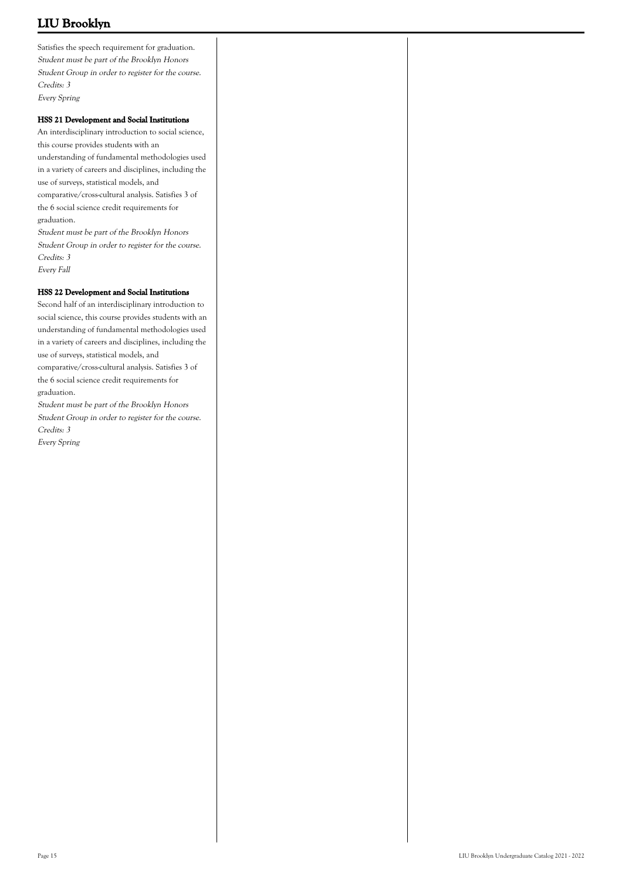Satisfies the speech requirement for graduation. Student must be part of the Brooklyn Honors Student Group in order to register for the course. Credits: 3 Every Spring

#### **HSS 21 Development and Social Institutions**

An interdisciplinary introduction to social science, this course provides students with an understanding of fundamental methodologies used in a variety of careers and disciplines, including the use of surveys, statistical models, and comparative/cross-cultural analysis. Satisfies 3 of the 6 social science credit requirements for graduation.

Student must be part of the Brooklyn Honors Student Group in order to register for the course. Credits: 3 Every Fall

#### **HSS 22 Development and Social Institutions**

Second half of an interdisciplinary introduction to social science, this course provides students with an understanding of fundamental methodologies used in a variety of careers and disciplines, including the use of surveys, statistical models, and comparative/cross-cultural analysis. Satisfies 3 of

the 6 social science credit requirements for graduation.

Student must be part of the Brooklyn Honors Student Group in order to register for the course. Credits: 3 Every Spring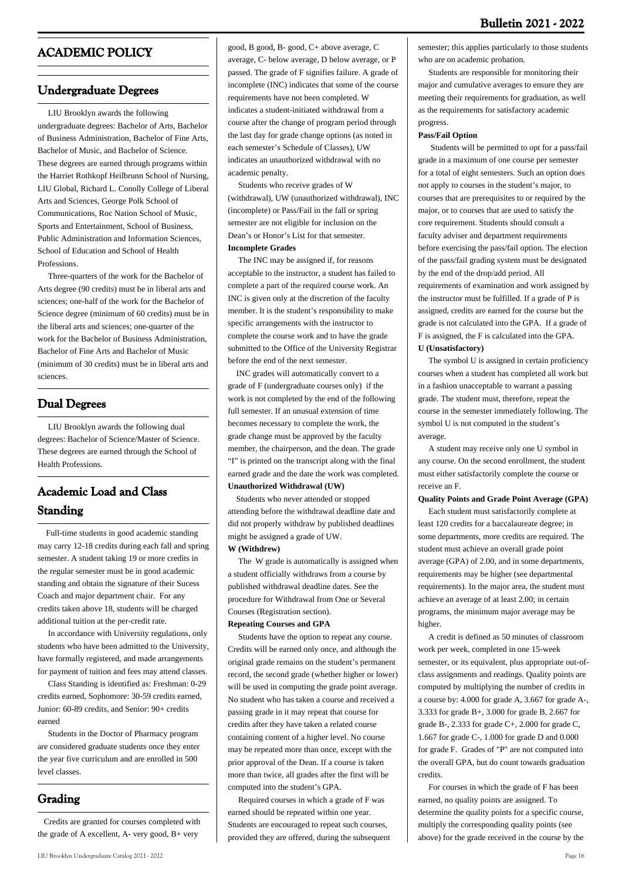### **ACADEMIC POLICY**

### **Undergraduate Degrees**

 LIU Brooklyn awards the following undergraduate degrees: Bachelor of Arts, Bachelor of Business Administration, Bachelor of Fine Arts, Bachelor of Music, and Bachelor of Science. These degrees are earned through programs within the Harriet Rothkopf Heilbrunn School of Nursing, LIU Global, Richard L. Conolly College of Liberal Arts and Sciences, George Polk School of Communications, Roc Nation School of Music, Sports and Entertainment, School of Business, Public Administration and Information Sciences, School of Education and School of Health **Professions** 

 Three-quarters of the work for the Bachelor of Arts degree (90 credits) must be in liberal arts and sciences; one-half of the work for the Bachelor of Science degree (minimum of 60 credits) must be in the liberal arts and sciences; one-quarter of the work for the Bachelor of Business Administration, Bachelor of Fine Arts and Bachelor of Music (minimum of 30 credits) must be in liberal arts and sciences.

### **Dual Degrees**

 LIU Brooklyn awards the following dual degrees: Bachelor of Science/Master of Science. These degrees are earned through the School of Health Professions.

### **Academic Load and Class Standing**

 Full-time students in good academic standing may carry 12-18 credits during each fall and spring semester. A student taking 19 or more credits in the regular semester must be in good academic standing and obtain the signature of their Sucess Coach and major department chair. For any credits taken above 18, students will be charged additional tuition at the per-credit rate.

 In accordance with University regulations, only students who have been admitted to the University, have formally registered, and made arrangements for payment of tuition and fees may attend classes.

 Class Standing is identified as: Freshman: 0-29 credits earned, Sophomore: 30-59 credits earned, Junior: 60-89 credits, and Senior: 90+ credits earned

 Students in the Doctor of Pharmacy program are considered graduate students once they enter the year five curriculum and are enrolled in 500 level classes.

### **Grading**

 Credits are granted for courses completed with the grade of A excellent, A- very good, B+ very

good, B good, B- good, C+ above average, C average, C- below average, D below average, or P passed. The grade of F signifies failure. A grade of incomplete (INC) indicates that some of the course requirements have not been completed. W indicates a student-initiated withdrawal from a course after the change of program period through the last day for grade change options (as noted in each semester's Schedule of Classes), UW indicates an unauthorized withdrawal with no academic penalty.

 Students who receive grades of W (withdrawal), UW (unauthorized withdrawal), INC (incomplete) or Pass/Fail in the fall or spring semester are not eligible for inclusion on the Dean's or Honor's List for that semester. **Incomplete Grades**

 The INC may be assigned if, for reasons acceptable to the instructor, a student has failed to complete a part of the required course work. An INC is given only at the discretion of the faculty member. It is the student's responsibility to make specific arrangements with the instructor to complete the course work and to have the grade submitted to the Office of the University Registrar before the end of the next semester.

 INC grades will automatically convert to a grade of F (undergraduate courses only) if the work is not completed by the end of the following full semester. If an unusual extension of time becomes necessary to complete the work, the grade change must be approved by the faculty member, the chairperson, and the dean. The grade "I" is printed on the transcript along with the final earned grade and the date the work was completed. **Unauthorized Withdrawal (UW)**

 Students who never attended or stopped attending before the withdrawal deadline date and did not properly withdraw by published deadlines might be assigned a grade of UW. **W (Withdrew)**

 The W grade is automatically is assigned when a student officially withdraws from a course by published withdrawal deadline dates. See the procedure for Withdrawal from One or Several Courses (Registration section).

#### **Repeating Courses and GPA**

 Students have the option to repeat any course. Credits will be earned only once, and although the original grade remains on the student's permanent record, the second grade (whether higher or lower) will be used in computing the grade point average. No student who has taken a course and received a passing grade in it may repeat that course for credits after they have taken a related course containing content of a higher level. No course may be repeated more than once, except with the prior approval of the Dean. If a course is taken more than twice, all grades after the first will be computed into the student's GPA.

 Required courses in which a grade of F was earned should be repeated within one year. Students are encouraged to repeat such courses, provided they are offered, during the subsequent

#### semester; this applies particularly to those students who are on academic probation.

 Students are responsible for monitoring their major and cumulative averages to ensure they are meeting their requirements for graduation, as well as the requirements for satisfactory academic progress.

#### **Pass/Fail Option**

 Students will be permitted to opt for a pass/fail grade in a maximum of one course per semester for a total of eight semesters. Such an option does not apply to courses in the student's major, to courses that are prerequisites to or required by the major, or to courses that are used to satisfy the core requirement. Students should consult a faculty adviser and department requirements before exercising the pass/fail option. The election of the pass/fail grading system must be designated by the end of the drop/add period. All requirements of examination and work assigned by the instructor must be fulfilled. If a grade of P is assigned, credits are earned for the course but the grade is not calculated into the GPA. If a grade of F is assigned, the F is calculated into the GPA. **U (Unsatisfactory)**

 The symbol U is assigned in certain proficiency courses when a student has completed all work but in a fashion unacceptable to warrant a passing grade. The student must, therefore, repeat the course in the semester immediately following. The symbol U is not computed in the student's average.

 A student may receive only one U symbol in any course. On the second enrollment, the student must either satisfactorily complete the course or receive an F.

#### **Quality Points and Grade Point Average (GPA)**

 Each student must satisfactorily complete at least 120 credits for a baccalaureate degree; in some departments, more credits are required. The student must achieve an overall grade point average (GPA) of 2.00, and in some departments, requirements may be higher (see departmental requirements). In the major area, the student must achieve an average of at least 2.00; in certain programs, the minimum major average may be higher.

 A credit is defined as 50 minutes of classroom work per week, completed in one 15-week semester, or its equivalent, plus appropriate out-ofclass assignments and readings. Quality points are computed by multiplying the number of credits in a course by: 4.000 for grade A, 3.667 for grade A-, 3.333 for grade B+, 3.000 for grade B, 2.667 for grade B-, 2.333 for grade C+, 2.000 for grade C, 1.667 for grade C-, 1.000 for grade D and 0.000 for grade F. Grades of "P" are not computed into the overall GPA, but do count towards graduation credits.

 For courses in which the grade of F has been earned, no quality points are assigned. To determine the quality points for a specific course, multiply the corresponding quality points (see above) for the grade received in the course by the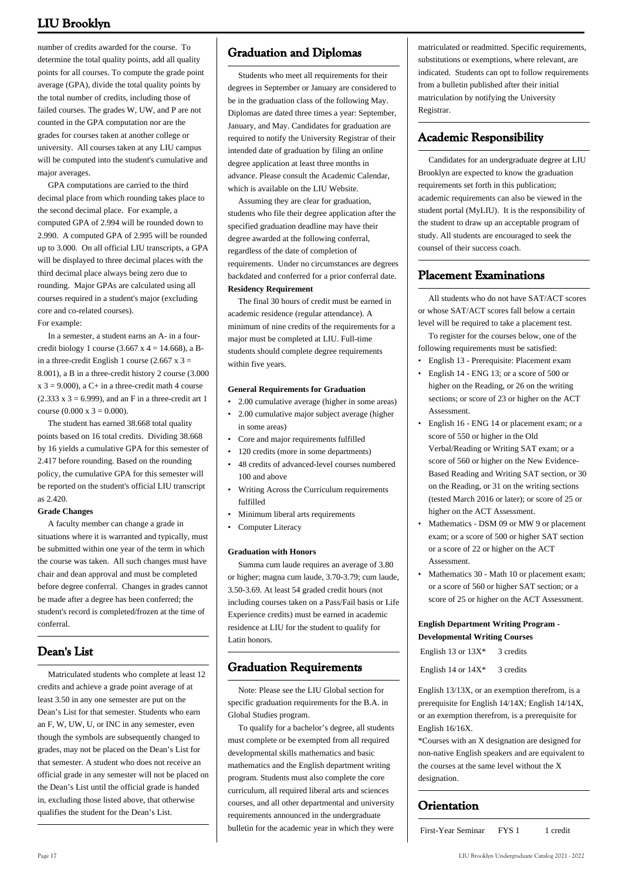number of credits awarded for the course. To determine the total quality points, add all quality points for all courses. To compute the grade point average (GPA), divide the total quality points by the total number of credits, including those of failed courses. The grades W, UW, and P are not counted in the GPA computation nor are the grades for courses taken at another college or university. All courses taken at any LIU campus will be computed into the student's cumulative and major averages.

 GPA computations are carried to the third decimal place from which rounding takes place to the second decimal place. For example, a computed GPA of 2.994 will be rounded down to 2.990. A computed GPA of 2.995 will be rounded up to 3.000. On all official LIU transcripts, a GPA will be displayed to three decimal places with the third decimal place always being zero due to rounding. Major GPAs are calculated using all courses required in a student's major (excluding core and co-related courses). For example:

 In a semester, a student earns an A- in a fourcredit biology 1 course  $(3.667 \times 4 = 14.668)$ , a Bin a three-credit English 1 course (2.667 x  $3 =$ 8.001), a B in a three-credit history 2 course (3.000  $x$  3 = 9.000), a C+ in a three-credit math 4 course  $(2.333 \times 3 = 6.999)$ , and an F in a three-credit art 1 course  $(0.000 \times 3 = 0.000)$ .

 The student has earned 38.668 total quality points based on 16 total credits. Dividing 38.668 by 16 yields a cumulative GPA for this semester of 2.417 before rounding. Based on the rounding policy, the cumulative GPA for this semester will be reported on the student's official LIU transcript as 2.420.

#### **Grade Changes**

 A faculty member can change a grade in situations where it is warranted and typically, must be submitted within one year of the term in which the course was taken. All such changes must have chair and dean approval and must be completed before degree conferral. Changes in grades cannot be made after a degree has been conferred; the student's record is completed/frozen at the time of conferral.

### **Dean's List**

 Matriculated students who complete at least 12 credits and achieve a grade point average of at least 3.50 in any one semester are put on the Dean's List for that semester. Students who earn an F, W, UW, U, or INC in any semester, even though the symbols are subsequently changed to grades, may not be placed on the Dean's List for that semester. A student who does not receive an official grade in any semester will not be placed on the Dean's List until the official grade is handed in, excluding those listed above, that otherwise qualifies the student for the Dean's List.

### **Graduation and Diplomas**

 Students who meet all requirements for their degrees in September or January are considered to be in the graduation class of the following May. Diplomas are dated three times a year: September, January, and May. Candidates for graduation are required to notify the University Registrar of their intended date of graduation by filing an online degree application at least three months in advance. Please consult the Academic Calendar, which is available on the LIU Website.

 Assuming they are clear for graduation, students who file their degree application after the specified graduation deadline may have their degree awarded at the following conferral, regardless of the date of completion of requirements. Under no circumstances are degrees backdated and conferred for a prior conferral date. **Residency Requirement**

 The final 30 hours of credit must be earned in academic residence (regular attendance). A minimum of nine credits of the requirements for a major must be completed at LIU. Full-time students should complete degree requirements within five years.

#### **General Requirements for Graduation**

- 2.00 cumulative average (higher in some areas)
- 2.00 cumulative major subject average (higher in some areas)
- Core and major requirements fulfilled
- 120 credits (more in some departments)
- 48 credits of advanced-level courses numbered 100 and above •
- Writing Across the Curriculum requirements fulfilled •
- Minimum liberal arts requirements
- Computer Literacy

#### **Graduation with Honors**

 Summa cum laude requires an average of 3.80 or higher; magna cum laude, 3.70-3.79; cum laude, 3.50-3.69. At least 54 graded credit hours (not including courses taken on a Pass/Fail basis or Life Experience credits) must be earned in academic residence at LIU for the student to qualify for Latin honors.

### **Graduation Requirements**

 Note: Please see the LIU Global section for specific graduation requirements for the B.A. in Global Studies program.

 To qualify for a bachelor's degree, all students must complete or be exempted from all required developmental skills mathematics and basic mathematics and the English department writing program. Students must also complete the core curriculum, all required liberal arts and sciences courses, and all other departmental and university requirements announced in the undergraduate bulletin for the academic year in which they were

matriculated or readmitted. Specific requirements, substitutions or exemptions, where relevant, are indicated. Students can opt to follow requirements from a bulletin published after their initial matriculation by notifying the University Registrar.

### **Academic Responsibility**

 Candidates for an undergraduate degree at LIU Brooklyn are expected to know the graduation requirements set forth in this publication; academic requirements can also be viewed in the student portal (MyLIU). It is the responsibility of the student to draw up an acceptable program of study. All students are encouraged to seek the counsel of their success coach.

### **Placement Examinations**

 All students who do not have SAT/ACT scores or whose SAT/ACT scores fall below a certain level will be required to take a placement test.

 To register for the courses below, one of the following requirements must be satisfied:

- English 13 Prerequisite: Placement exam
- English 14 ENG 13; or a score of 500 or higher on the Reading, or 26 on the writing sections; or score of 23 or higher on the ACT Assessment. •
- English 16 ENG 14 or placement exam; or a score of 550 or higher in the Old Verbal/Reading or Writing SAT exam; or a score of 560 or higher on the New Evidence-Based Reading and Writing SAT section, or 30 on the Reading, or 31 on the writing sections (tested March 2016 or later); or score of 25 or higher on the ACT Assessment. •
- Mathematics DSM 09 or MW 9 or placement exam; or a score of 500 or higher SAT section or a score of 22 or higher on the ACT **Assessment** •
- Mathematics 30 Math 10 or placement exam; or a score of 560 or higher SAT section; or a score of 25 or higher on the ACT Assessment. •

#### **English Department Writing Program - Developmental Writing Courses**

English 13 or  $13X^*$  3 credits

English 14 or  $14X^*$  3 credits

English 13/13X, or an exemption therefrom, is a prerequisite for English 14/14X; English 14/14X, or an exemption therefrom, is a prerequisite for English 16/16X.

\*Courses with an X designation are designed for non-native English speakers and are equivalent to the courses at the same level without the X designation.

### **Orientation**

First-Year Seminar FYS 1 1 credit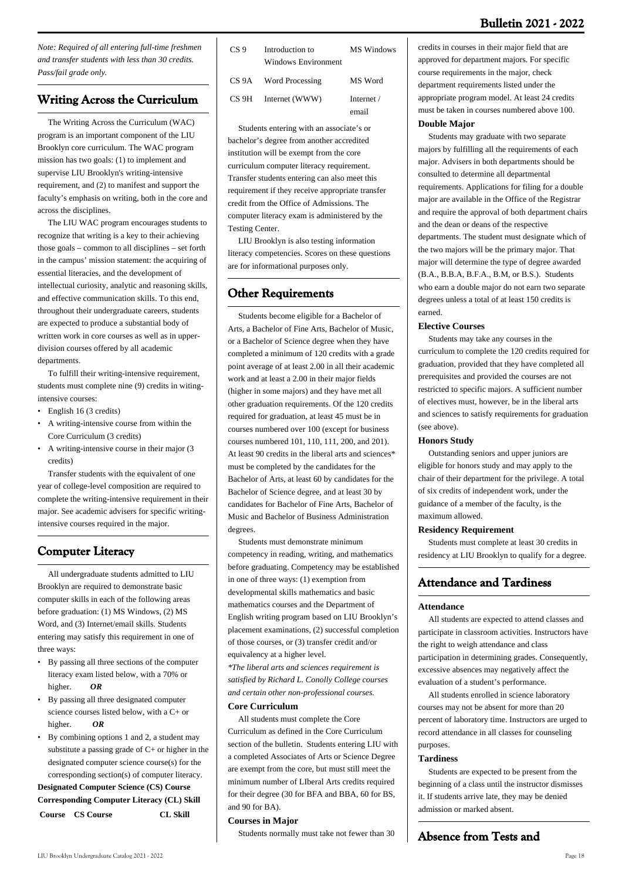*Note: Required of all entering full-time freshmen and transfer students with less than 30 credits. Pass/fail grade only.*

### **Writing Across the Curriculum**

 The Writing Across the Curriculum (WAC) program is an important component of the LIU Brooklyn core curriculum. The WAC program mission has two goals: (1) to implement and supervise LIU Brooklyn's writing-intensive requirement, and (2) to manifest and support the faculty's emphasis on writing, both in the core and across the disciplines.

 The LIU WAC program encourages students to recognize that writing is a key to their achieving those goals – common to all disciplines – set forth in the campus' mission statement: the acquiring of essential literacies, and the development of intellectual curiosity, analytic and reasoning skills, and effective communication skills. To this end, throughout their undergraduate careers, students are expected to produce a substantial body of written work in core courses as well as in upperdivision courses offered by all academic departments.

 To fulfill their writing-intensive requirement, students must complete nine (9) credits in witingintensive courses:

- English 16 (3 credits)
- A writing-intensive course from within the Core Curriculum (3 credits)
- A writing-intensive course in their major (3 credits)

 Transfer students with the equivalent of one year of college-level composition are required to complete the writing-intensive requirement in their major. See academic advisers for specific writingintensive courses required in the major.

### **Computer Literacy**

 All undergraduate students admitted to LIU Brooklyn are required to demonstrate basic computer skills in each of the following areas before graduation: (1) MS Windows, (2) MS Word, and (3) Internet/email skills. Students entering may satisfy this requirement in one of three ways:

- By passing all three sections of the computer literacy exam listed below, with a 70% or higher. *OR*
- By passing all three designated computer science courses listed below, with a C+ or higher. *OR*
- By combining options 1 and 2, a student may substitute a passing grade of  $C<sub>+</sub>$  or higher in the designated computer science course(s) for the corresponding section(s) of computer literacy.

**Designated Computer Science (CS) Course Corresponding Computer Literacy (CL) Skill Course CS Course CL Skill**

| CS 9  | Introduction to<br>Windows Environment | MS Windows          |
|-------|----------------------------------------|---------------------|
|       | CS 9A Word Processing                  | MS Word             |
| CS 9H | Internet (WWW)                         | Internet /<br>email |

 Students entering with an associate's or bachelor's degree from another accredited institution will be exempt from the core curriculum computer literacy requirement. Transfer students entering can also meet this requirement if they receive appropriate transfer credit from the Office of Admissions. The computer literacy exam is administered by the Testing Center.

 LIU Brooklyn is also testing information literacy competencies. Scores on these questions are for informational purposes only.

### **Other Requirements**

 Students become eligible for a Bachelor of Arts, a Bachelor of Fine Arts, Bachelor of Music, or a Bachelor of Science degree when they have completed a minimum of 120 credits with a grade point average of at least 2.00 in all their academic work and at least a 2.00 in their major fields (higher in some majors) and they have met all other graduation requirements. Of the 120 credits required for graduation, at least 45 must be in courses numbered over 100 (except for business courses numbered 101, 110, 111, 200, and 201). At least 90 credits in the liberal arts and sciences\* must be completed by the candidates for the Bachelor of Arts, at least 60 by candidates for the Bachelor of Science degree, and at least 30 by candidates for Bachelor of Fine Arts, Bachelor of Music and Bachelor of Business Administration degrees.

 Students must demonstrate minimum competency in reading, writing, and mathematics before graduating. Competency may be established in one of three ways: (1) exemption from developmental skills mathematics and basic mathematics courses and the Department of English writing program based on LIU Brooklyn's placement examinations, (2) successful completion of those courses, or (3) transfer credit and/or equivalency at a higher level.

*\*The liberal arts and sciences requirement is satisfied by Richard L. Conolly College courses and certain other non-professional courses.*

#### **Core Curriculum**

 All students must complete the Core Curriculum as defined in the Core Curriculum section of the bulletin. Students entering LIU with a completed Associates of Arts or Science Degree are exempt from the core, but must still meet the minimum number of LIberal Arts credits required for their degree (30 for BFA and BBA, 60 for BS, and 90 for BA).

#### **Courses in Major**

Students normally must take not fewer than 30

credits in courses in their major field that are approved for department majors. For specific course requirements in the major, check department requirements listed under the appropriate program model. At least 24 credits must be taken in courses numbered above 100.

### **Double Major**

 Students may graduate with two separate majors by fulfilling all the requirements of each major. Advisers in both departments should be consulted to determine all departmental requirements. Applications for filing for a double major are available in the Office of the Registrar and require the approval of both department chairs and the dean or deans of the respective departments. The student must designate which of the two majors will be the primary major. That major will determine the type of degree awarded (B.A., B.B.A, B.F.A., B.M, or B.S.). Students who earn a double major do not earn two separate degrees unless a total of at least 150 credits is earned.

#### **Elective Courses**

 Students may take any courses in the curriculum to complete the 120 credits required for graduation, provided that they have completed all prerequisites and provided the courses are not restricted to specific majors. A sufficient number of electives must, however, be in the liberal arts and sciences to satisfy requirements for graduation (see above).

#### **Honors Study**

 Outstanding seniors and upper juniors are eligible for honors study and may apply to the chair of their department for the privilege. A total of six credits of independent work, under the guidance of a member of the faculty, is the maximum allowed.

#### **Residency Requirement**

 Students must complete at least 30 credits in residency at LIU Brooklyn to qualify for a degree.

### **Attendance and Tardiness**

#### **Attendance**

 All students are expected to attend classes and participate in classroom activities. Instructors have the right to weigh attendance and class participation in determining grades. Consequently, excessive absences may negatively affect the evaluation of a student's performance.

 All students enrolled in science laboratory courses may not be absent for more than 20 percent of laboratory time. Instructors are urged to record attendance in all classes for counseling purposes.

#### **Tardiness**

 Students are expected to be present from the beginning of a class until the instructor dismisses it. If students arrive late, they may be denied admission or marked absent.

### **Absence from Tests and**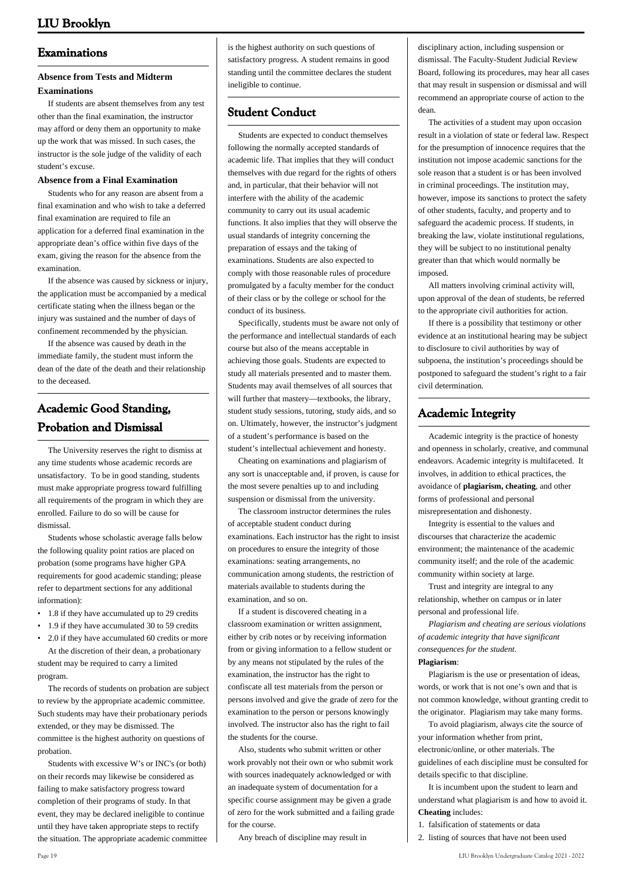### **Examinations**

#### **Absence from Tests and Midterm Examinations**

 If students are absent themselves from any test other than the final examination, the instructor may afford or deny them an opportunity to make up the work that was missed. In such cases, the instructor is the sole judge of the validity of each student's excuse.

#### **Absence from a Final Examination**

 Students who for any reason are absent from a final examination and who wish to take a deferred final examination are required to file an application for a deferred final examination in the appropriate dean's office within five days of the exam, giving the reason for the absence from the examination.

 If the absence was caused by sickness or injury, the application must be accompanied by a medical certificate stating when the illness began or the injury was sustained and the number of days of confinement recommended by the physician.

 If the absence was caused by death in the immediate family, the student must inform the dean of the date of the death and their relationship to the deceased.

### **Academic Good Standing, Probation and Dismissal**

 The University reserves the right to dismiss at any time students whose academic records are unsatisfactory. To be in good standing, students must make appropriate progress toward fulfilling all requirements of the program in which they are enrolled. Failure to do so will be cause for dismissal.

 Students whose scholastic average falls below the following quality point ratios are placed on probation (some programs have higher GPA requirements for good academic standing; please refer to department sections for any additional information):

- 1.8 if they have accumulated up to 29 credits
- 1.9 if they have accumulated 30 to 59 credits
- 2.0 if they have accumulated 60 credits or more At the discretion of their dean, a probationary student may be required to carry a limited program.

 The records of students on probation are subject to review by the appropriate academic committee. Such students may have their probationary periods extended, or they may be dismissed. The committee is the highest authority on questions of probation.

 Students with excessive W's or INC's (or both) on their records may likewise be considered as failing to make satisfactory progress toward completion of their programs of study. In that event, they may be declared ineligible to continue until they have taken appropriate steps to rectify the situation. The appropriate academic committee is the highest authority on such questions of satisfactory progress. A student remains in good standing until the committee declares the student ineligible to continue.

### **Student Conduct**

 Students are expected to conduct themselves following the normally accepted standards of academic life. That implies that they will conduct themselves with due regard for the rights of others and, in particular, that their behavior will not interfere with the ability of the academic community to carry out its usual academic functions. It also implies that they will observe the usual standards of integrity concerning the preparation of essays and the taking of examinations. Students are also expected to comply with those reasonable rules of procedure promulgated by a faculty member for the conduct of their class or by the college or school for the conduct of its business.

 Specifically, students must be aware not only of the performance and intellectual standards of each course but also of the means acceptable in achieving those goals. Students are expected to study all materials presented and to master them. Students may avail themselves of all sources that will further that mastery—textbooks, the library, student study sessions, tutoring, study aids, and so on. Ultimately, however, the instructor's judgment of a student's performance is based on the student's intellectual achievement and honesty.

 Cheating on examinations and plagiarism of any sort is unacceptable and, if proven, is cause for the most severe penalties up to and including suspension or dismissal from the university.

 The classroom instructor determines the rules of acceptable student conduct during examinations. Each instructor has the right to insist on procedures to ensure the integrity of those examinations: seating arrangements, no communication among students, the restriction of materials available to students during the examination, and so on.

 If a student is discovered cheating in a classroom examination or written assignment, either by crib notes or by receiving information from or giving information to a fellow student or by any means not stipulated by the rules of the examination, the instructor has the right to confiscate all test materials from the person or persons involved and give the grade of zero for the examination to the person or persons knowingly involved. The instructor also has the right to fail the students for the course.

 Also, students who submit written or other work provably not their own or who submit work with sources inadequately acknowledged or with an inadequate system of documentation for a specific course assignment may be given a grade of zero for the work submitted and a failing grade for the course.

Any breach of discipline may result in

disciplinary action, including suspension or dismissal. The Faculty-Student Judicial Review Board, following its procedures, may hear all cases that may result in suspension or dismissal and will recommend an appropriate course of action to the dean.

 The activities of a student may upon occasion result in a violation of state or federal law. Respect for the presumption of innocence requires that the institution not impose academic sanctions for the sole reason that a student is or has been involved in criminal proceedings. The institution may, however, impose its sanctions to protect the safety of other students, faculty, and property and to safeguard the academic process. If students, in breaking the law, violate institutional regulations, they will be subject to no institutional penalty greater than that which would normally be imposed.

 All matters involving criminal activity will, upon approval of the dean of students, be referred to the appropriate civil authorities for action.

 If there is a possibility that testimony or other evidence at an institutional hearing may be subject to disclosure to civil authorities by way of subpoena, the institution's proceedings should be postponed to safeguard the student's right to a fair civil determination.

### **Academic Integrity**

 Academic integrity is the practice of honesty and openness in scholarly, creative, and communal endeavors. Academic integrity is multifaceted. It involves, in addition to ethical practices, the avoidance of **plagiarism, cheating**, and other forms of professional and personal misrepresentation and dishonesty.

 Integrity is essential to the values and discourses that characterize the academic environment; the maintenance of the academic community itself; and the role of the academic community within society at large.

 Trust and integrity are integral to any relationship, whether on campus or in later personal and professional life.

 *Plagiarism and cheating are serious violations of academic integrity that have significant consequences for the student*.

#### **Plagiarism**:

 Plagiarism is the use or presentation of ideas, words, or work that is not one's own and that is not common knowledge, without granting credit to the originator. Plagiarism may take many forms.

 To avoid plagiarism, always cite the source of your information whether from print, electronic/online, or other materials. The guidelines of each discipline must be consulted for details specific to that discipline.

 It is incumbent upon the student to learn and understand what plagiarism is and how to avoid it. **Cheating** includes:

1. falsification of statements or data

2. listing of sources that have not been used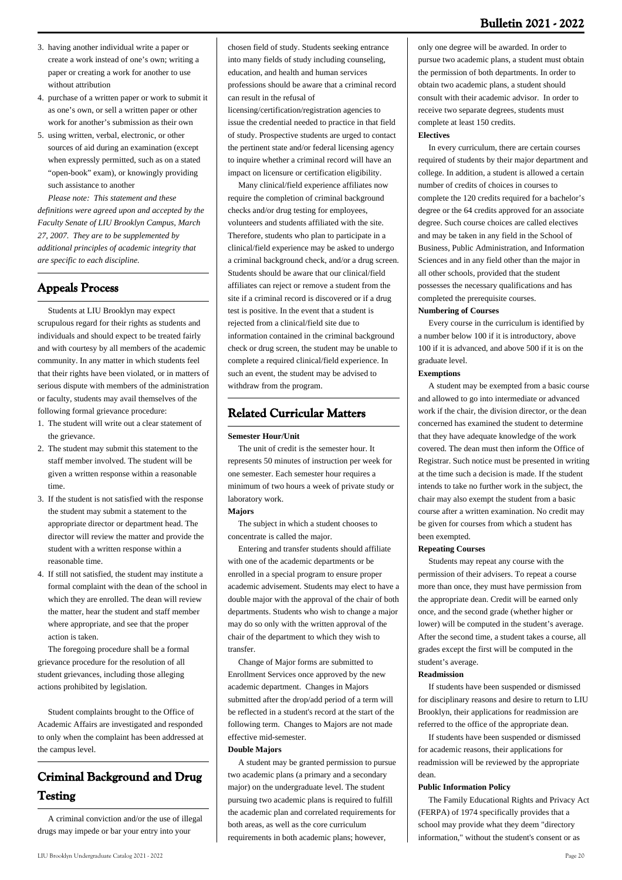### **Bulletin 2021 - 2022**

- 3. having another individual write a paper or create a work instead of one's own; writing a paper or creating a work for another to use without attribution
- 4. purchase of a written paper or work to submit it as one's own, or sell a written paper or other work for another's submission as their own
- 5. using written, verbal, electronic, or other sources of aid during an examination (except when expressly permitted, such as on a stated "open-book" exam), or knowingly providing such assistance to another

 *Please note: This statement and these definitions were agreed upon and accepted by the Faculty Senate of LIU Brooklyn Campus, March 27, 2007. They are to be supplemented by additional principles of academic integrity that are specific to each discipline.*

### **Appeals Process**

 Students at LIU Brooklyn may expect scrupulous regard for their rights as students and individuals and should expect to be treated fairly and with courtesy by all members of the academic community. In any matter in which students feel that their rights have been violated, or in matters of serious dispute with members of the administration or faculty, students may avail themselves of the following formal grievance procedure:

- 1. The student will write out a clear statement of the grievance.
- 2. The student may submit this statement to the staff member involved. The student will be given a written response within a reasonable time.
- 3. If the student is not satisfied with the response the student may submit a statement to the appropriate director or department head. The director will review the matter and provide the student with a written response within a reasonable time.
- 4. If still not satisfied, the student may institute a formal complaint with the dean of the school in which they are enrolled. The dean will review the matter, hear the student and staff member where appropriate, and see that the proper action is taken.

 The foregoing procedure shall be a formal grievance procedure for the resolution of all student grievances, including those alleging actions prohibited by legislation.

 Student complaints brought to the Office of Academic Affairs are investigated and responded to only when the complaint has been addressed at the campus level.

### **Criminal Background and Drug Testing**

 A criminal conviction and/or the use of illegal drugs may impede or bar your entry into your

chosen field of study. Students seeking entrance into many fields of study including counseling, education, and health and human services professions should be aware that a criminal record can result in the refusal of

licensing/certification/registration agencies to issue the credential needed to practice in that field of study. Prospective students are urged to contact the pertinent state and/or federal licensing agency to inquire whether a criminal record will have an impact on licensure or certification eligibility.

 Many clinical/field experience affiliates now require the completion of criminal background checks and/or drug testing for employees, volunteers and students affiliated with the site. Therefore, students who plan to participate in a clinical/field experience may be asked to undergo a criminal background check, and/or a drug screen. Students should be aware that our clinical/field affiliates can reject or remove a student from the site if a criminal record is discovered or if a drug test is positive. In the event that a student is rejected from a clinical/field site due to information contained in the criminal background check or drug screen, the student may be unable to complete a required clinical/field experience. In such an event, the student may be advised to withdraw from the program.

### **Related Curricular Matters**

#### **Semester Hour/Unit**

 The unit of credit is the semester hour. It represents 50 minutes of instruction per week for one semester. Each semester hour requires a minimum of two hours a week of private study or laboratory work.

#### **Majors**

 The subject in which a student chooses to concentrate is called the major.

 Entering and transfer students should affiliate with one of the academic departments or be enrolled in a special program to ensure proper academic advisement. Students may elect to have a double major with the approval of the chair of both departments. Students who wish to change a major may do so only with the written approval of the chair of the department to which they wish to transfer.

 Change of Major forms are submitted to Enrollment Services once approved by the new academic department. Changes in Majors submitted after the drop/add period of a term will be reflected in a student's record at the start of the following term. Changes to Majors are not made effective mid-semester. **Double Majors**

#### A student may be granted permission to pursue two academic plans (a primary and a secondary major) on the undergraduate level. The student pursuing two academic plans is required to fulfill the academic plan and correlated requirements for both areas, as well as the core curriculum requirements in both academic plans; however,

only one degree will be awarded. In order to pursue two academic plans, a student must obtain the permission of both departments. In order to obtain two academic plans, a student should consult with their academic advisor. In order to receive two separate degrees, students must complete at least 150 credits.

#### **Electives**

 In every curriculum, there are certain courses required of students by their major department and college. In addition, a student is allowed a certain number of credits of choices in courses to complete the 120 credits required for a bachelor's degree or the 64 credits approved for an associate degree. Such course choices are called electives and may be taken in any field in the School of Business, Public Administration, and Information Sciences and in any field other than the major in all other schools, provided that the student possesses the necessary qualifications and has completed the prerequisite courses.

#### **Numbering of Courses**

 Every course in the curriculum is identified by a number below 100 if it is introductory, above 100 if it is advanced, and above 500 if it is on the graduate level.

#### **Exemptions**

 A student may be exempted from a basic course and allowed to go into intermediate or advanced work if the chair, the division director, or the dean concerned has examined the student to determine that they have adequate knowledge of the work covered. The dean must then inform the Office of Registrar. Such notice must be presented in writing at the time such a decision is made. If the student intends to take no further work in the subject, the chair may also exempt the student from a basic course after a written examination. No credit may be given for courses from which a student has been exempted.

#### **Repeating Courses**

 Students may repeat any course with the permission of their advisers. To repeat a course more than once, they must have permission from the appropriate dean. Credit will be earned only once, and the second grade (whether higher or lower) will be computed in the student's average. After the second time, a student takes a course, all grades except the first will be computed in the student's average.

#### **Readmission**

 If students have been suspended or dismissed for disciplinary reasons and desire to return to LIU Brooklyn, their applications for readmission are referred to the office of the appropriate dean.

 If students have been suspended or dismissed for academic reasons, their applications for readmission will be reviewed by the appropriate dean.

#### **Public Information Policy**

 The Family Educational Rights and Privacy Act (FERPA) of 1974 specifically provides that a school may provide what they deem "directory information," without the student's consent or as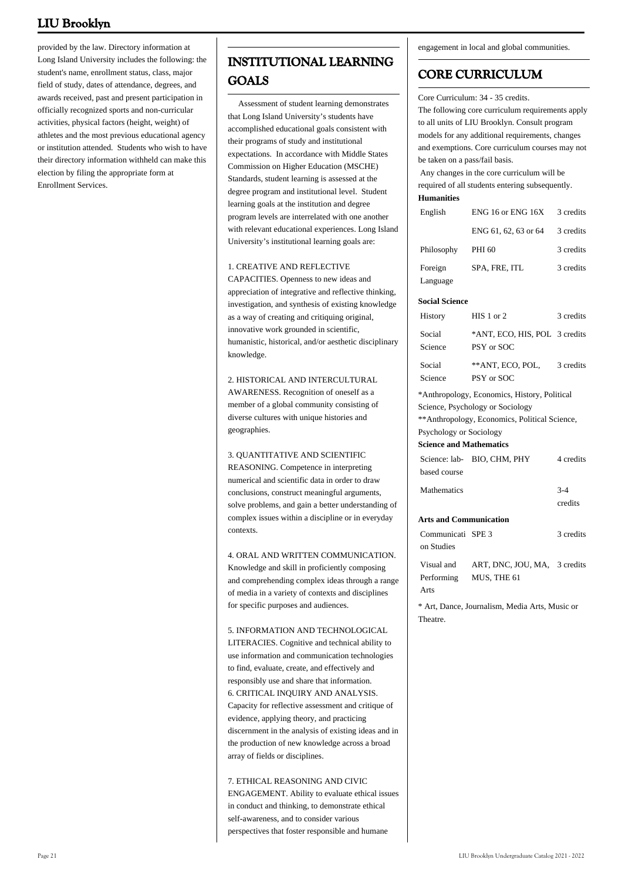provided by the law. Directory information at Long Island University includes the following: the student's name, enrollment status, class, major field of study, dates of attendance, degrees, and awards received, past and present participation in officially recognized sports and non-curricular activities, physical factors (height, weight) of athletes and the most previous educational agency or institution attended. Students who wish to have their directory information withheld can make this election by filing the appropriate form at Enrollment Services.

### **INSTITUTIONAL LEARNING GOALS**

Assessment of student learning demonstrates that Long Island University's students have accomplished educational goals consistent with their programs of study and institutional expectations. In accordance with Middle States Commission on Higher Education (MSCHE) Standards, student learning is assessed at the degree program and institutional level. Student learning goals at the institution and degree program levels are interrelated with one another with relevant educational experiences. Long Island University's institutional learning goals are:

#### 1. CREATIVE AND REFLECTIVE

CAPACITIES. Openness to new ideas and appreciation of integrative and reflective thinking, investigation, and synthesis of existing knowledge as a way of creating and critiquing original, innovative work grounded in scientific, humanistic, historical, and/or aesthetic disciplinary knowledge.

2. HISTORICAL AND INTERCULTURAL AWARENESS. Recognition of oneself as a member of a global community consisting of diverse cultures with unique histories and geographies.

#### 3. QUANTITATIVE AND SCIENTIFIC

REASONING. Competence in interpreting numerical and scientific data in order to draw conclusions, construct meaningful arguments, solve problems, and gain a better understanding of complex issues within a discipline or in everyday contexts.

#### 4. ORAL AND WRITTEN COMMUNICATION.

Knowledge and skill in proficiently composing and comprehending complex ideas through a range of media in a variety of contexts and disciplines for specific purposes and audiences.

#### 5. INFORMATION AND TECHNOLOGICAL

LITERACIES. Cognitive and technical ability to use information and communication technologies to find, evaluate, create, and effectively and responsibly use and share that information. 6. CRITICAL INQUIRY AND ANALYSIS. Capacity for reflective assessment and critique of evidence, applying theory, and practicing discernment in the analysis of existing ideas and in the production of new knowledge across a broad array of fields or disciplines.

#### 7. ETHICAL REASONING AND CIVIC ENGAGEMENT. Ability to evaluate ethical issues in conduct and thinking, to demonstrate ethical self-awareness, and to consider various perspectives that foster responsible and humane

engagement in local and global communities.

### **CORE CURRICULUM**

Core Curriculum: 34 - 35 credits. The following core curriculum requirements apply to all units of LIU Brooklyn. Consult program models for any additional requirements, changes and exemptions. Core curriculum courses may not

be taken on a pass/fail basis. Any changes in the core curriculum will be required of all students entering subsequently.

#### **Humanities**

| English    | ENG 16 or ENG 16X    | 3 credits |
|------------|----------------------|-----------|
|            | ENG 61, 62, 63 or 64 | 3 credits |
| Philosophy | PHI 60               | 3 credits |
| Foreign    | SPA, FRE, ITL        | 3 credits |
| Language   |                      |           |

#### **Social Science**

| History           | $HIS 1$ or 2                                | 3 credits |
|-------------------|---------------------------------------------|-----------|
| Social<br>Science | *ANT, ECO, HIS, POL 3 credits<br>PSY or SOC |           |
| Social<br>Science | ** ANT. ECO. POL.<br>PSY or SOC             | 3 credits |

\*Anthropology, Economics, History, Political Science, Psychology or Sociology \*\*Anthropology, Economics, Political Science,

Psychology or Sociology

#### **Science and Mathematics**

|                    | Science: lab- BIO, CHM, PHY | 4 credits |
|--------------------|-----------------------------|-----------|
| based course       |                             |           |
| <b>Mathematics</b> |                             | $3-4$     |
|                    |                             | credits   |

#### **Arts and Communication**

| Communicati SPE 3 |                                         | 3 credits |
|-------------------|-----------------------------------------|-----------|
| on Studies        |                                         |           |
|                   | Visual and ART, DNC, JOU, MA, 3 credits |           |
|                   | Performing MUS, THE 61                  |           |
| Arts              |                                         |           |
|                   |                                         |           |

\* Art, Dance, Journalism, Media Arts, Music or Theatre.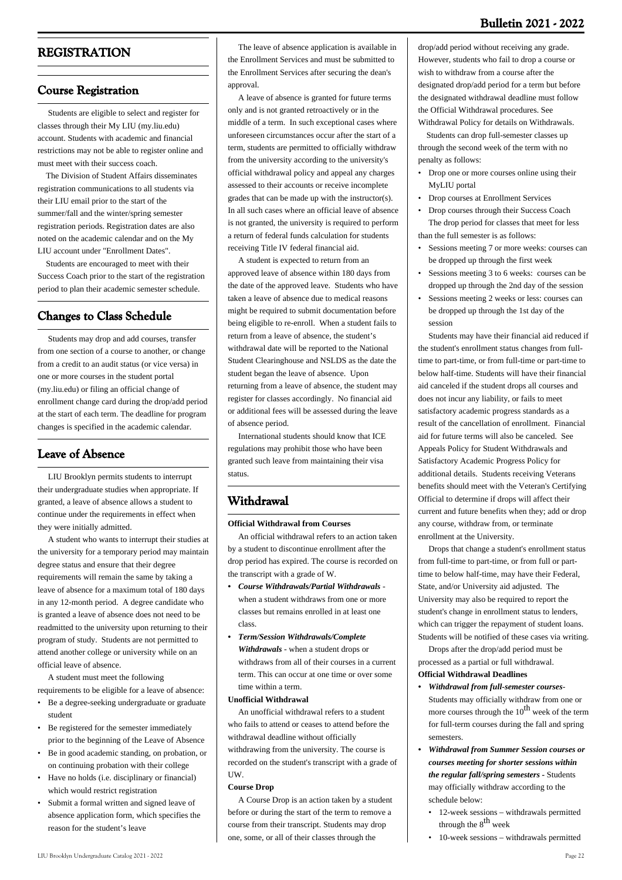### **REGISTRATION**

#### **Course Registration**

 Students are eligible to select and register for classes through their My LIU ([my.liu.edu](https://my.liu.edu/psp/MYPRD/?cmd=login)) account. Students with academic and financial restrictions may not be able to register online and must meet with their success coach.

 The Division of Student Affairs disseminates registration communications to all students via their LIU email prior to the start of the summer/fall and the winter/spring semester registration periods. Registration dates are also noted on the academic calendar and on the My LIU account under "Enrollment Dates".

 Students are encouraged to meet with their Success Coach prior to the start of the registration period to plan their academic semester schedule.

### **Changes to Class Schedule**

 Students may drop and add courses, transfer from one section of a course to another, or change from a credit to an audit status (or vice versa) in one or more courses in the student portal ([my.liu.edu\)](http://my.liu.edu/) or filing an official change of enrollment change card during the drop/add period at the start of each term. The deadline for program changes is specified in the academic calendar.

### **Leave of Absence**

 LIU Brooklyn permits students to interrupt their undergraduate studies when appropriate. If granted, a leave of absence allows a student to continue under the requirements in effect when they were initially admitted.

 A student who wants to interrupt their studies at the university for a temporary period may maintain degree status and ensure that their degree requirements will remain the same by taking a leave of absence for a maximum total of 180 days in any 12-month period. A degree candidate who is granted a leave of absence does not need to be readmitted to the university upon returning to their program of study. Students are not permitted to attend another college or university while on an official leave of absence.

 A student must meet the following requirements to be eligible for a leave of absence:

- Be a degree-seeking undergraduate or graduate student
- Be registered for the semester immediately prior to the beginning of the Leave of Absence
- Be in good academic standing, on probation, or on continuing probation with their college
- Have no holds (i.e. disciplinary or financial) which would restrict registration
- Submit a formal written and signed leave of absence application form, which specifies the reason for the student's leave

 The leave of absence application is available in the Enrollment Services and must be submitted to the Enrollment Services after securing the dean's approval.

 A leave of absence is granted for future terms only and is not granted retroactively or in the middle of a term. In such exceptional cases where unforeseen circumstances occur after the start of a term, students are permitted to officially withdraw from the university according to the university's official withdrawal policy and appeal any charges assessed to their accounts or receive incomplete grades that can be made up with the instructor(s). In all such cases where an official leave of absence is not granted, the university is required to perform a return of federal funds calculation for students receiving Title IV federal financial aid.

 A student is expected to return from an approved leave of absence within 180 days from the date of the approved leave. Students who have taken a leave of absence due to medical reasons might be required to submit documentation before being eligible to re-enroll. When a student fails to return from a leave of absence, the student's withdrawal date will be reported to the National Student Clearinghouse and NSLDS as the date the student began the leave of absence. Upon returning from a leave of absence, the student may register for classes accordingly. No financial aid or additional fees will be assessed during the leave of absence period.

 International students should know that ICE regulations may prohibit those who have been granted such leave from maintaining their visa status.

### **Withdrawal**

#### **Official Withdrawal from Courses**

 An official withdrawal refers to an action taken by a student to discontinue enrollment after the drop period has expired. The course is recorded on the transcript with a grade of W.

- *Course Withdrawals/Partial Withdrawals*  when a student withdraws from one or more classes but remains enrolled in at least one class. *•*
- *Term/Session Withdrawals/Complete • Withdrawals* - when a student drops or withdraws from all of their courses in a current term. This can occur at one time or over some time within a term.

#### **Unofficial Withdrawal**

 An unofficial withdrawal refers to a student who fails to attend or ceases to attend before the withdrawal deadline without officially withdrawing from the university. The course is recorded on the student's transcript with a grade of UW.

#### **Course Drop**

 A Course Drop is an action taken by a student before or during the start of the term to remove a course from their transcript. Students may drop one, some, or all of their classes through the

drop/add period without receiving any grade. However, students who fail to drop a course or wish to withdraw from a course after the designated drop/add period for a term but before the designated withdrawal deadline must follow the Official Withdrawal procedures. See Withdrawal Policy for details on Withdrawals.

 Students can drop full-semester classes up through the second week of the term with no penalty as follows:

- Drop one or more courses online using their MyLIU portal
- Drop courses at Enrollment Services
- Drop courses through their Success Coach The drop period for classes that meet for less than the full semester is as follows:
- Sessions meeting 7 or more weeks: courses can be dropped up through the first week •
- Sessions meeting 3 to 6 weeks: courses can be dropped up through the 2nd day of the session
- Sessions meeting 2 weeks or less: courses can be dropped up through the 1st day of the session •

 Students may have their financial aid reduced if the student's enrollment status changes from fulltime to part-time, or from full-time or part-time to below half-time. Students will have their financial aid canceled if the student drops all courses and does not incur any liability, or fails to meet satisfactory academic progress standards as a result of the cancellation of enrollment. Financial aid for future terms will also be canceled. See Appeals Policy for Student Withdrawals and Satisfactory Academic Progress Policy for additional details. Students receiving Veterans benefits should meet with the Veteran's Certifying Official to determine if drops will affect their current and future benefits when they; add or drop any course, withdraw from, or terminate enrollment at the University.

 Drops that change a student's enrollment status from full-time to part-time, or from full or parttime to below half-time, may have their Federal, State, and/or University aid adjusted. The University may also be required to report the student's change in enrollment status to lenders, which can trigger the repayment of student loans. Students will be notified of these cases via writing.

 Drops after the drop/add period must be processed as a partial or full withdrawal. **Official Withdrawal Deadlines**

- *Withdrawal from full-semester courses-*Students may officially withdraw from one or more courses through the  $10^{th}$  week of the term for full-term courses during the fall and spring semesters. *•*
- *Withdrawal from Summer Session courses or courses meeting for shorter sessions within the regular fall/spring semesters -* Students may officially withdraw according to the schedule below: *•*
	- 12-week sessions withdrawals permitted through the  $8<sup>th</sup>$  week
	- 10-week sessions withdrawals permitted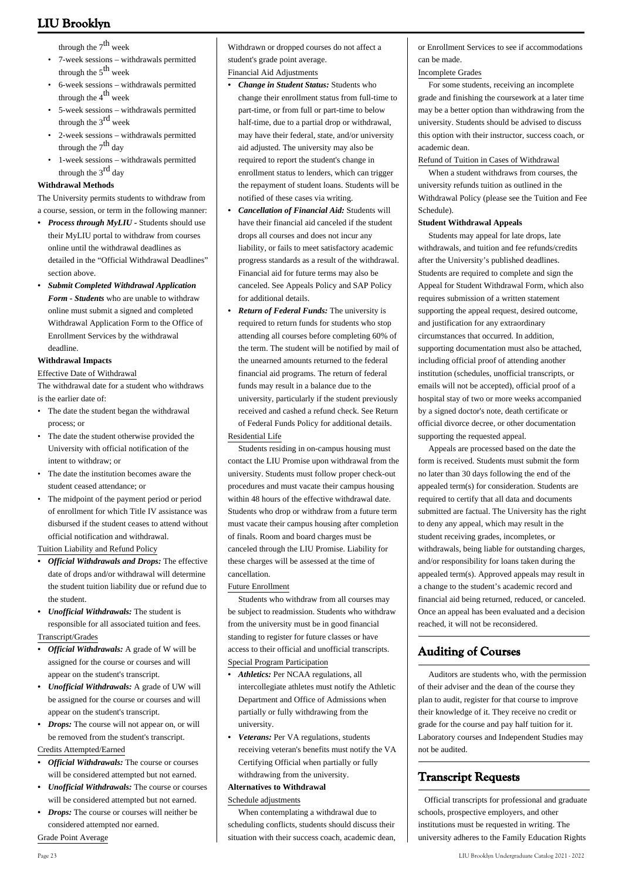through the  $7<sup>th</sup>$  week

- 7-week sessions withdrawals permitted through the  $5<sup>th</sup>$  week •
- 6-week sessions withdrawals permitted through the  $4<sup>th</sup>$  week •
- 5-week sessions withdrawals permitted through the 3<sup>rd</sup> week •
- 2-week sessions withdrawals permitted through the  $7<sup>th</sup>$  day •
- 1-week sessions withdrawals permitted through the  $3<sup>rd</sup>$  day •

#### **Withdrawal Methods**

The University permits students to withdraw from a course, session, or term in the following manner:

- *Process through MyLIU* Students should use their MyLIU portal to withdraw from courses online until the withdrawal deadlines as detailed in the "Official Withdrawal Deadlines" section above. *•*
- *Submit Completed Withdrawal Application • Form - Students* who are unable to withdraw online must submit a signed and completed Withdrawal Application Form to the Office of Enrollment Services by the withdrawal deadline.

#### **Withdrawal Impacts**

#### Effective Date of Withdrawal

The withdrawal date for a student who withdraws is the earlier date of:

- The date the student began the withdrawal process; or •
- The date the student otherwise provided the University with official notification of the intent to withdraw; or •
- The date the institution becomes aware the student ceased attendance; or
- The midpoint of the payment period or period of enrollment for which Title IV assistance was disbursed if the student ceases to attend without official notification and withdrawal. •

Tuition Liability and Refund Policy

- *Official Withdrawals and Drops:* The effective date of drops and/or withdrawal will determine the student tuition liability due or refund due to the student. *•*
- *Unofficial Withdrawals:* The student is *•* responsible for all associated tuition and fees. Transcript/Grades
- *Official Withdrawals:* A grade of W will be *•* assigned for the course or courses and will appear on the student's transcript.
- *Unofficial Withdrawals:* A grade of UW will be assigned for the course or courses and will appear on the student's transcript. *•*
- *Drops:* The course will not appear on, or will be removed from the student's transcript.

#### Credits Attempted/Earned

- *Official Withdrawals:* The course or courses will be considered attempted but not earned. *•*
- Unofficial Withdrawals: The course or courses will be considered attempted but not earned.
- *Drops:* The course or courses will neither be considered attempted nor earned.

Grade Point Average

Withdrawn or dropped courses do not affect a student's grade point average.

#### Financial Aid Adjustments

- *Change in Student Status:* Students who change their enrollment status from full-time to part-time, or from full or part-time to below half-time, due to a partial drop or withdrawal, may have their federal, state, and/or university aid adjusted. The university may also be required to report the student's change in enrollment status to lenders, which can trigger the repayment of student loans. Students will be notified of these cases via writing. *•*
- *Cancellation of Financial Aid:* Students will have their financial aid canceled if the student drops all courses and does not incur any liability, or fails to meet satisfactory academic progress standards as a result of the withdrawal. Financial aid for future terms may also be canceled. See [Appeals Policy](https://webapps3.liu.edu/SFS/Policies/Appeal-Policy) and [SAP Policy](https://webapps3.liu.edu/SFS/Policies/Satis-Acad-Pol) for additional details. *•*
- *Return of Federal Funds:* The university is required to return funds for students who stop attending all courses before completing 60% of the term. The student will be notified by mail of the unearned amounts returned to the federal financial aid programs. The return of federal funds may result in a balance due to the university, particularly if the student previously received and cashed a refund check. See [Return](https://webapps3.liu.edu/SFS/Policies/Return-Title-Funds) [of Federal Funds Policy](https://webapps3.liu.edu/SFS/Policies/Return-Title-Funds) for additional details. *•* Residential Life

 Students residing in on-campus housing must contact the LIU Promise upon withdrawal from the university. Students must follow proper check-out procedures and must vacate their campus housing within 48 hours of the effective withdrawal date. Students who drop or withdraw from a future term must vacate their campus housing after completion of finals. Room and board charges must be canceled through the LIU Promise. Liability for these charges will be assessed at the time of cancellation.

#### Future Enrollment

 Students who withdraw from all courses may be subject to readmission. Students who withdraw from the university must be in good financial standing to register for future classes or have access to their official and unofficial transcripts. Special Program Participation

- *Athletics:* Per NCAA regulations, all intercollegiate athletes must notify the Athletic Department and Office of Admissions when partially or fully withdrawing from the university. *•*
- *Veterans:* Per VA regulations, students *•* receiving veteran's benefits must notify the VA Certifying Official when partially or fully withdrawing from the university.

#### **Alternatives to Withdrawal**

Schedule adjustments

 When contemplating a withdrawal due to scheduling conflicts, students should discuss their situation with their success coach, academic dean or Enrollment Services to see if accommodations can be made.

#### Incomplete Grades

 For some students, receiving an incomplete grade and finishing the coursework at a later time may be a better option than withdrawing from the university. Students should be advised to discuss this option with their instructor, success coach, or academic dean.

#### Refund of Tuition in Cases of Withdrawal

 When a student withdraws from courses, the university refunds tuition as outlined in the Withdrawal Policy (please see the Tuition and Fee Schedule).

#### **Student Withdrawal Appeals**

 Students may appeal for late drops, late withdrawals, and tuition and fee refunds/credits after the University's published deadlines. Students are required to complete and sign the Appeal for Student Withdrawal Form, which also requires submission of a written statement supporting the appeal request, desired outcome, and justification for any extraordinary circumstances that occurred. In addition, supporting documentation must also be attached, including official proof of attending another institution (schedules, unofficial transcripts, or emails will not be accepted), official proof of a hospital stay of two or more weeks accompanied by a signed doctor's note, death certificate or official divorce decree, or other documentation supporting the requested appeal.

 Appeals are processed based on the date the form is received. Students must submit the form no later than 30 days following the end of the appealed term(s) for consideration. Students are required to certify that all data and documents submitted are factual. The University has the right to deny any appeal, which may result in the student receiving grades, incompletes, or withdrawals, being liable for outstanding charges, and/or responsibility for loans taken during the appealed term(s). Approved appeals may result in a change to the student's academic record and financial aid being returned, reduced, or canceled. Once an appeal has been evaluated and a decision reached, it will not be reconsidered.

### **Auditing of Courses**

 Auditors are students who, with the permission of their adviser and the dean of the course they plan to audit, register for that course to improve their knowledge of it. They receive no credit or grade for the course and pay half tuition for it. Laboratory courses and Independent Studies may not be audited.

### **Transcript Requests**

 Official transcripts for professional and graduate schools, prospective employers, and other institutions must be requested in writing. The university adheres to the Family Education Rights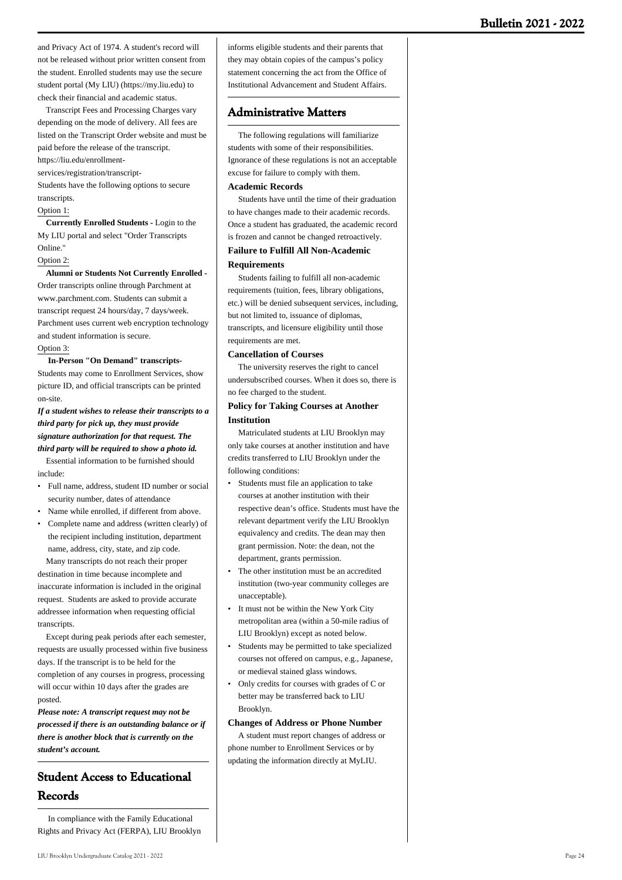and Privacy Act of 1974. A student's record will not be released without prior written consent from the student. Enrolled students may use the secure student portal (My LIU) (https://my.liu.edu) to check their financial and academic status.

 Transcript Fees and Processing Charges vary depending on the mode of delivery. All fees are listed on the Transcript Order website and must be paid before the release of the transcript.

https://liu.edu/enrollment-

services/registration/transcript-

Students have the following options to secure transcripts.

#### Option 1:

 **Currently Enrolled Students -** Login to the My LIU portal and select "Order Transcripts Online."

#### Option 2:

#### **Alumni or Students Not Currently Enrolled -**

Order transcripts online through Parchment at www.parchment.com. Students can submit a transcript request 24 hours/day, 7 days/week. Parchment uses current web encryption technology and student information is secure. Option 3:

#### **In-Person "On Demand" transcripts-**

Students may come to Enrollment Services, show picture ID, and official transcripts can be printed on-site.

#### *If a student wishes to release their transcripts to a third party for pick up, they must provide signature authorization for that request. The third party will be required to show a photo id.*

 Essential information to be furnished should include:

- Full name, address, student ID number or social security number, dates of attendance
- Name while enrolled, if different from above.
- Complete name and address (written clearly) of the recipient including institution, department name, address, city, state, and zip code.

 Many transcripts do not reach their proper destination in time because incomplete and inaccurate information is included in the original request. Students are asked to provide accurate addressee information when requesting official transcripts.

 Except during peak periods after each semester, requests are usually processed within five business days. If the transcript is to be held for the completion of any courses in progress, processing will occur within 10 days after the grades are posted.

*Please note: A transcript request may not be processed if there is an outstanding balance or if there is another block that is currently on the student's account.*

### **Student Access to Educational Records**

 In compliance with the Family Educational Rights and Privacy Act (FERPA), LIU Brooklyn informs eligible students and their parents that they may obtain copies of the campus's policy statement concerning the act from the Office of Institutional Advancement and Student Affairs.

### **Administrative Matters**

 The following regulations will familiarize students with some of their responsibilities. Ignorance of these regulations is not an acceptable excuse for failure to comply with them.

#### **Academic Records**

 Students have until the time of their graduation to have changes made to their academic records. Once a student has graduated, the academic record is frozen and cannot be changed retroactively.

#### **Failure to Fulfill All Non-Academic**

#### **Requirements**

 Students failing to fulfill all non-academic requirements (tuition, fees, library obligations, etc.) will be denied subsequent services, including, but not limited to, issuance of diplomas, transcripts, and licensure eligibility until those requirements are met.

#### **Cancellation of Courses**

 The university reserves the right to cancel undersubscribed courses. When it does so, there is no fee charged to the student.

#### **Policy for Taking Courses at Another Institution**

 Matriculated students at LIU Brooklyn may only take courses at another institution and have credits transferred to LIU Brooklyn under the following conditions:

- Students must file an application to take courses at another institution with their respective dean's office. Students must have the relevant department verify the LIU Brooklyn equivalency and credits. The dean may then grant permission. Note: the dean, not the department, grants permission.
- The other institution must be an accredited institution (two-year community colleges are unacceptable). •
- It must not be within the New York City metropolitan area (within a 50-mile radius of LIU Brooklyn) except as noted below. •
- Students may be permitted to take specialized courses not offered on campus, e.g., Japanese, or medieval stained glass windows. •
- Only credits for courses with grades of C or better may be transferred back to LIU Brooklyn. •

#### **Changes of Address or Phone Number**

 A student must report changes of address or phone number to Enrollment Services or by updating the information directly at [MyLIU](http://my.liu.edu).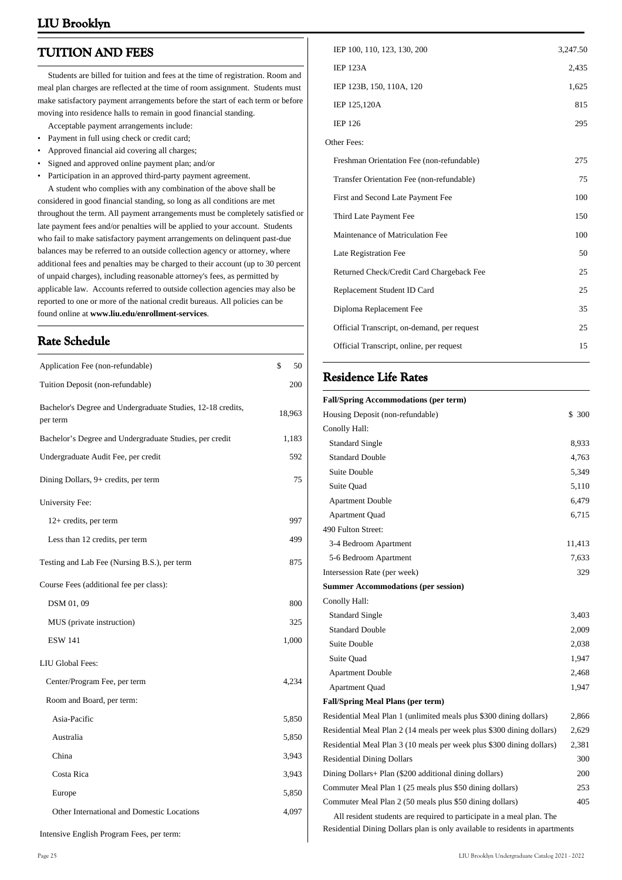### **TUITION AND FEES**

 Students are billed for tuition and fees at the time of registration. Room and meal plan charges are reflected at the time of room assignment. Students must make satisfactory payment arrangements before the start of each term or before moving into residence halls to remain in good financial standing.

- Acceptable payment arrangements include:
- Payment in full using check or credit card;
- Approved financial aid covering all charges; Signed and approved online payment plan; and/or
- Participation in an approved third-party payment agreement.

 A student who complies with any combination of the above shall be considered in good financial standing, so long as all conditions are met throughout the term. All payment arrangements must be completely satisfied or late payment fees and/or penalties will be applied to your account. Students who fail to make satisfactory payment arrangements on delinquent past-due balances may be referred to an outside collection agency or attorney, where additional fees and penalties may be charged to their account (up to 30 percent of unpaid charges), including reasonable attorney's fees, as permitted by applicable law. Accounts referred to outside collection agencies may also be reported to one or more of the national credit bureaus. All policies can be found online at **www.liu.edu/enrollment-services**.

### **Rate Schedule**

| Application Fee (non-refundable)                                        | \$<br>50 |
|-------------------------------------------------------------------------|----------|
| Tuition Deposit (non-refundable)                                        | 200      |
| Bachelor's Degree and Undergraduate Studies, 12-18 credits,<br>per term | 18,963   |
| Bachelor's Degree and Undergraduate Studies, per credit                 | 1,183    |
| Undergraduate Audit Fee, per credit                                     | 592      |
| Dining Dollars, 9+ credits, per term                                    | 75       |
| University Fee:                                                         |          |
| 12+ credits, per term                                                   | 997      |
| Less than 12 credits, per term                                          | 499      |
| Testing and Lab Fee (Nursing B.S.), per term                            | 875      |
| Course Fees (additional fee per class):                                 |          |
| DSM 01, 09                                                              | 800      |
| MUS (private instruction)                                               | 325      |
| <b>ESW 141</b>                                                          | 1,000    |
| LIU Global Fees:                                                        |          |
| Center/Program Fee, per term                                            | 4,234    |
| Room and Board, per term:                                               |          |
| Asia-Pacific                                                            | 5,850    |
| Australia                                                               | 5,850    |
| China                                                                   | 3,943    |
| Costa Rica                                                              | 3,943    |
| Europe                                                                  | 5,850    |
| Other International and Domestic Locations                              | 4,097    |
|                                                                         |          |

| IEP 100, 110, 123, 130, 200                 | 3,247.50 |
|---------------------------------------------|----------|
| <b>IEP 123A</b>                             | 2,435    |
| IEP 123B, 150, 110A, 120                    | 1,625    |
| IEP 125,120A                                | 815      |
| <b>IEP 126</b>                              | 295      |
| Other Fees:                                 |          |
| Freshman Orientation Fee (non-refundable)   | 275      |
| Transfer Orientation Fee (non-refundable)   | 75       |
| First and Second Late Payment Fee           | 100      |
| Third Late Payment Fee                      | 150      |
| Maintenance of Matriculation Fee            | 100      |
| Late Registration Fee                       | 50       |
| Returned Check/Credit Card Chargeback Fee   | 25       |
| Replacement Student ID Card                 | 25       |
| Diploma Replacement Fee                     | 35       |
| Official Transcript, on-demand, per request | 25       |
| Official Transcript, online, per request    | 15       |

### **Residence Life Rates**

| <b>Fall/Spring Accommodations (per term)</b>                          |        |
|-----------------------------------------------------------------------|--------|
| Housing Deposit (non-refundable)                                      | \$ 300 |
| Conolly Hall:                                                         |        |
| <b>Standard Single</b>                                                | 8,933  |
| <b>Standard Double</b>                                                | 4,763  |
| Suite Double                                                          | 5,349  |
| Suite Quad                                                            | 5,110  |
| <b>Apartment Double</b>                                               | 6,479  |
| <b>Apartment Quad</b>                                                 | 6,715  |
| 490 Fulton Street:                                                    |        |
| 3-4 Bedroom Apartment                                                 | 11,413 |
| 5-6 Bedroom Apartment                                                 | 7,633  |
| Intersession Rate (per week)                                          | 329    |
| <b>Summer Accommodations (per session)</b>                            |        |
| Conolly Hall:                                                         |        |
| <b>Standard Single</b>                                                | 3,403  |
| <b>Standard Double</b>                                                | 2,009  |
| <b>Suite Double</b>                                                   | 2,038  |
| Suite Quad                                                            | 1,947  |
| <b>Apartment Double</b>                                               | 2,468  |
| <b>Apartment Quad</b>                                                 | 1,947  |
| <b>Fall/Spring Meal Plans (per term)</b>                              |        |
| Residential Meal Plan 1 (unlimited meals plus \$300 dining dollars)   | 2,866  |
| Residential Meal Plan 2 (14 meals per week plus \$300 dining dollars) | 2,629  |
| Residential Meal Plan 3 (10 meals per week plus \$300 dining dollars) | 2,381  |
| <b>Residential Dining Dollars</b>                                     | 300    |
| Dining Dollars+ Plan (\$200 additional dining dollars)                | 200    |
| Commuter Meal Plan 1 (25 meals plus \$50 dining dollars)              | 253    |
| Commuter Meal Plan 2 (50 meals plus \$50 dining dollars)              | 405    |
| All resident students are required to participate in a meal plan. The |        |

Residential Dining Dollars plan is only available to residents in apartments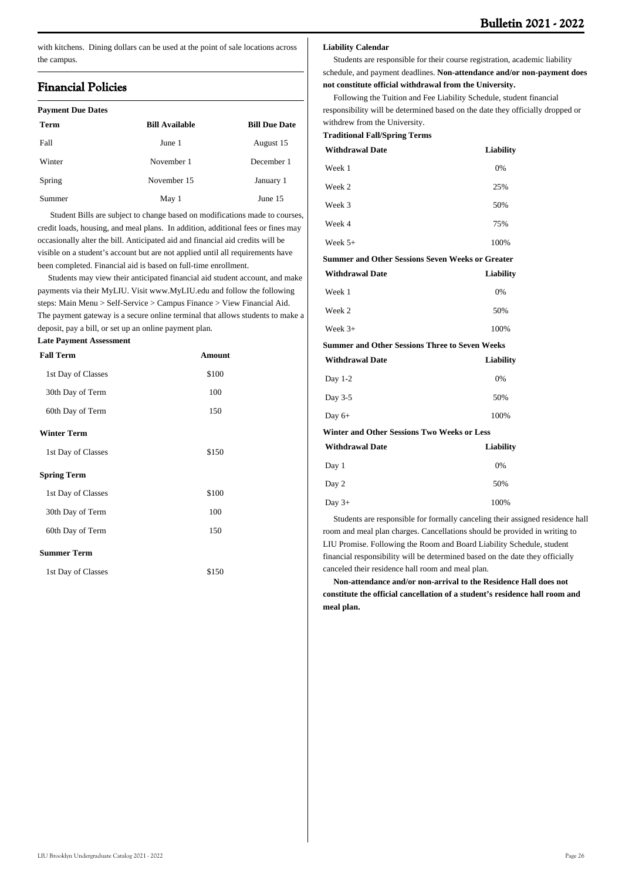with kitchens. Dining dollars can be used at the point of sale locations across the campus.

### **Financial Policies**

| <b>Payment Due Dates</b> |                       |                      |
|--------------------------|-----------------------|----------------------|
| Term                     | <b>Bill Available</b> | <b>Bill Due Date</b> |
| Fall                     | June 1                | August 15            |
| Winter                   | November 1            | December 1           |
| Spring                   | November 15           | January 1            |
| Summer                   | May 1                 | June 15              |

 Student Bills are subject to change based on modifications made to courses, credit loads, housing, and meal plans. In addition, additional fees or fines may occasionally alter the bill. Anticipated aid and financial aid credits will be visible on a student's account but are not applied until all requirements have been completed. Financial aid is based on full-time enrollment.

 Students may view their anticipated financial aid student account, and make payments via their MyLIU. Visit [www.MyLIU.edu](http://www.MyLIU.edu) and follow the following steps: Main Menu > Self-Service > Campus Finance > View Financial Aid. The payment gateway is a secure online terminal that allows students to make a deposit, pay a bill, or set up an online payment plan.

**Late Payment Assessment**

| Amount |
|--------|
| \$100  |
| 100    |
| 150    |
|        |
| \$150  |
|        |
| \$100  |
| 100    |
| 150    |
|        |
| \$150  |
|        |

#### **Liability Calendar**

 Students are responsible for their course registration, academic liability schedule, and payment deadlines. **Non-attendance and/or non-payment does not constitute official withdrawal from the University.**

 Following the Tuition and Fee Liability Schedule, student financial responsibility will be determined based on the date they officially dropped or withdrew from the University.

|  | <b>Traditional Fall/Spring Terms</b> |  |
|--|--------------------------------------|--|
|--|--------------------------------------|--|

| <b>Withdrawal Date</b>                                  | <b>Liability</b> |  |
|---------------------------------------------------------|------------------|--|
| Week 1                                                  | 0%               |  |
| Week 2                                                  | 25%              |  |
| Week 3                                                  | 50%              |  |
| Week 4                                                  | 75%              |  |
| Week $5+$                                               | 100%             |  |
| <b>Summer and Other Sessions Seven Weeks or Greater</b> |                  |  |
| <b>Withdrawal Date</b>                                  | <b>Liability</b> |  |
| Week 1                                                  | 0%               |  |
| Week 2                                                  | 50%              |  |
| Week $3+$                                               | 100%             |  |
| <b>Summer and Other Sessions Three to Seven Weeks</b>   |                  |  |
| <b>Withdrawal Date</b>                                  | Liability        |  |
| Day 1-2                                                 | 0%               |  |
| Day 3-5                                                 | 50%              |  |
| Day $6+$                                                | 100%             |  |
| Winter and Other Sessions Two Weeks or Less             |                  |  |
| <b>Withdrawal Date</b>                                  | <b>Liability</b> |  |
| Day 1                                                   | 0%               |  |
| Day 2                                                   | 50%              |  |
| Day $3+$                                                | 100%             |  |

 Students are responsible for formally canceling their assigned residence hall room and meal plan charges. Cancellations should be provided in writing to LIU Promise. Following the Room and Board Liability Schedule, student financial responsibility will be determined based on the date they officially canceled their residence hall room and meal plan.

 **Non-attendance and/or non-arrival to the Residence Hall does not constitute the official cancellation of a student's residence hall room and meal plan.**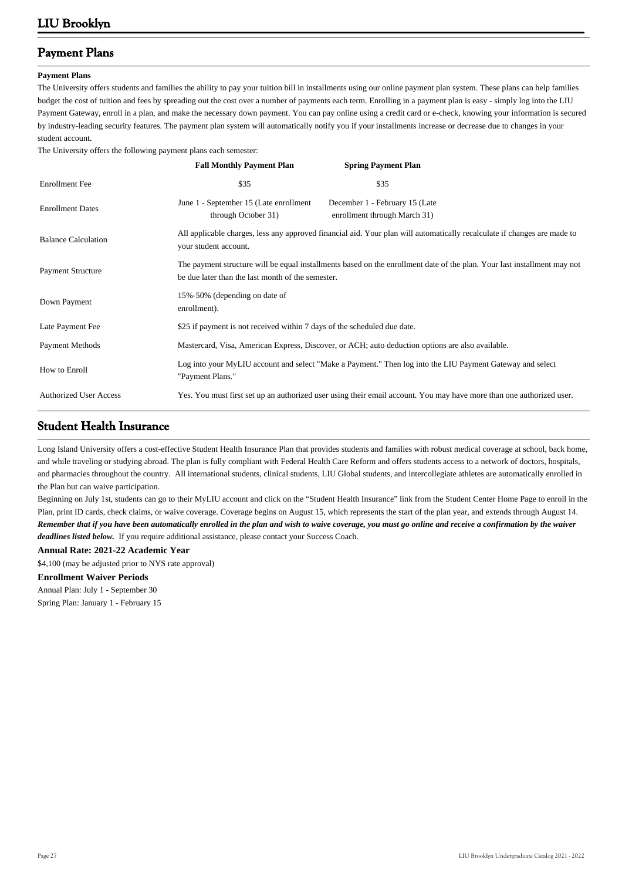### **Payment Plans**

#### **Payment Plans**

The University offers students and families the ability to pay your tuition bill in installments using our online payment plan system. These plans can help families budget the cost of tuition and fees by spreading out the cost over a number of payments each term. Enrolling in a payment plan is easy - simply log into the LIU Payment Gateway, enroll in a plan, and make the necessary down payment. You can pay online using a credit card or e-check, knowing your information is secured by industry-leading security features. The payment plan system will automatically notify you if your installments increase or decrease due to changes in your student account.

The University offers the following payment plans each semester:

|                               | <b>Fall Monthly Payment Plan</b>                                                                                                                                              | <b>Spring Payment Plan</b>                                     |
|-------------------------------|-------------------------------------------------------------------------------------------------------------------------------------------------------------------------------|----------------------------------------------------------------|
| <b>Enrollment</b> Fee         | \$35                                                                                                                                                                          | \$35                                                           |
| <b>Enrollment Dates</b>       | June 1 - September 15 (Late enrollment<br>through October 31)                                                                                                                 | December 1 - February 15 (Late<br>enrollment through March 31) |
| <b>Balance Calculation</b>    | All applicable charges, less any approved financial aid. Your plan will automatically recalculate if changes are made to<br>your student account.                             |                                                                |
| <b>Payment Structure</b>      | The payment structure will be equal installments based on the enrollment date of the plan. Your last installment may not<br>be due later than the last month of the semester. |                                                                |
| Down Payment                  | 15%-50% (depending on date of<br>enrollment).                                                                                                                                 |                                                                |
| Late Payment Fee              | \$25 if payment is not received within 7 days of the scheduled due date.                                                                                                      |                                                                |
| Payment Methods               | Mastercard, Visa, American Express, Discover, or ACH; auto deduction options are also available.                                                                              |                                                                |
| How to Enroll                 | Log into your MyLIU account and select "Make a Payment." Then log into the LIU Payment Gateway and select<br>"Payment Plans."                                                 |                                                                |
| <b>Authorized User Access</b> | Yes. You must first set up an authorized user using their email account. You may have more than one authorized user.                                                          |                                                                |

### **Student Health Insurance**

Long Island University offers a cost-effective Student Health Insurance Plan that provides students and families with robust medical coverage at school, back home, and while traveling or studying abroad. The plan is fully compliant with Federal Health Care Reform and offers students access to a network of doctors, hospitals, and pharmacies throughout the country. All international students, clinical students, LIU Global students, and intercollegiate athletes are automatically enrolled in the Plan but can waive participation.

Beginning on July 1st, students can go to their MyLIU account and click on the "Student Health Insurance" link from the Student Center Home Page to enroll in the Plan, print ID cards, check claims, or waive coverage. Coverage begins on August 15, which represents the start of the plan year, and extends through August 14. *Remember that if you have been automatically enrolled in the plan and wish to waive coverage, you must go online and receive a confirmation by the waiver deadlines listed below.* If you require additional assistance, please contact your Success Coach.

#### **Annual Rate: 2021-22 Academic Year**

\$4,100 (may be adjusted prior to NYS rate approval)

**Enrollment Waiver Periods** Annual Plan: July 1 - September 30

Spring Plan: January 1 - February 15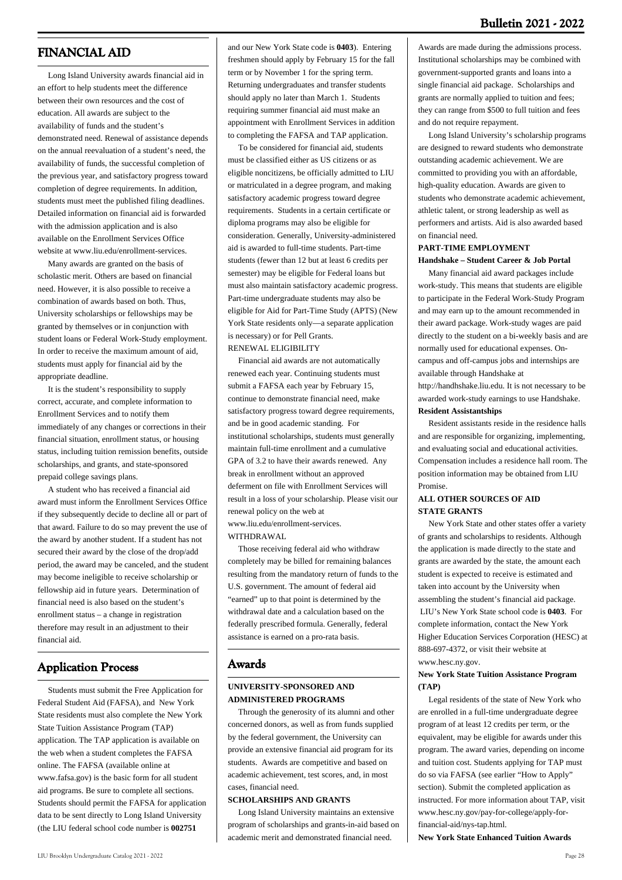### **FINANCIAL AID**

 Long Island University awards financial aid in an effort to help students meet the difference between their own resources and the cost of education. All awards are subject to the availability of funds and the student's demonstrated need. Renewal of assistance depends on the annual reevaluation of a student's need, the availability of funds, the successful completion of the previous year, and satisfactory progress toward completion of degree requirements. In addition, students must meet the published filing deadlines. Detailed information on financial aid is forwarded with the admission application and is also available on the Enrollment Services Office website at [www.liu.edu/enrollment-services.](http://www.liu.edu/enrollment-services)

 Many awards are granted on the basis of scholastic merit. Others are based on financial need. However, it is also possible to receive a combination of awards based on both. Thus, University scholarships or fellowships may be granted by themselves or in conjunction with student loans or Federal Work-Study employment. In order to receive the maximum amount of aid, students must apply for financial aid by the appropriate deadline.

 It is the student's responsibility to supply correct, accurate, and complete information to Enrollment Services and to notify them immediately of any changes or corrections in their financial situation, enrollment status, or housing status, including tuition remission benefits, outside scholarships, and grants, and state-sponsored prepaid college savings plans.

 A student who has received a financial aid award must inform the Enrollment Services Office if they subsequently decide to decline all or part of that award. Failure to do so may prevent the use of the award by another student. If a student has not secured their award by the close of the drop/add period, the award may be canceled, and the student may become ineligible to receive scholarship or fellowship aid in future years. Determination of financial need is also based on the student's enrollment status – a change in registration therefore may result in an adjustment to their financial aid.

### **Application Process**

 Students must submit the Free Application for Federal Student Aid (FAFSA), and New York State residents must also complete the New York State Tuition Assistance Program (TAP) application. The TAP application is available on the web when a student completes the FAFSA online. The FAFSA (available online at [www.fafsa.gov\)](http://www.fafsa.gov) is the basic form for all student aid programs. Be sure to complete all sections. Students should permit the FAFSA for application data to be sent directly to Long Island University (the LIU federal school code number is **002751**

and our New York State code is **0403**). Entering freshmen should apply by February 15 for the fall term or by November 1 for the spring term. Returning undergraduates and transfer students should apply no later than March 1. Students requiring summer financial aid must make an appointment with Enrollment Services in addition to completing the FAFSA and TAP application.

 To be considered for financial aid, students must be classified either as US citizens or as eligible noncitizens, be officially admitted to LIU or matriculated in a degree program, and making satisfactory academic progress toward degree requirements. Students in a certain certificate or diploma programs may also be eligible for consideration. Generally, University-administered aid is awarded to full-time students. Part-time students (fewer than 12 but at least 6 credits per semester) may be eligible for Federal loans but must also maintain satisfactory academic progress. Part-time undergraduate students may also be eligible for Aid for Part-Time Study (APTS) (New York State residents only—a separate application is necessary) or for Pell Grants. RENEWAL ELIGIBILITY

 Financial aid awards are not automatically renewed each year. Continuing students must submit a FAFSA each year by February 15, continue to demonstrate financial need, make satisfactory progress toward degree requirements, and be in good academic standing. For institutional scholarships, students must generally maintain full-time enrollment and a cumulative GPA of 3.2 to have their awards renewed. Any break in enrollment without an approved deferment on file with Enrollment Services will result in a loss of your scholarship. Please visit our renewal policy on the web at www.liu.edu/enrollment-services. WITHDRAWAL.

 Those receiving federal aid who withdraw completely may be billed for remaining balances resulting from the mandatory return of funds to the U.S. government. The amount of federal aid "earned" up to that point is determined by the withdrawal date and a calculation based on the federally prescribed formula. Generally, federal assistance is earned on a pro-rata basis.

#### **Awards**

#### **UNIVERSITY-SPONSORED AND ADMINISTERED PROGRAMS**

 Through the generosity of its alumni and other concerned donors, as well as from funds supplied by the federal government, the University can provide an extensive financial aid program for its students. Awards are competitive and based on academic achievement, test scores, and, in most cases, financial need.

#### **SCHOLARSHIPS AND GRANTS**

 Long Island University maintains an extensive program of scholarships and grants-in-aid based on academic merit and demonstrated financial need.

 Long Island University's scholarship programs are designed to reward students who demonstrate outstanding academic achievement. We are committed to providing you with an affordable, high-quality education. Awards are given to students who demonstrate academic achievement, athletic talent, or strong leadership as well as performers and artists. Aid is also awarded based on financial need.

### **PART-TIME EMPLOYMENT**

#### **Handshake – Student Career & Job Portal**

 Many financial aid award packages include work-study. This means that students are eligible to participate in the Federal Work-Study Program and may earn up to the amount recommended in their award package. Work-study wages are paid directly to the student on a bi-weekly basis and are normally used for educational expenses. Oncampus and off-campus jobs and internships are available through Handshake at http://handhshake.liu.edu. It is not necessary to be

awarded work-study earnings to use Handshake. **Resident Assistantships**

 Resident assistants reside in the residence halls and are responsible for organizing, implementing, and evaluating social and educational activities. Compensation includes a residence hall room. The position information may be obtained from LIU Promise.

#### **ALL OTHER SOURCES OF AID STATE GRANTS**

 New York State and other states offer a variety of grants and scholarships to residents. Although the application is made directly to the state and grants are awarded by the state, the amount each student is expected to receive is estimated and taken into account by the University when assembling the student's financial aid package. LIU's New York State school code is **0403**. For complete information, contact the New York Higher Education Services Corporation (HESC) at 888-697-4372, or visit their website at [www.hesc.ny.gov.](http://www.hesc.ny.gov)

#### **New York State Tuition Assistance Program (TAP)**

 Legal residents of the state of New York who are enrolled in a full-time undergraduate degree program of at least 12 credits per term, or the equivalent, may be eligible for awards under this program. The award varies, depending on income and tuition cost. Students applying for TAP must do so via FAFSA (see earlier "How to Apply" section). Submit the completed application as instructed. For more information about TAP, visit [www.hesc.ny.gov/pay-for-college/apply-for](http://www.hesc.ny.gov/pay-for-college/apply-for-financial-aid/nys-tap.html)[financial-aid/nys-tap.html.](http://www.hesc.ny.gov/pay-for-college/apply-for-financial-aid/nys-tap.html)

**New York State Enhanced Tuition Awards**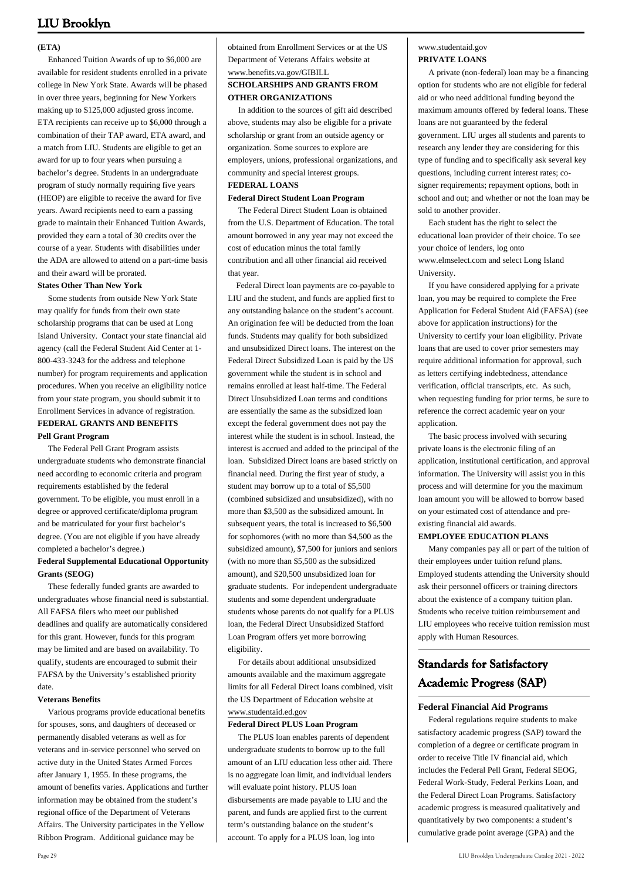#### **(ETA)**

 Enhanced Tuition Awards of up to \$6,000 are available for resident students enrolled in a private college in New York State. Awards will be phased in over three years, beginning for New Yorkers making up to \$125,000 adjusted gross income. ETA recipients can receive up to \$6,000 through a combination of their TAP award, ETA award, and a match from LIU. Students are eligible to get an award for up to four years when pursuing a bachelor's degree. Students in an undergraduate program of study normally requiring five years (HEOP) are eligible to receive the award for five years. Award recipients need to earn a passing grade to maintain their Enhanced Tuition Awards, provided they earn a total of 30 credits over the course of a year. Students with disabilities under the ADA are allowed to attend on a part-time basis and their award will be prorated.

#### **States Other Than New York**

 Some students from outside New York State may qualify for funds from their own state scholarship programs that can be used at Long Island University. Contact your state financial aid agency (call the Federal Student Aid Center at 1- 800-433-3243 for the address and telephone number) for program requirements and application procedures. When you receive an eligibility notice from your state program, you should submit it to Enrollment Services in advance of registration. **FEDERAL GRANTS AND BENEFITS Pell Grant Program**

 The Federal Pell Grant Program assists undergraduate students who demonstrate financial need according to economic criteria and program requirements established by the federal government. To be eligible, you must enroll in a degree or approved certificate/diploma program and be matriculated for your first bachelor's degree. (You are not eligible if you have already completed a bachelor's degree.)

#### **Federal Supplemental Educational Opportunity Grants (SEOG)**

 These federally funded grants are awarded to undergraduates whose financial need is substantial. All FAFSA filers who meet our published deadlines and qualify are automatically considered for this grant. However, funds for this program may be limited and are based on availability. To qualify, students are encouraged to submit their FAFSA by the University's established priority date.

#### **Veterans Benefits**

 Various programs provide educational benefits for spouses, sons, and daughters of deceased or permanently disabled veterans as well as for veterans and in-service personnel who served on active duty in the United States Armed Forces after January 1, 1955. In these programs, the amount of benefits varies. Applications and further information may be obtained from the student's regional office of the Department of Veterans Affairs. The University participates in the Yellow Ribbon Program. Additional guidance may be

obtained from Enrollment Services or at the US Department of Veterans Affairs website at www.benefits.va.gov/GIBILL **SCHOLARSHIPS AND GRANTS FROM OTHER ORGANIZATIONS**

 In addition to the sources of gift aid described above, students may also be eligible for a private scholarship or grant from an outside agency or organization. Some sources to explore are employers, unions, professional organizations, and community and special interest groups. **FEDERAL LOANS**

#### **Federal Direct Student Loan Program**

 The Federal Direct Student Loan is obtained from the U.S. Department of Education. The total amount borrowed in any year may not exceed the cost of education minus the total family contribution and all other financial aid received that year.

 Federal Direct loan payments are co-payable to LIU and the student, and funds are applied first to any outstanding balance on the student's account. An origination fee will be deducted from the loan funds. Students may qualify for both subsidized and unsubsidized Direct loans. The interest on the Federal Direct Subsidized Loan is paid by the US government while the student is in school and remains enrolled at least half-time. The Federal Direct Unsubsidized Loan terms and conditions are essentially the same as the subsidized loan except the federal government does not pay the interest while the student is in school. Instead, the interest is accrued and added to the principal of the loan. Subsidized Direct loans are based strictly on financial need. During the first year of study, a student may borrow up to a total of \$5,500 (combined subsidized and unsubsidized), with no more than \$3,500 as the subsidized amount. In subsequent years, the total is increased to \$6,500 for sophomores (with no more than \$4,500 as the subsidized amount), \$7,500 for juniors and seniors (with no more than \$5,500 as the subsidized amount), and \$20,500 unsubsidized loan for graduate students. For independent undergraduate students and some dependent undergraduate students whose parents do not qualify for a PLUS loan, the Federal Direct Unsubsidized Stafford Loan Program offers yet more borrowing eligibility.

 For details about additional unsubsidized amounts available and the maximum aggregate limits for all Federal Direct loans combined, visit the US Department of Education website at www.studentaid.ed.gov

#### **Federal Direct PLUS Loan Program**

 The PLUS loan enables parents of dependent undergraduate students to borrow up to the full amount of an LIU education less other aid. There is no aggregate loan limit, and individual lenders will evaluate point history. PLUS loan disbursements are made payable to LIU and the parent, and funds are applied first to the current term's outstanding balance on the student's account. To apply for a PLUS loan, log into

#### [www.studentaid.gov](http://www.studentaid.gov) **PRIVATE LOANS**

 A private (non-federal) loan may be a financing option for students who are not eligible for federal aid or who need additional funding beyond the maximum amounts offered by federal loans. These loans are not guaranteed by the federal government. LIU urges all students and parents to research any lender they are considering for this type of funding and to specifically ask several key questions, including current interest rates; cosigner requirements; repayment options, both in school and out; and whether or not the loan may be sold to another provider.

 Each student has the right to select the educational loan provider of their choice. To see your choice of lenders, log onto [www.elmselect.com](http://www.elmselect.com) and select Long Island University.

 If you have considered applying for a private loan, you may be required to complete the Free Application for Federal Student Aid (FAFSA) (see above for application instructions) for the University to certify your loan eligibility. Private loans that are used to cover prior semesters may require additional information for approval, such as letters certifying indebtedness, attendance verification, official transcripts, etc. As such, when requesting funding for prior terms, be sure to reference the correct academic year on your application.

 The basic process involved with securing private loans is the electronic filing of an application, institutional certification, and approval information. The University will assist you in this process and will determine for you the maximum loan amount you will be allowed to borrow based on your estimated cost of attendance and preexisting financial aid awards.

#### **EMPLOYEE EDUCATION PLANS**

 Many companies pay all or part of the tuition of their employees under tuition refund plans. Employed students attending the University should ask their personnel officers or training directors about the existence of a company tuition plan. Students who receive tuition reimbursement and LIU employees who receive tuition remission must apply with Human Resources.

### **Standards for Satisfactory Academic Progress (SAP)**

#### **Federal Financial Aid Programs**

 Federal regulations require students to make satisfactory academic progress (SAP) toward the completion of a degree or certificate program in order to receive Title IV financial aid, which includes the Federal Pell Grant, Federal SEOG, Federal Work-Study, Federal Perkins Loan, and the Federal Direct Loan Programs. Satisfactory academic progress is measured qualitatively and quantitatively by two components: a student's cumulative grade point average (GPA) and the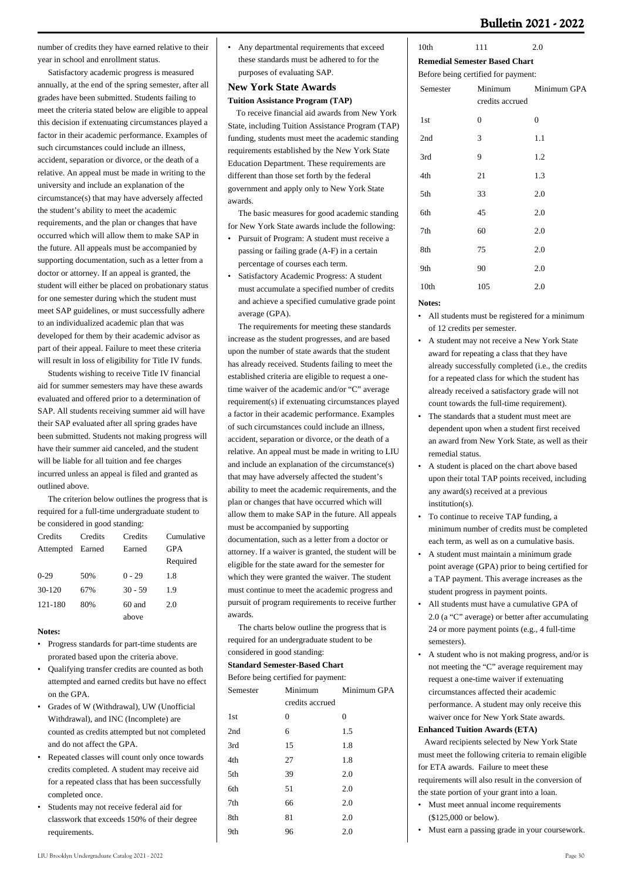number of credits they have earned relative to their year in school and enrollment status.

 Satisfactory academic progress is measured annually, at the end of the spring semester, after all grades have been submitted. Students failing to meet the criteria stated below are eligible to appeal this decision if extenuating circumstances played a factor in their academic performance. Examples of such circumstances could include an illness, accident, separation or divorce, or the death of a relative. An appeal must be made in writing to the university and include an explanation of the circumstance(s) that may have adversely affected the student's ability to meet the academic requirements, and the plan or changes that have occurred which will allow them to make SAP in the future. All appeals must be accompanied by supporting documentation, such as a letter from a doctor or attorney. If an appeal is granted, the student will either be placed on probationary status for one semester during which the student must meet SAP guidelines, or must successfully adhere to an individualized academic plan that was developed for them by their academic advisor as part of their appeal. Failure to meet these criteria will result in loss of eligibility for Title IV funds.

 Students wishing to receive Title IV financial aid for summer semesters may have these awards evaluated and offered prior to a determination of SAP. All students receiving summer aid will have their SAP evaluated after all spring grades have been submitted. Students not making progress will have their summer aid canceled, and the student will be liable for all tuition and fee charges incurred unless an appeal is filed and granted as outlined above.

 The criterion below outlines the progress that is required for a full-time undergraduate student to be considered in good standing:

| Credits          | Credits | Credits   | Cumulative |
|------------------|---------|-----------|------------|
| Attempted Earned |         | Earned    | <b>GPA</b> |
|                  |         |           | Required   |
| $0-29$           | 50%     | $0 - 29$  | 1.8        |
| 30-120           | 67%     | $30 - 59$ | 1.9        |
| 121-180          | 80%     | $60$ and  | 2.0        |
|                  |         | above     |            |

#### **Notes:**

- Progress standards for part-time students are prorated based upon the criteria above.
- Qualifying transfer credits are counted as both attempted and earned credits but have no effect on the GPA. •
- Grades of W (Withdrawal), UW (Unofficial Withdrawal), and INC (Incomplete) are counted as credits attempted but not completed and do not affect the GPA. •
- Repeated classes will count only once towards credits completed. A student may receive aid for a repeated class that has been successfully completed once. •
- Students may not receive federal aid for classwork that exceeds 150% of their degree requirements. •

• Any departmental requirements that exceed these standards must be adhered to for the purposes of evaluating SAP.

#### **New York State Awards Tuition Assistance Program (TAP)**

 To receive financial aid awards from New York State, including Tuition Assistance Program (TAP) funding, students must meet the academic standing requirements established by the New York State Education Department. These requirements are different than those set forth by the federal government and apply only to New York State awards.

 The basic measures for good academic standing for New York State awards include the following:

- Pursuit of Program: A student must receive a passing or failing grade (A-F) in a certain percentage of courses each term. •
- Satisfactory Academic Progress: A student must accumulate a specified number of credits and achieve a specified cumulative grade point average (GPA). •

 The requirements for meeting these standards increase as the student progresses, and are based upon the number of state awards that the student has already received. Students failing to meet the established criteria are eligible to request a onetime waiver of the academic and/or "C" average requirement(s) if extenuating circumstances played a factor in their academic performance. Examples of such circumstances could include an illness, accident, separation or divorce, or the death of a relative. An appeal must be made in writing to LIU and include an explanation of the circumstance(s) that may have adversely affected the student's ability to meet the academic requirements, and the plan or changes that have occurred which will allow them to make SAP in the future. All appeals must be accompanied by supporting documentation, such as a letter from a doctor or attorney. If a waiver is granted, the student will be eligible for the state award for the semester for which they were granted the waiver. The student must continue to meet the academic progress and pursuit of program requirements to receive further awards.

 The charts below outline the progress that is required for an undergraduate student to be considered in good standing:

#### **Standard Semester-Based Chart**

| Before being certified for payment: |                 |             |  |  |
|-------------------------------------|-----------------|-------------|--|--|
| Semester                            | Minimum         | Minimum GPA |  |  |
|                                     | credits accrued |             |  |  |
| 1st                                 | 0               | $\Omega$    |  |  |
| 2nd                                 | 6               | 1.5         |  |  |
| 3rd                                 | 15              | 1.8         |  |  |
| 4th                                 | 27              | 1.8         |  |  |
| 5th                                 | 39              | 2.0         |  |  |
| 6th                                 | 51              | 2.0         |  |  |
| 7th                                 | 66              | 2.0         |  |  |
| 8th                                 | 81              | 2.0         |  |  |
| 9th                                 | 96              | 2.0         |  |  |
|                                     |                 |             |  |  |

#### 10th 111 2.0 **Remedial Semester Based Chart**

Before being certified for payment:

| Semester | Minimum<br>credits accrued | Minimum GPA |
|----------|----------------------------|-------------|
| 1st      | $\overline{0}$             | 0           |
| 2nd      | 3                          | 1.1         |
| 3rd      | 9                          | 1.2         |
| 4th      | 21                         | 1.3         |
| 5th      | 33                         | 2.0         |
| 6th      | 45                         | 2.0         |
| 7th      | 60                         | 2.0         |
| 8th      | 75                         | 2.0         |
| 9th      | 90                         | 2.0         |
| 10th     | 105                        | 2.0         |
|          |                            |             |

#### **Notes:**

- All students must be registered for a minimum of 12 credits per semester. •
- A student may not receive a New York State award for repeating a class that they have already successfully completed (i.e., the credits for a repeated class for which the student has already received a satisfactory grade will not count towards the full-time requirement). •
- The standards that a student must meet are dependent upon when a student first received an award from New York State, as well as their remedial status. •
- A student is placed on the chart above based upon their total TAP points received, including any award(s) received at a previous institution(s).
- To continue to receive TAP funding, a minimum number of credits must be completed each term, as well as on a cumulative basis. •
- A student must maintain a minimum grade point average (GPA) prior to being certified for a TAP payment. This average increases as the student progress in payment points.
- All students must have a cumulative GPA of 2.0 (a "C" average) or better after accumulating 24 or more payment points (e.g., 4 full-time semesters). •
- A student who is not making progress, and/or is not meeting the "C" average requirement may request a one-time waiver if extenuating circumstances affected their academic performance. A student may only receive this waiver once for New York State awards.

#### **Enhanced Tuition Awards (ETA)**

 Award recipients selected by New York State must meet the following criteria to remain eligible for ETA awards. Failure to meet these requirements will also result in the conversion of the state portion of your grant into a loan.

- Must meet annual income requirements (\$125,000 or below).
- Must earn a passing grade in your coursework.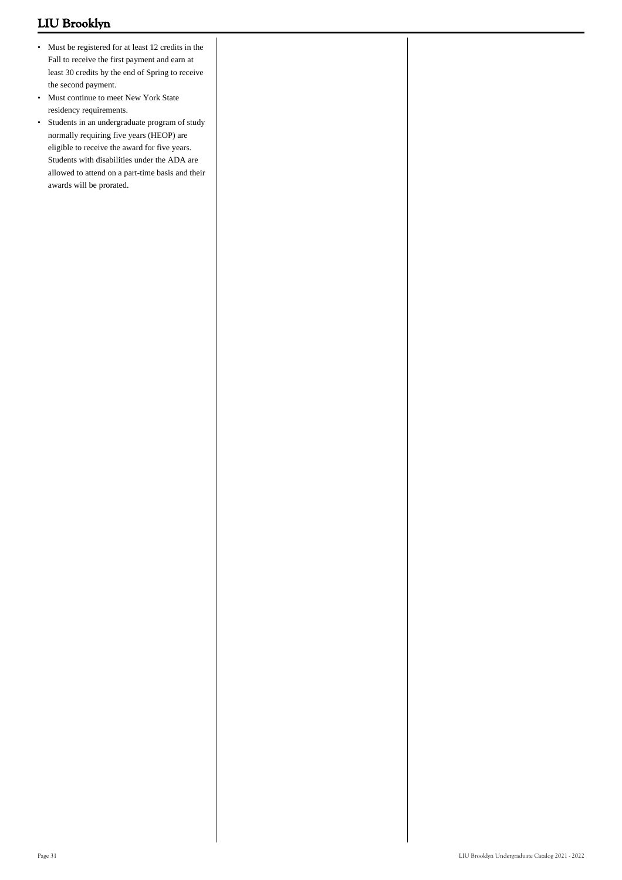- Must be registered for at least 12 credits in the Fall to receive the first payment and earn at least 30 credits by the end of Spring to receive the second payment.
- Must continue to meet New York State residency requirements.
- Students in an undergraduate program of study normally requiring five years (HEOP) are eligible to receive the award for five years. Students with disabilities under the ADA are allowed to attend on a part-time basis and their awards will be prorated.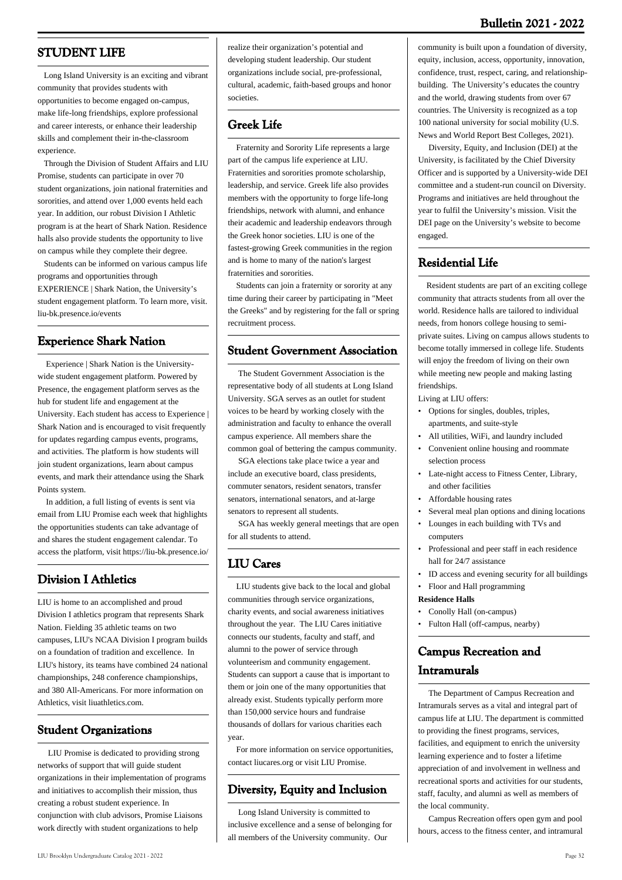### **Bulletin 2021 - 2022**

### **STUDENT LIFE**

 Long Island University is an exciting and vibrant community that provides students with opportunities to become engaged on-campus, make life-long friendships, explore professional and career interests, or enhance their leadership skills and complement their in-the-classroom experience.

 Through the Division of Student Affairs and LIU Promise, students can participate in over 70 student organizations, join national fraternities and sororities, and attend over 1,000 events held each year. In addition, our robust Division I Athletic program is at the heart of Shark Nation. Residence halls also provide students the opportunity to live on campus while they complete their degree.

 Students can be informed on various campus life programs and opportunities through EXPERIENCE | Shark Nation, the University's student engagement platform. To learn more, visit. liu-bk.presence.io/events

### **Experience Shark Nation**

 Experience | Shark Nation is the Universitywide student engagement platform. Powered by Presence, the engagement platform serves as the hub for student life and engagement at the University. Each student has access to Experience | Shark Nation and is encouraged to visit frequently for updates regarding campus events, programs, and activities. The platform is how students will join student organizations, learn about campus events, and mark their attendance using the Shark Points system.

 In addition, a full listing of events is sent via email from LIU Promise each week that highlights the opportunities students can take advantage of and shares the student engagement calendar. To access the platform, visit https://liu-bk.presence.io/

### **Division I Athletics**

LIU is home to an accomplished and proud Division I athletics program that represents Shark Nation. Fielding 35 athletic teams on two campuses, LIU's NCAA Division I program builds on a foundation of tradition and excellence. In LIU's history, its teams have combined 24 national championships, 248 conference championships, and 380 All-Americans. For more information on Athletics, visit liuathletics.com.

### **Student Organizations**

 LIU Promise is dedicated to providing strong networks of support that will guide student organizations in their implementation of programs and initiatives to accomplish their mission, thus creating a robust student experience. In conjunction with club advisors, Promise Liaisons work directly with student organizations to help

realize their organization's potential and developing student leadership. Our student organizations include social, pre-professional, cultural, academic, faith-based groups and honor societies.

### **Greek Life**

 Fraternity and Sorority Life represents a large part of the campus life experience at LIU. Fraternities and sororities promote scholarship, leadership, and service. Greek life also provides members with the opportunity to forge life-long friendships, network with alumni, and enhance their academic and leadership endeavors through the Greek honor societies. LIU is one of the fastest-growing Greek communities in the region and is home to many of the nation's largest fraternities and sororities.

 Students can join a fraternity or sorority at any time during their career by participating in "Meet the Greeks" and by registering for the fall or spring recruitment process.

### **Student Government Association**

 The Student Government Association is the representative body of all students at Long Island University. SGA serves as an outlet for student voices to be heard by working closely with the administration and faculty to enhance the overall campus experience. All members share the common goal of bettering the campus community.

 SGA elections take place twice a year and include an executive board, class presidents, commuter senators, resident senators, transfer senators, international senators, and at-large senators to represent all students.

 SGA has weekly general meetings that are open for all students to attend.

### **LIU Cares**

 LIU students give back to the local and global communities through service organizations, charity events, and social awareness initiatives throughout the year. The LIU Cares initiative connects our students, faculty and staff, and alumni to the power of service through volunteerism and community engagement. Students can support a cause that is important to them or join one of the many opportunities that already exist. Students typically perform more than 150,000 service hours and fundraise thousands of dollars for various charities each year.

 For more information on service opportunities, contact liucares.org or visit LIU Promise.

### **Diversity, Equity and Inclusion**

 Long Island University is committed to inclusive excellence and a sense of belonging for all members of the University community. Our

community is built upon a foundation of diversity, equity, inclusion, access, opportunity, innovation, confidence, trust, respect, caring, and relationshipbuilding. The University's educates the country and the world, drawing students from over 67 countries. The University is recognized as a top 100 national university for social mobility (U.S. News and World Report Best Colleges, 2021).

 Diversity, Equity, and Inclusion (DEI) at the University, is facilitated by the Chief Diversity Officer and is supported by a University-wide DEI committee and a student-run council on Diversity. Programs and initiatives are held throughout the year to fulfil the University's mission. Visit the DEI page on the University's website to become engaged.

### **Residential Life**

 Resident students are part of an exciting college community that attracts students from all over the world. Residence halls are tailored to individual needs, from honors college housing to semiprivate suites. Living on campus allows students to become totally immersed in college life. Students will enjoy the freedom of living on their own while meeting new people and making lasting friendships.

Living at LIU offers:

- Options for singles, doubles, triples, apartments, and suite-style •
- All utilities, WiFi, and laundry included
- Convenient online housing and roommate selection process
- Late-night access to Fitness Center, Library, and other facilities
- Affordable housing rates
- Several meal plan options and dining locations
- Lounges in each building with TVs and computers •
- Professional and peer staff in each residence hall for 24/7 assistance •
- ID access and evening security for all buildings
- Floor and Hall programming

#### **Residence Halls**

- Conolly Hall (on-campus)
- Fulton Hall (off-campus, nearby)

### **Campus Recreation and Intramurals**

 The Department of Campus Recreation and Intramurals serves as a vital and integral part of campus life at LIU. The department is committed to providing the finest programs, services, facilities, and equipment to enrich the university learning experience and to foster a lifetime appreciation of and involvement in wellness and recreational sports and activities for our students, staff, faculty, and alumni as well as members of the local community.

 Campus Recreation offers open gym and pool hours, access to the fitness center, and intramural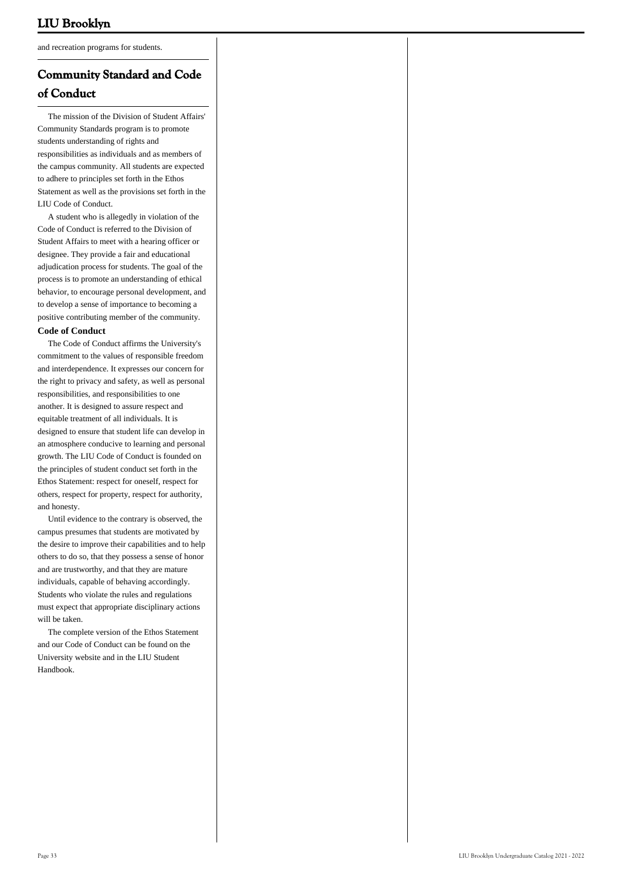and recreation programs for students.

### **Community Standard and Code of Conduct**

 The mission of the Division of Student Affairs' Community Standards program is to promote students understanding of rights and responsibilities as individuals and as members of the campus community. All students are expected to adhere to principles set forth in the Ethos Statement as well as the provisions set forth in the LIU Code of Conduct.

 A student who is allegedly in violation of the Code of Conduct is referred to the Division of Student Affairs to meet with a hearing officer or designee. They provide a fair and educational adjudication process for students. The goal of the process is to promote an understanding of ethical behavior, to encourage personal development, and to develop a sense of importance to becoming a positive contributing member of the community.

#### **Code of Conduct**

 The Code of Conduct affirms the University's commitment to the values of responsible freedom and interdependence. It expresses our concern for the right to privacy and safety, as well as personal responsibilities, and responsibilities to one another. It is designed to assure respect and equitable treatment of all individuals. It is designed to ensure that student life can develop in an atmosphere conducive to learning and personal growth. The LIU Code of Conduct is founded on the principles of student conduct set forth in the Ethos Statement: respect for oneself, respect for others, respect for property, respect for authority, and honesty.

 Until evidence to the contrary is observed, the campus presumes that students are motivated by the desire to improve their capabilities and to help others to do so, that they possess a sense of honor and are trustworthy, and that they are mature individuals, capable of behaving accordingly. Students who violate the rules and regulations must expect that appropriate disciplinary actions will be taken.

 The complete version of the Ethos Statement and our Code of Conduct can be found on the University website and in the LIU Student Handbook.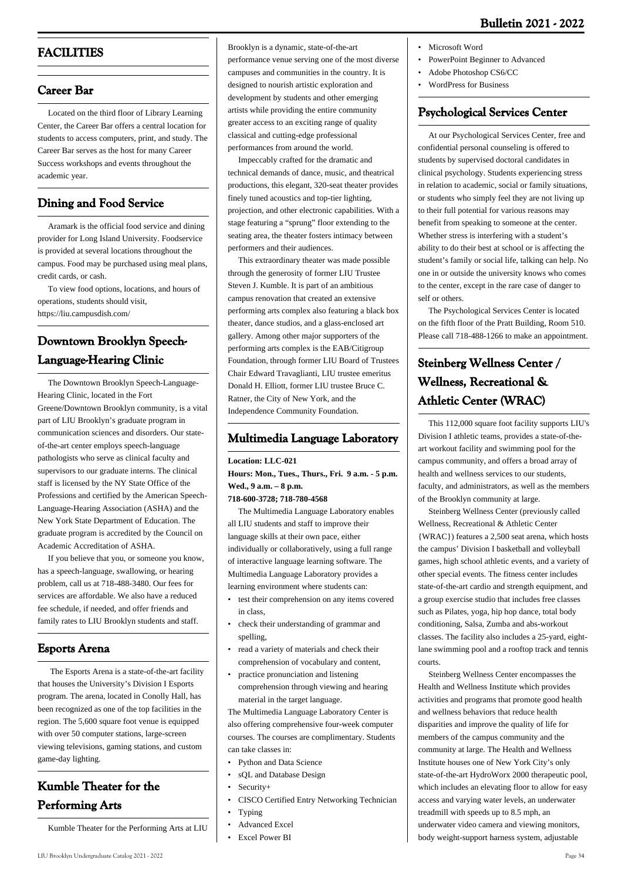### **FACILITIES**

### **Career Bar**

 Located on the third floor of Library Learning Center, the Career Bar offers a central location for students to access computers, print, and study. The Career Bar serves as the host for many Career Success workshops and events throughout the academic year.

### **Dining and Food Service**

 Aramark is the official food service and dining provider for Long Island University. Foodservice is provided at several locations throughout the campus. Food may be purchased using meal plans, credit cards, or cash.

 To view food options, locations, and hours of operations, students should visit, <https://liu.campusdish.com/>

### **Downtown Brooklyn Speech-Language-Hearing Clinic**

 The Downtown Brooklyn Speech-Language-Hearing Clinic, located in the Fort Greene/Downtown Brooklyn community, is a vital part of LIU Brooklyn's graduate program in communication sciences and disorders. Our stateof-the-art center employs speech-language pathologists who serve as clinical faculty and supervisors to our graduate interns. The clinical staff is licensed by the NY State Office of the Professions and certified by the American Speech-Language-Hearing Association (ASHA) and the New York State Department of Education. The graduate program is accredited by the Council on Academic Accreditation of ASHA.

 If you believe that you, or someone you know, has a speech-language, swallowing, or hearing problem, call us at 718-488-3480. Our fees for services are affordable. We also have a reduced fee schedule, if needed, and offer friends and family rates to LIU Brooklyn students and staff.

### **Esports Arena**

 The Esports Arena is a state-of-the-art facility that houses the University's Division I Esports program. The arena, located in Conolly Hall, has been recognized as one of the top facilities in the region. The 5,600 square foot venue is equipped with over 50 computer stations, large-screen viewing televisions, gaming stations, and custom game-day lighting.

## **Kumble Theater for the Performing Arts**

Kumble Theater for the Performing Arts at LIU

performance venue serving one of the most diverse campuses and communities in the country. It is designed to nourish artistic exploration and development by students and other emerging artists while providing the entire community greater access to an exciting range of quality classical and cutting-edge professional performances from around the world.

Brooklyn is a dynamic, state-of-the-art

 Impeccably crafted for the dramatic and technical demands of dance, music, and theatrical productions, this elegant, 320-seat theater provides finely tuned acoustics and top-tier lighting, projection, and other electronic capabilities. With a stage featuring a "sprung" floor extending to the seating area, the theater fosters intimacy between performers and their audiences.

 This extraordinary theater was made possible through the generosity of former LIU Trustee Steven J. Kumble. It is part of an ambitious campus renovation that created an extensive performing arts complex also featuring a black box theater, dance studios, and a glass-enclosed art gallery. Among other major supporters of the performing arts complex is the EAB/Citigroup Foundation, through former LIU Board of Trustees Chair Edward Travaglianti, LIU trustee emeritus Donald H. Elliott, former LIU trustee Bruce C. Ratner, the City of New York, and the Independence Community Foundation.

### **Multimedia Language Laboratory**

**Location: LLC-021 Hours: Mon., Tues., Thurs., Fri. 9 a.m. - 5 p.m. Wed., 9 a.m. – 8 p.m.**

#### **718-600-3728; 718-780-4568**

 The Multimedia Language Laboratory enables all LIU students and staff to improve their language skills at their own pace, either individually or collaboratively, using a full range of interactive language learning software. The Multimedia Language Laboratory provides a learning environment where students can:

- test their comprehension on any items covered in class, •
- check their understanding of grammar and spelling, •
- read a variety of materials and check their comprehension of vocabulary and content, •
- practice pronunciation and listening comprehension through viewing and hearing material in the target language. •

The Multimedia Language Laboratory Center is also offering comprehensive four-week computer courses. The courses are complimentary. Students can take classes in:

- Python and Data Science
- sQL and Database Design
- $S$ ecurity $+$
- CISCO Certified Entry Networking Technician
- Typing
- Advanced Excel
- Excel Power BI
- PowerPoint Beginner to Advanced
- Adobe Photoshop CS6/CC
- WordPress for Business

### **Psychological Services Center**

 At our Psychological Services Center, free and confidential personal counseling is offered to students by supervised doctoral candidates in clinical psychology. Students experiencing stress in relation to academic, social or family situations, or students who simply feel they are not living up to their full potential for various reasons may benefit from speaking to someone at the center. Whether stress is interfering with a student's ability to do their best at school or is affecting the student's family or social life, talking can help. No one in or outside the university knows who comes to the center, except in the rare case of danger to self or others.

 The Psychological Services Center is located on the fifth floor of the Pratt Building, Room 510. Please call 718-488-1266 to make an appointment.

## **Steinberg Wellness Center / Wellness, Recreational & Athletic Center (WRAC)**

 This 112,000 square foot facility supports LIU's Division I athletic teams, provides a state-of-theart workout facility and swimming pool for the campus community, and offers a broad array of health and wellness services to our students, faculty, and administrators, as well as the members of the Brooklyn community at large.

 Steinberg Wellness Center (previously called Wellness, Recreational & Athletic Center {WRAC}) features a 2,500 seat arena, which hosts the campus' Division I basketball and volleyball games, high school athletic events, and a variety of other special events. The fitness center includes state-of-the-art cardio and strength equipment, and a group exercise studio that includes free classes such as Pilates, yoga, hip hop dance, total body conditioning, Salsa, Zumba and abs-workout classes. The facility also includes a 25-yard, eightlane swimming pool and a rooftop track and tennis courts.

 Steinberg Wellness Center encompasses the Health and Wellness Institute which provides activities and programs that promote good health and wellness behaviors that reduce health disparities and improve the quality of life for members of the campus community and the community at large. The Health and Wellness Institute houses one of New York City's only state-of-the-art HydroWorx 2000 therapeutic pool, which includes an elevating floor to allow for easy access and varying water levels, an underwater treadmill with speeds up to 8.5 mph, an underwater video camera and viewing monitors, body weight-support harness system, adjustable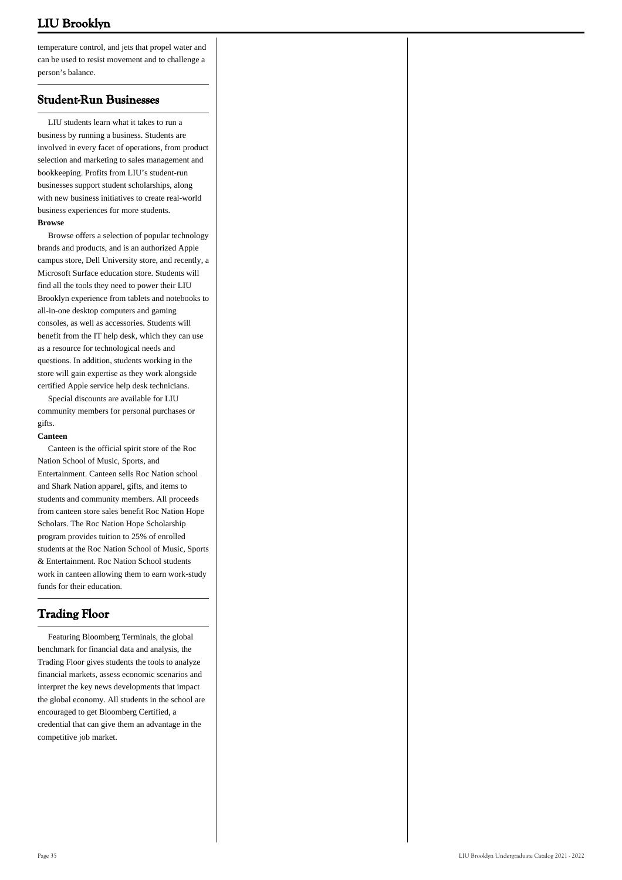temperature control, and jets that propel water and can be used to resist movement and to challenge a person's balance.

### **Student-Run Businesses**

 LIU students learn what it takes to run a business by running a business. Students are involved in every facet of operations, from product selection and marketing to sales management and bookkeeping. Profits from LIU's student-run businesses support student scholarships, along with new business initiatives to create real-world business experiences for more students. **Browse**

 Browse offers a selection of popular technology brands and products, and is an authorized Apple campus store, Dell University store, and recently, a Microsoft Surface education store. Students will find all the tools they need to power their LIU Brooklyn experience from tablets and notebooks to all-in-one desktop computers and gaming consoles, as well as accessories. Students will benefit from the IT help desk, which they can use as a resource for technological needs and questions. In addition, students working in the store will gain expertise as they work alongside certified Apple service help desk technicians.

 Special discounts are available for LIU community members for personal purchases or gifts.

#### **Canteen**

 Canteen is the official spirit store of the Roc Nation School of Music, Sports, and Entertainment. Canteen sells Roc Nation school and Shark Nation apparel, gifts, and items to students and community members. All proceeds from canteen store sales benefit Roc Nation Hope Scholars. The Roc Nation Hope Scholarship program provides tuition to 25% of enrolled students at the Roc Nation School of Music, Sports & Entertainment. Roc Nation School students work in canteen allowing them to earn work-study funds for their education.

### **Trading Floor**

 Featuring Bloomberg Terminals, the global benchmark for financial data and analysis, the Trading Floor gives students the tools to analyze financial markets, assess economic scenarios and interpret the key news developments that impact the global economy. All students in the school are encouraged to get Bloomberg Certified, a credential that can give them an advantage in the competitive job market.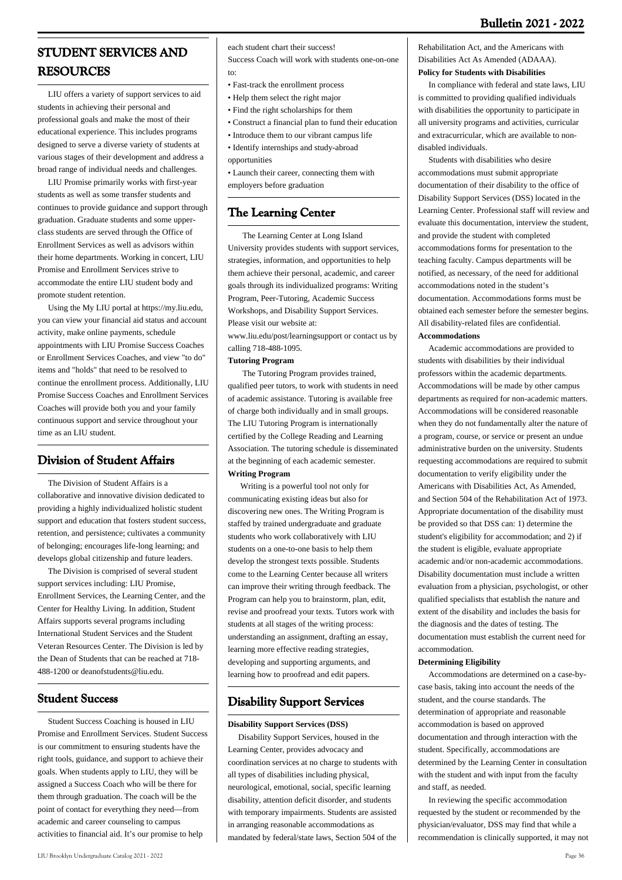# **STUDENT SERVICES AND RESOURCES**

 LIU offers a variety of support services to aid students in achieving their personal and professional goals and make the most of their educational experience. This includes programs designed to serve a diverse variety of students at various stages of their development and address a broad range of individual needs and challenges.

 LIU Promise primarily works with first-year students as well as some transfer students and continues to provide guidance and support through graduation. Graduate students and some upperclass students are served through the Office of Enrollment Services as well as advisors within their home departments. Working in concert, LIU Promise and Enrollment Services strive to accommodate the entire LIU student body and promote student retention.

 Using the My LIU portal at https://my.liu.edu, you can view your financial aid status and account activity, make online payments, schedule appointments with LIU Promise Success Coaches or Enrollment Services Coaches, and view "to do" items and "holds" that need to be resolved to continue the enrollment process. Additionally, LIU Promise Success Coaches and Enrollment Services Coaches will provide both you and your family continuous support and service throughout your time as an LIU student.

# **Division of Student Affairs**

 The Division of Student Affairs is a collaborative and innovative division dedicated to providing a highly individualized holistic student support and education that fosters student success, retention, and persistence; cultivates a community of belonging; encourages life-long learning; and develops global citizenship and future leaders.

 The Division is comprised of several student support services including: LIU Promise, Enrollment Services, the Learning Center, and the Center for Healthy Living. In addition, Student Affairs supports several programs including International Student Services and the Student Veteran Resources Center. The Division is led by the Dean of Students that can be reached at 718- 488-1200 or [deanofstudents@liu.edu.](mailto:deanofstudents@liu.edu)

# **Student Success**

 Student Success Coaching is housed in LIU Promise and Enrollment Services. Student Success is our commitment to ensuring students have the right tools, guidance, and support to achieve their goals. When students apply to LIU, they will be assigned a Success Coach who will be there for them through graduation. The coach will be the point of contact for everything they need—from academic and career counseling to campus activities to financial aid. It's our promise to help

each student chart their success!

Success Coach will work with students one-on-one to:

- Fast-track the enrollment process
- Help them select the right major
- Find the right scholarships for them
- Construct a financial plan to fund their education
- Introduce them to our vibrant campus life
- Identify internships and study-abroad
- opportunities
- Launch their career, connecting them with employers before graduation

# **The Learning Center**

 The Learning Center at Long Island University provides students with support services, strategies, information, and opportunities to help them achieve their personal, academic, and career goals through its individualized programs: Writing Program, Peer-Tutoring, Academic Success Workshops, and Disability Support Services. Please visit our website at:

www.liu.edu/post/learningsupport or contact us by calling 718-488-1095.

### **Tutoring Program**

 The Tutoring Program provides trained, qualified peer tutors, to work with students in need of academic assistance. Tutoring is available free of charge both individually and in small groups. The LIU Tutoring Program is internationally certified by the College Reading and Learning Association. The tutoring schedule is disseminated at the beginning of each academic semester. **Writing Program**

 Writing is a powerful tool not only for communicating existing ideas but also for discovering new ones. The Writing Program is staffed by trained undergraduate and graduate students who work collaboratively with LIU students on a one-to-one basis to help them develop the strongest texts possible. Students come to the Learning Center because all writers can improve their writing through feedback. The Program can help you to brainstorm, plan, edit, revise and proofread your texts. Tutors work with students at all stages of the writing process: understanding an assignment, drafting an essay, learning more effective reading strategies, developing and supporting arguments, and learning how to proofread and edit papers.

# **Disability Support Services**

### **Disability Support Services (DSS)**

 Disability Support Services, housed in the Learning Center, provides advocacy and coordination services at no charge to students with all types of disabilities including physical, neurological, emotional, social, specific learning disability, attention deficit disorder, and students with temporary impairments. Students are assisted in arranging reasonable accommodations as mandated by federal/state laws, Section 504 of the

Rehabilitation Act, and the Americans with Disabilities Act As Amended (ADAAA). **Policy for Students with Disabilities**

 In compliance with federal and state laws, LIU is committed to providing qualified individuals with disabilities the opportunity to participate in all university programs and activities, curricular and extracurricular, which are available to nondisabled individuals.

 Students with disabilities who desire accommodations must submit appropriate documentation of their disability to the office of Disability Support Services (DSS) located in the Learning Center. Professional staff will review and evaluate this documentation, interview the student, and provide the student with completed accommodations forms for presentation to the teaching faculty. Campus departments will be notified, as necessary, of the need for additional accommodations noted in the student's documentation. Accommodations forms must be obtained each semester before the semester begins. All disability-related files are confidential. **Accommodations**

 Academic accommodations are provided to students with disabilities by their individual professors within the academic departments. Accommodations will be made by other campus departments as required for non-academic matters. Accommodations will be considered reasonable when they do not fundamentally alter the nature of a program, course, or service or present an undue administrative burden on the university. Students requesting accommodations are required to submit documentation to verify eligibility under the Americans with Disabilities Act, As Amended, and Section 504 of the Rehabilitation Act of 1973. Appropriate documentation of the disability must be provided so that DSS can: 1) determine the student's eligibility for accommodation; and 2) if the student is eligible, evaluate appropriate academic and/or non-academic accommodations. Disability documentation must include a written evaluation from a physician, psychologist, or other qualified specialists that establish the nature and extent of the disability and includes the basis for the diagnosis and the dates of testing. The documentation must establish the current need for accommodation.

### **Determining Eligibility**

 Accommodations are determined on a case-bycase basis, taking into account the needs of the student, and the course standards. The determination of appropriate and reasonable accommodation is based on approved documentation and through interaction with the student. Specifically, accommodations are determined by the Learning Center in consultation with the student and with input from the faculty and staff, as needed.

 In reviewing the specific accommodation requested by the student or recommended by the physician/evaluator, DSS may find that while a recommendation is clinically supported, it may not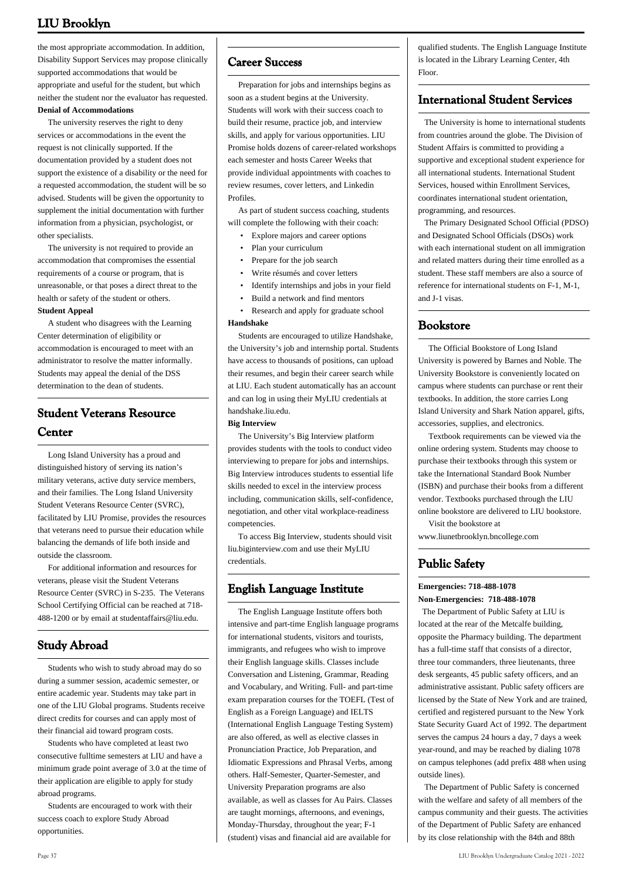the most appropriate accommodation. In addition, Disability Support Services may propose clinically supported accommodations that would be appropriate and useful for the student, but which neither the student nor the evaluator has requested. **Denial of Accommodations**

 The university reserves the right to deny services or accommodations in the event the request is not clinically supported. If the documentation provided by a student does not support the existence of a disability or the need for a requested accommodation, the student will be so advised. Students will be given the opportunity to supplement the initial documentation with further information from a physician, psychologist, or other specialists.

 The university is not required to provide an accommodation that compromises the essential requirements of a course or program, that is unreasonable, or that poses a direct threat to the health or safety of the student or others. **Student Appeal**

 A student who disagrees with the Learning Center determination of eligibility or accommodation is encouraged to meet with an administrator to resolve the matter informally. Students may appeal the denial of the DSS determination to the dean of students.

# **Student Veterans Resource Center**

 Long Island University has a proud and distinguished history of serving its nation's military veterans, active duty service members, and their families. The Long Island University Student Veterans Resource Center (SVRC), facilitated by LIU Promise, provides the resources that veterans need to pursue their education while balancing the demands of life both inside and outside the classroom.

 For additional information and resources for veterans, please visit the Student Veterans Resource Center (SVRC) in S-235. The Veterans School Certifying Official can be reached at 718- 488-1200 or by email at studentaffairs@liu.edu.

# **Study Abroad**

 Students who wish to study abroad may do so during a summer session, academic semester, or entire academic year. Students may take part in one of the LIU Global programs. Students receive direct credits for courses and can apply most of their financial aid toward program costs.

 Students who have completed at least two consecutive fulltime semesters at LIU and have a minimum grade point average of 3.0 at the time of their application are eligible to apply for study abroad programs.

 Students are encouraged to work with their success coach to explore Study Abroad opportunities.

# **Career Success**

 Preparation for jobs and internships begins as soon as a student begins at the University. Students will work with their success coach to build their resume, practice job, and interview skills, and apply for various opportunities. LIU Promise holds dozens of career-related workshops each semester and hosts Career Weeks that provide individual appointments with coaches to review resumes, cover letters, and Linkedin Profiles.

 As part of student success coaching, students will complete the following with their coach:

- Explore majors and career options
- Plan your curriculum
- Prepare for the job search
- Write résumés and cover letters
- Identify internships and jobs in your field
- Build a network and find mentors

 • Research and apply for graduate school **Handshake**

 Students are encouraged to utilize Handshake, the University's job and internship portal. Students have access to thousands of positions, can upload their resumes, and begin their career search while at LIU. Each student automatically has an account and can log in using their MyLIU credentials at handshake.liu.edu.

#### **Big Interview**

 The University's Big Interview platform provides students with the tools to conduct video interviewing to prepare for jobs and internships. Big Interview introduces students to essential life skills needed to excel in the interview process including, communication skills, self-confidence, negotiation, and other vital workplace-readiness competencies.

 To access Big Interview, students should visit liu.biginterview.com and use their MyLIU credentials.

# **English Language Institute**

 The English Language Institute offers both intensive and part-time English language programs for international students, visitors and tourists, immigrants, and refugees who wish to improve their English language skills. Classes include Conversation and Listening, Grammar, Reading and Vocabulary, and Writing. Full- and part-time exam preparation courses for the TOEFL (Test of English as a Foreign Language) and IELTS (International English Language Testing System) are also offered, as well as elective classes in Pronunciation Practice, Job Preparation, and Idiomatic Expressions and Phrasal Verbs, among others. Half-Semester, Quarter-Semester, and University Preparation programs are also available, as well as classes for Au Pairs. Classes are taught mornings, afternoons, and evenings, Monday-Thursday, throughout the year; F-1 (student) visas and financial aid are available for

qualified students. The English Language Institute is located in the Library Learning Center, 4th Floor.

## **International Student Services**

 The University is home to international students from countries around the globe. The Division of Student Affairs is committed to providing a supportive and exceptional student experience for all international students. International Student Services, housed within Enrollment Services, coordinates international student orientation, programming, and resources.

 The Primary Designated School Official (PDSO) and Designated School Officials (DSOs) work with each international student on all immigration and related matters during their time enrolled as a student. These staff members are also a source of reference for international students on F-1, M-1, and J-1 visas.

## **Bookstore**

 The Official Bookstore of Long Island University is powered by Barnes and Noble. The University Bookstore is conveniently located on campus where students can purchase or rent their textbooks. In addition, the store carries Long Island University and Shark Nation apparel, gifts, accessories, supplies, and electronics.

 Textbook requirements can be viewed via the online ordering system. Students may choose to purchase their textbooks through this system or take the International Standard Book Number (ISBN) and purchase their books from a different vendor. Textbooks purchased through the LIU online bookstore are delivered to LIU bookstore.

 Visit the bookstore at www.liunetbrooklyn.bncollege.com

# **Public Safety**

#### **Emergencies: 718-488-1078 Non-Emergencies: 718-488-1078**

 The Department of Public Safety at LIU is located at the rear of the Metcalfe building, opposite the Pharmacy building. The department has a full-time staff that consists of a director, three tour commanders, three lieutenants, three desk sergeants, 45 public safety officers, and an administrative assistant. Public safety officers are licensed by the State of New York and are trained, certified and registered pursuant to the New York State Security Guard Act of 1992. The department serves the campus 24 hours a day, 7 days a week year-round, and may be reached by dialing 1078 on campus telephones (add prefix 488 when using outside lines).

 The Department of Public Safety is concerned with the welfare and safety of all members of the campus community and their guests. The activities of the Department of Public Safety are enhanced by its close relationship with the 84th and 88th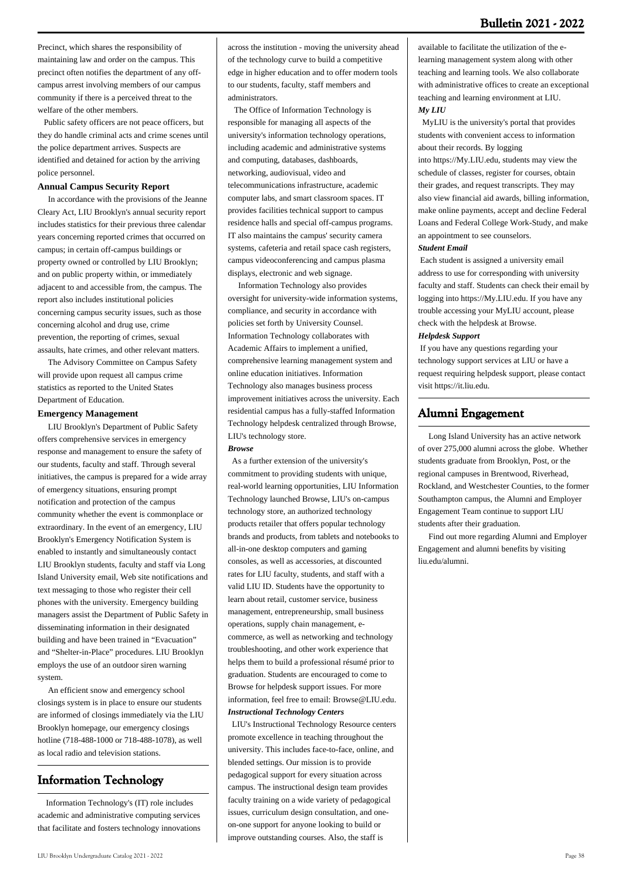Precinct, which shares the responsibility of maintaining law and order on the campus. This precinct often notifies the department of any offcampus arrest involving members of our campus community if there is a perceived threat to the welfare of the other members.

 Public safety officers are not peace officers, but they do handle criminal acts and crime scenes until the police department arrives. Suspects are identified and detained for action by the arriving police personnel.

### **Annual Campus Security Report**

 In accordance with the provisions of the Jeanne Cleary Act, LIU Brooklyn's annual security report includes statistics for their previous three calendar years concerning reported crimes that occurred on campus; in certain off-campus buildings or property owned or controlled by LIU Brooklyn; and on public property within, or immediately adjacent to and accessible from, the campus. The report also includes institutional policies concerning campus security issues, such as those concerning alcohol and drug use, crime prevention, the reporting of crimes, sexual assaults, hate crimes, and other relevant matters.

 The Advisory Committee on Campus Safety will provide upon request all campus crime statistics as reported to the United States Department of Education.

#### **Emergency Management**

 LIU Brooklyn's Department of Public Safety offers comprehensive services in emergency response and management to ensure the safety of our students, faculty and staff. Through several initiatives, the campus is prepared for a wide array of emergency situations, ensuring prompt notification and protection of the campus community whether the event is commonplace or extraordinary. In the event of an emergency, LIU Brooklyn's Emergency Notification System is enabled to instantly and simultaneously contact LIU Brooklyn students, faculty and staff via Long Island University email, Web site notifications and text messaging to those who register their cell phones with the university. Emergency building managers assist the Department of Public Safety in disseminating information in their designated building and have been trained in "Evacuation" and "Shelter-in-Place" procedures. LIU Brooklyn employs the use of an outdoor siren warning system.

 An efficient snow and emergency school closings system is in place to ensure our students are informed of closings immediately via the LIU Brooklyn homepage, our emergency closings hotline (718-488-1000 or 718-488-1078), as well as local radio and television stations.

# **Information Technology**

 Information Technology's (IT) role includes academic and administrative computing services that facilitate and fosters technology innovations across the institution - moving the university ahead of the technology curve to build a competitive edge in higher education and to offer modern tools to our students, faculty, staff members and administrators.

 The Office of Information Technology is responsible for managing all aspects of the university's information technology operations, including academic and administrative systems and computing, databases, dashboards, networking, audiovisual, video and telecommunications infrastructure, academic computer labs, and smart classroom spaces. IT provides facilities technical support to campus residence halls and special off-campus programs. IT also maintains the campus' security camera systems, cafeteria and retail space cash registers, campus videoconferencing and campus plasma displays, electronic and web signage.

 Information Technology also provides oversight for university-wide information systems, compliance, and security in accordance with policies set forth by University Counsel. Information Technology collaborates with Academic Affairs to implement a unified, comprehensive learning management system and online education initiatives. Information Technology also manages business process improvement initiatives across the university. Each residential campus has a fully-staffed Information Technology helpdesk centralized through Browse, LIU's technology store.

#### *Browse*

 As a further extension of the university's commitment to providing students with unique, real-world learning opportunities, LIU Information Technology launched Browse, LIU's on-campus technology store, an authorized technology products retailer that offers popular technology brands and products, from tablets and notebooks to all-in-one desktop computers and gaming consoles, as well as accessories, at discounted rates for LIU faculty, students, and staff with a valid LIU ID. Students have the opportunity to learn about retail, customer service, business management, entrepreneurship, small business operations, supply chain management, ecommerce, as well as networking and technology troubleshooting, and other work experience that helps them to build a professional résumé prior to graduation. Students are encouraged to come to Browse for helpdesk support issues. For more information, feel free to email: [Browse@LIU.edu](mailto:Browse@LIU.edu.). *Instructional Technology Centers*

 LIU's Instructional Technology Resource centers promote excellence in teaching throughout the university. This includes face-to-face, online, and blended settings. Our mission is to provide pedagogical support for every situation across campus. The instructional design team provides faculty training on a wide variety of pedagogical issues, curriculum design consultation, and oneon-one support for anyone looking to build or improve outstanding courses. Also, the staff is

available to facilitate the utilization of the elearning management system along with other teaching and learning tools. We also collaborate with administrative offices to create an exceptional teaching and learning environment at LIU. *My LIU*

 MyLIU is the university's portal that provides students with convenient access to information about their records. By logging

into [https://My.LIU.edu,](https://My.LIU.edu) students may view the schedule of classes, register for courses, obtain their grades, and request transcripts. They may also view financial aid awards, billing information, make online payments, accept and decline Federal Loans and Federal College Work-Study, and make an appointment to see counselors.

#### *Student Email*

 Each student is assigned a university email address to use for corresponding with university faculty and staff. Students can check their email by logging into <https://My.LIU.edu>. If you have any trouble accessing your MyLIU account, please check with the helpdesk at Browse.

#### *Helpdesk Support*

 If you have any questions regarding your technology support services at LIU or have a request requiring helpdesk support, please contact visit [https://it.liu.edu](http://IT.LIU.edu).

### **Alumni Engagement**

 Long Island University has an active network of over 275,000 alumni across the globe. Whether students graduate from Brooklyn, Post, or the regional campuses in Brentwood, Riverhead, Rockland, and Westchester Counties, to the former Southampton campus, the Alumni and Employer Engagement Team continue to support LIU students after their graduation.

 Find out more regarding Alumni and Employer Engagement and alumni benefits by visiting liu.edu/alumni.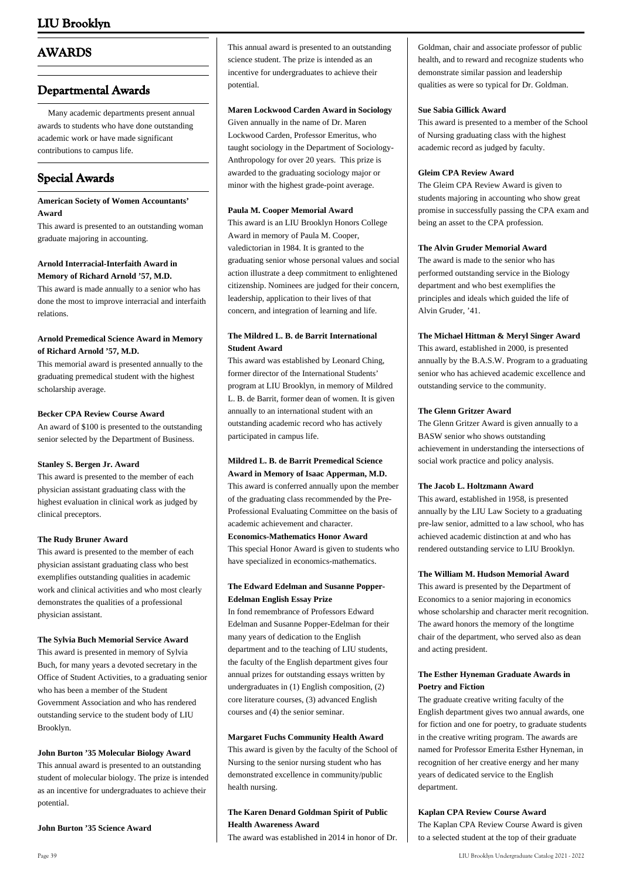# **AWARDS**

## **Departmental Awards**

 Many academic departments present annual awards to students who have done outstanding academic work or have made significant contributions to campus life.

# **Special Awards**

#### **American Society of Women Accountants' Award**

This award is presented to an outstanding woman graduate majoring in accounting.

### **Arnold Interracial-Interfaith Award in Memory of Richard Arnold '57, M.D.**

This award is made annually to a senior who has done the most to improve interracial and interfaith relations.

### **Arnold Premedical Science Award in Memory of Richard Arnold '57, M.D.**

This memorial award is presented annually to the graduating premedical student with the highest scholarship average.

### **Becker CPA Review Course Award**

An award of \$100 is presented to the outstanding senior selected by the Department of Business.

#### **Stanley S. Bergen Jr. Award**

This award is presented to the member of each physician assistant graduating class with the highest evaluation in clinical work as judged by clinical preceptors.

#### **The Rudy Bruner Award**

This award is presented to the member of each physician assistant graduating class who best exemplifies outstanding qualities in academic work and clinical activities and who most clearly demonstrates the qualities of a professional physician assistant.

#### **The Sylvia Buch Memorial Service Award**

This award is presented in memory of Sylvia Buch, for many years a devoted secretary in the Office of Student Activities, to a graduating senior who has been a member of the Student Government Association and who has rendered outstanding service to the student body of LIU Brooklyn.

#### **John Burton '35 Molecular Biology Award**

This annual award is presented to an outstanding student of molecular biology. The prize is intended as an incentive for undergraduates to achieve their potential.

#### **John Burton '35 Science Award**

This annual award is presented to an outstanding science student. The prize is intended as an incentive for undergraduates to achieve their potential.

#### **Maren Lockwood Carden Award in Sociology**

Given annually in the name of Dr. Maren Lockwood Carden, Professor Emeritus, who taught sociology in the Department of Sociology-Anthropology for over 20 years. This prize is awarded to the graduating sociology major or minor with the highest grade-point average.

#### **Paula M. Cooper Memorial Award**

This award is an LIU Brooklyn Honors College Award in memory of Paula M. Cooper, valedictorian in 1984. It is granted to the graduating senior whose personal values and social action illustrate a deep commitment to enlightened citizenship. Nominees are judged for their concern, leadership, application to their lives of that concern, and integration of learning and life.

### **The Mildred L. B. de Barrit International Student Award**

This award was established by Leonard Ching, former director of the International Students' program at LIU Brooklyn, in memory of Mildred L. B. de Barrit, former dean of women. It is given annually to an international student with an outstanding academic record who has actively participated in campus life.

# **Mildred L. B. de Barrit Premedical Science**

**Award in Memory of Isaac Apperman, M.D.** This award is conferred annually upon the member of the graduating class recommended by the Pre-Professional Evaluating Committee on the basis of academic achievement and character. **Economics-Mathematics Honor Award** This special Honor Award is given to students who have specialized in economics-mathematics.

#### **The Edward Edelman and Susanne Popper-Edelman English Essay Prize**

In fond remembrance of Professors Edward Edelman and Susanne Popper-Edelman for their many years of dedication to the English department and to the teaching of LIU students, the faculty of the English department gives four annual prizes for outstanding essays written by undergraduates in (1) English composition, (2) core literature courses, (3) advanced English courses and (4) the senior seminar.

#### **Margaret Fuchs Community Health Award**

This award is given by the faculty of the School of Nursing to the senior nursing student who has demonstrated excellence in community/public health nursing.

### **The Karen Denard Goldman Spirit of Public Health Awareness Award**

The award was established in 2014 in honor of Dr.

Goldman, chair and associate professor of public health, and to reward and recognize students who demonstrate similar passion and leadership qualities as were so typical for Dr. Goldman.

#### **Sue Sabia Gillick Award**

This award is presented to a member of the School of Nursing graduating class with the highest academic record as judged by faculty.

#### **Gleim CPA Review Award**

The Gleim CPA Review Award is given to students majoring in accounting who show great promise in successfully passing the CPA exam and being an asset to the CPA profession.

#### **The Alvin Gruder Memorial Award**

The award is made to the senior who has performed outstanding service in the Biology department and who best exemplifies the principles and ideals which guided the life of Alvin Gruder, '41.

#### **The Michael Hittman & Meryl Singer Award**

This award, established in 2000, is presented annually by the B.A.S.W. Program to a graduating senior who has achieved academic excellence and outstanding service to the community.

#### **The Glenn Gritzer Award**

The Glenn Gritzer Award is given annually to a BASW senior who shows outstanding achievement in understanding the intersections of social work practice and policy analysis.

#### **The Jacob L. Holtzmann Award**

This award, established in 1958, is presented annually by the LIU Law Society to a graduating pre-law senior, admitted to a law school, who has achieved academic distinction at and who has rendered outstanding service to LIU Brooklyn.

#### **The William M. Hudson Memorial Award**

This award is presented by the Department of Economics to a senior majoring in economics whose scholarship and character merit recognition. The award honors the memory of the longtime chair of the department, who served also as dean and acting president.

#### **The Esther Hyneman Graduate Awards in Poetry and Fiction**

The graduate creative writing faculty of the English department gives two annual awards, one for fiction and one for poetry, to graduate students in the creative writing program. The awards are named for Professor Emerita Esther Hyneman, in recognition of her creative energy and her many years of dedicated service to the English department.

**Kaplan CPA Review Course Award** The Kaplan CPA Review Course Award is given

to a selected student at the top of their graduate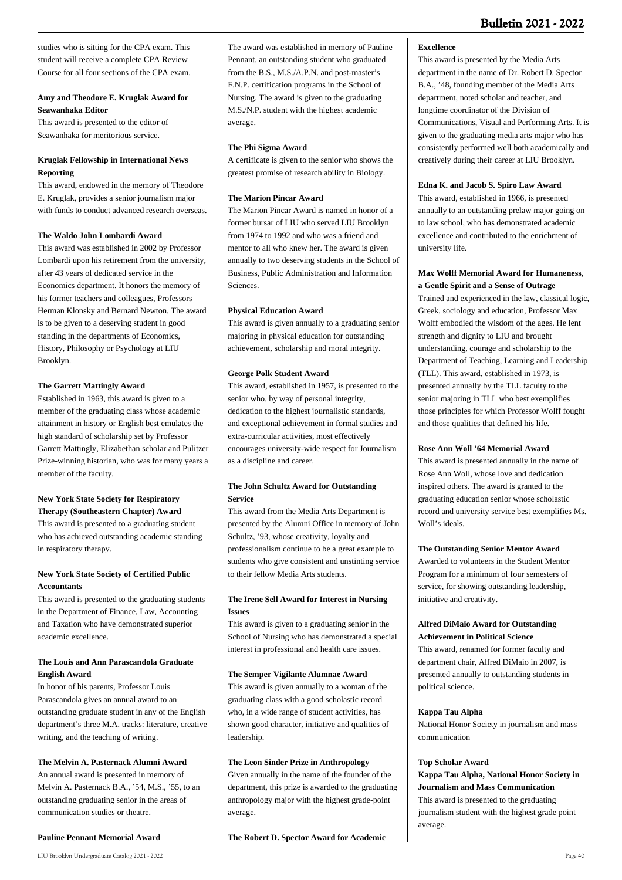studies who is sitting for the CPA exam. This student will receive a complete CPA Review Course for all four sections of the CPA exam.

### **Amy and Theodore E. Kruglak Award for Seawanhaka Editor**

This award is presented to the editor of Seawanhaka for meritorious service.

### **Kruglak Fellowship in International News Reporting**

This award, endowed in the memory of Theodore E. Kruglak, provides a senior journalism major with funds to conduct advanced research overseas.

### **The Waldo John Lombardi Award**

This award was established in 2002 by Professor Lombardi upon his retirement from the university, after 43 years of dedicated service in the Economics department. It honors the memory of his former teachers and colleagues, Professors Herman Klonsky and Bernard Newton. The award is to be given to a deserving student in good standing in the departments of Economics, History, Philosophy or Psychology at LIU Brooklyn.

#### **The Garrett Mattingly Award**

Established in 1963, this award is given to a member of the graduating class whose academic attainment in history or English best emulates the high standard of scholarship set by Professor Garrett Mattingly, Elizabethan scholar and Pulitzer Prize-winning historian, who was for many years a member of the faculty.

#### **New York State Society for Respiratory Therapy (Southeastern Chapter) Award**

This award is presented to a graduating student who has achieved outstanding academic standing in respiratory therapy.

### **New York State Society of Certified Public Accountants**

This award is presented to the graduating students in the Department of Finance, Law, Accounting and Taxation who have demonstrated superior academic excellence.

### **The Louis and Ann Parascandola Graduate English Award**

In honor of his parents, Professor Louis Parascandola gives an annual award to an outstanding graduate student in any of the English department's three M.A. tracks: literature, creative writing, and the teaching of writing.

#### **The Melvin A. Pasternack Alumni Award**

An annual award is presented in memory of Melvin A. Pasternack B.A., '54, M.S., '55, to an outstanding graduating senior in the areas of communication studies or theatre.

#### **Pauline Pennant Memorial Award**

The award was established in memory of Pauline Pennant, an outstanding student who graduated from the B.S., M.S./A.P.N. and post-master's F.N.P. certification programs in the School of Nursing. The award is given to the graduating M.S./N.P. student with the highest academic average.

#### **The Phi Sigma Award**

A certificate is given to the senior who shows the greatest promise of research ability in Biology.

#### **The Marion Pincar Award**

The Marion Pincar Award is named in honor of a former bursar of LIU who served LIU Brooklyn from 1974 to 1992 and who was a friend and mentor to all who knew her. The award is given annually to two deserving students in the School of Business, Public Administration and Information Sciences.

#### **Physical Education Award**

This award is given annually to a graduating senior majoring in physical education for outstanding achievement, scholarship and moral integrity.

### **George Polk Student Award**

This award, established in 1957, is presented to the senior who, by way of personal integrity, dedication to the highest journalistic standards, and exceptional achievement in formal studies and extra-curricular activities, most effectively encourages university-wide respect for Journalism as a discipline and career.

### **The John Schultz Award for Outstanding Service**

This award from the Media Arts Department is presented by the Alumni Office in memory of John Schultz, '93, whose creativity, loyalty and professionalism continue to be a great example to students who give consistent and unstinting service to their fellow Media Arts students.

### **The Irene Sell Award for Interest in Nursing Issues**

This award is given to a graduating senior in the School of Nursing who has demonstrated a special interest in professional and health care issues.

#### **The Semper Vigilante Alumnae Award**

This award is given annually to a woman of the graduating class with a good scholastic record who, in a wide range of student activities, has shown good character, initiative and qualities of leadership.

#### **The Leon Sinder Prize in Anthropology**

Given annually in the name of the founder of the department, this prize is awarded to the graduating anthropology major with the highest grade-point average.

**The Robert D. Spector Award for Academic**

#### **Excellence**

This award is presented by the Media Arts department in the name of Dr. Robert D. Spector B.A., '48, founding member of the Media Arts department, noted scholar and teacher, and longtime coordinator of the Division of Communications, Visual and Performing Arts. It is given to the graduating media arts major who has consistently performed well both academically and creatively during their career at LIU Brooklyn.

#### **Edna K. and Jacob S. Spiro Law Award**

This award, established in 1966, is presented annually to an outstanding prelaw major going on to law school, who has demonstrated academic excellence and contributed to the enrichment of university life.

#### **Max Wolff Memorial Award for Humaneness, a Gentle Spirit and a Sense of Outrage**

Trained and experienced in the law, classical logic, Greek, sociology and education, Professor Max Wolff embodied the wisdom of the ages. He lent strength and dignity to LIU and brought understanding, courage and scholarship to the Department of Teaching, Learning and Leadership (TLL). This award, established in 1973, is presented annually by the TLL faculty to the senior majoring in TLL who best exemplifies those principles for which Professor Wolff fought and those qualities that defined his life.

#### **Rose Ann Woll '64 Memorial Award**

This award is presented annually in the name of Rose Ann Woll, whose love and dedication inspired others. The award is granted to the graduating education senior whose scholastic record and university service best exemplifies Ms. Woll's ideals.

#### **The Outstanding Senior Mentor Award**

Awarded to volunteers in the Student Mentor Program for a minimum of four semesters of service, for showing outstanding leadership, initiative and creativity.

#### **Alfred DiMaio Award for Outstanding Achievement in Political Science**

This award, renamed for former faculty and department chair, Alfred DiMaio in 2007, is presented annually to outstanding students in political science.

#### **Kappa Tau Alpha**

National Honor Society in journalism and mass communication

#### **Top Scholar Award**

**Kappa Tau Alpha, National Honor Society in Journalism and Mass Communication** This award is presented to the graduating journalism student with the highest grade point average.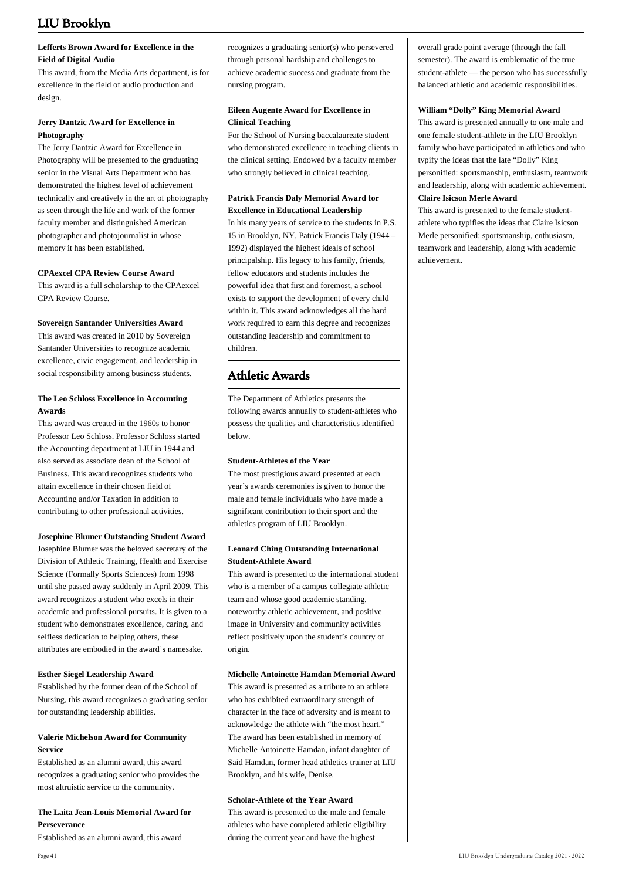### **Lefferts Brown Award for Excellence in the Field of Digital Audio**

This award, from the Media Arts department, is for excellence in the field of audio production and design.

### **Jerry Dantzic Award for Excellence in Photography**

The Jerry Dantzic Award for Excellence in Photography will be presented to the graduating senior in the Visual Arts Department who has demonstrated the highest level of achievement technically and creatively in the art of photography as seen through the life and work of the former faculty member and distinguished American photographer and photojournalist in whose memory it has been established.

### **CPAexcel CPA Review Course Award**

This award is a full scholarship to the CPAexcel CPA Review Course.

### **Sovereign Santander Universities Award**

This award was created in 2010 by Sovereign Santander Universities to recognize academic excellence, civic engagement, and leadership in social responsibility among business students.

### **The Leo Schloss Excellence in Accounting Awards**

This award was created in the 1960s to honor Professor Leo Schloss. Professor Schloss started the Accounting department at LIU in 1944 and also served as associate dean of the School of Business. This award recognizes students who attain excellence in their chosen field of Accounting and/or Taxation in addition to contributing to other professional activities.

### **Josephine Blumer Outstanding Student Award**

Josephine Blumer was the beloved secretary of the Division of Athletic Training, Health and Exercise Science (Formally Sports Sciences) from 1998 until she passed away suddenly in April 2009. This award recognizes a student who excels in their academic and professional pursuits. It is given to a student who demonstrates excellence, caring, and selfless dedication to helping others, these attributes are embodied in the award's namesake.

### **Esther Siegel Leadership Award**

Established by the former dean of the School of Nursing, this award recognizes a graduating senior for outstanding leadership abilities.

### **Valerie Michelson Award for Community Service**

Established as an alumni award, this award recognizes a graduating senior who provides the most altruistic service to the community.

### **The Laita Jean-Louis Memorial Award for Perseverance**

Established as an alumni award, this award

### **Eileen Augente Award for Excellence in Clinical Teaching**

For the School of Nursing baccalaureate student who demonstrated excellence in teaching clients in the clinical setting. Endowed by a faculty member who strongly believed in clinical teaching.

### **Patrick Francis Daly Memorial Award for Excellence in Educational Leadership**

In his many years of service to the students in P.S. 15 in Brooklyn, NY, Patrick Francis Daly (1944 – 1992) displayed the highest ideals of school principalship. His legacy to his family, friends, fellow educators and students includes the powerful idea that first and foremost, a school exists to support the development of every child within it. This award acknowledges all the hard work required to earn this degree and recognizes outstanding leadership and commitment to children.

# **Athletic Awards**

The Department of Athletics presents the following awards annually to student-athletes who possess the qualities and characteristics identified below.

### **Student-Athletes of the Year**

The most prestigious award presented at each year's awards ceremonies is given to honor the male and female individuals who have made a significant contribution to their sport and the athletics program of LIU Brooklyn.

### **Leonard Ching Outstanding International Student-Athlete Award**

This award is presented to the international student who is a member of a campus collegiate athletic team and whose good academic standing, noteworthy athletic achievement, and positive image in University and community activities reflect positively upon the student's country of origin

### **Michelle Antoinette Hamdan Memorial Award**

This award is presented as a tribute to an athlete who has exhibited extraordinary strength of character in the face of adversity and is meant to acknowledge the athlete with "the most heart." The award has been established in memory of Michelle Antoinette Hamdan, infant daughter of Said Hamdan, former head athletics trainer at LIU Brooklyn, and his wife, Denise.

### **Scholar-Athlete of the Year Award**

This award is presented to the male and female athletes who have completed athletic eligibility during the current year and have the highest

overall grade point average (through the fall semester). The award is emblematic of the true student-athlete — the person who has successfully balanced athletic and academic responsibilities.

### **William "Dolly" King Memorial Award**

This award is presented annually to one male and one female student-athlete in the LIU Brooklyn family who have participated in athletics and who typify the ideas that the late "Dolly" King personified: sportsmanship, enthusiasm, teamwork and leadership, along with academic achievement. **Claire Isicson Merle Award**

This award is presented to the female studentathlete who typifies the ideas that Claire Isicson Merle personified: sportsmanship, enthusiasm, teamwork and leadership, along with academic achievement.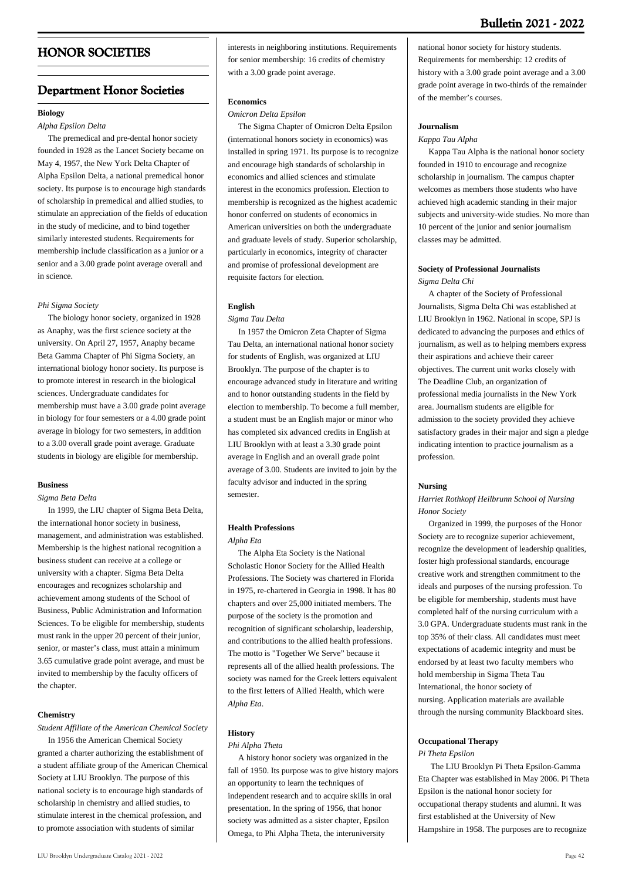# **HONOR SOCIETIES**

# **Department Honor Societies**

### **Biology**

### *Alpha Epsilon Delta*

 The premedical and pre-dental honor society founded in 1928 as the Lancet Society became on May 4, 1957, the New York Delta Chapter of Alpha Epsilon Delta, a national premedical honor society. Its purpose is to encourage high standards of scholarship in premedical and allied studies, to stimulate an appreciation of the fields of education in the study of medicine, and to bind together similarly interested students. Requirements for membership include classification as a junior or a senior and a 3.00 grade point average overall and in science.

#### *Phi Sigma Society*

 The biology honor society, organized in 1928 as Anaphy, was the first science society at the university. On April 27, 1957, Anaphy became Beta Gamma Chapter of Phi Sigma Society, an international biology honor society. Its purpose is to promote interest in research in the biological sciences. Undergraduate candidates for membership must have a 3.00 grade point average in biology for four semesters or a 4.00 grade point average in biology for two semesters, in addition to a 3.00 overall grade point average. Graduate students in biology are eligible for membership.

#### **Business**

#### *Sigma Beta Delta*

 In 1999, the LIU chapter of Sigma Beta Delta, the international honor society in business, management, and administration was established. Membership is the highest national recognition a business student can receive at a college or university with a chapter. Sigma Beta Delta encourages and recognizes scholarship and achievement among students of the School of Business, Public Administration and Information Sciences. To be eligible for membership, students must rank in the upper 20 percent of their junior, senior, or master's class, must attain a minimum 3.65 cumulative grade point average, and must be invited to membership by the faculty officers of the chapter.

#### **Chemistry**

*Student Affiliate of the American Chemical Society* In 1956 the American Chemical Society granted a charter authorizing the establishment of a student affiliate group of the American Chemical Society at LIU Brooklyn. The purpose of this national society is to encourage high standards of scholarship in chemistry and allied studies, to stimulate interest in the chemical profession, and to promote association with students of similar

interests in neighboring institutions. Requirements for senior membership: 16 credits of chemistry with a 3.00 grade point average.

#### **Economics**

#### *Omicron Delta Epsilon*

 The Sigma Chapter of Omicron Delta Epsilon (international honors society in economics) was installed in spring 1971. Its purpose is to recognize and encourage high standards of scholarship in economics and allied sciences and stimulate interest in the economics profession. Election to membership is recognized as the highest academic honor conferred on students of economics in American universities on both the undergraduate and graduate levels of study. Superior scholarship, particularly in economics, integrity of character and promise of professional development are requisite factors for election.

#### **English**

#### *Sigma Tau Delta*

 In 1957 the Omicron Zeta Chapter of Sigma Tau Delta, an international national honor society for students of English, was organized at LIU Brooklyn. The purpose of the chapter is to encourage advanced study in literature and writing and to honor outstanding students in the field by election to membership. To become a full member, a student must be an English major or minor who has completed six advanced credits in English at LIU Brooklyn with at least a 3.30 grade point average in English and an overall grade point average of 3.00. Students are invited to join by the faculty advisor and inducted in the spring semester.

#### **Health Professions**

#### *Alpha Eta*

 The Alpha Eta Society is the National Scholastic Honor Society for the Allied Health Professions. The Society was chartered in Florida in 1975, re-chartered in Georgia in 1998. It has 80 chapters and over 25,000 initiated members. The purpose of the society is the promotion and recognition of significant scholarship, leadership, and contributions to the allied health professions. The motto is "Together We Serve" because it represents all of the allied health professions. The society was named for the Greek letters equivalent to the first letters of Allied Health, which were *Alpha Eta*.

### **History**

#### *Phi Alpha Theta*

 A history honor society was organized in the fall of 1950. Its purpose was to give history majors an opportunity to learn the techniques of independent research and to acquire skills in oral presentation. In the spring of 1956, that honor society was admitted as a sister chapter, Epsilon Omega, to Phi Alpha Theta, the interuniversity

national honor society for history students. Requirements for membership: 12 credits of history with a 3.00 grade point average and a 3.00 grade point average in two-thirds of the remainder of the member's courses.

#### **Journalism**

#### *Kappa Tau Alpha*

 Kappa Tau Alpha is the national honor society founded in 1910 to encourage and recognize scholarship in journalism. The campus chapter welcomes as members those students who have achieved high academic standing in their major subjects and university-wide studies. No more than 10 percent of the junior and senior journalism classes may be admitted.

#### **Society of Professional Journalists** *Sigma Delta Chi*

 A chapter of the Society of Professional Journalists, Sigma Delta Chi was established at LIU Brooklyn in 1962. National in scope, SPJ is dedicated to advancing the purposes and ethics of journalism, as well as to helping members express their aspirations and achieve their career objectives. The current unit works closely with The Deadline Club, an organization of professional media journalists in the New York area. Journalism students are eligible for admission to the society provided they achieve satisfactory grades in their major and sign a pledge indicating intention to practice journalism as a profession.

#### **Nursing**

#### *Harriet Rothkopf Heilbrunn School of Nursing Honor Society*

 Organized in 1999, the purposes of the Honor Society are to recognize superior achievement, recognize the development of leadership qualities, foster high professional standards, encourage creative work and strengthen commitment to the ideals and purposes of the nursing profession. To be eligible for membership, students must have completed half of the nursing curriculum with a 3.0 GPA. Undergraduate students must rank in the top 35% of their class. All candidates must meet expectations of academic integrity and must be endorsed by at least two faculty members who hold membership in Sigma Theta Tau International, the honor society of nursing. Application materials are available through the nursing community Blackboard sites.

#### **Occupational Therapy**

#### *Pi Theta Epsilon*

 The LIU Brooklyn Pi Theta Epsilon-Gamma Eta Chapter was established in May 2006. Pi Theta Epsilon is the national honor society for occupational therapy students and alumni. It was first established at the University of New Hampshire in 1958. The purposes are to recognize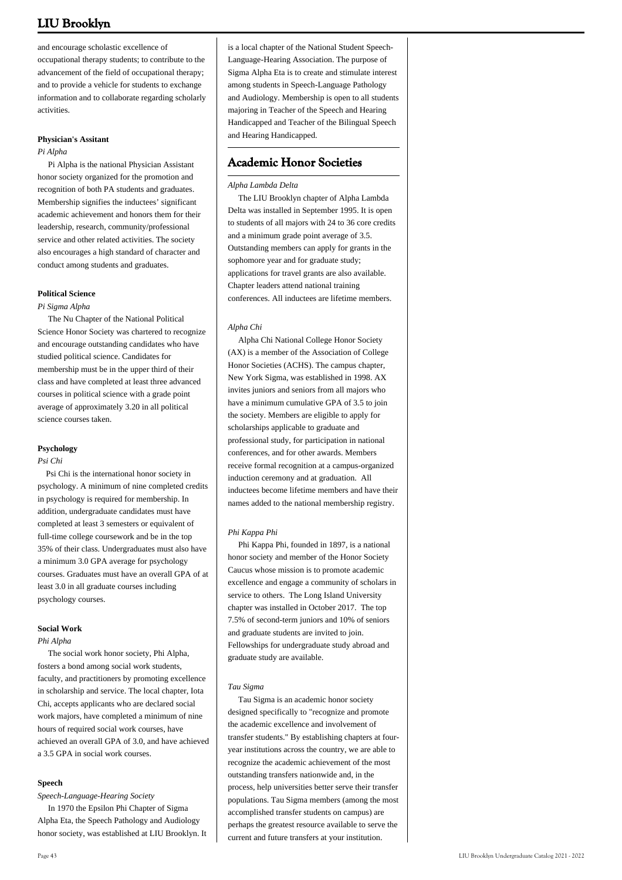and encourage scholastic excellence of occupational therapy students; to contribute to the advancement of the field of occupational therapy; and to provide a vehicle for students to exchange information and to collaborate regarding scholarly activities.

#### **Physician's Assitant**

#### *Pi Alpha*

 Pi Alpha is the national Physician Assistant honor society organized for the promotion and recognition of both PA students and graduates. Membership signifies the inductees' significant academic achievement and honors them for their leadership, research, community/professional service and other related activities. The society also encourages a high standard of character and conduct among students and graduates.

#### **Political Science**

#### *Pi Sigma Alpha*

 The Nu Chapter of the National Political Science Honor Society was chartered to recognize and encourage outstanding candidates who have studied political science. Candidates for membership must be in the upper third of their class and have completed at least three advanced courses in political science with a grade point average of approximately 3.20 in all political science courses taken.

#### **Psychology**

#### *Psi Chi*

 Psi Chi is the international honor society in psychology. A minimum of nine completed credits in psychology is required for membership. In addition, undergraduate candidates must have completed at least 3 semesters or equivalent of full-time college coursework and be in the top 35% of their class. Undergraduates must also have a minimum 3.0 GPA average for psychology courses. Graduates must have an overall GPA of at least 3.0 in all graduate courses including psychology courses.

#### **Social Work**

*Phi Alpha*

 The social work honor society, Phi Alpha, fosters a bond among social work students, faculty, and practitioners by promoting excellence in scholarship and service. The local chapter, Iota Chi, accepts applicants who are declared social work majors, have completed a minimum of nine hours of required social work courses, have achieved an overall GPA of 3.0, and have achieved a 3.5 GPA in social work courses.

#### **Speech**

#### *Speech-Language-Hearing Society*

 In 1970 the Epsilon Phi Chapter of Sigma Alpha Eta, the Speech Pathology and Audiology honor society, was established at LIU Brooklyn. It is a local chapter of the National Student Speech-Language-Hearing Association. The purpose of Sigma Alpha Eta is to create and stimulate interest among students in Speech-Language Pathology and Audiology. Membership is open to all students majoring in Teacher of the Speech and Hearing Handicapped and Teacher of the Bilingual Speech and Hearing Handicapped.

### **Academic Honor Societies**

#### *Alpha Lambda Delta*

 The LIU Brooklyn chapter of Alpha Lambda Delta was installed in September 1995. It is open to students of all majors with 24 to 36 core credits and a minimum grade point average of 3.5. Outstanding members can apply for grants in the sophomore year and for graduate study; applications for travel grants are also available. Chapter leaders attend national training conferences. All inductees are lifetime members.

#### *Alpha Chi*

 Alpha Chi National College Honor Society (AX) is a member of the Association of College Honor Societies (ACHS). The campus chapter, New York Sigma, was established in 1998. AX invites juniors and seniors from all majors who have a minimum cumulative GPA of 3.5 to join the society. Members are eligible to apply for scholarships applicable to graduate and professional study, for participation in national conferences, and for other awards. Members receive formal recognition at a campus-organized induction ceremony and at graduation. All inductees become lifetime members and have their names added to the national membership registry.

#### *Phi Kappa Phi*

 Phi Kappa Phi, founded in 1897, is a national honor society and member of the Honor Society Caucus whose mission is to promote academic excellence and engage a community of scholars in service to others. The Long Island University chapter was installed in October 2017. The top 7.5% of second-term juniors and 10% of seniors and graduate students are invited to join. Fellowships for undergraduate study abroad and graduate study are available.

#### *Tau Sigma*

 Tau Sigma is an academic honor society designed specifically to "recognize and promote the academic excellence and involvement of transfer students." By establishing chapters at fouryear institutions across the country, we are able to recognize the academic achievement of the most outstanding transfers nationwide and, in the process, help universities better serve their transfer populations. Tau Sigma members (among the most accomplished transfer students on campus) are perhaps the greatest resource available to serve the current and future transfers at your institution.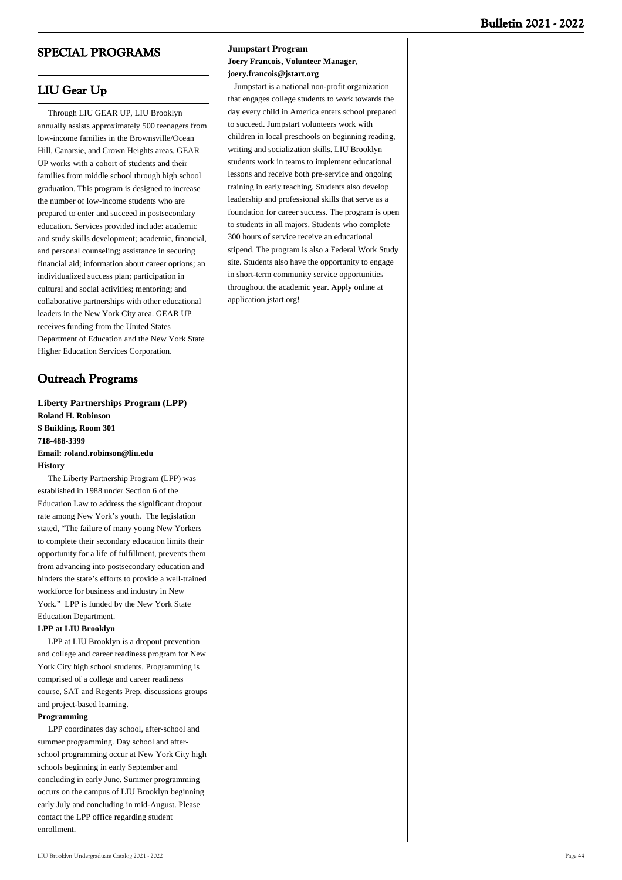# **SPECIAL PROGRAMS**

## **LIU Gear Up**

 Through LIU GEAR UP, LIU Brooklyn annually assists approximately 500 teenagers from low-income families in the Brownsville/Ocean Hill, Canarsie, and Crown Heights areas. GEAR UP works with a cohort of students and their families from middle school through high school graduation. This program is designed to increase the number of low-income students who are prepared to enter and succeed in postsecondary education. Services provided include: academic and study skills development; academic, financial, and personal counseling; assistance in securing financial aid; information about career options; an individualized success plan; participation in cultural and social activities; mentoring; and collaborative partnerships with other educational leaders in the New York City area. GEAR UP receives funding from the United States Department of Education and the New York State Higher Education Services Corporation.

# **Outreach Programs**

**Liberty Partnerships Program (LPP) Roland H. Robinson S Building, Room 301 718-488-3399 Email: roland.robinson@liu.edu History**

 The Liberty Partnership Program (LPP) was established in 1988 under Section 6 of the Education Law to address the significant dropout rate among New York's youth. The legislation stated, "The failure of many young New Yorkers to complete their secondary education limits their opportunity for a life of fulfillment, prevents them from advancing into postsecondary education and hinders the state's efforts to provide a well-trained workforce for business and industry in New York." LPP is funded by the New York State Education Department.

#### **LPP at LIU Brooklyn**

 LPP at LIU Brooklyn is a dropout prevention and college and career readiness program for New York City high school students. Programming is comprised of a college and career readiness course, SAT and Regents Prep, discussions groups and project-based learning.

#### **Programming**

 LPP coordinates day school, after-school and summer programming. Day school and afterschool programming occur at New York City high schools beginning in early September and concluding in early June. Summer programming occurs on the campus of LIU Brooklyn beginning early July and concluding in mid-August. Please contact the LPP office regarding student enrollment.

#### **Jumpstart Program**

**Joery Francois, Volunteer Manager, joery.francois@jstart.org**

 Jumpstart is a national non-profit organization that engages college students to work towards the day every child in America enters school prepared to succeed. Jumpstart volunteers work with children in local preschools on beginning reading, writing and socialization skills. LIU Brooklyn students work in teams to implement educational lessons and receive both pre-service and ongoing training in early teaching. Students also develop leadership and professional skills that serve as a foundation for career success. The program is open to students in all majors. Students who complete 300 hours of service receive an educational stipend. The program is also a Federal Work Study site. Students also have the opportunity to engage in short-term community service opportunities throughout the academic year. Apply online at application.jstart.org!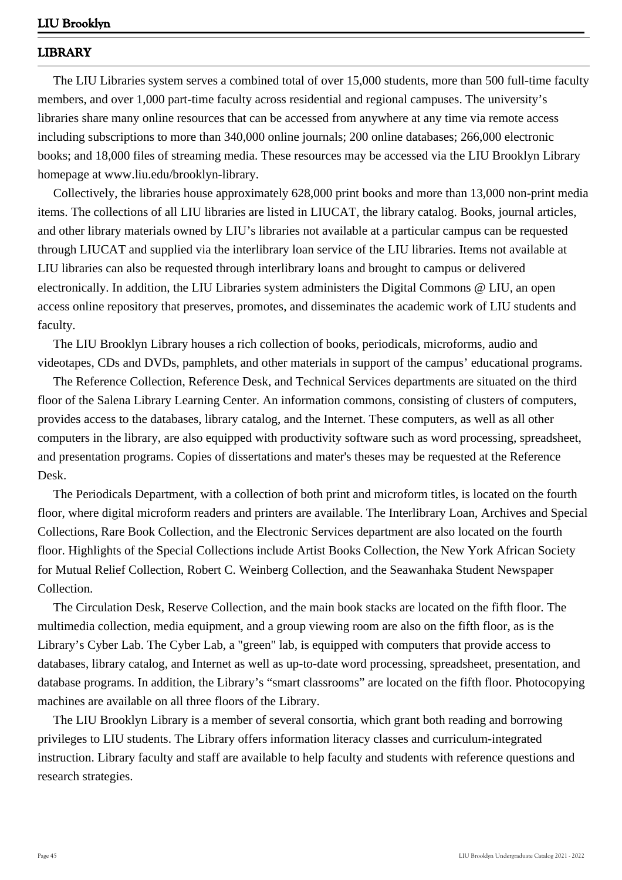# **LIBRARY**

 The LIU Libraries system serves a combined total of over 15,000 students, more than 500 full-time faculty members, and over 1,000 part-time faculty across residential and regional campuses. The university's libraries share many online resources that can be accessed from anywhere at any time via remote access including subscriptions to more than 340,000 online journals; 200 online databases; 266,000 electronic books; and 18,000 files of streaming media. These resources may be accessed via the LIU Brooklyn Library homepage at www.liu.edu/brooklyn-library.

 Collectively, the libraries house approximately 628,000 print books and more than 13,000 non-print media items. The collections of all LIU libraries are listed in LIUCAT, the library catalog. Books, journal articles, and other library materials owned by LIU's libraries not available at a particular campus can be requested through LIUCAT and supplied via the interlibrary loan service of the LIU libraries. Items not available at LIU libraries can also be requested through interlibrary loans and brought to campus or delivered electronically. In addition, the LIU Libraries system administers the Digital Commons @ LIU, an open access online repository that preserves, promotes, and disseminates the academic work of LIU students and faculty.

 The LIU Brooklyn Library houses a rich collection of books, periodicals, microforms, audio and videotapes, CDs and DVDs, pamphlets, and other materials in support of the campus' educational programs.

 The Reference Collection, Reference Desk, and Technical Services departments are situated on the third floor of the Salena Library Learning Center. An information commons, consisting of clusters of computers, provides access to the databases, library catalog, and the Internet. These computers, as well as all other computers in the library, are also equipped with productivity software such as word processing, spreadsheet, and presentation programs. Copies of dissertations and mater's theses may be requested at the Reference Desk.

 The Periodicals Department, with a collection of both print and microform titles, is located on the fourth floor, where digital microform readers and printers are available. The Interlibrary Loan, Archives and Special Collections, Rare Book Collection, and the Electronic Services department are also located on the fourth floor. Highlights of the Special Collections include Artist Books Collection, the New York African Society for Mutual Relief Collection, Robert C. Weinberg Collection, and the Seawanhaka Student Newspaper Collection.

 The Circulation Desk, Reserve Collection, and the main book stacks are located on the fifth floor. The multimedia collection, media equipment, and a group viewing room are also on the fifth floor, as is the Library's Cyber Lab. The Cyber Lab, a "green" lab, is equipped with computers that provide access to databases, library catalog, and Internet as well as up-to-date word processing, spreadsheet, presentation, and database programs. In addition, the Library's "smart classrooms" are located on the fifth floor. Photocopying machines are available on all three floors of the Library.

 The LIU Brooklyn Library is a member of several consortia, which grant both reading and borrowing privileges to LIU students. The Library offers information literacy classes and curriculum-integrated instruction. Library faculty and staff are available to help faculty and students with reference questions and research strategies.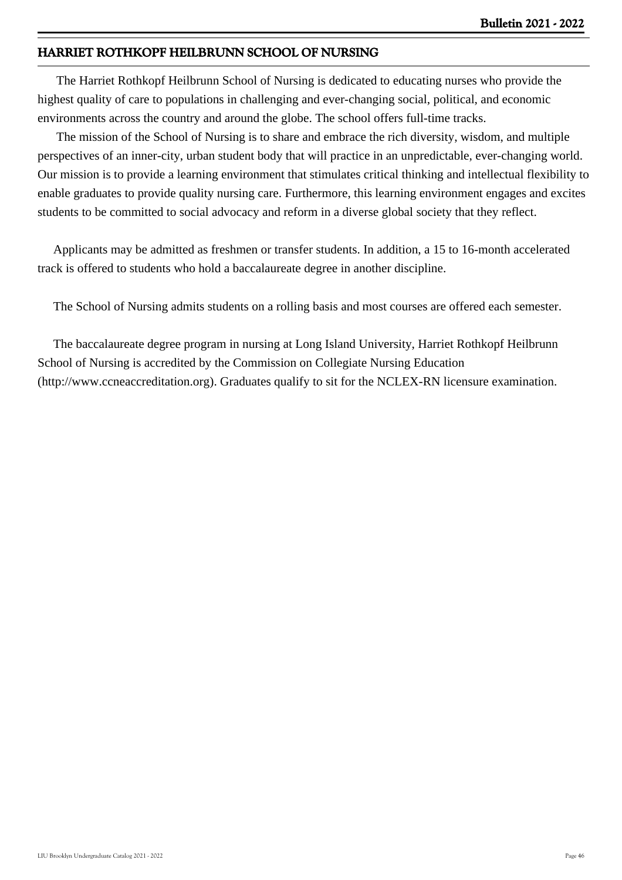# **HARRIET ROTHKOPF HEILBRUNN SCHOOL OF NURSING**

 The Harriet Rothkopf Heilbrunn School of Nursing is dedicated to educating nurses who provide the highest quality of care to populations in challenging and ever-changing social, political, and economic environments across the country and around the globe. The school offers full-time tracks.

 The mission of the School of Nursing is to share and embrace the rich diversity, wisdom, and multiple perspectives of an inner-city, urban student body that will practice in an unpredictable, ever-changing world. Our mission is to provide a learning environment that stimulates critical thinking and intellectual flexibility to enable graduates to provide quality nursing care. Furthermore, this learning environment engages and excites students to be committed to social advocacy and reform in a diverse global society that they reflect.

 Applicants may be admitted as freshmen or transfer students. In addition, a 15 to 16-month accelerated track is offered to students who hold a baccalaureate degree in another discipline.

The School of Nursing admits students on a rolling basis and most courses are offered each semester.

 The baccalaureate degree program in nursing at Long Island University, Harriet Rothkopf Heilbrunn School of Nursing is accredited by the Commission on Collegiate Nursing Education (http://www.ccneaccreditation.org). Graduates qualify to sit for the NCLEX-RN licensure examination.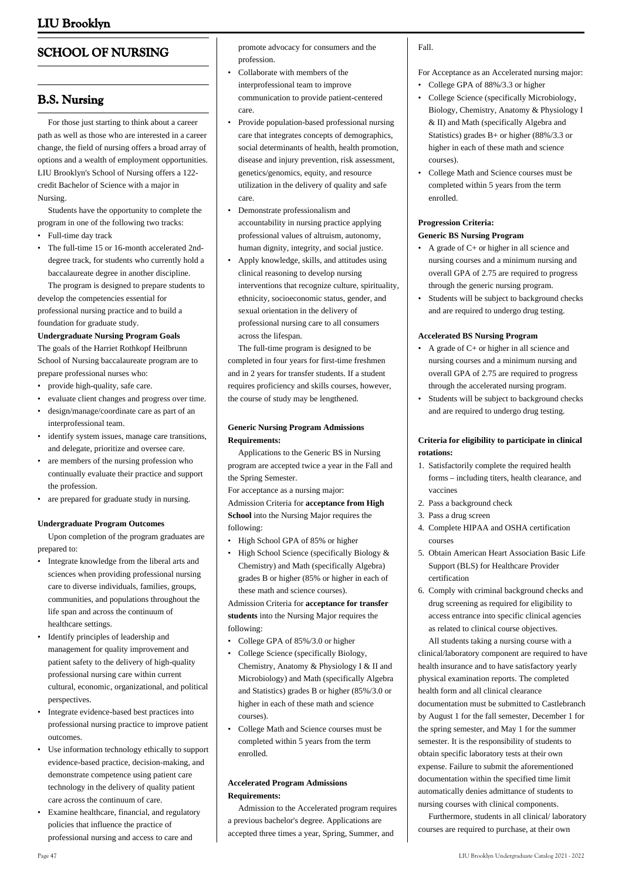# **SCHOOL OF NURSING**

## **B.S. Nursing**

 For those just starting to think about a career path as well as those who are interested in a career change, the field of nursing offers a broad array of options and a wealth of employment opportunities. LIU Brooklyn's School of Nursing offers a 122 credit Bachelor of Science with a major in Nursing.

 Students have the opportunity to complete the program in one of the following two tracks:

- Full-time day track
- The full-time 15 or 16-month accelerated 2nddegree track, for students who currently hold a baccalaureate degree in another discipline.

 The program is designed to prepare students to develop the competencies essential for professional nursing practice and to build a foundation for graduate study.

#### **Undergraduate Nursing Program Goals**

The goals of the Harriet Rothkopf Heilbrunn School of Nursing baccalaureate program are to prepare professional nurses who:

- provide high-quality, safe care.
- evaluate client changes and progress over time.
- design/manage/coordinate care as part of an interprofessional team.
- identify system issues, manage care transitions, and delegate, prioritize and oversee care.
- are members of the nursing profession who continually evaluate their practice and support the profession.
- are prepared for graduate study in nursing.

#### **Undergraduate Program Outcomes**

 Upon completion of the program graduates are prepared to:

- Integrate knowledge from the liberal arts and sciences when providing professional nursing care to diverse individuals, families, groups, communities, and populations throughout the life span and across the continuum of healthcare settings.
- Identify principles of leadership and management for quality improvement and patient safety to the delivery of high-quality professional nursing care within current cultural, economic, organizational, and political perspectives.
- Integrate evidence-based best practices into professional nursing practice to improve patient outcomes. •
- Use information technology ethically to support evidence-based practice, decision-making, and demonstrate competence using patient care technology in the delivery of quality patient care across the continuum of care.
- Examine healthcare, financial, and regulatory policies that influence the practice of professional nursing and access to care and

promote advocacy for consumers and the profession.

- Collaborate with members of the interprofessional team to improve communication to provide patient-centered care. •
- Provide population-based professional nursing care that integrates concepts of demographics, social determinants of health, health promotion, disease and injury prevention, risk assessment, genetics/genomics, equity, and resource utilization in the delivery of quality and safe care. •
- Demonstrate professionalism and accountability in nursing practice applying professional values of altruism, autonomy, human dignity, integrity, and social justice. •
- Apply knowledge, skills, and attitudes using clinical reasoning to develop nursing interventions that recognize culture, spirituality, ethnicity, socioeconomic status, gender, and sexual orientation in the delivery of professional nursing care to all consumers across the lifespan. •

 The full-time program is designed to be completed in four years for first-time freshmen and in 2 years for transfer students. If a student requires proficiency and skills courses, however, the course of study may be lengthened.

### **Generic Nursing Program Admissions Requirements:**

 Applications to the Generic BS in Nursing program are accepted twice a year in the Fall and the Spring Semester.

For acceptance as a nursing major: Admission Criteria for **acceptance from High School** into the Nursing Major requires the following:

- High School GPA of 85% or higher
- High School Science (specifically Biology & Chemistry) and Math (specifically Algebra) grades B or higher (85% or higher in each of these math and science courses).

Admission Criteria for **acceptance for transfer students** into the Nursing Major requires the following:

- College GPA of 85%/3.0 or higher
- College Science (specifically Biology, Chemistry, Anatomy & Physiology I & II and Microbiology) and Math (specifically Algebra and Statistics) grades B or higher (85%/3.0 or higher in each of these math and science courses).
- College Math and Science courses must be completed within 5 years from the term enrolled. •

### **Accelerated Program Admissions Requirements:**

 Admission to the Accelerated program requires a previous bachelor's degree. Applications are accepted three times a year, Spring, Summer, and

### Fall.

For Acceptance as an Accelerated nursing major:

- College GPA of 88%/3.3 or higher
- College Science (specifically Microbiology, Biology, Chemistry, Anatomy & Physiology I & II) and Math (specifically Algebra and Statistics) grades B+ or higher (88%/3.3 or higher in each of these math and science courses).
- College Math and Science courses must be completed within 5 years from the term enrolled. •

### **Progression Criteria:**

### **Generic BS Nursing Program**

- A grade of C+ or higher in all science and nursing courses and a minimum nursing and overall GPA of 2.75 are required to progress through the generic nursing program.
- Students will be subject to background checks and are required to undergo drug testing. •

### **Accelerated BS Nursing Program**

- A grade of C+ or higher in all science and nursing courses and a minimum nursing and overall GPA of 2.75 are required to progress through the accelerated nursing program.
- Students will be subject to background checks and are required to undergo drug testing. •

### **Criteria for eligibility to participate in clinical rotations:**

- 1. Satisfactorily complete the required health forms – including titers, health clearance, and vaccines
- 2. Pass a background check
- 3. Pass a drug screen
- 4. Complete HIPAA and OSHA certification courses
- 5. Obtain American Heart Association Basic Life Support (BLS) for Healthcare Provider certification
- 6. Comply with criminal background checks and drug screening as required for eligibility to access entrance into specific clinical agencies as related to clinical course objectives. All students taking a nursing course with a

clinical/laboratory component are required to have health insurance and to have satisfactory yearly physical examination reports. The completed health form and all clinical clearance documentation must be submitted to Castlebranch by August 1 for the fall semester, December 1 for the spring semester, and May 1 for the summer semester. It is the responsibility of students to obtain specific laboratory tests at their own expense. Failure to submit the aforementioned documentation within the specified time limit automatically denies admittance of students to nursing courses with clinical components.

 Furthermore, students in all clinical/ laboratory courses are required to purchase, at their own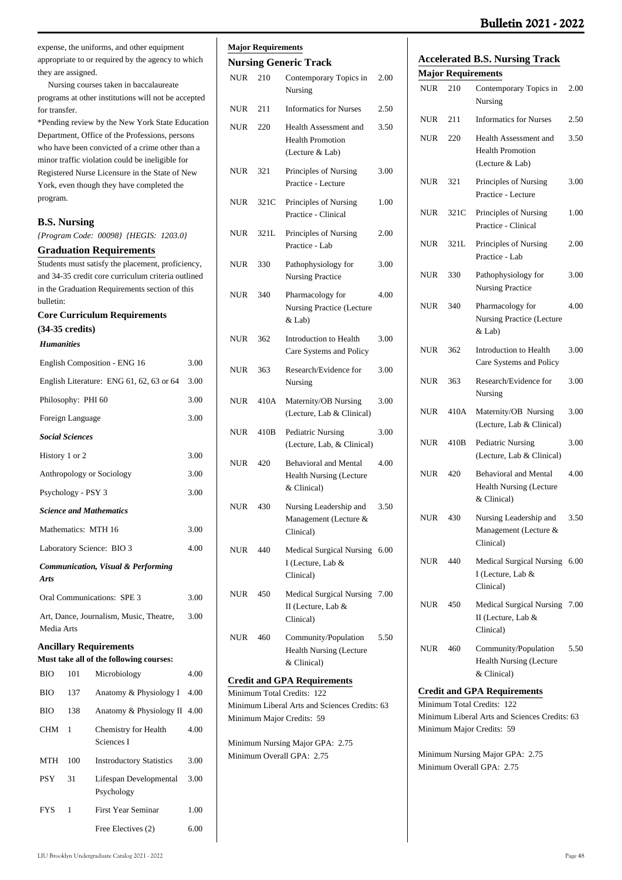## **Bulletin 2021 - 2022**

expense, the uniforms, and other equipment appropriate to or required by the agency to which they are assigned.

 Nursing courses taken in baccalaureate programs at other institutions will not be accepted for transfer.

\*Pending review by the New York State Education Department, Office of the Professions, persons who have been convicted of a crime other than a minor traffic violation could be ineligible for Registered Nurse Licensure in the State of New York, even though they have completed the program.

| <b>B.S. Nursing</b>       |                        |                                                                                                                                                           |      |
|---------------------------|------------------------|-----------------------------------------------------------------------------------------------------------------------------------------------------------|------|
|                           |                        | {Program Code: 00098} {HEGIS: 1203.0}                                                                                                                     |      |
|                           |                        | <b>Graduation Requirements</b>                                                                                                                            |      |
| bulletin:                 |                        | Students must satisfy the placement, proficiency,<br>and 34-35 credit core curriculum criteria outlined<br>in the Graduation Requirements section of this |      |
|                           |                        | <b>Core Curriculum Requirements</b>                                                                                                                       |      |
| $(34-35 \text{ credits})$ |                        |                                                                                                                                                           |      |
| <b>Humanities</b>         |                        |                                                                                                                                                           |      |
|                           |                        | English Composition - ENG 16                                                                                                                              | 3.00 |
|                           |                        | English Literature: ENG 61, 62, 63 or 64                                                                                                                  | 3.00 |
|                           | Philosophy: PHI 60     |                                                                                                                                                           | 3.00 |
|                           | Foreign Language       |                                                                                                                                                           | 3.00 |
|                           | <b>Social Sciences</b> |                                                                                                                                                           |      |
| History 1 or 2            |                        |                                                                                                                                                           | 3.00 |
| Anthropology or Sociology | 3.00                   |                                                                                                                                                           |      |
|                           | Psychology - PSY 3     |                                                                                                                                                           | 3.00 |
|                           |                        | <b>Science and Mathematics</b>                                                                                                                            |      |
|                           | Mathematics: MTH 16    |                                                                                                                                                           | 3.00 |
|                           |                        | Laboratory Science: BIO 3                                                                                                                                 | 4.00 |
| Arts                      |                        | <b>Communication, Visual &amp; Performing</b>                                                                                                             |      |
|                           |                        | Oral Communications: SPE 3                                                                                                                                | 3.00 |
| Media Arts                |                        | Art, Dance, Journalism, Music, Theatre,                                                                                                                   | 3.00 |
|                           |                        | <b>Ancillary Requirements</b>                                                                                                                             |      |
|                           |                        | Must take all of the following courses:                                                                                                                   |      |
| <b>BIO</b>                | -- 101                 | Microbiology                                                                                                                                              | 4.00 |
| ВЮ                        | 137                    | Anatomy & Physiology I                                                                                                                                    | 4.00 |
| <b>BIO</b>                | 138                    | Anatomy & Physiology II                                                                                                                                   | 4.00 |
| CHM                       | 1                      | Chemistry for Health<br>Sciences I                                                                                                                        | 4.00 |
| MTH                       | 100                    | <b>Instroductory Statistics</b>                                                                                                                           | 3.00 |
| <b>PSY</b>                | 31                     | Lifespan Developmental<br>Psychology                                                                                                                      | 3.00 |
| FYS                       | 1                      | <b>First Year Seminar</b>                                                                                                                                 | 1.00 |
|                           |                        | Free Electives (2)                                                                                                                                        | 6.00 |
|                           |                        |                                                                                                                                                           |      |

# **Major Requirements**

### **Nursing Generic Track**

| NUR        | 210  | Contemporary Topics in<br>Nursing                                              | 2.00 |
|------------|------|--------------------------------------------------------------------------------|------|
| <b>NUR</b> | 211  | <b>Informatics for Nurses</b>                                                  | 2.50 |
| <b>NUR</b> | 220  | Health Assessment and<br><b>Health Promotion</b><br>(Lecture & Lab)            | 3.50 |
| <b>NUR</b> | 321  | Principles of Nursing<br>Practice - Lecture                                    | 3.00 |
| <b>NUR</b> | 321C | Principles of Nursing<br>Practice - Clinical                                   | 1.00 |
| <b>NUR</b> | 321L | Principles of Nursing<br>Practice - Lab                                        | 2.00 |
| <b>NUR</b> | 330  | Pathophysiology for<br><b>Nursing Practice</b>                                 | 3.00 |
| <b>NUR</b> | 340  | Pharmacology for<br><b>Nursing Practice (Lecture</b><br>& Lab)                 | 4.00 |
| <b>NUR</b> | 362  | Introduction to Health<br>Care Systems and Policy                              | 3.00 |
| <b>NUR</b> | 363  | Research/Evidence for<br>Nursing                                               | 3.00 |
| <b>NUR</b> | 410A | Maternity/OB Nursing<br>(Lecture, Lab & Clinical)                              | 3.00 |
| <b>NUR</b> | 410B | Pediatric Nursing<br>(Lecture, Lab, & Clinical)                                | 3.00 |
| <b>NUR</b> | 420  | <b>Behavioral and Mental</b><br><b>Health Nursing (Lecture</b><br>& Clinical)  | 4.00 |
| <b>NUR</b> | 430  | Nursing Leadership and<br>Management (Lecture &<br>Clinical)                   | 3.50 |
| NUR        | 440  | Medical Surgical Nursing<br>I (Lecture, Lab &<br>Clinical)                     | 6.00 |
| NUR        | 450  | <b>Medical Surgical Nursing</b><br>II (Lecture, Lab &<br>Clinical)             | 7.00 |
| NUR        | 460  | Community/Population<br>Health Nursing (Lecture<br>& Clinical)                 | 5.50 |
|            |      | <b>Credit and GPA Requirements</b>                                             |      |
|            |      | Minimum Total Credits:<br>122<br>Minimum Liberal Arts and Sciences Credits: 63 |      |
|            |      | Minimum Major Credits: 59                                                      |      |

Minimum Nursing Major GPA: 2.75

Minimum Overall GPA: 2.75

| <b>Accelerated B.S. Nursing Track</b> |     |                                   |      |  |
|---------------------------------------|-----|-----------------------------------|------|--|
|                                       |     | <b>Major Requirements</b>         |      |  |
| NUR                                   | 210 | Contemporary Topics in<br>Nursing | 2.00 |  |
| NUR                                   | 211 | Informatics for Nurses            | 2.50 |  |
| NHR                                   | 220 | Health Assessment and             | 3.50 |  |

|            |      | <b>Health Promotion</b><br>(Lecture & Lab)                             |      |
|------------|------|------------------------------------------------------------------------|------|
| <b>NUR</b> | 321  | Principles of Nursing<br>Practice - Lecture                            | 3.00 |
| NUR        | 321C | Principles of Nursing<br>Practice - Clinical                           | 1.00 |
| NUR        | 321L | Principles of Nursing<br>Practice - Lab                                | 2.00 |
| <b>NUR</b> | 330  | Pathophysiology for<br><b>Nursing Practice</b>                         | 3.00 |
| <b>NUR</b> | 340  | Pharmacology for<br><b>Nursing Practice (Lecture</b><br>& Lab)         | 4.00 |
| NUR        | 362  | Introduction to Health<br>Care Systems and Policy                      | 3.00 |
| NUR        | 363  | Research/Evidence for<br>Nursing                                       | 3.00 |
| <b>NUR</b> | 410A | Maternity/OB Nursing<br>(Lecture, Lab & Clinical)                      | 3.00 |
| <b>NUR</b> | 410B | Pediatric Nursing<br>(Lecture, Lab & Clinical)                         | 3.00 |
| NUR        | 420  | <b>Behavioral and Mental</b><br>Health Nursing (Lecture<br>& Clinical) | 4.00 |
| NUR        | 430  | Nursing Leadership and<br>Management (Lecture &<br>Clinical)           | 3.50 |
| <b>NUR</b> | 440  | <b>Medical Surgical Nursing</b><br>I (Lecture, Lab &<br>Clinical)      | 6.00 |
| <b>NUR</b> | 450  | Medical Surgical Nursing<br>II (Lecture, Lab &<br>Clinical)            | 7.00 |
| <b>NUR</b> | 460  | Community/Population<br><b>Health Nursing (Lecture</b>                 | 5.50 |

## **Credit and GPA Requirements**

Minimum Total Credits: 122 Minimum Liberal Arts and Sciences Credits: 63 Minimum Major Credits: 59

& Clinical)

Minimum Nursing Major GPA: 2.75 Minimum Overall GPA: 2.75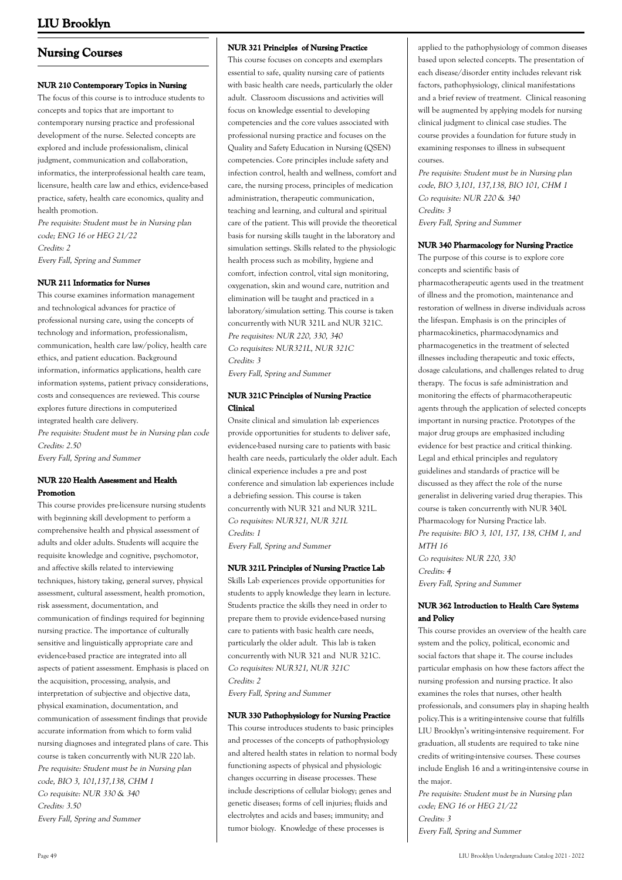# **Nursing Courses**

### **NUR 210 Contemporary Topics in Nursing**

The focus of this course is to introduce students to concepts and topics that are important to contemporary nursing practice and professional development of the nurse. Selected concepts are explored and include professionalism, clinical judgment, communication and collaboration, informatics, the interprofessional health care team, licensure, health care law and ethics, evidence-based practice, safety, health care economics, quality and health promotion.

Pre requisite: Student must be in Nursing plan code; ENG 16 or HEG 21/22 Credits: 2 Every Fall, Spring and Summer

### **NUR 211 Informatics for Nurses**

This course examines information management and technological advances for practice of professional nursing care, using the concepts of technology and information, professionalism, communication, health care law/policy, health care ethics, and patient education. Background information, informatics applications, health care information systems, patient privacy considerations, costs and consequences are reviewed. This course explores future directions in computerized integrated health care delivery. Pre requisite: Student must be in Nursing plan code Credits: 2.50

Every Fall, Spring and Summer

### **NUR 220 Health Assessment and Health Promotion**

This course provides pre-licensure nursing students with beginning skill development to perform a comprehensive health and physical assessment of adults and older adults. Students will acquire the requisite knowledge and cognitive, psychomotor, and affective skills related to interviewing techniques, history taking, general survey, physical assessment, cultural assessment, health promotion, risk assessment, documentation, and communication of findings required for beginning nursing practice. The importance of culturally sensitive and linguistically appropriate care and evidence-based practice are integrated into all aspects of patient assessment. Emphasis is placed on the acquisition, processing, analysis, and interpretation of subjective and objective data, physical examination, documentation, and communication of assessment findings that provide accurate information from which to form valid nursing diagnoses and integrated plans of care. This course is taken concurrently with NUR 220 lab. Pre requisite: Student must be in Nursing plan code, BIO 3, 101,137,138, CHM 1 Co requisite: NUR 330 & 340 Credits: 3.50 Every Fall, Spring and Summer

#### **NUR 321 Principles of Nursing Practice**

This course focuses on concepts and exemplars essential to safe, quality nursing care of patients with basic health care needs, particularly the older adult. Classroom discussions and activities will focus on knowledge essential to developing competencies and the core values associated with professional nursing practice and focuses on the Quality and Safety Education in Nursing (QSEN) competencies. Core principles include safety and infection control, health and wellness, comfort and care, the nursing process, principles of medication administration, therapeutic communication, teaching and learning, and cultural and spiritual care of the patient. This will provide the theoretical basis for nursing skills taught in the laboratory and simulation settings. Skills related to the physiologic health process such as mobility, hygiene and comfort, infection control, vital sign monitoring, oxygenation, skin and wound care, nutrition and elimination will be taught and practiced in a laboratory/simulation setting. This course is taken concurrently with NUR 321L and NUR 321C. Pre requisites: NUR 220, 330, 340 Co requisites: NUR321L, NUR 321C Credits: 3

Every Fall, Spring and Summer

### **NUR 321C Principles of Nursing Practice Clinical**

Onsite clinical and simulation lab experiences provide opportunities for students to deliver safe, evidence-based nursing care to patients with basic health care needs, particularly the older adult. Each clinical experience includes a pre and post conference and simulation lab experiences include a debriefing session. This course is taken concurrently with NUR 321 and NUR 321L. Co requisites: NUR321, NUR 321L Credits: 1

Every Fall, Spring and Summer

#### **NUR 321L Principles of Nursing Practice Lab**

Skills Lab experiences provide opportunities for students to apply knowledge they learn in lecture. Students practice the skills they need in order to prepare them to provide evidence-based nursing care to patients with basic health care needs, particularly the older adult. This lab is taken concurrently with NUR 321 and NUR 321C. Co requisites: NUR321, NUR 321C Credits: 2

Every Fall, Spring and Summer

#### **NUR 330 Pathophysiology for Nursing Practice**

This course introduces students to basic principles and processes of the concepts of pathophysiology and altered health states in relation to normal body functioning aspects of physical and physiologic changes occurring in disease processes. These include descriptions of cellular biology; genes and genetic diseases; forms of cell injuries; fluids and electrolytes and acids and bases; immunity; and tumor biology. Knowledge of these processes is

applied to the pathophysiology of common diseases based upon selected concepts. The presentation of each disease/disorder entity includes relevant risk factors, pathophysiology, clinical manifestations and a brief review of treatment. Clinical reasoning will be augmented by applying models for nursing clinical judgment to clinical case studies. The course provides a foundation for future study in examining responses to illness in subsequent courses.

Pre requisite: Student must be in Nursing plan code, BIO 3,101, 137,138, BIO 101, CHM 1 Co requisite: NUR 220 & 340 Credits: 3 Every Fall, Spring and Summer

#### **NUR 340 Pharmacology for Nursing Practice**

The purpose of this course is to explore core concepts and scientific basis of pharmacotherapeutic agents used in the treatment of illness and the promotion, maintenance and restoration of wellness in diverse individuals across the lifespan. Emphasis is on the principles of pharmacokinetics, pharmacodynamics and pharmacogenetics in the treatment of selected illnesses including therapeutic and toxic effects, dosage calculations, and challenges related to drug therapy. The focus is safe administration and monitoring the effects of pharmacotherapeutic agents through the application of selected concepts important in nursing practice. Prototypes of the major drug groups are emphasized including evidence for best practice and critical thinking. Legal and ethical principles and regulatory guidelines and standards of practice will be discussed as they affect the role of the nurse generalist in delivering varied drug therapies. This course is taken concurrently with NUR 340L Pharmacology for Nursing Practice lab. Pre requisite: BIO 3, 101, 137, 138, CHM 1, and MTH 16 Co requisites: NUR 220, 330 Credits: 4

Every Fall, Spring and Summer

### **NUR 362 Introduction to Health Care Systems and Policy**

This course provides an overview of the health care system and the policy, political, economic and social factors that shape it. The course includes particular emphasis on how these factors affect the nursing profession and nursing practice. It also examines the roles that nurses, other health professionals, and consumers play in shaping health policy.This is a writing-intensive course that fulfills LIU Brooklyn's writing-intensive requirement. For graduation, all students are required to take nine credits of writing-intensive courses. These courses include English 16 and a writing-intensive course in the major.

Pre requisite: Student must be in Nursing plan code; ENG 16 or HEG 21/22 Credits: 3 Every Fall, Spring and Summer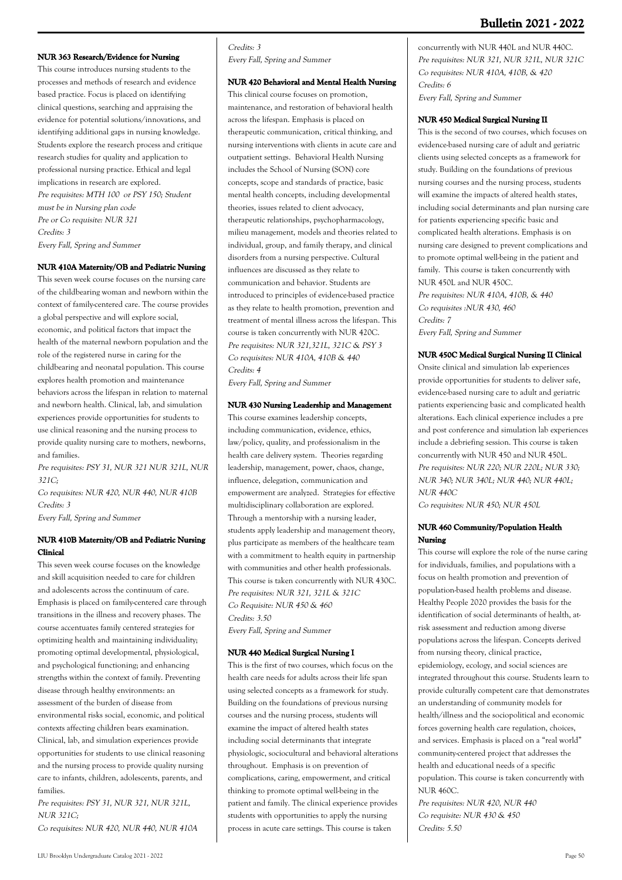# **Bulletin 2021 - 2022**

### **NUR 363 Research/Evidence for Nursing**

This course introduces nursing students to the processes and methods of research and evidence based practice. Focus is placed on identifying clinical questions, searching and appraising the evidence for potential solutions/innovations, and identifying additional gaps in nursing knowledge. Students explore the research process and critique research studies for quality and application to professional nursing practice. Ethical and legal implications in research are explored. Pre requisites: MTH 100 or PSY 150; Student must be in Nursing plan code Pre or Co requisite: NUR 321 Credits: 3 Every Fall, Spring and Summer

### **NUR 410A Maternity/OB and Pediatric Nursing**

This seven week course focuses on the nursing care of the childbearing woman and newborn within the context of family-centered care. The course provides a global perspective and will explore social, economic, and political factors that impact the health of the maternal newborn population and the role of the registered nurse in caring for the childbearing and neonatal population. This course explores health promotion and maintenance behaviors across the lifespan in relation to maternal and newborn health. Clinical, lab, and simulation experiences provide opportunities for students to use clinical reasoning and the nursing process to provide quality nursing care to mothers, newborns, and families.

Pre requisites: PSY 31, NUR 321 NUR 321L, NUR 321C;

Co requisites: NUR 420, NUR 440, NUR 410B Credits: 3

Every Fall, Spring and Summer

### **NUR 410B Maternity/OB and Pediatric Nursing Clinical**

This seven week course focuses on the knowledge and skill acquisition needed to care for children and adolescents across the continuum of care. Emphasis is placed on family-centered care through transitions in the illness and recovery phases. The course accentuates family centered strategies for optimizing health and maintaining individuality; promoting optimal developmental, physiological, and psychological functioning; and enhancing strengths within the context of family. Preventing disease through healthy environments: an assessment of the burden of disease from environmental risks social, economic, and political contexts affecting children bears examination. Clinical, lab, and simulation experiences provide opportunities for students to use clinical reasoning and the nursing process to provide quality nursing care to infants, children, adolescents, parents, and families.

Pre requisites: PSY 31, NUR 321, NUR 321L, NUR 321C;

Co requisites: NUR 420, NUR 440, NUR 410A

#### Credits: 3 Every Fall, Spring and Summer

**NUR 420 Behavioral and Mental Health Nursing**

This clinical course focuses on promotion, maintenance, and restoration of behavioral health across the lifespan. Emphasis is placed on therapeutic communication, critical thinking, and nursing interventions with clients in acute care and outpatient settings. Behavioral Health Nursing includes the School of Nursing (SON) core concepts, scope and standards of practice, basic mental health concepts, including developmental theories, issues related to client advocacy, therapeutic relationships, psychopharmacology, milieu management, models and theories related to individual, group, and family therapy, and clinical disorders from a nursing perspective. Cultural influences are discussed as they relate to communication and behavior. Students are introduced to principles of evidence-based practice as they relate to health promotion, prevention and treatment of mental illness across the lifespan. This course is taken concurrently with NUR 420C. Pre requisites: NUR 321,321L, 321C & PSY 3 Co requisites: NUR 410A, 410B & 440 Credits: 4

Every Fall, Spring and Summer

#### **NUR 430 Nursing Leadership and Management**

This course examines leadership concepts, including communication, evidence, ethics, law/policy, quality, and professionalism in the health care delivery system. Theories regarding leadership, management, power, chaos, change, influence, delegation, communication and empowerment are analyzed. Strategies for effective multidisciplinary collaboration are explored. Through a mentorship with a nursing leader, students apply leadership and management theory, plus participate as members of the healthcare team with a commitment to health equity in partnership with communities and other health professionals. This course is taken concurrently with NUR 430C. Pre requisites: NUR 321, 321L & 321C Co Requisite: NUR 450 & 460 Credits: 3.50 Every Fall, Spring and Summer

### **NUR 440 Medical Surgical Nursing I**

This is the first of two courses, which focus on the health care needs for adults across their life span using selected concepts as a framework for study. Building on the foundations of previous nursing courses and the nursing process, students will examine the impact of altered health states including social determinants that integrate physiologic, sociocultural and behavioral alterations throughout. Emphasis is on prevention of complications, caring, empowerment, and critical thinking to promote optimal well-being in the patient and family. The clinical experience provides students with opportunities to apply the nursing process in acute care settings. This course is taken

concurrently with NUR 440L and NUR 440C. Pre requisites: NUR 321, NUR 321L, NUR 321C Co requisites: NUR 410A, 410B, & 420 Credits: 6 Every Fall, Spring and Summer

#### **NUR 450 Medical Surgical Nursing II**

This is the second of two courses, which focuses on evidence-based nursing care of adult and geriatric clients using selected concepts as a framework for study. Building on the foundations of previous nursing courses and the nursing process, students will examine the impacts of altered health states, including social determinants and plan nursing care for patients experiencing specific basic and complicated health alterations. Emphasis is on nursing care designed to prevent complications and to promote optimal well-being in the patient and family. This course is taken concurrently with NUR 450L and NUR 450C.

Pre requisites: NUR 410A, 410B, & 440 Co requisites :NUR 430, 460 Credits: 7 Every Fall, Spring and Summer

#### **NUR 450C Medical Surgical Nursing II Clinical**

Onsite clinical and simulation lab experiences provide opportunities for students to deliver safe, evidence-based nursing care to adult and geriatric patients experiencing basic and complicated health alterations. Each clinical experience includes a pre and post conference and simulation lab experiences include a debriefing session. This course is taken concurrently with NUR 450 and NUR 450L. Pre requisites: NUR 220; NUR 220L; NUR 330; NUR 340; NUR 340L; NUR 440; NUR 440L; NUR 440C

Co requisites: NUR 450; NUR 450L

#### **NUR 460 Community/Population Health Nursing**

This course will explore the role of the nurse caring for individuals, families, and populations with a focus on health promotion and prevention of population-based health problems and disease. Healthy People 2020 provides the basis for the identification of social determinants of health, atrisk assessment and reduction among diverse populations across the lifespan. Concepts derived from nursing theory, clinical practice, epidemiology, ecology, and social sciences are integrated throughout this course. Students learn to provide culturally competent care that demonstrates an understanding of community models for health/illness and the sociopolitical and economic forces governing health care regulation, choices, and services. Emphasis is placed on a "real world" community-centered project that addresses the health and educational needs of a specific population. This course is taken concurrently with NUR 460C.

Pre requisites: NUR 420, NUR 440 Co requisite: NUR 430 & 450 Credits: 5.50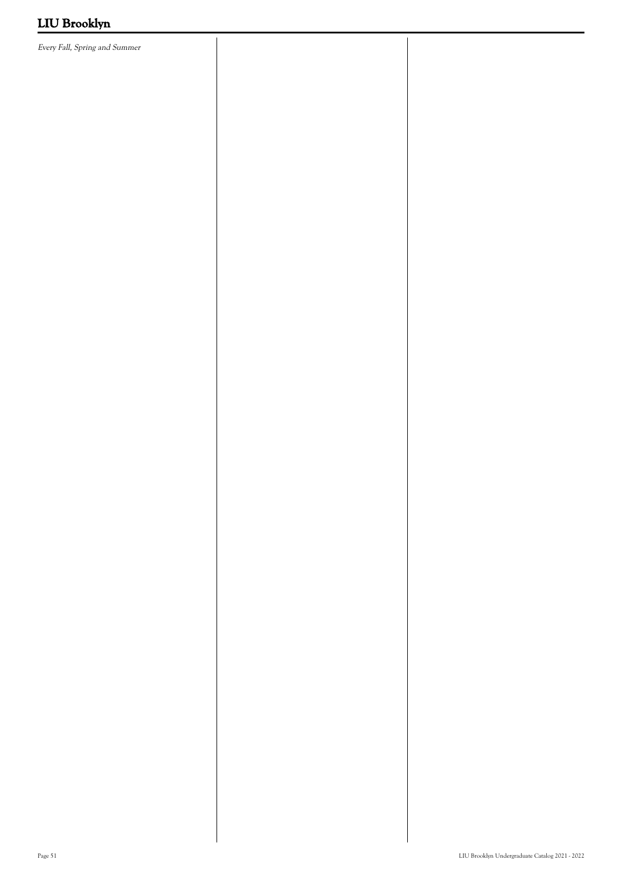Every Fall, Spring and Summer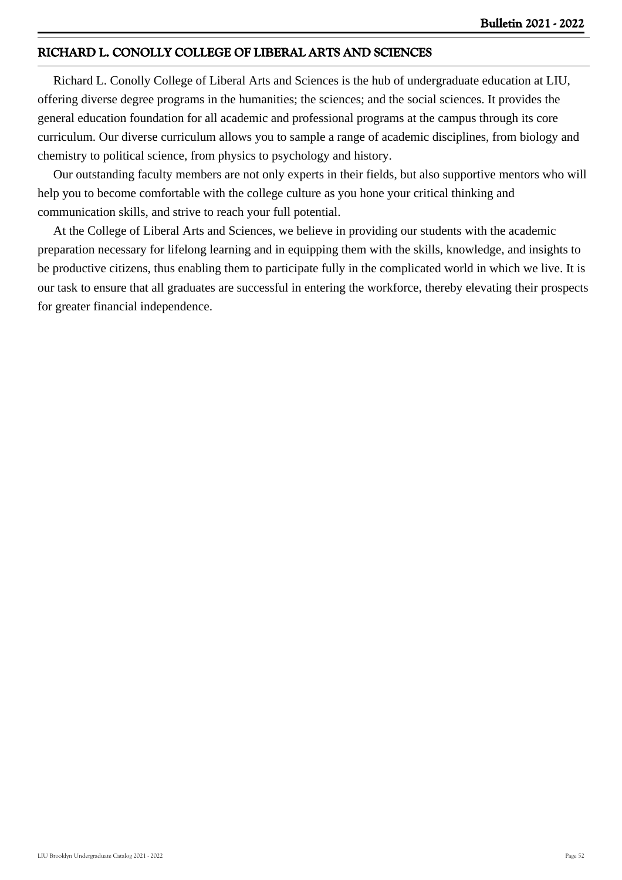# **RICHARD L. CONOLLY COLLEGE OF LIBERAL ARTS AND SCIENCES**

 Richard L. Conolly College of Liberal Arts and Sciences is the hub of undergraduate education at LIU, offering diverse degree programs in the humanities; the sciences; and the social sciences. It provides the general education foundation for all academic and professional programs at the campus through its core curriculum. Our diverse curriculum allows you to sample a range of academic disciplines, from biology and chemistry to political science, from physics to psychology and history.

 Our outstanding faculty members are not only experts in their fields, but also supportive mentors who will help you to become comfortable with the college culture as you hone your critical thinking and communication skills, and strive to reach your full potential.

 At the College of Liberal Arts and Sciences, we believe in providing our students with the academic preparation necessary for lifelong learning and in equipping them with the skills, knowledge, and insights to be productive citizens, thus enabling them to participate fully in the complicated world in which we live. It is our task to ensure that all graduates are successful in entering the workforce, thereby elevating their prospects for greater financial independence.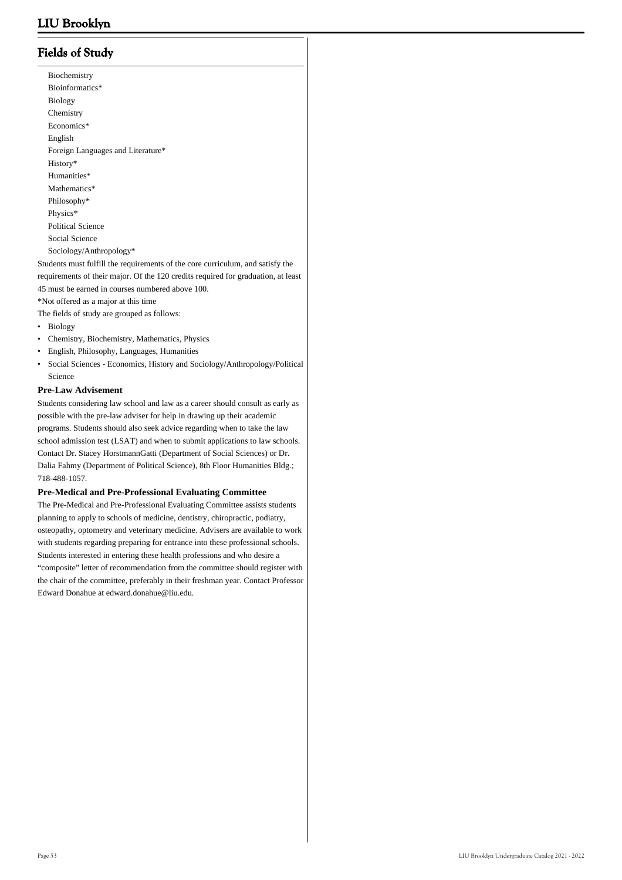# **Fields of Study**

 Biochemistry Bioinformatics\* Biology Chemistry Economics\* English Foreign Languages and Literature\* History\* Humanities\* Mathematics\* Philosophy\* Physics\* Political Science Social Science Sociology/Anthropology\*

Students must fulfill the requirements of the core curriculum, and satisfy the requirements of their major. Of the 120 credits required for graduation, at least 45 must be earned in courses numbered above 100.

\*Not offered as a major at this time The fields of study are grouped as follows:

- Biology
- Chemistry, Biochemistry, Mathematics, Physics
- English, Philosophy, Languages, Humanities
- Social Sciences Economics, History and Sociology/Anthropology/Political Science •

#### **Pre-Law Advisement**

Students considering law school and law as a career should consult as early as possible with the pre-law adviser for help in drawing up their academic programs. Students should also seek advice regarding when to take the law school admission test (LSAT) and when to submit applications to law schools. Contact Dr. Stacey HorstmannGatti (Department of Social Sciences) or Dr. Dalia Fahmy (Department of Political Science), 8th Floor Humanities Bldg.; 718-488-1057.

#### **Pre-Medical and Pre-Professional Evaluating Committee**

The Pre-Medical and Pre-Professional Evaluating Committee assists students planning to apply to schools of medicine, dentistry, chiropractic, podiatry, osteopathy, optometry and veterinary medicine. Advisers are available to work with students regarding preparing for entrance into these professional schools. Students interested in entering these health professions and who desire a "composite" letter of recommendation from the committee should register with the chair of the committee, preferably in their freshman year. Contact Professor Edward Donahue at edward.donahue@liu.edu.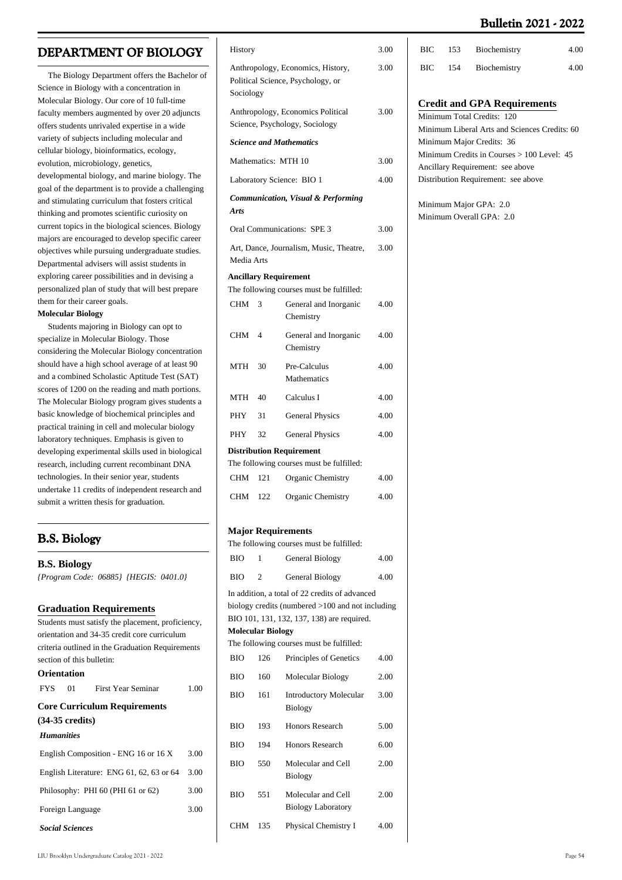# **Bulletin 2021 - 2022**

# **DEPARTMENT OF BIOLOGY**

 The Biology Department offers the Bachelor of Science in Biology with a concentration in Molecular Biology. Our core of 10 full-time faculty members augmented by over 20 adjuncts offers students unrivaled expertise in a wide variety of subjects including molecular and cellular biology, bioinformatics, ecology, evolution, microbiology, genetics, developmental biology, and marine biology. The goal of the department is to provide a challenging and stimulating curriculum that fosters critical thinking and promotes scientific curiosity on current topics in the biological sciences. Biology majors are encouraged to develop specific career objectives while pursuing undergraduate studies. Departmental advisers will assist students in exploring career possibilities and in devising a personalized plan of study that will best prepare them for their career goals.

#### **Molecular Biology**

 Students majoring in Biology can opt to specialize in Molecular Biology. Those considering the Molecular Biology concentration should have a high school average of at least 90 and a combined Scholastic Aptitude Test (SAT) scores of 1200 on the reading and math portions. The Molecular Biology program gives students a basic knowledge of biochemical principles and practical training in cell and molecular biology laboratory techniques. Emphasis is given to developing experimental skills used in biological research, including current recombinant DNA technologies. In their senior year, students undertake 11 credits of independent research and submit a written thesis for graduation.

## **B.S. Biology**

#### **B.S. Biology**

*{Program Code: 06885} {HEGIS: 0401.0}*

#### **Graduation Requirements**

|                                           | Students must satisfy the placement, proficiency, |                                                  |      |  |  |
|-------------------------------------------|---------------------------------------------------|--------------------------------------------------|------|--|--|
|                                           |                                                   | orientation and 34-35 credit core curriculum     |      |  |  |
|                                           |                                                   | criteria outlined in the Graduation Requirements |      |  |  |
|                                           |                                                   | section of this bulletin:                        |      |  |  |
| Orientation                               |                                                   |                                                  |      |  |  |
|                                           |                                                   | FYS 01 First Year Seminar                        | 1.00 |  |  |
|                                           |                                                   | <b>Core Curriculum Requirements</b>              |      |  |  |
| $(34-35 \text{ credits})$                 |                                                   |                                                  |      |  |  |
| <b>Humanities</b>                         |                                                   |                                                  |      |  |  |
|                                           |                                                   | English Composition - ENG 16 or 16 X             | 3.00 |  |  |
|                                           |                                                   | English Literature: ENG 61, 62, 63 or 64         | 3.00 |  |  |
| Philosophy: PHI 60 (PHI 61 or 62)<br>3.00 |                                                   |                                                  |      |  |  |
| Foreign Language                          |                                                   |                                                  | 3.00 |  |  |
| <b>Social Sciences</b>                    |                                                   |                                                  |      |  |  |

| History<br>3.00                     |                                           |                                                                        |      |  |  |
|-------------------------------------|-------------------------------------------|------------------------------------------------------------------------|------|--|--|
| Sociology                           |                                           | Anthropology, Economics, History,<br>Political Science, Psychology, or | 3.00 |  |  |
|                                     |                                           | Anthropology, Economics Political<br>Science, Psychology, Sociology    | 3.00 |  |  |
|                                     |                                           | <b>Science and Mathematics</b>                                         |      |  |  |
|                                     |                                           | Mathematics: MTH 10                                                    | 3.00 |  |  |
|                                     |                                           | Laboratory Science: BIO 1                                              | 4.00 |  |  |
| <b>Arts</b>                         |                                           | <b>Communication, Visual &amp; Performing</b>                          |      |  |  |
|                                     |                                           | Oral Communications: SPE 3                                             | 3.00 |  |  |
| Media Arts                          |                                           | Art, Dance, Journalism, Music, Theatre,                                | 3.00 |  |  |
|                                     |                                           | <b>Ancillary Requirement</b>                                           |      |  |  |
|                                     |                                           | The following courses must be fulfilled:                               |      |  |  |
| <b>CHM</b>                          | 3                                         | General and Inorganic<br>Chemistry                                     | 4.00 |  |  |
| CHM                                 | $\overline{4}$                            | General and Inorganic<br>Chemistry                                     | 4.00 |  |  |
| MTH                                 | Pre-Calculus<br>30<br>4.00<br>Mathematics |                                                                        |      |  |  |
| MTH                                 | 40                                        | Calculus I                                                             | 4.00 |  |  |
| PHY                                 | 31                                        | <b>General Physics</b>                                                 | 4.00 |  |  |
| PHY<br>32<br><b>General Physics</b> |                                           |                                                                        |      |  |  |
|                                     |                                           | <b>Distribution Requirement</b>                                        |      |  |  |
|                                     |                                           | The following courses must be fulfilled:                               |      |  |  |
| <b>CHM</b>                          | 121                                       | Organic Chemistry                                                      | 4.00 |  |  |
| <b>CHM</b>                          | 122                                       | <b>Organic Chemistry</b>                                               | 4.00 |  |  |
|                                     |                                           | <b>Major Requirements</b><br>The following courses must be fulfilled:  |      |  |  |
| BIO                                 | 1                                         | General Biology                                                        | 4.00 |  |  |
| <b>BIO</b>                          | $\overline{c}$                            | General Biology                                                        | 4.00 |  |  |
|                                     |                                           | In addition, a total of 22 credits of advanced                         |      |  |  |
|                                     |                                           | biology credits (numbered $>100$ and not including                     |      |  |  |
|                                     | <b>Molecular Biology</b>                  | BIO 101, 131, 132, 137, 138) are required.                             |      |  |  |
|                                     |                                           | The following courses must be fulfilled:                               |      |  |  |
| ВЮ                                  | 126                                       | Principles of Genetics                                                 | 4.00 |  |  |
| <b>BIO</b>                          | 160                                       | Molecular Biology                                                      | 2.00 |  |  |
| BIO                                 | 161                                       | <b>Introductory Molecular</b><br><b>Biology</b>                        | 3.00 |  |  |
| BIO                                 | 193                                       | <b>Honors Research</b>                                                 | 5.00 |  |  |
| BЮ                                  | 194                                       | <b>Honors Research</b>                                                 | 6.00 |  |  |

BIO 550 Molecular and Cell Biology

BIO 551 Molecular and Cell

Biology Laboratory

CHM 135 Physical Chemistry I 4.00

2.00

2.00

| BIC | 153 Biochemistry | 4.00 |
|-----|------------------|------|
| BIC | 154 Biochemistry | 4.00 |
|     |                  |      |

### **Credit and GPA Requirements**

Minimum Total Credits: 120 Minimum Liberal Arts and Sciences Credits: 60 Minimum Major Credits: 36 Minimum Credits in Courses > 100 Level: 45 Ancillary Requirement: see above Distribution Requirement: see above

Minimum Major GPA: 2.0 Minimum Overall GPA: 2.0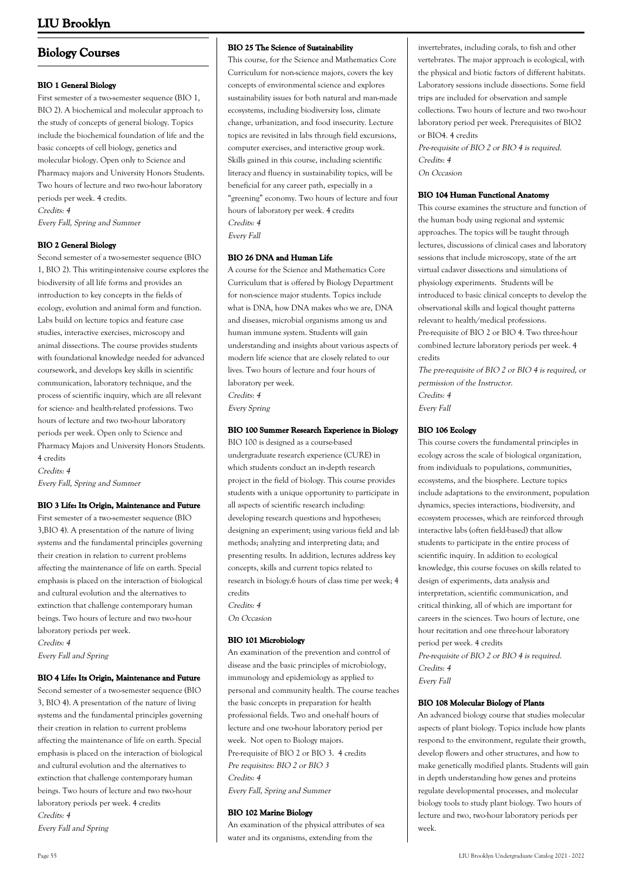# **Biology Courses**

### **BIO 1 General Biology**

First semester of a two-semester sequence (BIO 1, BIO 2). A biochemical and molecular approach to the study of concepts of general biology. Topics include the biochemical foundation of life and the basic concepts of cell biology, genetics and molecular biology. Open only to Science and Pharmacy majors and University Honors Students. Two hours of lecture and two two-hour laboratory periods per week. 4 credits. Credits: 4 Every Fall, Spring and Summer

**BIO 2 General Biology**

Second semester of a two-semester sequence (BIO 1, BIO 2). This writing-intensive course explores the biodiversity of all life forms and provides an introduction to key concepts in the fields of ecology, evolution and animal form and function. Labs build on lecture topics and feature case studies, interactive exercises, microscopy and animal dissections. The course provides students with foundational knowledge needed for advanced coursework, and develops key skills in scientific communication, laboratory technique, and the process of scientific inquiry, which are all relevant for science- and health-related professions. Two hours of lecture and two two-hour laboratory periods per week. Open only to Science and Pharmacy Majors and University Honors Students. 4 credits Credits: 4 Every Fall, Spring and Summer

**BIO 3 Life: Its Origin, Maintenance and Future**

First semester of a two-semester sequence (BIO 3,BIO 4). A presentation of the nature of living systems and the fundamental principles governing their creation in relation to current problems affecting the maintenance of life on earth. Special emphasis is placed on the interaction of biological and cultural evolution and the alternatives to extinction that challenge contemporary human beings. Two hours of lecture and two two-hour laboratory periods per week.

Credits: 4 Every Fall and Spring

### **BIO 4 Life: Its Origin, Maintenance and Future**

Second semester of a two-semester sequence (BIO 3, BIO 4). A presentation of the nature of living systems and the fundamental principles governing their creation in relation to current problems affecting the maintenance of life on earth. Special emphasis is placed on the interaction of biological and cultural evolution and the alternatives to extinction that challenge contemporary human beings. Two hours of lecture and two two-hour laboratory periods per week. 4 credits Credits: 4 Every Fall and Spring

### **BIO 25 The Science of Sustainability**

This course, for the Science and Mathematics Core Curriculum for non-science majors, covers the key concepts of environmental science and explores sustainability issues for both natural and man-made ecosystems, including biodiversity loss, climate change, urbanization, and food insecurity. Lecture topics are revisited in labs through field excursions, computer exercises, and interactive group work. Skills gained in this course, including scientific literacy and fluency in sustainability topics, will be beneficial for any career path, especially in a "greening" economy. Two hours of lecture and four hours of laboratory per week. 4 credits Credits: 4 Every Fall

### **BIO 26 DNA and Human Life**

A course for the Science and Mathematics Core Curriculum that is offered by Biology Department for non-science major students. Topics include what is DNA, how DNA makes who we are, DNA and diseases, microbial organisms among us and human immune system. Students will gain understanding and insights about various aspects of modern life science that are closely related to our lives. Two hours of lecture and four hours of laboratory per week. Credits: 4 Every Spring

### **BIO 100 Summer Research Experience in Biology**

BIO 100 is designed as a course-based undergraduate research experience (CURE) in which students conduct an in-depth research project in the field of biology. This course provides students with a unique opportunity to participate in all aspects of scientific research including: developing research questions and hypotheses; designing an experiment; using various field and lab methods; analyzing and interpreting data; and presenting results. In addition, lectures address key concepts, skills and current topics related to research in biology.6 hours of class time per week; 4 credits

Credits: 4

On Occasion

### **BIO 101 Microbiology**

An examination of the prevention and control of disease and the basic principles of microbiology, immunology and epidemiology as applied to personal and community health. The course teaches the basic concepts in preparation for health professional fields. Two and one-half hours of lecture and one two-hour laboratory period per week. Not open to Biology majors. Pre-requisite of BIO 2 or BIO 3. 4 credits Pre requisites: BIO 2 or BIO 3 Credits: 4 Every Fall, Spring and Summer

### **BIO 102 Marine Biology**

An examination of the physical attributes of sea water and its organisms, extending from the

invertebrates, including corals, to fish and other vertebrates. The major approach is ecological, with the physical and biotic factors of different habitats. Laboratory sessions include dissections. Some field trips are included for observation and sample collections. Two hours of lecture and two two-hour laboratory period per week. Prerequisites of BIO2 or BIO4. 4 credits

Pre-requisite of BIO 2 or BIO 4 is required. Credits: 4 On Occasion

#### **BIO 104 Human Functional Anatomy**

This course examines the structure and function of the human body using regional and systemic approaches. The topics will be taught through lectures, discussions of clinical cases and laboratory sessions that include microscopy, state of the art virtual cadaver dissections and simulations of physiology experiments. Students will be introduced to basic clinical concepts to develop the observational skills and logical thought patterns relevant to health/medical professions. Pre-requisite of BIO 2 or BIO 4. Two three-hour combined lecture laboratory periods per week. 4 credits

The pre-requisite of BIO 2 or BIO 4 is required, or permission of the Instructor. Credits: 4 Every Fall

### **BIO 106 Ecology**

This course covers the fundamental principles in ecology across the scale of biological organization, from individuals to populations, communities, ecosystems, and the biosphere. Lecture topics include adaptations to the environment, population dynamics, species interactions, biodiversity, and ecosystem processes, which are reinforced through interactive labs (often field-based) that allow students to participate in the entire process of scientific inquiry. In addition to ecological knowledge, this course focuses on skills related to design of experiments, data analysis and interpretation, scientific communication, and critical thinking, all of which are important for careers in the sciences. Two hours of lecture, one hour recitation and one three-hour laboratory period per week. 4 credits Pre-requisite of BIO 2 or BIO 4 is required.

Credits: 4

Every Fall

#### **BIO 108 Molecular Biology of Plants**

An advanced biology course that studies molecular aspects of plant biology. Topics include how plants respond to the environment, regulate their growth, develop flowers and other structures, and how to make genetically modified plants. Students will gain in depth understanding how genes and proteins regulate developmental processes, and molecular biology tools to study plant biology. Two hours of lecture and two, two-hour laboratory periods per week.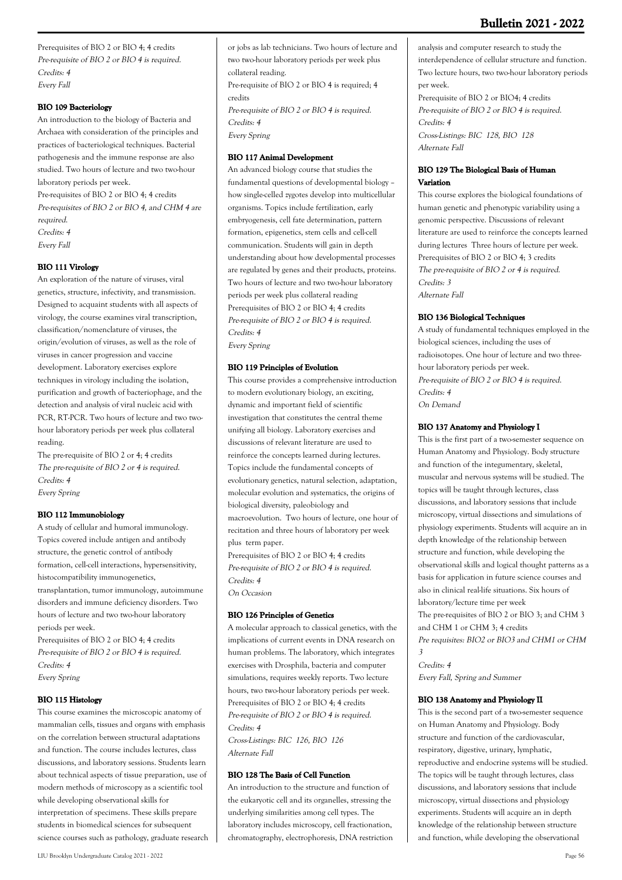Prerequisites of BIO 2 or BIO 4; 4 credits Pre-requisite of BIO 2 or BIO 4 is required. Credits: 4 Every Fall

### **BIO 109 Bacteriology**

An introduction to the biology of Bacteria and Archaea with consideration of the principles and practices of bacteriological techniques. Bacterial pathogenesis and the immune response are also studied. Two hours of lecture and two two-hour laboratory periods per week.

Pre-requisites of BIO 2 or BIO 4; 4 credits Pre-requisites of BIO 2 or BIO 4, and CHM 4 are required. Credits: 4 Every Fall

### **BIO 111 Virology**

An exploration of the nature of viruses, viral genetics, structure, infectivity, and transmission. Designed to acquaint students with all aspects of virology, the course examines viral transcription, classification/nomenclature of viruses, the origin/evolution of viruses, as well as the role of viruses in cancer progression and vaccine development. Laboratory exercises explore techniques in virology including the isolation, purification and growth of bacteriophage, and the detection and analysis of viral nucleic acid with PCR, RT-PCR. Two hours of lecture and two twohour laboratory periods per week plus collateral reading.

The pre-requisite of BIO 2 or 4; 4 credits The pre-requisite of BIO 2 or 4 is required. Credits: 4 Every Spring

### **BIO 112 Immunobiology**

A study of cellular and humoral immunology. Topics covered include antigen and antibody structure, the genetic control of antibody formation, cell-cell interactions, hypersensitivity, histocompatibility immunogenetics, transplantation, tumor immunology, autoimmune disorders and immune deficiency disorders. Two hours of lecture and two two-hour laboratory periods per week.

Prerequisites of BIO 2 or BIO 4; 4 credits Pre-requisite of BIO 2 or BIO 4 is required. Credits: 4 Every Spring

### **BIO 115 Histology**

This course examines the microscopic anatomy of mammalian cells, tissues and organs with emphasis on the correlation between structural adaptations and function. The course includes lectures, class discussions, and laboratory sessions. Students learn about technical aspects of tissue preparation, use of modern methods of microscopy as a scientific tool while developing observational skills for interpretation of specimens. These skills prepare students in biomedical sciences for subsequent science courses such as pathology, graduate research or jobs as lab technicians. Two hours of lecture and two two-hour laboratory periods per week plus collateral reading. Pre-requisite of BIO 2 or BIO 4 is required; 4 credits

Pre-requisite of BIO 2 or BIO 4 is required. Credits: 4 Every Spring

### **BIO 117 Animal Development**

An advanced biology course that studies the fundamental questions of developmental biology – how single-celled zygotes develop into multicellular organisms. Topics include fertilization, early embryogenesis, cell fate determination, pattern formation, epigenetics, stem cells and cell-cell communication. Students will gain in depth understanding about how developmental processes are regulated by genes and their products, proteins. Two hours of lecture and two two-hour laboratory periods per week plus collateral reading Prerequisites of BIO 2 or BIO 4; 4 credits Pre-requisite of BIO 2 or BIO 4 is required. Credits: 4 Every Spring

### **BIO 119 Principles of Evolution**

This course provides a comprehensive introduction to modern evolutionary biology, an exciting, dynamic and important field of scientific investigation that constitutes the central theme unifying all biology. Laboratory exercises and discussions of relevant literature are used to reinforce the concepts learned during lectures. Topics include the fundamental concepts of evolutionary genetics, natural selection, adaptation, molecular evolution and systematics, the origins of biological diversity, paleobiology and macroevolution. Two hours of lecture, one hour of recitation and three hours of laboratory per week plus term paper.

Prerequisites of BIO 2 or BIO 4; 4 credits Pre-requisite of BIO 2 or BIO 4 is required. Credits: 4 On Occasion

#### **BIO 126 Principles of Genetics**

A molecular approach to classical genetics, with the implications of current events in DNA research on human problems. The laboratory, which integrates exercises with Drosphila, bacteria and computer simulations, requires weekly reports. Two lecture hours, two two-hour laboratory periods per week. Prerequisites of BIO 2 or BIO 4; 4 credits Pre-requisite of BIO 2 or BIO 4 is required. Credits: 4 Cross-Listings: BIC 126, BIO 126

Alternate Fall

#### **BIO 128 The Basis of Cell Function**

An introduction to the structure and function of the eukaryotic cell and its organelles, stressing the underlying similarities among cell types. The laboratory includes microscopy, cell fractionation, chromatography, electrophoresis, DNA restriction

analysis and computer research to study the interdependence of cellular structure and function. Two lecture hours, two two-hour laboratory periods per week.

Prerequisite of BIO 2 or BIO4; 4 credits Pre-requisite of BIO 2 or BIO 4 is required. Credits: 4 Cross-Listings: BIC 128, BIO 128 Alternate Fall

### **BIO 129 The Biological Basis of Human Variation**

This course explores the biological foundations of human genetic and phenotypic variability using a genomic perspective. Discussions of relevant literature are used to reinforce the concepts learned during lectures Three hours of lecture per week. Prerequisites of BIO 2 or BIO 4; 3 credits The pre-requisite of BIO 2 or 4 is required. Credits: 3 Alternate Fall

### **BIO 136 Biological Techniques**

A study of fundamental techniques employed in the biological sciences, including the uses of radioisotopes. One hour of lecture and two threehour laboratory periods per week. Pre-requisite of BIO 2 or BIO 4 is required. Credits: 4 On Demand

### **BIO 137 Anatomy and Physiology I**

This is the first part of a two-semester sequence on Human Anatomy and Physiology. Body structure and function of the integumentary, skeletal, muscular and nervous systems will be studied. The topics will be taught through lectures, class discussions, and laboratory sessions that include microscopy, virtual dissections and simulations of physiology experiments. Students will acquire an in depth knowledge of the relationship between structure and function, while developing the observational skills and logical thought patterns as a basis for application in future science courses and also in clinical real-life situations. Six hours of laboratory/lecture time per week The pre-requisites of BIO 2 or BIO 3; and CHM 3 and CHM 1 or CHM 3; 4 credits Pre requisites: BIO2 or BIO3 and CHM1 or CHM 3

Credits: 4 Every Fall, Spring and Summer

#### **BIO 138 Anatomy and Physiology II**

This is the second part of a two-semester sequence on Human Anatomy and Physiology. Body structure and function of the cardiovascular, respiratory, digestive, urinary, lymphatic, reproductive and endocrine systems will be studied. The topics will be taught through lectures, class discussions, and laboratory sessions that include microscopy, virtual dissections and physiology experiments. Students will acquire an in depth knowledge of the relationship between structure and function, while developing the observational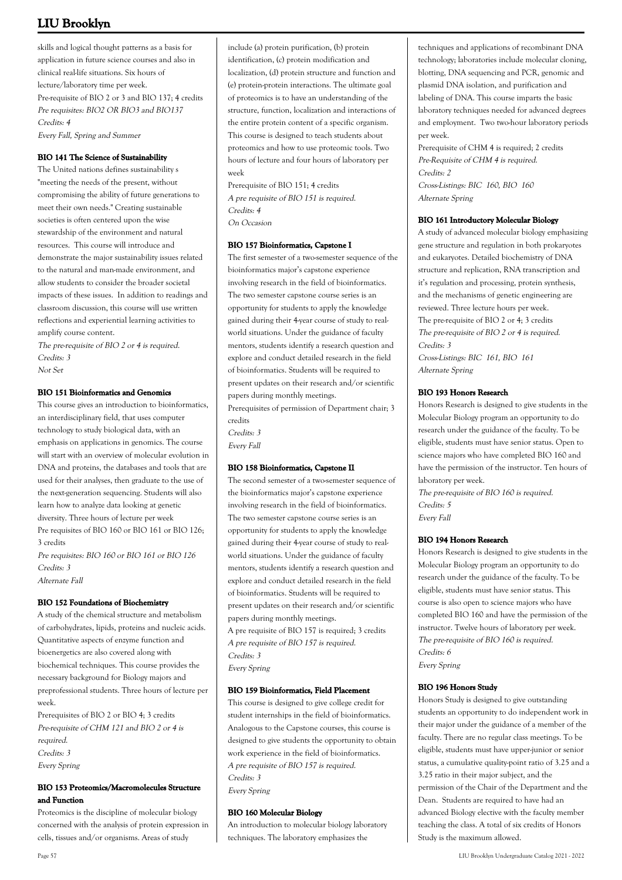skills and logical thought patterns as a basis for application in future science courses and also in clinical real-life situations. Six hours of lecture/laboratory time per week. Pre-requisite of BIO 2 or 3 and BIO 137; 4 credits Pre requisites: BIO2 OR BIO3 and BIO137 Credits: 4 Every Fall, Spring and Summer

### **BIO 141 The Science of Sustainability**

The United nations defines sustainability s "meeting the needs of the present, without compromising the ability of future generations to meet their own needs." Creating sustainable societies is often centered upon the wise stewardship of the environment and natural resources. This course will introduce and demonstrate the major sustainability issues related to the natural and man-made environment, and allow students to consider the broader societal impacts of these issues. In addition to readings and classroom discussion, this course will use written reflections and experiential learning activities to amplify course content.

The pre-requisite of BIO 2 or 4 is required. Credits: 3

### Not Set

#### **BIO 151 Bioinformatics and Genomics**

This course gives an introduction to bioinformatics, an interdisciplinary field, that uses computer technology to study biological data, with an emphasis on applications in genomics. The course will start with an overview of molecular evolution in DNA and proteins, the databases and tools that are used for their analyses, then graduate to the use of the next-generation sequencing. Students will also learn how to analyze data looking at genetic diversity. Three hours of lecture per week Pre requisites of BIO 160 or BIO 161 or BIO 126; 3 credits Pre requisites: BIO 160 or BIO 161 or BIO 126

Credits: 3 Alternate Fall

### **BIO 152 Foundations of Biochemistry**

A study of the chemical structure and metabolism of carbohydrates, lipids, proteins and nucleic acids. Quantitative aspects of enzyme function and bioenergetics are also covered along with biochemical techniques. This course provides the necessary background for Biology majors and preprofessional students. Three hours of lecture per week.

Prerequisites of BIO 2 or BIO 4; 3 credits Pre-requisite of CHM 121 and BIO 2 or 4 is required. Credits: 3 Every Spring

### **BIO 153 Proteomics/Macromolecules Structure and Function**

Proteomics is the discipline of molecular biology concerned with the analysis of protein expression in cells, tissues and/or organisms. Areas of study

include (a) protein purification, (b) protein identification, (c) protein modification and localization, (d) protein structure and function and (e) protein-protein interactions. The ultimate goal of proteomics is to have an understanding of the structure, function, localization and interactions of the entire protein content of a specific organism. This course is designed to teach students about proteomics and how to use proteomic tools. Two hours of lecture and four hours of laboratory per week

Prerequisite of BIO 151; 4 credits A pre requisite of BIO 151 is required. Credits: 4 On Occasion

#### **BIO 157 Bioinformatics, Capstone I**

The first semester of a two-semester sequence of the bioinformatics major's capstone experience involving research in the field of bioinformatics. The two semester capstone course series is an opportunity for students to apply the knowledge gained during their 4-year course of study to realworld situations. Under the guidance of faculty mentors, students identify a research question and explore and conduct detailed research in the field of bioinformatics. Students will be required to present updates on their research and/or scientific papers during monthly meetings. Prerequisites of permission of Department chair; 3

credits Credits: 3

Every Fall

#### **BIO 158 Bioinformatics, Capstone II**

The second semester of a two-semester sequence of the bioinformatics major's capstone experience involving research in the field of bioinformatics. The two semester capstone course series is an opportunity for students to apply the knowledge gained during their 4-year course of study to realworld situations. Under the guidance of faculty mentors, students identify a research question and explore and conduct detailed research in the field of bioinformatics. Students will be required to present updates on their research and/or scientific papers during monthly meetings.

A pre requisite of BIO 157 is required; 3 credits A pre requisite of BIO 157 is required. Credits: 3 Every Spring

#### **BIO 159 Bioinformatics, Field Placement**

This course is designed to give college credit for student internships in the field of bioinformatics. Analogous to the Capstone courses, this course is designed to give students the opportunity to obtain work experience in the field of bioinformatics. A pre requisite of BIO 157 is required. Credits: 3 Every Spring

#### **BIO 160 Molecular Biology**

An introduction to molecular biology laboratory techniques. The laboratory emphasizes the

techniques and applications of recombinant DNA technology; laboratories include molecular cloning, blotting, DNA sequencing and PCR, genomic and plasmid DNA isolation, and purification and labeling of DNA. This course imparts the basic laboratory techniques needed for advanced degrees and employment. Two two-hour laboratory periods per week.

Prerequisite of CHM 4 is required; 2 credits Pre-Requisite of CHM 4 is required. Credits: 2 Cross-Listings: BIC 160, BIO 160 Alternate Spring

#### **BIO 161 Introductory Molecular Biology**

A study of advanced molecular biology emphasizing gene structure and regulation in both prokaryotes and eukaryotes. Detailed biochemistry of DNA structure and replication, RNA transcription and it's regulation and processing, protein synthesis, and the mechanisms of genetic engineering are reviewed. Three lecture hours per week. The pre-requisite of BIO 2 or 4; 3 credits The pre-requisite of BIO 2 or 4 is required. Credits: 3 Cross-Listings: BIC 161, BIO 161 Alternate Spring

#### **BIO 193 Honors Research**

Honors Research is designed to give students in the Molecular Biology program an opportunity to do research under the guidance of the faculty. To be eligible, students must have senior status. Open to science majors who have completed BIO 160 and have the permission of the instructor. Ten hours of laboratory per week.

The pre-requisite of BIO 160 is required. Credits: 5 Every Fall

#### **BIO 194 Honors Research**

Honors Research is designed to give students in the Molecular Biology program an opportunity to do research under the guidance of the faculty. To be eligible, students must have senior status. This course is also open to science majors who have completed BIO 160 and have the permission of the instructor. Twelve hours of laboratory per week. The pre-requisite of BIO 160 is required. Credits: 6 Every Spring

#### **BIO 196 Honors Study**

Honors Study is designed to give outstanding students an opportunity to do independent work in their major under the guidance of a member of the faculty. There are no regular class meetings. To be eligible, students must have upper-junior or senior status, a cumulative quality-point ratio of 3.25 and a 3.25 ratio in their major subject, and the permission of the Chair of the Department and the Dean. Students are required to have had an advanced Biology elective with the faculty member teaching the class. A total of six credits of Honors Study is the maximum allowed.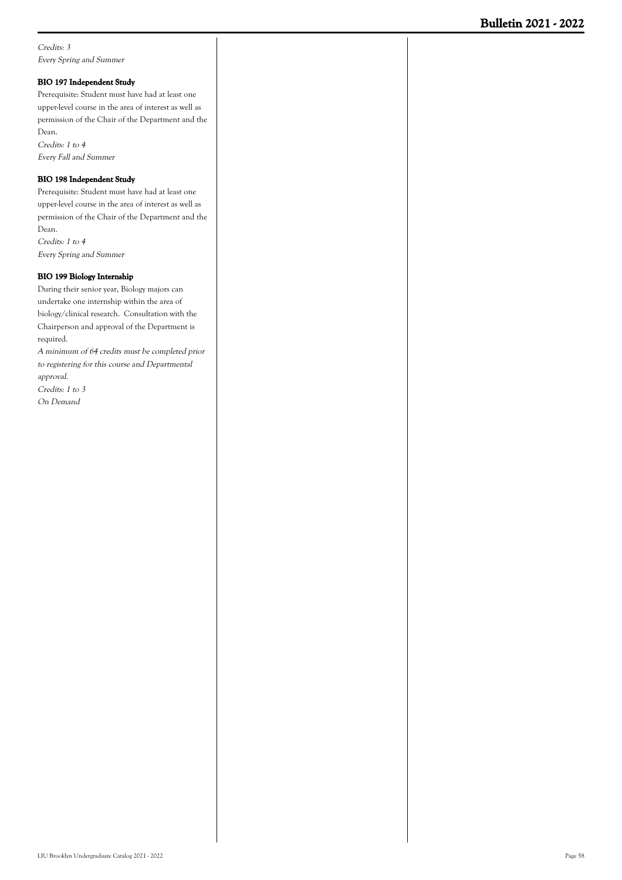Credits: 3 Every Spring and Summer

#### **BIO 197 Independent Study**

Prerequisite: Student must have had at least one upper-level course in the area of interest as well as permission of the Chair of the Department and the Dean. Credits: 1 to 4

Every Fall and Summer

### **BIO 198 Independent Study**

Prerequisite: Student must have had at least one upper-level course in the area of interest as well as permission of the Chair of the Department and the Dean. Credits: 1 to 4

Every Spring and Summer

### **BIO 199 Biology Internship**

During their senior year, Biology majors can undertake one internship within the area of biology/clinical research. Consultation with the Chairperson and approval of the Department is required.

A minimum of 64 credits must be completed prior to registering for this course and Departmental approval. Credits: 1 to 3

On Demand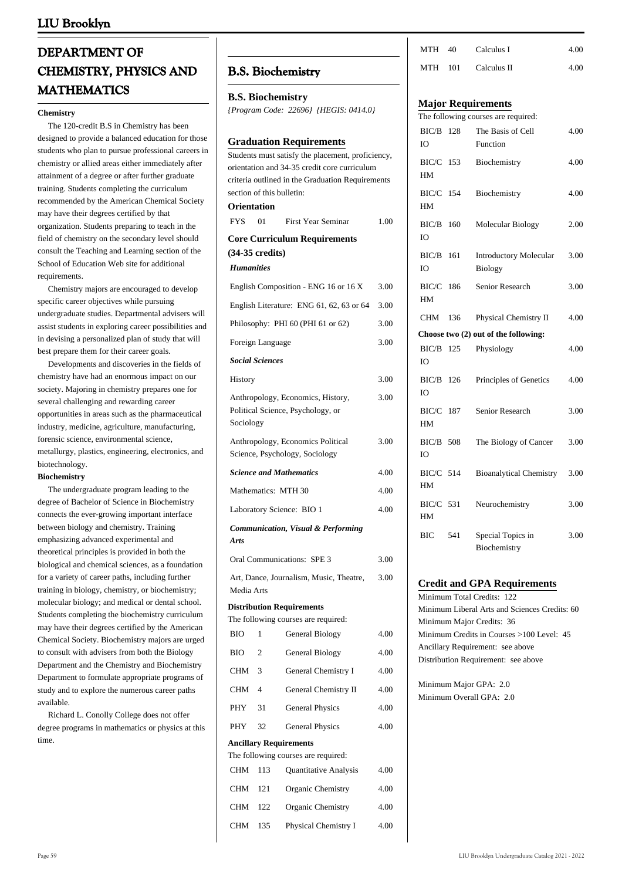# **DEPARTMENT OF CHEMISTRY, PHYSICS AND MATHEMATICS**

#### **Chemistry**

 The 120-credit B.S in Chemistry has been designed to provide a balanced education for those students who plan to pursue professional careers in chemistry or allied areas either immediately after attainment of a degree or after further graduate training. Students completing the curriculum recommended by the American Chemical Society may have their degrees certified by that organization. Students preparing to teach in the field of chemistry on the secondary level should consult the Teaching and Learning section of the School of Education Web site for additional requirements.

 Chemistry majors are encouraged to develop specific career objectives while pursuing undergraduate studies. Departmental advisers will assist students in exploring career possibilities and in devising a personalized plan of study that will best prepare them for their career goals.

 Developments and discoveries in the fields of chemistry have had an enormous impact on our society. Majoring in chemistry prepares one for several challenging and rewarding career opportunities in areas such as the pharmaceutical industry, medicine, agriculture, manufacturing, forensic science, environmental science, metallurgy, plastics, engineering, electronics, and biotechnology.

#### **Biochemistry**

 The undergraduate program leading to the degree of Bachelor of Science in Biochemistry connects the ever-growing important interface between biology and chemistry. Training emphasizing advanced experimental and theoretical principles is provided in both the biological and chemical sciences, as a foundation for a variety of career paths, including further training in biology, chemistry, or biochemistry; molecular biology; and medical or dental school. Students completing the biochemistry curriculum may have their degrees certified by the American Chemical Society. Biochemistry majors are urged to consult with advisers from both the Biology Department and the Chemistry and Biochemistry Department to formulate appropriate programs of study and to explore the numerous career paths available.

 Richard L. Conolly College does not offer degree programs in mathematics or physics at this time.

## **B.S. Biochemistry**

**B.S. Biochemistry**

| {Program Code: 22696} {HEGIS: 0414.0} |  |  |
|---------------------------------------|--|--|
|                                       |  |  |

|                   |                           | <b>Graduation Requirements</b>                                                                    |      |  |  |
|-------------------|---------------------------|---------------------------------------------------------------------------------------------------|------|--|--|
|                   |                           | Students must satisfy the placement, proficiency,<br>orientation and 34-35 credit core curriculum |      |  |  |
|                   |                           | criteria outlined in the Graduation Requirements                                                  |      |  |  |
|                   | section of this bulletin: |                                                                                                   |      |  |  |
| Orientation       |                           |                                                                                                   |      |  |  |
| <b>FYS</b>        | 01                        | <b>First Year Seminar</b>                                                                         | 1.00 |  |  |
|                   | $(34-35 \text{ credits})$ | <b>Core Curriculum Requirements</b>                                                               |      |  |  |
| <b>Humanities</b> |                           |                                                                                                   |      |  |  |
|                   |                           | English Composition - ENG 16 or 16 X                                                              | 3.00 |  |  |
|                   |                           | English Literature: ENG 61, 62, 63 or 64                                                          | 3.00 |  |  |
|                   |                           | Philosophy: PHI 60 (PHI 61 or 62)                                                                 | 3.00 |  |  |
|                   | Foreign Language          |                                                                                                   | 3.00 |  |  |
|                   | <b>Social Sciences</b>    |                                                                                                   |      |  |  |
| History           |                           |                                                                                                   | 3.00 |  |  |
|                   |                           | Anthropology, Economics, History,                                                                 | 3.00 |  |  |
| Sociology         |                           | Political Science, Psychology, or                                                                 |      |  |  |
|                   |                           | Anthropology, Economics Political                                                                 | 3.00 |  |  |
|                   |                           | Science, Psychology, Sociology                                                                    |      |  |  |
|                   |                           | <b>Science and Mathematics</b>                                                                    | 4.00 |  |  |
|                   |                           | Mathematics: MTH 30                                                                               | 4.00 |  |  |
|                   |                           | Laboratory Science: BIO 1                                                                         | 4.00 |  |  |
| <b>Arts</b>       |                           | <b>Communication, Visual &amp; Performing</b>                                                     |      |  |  |
|                   |                           | Oral Communications: SPE 3                                                                        | 3.00 |  |  |
| Media Arts        |                           | Art, Dance, Journalism, Music, Theatre,                                                           | 3.00 |  |  |
|                   |                           | <b>Distribution Requirements</b>                                                                  |      |  |  |
|                   |                           | The following courses are required:                                                               |      |  |  |
| BIO               | 1                         | General Biology                                                                                   | 4.00 |  |  |
| BIO               | 2                         | General Biology                                                                                   | 4.00 |  |  |
| CHM               | 3                         | General Chemistry I                                                                               | 4.00 |  |  |
| CHM               | 4                         | General Chemistry II                                                                              | 4.00 |  |  |
| PHY               | 31                        | <b>General Physics</b>                                                                            | 4.00 |  |  |
| PHY               | 32                        | <b>General Physics</b>                                                                            | 4.00 |  |  |
|                   |                           | Ancillary Requirements                                                                            |      |  |  |
| <b>CHM</b>        | 113                       | The following courses are required:<br>Quantitative Analysis                                      | 4.00 |  |  |
| <b>CHM</b>        | 121                       | Organic Chemistry                                                                                 | 4.00 |  |  |
| CHM               | 122                       | Organic Chemistry                                                                                 | 4.00 |  |  |
| CHM               | 135                       |                                                                                                   | 4.00 |  |  |
|                   | Physical Chemistry I      |                                                                                                   |      |  |  |

| MTH | 40.   | Calculus I  | 4.00 |
|-----|-------|-------------|------|
| MTH | - 101 | Calculus II | 4.00 |

### **Major Requirements**

|             |     | The following courses are required:  |      |
|-------------|-----|--------------------------------------|------|
| BIC/B       | 128 | The Basis of Cell                    | 4.00 |
| IO          |     | Function                             |      |
| BIC/C       | 153 | Biochemistry                         | 4.00 |
| HM          |     |                                      |      |
| BIC/C       | 154 | Biochemistry                         | 4.00 |
| HM          |     |                                      |      |
| BIC/B       | 160 | Molecular Biology                    | 2.00 |
| IO          |     |                                      |      |
|             |     |                                      |      |
| BIC/B       | 161 | Introductory Molecular               | 3.00 |
| IO          |     | <b>Biology</b>                       |      |
| BIC/C       | 186 | Senior Research                      | 3.00 |
| HМ          |     |                                      |      |
| <b>CHM</b>  | 136 | Physical Chemistry II                | 4.00 |
|             |     | Choose two (2) out of the following: |      |
| BIC/B       | 125 | Physiology                           | 4.00 |
| IO          |     |                                      |      |
| BIC/B       | 126 | Principles of Genetics               | 4.00 |
| IO          |     |                                      |      |
| BIC/C       | 187 | Senior Research                      | 3.00 |
| HM          |     |                                      |      |
|             |     |                                      |      |
| BIC/B<br>IO | 508 | The Biology of Cancer                | 3.00 |
|             |     |                                      |      |
| BIC/C 514   |     | <b>Bioanalytical Chemistry</b>       | 3.00 |
| HМ          |     |                                      |      |
| $BIC/C$ 531 |     | Neurochemistry                       | 3.00 |
| HM          |     |                                      |      |
| BIC         | 541 | Special Topics in                    | 3.00 |
|             |     | Biochemistry                         |      |

### **Credit and GPA Requirements**

Minimum Total Credits: 122 Minimum Liberal Arts and Sciences Credits: 60 Minimum Major Credits: 36 Minimum Credits in Courses >100 Level: 45 Ancillary Requirement: see above Distribution Requirement: see above

Minimum Major GPA: 2.0 Minimum Overall GPA: 2.0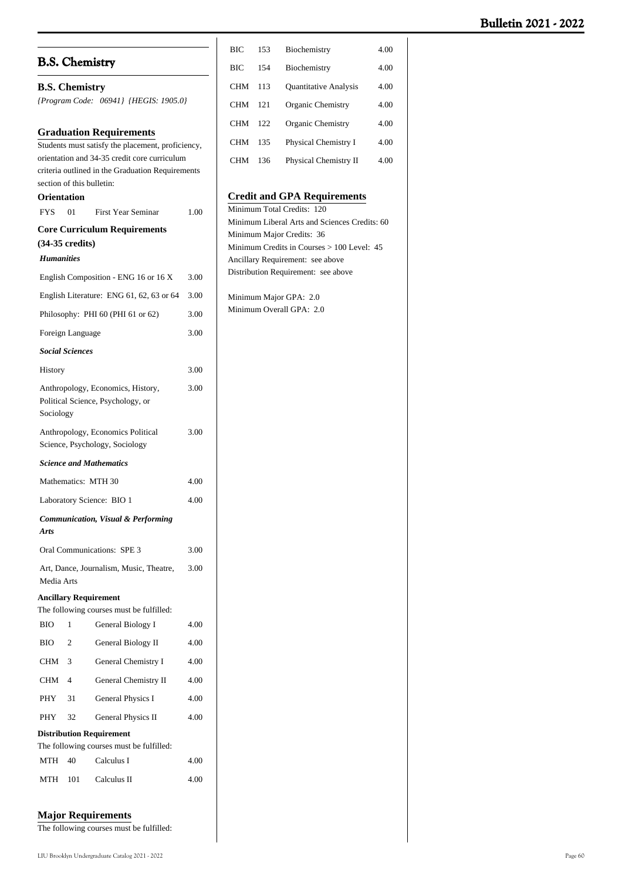|                   |                           |                                                                                                  |      | ВIС | 153 | Biochemistry                                                     | 4.00 |
|-------------------|---------------------------|--------------------------------------------------------------------------------------------------|------|-----|-----|------------------------------------------------------------------|------|
|                   |                           | <b>B.S. Chemistry</b>                                                                            |      | BIC | 154 | Biochemistry                                                     | 4.00 |
|                   | <b>B.S. Chemistry</b>     |                                                                                                  |      | CHM | 113 | <b>Quantitative Analysis</b>                                     | 4.00 |
|                   |                           | {Program Code: 06941} {HEGIS: 1905.0}                                                            |      | CHM | 121 | Organic Chemistry                                                | 4.00 |
|                   |                           |                                                                                                  |      | CHM | 122 | Organic Chemistry                                                | 4.00 |
|                   |                           | <b>Graduation Requirements</b>                                                                   |      | CHM |     | Physical Chemistry I                                             | 4.00 |
|                   |                           | Students must satisfy the placement, proficiency,                                                |      |     | 135 |                                                                  |      |
|                   |                           | orientation and 34-35 credit core curriculum<br>criteria outlined in the Graduation Requirements |      | CHM | 136 | Physical Chemistry II                                            | 4.00 |
|                   | section of this bulletin: |                                                                                                  |      |     |     |                                                                  |      |
|                   | <b>Orientation</b>        |                                                                                                  |      |     |     | <b>Credit and GPA Requirements</b><br>Minimum Total Credits: 120 |      |
| <b>FYS</b>        | 01                        | <b>First Year Seminar</b>                                                                        | 1.00 |     |     | Minimum Liberal Arts and Sciences Credits: 60                    |      |
|                   |                           | <b>Core Curriculum Requirements</b>                                                              |      |     |     | Minimum Major Credits: 36                                        |      |
|                   | $(34-35 \text{ credits})$ |                                                                                                  |      |     |     | Minimum Credits in Courses > 100 Level: 45                       |      |
| <b>Humanities</b> |                           |                                                                                                  |      |     |     | Ancillary Requirement: see above                                 |      |
|                   |                           | English Composition - ENG 16 or 16 X                                                             | 3.00 |     |     | Distribution Requirement: see above                              |      |
|                   |                           | English Literature: ENG 61, 62, 63 or 64                                                         | 3.00 |     |     | Minimum Major GPA: 2.0                                           |      |
|                   |                           | Philosophy: PHI 60 (PHI 61 or 62)                                                                | 3.00 |     |     | Minimum Overall GPA: 2.0                                         |      |
|                   | Foreign Language          |                                                                                                  | 3.00 |     |     |                                                                  |      |
|                   | <b>Social Sciences</b>    |                                                                                                  |      |     |     |                                                                  |      |
| History           |                           |                                                                                                  | 3.00 |     |     |                                                                  |      |
| Sociology         |                           | Anthropology, Economics, History,<br>Political Science, Psychology, or                           | 3.00 |     |     |                                                                  |      |
|                   |                           | Anthropology, Economics Political<br>Science, Psychology, Sociology                              | 3.00 |     |     |                                                                  |      |
|                   |                           | <b>Science and Mathematics</b>                                                                   |      |     |     |                                                                  |      |
|                   |                           | Mathematics: MTH 30                                                                              | 4.00 |     |     |                                                                  |      |
|                   |                           | Laboratory Science: BIO 1                                                                        | 4.00 |     |     |                                                                  |      |
| <b>Arts</b>       |                           | <b>Communication, Visual &amp; Performing</b>                                                    |      |     |     |                                                                  |      |
|                   |                           | Oral Communications: SPE 3                                                                       | 3.00 |     |     |                                                                  |      |
| Media Arts        |                           | Art, Dance, Journalism, Music, Theatre,                                                          | 3.00 |     |     |                                                                  |      |
|                   |                           | <b>Ancillary Requirement</b>                                                                     |      |     |     |                                                                  |      |
|                   |                           | The following courses must be fulfilled:                                                         |      |     |     |                                                                  |      |
| <b>BIO</b>        | $\mathbf{1}$              | General Biology I                                                                                | 4.00 |     |     |                                                                  |      |
| BIO               | $\mathfrak{2}$            | General Biology II                                                                               | 4.00 |     |     |                                                                  |      |
| CHM               | 3                         | General Chemistry I                                                                              | 4.00 |     |     |                                                                  |      |
| CHM               | 4                         | General Chemistry II                                                                             | 4.00 |     |     |                                                                  |      |
| PHY               | 31                        | General Physics I                                                                                | 4.00 |     |     |                                                                  |      |
| PHY               | 32                        | General Physics II                                                                               | 4.00 |     |     |                                                                  |      |
|                   |                           | <b>Distribution Requirement</b>                                                                  |      |     |     |                                                                  |      |
|                   |                           | The following courses must be fulfilled:                                                         |      |     |     |                                                                  |      |
| MTH               | 40                        | Calculus I                                                                                       | 4.00 |     |     |                                                                  |      |
| MTH               | 101                       | Calculus II                                                                                      | 4.00 |     |     |                                                                  |      |

### **Major Requirements**

The following courses must be fulfilled: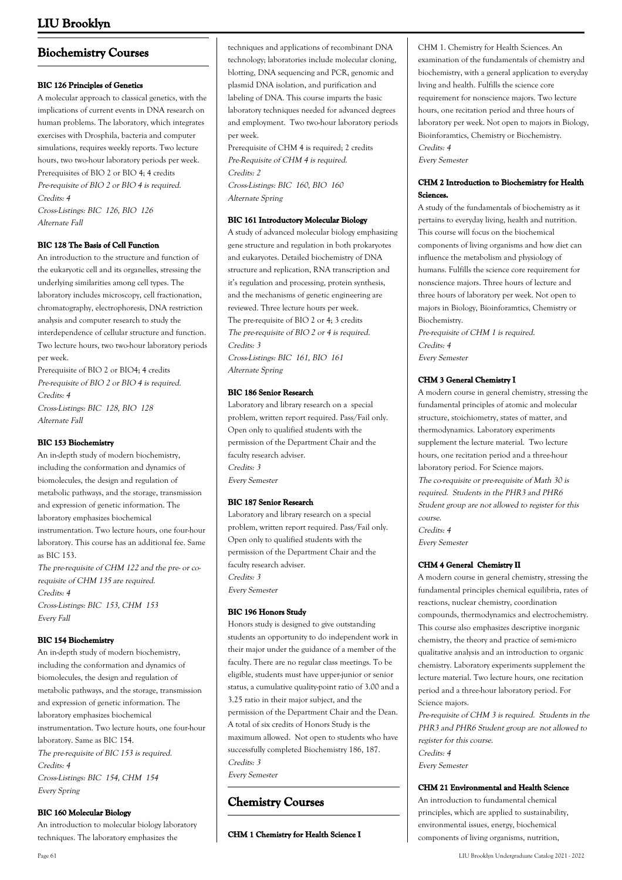# **Biochemistry Courses**

### **BIC 126 Principles of Genetics**

A molecular approach to classical genetics, with the implications of current events in DNA research on human problems. The laboratory, which integrates exercises with Drosphila, bacteria and computer simulations, requires weekly reports. Two lecture hours, two two-hour laboratory periods per week. Prerequisites of BIO 2 or BIO 4; 4 credits Pre-requisite of BIO 2 or BIO 4 is required. Credits: 4 Cross-Listings: BIC 126, BIO 126 Alternate Fall

### **BIC 128 The Basis of Cell Function**

An introduction to the structure and function of the eukaryotic cell and its organelles, stressing the underlying similarities among cell types. The laboratory includes microscopy, cell fractionation, chromatography, electrophoresis, DNA restriction analysis and computer research to study the interdependence of cellular structure and function. Two lecture hours, two two-hour laboratory periods per week.

Prerequisite of BIO 2 or BIO4; 4 credits Pre-requisite of BIO 2 or BIO 4 is required. Credits: 4 Cross-Listings: BIC 128, BIO 128 Alternate Fall

#### **BIC 153 Biochemistry**

An in-depth study of modern biochemistry, including the conformation and dynamics of biomolecules, the design and regulation of metabolic pathways, and the storage, transmission and expression of genetic information. The laboratory emphasizes biochemical instrumentation. Two lecture hours, one four-hour laboratory. This course has an additional fee. Same as BIC 153. The pre-requisite of CHM 122 and the pre- or co-

requisite of CHM 135 are required. Credits: 4 Cross-Listings: BIC 153, CHM 153 Every Fall

### **BIC 154 Biochemistry**

An in-depth study of modern biochemistry, including the conformation and dynamics of biomolecules, the design and regulation of metabolic pathways, and the storage, transmission and expression of genetic information. The laboratory emphasizes biochemical instrumentation. Two lecture hours, one four-hour laboratory. Same as BIC 154. The pre-requisite of BIC 153 is required. Credits: 4 Cross-Listings: BIC 154, CHM 154 Every Spring

#### **BIC 160 Molecular Biology**

An introduction to molecular biology laboratory techniques. The laboratory emphasizes the

techniques and applications of recombinant DNA technology; laboratories include molecular cloning, blotting, DNA sequencing and PCR, genomic and plasmid DNA isolation, and purification and labeling of DNA. This course imparts the basic laboratory techniques needed for advanced degrees and employment. Two two-hour laboratory periods per week.

Prerequisite of CHM 4 is required; 2 credits Pre-Requisite of CHM 4 is required. Credits: 2 Cross-Listings: BIC 160, BIO 160 Alternate Spring

#### **BIC 161 Introductory Molecular Biology**

A study of advanced molecular biology emphasizing gene structure and regulation in both prokaryotes and eukaryotes. Detailed biochemistry of DNA structure and replication, RNA transcription and it's regulation and processing, protein synthesis, and the mechanisms of genetic engineering are reviewed. Three lecture hours per week. The pre-requisite of BIO 2 or 4; 3 credits The pre-requisite of BIO 2 or 4 is required. Credits: 3

Cross-Listings: BIC 161, BIO 161 Alternate Spring

### **BIC 186 Senior Research**

Laboratory and library research on a special problem, written report required. Pass/Fail only. Open only to qualified students with the permission of the Department Chair and the faculty research adviser. Credits: 3 Every Semester

#### **BIC 187 Senior Research**

Laboratory and library research on a special problem, written report required. Pass/Fail only. Open only to qualified students with the permission of the Department Chair and the faculty research adviser. Credits: 3 Every Semester

#### **BIC 196 Honors Study**

Honors study is designed to give outstanding students an opportunity to do independent work in their major under the guidance of a member of the faculty. There are no regular class meetings. To be eligible, students must have upper-junior or senior status, a cumulative quality-point ratio of 3.00 and a 3.25 ratio in their major subject, and the permission of the Department Chair and the Dean. A total of six credits of Honors Study is the maximum allowed. Not open to students who have successfully completed Biochemistry 186, 187. Credits: 3 Every Semester

# **Chemistry Courses**

**CHM 1 Chemistry for Health Science I**

CHM 1. Chemistry for Health Sciences. An examination of the fundamentals of chemistry and biochemistry, with a general application to everyday living and health. Fulfills the science core requirement for nonscience majors. Two lecture hours, one recitation period and three hours of laboratory per week. Not open to majors in Biology, Bioinforamtics, Chemistry or Biochemistry. Credits: 4

Every Semester

### **CHM 2 Introduction to Biochemistry for Health Sciences.**

A study of the fundamentals of biochemistry as it pertains to everyday living, health and nutrition. This course will focus on the biochemical components of living organisms and how diet can influence the metabolism and physiology of humans. Fulfills the science core requirement for nonscience majors. Three hours of lecture and three hours of laboratory per week. Not open to majors in Biology, Bioinforamtics, Chemistry or Biochemistry.

Pre-requisite of CHM 1 is required. Credits: 4 Every Semester

### **CHM 3 General Chemistry I**

A modern course in general chemistry, stressing the fundamental principles of atomic and molecular structure, stoichiometry, states of matter, and thermodynamics. Laboratory experiments supplement the lecture material. Two lecture hours, one recitation period and a three-hour laboratory period. For Science majors. The co-requisite or pre-requisite of Math 30 is required. Students in the PHR3 and PHR6 Student group are not allowed to register for this course. Credits: 4

Every Semester

### **CHM 4 General Chemistry II**

A modern course in general chemistry, stressing the fundamental principles chemical equilibria, rates of reactions, nuclear chemistry, coordination compounds, thermodynamics and electrochemistry. This course also emphasizes descriptive inorganic chemistry, the theory and practice of semi-micro qualitative analysis and an introduction to organic chemistry. Laboratory experiments supplement the lecture material. Two lecture hours, one recitation period and a three-hour laboratory period. For Science majors.

Pre-requisite of CHM 3 is required. Students in the PHR3 and PHR6 Student group are not allowed to register for this course. Credits: 4

Every Semester

#### **CHM 21 Environmental and Health Science**

An introduction to fundamental chemical principles, which are applied to sustainability, environmental issues, energy, biochemical components of living organisms, nutrition,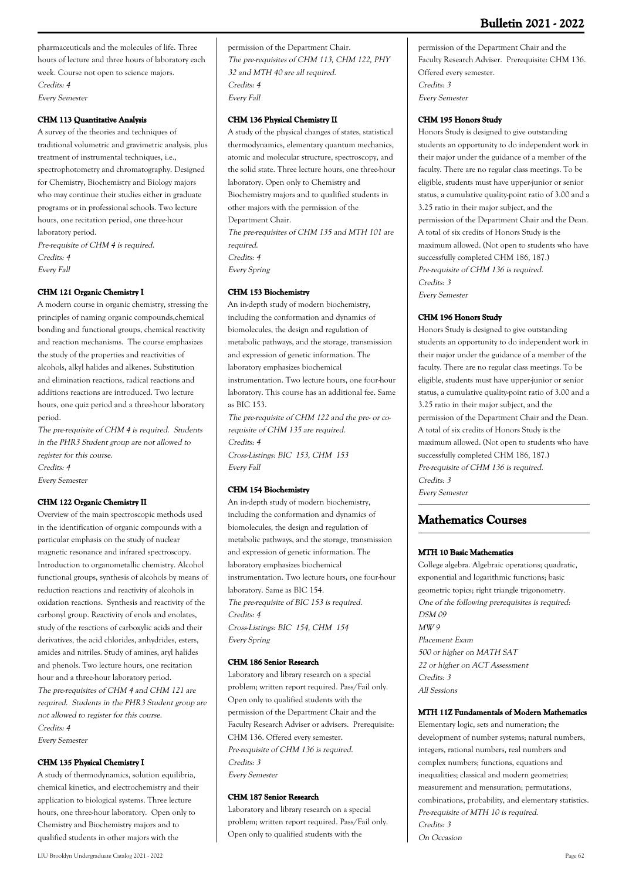pharmaceuticals and the molecules of life. Three hours of lecture and three hours of laboratory each week. Course not open to science majors. Credits: 4 Every Semester

### **CHM 113 Quantitative Analysis**

A survey of the theories and techniques of traditional volumetric and gravimetric analysis, plus treatment of instrumental techniques, i.e., spectrophotometry and chromatography. Designed for Chemistry, Biochemistry and Biology majors who may continue their studies either in graduate programs or in professional schools. Two lecture hours, one recitation period, one three-hour laboratory period.

Pre-requisite of CHM 4 is required. Credits: 4 Every Fall

### **CHM 121 Organic Chemistry I**

A modern course in organic chemistry, stressing the principles of naming organic compounds,chemical bonding and functional groups, chemical reactivity and reaction mechanisms. The course emphasizes the study of the properties and reactivities of alcohols, alkyl halides and alkenes. Substitution and elimination reactions, radical reactions and additions reactions are introduced. Two lecture hours, one quiz period and a three-hour laboratory period.

The pre-requisite of CHM 4 is required. Students in the PHR3 Student group are not allowed to register for this course. Credits: 4 Every Semester

### **CHM 122 Organic Chemistry II**

Overview of the main spectroscopic methods used in the identification of organic compounds with a particular emphasis on the study of nuclear magnetic resonance and infrared spectroscopy. Introduction to organometallic chemistry. Alcohol functional groups, synthesis of alcohols by means of reduction reactions and reactivity of alcohols in oxidation reactions. Synthesis and reactivity of the carbonyl group. Reactivity of enols and enolates, study of the reactions of carboxylic acids and their derivatives, the acid chlorides, anhydrides, esters, amides and nitriles. Study of amines, aryl halides and phenols. Two lecture hours, one recitation hour and a three-hour laboratory period. The pre-requisites of CHM 4 and CHM 121 are required. Students in the PHR3 Student group are not allowed to register for this course. Credits: 4 Every Semester

### **CHM 135 Physical Chemistry I**

A study of thermodynamics, solution equilibria, chemical kinetics, and electrochemistry and their application to biological systems. Three lecture hours, one three-hour laboratory. Open only to Chemistry and Biochemistry majors and to qualified students in other majors with the

### **CHM 136 Physical Chemistry II**

A study of the physical changes of states, statistical thermodynamics, elementary quantum mechanics, atomic and molecular structure, spectroscopy, and the solid state. Three lecture hours, one three-hour laboratory. Open only to Chemistry and Biochemistry majors and to qualified students in other majors with the permission of the Department Chair.

The pre-requisites of CHM 135 and MTH 101 are required. Credits: 4 Every Spring

### **CHM 153 Biochemistry**

An in-depth study of modern biochemistry, including the conformation and dynamics of biomolecules, the design and regulation of metabolic pathways, and the storage, transmission and expression of genetic information. The laboratory emphasizes biochemical instrumentation. Two lecture hours, one four-hour laboratory. This course has an additional fee. Same as BIC 153. The pre-requisite of CHM 122 and the pre- or co-

requisite of CHM 135 are required. Credits: 4 Cross-Listings: BIC 153, CHM 153 Every Fall

#### **CHM 154 Biochemistry**

An in-depth study of modern biochemistry, including the conformation and dynamics of biomolecules, the design and regulation of metabolic pathways, and the storage, transmission and expression of genetic information. The laboratory emphasizes biochemical instrumentation. Two lecture hours, one four-hour laboratory. Same as BIC 154. The pre-requisite of BIC 153 is required. Credits: 4 Cross-Listings: BIC 154, CHM 154 Every Spring

#### **CHM 186 Senior Research**

Laboratory and library research on a special problem; written report required. Pass/Fail only. Open only to qualified students with the permission of the Department Chair and the Faculty Research Adviser or advisers. Prerequisite: CHM 136. Offered every semester. Pre-requisite of CHM 136 is required. Credits: 3 Every Semester

#### **CHM 187 Senior Research**

Laboratory and library research on a special problem; written report required. Pass/Fail only. Open only to qualified students with the

permission of the Department Chair and the Faculty Research Adviser. Prerequisite: CHM 136. Offered every semester. Credits: 3 Every Semester

#### **CHM 195 Honors Study**

Honors Study is designed to give outstanding students an opportunity to do independent work in their major under the guidance of a member of the faculty. There are no regular class meetings. To be eligible, students must have upper-junior or senior status, a cumulative quality-point ratio of 3.00 and a 3.25 ratio in their major subject, and the permission of the Department Chair and the Dean. A total of six credits of Honors Study is the maximum allowed. (Not open to students who have successfully completed CHM 186, 187.) Pre-requisite of CHM 136 is required. Credits: 3 Every Semester

#### **CHM 196 Honors Study**

Honors Study is designed to give outstanding students an opportunity to do independent work in their major under the guidance of a member of the faculty. There are no regular class meetings. To be eligible, students must have upper-junior or senior status, a cumulative quality-point ratio of 3.00 and a 3.25 ratio in their major subject, and the permission of the Department Chair and the Dean. A total of six credits of Honors Study is the maximum allowed. (Not open to students who have successfully completed CHM 186, 187.) Pre-requisite of CHM 136 is required. Credits: 3 Every Semester

## **Mathematics Courses**

#### **MTH 10 Basic Mathematics**

College algebra. Algebraic operations; quadratic, exponential and logarithmic functions; basic geometric topics; right triangle trigonometry. One of the following prerequisites is required: DSM 09  $M W$ Placement Exam 500 or higher on MATH SAT 22 or higher on ACT Assessment Credits: 3 All Sessions

#### **MTH 11Z Fundamentals of Modern Mathematics**

Elementary logic, sets and numeration; the development of number systems; natural numbers, integers, rational numbers, real numbers and complex numbers; functions, equations and inequalities; classical and modern geometries; measurement and mensuration; permutations, combinations, probability, and elementary statistics. Pre-requisite of MTH 10 is required. Credits: 3 On Occasion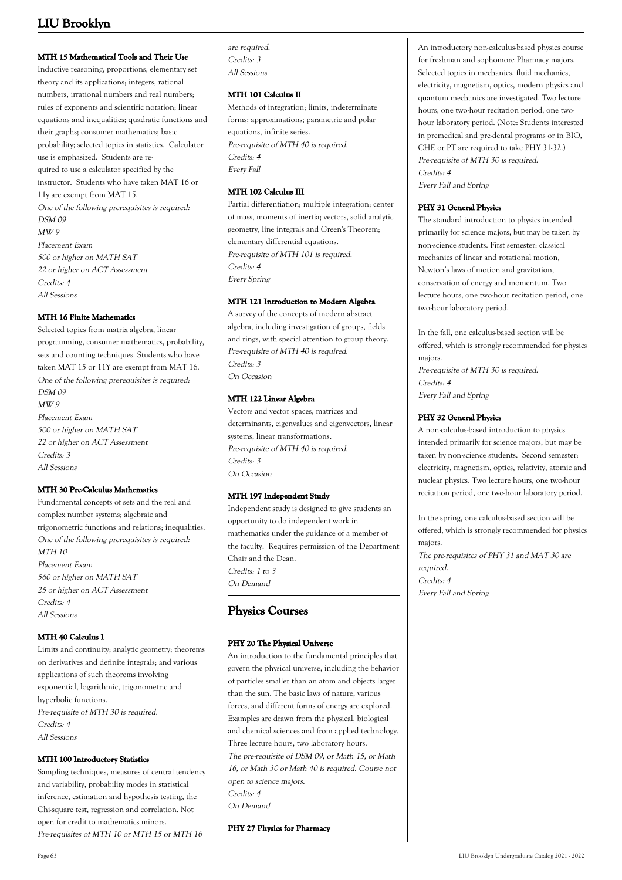### **MTH 15 Mathematical Tools and Their Use**

Inductive reasoning, proportions, elementary set theory and its applications; integers, rational numbers, irrational numbers and real numbers; rules of exponents and scientific notation; linear equations and inequalities; quadratic functions and their graphs; consumer mathematics; basic probability; selected topics in statistics. Calculator use is emphasized. Students are required to use a calculator specified by the instructor. Students who have taken MAT 16 or 11y are exempt from MAT 15. One of the following prerequisites is required: DSM 09 MW 9 Placement Exam 500 or higher on MATH SAT 22 or higher on ACT Assessment Credits: 4 All Sessions

### **MTH 16 Finite Mathematics**

Selected topics from matrix algebra, linear programming, consumer mathematics, probability, sets and counting techniques. Students who have taken MAT 15 or 11Y are exempt from MAT 16. One of the following prerequisites is required: DSM 09 MW 9 Placement Exam 500 or higher on MATH SAT 22 or higher on ACT Assessment Credits: 3 All Sessions

#### **MTH 30 Pre-Calculus Mathematics**

Fundamental concepts of sets and the real and complex number systems; algebraic and trigonometric functions and relations; inequalities. One of the following prerequisites is required:  $MTH$  10 Placement Exam 560 or higher on MATH SAT 25 or higher on ACT Assessment Credits: 4 All Sessions

### **MTH 40 Calculus I**

Limits and continuity; analytic geometry; theorems on derivatives and definite integrals; and various applications of such theorems involving exponential, logarithmic, trigonometric and hyperbolic functions. Pre-requisite of MTH 30 is required. Credits: 4 All Sessions

### **MTH 100 Introductory Statistics**

Sampling techniques, measures of central tendency and variability, probability modes in statistical inference, estimation and hypothesis testing, the Chi-square test, regression and correlation. Not open for credit to mathematics minors. Pre-requisites of MTH 10 or MTH 15 or MTH 16

are required. Credits: 3 All Sessions

#### **MTH 101 Calculus II**

Methods of integration; limits, indeterminate forms; approximations; parametric and polar equations, infinite series. Pre-requisite of MTH 40 is required. Credits: 4 Every Fall

### **MTH 102 Calculus III**

Partial differentiation; multiple integration; center of mass, moments of inertia; vectors, solid analytic geometry, line integrals and Green's Theorem; elementary differential equations. Pre-requisite of MTH 101 is required. Credits: 4 Every Spring

#### **MTH 121 Introduction to Modern Algebra**

A survey of the concepts of modern abstract algebra, including investigation of groups, fields and rings, with special attention to group theory. Pre-requisite of MTH 40 is required. Credits: 3 On Occasion

#### **MTH 122 Linear Algebra**

Vectors and vector spaces, matrices and determinants, eigenvalues and eigenvectors, linear systems, linear transformations. Pre-requisite of MTH 40 is required. Credits: 3 On Occasion

#### **MTH 197 Independent Study**

Independent study is designed to give students an opportunity to do independent work in mathematics under the guidance of a member of the faculty. Requires permission of the Department Chair and the Dean. Credits: 1 to 3 On Demand

# **Physics Courses**

### **PHY 20 The Physical Universe**

An introduction to the fundamental principles that govern the physical universe, including the behavior of particles smaller than an atom and objects larger than the sun. The basic laws of nature, various forces, and different forms of energy are explored. Examples are drawn from the physical, biological and chemical sciences and from applied technology. Three lecture hours, two laboratory hours. The pre-requisite of DSM 09, or Math 15, or Math 16, or Math 30 or Math 40 is required. Course not open to science majors. Credits: 4 On Demand

**PHY 27 Physics for Pharmacy**

An introductory non-calculus-based physics course for freshman and sophomore Pharmacy majors. Selected topics in mechanics, fluid mechanics, electricity, magnetism, optics, modern physics and quantum mechanics are investigated. Two lecture hours, one two-hour recitation period, one twohour laboratory period. (Note: Students interested in premedical and pre-dental programs or in BIO, CHE or PT are required to take PHY 31-32.) Pre-requisite of MTH 30 is required. Credits: 4 Every Fall and Spring

### **PHY 31 General Physics**

The standard introduction to physics intended primarily for science majors, but may be taken by non-science students. First semester: classical mechanics of linear and rotational motion, Newton's laws of motion and gravitation, conservation of energy and momentum. Two lecture hours, one two-hour recitation period, one two-hour laboratory period.

In the fall, one calculus-based section will be offered, which is strongly recommended for physics majors. Pre-requisite of MTH 30 is required. Credits: 4 Every Fall and Spring

### **PHY 32 General Physics**

A non-calculus-based introduction to physics intended primarily for science majors, but may be taken by non-science students. Second semester: electricity, magnetism, optics, relativity, atomic and nuclear physics. Two lecture hours, one two-hour recitation period, one two-hour laboratory period.

In the spring, one calculus-based section will be offered, which is strongly recommended for physics majors. The pre-requisites of PHY 31 and MAT 30 are required. Credits: 4 Every Fall and Spring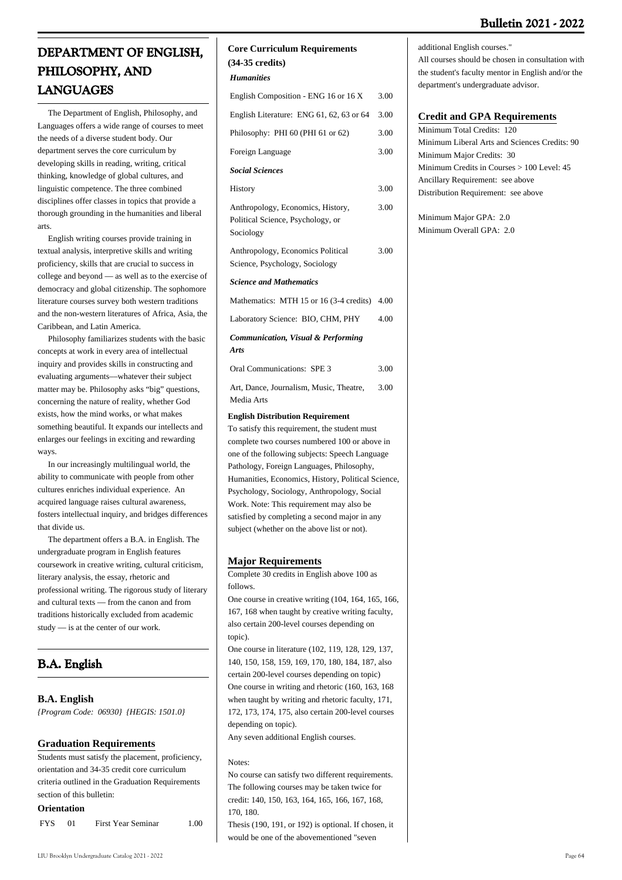# **Bulletin 2021 - 2022**

# **DEPARTMENT OF ENGLISH, PHILOSOPHY, AND LANGUAGES**

 The Department of English, Philosophy, and Languages offers a wide range of courses to meet the needs of a diverse student body. Our department serves the core curriculum by developing skills in reading, writing, critical thinking, knowledge of global cultures, and linguistic competence. The three combined disciplines offer classes in topics that provide a thorough grounding in the humanities and liberal arts.

 English writing courses provide training in textual analysis, interpretive skills and writing proficiency, skills that are crucial to success in college and beyond — as well as to the exercise of democracy and global citizenship. The sophomore literature courses survey both western traditions and the non-western literatures of Africa, Asia, the Caribbean, and Latin America.

 Philosophy familiarizes students with the basic concepts at work in every area of intellectual inquiry and provides skills in constructing and evaluating arguments––whatever their subject matter may be. Philosophy asks "big" questions, concerning the nature of reality, whether God exists, how the mind works, or what makes something beautiful. It expands our intellects and enlarges our feelings in exciting and rewarding ways.

 In our increasingly multilingual world, the ability to communicate with people from other cultures enriches individual experience. An acquired language raises cultural awareness, fosters intellectual inquiry, and bridges differences that divide us.

 The department offers a B.A. in English. The undergraduate program in English features coursework in creative writing, cultural criticism, literary analysis, the essay, rhetoric and professional writing. The rigorous study of literary and cultural texts — from the canon and from traditions historically excluded from academic study — is at the center of our work.

# **B.A. English**

## **B.A. English**

*{Program Code: 06930} {HEGIS: 1501.0}*

## **Graduation Requirements**

Students must satisfy the placement, proficiency, orientation and 34-35 credit core curriculum criteria outlined in the Graduation Requirements section of this bulletin:

### **Orientation**

| <b>FYS</b> | <b>First Year Seminar</b> | 1.00 |
|------------|---------------------------|------|
|            |                           |      |

### **Core Curriculum Requirements (34-35 credits)**

*Humanities*

| English Composition - ENG 16 or 16 X                                                | 3.00 |
|-------------------------------------------------------------------------------------|------|
| English Literature: ENG 61, 62, 63 or 64                                            | 3.00 |
| Philosophy: PHI 60 (PHI 61 or 62)                                                   | 3.00 |
| Foreign Language                                                                    | 3.00 |
| <b>Social Sciences</b>                                                              |      |
| History                                                                             | 3.00 |
| Anthropology, Economics, History,<br>Political Science, Psychology, or<br>Sociology | 3.00 |
| Anthropology, Economics Political<br>Science, Psychology, Sociology                 | 3.00 |
| <b>Science and Mathematics</b>                                                      |      |
| Mathematics: MTH 15 or 16 (3-4 credits) 4.00                                        |      |
| Laboratory Science: BIO, CHM, PHY                                                   | 4.00 |
| Communication, Visual & Performing<br><b>Arts</b>                                   |      |
| Oral Communications: SPE 3                                                          | 3.00 |
| Art, Dance, Journalism, Music, Theatre,<br>Media Arts                               | 3.00 |

#### **English Distribution Requirement**

To satisfy this requirement, the student must complete two courses numbered 100 or above in one of the following subjects: Speech Language Pathology, Foreign Languages, Philosophy, Humanities, Economics, History, Political Science, Psychology, Sociology, Anthropology, Social Work. Note: This requirement may also be satisfied by completing a second major in any subject (whether on the above list or not).

### **Major Requirements**

Complete 30 credits in English above 100 as follows.

One course in creative writing (104, 164, 165, 166, 167, 168 when taught by creative writing faculty, also certain 200-level courses depending on topic).

One course in literature (102, 119, 128, 129, 137, 140, 150, 158, 159, 169, 170, 180, 184, 187, also certain 200-level courses depending on topic) One course in writing and rhetoric (160, 163, 168 when taught by writing and rhetoric faculty, 171, 172, 173, 174, 175, also certain 200-level courses depending on topic).

Any seven additional English courses.

Notes:

No course can satisfy two different requirements. The following courses may be taken twice for credit: 140, 150, 163, 164, 165, 166, 167, 168, 170, 180.

Thesis (190, 191, or 192) is optional. If chosen, it would be one of the abovementioned "seven

LIU Brooklyn Undergraduate Catalog 2021 - 2022 Page 64

All courses should be chosen in consultation with the student's faculty mentor in English and/or the department's undergraduate advisor.

## **Credit and GPA Requirements**

Minimum Total Credits: 120 Minimum Liberal Arts and Sciences Credits: 90 Minimum Major Credits: 30 Minimum Credits in Courses > 100 Level: 45 Ancillary Requirement: see above Distribution Requirement: see above

Minimum Major GPA: 2.0 Minimum Overall GPA: 2.0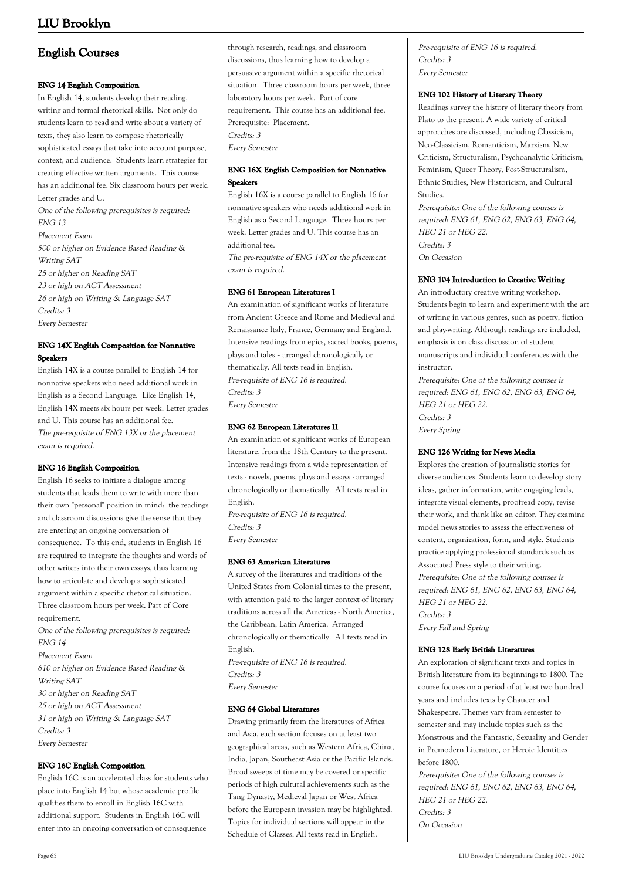# **English Courses**

### **ENG 14 English Composition**

In English 14, students develop their reading, writing and formal rhetorical skills. Not only do students learn to read and write about a variety of texts, they also learn to compose rhetorically sophisticated essays that take into account purpose, context, and audience. Students learn strategies for creating effective written arguments. This course has an additional fee. Six classroom hours per week. Letter grades and U. One of the following prerequisites is required: ENG 13 Placement Exam 500 or higher on Evidence Based Reading & Writing SAT 25 or higher on Reading SAT

23 or high on ACT Assessment 26 or high on Writing & Language SAT Credits: 3 Every Semester

### **ENG 14X English Composition for Nonnative Speakers**

English 14X is a course parallel to English 14 for nonnative speakers who need additional work in English as a Second Language. Like English 14, English 14X meets six hours per week. Letter grades and U. This course has an additional fee. The pre-requisite of ENG 13X or the placement exam is required.

### **ENG 16 English Composition**

English 16 seeks to initiate a dialogue among students that leads them to write with more than their own "personal" position in mind: the readings and classroom discussions give the sense that they are entering an ongoing conversation of consequence. To this end, students in English 16 are required to integrate the thoughts and words of other writers into their own essays, thus learning how to articulate and develop a sophisticated argument within a specific rhetorical situation. Three classroom hours per week. Part of Core requirement.

One of the following prerequisites is required: ENG 14

Placement Exam 610 or higher on Evidence Based Reading & Writing SAT 30 or higher on Reading SAT 25 or high on ACT Assessment 31 or high on Writing & Language SAT Credits: 3 Every Semester

## **ENG 16C English Composition**

English 16C is an accelerated class for students who place into English 14 but whose academic profile qualifies them to enroll in English 16C with additional support. Students in English 16C will enter into an ongoing conversation of consequence

through research, readings, and classroom discussions, thus learning how to develop a persuasive argument within a specific rhetorical situation. Three classroom hours per week, three laboratory hours per week. Part of core requirement. This course has an additional fee. Prerequisite: Placement. Credits: 3 Every Semester

### **ENG 16X English Composition for Nonnative Speakers**

English 16X is a course parallel to English 16 for nonnative speakers who needs additional work in English as a Second Language. Three hours per week. Letter grades and U. This course has an additional fee.

The pre-requisite of ENG 14X or the placement exam is required.

### **ENG 61 European Literatures I**

An examination of significant works of literature from Ancient Greece and Rome and Medieval and Renaissance Italy, France, Germany and England. Intensive readings from epics, sacred books, poems, plays and tales -- arranged chronologically or thematically. All texts read in English. Pre-requisite of ENG 16 is required. Credits: 3 Every Semester

### **ENG 62 European Literatures II**

An examination of significant works of European literature, from the 18th Century to the present. Intensive readings from a wide representation of texts - novels, poems, plays and essays - arranged chronologically or thematically. All texts read in English.

Pre-requisite of ENG 16 is required. Credits: 3 Every Semester

#### **ENG 63 American Literatures**

A survey of the literatures and traditions of the United States from Colonial times to the present, with attention paid to the larger context of literary traditions across all the Americas - North America, the Caribbean, Latin America. Arranged chronologically or thematically. All texts read in English. Pre-requisite of ENG 16 is required. Credits: 3 Every Semester

#### **ENG 64 Global Literatures**

Drawing primarily from the literatures of Africa and Asia, each section focuses on at least two geographical areas, such as Western Africa, China, India, Japan, Southeast Asia or the Pacific Islands. Broad sweeps of time may be covered or specific periods of high cultural achievements such as the Tang Dynasty, Medieval Japan or West Africa before the European invasion may be highlighted. Topics for individual sections will appear in the Schedule of Classes. All texts read in English.

Pre-requisite of ENG 16 is required. Credits: 3 Every Semester

### **ENG 102 History of Literary Theory**

Readings survey the history of literary theory from Plato to the present. A wide variety of critical approaches are discussed, including Classicism, Neo-Classicism, Romanticism, Marxism, New Criticism, Structuralism, Psychoanalytic Criticism, Feminism, Queer Theory, Post-Structuralism, Ethnic Studies, New Historicism, and Cultural Studies.

Prerequisite: One of the following courses is required: ENG 61, ENG 62, ENG 63, ENG 64, HEG 21 or HEG 22. Credits: 3

On Occasion

### **ENG 104 Introduction to Creative Writing**

An introductory creative writing workshop. Students begin to learn and experiment with the art of writing in various genres, such as poetry, fiction and play-writing. Although readings are included, emphasis is on class discussion of student manuscripts and individual conferences with the instructor.

Prerequisite: One of the following courses is required: ENG 61, ENG 62, ENG 63, ENG 64, HEG 21 or HEG 22. Credits: 3 Every Spring

### **ENG 126 Writing for News Media**

Explores the creation of journalistic stories for diverse audiences. Students learn to develop story ideas, gather information, write engaging leads, integrate visual elements, proofread copy, revise their work, and think like an editor. They examine model news stories to assess the effectiveness of content, organization, form, and style. Students practice applying professional standards such as Associated Press style to their writing. Prerequisite: One of the following courses is required: ENG 61, ENG 62, ENG 63, ENG 64, HEG 21 or HEG 22. Credits: 3 Every Fall and Spring

#### **ENG 128 Early British Literatures**

An exploration of significant texts and topics in British literature from its beginnings to 1800. The course focuses on a period of at least two hundred years and includes texts by Chaucer and Shakespeare. Themes vary from semester to semester and may include topics such as the Monstrous and the Fantastic, Sexuality and Gender in Premodern Literature, or Heroic Identities before 1800.

Prerequisite: One of the following courses is required: ENG 61, ENG 62, ENG 63, ENG 64, HEG 21 or HEG 22. Credits: 3 On Occasion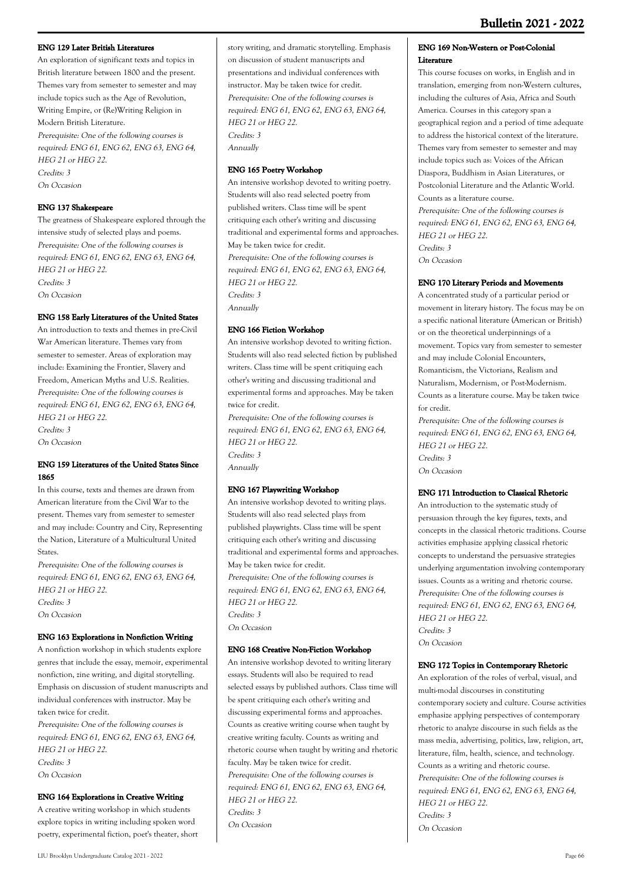### **ENG 129 Later British Literatures**

An exploration of significant texts and topics in British literature between 1800 and the present. Themes vary from semester to semester and may include topics such as the Age of Revolution, Writing Empire, or (Re)Writing Religion in Modern British Literature.

Prerequisite: One of the following courses is required: ENG 61, ENG 62, ENG 63, ENG 64, HEG 21 or HEG 22. Credits: 3 On Occasion

### **ENG 137 Shakespeare**

The greatness of Shakespeare explored through the intensive study of selected plays and poems. Prerequisite: One of the following courses is required: ENG 61, ENG 62, ENG 63, ENG 64, HEG 21 or HEG 22. Credits: 3 On Occasion

### **ENG 158 Early Literatures of the United States**

An introduction to texts and themes in pre-Civil War American literature. Themes vary from semester to semester. Areas of exploration may include: Examining the Frontier, Slavery and Freedom, American Myths and U.S. Realities. Prerequisite: One of the following courses is required: ENG 61, ENG 62, ENG 63, ENG 64, HEG 21 or HEG 22. Credits: 3

On Occasion

### **ENG 159 Literatures of the United States Since 1865**

In this course, texts and themes are drawn from American literature from the Civil War to the present. Themes vary from semester to semester and may include: Country and City, Representing the Nation, Literature of a Multicultural United States.

Prerequisite: One of the following courses is required: ENG 61, ENG 62, ENG 63, ENG 64, HEG 21 or HEG 22. Credits: 3 On Occasion

### **ENG 163 Explorations in Nonfiction Writing**

A nonfiction workshop in which students explore genres that include the essay, memoir, experimental nonfiction, zine writing, and digital storytelling. Emphasis on discussion of student manuscripts and individual conferences with instructor. May be taken twice for credit. Prerequisite: One of the following courses is required: ENG 61, ENG 62, ENG 63, ENG 64, HEG 21 or HEG 22.

Credits: 3

On Occasion

### **ENG 164 Explorations in Creative Writing**

A creative writing workshop in which students explore topics in writing including spoken word poetry, experimental fiction, poet's theater, short

story writing, and dramatic storytelling. Emphasis on discussion of student manuscripts and presentations and individual conferences with instructor. May be taken twice for credit. Prerequisite: One of the following courses is required: ENG 61, ENG 62, ENG 63, ENG 64, HEG 21 or HEG 22. Credits: 3 Annually

### **ENG 165 Poetry Workshop**

An intensive workshop devoted to writing poetry. Students will also read selected poetry from published writers. Class time will be spent critiquing each other's writing and discussing traditional and experimental forms and approaches. May be taken twice for credit. Prerequisite: One of the following courses is required: ENG 61, ENG 62, ENG 63, ENG 64, HEG 21 or HEG 22. Credits: 3 Annually

### **ENG 166 Fiction Workshop**

An intensive workshop devoted to writing fiction. Students will also read selected fiction by published writers. Class time will be spent critiquing each other's writing and discussing traditional and experimental forms and approaches. May be taken twice for credit.

Prerequisite: One of the following courses is required: ENG 61, ENG 62, ENG 63, ENG 64, HEG 21 or HEG 22. Credits: 3 Annually

### **ENG 167 Playwriting Workshop**

An intensive workshop devoted to writing plays. Students will also read selected plays from published playwrights. Class time will be spent critiquing each other's writing and discussing traditional and experimental forms and approaches. May be taken twice for credit. Prerequisite: One of the following courses is required: ENG 61, ENG 62, ENG 63, ENG 64, HEG 21 or HEG 22. Credits: 3 On Occasion

### **ENG 168 Creative Non-Fiction Workshop**

An intensive workshop devoted to writing literary essays. Students will also be required to read selected essays by published authors. Class time will be spent critiquing each other's writing and discussing experimental forms and approaches. Counts as creative writing course when taught by creative writing faculty. Counts as writing and rhetoric course when taught by writing and rhetoric faculty. May be taken twice for credit. Prerequisite: One of the following courses is required: ENG 61, ENG 62, ENG 63, ENG 64, HEG 21 or HEG 22. Credits: 3

On Occasion

#### **ENG 169 Non-Western or Post-Colonial Literature**

This course focuses on works, in English and in translation, emerging from non-Western cultures, including the cultures of Asia, Africa and South America. Courses in this category span a geographical region and a period of time adequate to address the historical context of the literature. Themes vary from semester to semester and may include topics such as: Voices of the African Diaspora, Buddhism in Asian Literatures, or Postcolonial Literature and the Atlantic World. Counts as a literature course. Prerequisite: One of the following courses is

required: ENG 61, ENG 62, ENG 63, ENG 64, HEG 21 or HEG 22. Credits: 3 On Occasion

#### **ENG 170 Literary Periods and Movements**

A concentrated study of a particular period or movement in literary history. The focus may be on a specific national literature (American or British) or on the theoretical underpinnings of a movement. Topics vary from semester to semester and may include Colonial Encounters, Romanticism, the Victorians, Realism and Naturalism, Modernism, or Post-Modernism. Counts as a literature course. May be taken twice for credit.

Prerequisite: One of the following courses is required: ENG 61, ENG 62, ENG 63, ENG 64, HEG 21 or HEG 22. Credits: 3 On Occasion

#### **ENG 171 Introduction to Classical Rhetoric**

An introduction to the systematic study of persuasion through the key figures, texts, and concepts in the classical rhetoric traditions. Course activities emphasize applying classical rhetoric concepts to understand the persuasive strategies underlying argumentation involving contemporary issues. Counts as a writing and rhetoric course. Prerequisite: One of the following courses is required: ENG 61, ENG 62, ENG 63, ENG 64, HEG 21 or HEG 22. Credits: 3 On Occasion

#### **ENG 172 Topics in Contemporary Rhetoric**

An exploration of the roles of verbal, visual, and multi-modal discourses in constituting contemporary society and culture. Course activities emphasize applying perspectives of contemporary rhetoric to analyze discourse in such fields as the mass media, advertising, politics, law, religion, art, literature, film, health, science, and technology. Counts as a writing and rhetoric course. Prerequisite: One of the following courses is required: ENG 61, ENG 62, ENG 63, ENG 64, HEG 21 or HEG 22. Credits: 3 On Occasion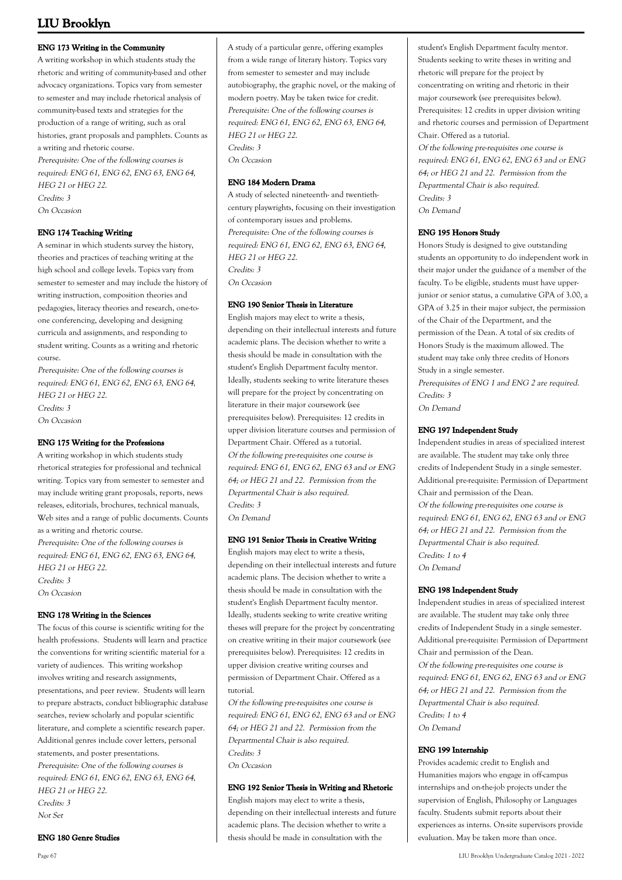#### **ENG 173 Writing in the Community**

A writing workshop in which students study the rhetoric and writing of community-based and other advocacy organizations. Topics vary from semester to semester and may include rhetorical analysis of community-based texts and strategies for the production of a range of writing, such as oral histories, grant proposals and pamphlets. Counts as a writing and rhetoric course.

Prerequisite: One of the following courses is required: ENG 61, ENG 62, ENG 63, ENG 64, HEG 21 or HEG 22. Credits: 3 On Occasion

#### **ENG 174 Teaching Writing**

A seminar in which students survey the history, theories and practices of teaching writing at the high school and college levels. Topics vary from semester to semester and may include the history of writing instruction, composition theories and pedagogies, literacy theories and research, one-toone conferencing, developing and designing curricula and assignments, and responding to student writing. Counts as a writing and rhetoric course.

Prerequisite: One of the following courses is required: ENG 61, ENG 62, ENG 63, ENG 64, HEG 21 or HEG 22. Credits: 3 On Occasion

#### **ENG 175 Writing for the Professions**

A writing workshop in which students study rhetorical strategies for professional and technical writing. Topics vary from semester to semester and may include writing grant proposals, reports, news releases, editorials, brochures, technical manuals, Web sites and a range of public documents. Counts as a writing and rhetoric course. Prerequisite: One of the following courses is required: ENG 61, ENG 62, ENG 63, ENG 64, HEG 21 or HEG 22. Credits: 3 On Occasion

#### **ENG 178 Writing in the Sciences**

The focus of this course is scientific writing for the health professions. Students will learn and practice the conventions for writing scientific material for a variety of audiences. This writing workshop involves writing and research assignments, presentations, and peer review. Students will learn to prepare abstracts, conduct bibliographic database searches, review scholarly and popular scientific literature, and complete a scientific research paper. Additional genres include cover letters, personal statements, and poster presentations. Prerequisite: One of the following courses is required: ENG 61, ENG 62, ENG 63, ENG 64, HEG 21 or HEG 22. Credits: 3 Not Set

**ENG 180 Genre Studies**

### **ENG 184 Modern Drama**

A study of selected nineteenth- and twentiethcentury playwrights, focusing on their investigation of contemporary issues and problems. Prerequisite: One of the following courses is required: ENG 61, ENG 62, ENG 63, ENG 64, HEG 21 or HEG 22. Credits: 3 On Occasion

#### **ENG 190 Senior Thesis in Literature**

English majors may elect to write a thesis, depending on their intellectual interests and future academic plans. The decision whether to write a thesis should be made in consultation with the student's English Department faculty mentor. Ideally, students seeking to write literature theses will prepare for the project by concentrating on literature in their major coursework (see prerequisites below). Prerequisites: 12 credits in upper division literature courses and permission of Department Chair. Offered as a tutorial. Of the following pre-requisites one course is required: ENG 61, ENG 62, ENG 63 and or ENG 64; or HEG 21 and 22. Permission from the Departmental Chair is also required. Credits: 3 On Demand

#### **ENG 191 Senior Thesis in Creative Writing**

English majors may elect to write a thesis, depending on their intellectual interests and future academic plans. The decision whether to write a thesis should be made in consultation with the student's English Department faculty mentor. Ideally, students seeking to write creative writing theses will prepare for the project by concentrating on creative writing in their major coursework (see prerequisites below). Prerequisites: 12 credits in upper division creative writing courses and permission of Department Chair. Offered as a tutorial.

Of the following pre-requisites one course is required: ENG 61, ENG 62, ENG 63 and or ENG 64; or HEG 21 and 22. Permission from the Departmental Chair is also required. Credits: 3 On Occasion

#### **ENG 192 Senior Thesis in Writing and Rhetoric**

English majors may elect to write a thesis, depending on their intellectual interests and future academic plans. The decision whether to write a thesis should be made in consultation with the

student's English Department faculty mentor. Students seeking to write theses in writing and rhetoric will prepare for the project by concentrating on writing and rhetoric in their major coursework (see prerequisites below). Prerequisites: 12 credits in upper division writing and rhetoric courses and permission of Department Chair. Offered as a tutorial. Of the following pre-requisites one course is

required: ENG 61, ENG 62, ENG 63 and or ENG 64; or HEG 21 and 22. Permission from the Departmental Chair is also required. Credits: 3 On Demand

### **ENG 195 Honors Study**

Honors Study is designed to give outstanding students an opportunity to do independent work in their major under the guidance of a member of the faculty. To be eligible, students must have upperjunior or senior status, a cumulative GPA of 3.00, a GPA of 3.25 in their major subject, the permission of the Chair of the Department, and the permission of the Dean. A total of six credits of Honors Study is the maximum allowed. The student may take only three credits of Honors Study in a single semester.

Prerequisites of ENG 1 and ENG 2 are required. Credits: 3 On Demand

### **ENG 197 Independent Study**

Independent studies in areas of specialized interest are available. The student may take only three credits of Independent Study in a single semester. Additional pre-requisite: Permission of Department Chair and permission of the Dean. Of the following pre-requisites one course is required: ENG 61, ENG 62, ENG 63 and or ENG 64; or HEG 21 and 22. Permission from the Departmental Chair is also required. Credits: 1 to 4 On Demand

#### **ENG 198 Independent Study**

Independent studies in areas of specialized interest are available. The student may take only three credits of Independent Study in a single semester. Additional pre-requisite: Permission of Department Chair and permission of the Dean. Of the following pre-requisites one course is required: ENG 61, ENG 62, ENG 63 and or ENG 64; or HEG 21 and 22. Permission from the Departmental Chair is also required. Credits: 1 to 4 On Demand

#### **ENG 199 Internship**

Provides academic credit to English and Humanities majors who engage in off-campus internships and on-the-job projects under the supervision of English, Philosophy or Languages faculty. Students submit reports about their experiences as interns. On-site supervisors provide evaluation. May be taken more than once.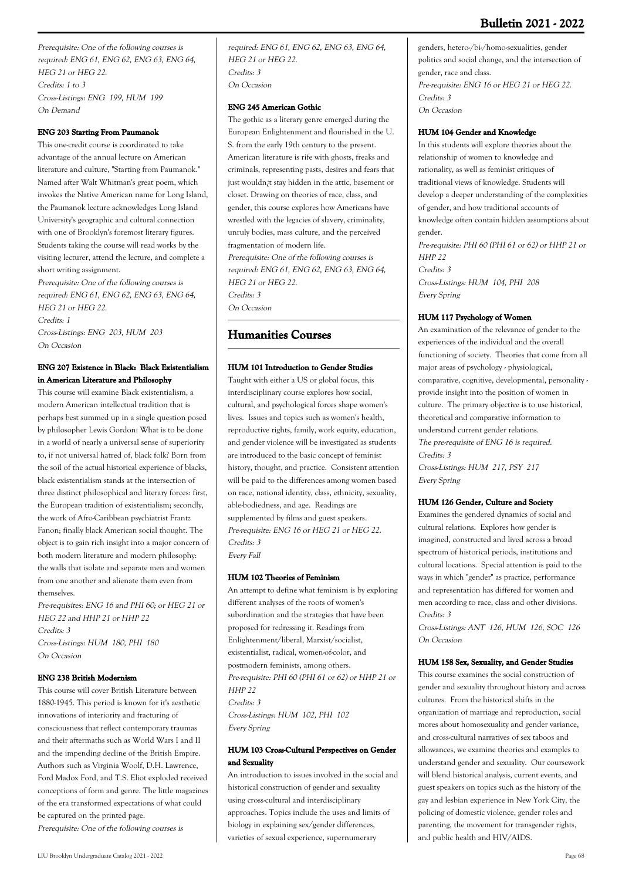Prerequisite: One of the following courses is required: ENG 61, ENG 62, ENG 63, ENG 64, HEG 21 or HEG 22. Credits: 1 to 3 Cross-Listings: ENG 199, HUM 199 On Demand

### **ENG 203 Starting From Paumanok**

This one-credit course is coordinated to take advantage of the annual lecture on American literature and culture, "Starting from Paumanok." Named after Walt Whitman's great poem, which invokes the Native American name for Long Island, the Paumanok lecture acknowledges Long Island University's geographic and cultural connection with one of Brooklyn's foremost literary figures. Students taking the course will read works by the visiting lecturer, attend the lecture, and complete a short writing assignment.

Prerequisite: One of the following courses is required: ENG 61, ENG 62, ENG 63, ENG 64, HEG 21 or HEG 22. Credits: 1

Cross-Listings: ENG 203, HUM 203 On Occasion

### **ENG 207 Existence in Black: Black Existentialism in American Literature and Philosophy**

This course will examine Black existentialism, a modern American intellectual tradition that is perhaps best summed up in a single question posed by philosopher Lewis Gordon: What is to be done in a world of nearly a universal sense of superiority to, if not universal hatred of, black folk? Born from the soil of the actual historical experience of blacks, black existentialism stands at the intersection of three distinct philosophical and literary forces: first, the European tradition of existentialism; secondly, the work of Afro-Caribbean psychiatrist Frantz Fanon; finally black American social thought. The object is to gain rich insight into a major concern of both modern literature and modern philosophy: the walls that isolate and separate men and women from one another and alienate them even from themselves.

Pre-requisites: ENG 16 and PHI 60; or HEG 21 or HEG 22 and HHP 21 or HHP 22 Credits: 3 Cross-Listings: HUM 180, PHI 180 On Occasion

### **ENG 238 British Modernism**

This course will cover British Literature between 1880-1945. This period is known for it's aesthetic innovations of interiority and fracturing of consciousness that reflect contemporary traumas and their aftermaths such as World Wars I and II and the impending decline of the British Empire. Authors such as Virginia Woolf, D.H. Lawrence, Ford Madox Ford, and T.S. Eliot exploded received conceptions of form and genre. The little magazines of the era transformed expectations of what could be captured on the printed page. Prerequisite: One of the following courses is

required: ENG 61, ENG 62, ENG 63, ENG 64, HEG 21 or HEG 22. Credits: 3 On Occasion

### **ENG 245 American Gothic**

The gothic as a literary genre emerged during the European Enlightenment and flourished in the U. S. from the early 19th century to the present. American literature is rife with ghosts, freaks and criminals, representing pasts, desires and fears that just wouldn¿t stay hidden in the attic, basement or closet. Drawing on theories of race, class, and gender, this course explores how Americans have wrestled with the legacies of slavery, criminality, unruly bodies, mass culture, and the perceived fragmentation of modern life. Prerequisite: One of the following courses is required: ENG 61, ENG 62, ENG 63, ENG 64, HEG 21 or HEG 22. Credits: 3 On Occasion

# **Humanities Courses**

### **HUM 101 Introduction to Gender Studies**

Taught with either a US or global focus, this interdisciplinary course explores how social, cultural, and psychological forces shape women's lives. Issues and topics such as women's health, reproductive rights, family, work equity, education, and gender violence will be investigated as students are introduced to the basic concept of feminist history, thought, and practice. Consistent attention will be paid to the differences among women based on race, national identity, class, ethnicity, sexuality, able-bodiedness, and age. Readings are supplemented by films and guest speakers. Pre-requisite: ENG 16 or HEG 21 or HEG 22. Credits: 3 Every Fall

## **HUM 102 Theories of Feminism**

An attempt to define what feminism is by exploring different analyses of the roots of women's subordination and the strategies that have been proposed for redressing it. Readings from Enlightenment/liberal, Marxist/socialist, existentialist, radical, women-of-color, and postmodern feminists, among others. Pre-requisite: PHI 60 (PHI 61 or 62) or HHP 21 or  $HHP$  22 Credits: 3 Cross-Listings: HUM 102, PHI 102 Every Spring

### **HUM 103 Cross-Cultural Perspectives on Gender and Sexuality**

An introduction to issues involved in the social and historical construction of gender and sexuality using cross-cultural and interdisciplinary approaches. Topics include the uses and limits of biology in explaining sex/gender differences, varieties of sexual experience, supernumerary

genders, hetero-/bi-/homo-sexualities, gender politics and social change, and the intersection of gender, race and class. Pre-requisite: ENG 16 or HEG 21 or HEG 22. Credits: 3 On Occasion

### **HUM 104 Gender and Knowledge**

In this students will explore theories about the relationship of women to knowledge and rationality, as well as feminist critiques of traditional views of knowledge. Students will develop a deeper understanding of the complexities of gender, and how traditional accounts of knowledge often contain hidden assumptions about gender. Pre-requisite: PHI 60 (PHI 61 or 62) or HHP 21 or HHP 22 Credits: 3

Cross-Listings: HUM 104, PHI 208 Every Spring

### **HUM 117 Psychology of Women**

An examination of the relevance of gender to the experiences of the individual and the overall functioning of society. Theories that come from all major areas of psychology - physiological, comparative, cognitive, developmental, personality provide insight into the position of women in culture. The primary objective is to use historical, theoretical and comparative information to understand current gender relations. The pre-requisite of ENG 16 is required. Credits: 3 Cross-Listings: HUM 217, PSY 217 Every Spring

### **HUM 126 Gender, Culture and Society**

Examines the gendered dynamics of social and cultural relations. Explores how gender is imagined, constructed and lived across a broad spectrum of historical periods, institutions and cultural locations. Special attention is paid to the ways in which "gender" as practice, performance and representation has differed for women and men according to race, class and other divisions. Credits: 3

Cross-Listings: ANT 126, HUM 126, SOC 126 On Occasion

### **HUM 158 Sex, Sexuality, and Gender Studies**

This course examines the social construction of gender and sexuality throughout history and across cultures. From the historical shifts in the organization of marriage and reproduction, social mores about homosexuality and gender variance, and cross-cultural narratives of sex taboos and allowances, we examine theories and examples to understand gender and sexuality. Our coursework will blend historical analysis, current events, and guest speakers on topics such as the history of the gay and lesbian experience in New York City, the policing of domestic violence, gender roles and parenting, the movement for transgender rights, and public health and HIV/AIDS.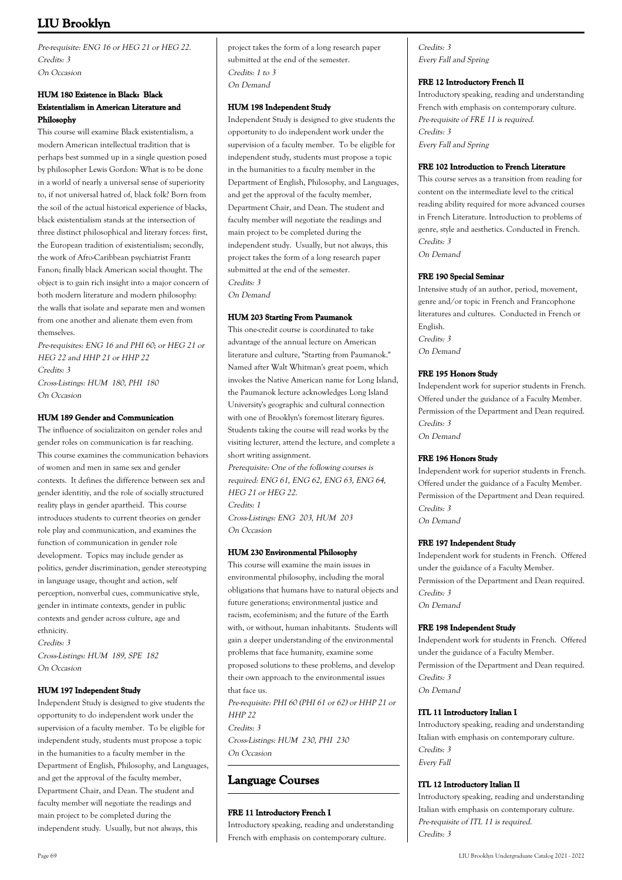Pre-requisite: ENG 16 or HEG 21 or HEG 22. Credits: 3 On Occasion

### **HUM 180 Existence in Black: Black Existentialism in American Literature and Philosophy**

This course will examine Black existentialism, a modern American intellectual tradition that is perhaps best summed up in a single question posed by philosopher Lewis Gordon: What is to be done in a world of nearly a universal sense of superiority to, if not universal hatred of, black folk? Born from the soil of the actual historical experience of blacks, black existentialism stands at the intersection of three distinct philosophical and literary forces: first, the European tradition of existentialism; secondly, the work of Afro-Caribbean psychiatrist Frantz Fanon; finally black American social thought. The object is to gain rich insight into a major concern of both modern literature and modern philosophy: the walls that isolate and separate men and women from one another and alienate them even from themselves.

Pre-requisites: ENG 16 and PHI 60; or HEG 21 or HEG 22 and HHP 21 or HHP 22 Credits: 3 Cross-Listings: HUM 180, PHI 180 On Occasion

### **HUM 189 Gender and Communication**

The influence of socializaiton on gender roles and gender roles on communication is far reaching. This course examines the communication behaviors of women and men in same sex and gender contexts. It defines the difference between sex and gender identitiy, and the role of socially structured reality plays in gender apartheid. This course introduces students to current theories on gender role play and communication, and examines the function of communication in gender role development. Topics may include gender as politics, gender discrimination, gender stereotyping in language usage, thought and action, self perception, nonverbal cues, communicative style, gender in intimate contexts, gender in public contexts and gender across culture, age and ethnicity.

Credits: 3 Cross-Listings: HUM 189, SPE 182 On Occasion

### **HUM 197 Independent Study**

Independent Study is designed to give students the opportunity to do independent work under the supervision of a faculty member. To be eligible for independent study, students must propose a topic in the humanities to a faculty member in the Department of English, Philosophy, and Languages, and get the approval of the faculty member, Department Chair, and Dean. The student and faculty member will negotiate the readings and main project to be completed during the independent study. Usually, but not always, this

project takes the form of a long research paper submitted at the end of the semester. Credits: 1 to 3 On Demand

### **HUM 198 Independent Study**

Independent Study is designed to give students the opportunity to do independent work under the supervision of a faculty member. To be eligible for independent study, students must propose a topic in the humanities to a faculty member in the Department of English, Philosophy, and Languages, and get the approval of the faculty member, Department Chair, and Dean. The student and faculty member will negotiate the readings and main project to be completed during the independent study. Usually, but not always, this project takes the form of a long research paper submitted at the end of the semester. Credits: 3

On Demand

### **HUM 203 Starting From Paumanok**

This one-credit course is coordinated to take advantage of the annual lecture on American literature and culture, "Starting from Paumanok." Named after Walt Whitman's great poem, which invokes the Native American name for Long Island, the Paumanok lecture acknowledges Long Island University's geographic and cultural connection with one of Brooklyn's foremost literary figures. Students taking the course will read works by the visiting lecturer, attend the lecture, and complete a short writing assignment.

Prerequisite: One of the following courses is required: ENG 61, ENG 62, ENG 63, ENG 64, HEG 21 or HEG 22. Credits: 1 Cross-Listings: ENG 203, HUM 203

On Occasion

### **HUM 230 Environmental Philosophy**

This course will examine the main issues in environmental philosophy, including the moral obligations that humans have to natural objects and future generations; environmental justice and racism, ecofeminism; and the future of the Earth with, or without, human inhabitants. Students will gain a deeper understanding of the environmental problems that face humanity, examine some proposed solutions to these problems, and develop their own approach to the environmental issues that face us. Pre-requisite: PHI 60 (PHI 61 or 62) or HHP 21 or

 $HHP$  22 Credits: 3 Cross-Listings: HUM 230, PHI 230 On Occasion

# **Language Courses**

### **FRE 11 Introductory French I**

Introductory speaking, reading and understanding French with emphasis on contemporary culture.

Credits: 3 Every Fall and Spring

### **FRE 12 Introductory French II**

Introductory speaking, reading and understanding French with emphasis on contemporary culture. Pre-requisite of FRE 11 is required. Credits: 3 Every Fall and Spring

### **FRE 102 Introduction to French Literature**

This course serves as a transition from reading for content on the intermediate level to the critical reading ability required for more advanced courses in French Literature. Introduction to problems of genre, style and aesthetics. Conducted in French. Credits: 3 On Demand

### **FRE 190 Special Seminar**

Intensive study of an author, period, movement, genre and/or topic in French and Francophone literatures and cultures. Conducted in French or English. Credits: 3 On Demand

### **FRE 195 Honors Study**

Independent work for superior students in French. Offered under the guidance of a Faculty Member. Permission of the Department and Dean required. Credits: 3 On Demand

#### **FRE 196 Honors Study**

Independent work for superior students in French. Offered under the guidance of a Faculty Member. Permission of the Department and Dean required. Credits: 3 On Demand

#### **FRE 197 Independent Study**

Independent work for students in French. Offered under the guidance of a Faculty Member. Permission of the Department and Dean required. Credits: 3 On Demand

#### **FRE 198 Independent Study**

Independent work for students in French. Offered under the guidance of a Faculty Member. Permission of the Department and Dean required. Credits: 3 On Demand

#### **ITL 11 Introductory Italian I**

Introductory speaking, reading and understanding Italian with emphasis on contemporary culture. Credits: 3 Every Fall

#### **ITL 12 Introductory Italian II**

Introductory speaking, reading and understanding Italian with emphasis on contemporary culture. Pre-requisite of ITL 11 is required. Credits: 3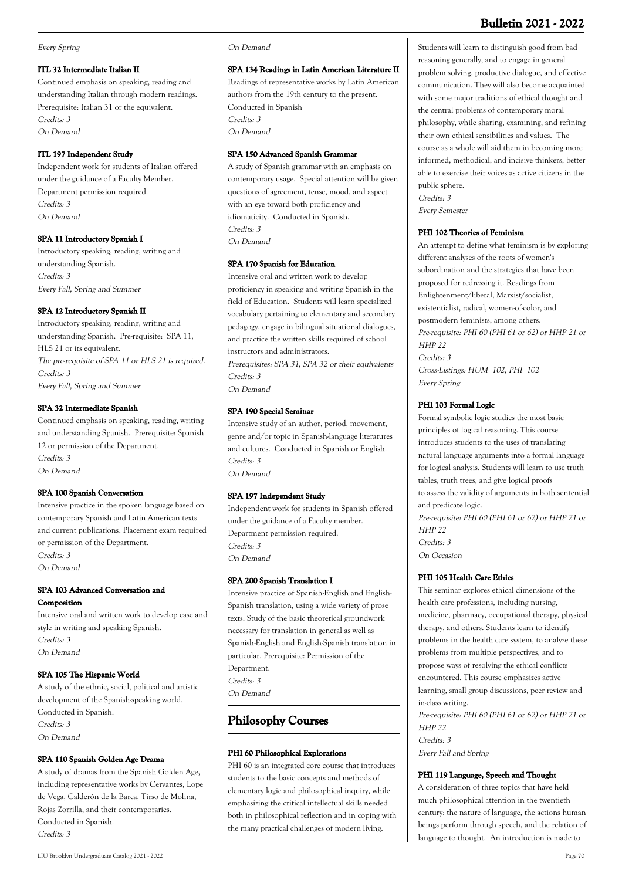#### Every Spring

### **ITL 32 Intermediate Italian II**

Continued emphasis on speaking, reading and understanding Italian through modern readings. Prerequisite: Italian 31 or the equivalent. Credits: 3 On Demand

### **ITL 197 Independent Study**

Independent work for students of Italian offered under the guidance of a Faculty Member. Department permission required. Credits: 3 On Demand

#### **SPA 11 Introductory Spanish I**

Introductory speaking, reading, writing and understanding Spanish. Credits: 3 Every Fall, Spring and Summer

### **SPA 12 Introductory Spanish II**

Introductory speaking, reading, writing and understanding Spanish. Pre-requisite: SPA 11, HLS 21 or its equivalent. The pre-requisite of SPA 11 or HLS 21 is required. Credits: 3 Every Fall, Spring and Summer

### **SPA 32 Intermediate Spanish**

Continued emphasis on speaking, reading, writing and understanding Spanish. Prerequisite: Spanish 12 or permission of the Department. Credits: 3 On Demand

#### **SPA 100 Spanish Conversation**

Intensive practice in the spoken language based on contemporary Spanish and Latin American texts and current publications. Placement exam required or permission of the Department. Credits: 3 On Demand

### **SPA 103 Advanced Conversation and Composition**

Intensive oral and written work to develop ease and style in writing and speaking Spanish. Credits: 3 On Demand

### **SPA 105 The Hispanic World**

A study of the ethnic, social, political and artistic development of the Spanish-speaking world. Conducted in Spanish. Credits: 3 On Demand

### **SPA 110 Spanish Golden Age Drama**

A study of dramas from the Spanish Golden Age, including representative works by Cervantes, Lope de Vega, Calderón de la Barca, Tirso de Molina, Rojas Zorrilla, and their contemporaries. Conducted in Spanish. Credits: 3

#### On Demand

### **SPA 134 Readings in Latin American Literature II**

Readings of representative works by Latin American authors from the 19th century to the present. Conducted in Spanish Credits: 3 On Demand

### **SPA 150 Advanced Spanish Grammar**

A study of Spanish grammar with an emphasis on contemporary usage. Special attention will be given questions of agreement, tense, mood, and aspect with an eye toward both proficiency and idiomaticity. Conducted in Spanish. Credits: 3 On Demand

### **SPA 170 Spanish for Education**

Intensive oral and written work to develop proficiency in speaking and writing Spanish in the field of Education. Students will learn specialized vocabulary pertaining to elementary and secondary pedagogy, engage in bilingual situational dialogues, and practice the written skills required of school instructors and administrators.

Prerequisites: SPA 31, SPA 32 or their equivalents Credits: 3 On Demand

### **SPA 190 Special Seminar**

Intensive study of an author, period, movement, genre and/or topic in Spanish-language literatures and cultures. Conducted in Spanish or English. Credits: 3 On Demand

### **SPA 197 Independent Study**

Independent work for students in Spanish offered under the guidance of a Faculty member. Department permission required. Credits: 3 On Demand

#### **SPA 200 Spanish Translation I**

Intensive practice of Spanish-English and English-Spanish translation, using a wide variety of prose texts. Study of the basic theoretical groundwork necessary for translation in general as well as Spanish-English and English-Spanish translation in particular. Prerequisite: Permission of the Department. Credits: 3 On Demand

# **Philosophy Courses**

### **PHI 60 Philosophical Explorations**

PHI 60 is an integrated core course that introduces students to the basic concepts and methods of elementary logic and philosophical inquiry, while emphasizing the critical intellectual skills needed both in philosophical reflection and in coping with the many practical challenges of modern living.

Students will learn to distinguish good from bad reasoning generally, and to engage in general problem solving, productive dialogue, and effective communication. They will also become acquainted with some major traditions of ethical thought and the central problems of contemporary moral philosophy, while sharing, examining, and refining their own ethical sensibilities and values. The course as a whole will aid them in becoming more informed, methodical, and incisive thinkers, better able to exercise their voices as active citizens in the public sphere. Credits: 3

Every Semester

### **PHI 102 Theories of Feminism**

An attempt to define what feminism is by exploring different analyses of the roots of women's subordination and the strategies that have been proposed for redressing it. Readings from Enlightenment/liberal, Marxist/socialist, existentialist, radical, women-of-color, and postmodern feminists, among others. Pre-requisite: PHI 60 (PHI 61 or 62) or HHP 21 or HHP 22 Credits: 3 Cross-Listings: HUM 102, PHI 102 Every Spring

### **PHI 103 Formal Logic**

Formal symbolic logic studies the most basic principles of logical reasoning. This course introduces students to the uses of translating natural language arguments into a formal language for logical analysis. Students will learn to use truth tables, truth trees, and give logical proofs to assess the validity of arguments in both sentential and predicate logic. Pre-requisite: PHI 60 (PHI 61 or 62) or HHP 21 or

HHP 22 Credits: 3

On Occasion

### **PHI 105 Health Care Ethics**

This seminar explores ethical dimensions of the health care professions, including nursing, medicine, pharmacy, occupational therapy, physical therapy, and others. Students learn to identify problems in the health care system, to analyze these problems from multiple perspectives, and to propose ways of resolving the ethical conflicts encountered. This course emphasizes active learning, small group discussions, peer review and in-class writing.

Pre-requisite: PHI 60 (PHI 61 or 62) or HHP 21 or HHP 22 Credits: 3

Every Fall and Spring

#### **PHI 119 Language, Speech and Thought**

A consideration of three topics that have held much philosophical attention in the twentieth century: the nature of language, the actions human beings perform through speech, and the relation of language to thought. An introduction is made to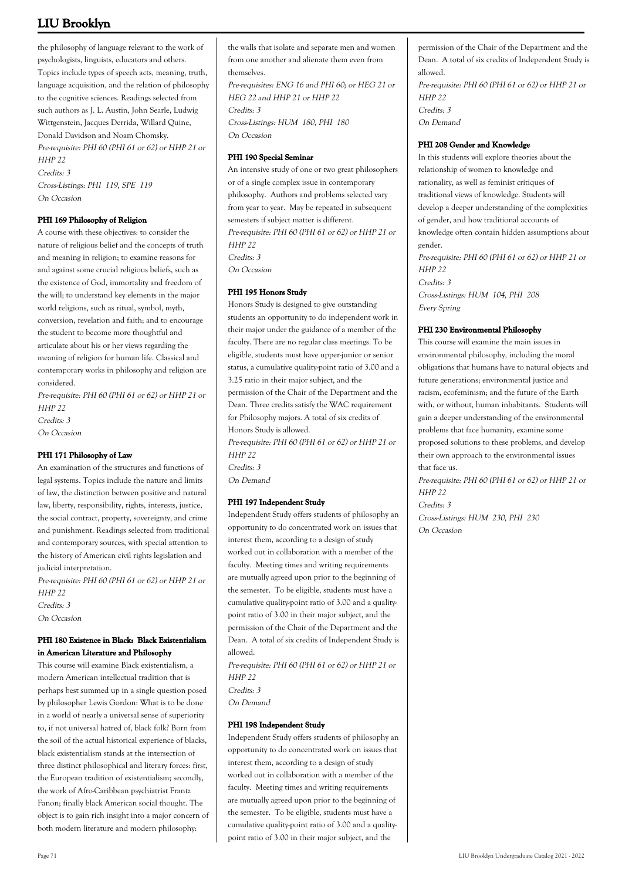the philosophy of language relevant to the work of psychologists, linguists, educators and others. Topics include types of speech acts, meaning, truth, language acquisition, and the relation of philosophy to the cognitive sciences. Readings selected from such authors as J. L. Austin, John Searle, Ludwig Wittgenstein, Jacques Derrida, Willard Quine, Donald Davidson and Noam Chomsky. Pre-requisite: PHI 60 (PHI 61 or 62) or HHP 21 or HHP 22 Credits: 3 Cross-Listings: PHI 119, SPE 119 On Occasion

#### **PHI 169 Philosophy of Religion**

A course with these objectives: to consider the nature of religious belief and the concepts of truth and meaning in religion; to examine reasons for and against some crucial religious beliefs, such as the existence of God, immortality and freedom of the will; to understand key elements in the major world religions, such as ritual, symbol, myth, conversion, revelation and faith; and to encourage the student to become more thoughtful and articulate about his or her views regarding the meaning of religion for human life. Classical and contemporary works in philosophy and religion are considered.

Pre-requisite: PHI 60 (PHI 61 or 62) or HHP 21 or HHP 22 Credits: 3 On Occasion

#### **PHI 171 Philosophy of Law**

An examination of the structures and functions of legal systems. Topics include the nature and limits of law, the distinction between positive and natural law, liberty, responsibility, rights, interests, justice, the social contract, property, sovereignty, and crime and punishment. Readings selected from traditional and contemporary sources, with special attention to the history of American civil rights legislation and judicial interpretation.

Pre-requisite: PHI 60 (PHI 61 or 62) or HHP 21 or HHP 22 Credits: 3

On Occasion

### **PHI 180 Existence in Black: Black Existentialism in American Literature and Philosophy**

This course will examine Black existentialism, a modern American intellectual tradition that is perhaps best summed up in a single question posed by philosopher Lewis Gordon: What is to be done in a world of nearly a universal sense of superiority to, if not universal hatred of, black folk? Born from the soil of the actual historical experience of blacks, black existentialism stands at the intersection of three distinct philosophical and literary forces: first, the European tradition of existentialism; secondly, the work of Afro-Caribbean psychiatrist Frantz Fanon; finally black American social thought. The object is to gain rich insight into a major concern of both modern literature and modern philosophy:

the walls that isolate and separate men and women from one another and alienate them even from themselves. Pre-requisites: ENG 16 and PHI 60; or HEG 21 or

HEG 22 and HHP 21 or HHP 22 Credits: 3 Cross-Listings: HUM 180, PHI 180 On Occasion

#### **PHI 190 Special Seminar**

An intensive study of one or two great philosophers or of a single complex issue in contemporary philosophy. Authors and problems selected vary from year to year. May be repeated in subsequent semesters if subject matter is different. Pre-requisite: PHI 60 (PHI 61 or 62) or HHP 21 or HHP 22 Credits: 3 On Occasion

### **PHI 195 Honors Study**

Honors Study is designed to give outstanding students an opportunity to do independent work in their major under the guidance of a member of the faculty. There are no regular class meetings. To be eligible, students must have upper-junior or senior status, a cumulative quality-point ratio of 3.00 and a 3.25 ratio in their major subject, and the permission of the Chair of the Department and the Dean. Three credits satisfy the WAC requirement for Philosophy majors. A total of six credits of Honors Study is allowed. Pre-requisite: PHI 60 (PHI 61 or 62) or HHP 21 or HHP 22 Credits: 3 On Demand

#### **PHI 197 Independent Study**

Independent Study offers students of philosophy an opportunity to do concentrated work on issues that interest them, according to a design of study worked out in collaboration with a member of the faculty. Meeting times and writing requirements are mutually agreed upon prior to the beginning of the semester. To be eligible, students must have a cumulative quality-point ratio of 3.00 and a qualitypoint ratio of 3.00 in their major subject, and the permission of the Chair of the Department and the Dean. A total of six credits of Independent Study is allowed.

Pre-requisite: PHI 60 (PHI 61 or 62) or HHP 21 or HHP 22 Credits: 3 On Demand

#### **PHI 198 Independent Study**

Independent Study offers students of philosophy an opportunity to do concentrated work on issues that interest them, according to a design of study worked out in collaboration with a member of the faculty. Meeting times and writing requirements are mutually agreed upon prior to the beginning of the semester. To be eligible, students must have a cumulative quality-point ratio of 3.00 and a qualitypoint ratio of 3.00 in their major subject, and the

permission of the Chair of the Department and the Dean. A total of six credits of Independent Study is allowed. Pre-requisite: PHI 60 (PHI 61 or 62) or HHP 21 or HHP 22

Credits: 3 On Demand

### **PHI 208 Gender and Knowledge**

In this students will explore theories about the relationship of women to knowledge and rationality, as well as feminist critiques of traditional views of knowledge. Students will develop a deeper understanding of the complexities of gender, and how traditional accounts of knowledge often contain hidden assumptions about gender.

Pre-requisite: PHI 60 (PHI 61 or 62) or HHP 21 or HHP 22 Credits: 3 Cross-Listings: HUM 104, PHI 208 Every Spring

#### **PHI 230 Environmental Philosophy**

This course will examine the main issues in environmental philosophy, including the moral obligations that humans have to natural objects and future generations; environmental justice and racism, ecofeminism; and the future of the Earth with, or without, human inhabitants. Students will gain a deeper understanding of the environmental problems that face humanity, examine some proposed solutions to these problems, and develop their own approach to the environmental issues that face us.

Pre-requisite: PHI 60 (PHI 61 or 62) or HHP 21 or HHP 22 Credits: 3

Cross-Listings: HUM 230, PHI 230 On Occasion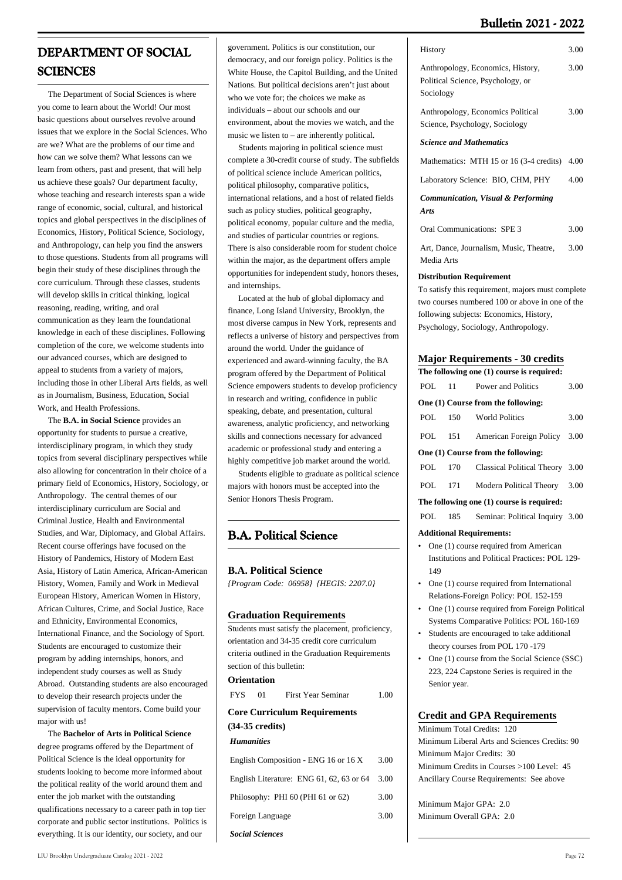# **DEPARTMENT OF SOCIAL SCIENCES**

 The Department of Social Sciences is where you come to learn about the World! Our most basic questions about ourselves revolve around issues that we explore in the Social Sciences. Who are we? What are the problems of our time and how can we solve them? What lessons can we learn from others, past and present, that will help us achieve these goals? Our department faculty, whose teaching and research interests span a wide range of economic, social, cultural, and historical topics and global perspectives in the disciplines of Economics, History, Political Science, Sociology, and Anthropology, can help you find the answers to those questions. Students from all programs will begin their study of these disciplines through the core curriculum. Through these classes, students will develop skills in critical thinking, logical reasoning, reading, writing, and oral communication as they learn the foundational knowledge in each of these disciplines. Following completion of the core, we welcome students into our advanced courses, which are designed to appeal to students from a variety of majors, including those in other Liberal Arts fields, as well as in Journalism, Business, Education, Social Work, and Health Professions.

 The **B.A. in Social Science** provides an opportunity for students to pursue a creative, interdisciplinary program, in which they study topics from several disciplinary perspectives while also allowing for concentration in their choice of a primary field of Economics, History, Sociology, or Anthropology. The central themes of our interdisciplinary curriculum are Social and Criminal Justice, Health and Environmental Studies, and War, Diplomacy, and Global Affairs. Recent course offerings have focused on the History of Pandemics, History of Modern East Asia, History of Latin America, African-American History, Women, Family and Work in Medieval European History, American Women in History, African Cultures, Crime, and Social Justice, Race and Ethnicity, Environmental Economics, International Finance, and the Sociology of Sport. Students are encouraged to customize their program by adding internships, honors, and independent study courses as well as Study Abroad. Outstanding students are also encouraged to develop their research projects under the supervision of faculty mentors. Come build your major with us!

 The **Bachelor of Arts in Political Science** degree programs offered by the Department of Political Science is the ideal opportunity for students looking to become more informed about the political reality of the world around them and enter the job market with the outstanding qualifications necessary to a career path in top tier corporate and public sector institutions. Politics is everything. It is our identity, our society, and our

government. Politics is our constitution, our democracy, and our foreign policy. Politics is the White House, the Capitol Building, and the United Nations. But political decisions aren't just about who we vote for; the choices we make as individuals – about our schools and our environment, about the movies we watch, and the music we listen to – are inherently political.

 Students majoring in political science must complete a 30-credit course of study. The subfields of political science include American politics, political philosophy, comparative politics, international relations, and a host of related fields such as policy studies, political geography, political economy, popular culture and the media, and studies of particular countries or regions. There is also considerable room for student choice within the major, as the department offers ample opportunities for independent study, honors theses, and internships.

 Located at the hub of global diplomacy and finance, Long Island University, Brooklyn, the most diverse campus in New York, represents and reflects a universe of history and perspectives from around the world. Under the guidance of experienced and award-winning faculty, the BA program offered by the Department of Political Science empowers students to develop proficiency in research and writing, confidence in public speaking, debate, and presentation, cultural awareness, analytic proficiency, and networking skills and connections necessary for advanced academic or professional study and entering a highly competitive job market around the world.

 Students eligible to graduate as political science majors with honors must be accepted into the Senior Honors Thesis Program.

## **B.A. Political Science**

### **B.A. Political Science**

*{Program Code: 06958} {HEGIS: 2207.0}*

### **Graduation Requirements**

Students must satisfy the placement, proficiency, orientation and 34-35 credit core curriculum criteria outlined in the Graduation Requirements section of this bulletin:

### **Orientation**

FYS 01 First Year Seminar 1.00

## **Core Curriculum Requirements (34-35 credits)**

### *Humanities*

| English Composition - ENG 16 or 16 X          | 3.00 |
|-----------------------------------------------|------|
| English Literature: ENG 61, 62, 63 or 64 3.00 |      |
| Philosophy: PHI 60 (PHI 61 or 62)             | 3.00 |
| Foreign Language                              | 3.00 |
| <b>Social Sciences</b>                        |      |

| History                                                                             | 3.00 |
|-------------------------------------------------------------------------------------|------|
| Anthropology, Economics, History,<br>Political Science, Psychology, or<br>Sociology | 3.00 |
| Anthropology, Economics Political<br>Science, Psychology, Sociology                 | 3.00 |
| <b>Science and Mathematics</b>                                                      |      |
| Mathematics: MTH 15 or 16 (3-4 credits)                                             | 4.00 |
| Laboratory Science: BIO, CHM, PHY                                                   | 4.00 |
| <b>Communication, Visual &amp; Performing</b><br>Arts                               |      |
| <b>Oral Communications: SPE 3</b>                                                   | 3.00 |
| Art, Dance, Journalism, Music, Theatre,<br>Media Arts                               | 3.00 |

#### **Distribution Requirement**

To satisfy this requirement, majors must complete two courses numbered 100 or above in one of the following subjects: Economics, History, Psychology, Sociology, Anthropology.

#### **Major Requirements - 30 credits**

| The following one (1) course is required:             |  |                                         |      |  |
|-------------------------------------------------------|--|-----------------------------------------|------|--|
|                                                       |  | POL 11 Power and Politics               | 3.00 |  |
|                                                       |  | One (1) Course from the following:      |      |  |
|                                                       |  | POL 150 World Politics                  | 3.00 |  |
|                                                       |  | POL 151 American Foreign Policy 3.00    |      |  |
|                                                       |  | One (1) Course from the following:      |      |  |
|                                                       |  | POL 170 Classical Political Theory 3.00 |      |  |
|                                                       |  | POL 171 Modern Political Theory 3.00    |      |  |
| The following one (1) course is required:             |  |                                         |      |  |
|                                                       |  | POL 185 Seminar: Political Inquiry 3.00 |      |  |
|                                                       |  | <b>Additional Requirements:</b>         |      |  |
| • One (1) course required from American               |  |                                         |      |  |
| <b>Institutions and Political Practices: POL 129-</b> |  |                                         |      |  |

- Institutions and Political Practices: POL 129- 149
- One (1) course required from International Relations-Foreign Policy: POL 152-159
- One (1) course required from Foreign Political Systems Comparative Politics: POL 160-169 •
- Students are encouraged to take additional theory courses from POL 170 -179 •
- One (1) course from the Social Science (SSC) 223, 224 Capstone Series is required in the Senior year. •

### **Credit and GPA Requirements**

Minimum Total Credits: 120 Minimum Liberal Arts and Sciences Credits: 90 Minimum Major Credits: 30 Minimum Credits in Courses >100 Level: 45 Ancillary Course Requirements: See above

Minimum Major GPA: 2.0 Minimum Overall GPA: 2.0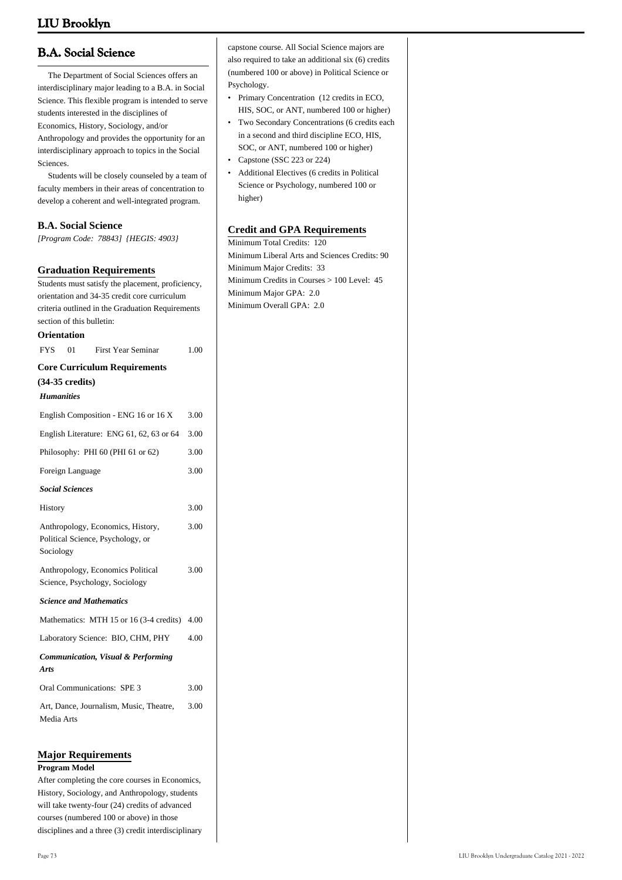# **B.A. Social Science**

 The Department of Social Sciences offers an interdisciplinary major leading to a B.A. in Social Science. This flexible program is intended to serve students interested in the disciplines of Economics, History, Sociology, and/or Anthropology and provides the opportunity for an interdisciplinary approach to topics in the Social Sciences.

 Students will be closely counseled by a team of faculty members in their areas of concentration to develop a coherent and well-integrated program.

### **B.A. Social Science**

*[Program Code: 78843] {HEGIS: 4903}*

### **Graduation Requirements**

Students must satisfy the placement, proficiency, orientation and 34-35 credit core curriculum criteria outlined in the Graduation Requirements section of this bulletin:

#### **Orientation**

| <b>FYS</b>        | 01                        | <b>First Year Seminar</b>                                              | 1.00 |
|-------------------|---------------------------|------------------------------------------------------------------------|------|
|                   |                           | <b>Core Curriculum Requirements</b>                                    |      |
|                   | $(34-35 \text{ credits})$ |                                                                        |      |
| <b>Humanities</b> |                           |                                                                        |      |
|                   |                           | English Composition - ENG 16 or 16 X                                   | 3.00 |
|                   |                           | English Literature: ENG 61, 62, 63 or 64                               | 3.00 |
|                   |                           | Philosophy: PHI 60 (PHI 61 or 62)                                      | 3.00 |
|                   | Foreign Language          |                                                                        | 3.00 |
|                   | <b>Social Sciences</b>    |                                                                        |      |
| History           |                           |                                                                        | 3.00 |
| Sociology         |                           | Anthropology, Economics, History,<br>Political Science, Psychology, or | 3.00 |
|                   |                           | Anthropology, Economics Political<br>Science, Psychology, Sociology    | 3.00 |
|                   |                           | <b>Science and Mathematics</b>                                         |      |
|                   |                           | Mathematics: MTH 15 or 16 (3-4 credits)                                | 4.00 |
|                   |                           | Laboratory Science: BIO, CHM, PHY                                      | 4.00 |
| <b>Arts</b>       |                           | Communication, Visual & Performing                                     |      |
|                   |                           | Oral Communications: SPE 3                                             | 3.00 |
| Media Arts        |                           | Art, Dance, Journalism, Music, Theatre,                                | 3.00 |

### **Major Requirements**

#### **Program Model**

After completing the core courses in Economics, History, Sociology, and Anthropology, students will take twenty-four (24) credits of advanced courses (numbered 100 or above) in those disciplines and a three (3) credit interdisciplinary

- Primary Concentration (12 credits in ECO, HIS, SOC, or ANT, numbered 100 or higher)
- Two Secondary Concentrations (6 credits each in a second and third discipline ECO, HIS, SOC, or ANT, numbered 100 or higher) •
- Capstone (SSC 223 or 224)
- Additional Electives (6 credits in Political Science or Psychology, numbered 100 or higher) •

### **Credit and GPA Requirements**

Minimum Total Credits: 120 Minimum Liberal Arts and Sciences Credits: 90 Minimum Major Credits: 33 Minimum Credits in Courses > 100 Level: 45 Minimum Major GPA: 2.0 Minimum Overall GPA: 2.0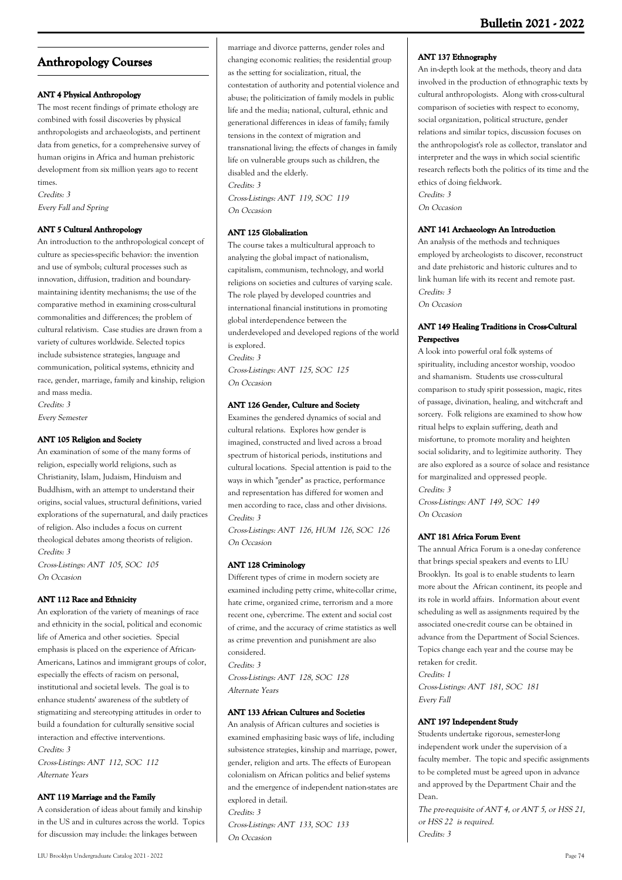# **Anthropology Courses**

### **ANT 4 Physical Anthropology**

The most recent findings of primate ethology are combined with fossil discoveries by physical anthropologists and archaeologists, and pertinent data from genetics, for a comprehensive survey of human origins in Africa and human prehistoric development from six million years ago to recent times.

Credits: 3 Every Fall and Spring

### **ANT 5 Cultural Anthropology**

An introduction to the anthropological concept of culture as species-specific behavior: the invention and use of symbols; cultural processes such as innovation, diffusion, tradition and boundarymaintaining identity mechanisms; the use of the comparative method in examining cross-cultural commonalities and differences; the problem of cultural relativism. Case studies are drawn from a variety of cultures worldwide. Selected topics include subsistence strategies, language and communication, political systems, ethnicity and race, gender, marriage, family and kinship, religion and mass media.

Credits: 3 Every Semester

### **ANT 105 Religion and Society**

An examination of some of the many forms of religion, especially world religions, such as Christianity, Islam, Judaism, Hinduism and Buddhism, with an attempt to understand their origins, social values, structural definitions, varied explorations of the supernatural, and daily practices of religion. Also includes a focus on current theological debates among theorists of religion. Credits: 3

Cross-Listings: ANT 105, SOC 105 On Occasion

### **ANT 112 Race and Ethnicity**

An exploration of the variety of meanings of race and ethnicity in the social, political and economic life of America and other societies. Special emphasis is placed on the experience of African-Americans, Latinos and immigrant groups of color, especially the effects of racism on personal, institutional and societal levels. The goal is to enhance students' awareness of the subtlety of stigmatizing and stereotyping attitudes in order to build a foundation for culturally sensitive social interaction and effective interventions. Credits: 3 Cross-Listings: ANT 112, SOC 112 Alternate Years

### **ANT 119 Marriage and the Family**

A consideration of ideas about family and kinship in the US and in cultures across the world. Topics for discussion may include: the linkages between

marriage and divorce patterns, gender roles and changing economic realities; the residential group as the setting for socialization, ritual, the contestation of authority and potential violence and abuse; the politicization of family models in public life and the media; national, cultural, ethnic and generational differences in ideas of family; family tensions in the context of migration and transnational living; the effects of changes in family life on vulnerable groups such as children, the disabled and the elderly. Credits: 3

Cross-Listings: ANT 119, SOC 119 On Occasion

### **ANT 125 Globalization**

The course takes a multicultural approach to analyzing the global impact of nationalism, capitalism, communism, technology, and world religions on societies and cultures of varying scale. The role played by developed countries and international financial institutions in promoting global interdependence between the underdeveloped and developed regions of the world is explored. Credits: 3 Cross-Listings: ANT 125, SOC 125 On Occasion

### **ANT 126 Gender, Culture and Society**

Examines the gendered dynamics of social and cultural relations. Explores how gender is imagined, constructed and lived across a broad spectrum of historical periods, institutions and cultural locations. Special attention is paid to the ways in which "gender" as practice, performance and representation has differed for women and men according to race, class and other divisions. Credits: 3

Cross-Listings: ANT 126, HUM 126, SOC 126 On Occasion

### **ANT 128 Criminology**

Different types of crime in modern society are examined including petty crime, white-collar crime, hate crime, organized crime, terrorism and a more recent one, cybercrime. The extent and social cost of crime, and the accuracy of crime statistics as well as crime prevention and punishment are also considered. Credits: 3

Cross-Listings: ANT 128, SOC 128 Alternate Years

### **ANT 133 African Cultures and Societies**

An analysis of African cultures and societies is examined emphasizing basic ways of life, including subsistence strategies, kinship and marriage, power, gender, religion and arts. The effects of European colonialism on African politics and belief systems and the emergence of independent nation-states are explored in detail. Credits: 3

Cross-Listings: ANT 133, SOC 133 On Occasion

### **ANT 137 Ethnography**

An in-depth look at the methods, theory and data involved in the production of ethnographic texts by cultural anthropologists. Along with cross-cultural comparison of societies with respect to economy, social organization, political structure, gender relations and similar topics, discussion focuses on the anthropologist's role as collector, translator and interpreter and the ways in which social scientific research reflects both the politics of its time and the ethics of doing fieldwork. Credits: 3 On Occasion

### **ANT 141 Archaeology: An Introduction**

An analysis of the methods and techniques employed by archeologists to discover, reconstruct and date prehistoric and historic cultures and to link human life with its recent and remote past. Credits: 3 On Occasion

### **ANT 149 Healing Traditions in Cross-Cultural Perspectives**

A look into powerful oral folk systems of spirituality, including ancestor worship, voodoo and shamanism. Students use cross-cultural comparison to study spirit possession, magic, rites of passage, divination, healing, and witchcraft and sorcery. Folk religions are examined to show how ritual helps to explain suffering, death and misfortune, to promote morality and heighten social solidarity, and to legitimize authority. They are also explored as a source of solace and resistance for marginalized and oppressed people. Credits: 3

Cross-Listings: ANT 149, SOC 149 On Occasion

### **ANT 181 Africa Forum Event**

The annual Africa Forum is a one-day conference that brings special speakers and events to LIU Brooklyn. Its goal is to enable students to learn more about the African continent, its people and its role in world affairs. Information about event scheduling as well as assignments required by the associated one-credit course can be obtained in advance from the Department of Social Sciences. Topics change each year and the course may be retaken for credit. Credits: 1

Cross-Listings: ANT 181, SOC 181 Every Fall

### **ANT 197 Independent Study**

Students undertake rigorous, semester-long independent work under the supervision of a faculty member. The topic and specific assignments to be completed must be agreed upon in advance and approved by the Department Chair and the Dean.

The pre-requisite of ANT 4, or ANT 5, or HSS 21, or HSS 22 is required. Credits: 3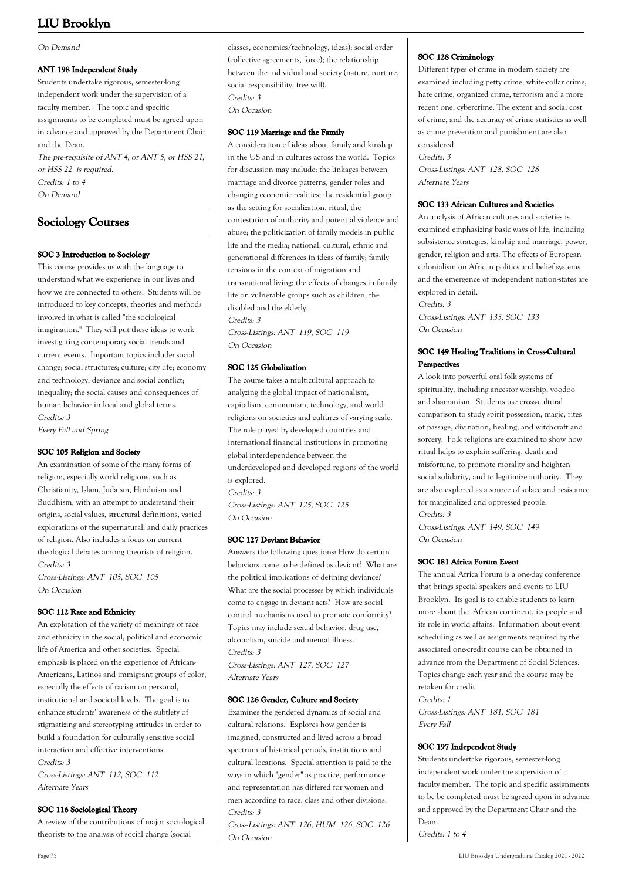### On Demand

### **ANT 198 Independent Study**

Students undertake rigorous, semester-long independent work under the supervision of a faculty member. The topic and specific assignments to be completed must be agreed upon in advance and approved by the Department Chair and the Dean. The pre-requisite of ANT 4, or ANT 5, or HSS 21, or HSS 22 is required. Credits: 1 to 4 On Demand

## **Sociology Courses**

### **SOC 3 Introduction to Sociology**

This course provides us with the language to understand what we experience in our lives and how we are connected to others. Students will be introduced to key concepts, theories and methods involved in what is called "the sociological imagination." They will put these ideas to work investigating contemporary social trends and current events. Important topics include: social change; social structures; culture; city life; economy and technology; deviance and social conflict; inequality; the social causes and consequences of human behavior in local and global terms. Credits: 3

Every Fall and Spring

### **SOC 105 Religion and Society**

An examination of some of the many forms of religion, especially world religions, such as Christianity, Islam, Judaism, Hinduism and Buddhism, with an attempt to understand their origins, social values, structural definitions, varied explorations of the supernatural, and daily practices of religion. Also includes a focus on current theological debates among theorists of religion. Credits: 3 Cross-Listings: ANT 105, SOC 105

On Occasion

### **SOC 112 Race and Ethnicity**

An exploration of the variety of meanings of race and ethnicity in the social, political and economic life of America and other societies. Special emphasis is placed on the experience of African-Americans, Latinos and immigrant groups of color, especially the effects of racism on personal, institutional and societal levels. The goal is to enhance students' awareness of the subtlety of stigmatizing and stereotyping attitudes in order to build a foundation for culturally sensitive social interaction and effective interventions. Credits: 3

Cross-Listings: ANT 112, SOC 112 Alternate Years

### **SOC 116 Sociological Theory**

A review of the contributions of major sociological theorists to the analysis of social change (social

classes, economics/technology, ideas); social order (collective agreements, force); the relationship between the individual and society (nature, nurture, social responsibility, free will). Credits: 3 On Occasion

### **SOC 119 Marriage and the Family**

A consideration of ideas about family and kinship in the US and in cultures across the world. Topics for discussion may include: the linkages between marriage and divorce patterns, gender roles and changing economic realities; the residential group as the setting for socialization, ritual, the contestation of authority and potential violence and abuse; the politicization of family models in public life and the media; national, cultural, ethnic and generational differences in ideas of family; family tensions in the context of migration and transnational living; the effects of changes in family life on vulnerable groups such as children, the disabled and the elderly. Credits: 3

Cross-Listings: ANT 119, SOC 119 On Occasion

### **SOC 125 Globalization**

The course takes a multicultural approach to analyzing the global impact of nationalism, capitalism, communism, technology, and world religions on societies and cultures of varying scale. The role played by developed countries and international financial institutions in promoting global interdependence between the underdeveloped and developed regions of the world is explored. Credits: 3 Cross-Listings: ANT 125, SOC 125 On Occasion

### **SOC 127 Deviant Behavior**

Answers the following questions: How do certain behaviors come to be defined as deviant? What are the political implications of defining deviance? What are the social processes by which individuals come to engage in deviant acts? How are social control mechanisms used to promote conformity? Topics may include sexual behavior, drug use, alcoholism, suicide and mental illness. Credits: 3 Cross-Listings: ANT 127, SOC 127 Alternate Years

### **SOC 126 Gender, Culture and Society**

Examines the gendered dynamics of social and cultural relations. Explores how gender is imagined, constructed and lived across a broad spectrum of historical periods, institutions and cultural locations. Special attention is paid to the ways in which "gender" as practice, performance and representation has differed for women and men according to race, class and other divisions. Credits: 3

Cross-Listings: ANT 126, HUM 126, SOC 126 On Occasion

### **SOC 128 Criminology**

Alternate Years

Different types of crime in modern society are examined including petty crime, white-collar crime, hate crime, organized crime, terrorism and a more recent one, cybercrime. The extent and social cost of crime, and the accuracy of crime statistics as well as crime prevention and punishment are also considered. Credits: 3 Cross-Listings: ANT 128, SOC 128

**SOC 133 African Cultures and Societies**

An analysis of African cultures and societies is examined emphasizing basic ways of life, including subsistence strategies, kinship and marriage, power, gender, religion and arts. The effects of European colonialism on African politics and belief systems and the emergence of independent nation-states are explored in detail. Credits: 3

Cross-Listings: ANT 133, SOC 133 On Occasion

### **SOC 149 Healing Traditions in Cross-Cultural Perspectives**

A look into powerful oral folk systems of spirituality, including ancestor worship, voodoo and shamanism. Students use cross-cultural comparison to study spirit possession, magic, rites of passage, divination, healing, and witchcraft and sorcery. Folk religions are examined to show how ritual helps to explain suffering, death and misfortune, to promote morality and heighten social solidarity, and to legitimize authority. They are also explored as a source of solace and resistance for marginalized and oppressed people. Credits: 3

Cross-Listings: ANT 149, SOC 149 On Occasion

### **SOC 181 Africa Forum Event**

The annual Africa Forum is a one-day conference that brings special speakers and events to LIU Brooklyn. Its goal is to enable students to learn more about the African continent, its people and its role in world affairs. Information about event scheduling as well as assignments required by the associated one-credit course can be obtained in advance from the Department of Social Sciences. Topics change each year and the course may be retaken for credit. Credits: 1 Cross-Listings: ANT 181, SOC 181

Every Fall

**SOC 197 Independent Study** Students undertake rigorous, semester-long independent work under the supervision of a faculty member. The topic and specific assignments to be be completed must be agreed upon in advance and approved by the Department Chair and the Dean.

Credits: 1 to 4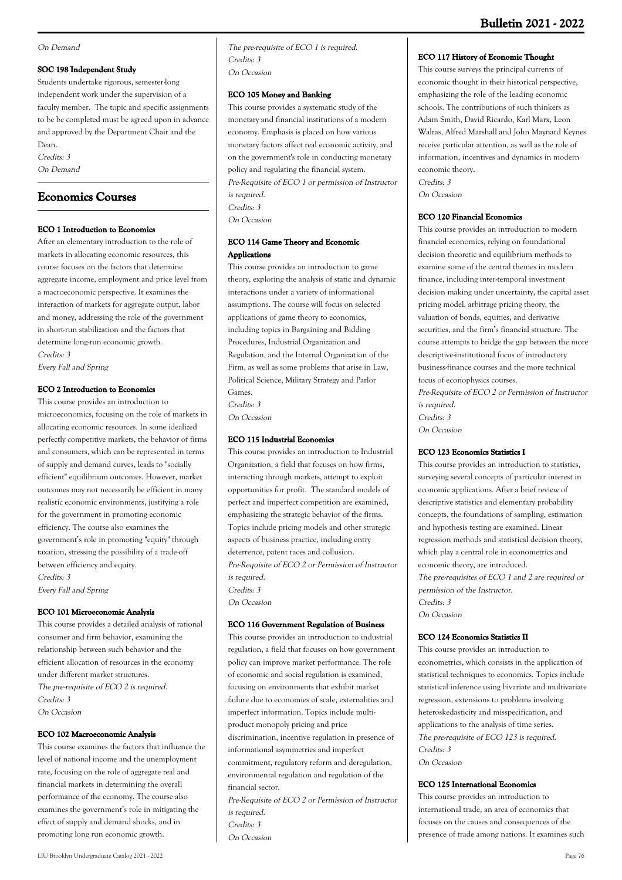#### On Demand

#### **SOC 198 Independent Study**

Students undertake rigorous, semester-long independent work under the supervision of a faculty member. The topic and specific assignments to be be completed must be agreed upon in advance and approved by the Department Chair and the Dean. Credits: 3

On Demand

### **Economics Courses**

### **ECO 1 Introduction to Economics**

After an elementary introduction to the role of markets in allocating economic resources, this course focuses on the factors that determine aggregate income, employment and price level from a macroeconomic perspective. It examines the interaction of markets for aggregate output, labor and money, addressing the role of the government in short-run stabilization and the factors that determine long-run economic growth. Credits: 3

Every Fall and Spring

### **ECO 2 Introduction to Economics**

This course provides an introduction to microeconomics, focusing on the role of markets in allocating economic resources. In some idealized perfectly competitive markets, the behavior of firms and consumers, which can be represented in terms of supply and demand curves, leads to "socially efficient" equilibrium outcomes. However, market outcomes may not necessarily be efficient in many realistic economic environments, justifying a role for the government in promoting economic efficiency. The course also examines the government's role in promoting "equity" through taxation, stressing the possibility of a trade-off between efficiency and equity. Credits: 3

Every Fall and Spring

### **ECO 101 Microeconomic Analysis**

This course provides a detailed analysis of rational consumer and firm behavior, examining the relationship between such behavior and the efficient allocation of resources in the economy under different market structures. The pre-requisite of ECO 2 is required. Credits: 3 On Occasion

### **ECO 102 Macroeconomic Analysis**

This course examines the factors that influence the level of national income and the unemployment rate, focusing on the role of aggregate real and financial markets in determining the overall performance of the economy. The course also examines the government's role in mitigating the effect of supply and demand shocks, and in promoting long run economic growth.

The pre-requisite of ECO 1 is required. Credits: 3 On Occasion

#### **ECO 105 Money and Banking**

This course provides a systematic study of the monetary and financial institutions of a modern economy. Emphasis is placed on how various monetary factors affect real economic activity, and on the government's role in conducting monetary policy and regulating the financial system. Pre-Requisite of ECO 1 or permission of Instructor is required. Credits: 3 On Occasion

### **ECO 114 Game Theory and Economic Applications**

This course provides an introduction to game theory, exploring the analysis of static and dynamic interactions under a variety of informational assumptions. The course will focus on selected applications of game theory to economics, including topics in Bargaining and Bidding Procedures, Industrial Organization and Regulation, and the Internal Organization of the Firm, as well as some problems that arise in Law, Political Science, Military Strategy and Parlor Games. Credits: 3

On Occasion

### **ECO 115 Industrial Economics**

This course provides an introduction to Industrial Organization, a field that focuses on how firms, interacting through markets, attempt to exploit opportunities for profit. The standard models of perfect and imperfect competition are examined, emphasizing the strategic behavior of the firms. Topics include pricing models and other strategic aspects of business practice, including entry deterrence, patent races and collusion. Pre-Requisite of ECO 2 or Permission of Instructor is required. Credits: 3 On Occasion

### **ECO 116 Government Regulation of Business**

This course provides an introduction to industrial regulation, a field that focuses on how government policy can improve market performance. The role of economic and social regulation is examined, focusing on environments that exhibit market failure due to economies of scale, externalities and imperfect information. Topics include multiproduct monopoly pricing and price discrimination, incentive regulation in presence of informational asymmetries and imperfect commitment, regulatory reform and deregulation, environmental regulation and regulation of the financial sector. Pre-Requisite of ECO 2 or Permission of Instructor is required. Credits: 3

On Occasion

## LIU Brooklyn Undergraduate Catalog 2021 - 2022 Page 76

### **ECO 117 History of Economic Thought**

This course surveys the principal currents of economic thought in their historical perspective, emphasizing the role of the leading economic schools. The contributions of such thinkers as Adam Smith, David Ricardo, Karl Marx, Leon Walras, Alfred Marshall and John Maynard Keynes receive particular attention, as well as the role of information, incentives and dynamics in modern economic theory. Credits: 3 On Occasion

#### **ECO 120 Financial Economics**

This course provides an introduction to modern financial economics, relying on foundational decision theoretic and equilibrium methods to examine some of the central themes in modern finance, including inter-temporal investment decision making under uncertainty, the capital asset pricing model, arbitrage pricing theory, the valuation of bonds, equities, and derivative securities, and the firm's financial structure. The course attempts to bridge the gap between the more descriptive-institutional focus of introductory business-finance courses and the more technical focus of econophysics courses.

Pre-Requisite of ECO 2 or Permission of Instructor is required. Credits: 3 On Occasion

### **ECO 123 Economics Statistics I**

This course provides an introduction to statistics, surveying several concepts of particular interest in economic applications. After a brief review of descriptive statistics and elementary probability concepts, the foundations of sampling, estimation and hypothesis testing are examined. Linear regression methods and statistical decision theory, which play a central role in econometrics and economic theory, are introduced. The pre-requisites of ECO 1 and 2 are required or permission of the Instructor. Credits: 3 On Occasion

### **ECO 124 Economics Statistics II**

This course provides an introduction to econometrics, which consists in the application of statistical techniques to economics. Topics include statistical inference using bivariate and multivariate regression, extensions to problems involving heteroskedasticity and misspecification, and applications to the analysis of time series. The pre-requisite of ECO 123 is required. Credits: 3 On Occasion

### **ECO 125 International Economics**

This course provides an introduction to international trade, an area of economics that focuses on the causes and consequences of the presence of trade among nations. It examines such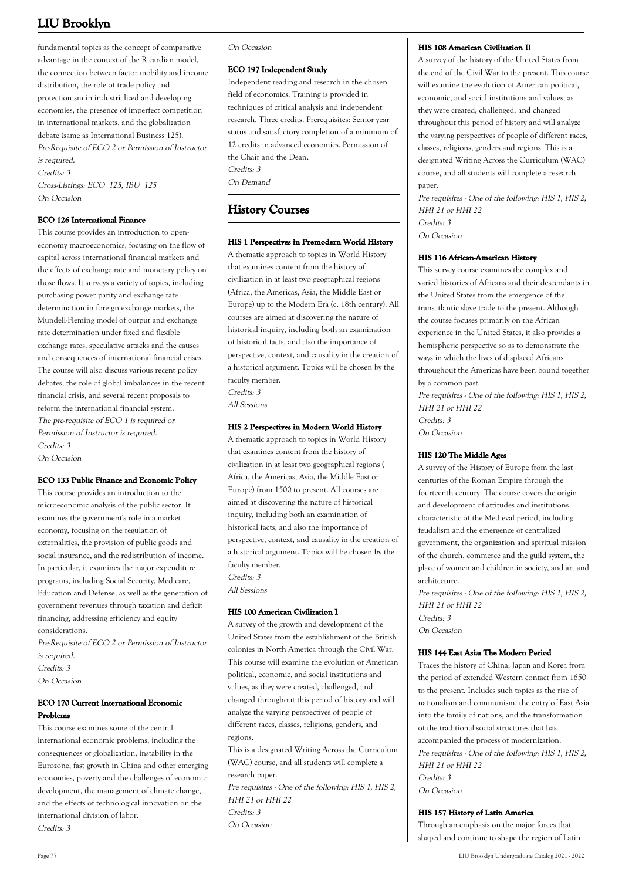fundamental topics as the concept of comparative advantage in the context of the Ricardian model, the connection between factor mobility and income distribution, the role of trade policy and protectionism in industrialized and developing economies, the presence of imperfect competition in international markets, and the globalization debate (same as International Business 125). Pre-Requisite of ECO 2 or Permission of Instructor is required. Credits: 3 Cross-Listings: ECO 125, IBU 125 On Occasion

### **ECO 126 International Finance**

This course provides an introduction to openeconomy macroeconomics, focusing on the flow of capital across international financial markets and the effects of exchange rate and monetary policy on those flows. It surveys a variety of topics, including purchasing power parity and exchange rate determination in foreign exchange markets, the Mundell-Fleming model of output and exchange rate determination under fixed and flexible exchange rates, speculative attacks and the causes and consequences of international financial crises. The course will also discuss various recent policy debates, the role of global imbalances in the recent financial crisis, and several recent proposals to reform the international financial system. The pre-requisite of ECO 1 is required or Permission of Instructor is required. Credits: 3 On Occasion

### **ECO 133 Public Finance and Economic Policy**

This course provides an introduction to the microeconomic analysis of the public sector. It examines the government's role in a market economy, focusing on the regulation of externalities, the provision of public goods and social insurance, and the redistribution of income. In particular, it examines the major expenditure programs, including Social Security, Medicare, Education and Defense, as well as the generation of government revenues through taxation and deficit financing, addressing efficiency and equity considerations.

Pre-Requisite of ECO 2 or Permission of Instructor is required. Credits: 3 On Occasion

### **ECO 170 Current International Economic Problems**

This course examines some of the central international economic problems, including the consequences of globalization, instability in the Eurozone, fast growth in China and other emerging economies, poverty and the challenges of economic development, the management of climate change, and the effects of technological innovation on the international division of labor. Credits: 3

#### On Occasion

#### **ECO 197 Independent Study**

Independent reading and research in the chosen field of economics. Training is provided in techniques of critical analysis and independent research. Three credits. Prerequisites: Senior year status and satisfactory completion of a minimum of 12 credits in advanced economics. Permission of the Chair and the Dean. Credits: 3 On Demand

### **History Courses**

### **HIS 1 Perspectives in Premodern World History**

A thematic approach to topics in World History that examines content from the history of civilization in at least two geographical regions (Africa, the Americas, Asia, the Middle East or Europe) up to the Modern Era (c. 18th century). All courses are aimed at discovering the nature of historical inquiry, including both an examination of historical facts, and also the importance of perspective, context, and causality in the creation of a historical argument. Topics will be chosen by the faculty member.

Credits: 3 All Sessions

#### **HIS 2 Perspectives in Modern World History**

A thematic approach to topics in World History that examines content from the history of civilization in at least two geographical regions ( Africa, the Americas, Asia, the Middle East or Europe) from 1500 to present. All courses are aimed at discovering the nature of historical inquiry, including both an examination of historical facts, and also the importance of perspective, context, and causality in the creation of a historical argument. Topics will be chosen by the faculty member. Credits: 3

All Sessions

### **HIS 100 American Civilization I**

A survey of the growth and development of the United States from the establishment of the British colonies in North America through the Civil War. This course will examine the evolution of American political, economic, and social institutions and values, as they were created, challenged, and changed throughout this period of history and will analyze the varying perspectives of people of different races, classes, religions, genders, and regions.

This is a designated Writing Across the Curriculum (WAC) course, and all students will complete a research paper.

Pre requisites - One of the following: HIS 1, HIS 2, HHI 21 or HHI 22 Credits: 3

On Occasion

### **HIS 108 American Civilization II**

A survey of the history of the United States from the end of the Civil War to the present. This course will examine the evolution of American political, economic, and social institutions and values, as they were created, challenged, and changed throughout this period of history and will analyze the varying perspectives of people of different races, classes, religions, genders and regions. This is a designated Writing Across the Curriculum (WAC) course, and all students will complete a research paper.

Pre requisites - One of the following: HIS 1, HIS 2, HHI 21 or HHI 22 Credits: 3 On Occasion

#### **HIS 116 African-American History**

This survey course examines the complex and varied histories of Africans and their descendants in the United States from the emergence of the transatlantic slave trade to the present. Although the course focuses primarily on the African experience in the United States, it also provides a hemispheric perspective so as to demonstrate the ways in which the lives of displaced Africans throughout the Americas have been bound together by a common past.

Pre requisites - One of the following: HIS 1, HIS 2, HHI 21 or HHI 22 Credits: 3 On Occasion

### **HIS 120 The Middle Ages**

A survey of the History of Europe from the last centuries of the Roman Empire through the fourteenth century. The course covers the origin and development of attitudes and institutions characteristic of the Medieval period, including feudalism and the emergence of centralized government, the organization and spiritual mission of the church, commerce and the guild system, the place of women and children in society, and art and architecture.

Pre requisites - One of the following: HIS 1, HIS 2, HHI 21 or HHI 22 Credits: 3 On Occasion

#### **HIS 144 East Asia: The Modern Period**

Traces the history of China, Japan and Korea from the period of extended Western contact from 1650 to the present. Includes such topics as the rise of nationalism and communism, the entry of East Asia into the family of nations, and the transformation of the traditional social structures that has accompanied the process of modernization. Pre requisites - One of the following: HIS 1, HIS 2, HHI 21 or HHI 22 Credits: 3 On Occasion

### **HIS 157 History of Latin America**

Through an emphasis on the major forces that shaped and continue to shape the region of Latin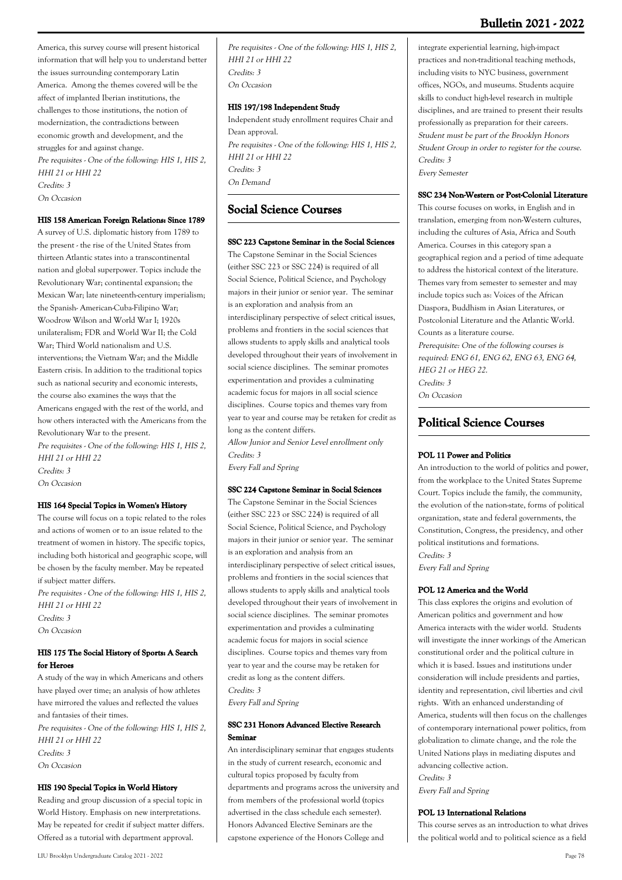America, this survey course will present historical information that will help you to understand better the issues surrounding contemporary Latin America. Among the themes covered will be the affect of implanted Iberian institutions, the challenges to those institutions, the notion of modernization, the contradictions between economic growth and development, and the struggles for and against change. Pre requisites - One of the following: HIS 1, HIS 2, HHI 21 or HHI 22 Credits: 3 On Occasion

### **HIS 158 American Foreign Relations: Since 1789**

A survey of U.S. diplomatic history from 1789 to the present - the rise of the United States from thirteen Atlantic states into a transcontinental nation and global superpower. Topics include the Revolutionary War; continental expansion; the Mexican War; late nineteenth-century imperialism; the Spanish- American-Cuba-Filipino War; Woodrow Wilson and World War I; 1920s unilateralism; FDR and World War II; the Cold War; Third World nationalism and U.S. interventions; the Vietnam War; and the Middle Eastern crisis. In addition to the traditional topics such as national security and economic interests, the course also examines the ways that the Americans engaged with the rest of the world, and how others interacted with the Americans from the Revolutionary War to the present. Pre requisites - One of the following: HIS 1, HIS 2, HHI 21 or HHI 22 Credits: 3 On Occasion

### **HIS 164 Special Topics in Women's History**

The course will focus on a topic related to the roles and actions of women or to an issue related to the treatment of women in history. The specific topics, including both historical and geographic scope, will be chosen by the faculty member. May be repeated if subject matter differs.

Pre requisites - One of the following: HIS 1, HIS 2, HHI 21 or HHI 22 Credits: 3 On Occasion

### **HIS 175 The Social History of Sports: A Search for Heroes**

A study of the way in which Americans and others have played over time; an analysis of how athletes have mirrored the values and reflected the values and fantasies of their times.

Pre requisites - One of the following: HIS 1, HIS 2, HHI 21 or HHI 22 Credits: 3 On Occasion

### **HIS 190 Special Topics in World History**

Reading and group discussion of a special topic in World History. Emphasis on new interpretations. May be repeated for credit if subject matter differs. Offered as a tutorial with department approval.

### **HIS 197/198 Independent Study**

Independent study enrollment requires Chair and Dean approval. Pre requisites - One of the following: HIS 1, HIS 2, HHI 21 or HHI 22 Credits: 3 On Demand

### **Social Science Courses**

#### **SSC 223 Capstone Seminar in the Social Sciences**

The Capstone Seminar in the Social Sciences (either SSC 223 or SSC 224) is required of all Social Science, Political Science, and Psychology majors in their junior or senior year. The seminar is an exploration and analysis from an interdisciplinary perspective of select critical issues, problems and frontiers in the social sciences that allows students to apply skills and analytical tools developed throughout their years of involvement in social science disciplines. The seminar promotes experimentation and provides a culminating academic focus for majors in all social science disciplines. Course topics and themes vary from year to year and course may be retaken for credit as long as the content differs.

Allow Junior and Senior Level enrollment only Credits: 3

Every Fall and Spring

#### **SSC 224 Capstone Seminar in Social Sciences**

The Capstone Seminar in the Social Sciences (either SSC 223 or SSC 224) is required of all Social Science, Political Science, and Psychology majors in their junior or senior year. The seminar is an exploration and analysis from an interdisciplinary perspective of select critical issues, problems and frontiers in the social sciences that allows students to apply skills and analytical tools developed throughout their years of involvement in social science disciplines. The seminar promotes experimentation and provides a culminating academic focus for majors in social science disciplines. Course topics and themes vary from year to year and the course may be retaken for credit as long as the content differs. Credits: 3 Every Fall and Spring

### **SSC 231 Honors Advanced Elective Research Seminar**

An interdisciplinary seminar that engages students in the study of current research, economic and cultural topics proposed by faculty from departments and programs across the university and from members of the professional world (topics advertised in the class schedule each semester). Honors Advanced Elective Seminars are the capstone experience of the Honors College and

integrate experiential learning, high-impact practices and non-traditional teaching methods, including visits to NYC business, government offices, NGOs, and museums. Students acquire skills to conduct high-level research in multiple disciplines, and are trained to present their results professionally as preparation for their careers. Student must be part of the Brooklyn Honors Student Group in order to register for the course. Credits: 3 Every Semester

#### **SSC 234 Non-Western or Post-Colonial Literature**

This course focuses on works, in English and in translation, emerging from non-Western cultures, including the cultures of Asia, Africa and South America. Courses in this category span a geographical region and a period of time adequate to address the historical context of the literature. Themes vary from semester to semester and may include topics such as: Voices of the African Diaspora, Buddhism in Asian Literatures, or Postcolonial Literature and the Atlantic World. Counts as a literature course.

Prerequisite: One of the following courses is required: ENG 61, ENG 62, ENG 63, ENG 64, HEG 21 or HEG 22. Credits: 3

On Occasion

### **Political Science Courses**

#### **POL 11 Power and Politics**

An introduction to the world of politics and power, from the workplace to the United States Supreme Court. Topics include the family, the community, the evolution of the nation-state, forms of political organization, state and federal governments, the Constitution, Congress, the presidency, and other political institutions and formations. Credits: 3 Every Fall and Spring

### **POL 12 America and the World**

This class explores the origins and evolution of American politics and government and how America interacts with the wider world. Students will investigate the inner workings of the American constitutional order and the political culture in which it is based. Issues and institutions under consideration will include presidents and parties, identity and representation, civil liberties and civil rights. With an enhanced understanding of America, students will then focus on the challenges of contemporary international power politics, from globalization to climate change, and the role the United Nations plays in mediating disputes and advancing collective action. Credits: 3

Every Fall and Spring

#### **POL 13 International Relations**

This course serves as an introduction to what drives the political world and to political science as a field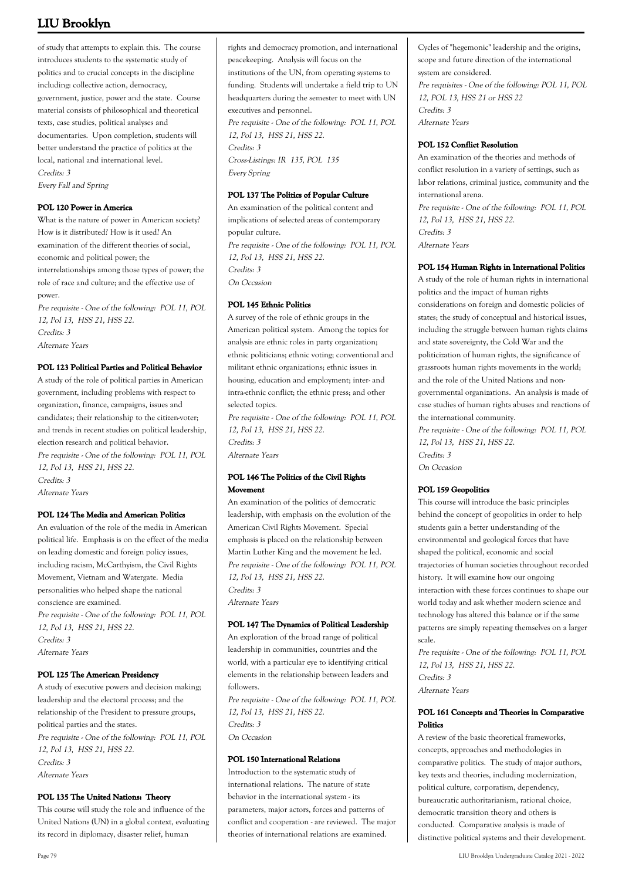of study that attempts to explain this. The course introduces students to the systematic study of politics and to crucial concepts in the discipline including: collective action, democracy, government, justice, power and the state. Course material consists of philosophical and theoretical texts, case studies, political analyses and documentaries. Upon completion, students will better understand the practice of politics at the local, national and international level. Credits: 3 Every Fall and Spring

### **POL 120 Power in America**

What is the nature of power in American society? How is it distributed? How is it used? An examination of the different theories of social, economic and political power; the interrelationships among those types of power; the role of race and culture; and the effective use of power.

Pre requisite - One of the following: POL 11, POL 12, Pol 13, HSS 21, HSS 22. Credits: 3 Alternate Years

### **POL 123 Political Parties and Political Behavior**

A study of the role of political parties in American government, including problems with respect to organization, finance, campaigns, issues and candidates; their relationship to the citizen-voter; and trends in recent studies on political leadership, election research and political behavior. Pre requisite - One of the following: POL 11, POL 12, Pol 13, HSS 21, HSS 22. Credits: 3 Alternate Years

### **POL 124 The Media and American Politics**

An evaluation of the role of the media in American political life. Emphasis is on the effect of the media on leading domestic and foreign policy issues, including racism, McCarthyism, the Civil Rights Movement, Vietnam and Watergate. Media personalities who helped shape the national conscience are examined. Pre requisite - One of the following: POL 11, POL 12, Pol 13, HSS 21, HSS 22. Credits: 3 Alternate Years

### **POL 125 The American Presidency**

A study of executive powers and decision making; leadership and the electoral process; and the relationship of the President to pressure groups, political parties and the states. Pre requisite - One of the following: POL 11, POL 12, Pol 13, HSS 21, HSS 22. Credits: 3 Alternate Years

### **POL 135 The United Nations: Theory**

This course will study the role and influence of the United Nations (UN) in a global context, evaluating its record in diplomacy, disaster relief, human

rights and democracy promotion, and international peacekeeping. Analysis will focus on the institutions of the UN, from operating systems to funding. Students will undertake a field trip to UN headquarters during the semester to meet with UN executives and personnel. Pre requisite - One of the following: POL 11, POL 12, Pol 13, HSS 21, HSS 22. Credits: 3 Cross-Listings: IR 135, POL 135 Every Spring

### **POL 137 The Politics of Popular Culture**

An examination of the political content and implications of selected areas of contemporary popular culture. Pre requisite - One of the following: POL 11, POL 12, Pol 13, HSS 21, HSS 22. Credits: 3 On Occasion

### **POL 145 Ethnic Politics**

A survey of the role of ethnic groups in the American political system. Among the topics for analysis are ethnic roles in party organization; ethnic politicians; ethnic voting; conventional and militant ethnic organizations; ethnic issues in housing, education and employment; inter- and intra-ethnic conflict; the ethnic press; and other selected topics.

Pre requisite - One of the following: POL 11, POL 12, Pol 13, HSS 21, HSS 22. Credits: 3 Alternate Years

### **POL 146 The Politics of the Civil Rights Movement**

An examination of the politics of democratic leadership, with emphasis on the evolution of the American Civil Rights Movement. Special emphasis is placed on the relationship between Martin Luther King and the movement he led. Pre requisite - One of the following: POL 11, POL 12, Pol 13, HSS 21, HSS 22. Credits: 3 Alternate Years

### **POL 147 The Dynamics of Political Leadership**

An exploration of the broad range of political leadership in communities, countries and the world, with a particular eye to identifying critical elements in the relationship between leaders and followers. Pre requisite - One of the following: POL 11, POL 12, Pol 13, HSS 21, HSS 22. Credits: 3 On Occasion

### **POL 150 International Relations**

Introduction to the systematic study of international relations. The nature of state behavior in the international system - its parameters, major actors, forces and patterns of conflict and cooperation - are reviewed. The major theories of international relations are examined.

Cycles of "hegemonic" leadership and the origins, scope and future direction of the international system are considered. Pre requisites - One of the following: POL 11, POL 12, POL 13, HSS 21 or HSS 22 Credits: 3 Alternate Years

### **POL 152 Conflict Resolution**

An examination of the theories and methods of conflict resolution in a variety of settings, such as labor relations, criminal justice, community and the international arena. Pre requisite - One of the following: POL 11, POL 12, Pol 13, HSS 21, HSS 22. Credits: 3 Alternate Years

### **POL 154 Human Rights in International Politics**

A study of the role of human rights in international politics and the impact of human rights considerations on foreign and domestic policies of states; the study of conceptual and historical issues, including the struggle between human rights claims and state sovereignty, the Cold War and the politicization of human rights, the significance of grassroots human rights movements in the world; and the role of the United Nations and nongovernmental organizations. An analysis is made of case studies of human rights abuses and reactions of the international community.

Pre requisite - One of the following: POL 11, POL 12, Pol 13, HSS 21, HSS 22. Credits: 3 On Occasion

### **POL 159 Geopolitics**

This course will introduce the basic principles behind the concept of geopolitics in order to help students gain a better understanding of the environmental and geological forces that have shaped the political, economic and social trajectories of human societies throughout recorded history. It will examine how our ongoing interaction with these forces continues to shape our world today and ask whether modern science and technology has altered this balance or if the same patterns are simply repeating themselves on a larger scale.

Pre requisite - One of the following: POL 11, POL 12, Pol 13, HSS 21, HSS 22. Credits: 3 Alternate Years

### **POL 161 Concepts and Theories in Comparative Politics**

A review of the basic theoretical frameworks, concepts, approaches and methodologies in comparative politics. The study of major authors, key texts and theories, including modernization, political culture, corporatism, dependency, bureaucratic authoritarianism, rational choice, democratic transition theory and others is conducted. Comparative analysis is made of distinctive political systems and their development.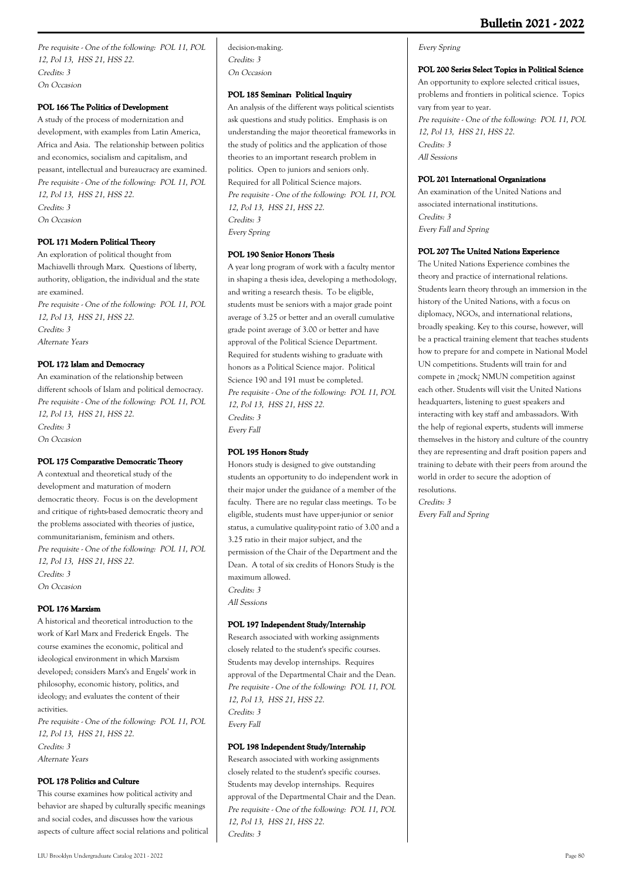Pre requisite - One of the following: POL 11, POL 12, Pol 13, HSS 21, HSS 22. Credits: 3 On Occasion

### **POL 166 The Politics of Development**

A study of the process of modernization and development, with examples from Latin America, Africa and Asia. The relationship between politics and economics, socialism and capitalism, and peasant, intellectual and bureaucracy are examined. Pre requisite - One of the following: POL 11, POL 12, Pol 13, HSS 21, HSS 22. Credits: 3 On Occasion

### **POL 171 Modern Political Theory**

An exploration of political thought from Machiavelli through Marx. Questions of liberty, authority, obligation, the individual and the state are examined. Pre requisite - One of the following: POL 11, POL 12, Pol 13, HSS 21, HSS 22. Credits: 3 Alternate Years

### **POL 172 Islam and Democracy**

An examination of the relationship between different schools of Islam and political democracy. Pre requisite - One of the following: POL 11, POL 12, Pol 13, HSS 21, HSS 22. Credits: 3 On Occasion

### **POL 175 Comparative Democratic Theory**

A contextual and theoretical study of the development and maturation of modern democratic theory. Focus is on the development and critique of rights-based democratic theory and the problems associated with theories of justice, communitarianism, feminism and others. Pre requisite - One of the following: POL 11, POL 12, Pol 13, HSS 21, HSS 22. Credits: 3 On Occasion

### **POL 176 Marxism**

A historical and theoretical introduction to the work of Karl Marx and Frederick Engels. The course examines the economic, political and ideological environment in which Marxism developed; considers Marx's and Engels' work in philosophy, economic history, politics, and ideology; and evaluates the content of their activities. Pre requisite - One of the following: POL 11, POL

12, Pol 13, HSS 21, HSS 22. Credits: 3 Alternate Years

### **POL 178 Politics and Culture**

This course examines how political activity and behavior are shaped by culturally specific meanings and social codes, and discusses how the various aspects of culture affect social relations and political decision-making. Credits: 3 On Occasion

### **POL 185 Seminar: Political Inquiry**

An analysis of the different ways political scientists ask questions and study politics. Emphasis is on understanding the major theoretical frameworks in the study of politics and the application of those theories to an important research problem in politics. Open to juniors and seniors only. Required for all Political Science majors. Pre requisite - One of the following: POL 11, POL 12, Pol 13, HSS 21, HSS 22. Credits: 3 Every Spring

### **POL 190 Senior Honors Thesis**

A year long program of work with a faculty mentor in shaping a thesis idea, developing a methodology, and writing a research thesis. To be eligible, students must be seniors with a major grade point average of 3.25 or better and an overall cumulative grade point average of 3.00 or better and have approval of the Political Science Department. Required for students wishing to graduate with honors as a Political Science major. Political Science 190 and 191 must be completed. Pre requisite - One of the following: POL 11, POL 12, Pol 13, HSS 21, HSS 22. Credits: 3 Every Fall

### **POL 195 Honors Study**

Honors study is designed to give outstanding students an opportunity to do independent work in their major under the guidance of a member of the faculty. There are no regular class meetings. To be eligible, students must have upper-junior or senior status, a cumulative quality-point ratio of 3.00 and a 3.25 ratio in their major subject, and the permission of the Chair of the Department and the Dean. A total of six credits of Honors Study is the maximum allowed. Credits: 3 All Sessions

### **POL 197 Independent Study/Internship**

Research associated with working assignments closely related to the student's specific courses. Students may develop internships. Requires approval of the Departmental Chair and the Dean. Pre requisite - One of the following: POL 11, POL 12, Pol 13, HSS 21, HSS 22. Credits: 3 Every Fall

### **POL 198 Independent Study/Internship**

Research associated with working assignments closely related to the student's specific courses. Students may develop internships. Requires approval of the Departmental Chair and the Dean. Pre requisite - One of the following: POL 11, POL 12, Pol 13, HSS 21, HSS 22. Credits: 3

### Every Spring

### **POL 200 Series Select Topics in Political Science**

An opportunity to explore selected critical issues, problems and frontiers in political science. Topics vary from year to year. Pre requisite - One of the following: POL 11, POL 12, Pol 13, HSS 21, HSS 22. Credits: 3 All Sessions

### **POL 201 International Organizations**

An examination of the United Nations and associated international institutions. Credits: 3 Every Fall and Spring

### **POL 207 The United Nations Experience**

The United Nations Experience combines the theory and practice of international relations. Students learn theory through an immersion in the history of the United Nations, with a focus on diplomacy, NGOs, and international relations, broadly speaking. Key to this course, however, will be a practical training element that teaches students how to prepare for and compete in National Model UN competitions. Students will train for and compete in ¿mock¿ NMUN competition against each other. Students will visit the United Nations headquarters, listening to guest speakers and interacting with key staff and ambassadors. With the help of regional experts, students will immerse themselves in the history and culture of the country they are representing and draft position papers and training to debate with their peers from around the world in order to secure the adoption of resolutions. Credits: 3 Every Fall and Spring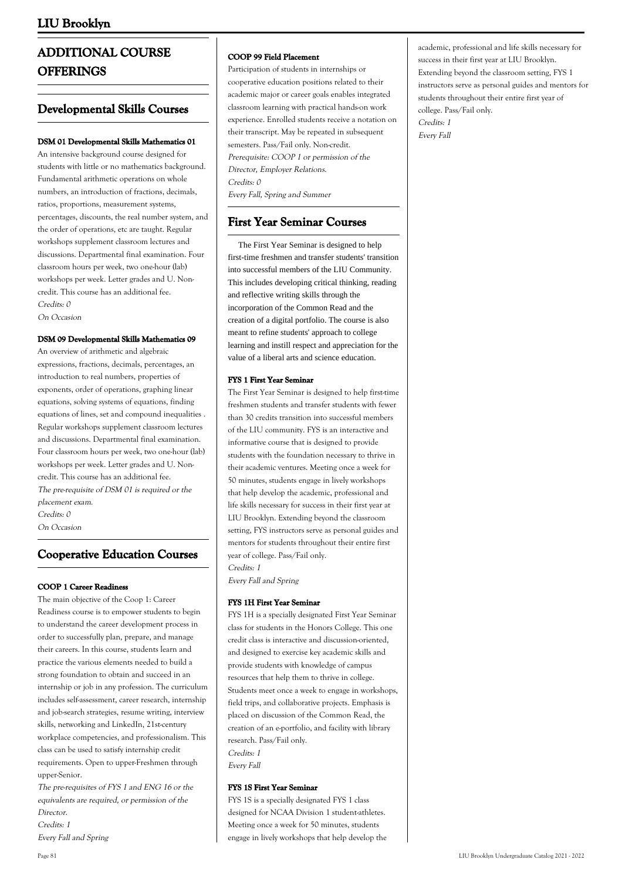# **ADDITIONAL COURSE OFFERINGS**

### **Developmental Skills Courses**

### **DSM 01 Developmental Skills Mathematics 01**

An intensive background course designed for students with little or no mathematics background. Fundamental arithmetic operations on whole numbers, an introduction of fractions, decimals, ratios, proportions, measurement systems, percentages, discounts, the real number system, and the order of operations, etc are taught. Regular workshops supplement classroom lectures and discussions. Departmental final examination. Four classroom hours per week, two one-hour (lab) workshops per week. Letter grades and U. Noncredit. This course has an additional fee. Credits: 0

On Occasion

### **DSM 09 Developmental Skills Mathematics 09**

An overview of arithmetic and algebraic expressions, fractions, decimals, percentages, an introduction to real numbers, properties of exponents, order of operations, graphing linear equations, solving systems of equations, finding equations of lines, set and compound inequalities . Regular workshops supplement classroom lectures and discussions. Departmental final examination. Four classroom hours per week, two one-hour (lab) workshops per week. Letter grades and U. Noncredit. This course has an additional fee. The pre-requisite of DSM 01 is required or the placement exam. Credits: 0

On Occasion

## **Cooperative Education Courses**

### **COOP 1 Career Readiness**

The main objective of the Coop 1: Career Readiness course is to empower students to begin to understand the career development process in order to successfully plan, prepare, and manage their careers. In this course, students learn and practice the various elements needed to build a strong foundation to obtain and succeed in an internship or job in any profession. The curriculum includes self-assessment, career research, internship and job-search strategies, resume writing, interview skills, networking and LinkedIn, 21st-century workplace competencies, and professionalism. This class can be used to satisfy internship credit requirements. Open to upper-Freshmen through upper-Senior.

The pre-requisites of FYS 1 and ENG 16 or the equivalents are required, or permission of the Director. Credits: 1

Every Fall and Spring

### **COOP 99 Field Placement**

Participation of students in internships or cooperative education positions related to their academic major or career goals enables integrated classroom learning with practical hands-on work experience. Enrolled students receive a notation on their transcript. May be repeated in subsequent semesters. Pass/Fail only. Non-credit. Prerequisite: COOP 1 or permission of the Director, Employer Relations. Credits: 0 Every Fall, Spring and Summer

### **First Year Seminar Courses**

 The First Year Seminar is designed to help first-time freshmen and transfer students' transition into successful members of the LIU Community. This includes developing critical thinking, reading and reflective writing skills through the incorporation of the Common Read and the creation of a digital portfolio. The course is also meant to refine students' approach to college learning and instill respect and appreciation for the value of a liberal arts and science education.

### **FYS 1 First Year Seminar**

The First Year Seminar is designed to help first-time freshmen students and transfer students with fewer than 30 credits transition into successful members of the LIU community. FYS is an interactive and informative course that is designed to provide students with the foundation necessary to thrive in their academic ventures. Meeting once a week for 50 minutes, students engage in lively workshops that help develop the academic, professional and life skills necessary for success in their first year at LIU Brooklyn. Extending beyond the classroom setting, FYS instructors serve as personal guides and mentors for students throughout their entire first year of college. Pass/Fail only. Credits: 1

Every Fall and Spring

### **FYS 1H First Year Seminar**

FYS 1H is a specially designated First Year Seminar class for students in the Honors College. This one credit class is interactive and discussion-oriented, and designed to exercise key academic skills and provide students with knowledge of campus resources that help them to thrive in college. Students meet once a week to engage in workshops, field trips, and collaborative projects. Emphasis is placed on discussion of the Common Read, the creation of an e-portfolio, and facility with library research. Pass/Fail only. Credits: 1 Every Fall

### **FYS 1S First Year Seminar**

FYS 1S is a specially designated FYS 1 class designed for NCAA Division 1 student-athletes. Meeting once a week for 50 minutes, students engage in lively workshops that help develop the academic, professional and life skills necessary for success in their first year at LIU Brooklyn. Extending beyond the classroom setting, FYS 1 instructors serve as personal guides and mentors for students throughout their entire first year of college. Pass/Fail only. Credits: 1 Every Fall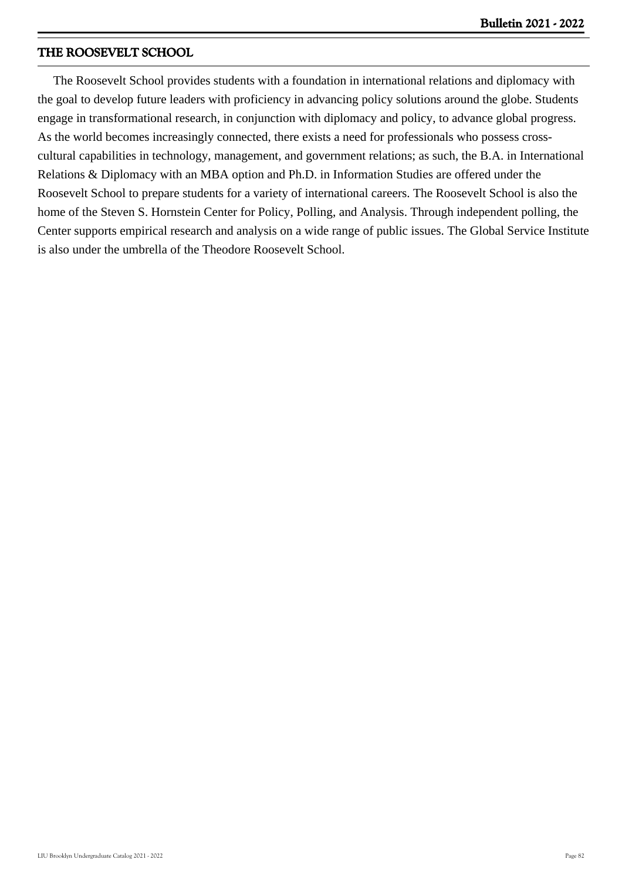### **THE ROOSEVELT SCHOOL**

 The Roosevelt School provides students with a foundation in international relations and diplomacy with the goal to develop future leaders with proficiency in advancing policy solutions around the globe. Students engage in transformational research, in conjunction with diplomacy and policy, to advance global progress. As the world becomes increasingly connected, there exists a need for professionals who possess crosscultural capabilities in technology, management, and government relations; as such, the B.A. in International Relations & Diplomacy with an MBA option and Ph.D. in Information Studies are offered under the Roosevelt School to prepare students for a variety of international careers. The Roosevelt School is also the home of the Steven S. Hornstein Center for Policy, Polling, and Analysis. Through independent polling, the Center supports empirical research and analysis on a wide range of public issues. The Global Service Institute is also under the umbrella of the Theodore Roosevelt School.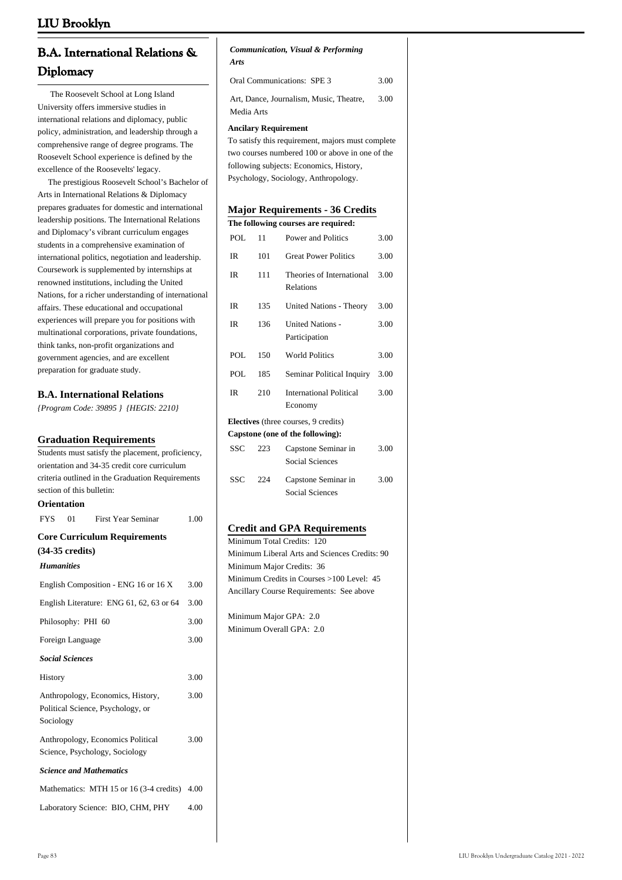| <b>B.A. International Relations &amp;</b> |  |
|-------------------------------------------|--|
| Diplomacy                                 |  |

 The Roosevelt School at Long Island University offers immersive studies in international relations and diplomacy, public policy, administration, and leadership through a comprehensive range of degree programs. The Roosevelt School experience is defined by the excellence of the Roosevelts' legacy.

 The prestigious Roosevelt School's Bachelor of Arts in International Relations & Diplomacy prepares graduates for domestic and international leadership positions. The International Relations and Diplomacy's vibrant curriculum engages students in a comprehensive examination of international politics, negotiation and leadership. Coursework is supplemented by internships at renowned institutions, including the United Nations, for a richer understanding of international affairs. These educational and occupational experiences will prepare you for positions with multinational corporations, private foundations, think tanks, non-profit organizations and government agencies, and are excellent preparation for graduate study.

### **B.A. International Relations**

*{Program Code: 39895 } {HEGIS: 2210}*

### **Graduation Requirements**

| Students must satisfy the placement, proficiency,                                   |      |
|-------------------------------------------------------------------------------------|------|
| orientation and 34-35 credit core curriculum                                        |      |
| criteria outlined in the Graduation Requirements                                    |      |
| section of this bulletin:                                                           |      |
| Orientation                                                                         |      |
| <b>FYS</b><br>01<br><b>First Year Seminar</b>                                       | 1.00 |
| <b>Core Curriculum Requirements</b>                                                 |      |
| $(34-35 \text{ credits})$                                                           |      |
| <b>Humanities</b>                                                                   |      |
| English Composition - ENG 16 or 16 X                                                | 3.00 |
| English Literature: ENG 61, 62, 63 or 64                                            | 3.00 |
| Philosophy: PHI 60                                                                  | 3.00 |
| Foreign Language                                                                    | 3.00 |
| <b>Social Sciences</b>                                                              |      |
| History                                                                             | 3.00 |
| Anthropology, Economics, History,<br>Political Science, Psychology, or<br>Sociology | 3.00 |
| Anthropology, Economics Political<br>Science, Psychology, Sociology                 | 3.00 |
| <b>Science and Mathematics</b>                                                      |      |
| Mathematics: MTH 15 or 16 (3-4 credits) 4.00                                        |      |
| Laboratory Science: BIO, CHM, PHY                                                   | 4.00 |

### *Communication, Visual & Performing Arts*

| <b>Oral Communications: SPE 3</b>       | 3.00 |
|-----------------------------------------|------|
| Art. Dance, Journalism, Music, Theatre, | 3.00 |
| Media Arts                              |      |

#### **Ancilary Requirement**

To satisfy this requirement, majors must complete two courses numbered 100 or above in one of the following subjects: Economics, History, Psychology, Sociology, Anthropology.

### **Major Requirements - 36 Credits**

| The following courses are required: |     |                                               |      |
|-------------------------------------|-----|-----------------------------------------------|------|
| POL                                 | 11  | Power and Politics                            | 3.00 |
| <b>IR</b>                           | 101 | <b>Great Power Politics</b>                   | 3.00 |
| IR.                                 | 111 | Theories of International<br>Relations        | 3.00 |
| IR.                                 | 135 | United Nations - Theory                       | 3.00 |
| IR.                                 | 136 | <b>United Nations -</b><br>Participation      | 3.00 |
| POL                                 | 150 | <b>World Politics</b>                         | 3.00 |
| POL                                 | 185 | Seminar Political Inquiry                     | 3.00 |
| IR                                  | 210 | <b>International Political</b><br>Economy     | 3.00 |
|                                     |     | Electives (three courses, 9 credits)          |      |
|                                     |     | Capstone (one of the following):              |      |
| SSC                                 | 223 | Capstone Seminar in<br><b>Social Sciences</b> | 3.00 |
| <b>SSC</b>                          | 224 | Capstone Seminar in<br><b>Social Sciences</b> | 3.00 |

### **Credit and GPA Requirements**

Minimum Total Credits: 120 Minimum Liberal Arts and Sciences Credits: 90 Minimum Major Credits: 36 Minimum Credits in Courses >100 Level: 45 Ancillary Course Requirements: See above

Minimum Major GPA: 2.0 Minimum Overall GPA: 2.0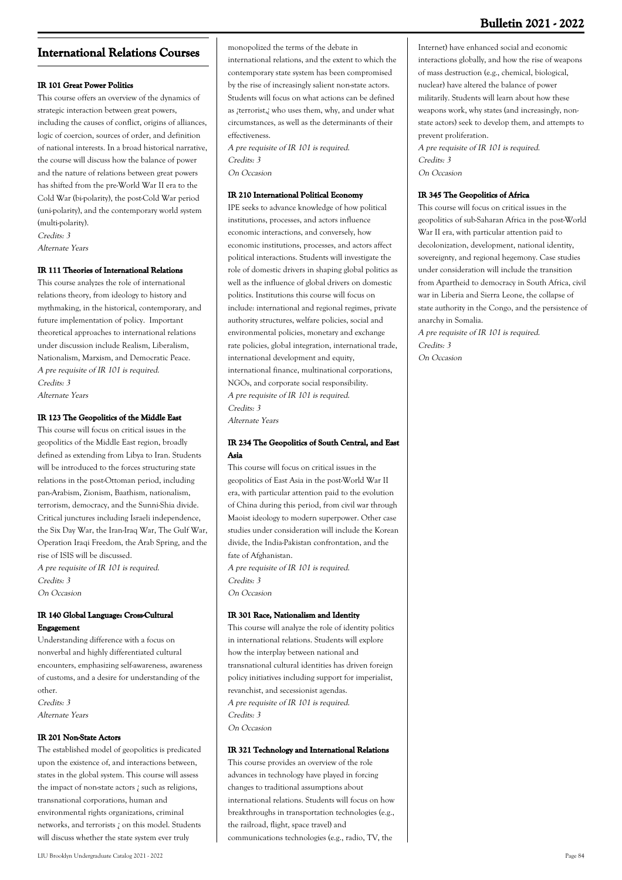# **International Relations Courses**

### **IR 101 Great Power Politics**

This course offers an overview of the dynamics of strategic interaction between great powers, including the causes of conflict, origins of alliances, logic of coercion, sources of order, and definition of national interests. In a broad historical narrative, the course will discuss how the balance of power and the nature of relations between great powers has shifted from the pre-World War II era to the Cold War (bi-polarity), the post-Cold War period (uni-polarity), and the contemporary world system (multi-polarity). Credits: 3

Alternate Years

### **IR 111 Theories of International Relations**

This course analyzes the role of international relations theory, from ideology to history and mythmaking, in the historical, contemporary, and future implementation of policy. Important theoretical approaches to international relations under discussion include Realism, Liberalism, Nationalism, Marxism, and Democratic Peace. A pre requisite of IR 101 is required. Credits: 3 Alternate Years

#### **IR 123 The Geopolitics of the Middle East**

This course will focus on critical issues in the geopolitics of the Middle East region, broadly defined as extending from Libya to Iran. Students will be introduced to the forces structuring state relations in the post-Ottoman period, including pan-Arabism, Zionism, Baathism, nationalism, terrorism, democracy, and the Sunni-Shia divide. Critical junctures including Israeli independence, the Six Day War, the Iran-Iraq War, The Gulf War, Operation Iraqi Freedom, the Arab Spring, and the rise of ISIS will be discussed. A pre requisite of IR 101 is required. Credits: 3 On Occasion

**IR 140 Global Language: Cross-Cultural Engagement**

Understanding difference with a focus on nonverbal and highly differentiated cultural encounters, emphasizing self-awareness, awareness of customs, and a desire for understanding of the other. Credits: 3

Alternate Years

### **IR 201 Non-State Actors**

The established model of geopolitics is predicated upon the existence of, and interactions between, states in the global system. This course will assess the impact of non-state actors ¿ such as religions, transnational corporations, human and environmental rights organizations, criminal networks, and terrorists ¿ on this model. Students will discuss whether the state system ever truly

monopolized the terms of the debate in international relations, and the extent to which the contemporary state system has been compromised by the rise of increasingly salient non-state actors. Students will focus on what actions can be defined as ¿terrorist,¿ who uses them, why, and under what circumstances, as well as the determinants of their effectiveness.

A pre requisite of IR 101 is required. Credits: 3 On Occasion

#### **IR 210 International Political Economy**

IPE seeks to advance knowledge of how political institutions, processes, and actors influence economic interactions, and conversely, how economic institutions, processes, and actors affect political interactions. Students will investigate the role of domestic drivers in shaping global politics as well as the influence of global drivers on domestic politics. Institutions this course will focus on include: international and regional regimes, private authority structures, welfare policies, social and environmental policies, monetary and exchange rate policies, global integration, international trade, international development and equity, international finance, multinational corporations, NGOs, and corporate social responsibility. A pre requisite of IR 101 is required. Credits: 3 Alternate Years

### **IR 234 The Geopolitics of South Central, and East Asia**

This course will focus on critical issues in the geopolitics of East Asia in the post-World War II era, with particular attention paid to the evolution of China during this period, from civil war through Maoist ideology to modern superpower. Other case studies under consideration will include the Korean divide, the India-Pakistan confrontation, and the fate of Afghanistan. A pre requisite of IR 101 is required. Credits: 3

On Occasion

### **IR 301 Race, Nationalism and Identity**

This course will analyze the role of identity politics in international relations. Students will explore how the interplay between national and transnational cultural identities has driven foreign policy initiatives including support for imperialist, revanchist, and secessionist agendas. A pre requisite of IR 101 is required. Credits: 3 On Occasion

### **IR 321 Technology and International Relations**

This course provides an overview of the role advances in technology have played in forcing changes to traditional assumptions about international relations. Students will focus on how breakthroughs in transportation technologies (e.g., the railroad, flight, space travel) and communications technologies (e.g., radio, TV, the

Internet) have enhanced social and economic interactions globally, and how the rise of weapons of mass destruction (e.g., chemical, biological, nuclear) have altered the balance of power militarily. Students will learn about how these weapons work, why states (and increasingly, nonstate actors) seek to develop them, and attempts to prevent proliferation.

A pre requisite of IR 101 is required. Credits: 3 On Occasion

#### **IR 345 The Geopolitics of Africa**

This course will focus on critical issues in the geopolitics of sub-Saharan Africa in the post-World War II era, with particular attention paid to decolonization, development, national identity, sovereignty, and regional hegemony. Case studies under consideration will include the transition from Apartheid to democracy in South Africa, civil war in Liberia and Sierra Leone, the collapse of state authority in the Congo, and the persistence of anarchy in Somalia.

A pre requisite of IR 101 is required. Credits: 3 On Occasion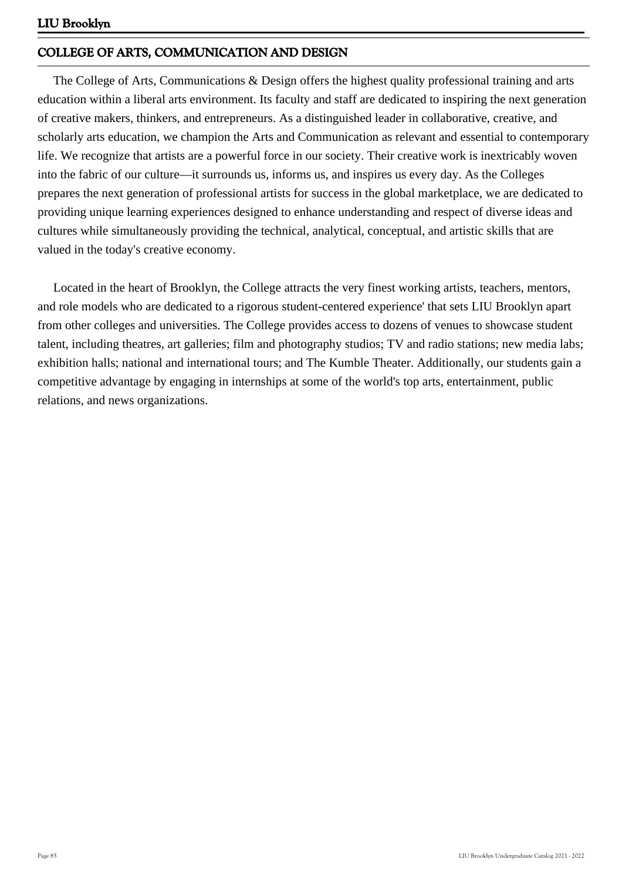# **COLLEGE OF ARTS, COMMUNICATION AND DESIGN**

 The College of Arts, Communications & Design offers the highest quality professional training and arts education within a liberal arts environment. Its faculty and staff are dedicated to inspiring the next generation of creative makers, thinkers, and entrepreneurs. As a distinguished leader in collaborative, creative, and scholarly arts education, we champion the Arts and Communication as relevant and essential to contemporary life. We recognize that artists are a powerful force in our society. Their creative work is inextricably woven into the fabric of our culture—it surrounds us, informs us, and inspires us every day. As the Colleges prepares the next generation of professional artists for success in the global marketplace, we are dedicated to providing unique learning experiences designed to enhance understanding and respect of diverse ideas and cultures while simultaneously providing the technical, analytical, conceptual, and artistic skills that are valued in the today's creative economy.

 Located in the heart of Brooklyn, the College attracts the very finest working artists, teachers, mentors, and role models who are dedicated to a rigorous student-centered experience' that sets LIU Brooklyn apart from other colleges and universities. The College provides access to dozens of venues to showcase student talent, including theatres, art galleries; film and photography studios; TV and radio stations; new media labs; exhibition halls; national and international tours; and The Kumble Theater. Additionally, our students gain a competitive advantage by engaging in internships at some of the world's top arts, entertainment, public relations, and news organizations.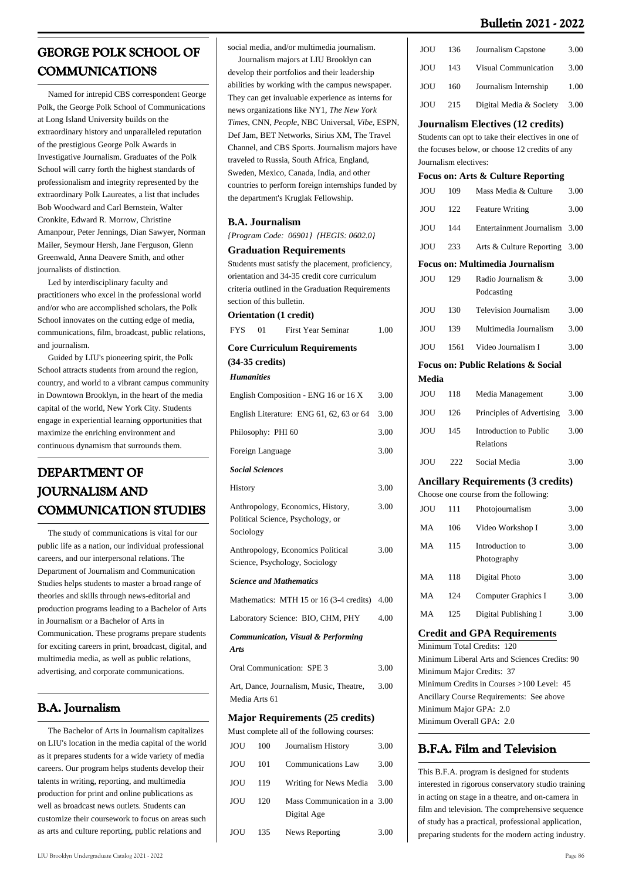| <b>GEORGE POLK SCHOOL OF</b> |
|------------------------------|
| <b>COMMUNICATIONS</b>        |

 Named for intrepid CBS correspondent George Polk, the George Polk School of Communications at Long Island University builds on the extraordinary history and unparalleled reputation of the prestigious George Polk Awards in Investigative Journalism. Graduates of the Polk School will carry forth the highest standards of professionalism and integrity represented by the extraordinary Polk Laureates, a list that includes Bob Woodward and Carl Bernstein, Walter Cronkite, Edward R. Morrow, Christine Amanpour, Peter Jennings, Dian Sawyer, Norman Mailer, Seymour Hersh, Jane Ferguson, Glenn Greenwald, Anna Deavere Smith, and other journalists of distinction.

 Led by interdisciplinary faculty and practitioners who excel in the professional world and/or who are accomplished scholars, the Polk School innovates on the cutting edge of media, communications, film, broadcast, public relations, and journalism.

 Guided by LIU's pioneering spirit, the Polk School attracts students from around the region, country, and world to a vibrant campus community in Downtown Brooklyn, in the heart of the media capital of the world, New York City. Students engage in experiential learning opportunities that maximize the enriching environment and continuous dynamism that surrounds them.

# **DEPARTMENT OF JOURNALISM AND COMMUNICATION STUDIES**

 The study of communications is vital for our public life as a nation, our individual professional careers, and our interpersonal relations. The Department of Journalism and Communication Studies helps students to master a broad range of theories and skills through news-editorial and production programs leading to a Bachelor of Arts in Journalism or a Bachelor of Arts in Communication. These programs prepare students for exciting careers in print, broadcast, digital, and multimedia media, as well as public relations, advertising, and corporate communications.

## **B.A. Journalism**

 The Bachelor of Arts in Journalism capitalizes on LIU's location in the media capital of the world as it prepares students for a wide variety of media careers. Our program helps students develop their talents in writing, reporting, and multimedia production for print and online publications as well as broadcast news outlets. Students can customize their coursework to focus on areas such as arts and culture reporting, public relations and

social media, and/or multimedia journalism.

 Journalism majors at LIU Brooklyn can develop their portfolios and their leadership abilities by working with the campus newspaper. They can get invaluable experience as interns for news organizations like NY1, *The New York Times*, CNN, *People*, NBC Universal, *Vibe*, ESPN, Def Jam, BET Networks, Sirius XM, The Travel Channel, and CBS Sports. Journalism majors have traveled to Russia, South Africa, England, Sweden, Mexico, Canada, India, and other countries to perform foreign internships funded by the department's Kruglak Fellowship.

#### **B.A. Journalism**

*{Program Code: 06901} {HEGIS: 0602.0}*

#### **Graduation Requirements**

Students must satisfy the placement, proficiency, orientation and 34-35 credit core curriculum criteria outlined in the Graduation Requirements section of this bulletin.

FYS 01 First Year Seminar 1.00

**Orientation (1 credit)**

| <b>Core Curriculum Requirements</b> |  |  |
|-------------------------------------|--|--|

**(34-35 credits)**

*Humanities*

| English Composition - ENG 16 or 16 X                                                | 3.00 |
|-------------------------------------------------------------------------------------|------|
| English Literature: ENG 61, 62, 63 or 64                                            | 3.00 |
| Philosophy: PHI 60                                                                  | 3.00 |
| Foreign Language                                                                    | 3.00 |
| <b>Social Sciences</b>                                                              |      |
| History                                                                             | 3.00 |
| Anthropology, Economics, History,<br>Political Science, Psychology, or<br>Sociology | 3.00 |
| Anthropology, Economics Political<br>Science, Psychology, Sociology                 | 3.00 |
| <b>Science and Mathematics</b>                                                      |      |
| Mathematics: MTH 15 or 16 (3-4 credits)                                             | 4.00 |
| Laboratory Science: BIO, CHM, PHY                                                   | 4.00 |
| <b>Communication, Visual &amp; Performing</b><br><b>Arts</b>                        |      |

Oral Communication: SPE 3 3.00

Art, Dance, Journalism, Music, Theatre, Media Arts 61 3.00

#### **Major Requirements (25 credits)**

|     |     | Must complete all of the following courses: |      |
|-----|-----|---------------------------------------------|------|
| JOU | 100 | Journalism History                          | 3.00 |
| JOU | 101 | <b>Communications Law</b>                   | 3.00 |
| JOU | 119 | Writing for News Media                      | 3.00 |
| JOU | 120 | Mass Communication in a 3.00<br>Digital Age |      |
| JOU | 135 | News Reporting                              | 3.00 |

| <b>JOU</b> | 136                   | Journalism Capstone                                | 3.00 |
|------------|-----------------------|----------------------------------------------------|------|
| JOU        | 143                   | <b>Visual Communication</b>                        | 3.00 |
| JOU        | 160                   | Journalism Internship                              | 1.00 |
| JOU        | 215                   | Digital Media & Society                            | 3.00 |
|            |                       | <b>Journalism Electives (12 credits)</b>           |      |
|            |                       | Students can opt to take their electives in one of |      |
|            |                       | the focuses below, or choose 12 credits of any     |      |
|            | Journalism electives: |                                                    |      |
|            |                       | Focus on: Arts & Culture Reporting                 |      |
| JOU        | 109                   | Mass Media & Culture                               | 3.00 |
| JOU        | 122                   | <b>Feature Writing</b>                             | 3.00 |
| JOU        | 144                   | <b>Entertainment Journalism</b>                    | 3.00 |
| JOU        | 233                   | Arts & Culture Reporting                           | 3.00 |
|            |                       | <b>Focus on: Multimedia Journalism</b>             |      |
| <b>JOU</b> | 129                   | Radio Journalism &<br>Podcasting                   | 3.00 |
| JOU        | 130                   | <b>Television Journalism</b>                       | 3.00 |
| JOU        | 139                   | Multimedia Journalism                              | 3.00 |
| JOU        | 1561                  | Video Journalism I                                 | 3.00 |
|            |                       | <b>Focus on: Public Relations &amp; Social</b>     |      |
| Media      |                       |                                                    |      |
| <b>JOU</b> | 118                   | Media Management                                   | 3.00 |
| JOU        | 126                   | Principles of Advertising                          | 3.00 |
| <b>JOU</b> | 145                   | Introduction to Public<br>Relations                | 3.00 |
| JOU        | 222                   | Social Media                                       | 3.00 |
|            |                       | <b>Ancillary Requirements (3 credits)</b>          |      |
|            |                       | Choose one course from the following:              |      |
| JOU        | 111                   | Photojournalism                                    | 3.00 |
| MA         | 106                   | Video Workshop I                                   | 3.00 |
| MA         | 115                   | Introduction to<br>Photography                     | 3.00 |
| MA         | 118                   | Digital Photo                                      | 3.00 |
| MA         | 124                   | Computer Graphics I                                | 3.00 |

### MA 125 Digital Publishing I 3.00

#### **Credit and GPA Requirements**

Minimum Total Credits: 120 Minimum Liberal Arts and Sciences Credits: 90 Minimum Major Credits: 37 Minimum Credits in Courses >100 Level: 45 Ancillary Course Requirements: See above Minimum Major GPA: 2.0 Minimum Overall GPA: 2.0

### **B.F.A. Film and Television**

This B.F.A. program is designed for students interested in rigorous conservatory studio training in acting on stage in a theatre, and on-camera in film and television. The comprehensive sequence of study has a practical, professional application, preparing students for the modern acting industry.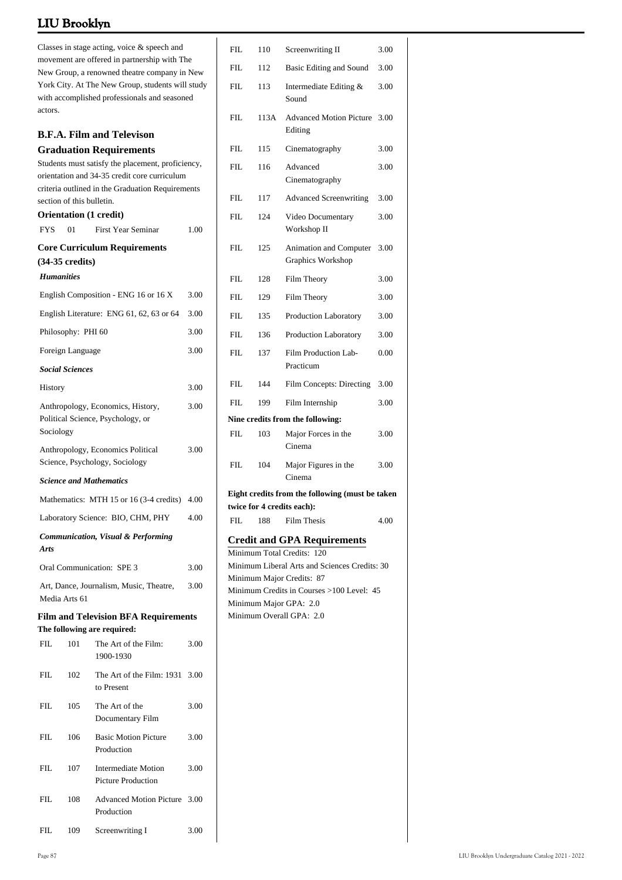| Classes in stage acting, voice & speech and<br>movement are offered in partnership with The<br>New Group, a renowned theatre company in New<br>York City. At The New Group, students will study<br>with accomplished professionals and seasoned<br>actors. |                        |                                                                                                   |      |  |  |  |
|------------------------------------------------------------------------------------------------------------------------------------------------------------------------------------------------------------------------------------------------------------|------------------------|---------------------------------------------------------------------------------------------------|------|--|--|--|
|                                                                                                                                                                                                                                                            |                        | <b>B.F.A. Film and Televison</b>                                                                  |      |  |  |  |
|                                                                                                                                                                                                                                                            |                        | <b>Graduation Requirements</b>                                                                    |      |  |  |  |
|                                                                                                                                                                                                                                                            |                        | Students must satisfy the placement, proficiency,<br>orientation and 34-35 credit core curriculum |      |  |  |  |
|                                                                                                                                                                                                                                                            |                        | criteria outlined in the Graduation Requirements                                                  |      |  |  |  |
| section of this bulletin.                                                                                                                                                                                                                                  |                        |                                                                                                   |      |  |  |  |
|                                                                                                                                                                                                                                                            |                        | <b>Orientation (1 credit)</b>                                                                     |      |  |  |  |
| <b>FYS</b>                                                                                                                                                                                                                                                 | 01                     | <b>First Year Seminar</b>                                                                         | 1.00 |  |  |  |
|                                                                                                                                                                                                                                                            |                        | <b>Core Curriculum Requirements</b>                                                               |      |  |  |  |
| $(34-35 \text{ credits})$<br><b>Humanities</b>                                                                                                                                                                                                             |                        |                                                                                                   |      |  |  |  |
|                                                                                                                                                                                                                                                            |                        |                                                                                                   |      |  |  |  |
|                                                                                                                                                                                                                                                            |                        | English Composition - ENG 16 or 16 X                                                              | 3.00 |  |  |  |
|                                                                                                                                                                                                                                                            |                        | English Literature: ENG 61, 62, 63 or 64                                                          | 3.00 |  |  |  |
|                                                                                                                                                                                                                                                            | Philosophy: PHI 60     |                                                                                                   | 3.00 |  |  |  |
|                                                                                                                                                                                                                                                            | Foreign Language       |                                                                                                   | 3.00 |  |  |  |
|                                                                                                                                                                                                                                                            | <b>Social Sciences</b> |                                                                                                   |      |  |  |  |
| History                                                                                                                                                                                                                                                    |                        |                                                                                                   | 3.00 |  |  |  |
| Sociology                                                                                                                                                                                                                                                  |                        | Anthropology, Economics, History,<br>Political Science, Psychology, or                            | 3.00 |  |  |  |
| 3.00<br>Anthropology, Economics Political<br>Science, Psychology, Sociology                                                                                                                                                                                |                        |                                                                                                   |      |  |  |  |
|                                                                                                                                                                                                                                                            |                        | <b>Science and Mathematics</b>                                                                    |      |  |  |  |
| Mathematics: MTH 15 or 16 (3-4 credits)<br>4.00                                                                                                                                                                                                            |                        |                                                                                                   |      |  |  |  |
| Laboratory Science: BIO, CHM, PHY<br>4.00                                                                                                                                                                                                                  |                        |                                                                                                   |      |  |  |  |
| <b>Arts</b>                                                                                                                                                                                                                                                |                        | <b>Communication, Visual &amp; Performing</b>                                                     |      |  |  |  |
|                                                                                                                                                                                                                                                            |                        | Oral Communication: SPE 3                                                                         | 3.00 |  |  |  |
| Media Arts 61                                                                                                                                                                                                                                              |                        | Art, Dance, Journalism, Music, Theatre,                                                           | 3.00 |  |  |  |
|                                                                                                                                                                                                                                                            |                        | <b>Film and Television BFA Requirements</b><br>The following are required:                        |      |  |  |  |
| FIL.                                                                                                                                                                                                                                                       | 101                    | The Art of the Film:<br>1900-1930                                                                 | 3.00 |  |  |  |
| FIL                                                                                                                                                                                                                                                        | 102                    | The Art of the Film: 1931<br>to Present                                                           | 3.00 |  |  |  |
| FIL                                                                                                                                                                                                                                                        | 105                    | The Art of the<br>Documentary Film                                                                | 3.00 |  |  |  |
| FIL                                                                                                                                                                                                                                                        | 106                    | <b>Basic Motion Picture</b><br>Production                                                         | 3.00 |  |  |  |
| FIL                                                                                                                                                                                                                                                        | 107                    | <b>Intermediate Motion</b><br><b>Picture Production</b>                                           | 3.00 |  |  |  |
| FIL                                                                                                                                                                                                                                                        | 108                    | <b>Advanced Motion Picture</b><br>Production                                                      | 3.00 |  |  |  |
| FIL                                                                                                                                                                                                                                                        | 109                    | Screenwriting I                                                                                   | 3.00 |  |  |  |

| FIL        | 110  | Screenwriting II                                                           | 3.00 |
|------------|------|----------------------------------------------------------------------------|------|
| FIL        | 112  | Basic Editing and Sound                                                    | 3.00 |
| FIL        | 113  | Intermediate Editing &<br>Sound                                            | 3.00 |
| FIL        | 113A | <b>Advanced Motion Picture</b><br>Editing                                  | 3.00 |
| FIL        | 115  | Cinematography                                                             | 3.00 |
| FIL        | 116  | Advanced<br>Cinematography                                                 | 3.00 |
| FIL        | 117  | <b>Advanced Screenwriting</b>                                              | 3.00 |
| FIL        | 124  | Video Documentary<br>Workshop II                                           | 3.00 |
| FIL        | 125  | Animation and Computer<br>Graphics Workshop                                | 3.00 |
| FIL        | 128  | Film Theory                                                                | 3.00 |
| FIL        | 129  | Film Theory                                                                | 3.00 |
| FIL        | 135  | <b>Production Laboratory</b>                                               | 3.00 |
| FIL        | 136  | Production Laboratory                                                      | 3.00 |
| FIL        | 137  | Film Production Lab-<br>Practicum                                          | 0.00 |
| FIL        | 144  | Film Concepts: Directing                                                   | 3.00 |
| FIL.       | 199  | Film Internship                                                            | 3.00 |
|            |      | Nine credits from the following:                                           |      |
| FIL        | 103  | Major Forces in the<br>Cinema                                              | 3.00 |
| <b>FIL</b> | 104  | Major Figures in the<br>Cinema                                             | 3.00 |
|            |      | Eight credits from the following (must be taken                            |      |
|            |      | twice for 4 credits each):                                                 |      |
| FIL        | 188  | <b>Film Thesis</b>                                                         | 4.00 |
|            |      | <b>Credit and GPA Requirements</b>                                         |      |
|            |      | Minimum Total Credits: 120                                                 |      |
|            |      | Minimum Liberal Arts and Sciences Credits: 30<br>Minimum Major Credits: 87 |      |
|            |      | Minimum Credits in Courses >100 Level: 45                                  |      |
|            |      | Minimum Major GPA: 2.0                                                     |      |
|            |      | Minimum Overall GPA: 2.0                                                   |      |
|            |      |                                                                            |      |
|            |      |                                                                            |      |
|            |      |                                                                            |      |
|            |      |                                                                            |      |
|            |      |                                                                            |      |
|            |      |                                                                            |      |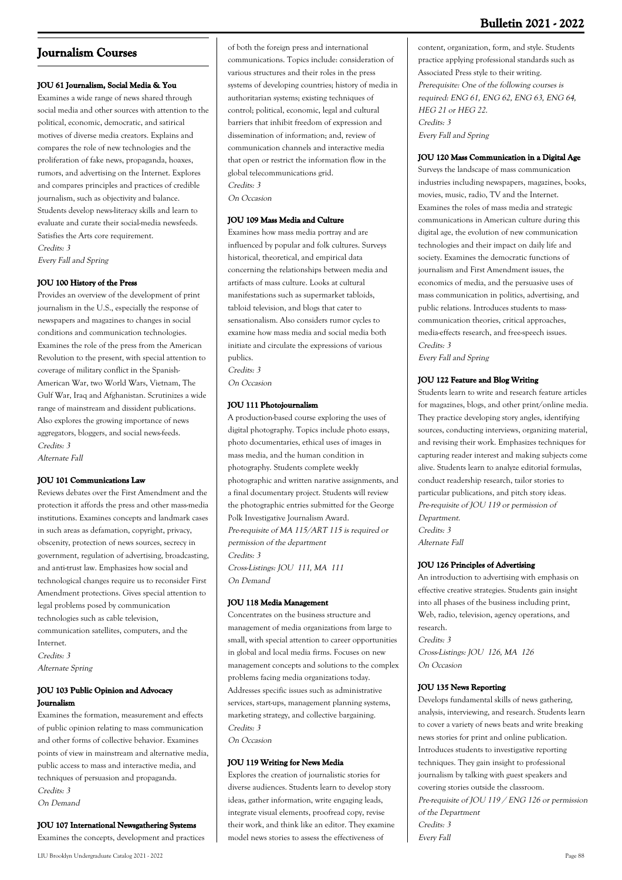### **Journalism Courses**

### **JOU 61 Journalism, Social Media & You**

Examines a wide range of news shared through social media and other sources with attention to the political, economic, democratic, and satirical motives of diverse media creators. Explains and compares the role of new technologies and the proliferation of fake news, propaganda, hoaxes, rumors, and advertising on the Internet. Explores and compares principles and practices of credible journalism, such as objectivity and balance. Students develop news-literacy skills and learn to evaluate and curate their social-media newsfeeds. Satisfies the Arts core requirement. Credits: 3

Every Fall and Spring

### **JOU 100 History of the Press**

Provides an overview of the development of print journalism in the U.S., especially the response of newspapers and magazines to changes in social conditions and communication technologies. Examines the role of the press from the American Revolution to the present, with special attention to coverage of military conflict in the Spanish-American War, two World Wars, Vietnam, The Gulf War, Iraq and Afghanistan. Scrutinizes a wide range of mainstream and dissident publications. Also explores the growing importance of news aggregators, bloggers, and social news-feeds. Credits: 3 Alternate Fall

**JOU 101 Communications Law**

Reviews debates over the First Amendment and the protection it affords the press and other mass-media institutions. Examines concepts and landmark cases in such areas as defamation, copyright, privacy, obscenity, protection of news sources, secrecy in government, regulation of advertising, broadcasting, and anti-trust law. Emphasizes how social and technological changes require us to reconsider First Amendment protections. Gives special attention to legal problems posed by communication technologies such as cable television, communication satellites, computers, and the Internet. Credits: 3 Alternate Spring

### **JOU 103 Public Opinion and Advocacy Journalism**

Examines the formation, measurement and effects of public opinion relating to mass communication and other forms of collective behavior. Examines points of view in mainstream and alternative media, public access to mass and interactive media, and techniques of persuasion and propaganda. Credits: 3 On Demand

**JOU 107 International Newsgathering Systems** Examines the concepts, development and practices of both the foreign press and international communications. Topics include: consideration of various structures and their roles in the press systems of developing countries; history of media in authoritarian systems; existing techniques of control; political, economic, legal and cultural barriers that inhibit freedom of expression and dissemination of information; and, review of communication channels and interactive media that open or restrict the information flow in the global telecommunications grid. Credits: 3 On Occasion

#### **JOU 109 Mass Media and Culture**

Examines how mass media portray and are influenced by popular and folk cultures. Surveys historical, theoretical, and empirical data concerning the relationships between media and artifacts of mass culture. Looks at cultural manifestations such as supermarket tabloids, tabloid television, and blogs that cater to sensationalism. Also considers rumor cycles to examine how mass media and social media both initiate and circulate the expressions of various publics.

Credits: 3 On Occasion

#### **JOU 111 Photojournalism**

A production-based course exploring the uses of digital photography. Topics include photo essays, photo documentaries, ethical uses of images in mass media, and the human condition in photography. Students complete weekly photographic and written narative assignments, and a final documentary project. Students will review the photographic entries submitted for the George Polk Investigative Journalism Award. Pre-requisite of MA 115/ART 115 is required or permission of the department Credits: 3

Cross-Listings: JOU 111, MA 111 On Demand

### **JOU 118 Media Management**

Concentrates on the business structure and management of media organizations from large to small, with special attention to career opportunities in global and local media firms. Focuses on new management concepts and solutions to the complex problems facing media organizations today. Addresses specific issues such as administrative services, start-ups, management planning systems, marketing strategy, and collective bargaining. Credits: 3 On Occasion

# **JOU 119 Writing for News Media**

Explores the creation of journalistic stories for diverse audiences. Students learn to develop story ideas, gather information, write engaging leads, integrate visual elements, proofread copy, revise their work, and think like an editor. They examine model news stories to assess the effectiveness of

content, organization, form, and style. Students practice applying professional standards such as Associated Press style to their writing. Prerequisite: One of the following courses is required: ENG 61, ENG 62, ENG 63, ENG 64, HEG 21 or HEG 22. Credits: 3 Every Fall and Spring

#### **JOU 120 Mass Communication in a Digital Age**

Surveys the landscape of mass communication industries including newspapers, magazines, books, movies, music, radio, TV and the Internet. Examines the roles of mass media and strategic communications in American culture during this digital age, the evolution of new communication technologies and their impact on daily life and society. Examines the democratic functions of journalism and First Amendment issues, the economics of media, and the persuasive uses of mass communication in politics, advertising, and public relations. Introduces students to masscommunication theories, critical approaches, media-effects research, and free-speech issues. Credits: 3 Every Fall and Spring

**JOU 122 Feature and Blog Writing**

Students learn to write and research feature articles for magazines, blogs, and other print/online media. They practice developing story angles, identifying sources, conducting interviews, organizing material, and revising their work. Emphasizes techniques for capturing reader interest and making subjects come alive. Students learn to analyze editorial formulas, conduct readership research, tailor stories to particular publications, and pitch story ideas. Pre-requisite of JOU 119 or permission of Department. Credits: 3 Alternate Fall

### **JOU 126 Principles of Advertising**

An introduction to advertising with emphasis on effective creative strategies. Students gain insight into all phases of the business including print, Web, radio, television, agency operations, and research. Credits: 3 Cross-Listings: JOU 126, MA 126 On Occasion

#### **JOU 135 News Reporting**

Develops fundamental skills of news gathering, analysis, interviewing, and research. Students learn to cover a variety of news beats and write breaking news stories for print and online publication. Introduces students to investigative reporting techniques. They gain insight to professional journalism by talking with guest speakers and covering stories outside the classroom. Pre-requisite of JOU 119 / ENG 126 or permission of the Department Credits: 3 Every Fall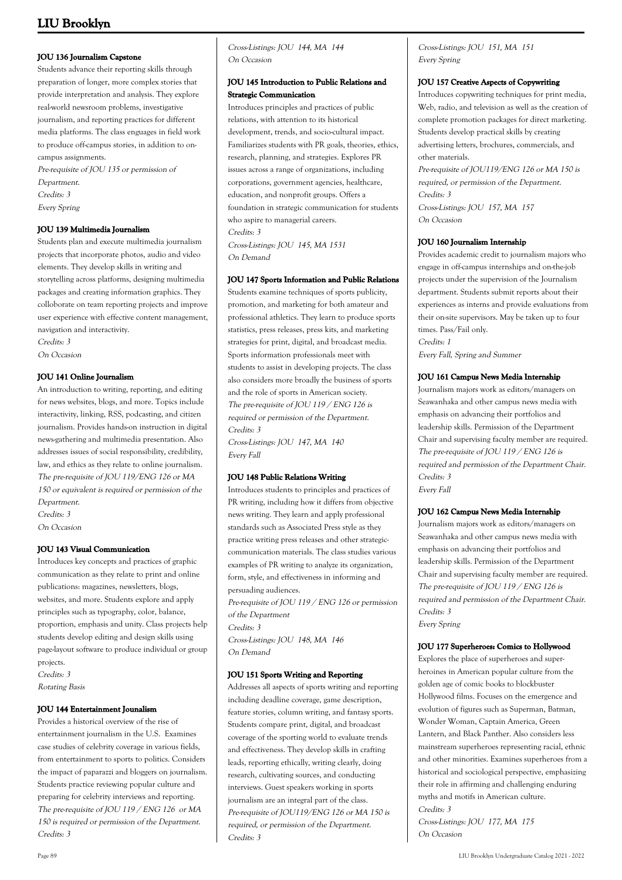### **JOU 136 Journalism Capstone**

Students advance their reporting skills through preparation of longer, more complex stories that provide interpretation and analysis. They explore real-world newsroom problems, investigative journalism, and reporting practices for different media platforms. The class enguages in field work to produce off-campus stories, in addition to oncampus assignments.

Pre-requisite of JOU 135 or permission of Department. Credits: 3 Every Spring

### **JOU 139 Multimedia Journalism**

Students plan and execute multimedia journalism projects that incorporate photos, audio and video elements. They develop skills in writing and storytelling across platforms, designing multimedia packages and creating information graphics. They colloborate on team reporting projects and improve user experience with effective content management, navigation and interactivity.

Credits: 3

On Occasion

### **JOU 141 Online Journalism**

An introduction to writing, reporting, and editing for news websites, blogs, and more. Topics include interactivity, linking, RSS, podcasting, and citizen journalism. Provides hands-on instruction in digital news-gathering and multimedia presentation. Also addresses issues of social responsibility, credibility, law, and ethics as they relate to online journalism. The pre-requisite of JOU 119/ENG 126 or MA 150 or equivalent is required or permission of the Department.

Credits: 3

On Occasion

### **JOU 143 Visual Communication**

Introduces key concepts and practices of graphic communication as they relate to print and online publications: magazines, newsletters, blogs, websites, and more. Students explore and apply principles such as typography, color, balance, proportion, emphasis and unity. Class projects help students develop editing and design skills using page-layout software to produce individual or group projects.

Credits: 3

Rotating Basis

### **JOU 144 Entertainment Jounalism**

Provides a historical overview of the rise of entertainment journalism in the U.S. Examines case studies of celebrity coverage in various fields, from entertainment to sports to politics. Considers the impact of paparazzi and bloggers on journalism. Students practice reviewing popular culture and preparing for celebrity interviews and reporting. The pre-requisite of JOU 119 / ENG 126 or MA 150 is required or permission of the Department. Credits: 3

Cross-Listings: JOU 144, MA 144 On Occasion

### **JOU 145 Introduction to Public Relations and Strategic Communication**

Introduces principles and practices of public relations, with attention to its historical development, trends, and socio-cultural impact. Familiarizes students with PR goals, theories, ethics, research, planning, and strategies. Explores PR issues across a range of organizations, including corporations, government agencies, healthcare, education, and nonprofit groups. Offers a foundation in strategic communication for students who aspire to managerial careers. Credits: 3 Cross-Listings: JOU 145, MA 1531

On Demand

### **JOU 147 Sports Information and Public Relations**

Students examine techniques of sports publicity, promotion, and marketing for both amateur and professional athletics. They learn to produce sports statistics, press releases, press kits, and marketing strategies for print, digital, and broadcast media. Sports information professionals meet with students to assist in developing projects. The class also considers more broadly the business of sports and the role of sports in American society. The pre-requisite of JOU 119 / ENG 126 is required or permission of the Department. Credits: 3

Cross-Listings: JOU 147, MA 140 Every Fall

### **JOU 148 Public Relations Writing**

Introduces students to principles and practices of PR writing, including how it differs from objective news writing. They learn and apply professional standards such as Associated Press style as they practice writing press releases and other strategiccommunication materials. The class studies various examples of PR writing to analyze its organization, form, style, and effectiveness in informing and persuading audiences. Pre-requisite of JOU 119 / ENG 126 or permission

of the Department Credits: 3 Cross-Listings: JOU 148, MA 146 On Demand

### **JOU 151 Sports Writing and Reporting**

Addresses all aspects of sports writing and reporting including deadline coverage, game description, feature stories, column writing, and fantasy sports. Students compare print, digital, and broadcast coverage of the sporting world to evaluate trends and effectiveness. They develop skills in crafting leads, reporting ethically, writing clearly, doing research, cultivating sources, and conducting interviews. Guest speakers working in sports journalism are an integral part of the class. Pre-requisite of JOU119/ENG 126 or MA 150 is required, or permission of the Department. Credits: 3

Cross-Listings: JOU 151, MA 151 Every Spring

### **JOU 157 Creative Aspects of Copywriting**

Introduces copywriting techniques for print media, Web, radio, and television as well as the creation of complete promotion packages for direct marketing. Students develop practical skills by creating advertising letters, brochures, commercials, and other materials. Pre-requisite of JOU119/ENG 126 or MA 150 is

required, or permission of the Department. Credits: 3 Cross-Listings: JOU 157, MA 157 On Occasion

### **JOU 160 Journalism Internship**

Provides academic credit to journalism majors who engage in off-campus internships and on-the-job projects under the supervision of the Journalism department. Students submit reports about their experiences as interns and provide evaluations from their on-site supervisors. May be taken up to four times. Pass/Fail only. Credits: 1 Every Fall, Spring and Summer

### **JOU 161 Campus News Media Internship**

Journalism majors work as editors/managers on Seawanhaka and other campus news media with emphasis on advancing their portfolios and leadership skills. Permission of the Department Chair and supervising faculty member are required. The pre-requisite of JOU 119 / ENG 126 is required and permission of the Department Chair. Credits: 3 Every Fall

### **JOU 162 Campus News Media Internship**

Journalism majors work as editors/managers on Seawanhaka and other campus news media with emphasis on advancing their portfolios and leadership skills. Permission of the Department Chair and supervising faculty member are required. The pre-requisite of JOU 119 / ENG 126 is required and permission of the Department Chair. Credits: 3 Every Spring

### **JOU 177 Superheroes: Comics to Hollywood**

Explores the place of superheroes and superheroines in American popular culture from the golden age of comic books to blockbuster Hollywood films. Focuses on the emergence and evolution of figures such as Superman, Batman, Wonder Woman, Captain America, Green Lantern, and Black Panther. Also considers less mainstream superheroes representing racial, ethnic and other minorities. Examines superheroes from a historical and sociological perspective, emphasizing their role in affirming and challenging enduring myths and motifs in American culture. Credits: 3

Cross-Listings: JOU 177, MA 175 On Occasion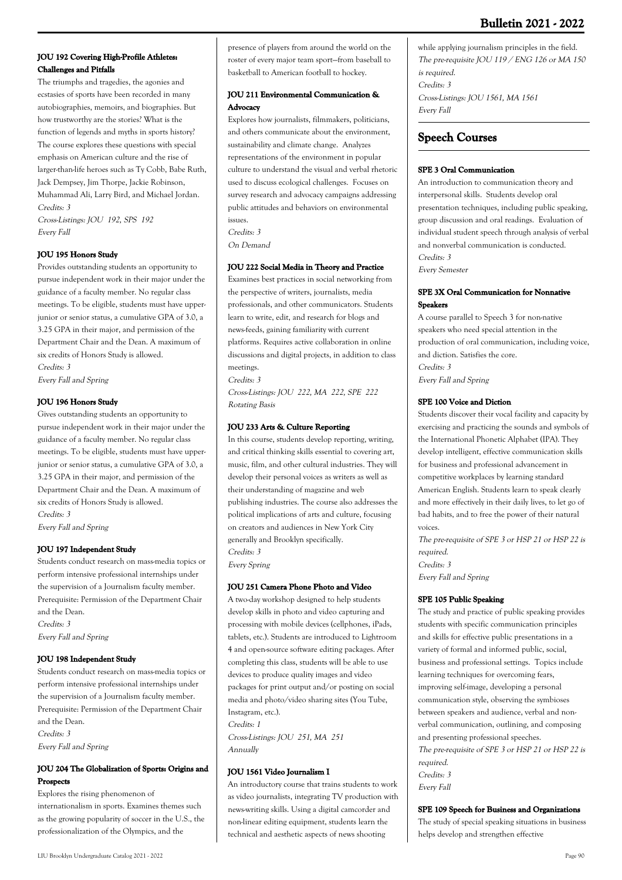### **JOU 192 Covering High-Profile Athletes: Challenges and Pitfalls**

The triumphs and tragedies, the agonies and ecstasies of sports have been recorded in many autobiographies, memoirs, and biographies. But how trustworthy are the stories? What is the function of legends and myths in sports history? The course explores these questions with special emphasis on American culture and the rise of larger-than-life heroes such as Ty Cobb, Babe Ruth, Jack Dempsey, Jim Thorpe, Jackie Robinson, Muhammad Ali, Larry Bird, and Michael Jordan. Credits: 3

Cross-Listings: JOU 192, SPS 192 Every Fall

### **JOU 195 Honors Study**

Provides outstanding students an opportunity to pursue independent work in their major under the guidance of a faculty member. No regular class meetings. To be eligible, students must have upperjunior or senior status, a cumulative GPA of 3.0, a 3.25 GPA in their major, and permission of the Department Chair and the Dean. A maximum of six credits of Honors Study is allowed. Credits: 3

Every Fall and Spring

### **JOU 196 Honors Study**

Gives outstanding students an opportunity to pursue independent work in their major under the guidance of a faculty member. No regular class meetings. To be eligible, students must have upperjunior or senior status, a cumulative GPA of 3.0, a 3.25 GPA in their major, and permission of the Department Chair and the Dean. A maximum of six credits of Honors Study is allowed. Credits: 3

Every Fall and Spring

### **JOU 197 Independent Study**

Students conduct research on mass-media topics or perform intensive professional internships under the supervision of a Journalism faculty member. Prerequisite: Permission of the Department Chair and the Dean. Credits: 3 Every Fall and Spring

### **JOU 198 Independent Study**

Students conduct research on mass-media topics or perform intensive professional internships under the supervision of a Journalism faculty member. Prerequisite: Permission of the Department Chair and the Dean. Credits: 3 Every Fall and Spring

### **JOU 204 The Globalization of Sports: Origins and Prospects**

Explores the rising phenomenon of internationalism in sports. Examines themes such as the growing popularity of soccer in the U.S., the professionalization of the Olympics, and the

### **JOU 211 Environmental Communication & Advocacy**

Explores how journalists, filmmakers, politicians, and others communicate about the environment, sustainability and climate change. Analyzes representations of the environment in popular culture to understand the visual and verbal rhetoric used to discuss ecological challenges. Focuses on survey research and advocacy campaigns addressing public attitudes and behaviors on environmental issues.

Credits: 3

On Demand

### **JOU 222 Social Media in Theory and Practice**

Examines best practices in social networking from the perspective of writers, journalists, media professionals, and other communicators. Students learn to write, edit, and research for blogs and news-feeds, gaining familiarity with current platforms. Requires active collaboration in online discussions and digital projects, in addition to class meetings.

Credits: 3

Cross-Listings: JOU 222, MA 222, SPE 222 Rotating Basis

### **JOU 233 Arts & Culture Reporting**

In this course, students develop reporting, writing, and critical thinking skills essential to covering art, music, film, and other cultural industries. They will develop their personal voices as writers as well as their understanding of magazine and web publishing industries. The course also addresses the political implications of arts and culture, focusing on creators and audiences in New York City generally and Brooklyn specifically. Credits: 3 Every Spring

### **JOU 251 Camera Phone Photo and Video**

A two-day workshop designed to help students develop skills in photo and video capturing and processing with mobile devices (cellphones, iPads, tablets, etc.). Students are introduced to Lightroom 4 and open-source software editing packages. After completing this class, students will be able to use devices to produce quality images and video packages for print output and/or posting on social media and photo/video sharing sites (You Tube, Instagram, etc.). Credits: 1 Cross-Listings: JOU 251, MA 251

Annually

### **JOU 1561 Video Journalism I**

An introductory course that trains students to work as video journalists, integrating TV production with news-writing skills. Using a digital camcorder and non-linear editing equipment, students learn the technical and aesthetic aspects of news shooting

while applying journalism principles in the field. The pre-requisite JOU 119 / ENG 126 or MA 150 is required. Credits: 3 Cross-Listings: JOU 1561, MA 1561 Every Fall

## **Speech Courses**

### **SPE 3 Oral Communication**

An introduction to communication theory and interpersonal skills. Students develop oral presentation techniques, including public speaking, group discussion and oral readings. Evaluation of individual student speech through analysis of verbal and nonverbal communication is conducted. Credits: 3 Every Semester

### **SPE 3X Oral Communication for Nonnative Speakers**

A course parallel to Speech 3 for non-native speakers who need special attention in the production of oral communication, including voice, and diction. Satisfies the core. Credits: 3 Every Fall and Spring

### **SPE 100 Voice and Diction**

Students discover their vocal facility and capacity by exercising and practicing the sounds and symbols of the International Phonetic Alphabet (IPA). They develop intelligent, effective communication skills for business and professional advancement in competitive workplaces by learning standard American English. Students learn to speak clearly and more effectively in their daily lives, to let go of bad habits, and to free the power of their natural voices.

The pre-requisite of SPE 3 or HSP 21 or HSP 22 is required. Credits: 3 Every Fall and Spring

### **SPE 105 Public Speaking**

The study and practice of public speaking provides students with specific communication principles and skills for effective public presentations in a variety of formal and informed public, social, business and professional settings. Topics include learning techniques for overcoming fears, improving self-image, developing a personal communication style, observing the symbioses between speakers and audience, verbal and nonverbal communication, outlining, and composing and presenting professional speeches. The pre-requisite of SPE 3 or HSP 21 or HSP 22 is required. Credits: 3 Every Fall

### **SPE 109 Speech for Business and Organizations**

The study of special speaking situations in business helps develop and strengthen effective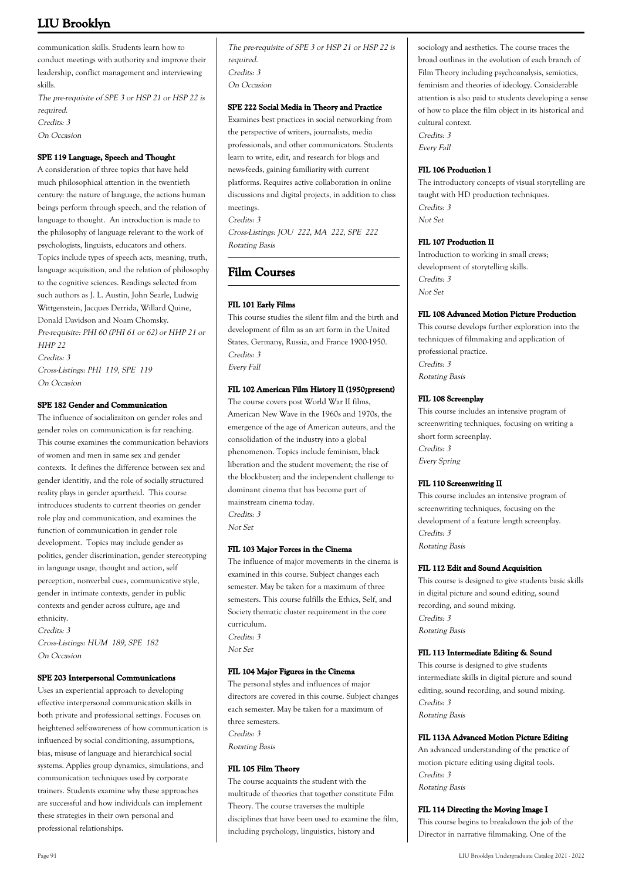communication skills. Students learn how to conduct meetings with authority and improve their leadership, conflict management and interviewing skills.

The pre-requisite of SPE 3 or HSP 21 or HSP 22 is required. Credits: 3 On Occasion

### **SPE 119 Language, Speech and Thought**

A consideration of three topics that have held much philosophical attention in the twentieth century: the nature of language, the actions human beings perform through speech, and the relation of language to thought. An introduction is made to the philosophy of language relevant to the work of psychologists, linguists, educators and others. Topics include types of speech acts, meaning, truth, language acquisition, and the relation of philosophy to the cognitive sciences. Readings selected from such authors as J. L. Austin, John Searle, Ludwig Wittgenstein, Jacques Derrida, Willard Quine, Donald Davidson and Noam Chomsky. Pre-requisite: PHI 60 (PHI 61 or 62) or HHP 21 or HHP 22 Credits: 3 Cross-Listings: PHI 119, SPE 119

On Occasion

### **SPE 182 Gender and Communication**

The influence of socializaiton on gender roles and gender roles on communication is far reaching. This course examines the communication behaviors of women and men in same sex and gender contexts. It defines the difference between sex and gender identitiy, and the role of socially structured reality plays in gender apartheid. This course introduces students to current theories on gender role play and communication, and examines the function of communication in gender role development. Topics may include gender as politics, gender discrimination, gender stereotyping in language usage, thought and action, self perception, nonverbal cues, communicative style, gender in intimate contexts, gender in public contexts and gender across culture, age and ethnicity.

Credits: 3 Cross-Listings: HUM 189, SPE 182 On Occasion

### **SPE 203 Interpersonal Communications**

Uses an experiential approach to developing effective interpersonal communication skills in both private and professional settings. Focuses on heightened self-awareness of how communication is influenced by social conditioning, assumptions, bias, misuse of language and hierarchical social systems. Applies group dynamics, simulations, and communication techniques used by corporate trainers. Students examine why these approaches are successful and how individuals can implement these strategies in their own personal and professional relationships.

The pre-requisite of SPE 3 or HSP 21 or HSP 22 is required. Credits: 3 On Occasion

#### **SPE 222 Social Media in Theory and Practice**

Examines best practices in social networking from the perspective of writers, journalists, media professionals, and other communicators. Students learn to write, edit, and research for blogs and news-feeds, gaining familiarity with current platforms. Requires active collaboration in online discussions and digital projects, in addition to class meetings. Credits: 3

Cross-Listings: JOU 222, MA 222, SPE 222 Rotating Basis

### **Film Courses**

### **FIL 101 Early Films**

This course studies the silent film and the birth and development of film as an art form in the United States, Germany, Russia, and France 1900-1950. Credits: 3 Every Fall

#### **FIL 102 American Film History II (1950¿present)**

The course covers post World War II films, American New Wave in the 1960s and 1970s, the emergence of the age of American auteurs, and the consolidation of the industry into a global phenomenon. Topics include feminism, black liberation and the student movement; the rise of the blockbuster; and the independent challenge to dominant cinema that has become part of mainstream cinema today. Credits: 3 Not Set

### **FIL 103 Major Forces in the Cinema**

The influence of major movements in the cinema is examined in this course. Subject changes each semester. May be taken for a maximum of three semesters. This course fulfills the Ethics, Self, and Society thematic cluster requirement in the core curriculum. Credits: 3 Not Set

### **FIL 104 Major Figures in the Cinema**

The personal styles and influences of major directors are covered in this course. Subject changes each semester. May be taken for a maximum of three semesters. Credits: 3 Rotating Basis

### **FIL 105 Film Theory**

The course acquaints the student with the multitude of theories that together constitute Film Theory. The course traverses the multiple disciplines that have been used to examine the film, including psychology, linguistics, history and

sociology and aesthetics. The course traces the broad outlines in the evolution of each branch of Film Theory including psychoanalysis, semiotics, feminism and theories of ideology. Considerable attention is also paid to students developing a sense of how to place the film object in its historical and cultural context. Credits: 3

Every Fall

#### **FIL 106 Production I**

The introductory concepts of visual storytelling are taught with HD production techniques. Credits: 3 Not Set

#### **FIL 107 Production II**

Introduction to working in small crews; development of storytelling skills. Credits: 3 Not Set

### **FIL 108 Advanced Motion Picture Production**

This course develops further exploration into the techniques of filmmaking and application of professional practice. Credits: 3 Rotating Basis

### **FIL 108 Screenplay**

This course includes an intensive program of screenwriting techniques, focusing on writing a short form screenplay. Credits: 3 Every Spring

#### **FIL 110 Screenwriting II**

This course includes an intensive program of screenwriting techniques, focusing on the development of a feature length screenplay. Credits: 3 Rotating Basis

#### **FIL 112 Edit and Sound Acquisition**

This course is designed to give students basic skills in digital picture and sound editing, sound recording, and sound mixing. Credits: 3 Rotating Basis

#### **FIL 113 Intermediate Editing & Sound**

This course is designed to give students intermediate skills in digital picture and sound editing, sound recording, and sound mixing. Credits: 3 Rotating Basis

### **FIL 113A Advanced Motion Picture Editing**

An advanced understanding of the practice of motion picture editing using digital tools. Credits: 3 Rotating Basis

#### **FIL 114 Directing the Moving Image I**

This course begins to breakdown the job of the Director in narrative filmmaking. One of the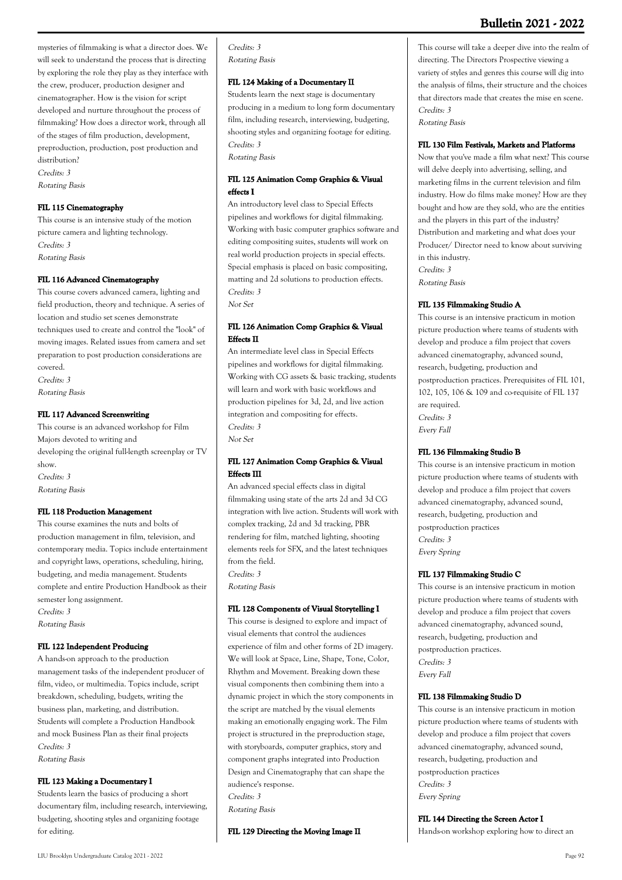mysteries of filmmaking is what a director does. We will seek to understand the process that is directing by exploring the role they play as they interface with the crew, producer, production designer and cinematographer. How is the vision for script developed and nurture throughout the process of filmmaking? How does a director work, through all of the stages of film production, development, preproduction, production, post production and distribution? Credits: 3 Rotating Basis

#### **FIL 115 Cinematography**

This course is an intensive study of the motion picture camera and lighting technology. Credits: 3 Rotating Basis

### **FIL 116 Advanced Cinematography**

This course covers advanced camera, lighting and field production, theory and technique. A series of location and studio set scenes demonstrate techniques used to create and control the "look" of moving images. Related issues from camera and set preparation to post production considerations are covered. Credits: 3 Rotating Basis

#### **FIL 117 Advanced Screenwriting**

This course is an advanced workshop for Film Majors devoted to writing and developing the original full-length screenplay or TV show. Credits: 3 Rotating Basis

### **FIL 118 Production Management**

This course examines the nuts and bolts of production management in film, television, and contemporary media. Topics include entertainment and copyright laws, operations, scheduling, hiring, budgeting, and media management. Students complete and entire Production Handbook as their semester long assignment. Credits: 3

Rotating Basis

### **FIL 122 Independent Producing**

A hands-on approach to the production management tasks of the independent producer of film, video, or multimedia. Topics include, script breakdown, scheduling, budgets, writing the business plan, marketing, and distribution. Students will complete a Production Handbook and mock Business Plan as their final projects Credits: 3 Rotating Basis

#### **FIL 123 Making a Documentary I**

Students learn the basics of producing a short documentary film, including research, interviewing, budgeting, shooting styles and organizing footage for editing.

Credits: 3 Rotating Basis

### **FIL 124 Making of a Documentary II**

Students learn the next stage is documentary producing in a medium to long form documentary film, including research, interviewing, budgeting, shooting styles and organizing footage for editing. Credits: 3 Rotating Basis

### **FIL 125 Animation Comp Graphics & Visual effects I**

An introductory level class to Special Effects pipelines and workflows for digital filmmaking. Working with basic computer graphics software and editing compositing suites, students will work on real world production projects in special effects. Special emphasis is placed on basic compositing, matting and 2d solutions to production effects. Credits: 3

### Not Set

### **FIL 126 Animation Comp Graphics & Visual Effects II**

An intermediate level class in Special Effects pipelines and workflows for digital filmmaking. Working with CG assets & basic tracking, students will learn and work with basic workflows and production pipelines for 3d, 2d, and live action integration and compositing for effects. Credits: 3 Not Set

### **FIL 127 Animation Comp Graphics & Visual Effects III**

An advanced special effects class in digital filmmaking using state of the arts 2d and 3d CG integration with live action. Students will work with complex tracking, 2d and 3d tracking, PBR rendering for film, matched lighting, shooting elements reels for SFX, and the latest techniques from the field. Credits: 3

Rotating Basis

### **FIL 128 Components of Visual Storytelling I**

This course is designed to explore and impact of visual elements that control the audiences experience of film and other forms of 2D imagery. We will look at Space, Line, Shape, Tone, Color, Rhythm and Movement. Breaking down these visual components then combining them into a dynamic project in which the story components in the script are matched by the visual elements making an emotionally engaging work. The Film project is structured in the preproduction stage, with storyboards, computer graphics, story and component graphs integrated into Production Design and Cinematography that can shape the audience's response. Credits: 3

Rotating Basis

**FIL 129 Directing the Moving Image II**

This course will take a deeper dive into the realm of directing. The Directors Prospective viewing a variety of styles and genres this course will dig into the analysis of films, their structure and the choices that directors made that creates the mise en scene. Credits: 3 Rotating Basis

#### **FIL 130 Film Festivals, Markets and Platforms**

Now that you've made a film what next? This course will delve deeply into advertising, selling, and marketing films in the current television and film industry. How do films make money? How are they bought and how are they sold, who are the entities and the players in this part of the industry? Distribution and marketing and what does your Producer/ Director need to know about surviving in this industry. Credits: 3 Rotating Basis

#### **FIL 135 Filmmaking Studio A**

This course is an intensive practicum in motion picture production where teams of students with develop and produce a film project that covers advanced cinematography, advanced sound, research, budgeting, production and postproduction practices. Prerequisites of FIL 101, 102, 105, 106 & 109 and co-requisite of FIL 137 are required. Credits: 3 Every Fall

#### **FIL 136 Filmmaking Studio B**

This course is an intensive practicum in motion picture production where teams of students with develop and produce a film project that covers advanced cinematography, advanced sound, research, budgeting, production and postproduction practices Credits: 3 Every Spring

#### **FIL 137 Filmmaking Studio C**

This course is an intensive practicum in motion picture production where teams of students with develop and produce a film project that covers advanced cinematography, advanced sound, research, budgeting, production and postproduction practices. Credits: 3 Every Fall

#### **FIL 138 Filmmaking Studio D**

This course is an intensive practicum in motion picture production where teams of students with develop and produce a film project that covers advanced cinematography, advanced sound, research, budgeting, production and postproduction practices Credits: 3 Every Spring

#### **FIL 144 Directing the Screen Actor I**

Hands-on workshop exploring how to direct an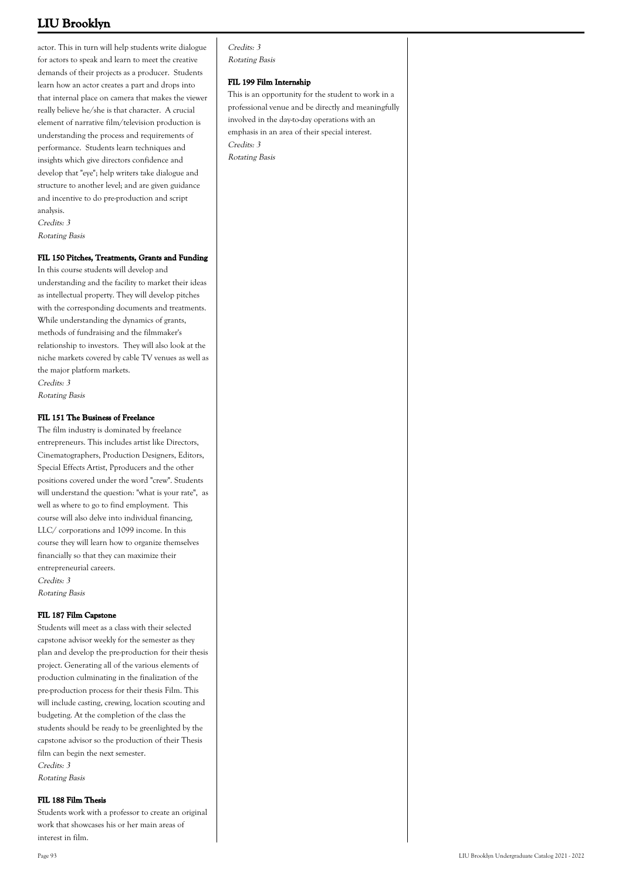actor. This in turn will help students write dialogue for actors to speak and learn to meet the creative demands of their projects as a producer. Students learn how an actor creates a part and drops into that internal place on camera that makes the viewer really believe he/she is that character. A crucial element of narrative film/television production is understanding the process and requirements of performance. Students learn techniques and insights which give directors confidence and develop that "eye"; help writers take dialogue and structure to another level; and are given guidance and incentive to do pre-production and script analysis.

Credits: 3 Rotating Basis

### **FIL 150 Pitches, Treatments, Grants and Funding**

In this course students will develop and understanding and the facility to market their ideas as intellectual property. They will develop pitches with the corresponding documents and treatments. While understanding the dynamics of grants, methods of fundraising and the filmmaker's relationship to investors. They will also look at the niche markets covered by cable TV venues as well as the major platform markets. Credits: 3 Rotating Basis

### **FIL 151 The Business of Freelance**

The film industry is dominated by freelance entrepreneurs. This includes artist like Directors, Cinematographers, Production Designers, Editors, Special Effects Artist, Pproducers and the other positions covered under the word "crew". Students will understand the question: "what is your rate", as well as where to go to find employment. This course will also delve into individual financing, LLC/ corporations and 1099 income. In this course they will learn how to organize themselves financially so that they can maximize their entrepreneurial careers. Credits: 3 Rotating Basis

### **FIL 187 Film Capstone**

Students will meet as a class with their selected capstone advisor weekly for the semester as they plan and develop the pre-production for their thesis project. Generating all of the various elements of production culminating in the finalization of the pre-production process for their thesis Film. This will include casting, crewing, location scouting and budgeting. At the completion of the class the students should be ready to be greenlighted by the capstone advisor so the production of their Thesis film can begin the next semester. Credits: 3 Rotating Basis

### **FIL 188 Film Thesis**

Students work with a professor to create an original work that showcases his or her main areas of interest in film.

#### **FIL 199 Film Internship**

This is an opportunity for the student to work in a professional venue and be directly and meaningfully involved in the day-to-day operations with an emphasis in an area of their special interest. Credits: 3 Rotating Basis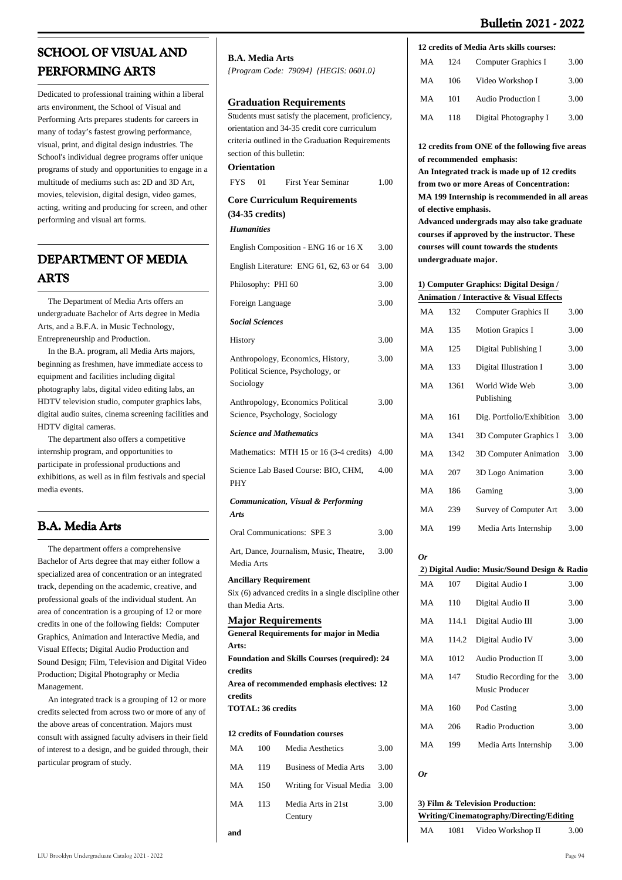# **SCHOOL OF VISUAL AND PERFORMING ARTS**

Dedicated to professional training within a liberal arts environment, the School of Visual and Performing Arts prepares students for careers in many of today's fastest growing performance, visual, print, and digital design industries. The School's individual degree programs offer unique programs of study and opportunities to engage in a multitude of mediums such as: 2D and 3D Art, movies, television, digital design, video games, acting, writing and producing for screen, and other performing and visual art forms.

# **DEPARTMENT OF MEDIA ARTS**

 The Department of Media Arts offers an undergraduate Bachelor of Arts degree in Media Arts, and a B.F.A. in Music Technology, Entrepreneurship and Production.

 In the B.A. program, all Media Arts majors, beginning as freshmen, have immediate access to equipment and facilities including digital photography labs, digital video editing labs, an HDTV television studio, computer graphics labs, digital audio suites, cinema screening facilities and HDTV digital cameras.

 The department also offers a competitive internship program, and opportunities to participate in professional productions and exhibitions, as well as in film festivals and special media events.

# **B.A. Media Arts**

 The department offers a comprehensive Bachelor of Arts degree that may either follow a specialized area of concentration or an integrated track, depending on the academic, creative, and professional goals of the individual student. An area of concentration is a grouping of 12 or more credits in one of the following fields: Computer Graphics, Animation and Interactive Media, and Visual Effects; Digital Audio Production and Sound Design; Film, Television and Digital Video Production; Digital Photography or Media Management.

 An integrated track is a grouping of 12 or more credits selected from across two or more of any of the above areas of concentration. Majors must consult with assigned faculty advisers in their field of interest to a design, and be guided through, their particular program of study.

**and**

#### **B.A. Media Arts**

*{Program Code: 79094} {HEGIS: 0601.0}*

### **Graduation Requirements**

Students must satisfy the placement, proficiency, orientation and 34-35 credit core curriculum criteria outlined in the Graduation Requirements section of this bulletin:

|                   | Orientation               |                                                                                                                                                                      |      |
|-------------------|---------------------------|----------------------------------------------------------------------------------------------------------------------------------------------------------------------|------|
| <b>FYS</b>        | 01                        | <b>First Year Seminar</b>                                                                                                                                            | 1.00 |
|                   | $(34-35 \text{ credits})$ | <b>Core Curriculum Requirements</b>                                                                                                                                  |      |
| <b>Humanities</b> |                           |                                                                                                                                                                      |      |
|                   |                           | English Composition - ENG 16 or 16 X                                                                                                                                 | 3.00 |
|                   |                           | English Literature: ENG 61, 62, 63 or 64                                                                                                                             | 3.00 |
|                   | Philosophy: PHI 60        |                                                                                                                                                                      | 3.00 |
|                   | Foreign Language          |                                                                                                                                                                      | 3.00 |
|                   | <b>Social Sciences</b>    |                                                                                                                                                                      |      |
| History           |                           |                                                                                                                                                                      | 3.00 |
| Sociology         |                           | Anthropology, Economics, History,<br>Political Science, Psychology, or                                                                                               | 3.00 |
|                   |                           | Anthropology, Economics Political<br>Science, Psychology, Sociology                                                                                                  | 3.00 |
|                   |                           | <b>Science and Mathematics</b>                                                                                                                                       |      |
|                   |                           | Mathematics: MTH 15 or 16 (3-4 credits) 4.00                                                                                                                         |      |
| <b>PHY</b>        |                           | Science Lab Based Course: BIO, CHM,                                                                                                                                  | 4.00 |
| Arts              |                           | <b>Communication, Visual &amp; Performing</b>                                                                                                                        |      |
|                   |                           | Oral Communications: SPE 3                                                                                                                                           | 3.00 |
| Media Arts        |                           | Art, Dance, Journalism, Music, Theatre,                                                                                                                              | 3.00 |
| Arts:             | than Media Arts.          | <b>Ancillary Requirement</b><br>Six (6) advanced credits in a single discipline other<br><b>Major Requirements</b><br><b>General Requirements for major in Media</b> |      |
|                   |                           | <b>Foundation and Skills Courses (required): 24</b>                                                                                                                  |      |
| credits           |                           | Area of recommended emphasis electives: 12                                                                                                                           |      |
| credits           |                           |                                                                                                                                                                      |      |
|                   | <b>TOTAL: 36 credits</b>  |                                                                                                                                                                      |      |
|                   |                           | <b>12 credits of Foundation courses</b>                                                                                                                              |      |
| MA                | 100                       | Media Aesthetics                                                                                                                                                     | 3.00 |
| MA                | 119                       | <b>Business of Media Arts</b>                                                                                                                                        | 3.00 |
| MA                | 150                       | Writing for Visual Media                                                                                                                                             | 3.00 |
| MA                | 113                       | Media Arts in 21st<br>Century                                                                                                                                        | 3.00 |

### **12 credits of Media Arts skills courses:**

| МA | 124 | Computer Graphics I       | 3.00 |
|----|-----|---------------------------|------|
| МA | 106 | Video Workshop I          | 3.00 |
| МA | 101 | <b>Audio Production I</b> | 3.00 |
| МA | 118 | Digital Photography I     | 3.00 |

**12 credits from ONE of the following five areas of recommended emphasis:**

**An Integrated track is made up of 12 credits from two or more Areas of Concentration: MA 199 Internship is recommended in all areas of elective emphasis.**

**Advanced undergrads may also take graduate courses if approved by the instructor. These courses will count towards the students undergraduate major.**

|    |       | 1) Computer Graphics: Digital Design /              |      |
|----|-------|-----------------------------------------------------|------|
|    |       | <b>Animation / Interactive &amp; Visual Effects</b> |      |
| MA | 132   | Computer Graphics II                                | 3.00 |
| MA | 135   | <b>Motion Grapics I</b>                             | 3.00 |
| MA | 125   | Digital Publishing I                                | 3.00 |
| MA | 133   | Digital Illustration I                              | 3.00 |
| MA | 1361  | World Wide Web<br>Publishing                        | 3.00 |
| MA | 161   | Dig. Portfolio/Exhibition                           | 3.00 |
| MA | 1341  | 3D Computer Graphics I                              | 3.00 |
| MA | 1342  | 3D Computer Animation                               | 3.00 |
| MA | 207   | 3D Logo Animation                                   | 3.00 |
| MA | 186   | Gaming                                              | 3.00 |
| MA | 239   | Survey of Computer Art                              | 3.00 |
| MA | 199   | Media Arts Internship                               | 3.00 |
| 0r |       | 2) Digital Audio: Music/Sound Design & Radio        |      |
|    |       |                                                     |      |
| MA | 107   | Digital Audio I                                     | 3.00 |
| MA | 110   | Digital Audio II                                    | 3.00 |
| MA | 114.1 | Digital Audio III                                   | 3.00 |
| MA | 114.2 | Digital Audio IV                                    | 3.00 |
| MA | 1012  | <b>Audio Production II</b>                          | 3.00 |
| MА | 147   | Studio Recording for the                            | 3.00 |

| МA | 147 | Studio Recording for the 3.00<br>Music Producer |      |
|----|-----|-------------------------------------------------|------|
| MA | 160 | Pod Casting                                     | 3.00 |
| MA | 206 | Radio Production                                | 3.00 |
| МA | 199 | Media Arts Internship                           | 3.00 |

*Or*

### **3) Film & Television Production: Writing/Cinematography/Directing/Editing**

| МA | 1081 | Video Workshop II | 3.00 |
|----|------|-------------------|------|
|    |      |                   |      |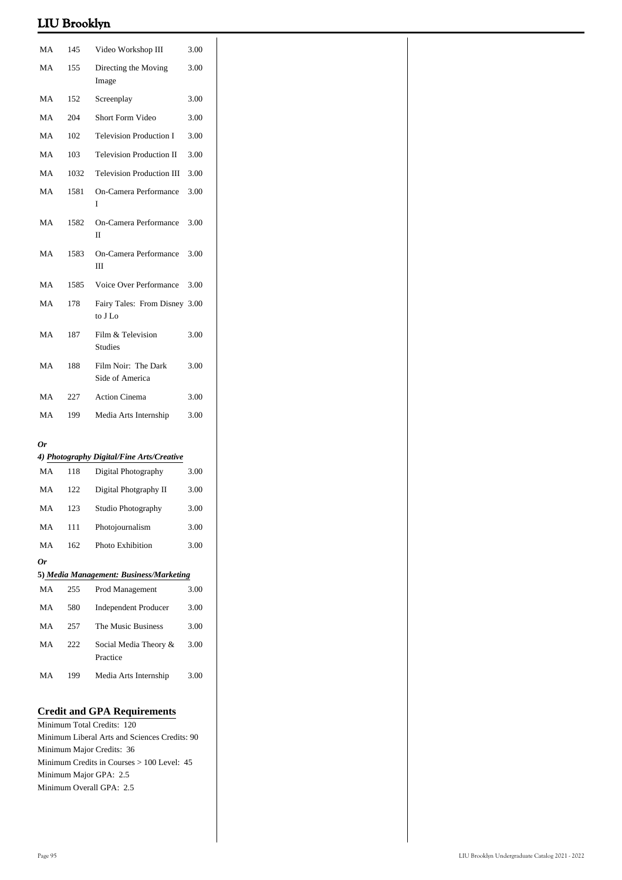| MA | 145  | Video Workshop III                                                         | 3.00 |
|----|------|----------------------------------------------------------------------------|------|
| MA | 155  | Directing the Moving                                                       | 3.00 |
| MA | 152  | Image<br>Screenplay                                                        | 3.00 |
| MA | 204  | Short Form Video                                                           | 3.00 |
| MA | 102  | <b>Television Production I</b>                                             | 3.00 |
| MA | 103  | <b>Television Production II</b>                                            | 3.00 |
| MA | 1032 | <b>Television Production III</b>                                           | 3.00 |
| MA | 1581 | On-Camera Performance                                                      | 3.00 |
|    |      | I                                                                          |      |
| MA | 1582 | On-Camera Performance<br>П                                                 | 3.00 |
| MA | 1583 | On-Camera Performance<br>Ш                                                 | 3.00 |
| MA | 1585 | Voice Over Performance                                                     | 3.00 |
| MA | 178  | Fairy Tales: From Disney 3.00<br>to $\rm J\,Lo$                            |      |
| MA | 187  | Film & Television<br><b>Studies</b>                                        | 3.00 |
| MA | 188  | Film Noir: The Dark<br>Side of America                                     | 3.00 |
| MA | 227  | Action Cinema                                                              | 3.00 |
| MA | 199  | Media Arts Internship                                                      | 3.00 |
| 0r |      |                                                                            |      |
|    |      | 4) Photography Digital/Fine Arts/Creative                                  |      |
| MA | 118  | Digital Photography                                                        | 3.00 |
| MA | 122  | Digital Photgraphy II                                                      | 3.00 |
| MA | 123  | Studio Photography                                                         | 3.00 |
| MA | 111  | Photojournalism                                                            | 3.00 |
| MA | 162  | Photo Exhibition                                                           | 3.00 |
| 0r |      | 5) Media Management: Business/Marketing                                    |      |
| MA | 255  | Prod Management                                                            | 3.00 |
| MA | 580  | <b>Independent Producer</b>                                                | 3.00 |
| MA | 257  | The Music Business                                                         | 3.00 |
| MA | 222  | Social Media Theory &<br>Practice                                          | 3.00 |
| MA | 199  | Media Arts Internship                                                      | 3.00 |
|    |      |                                                                            |      |
|    |      | <b>Credit and GPA Requirements</b>                                         |      |
|    |      | Minimum Total Credits: 120                                                 |      |
|    |      | Minimum Liberal Arts and Sciences Credits: 90<br>Minimum Major Credits: 36 |      |
|    |      | Minimum Credits in Courses > 100 Level: 45                                 |      |
|    |      | Minimum Major GPA: 2.5                                                     |      |

Minimum Overall GPA: 2.5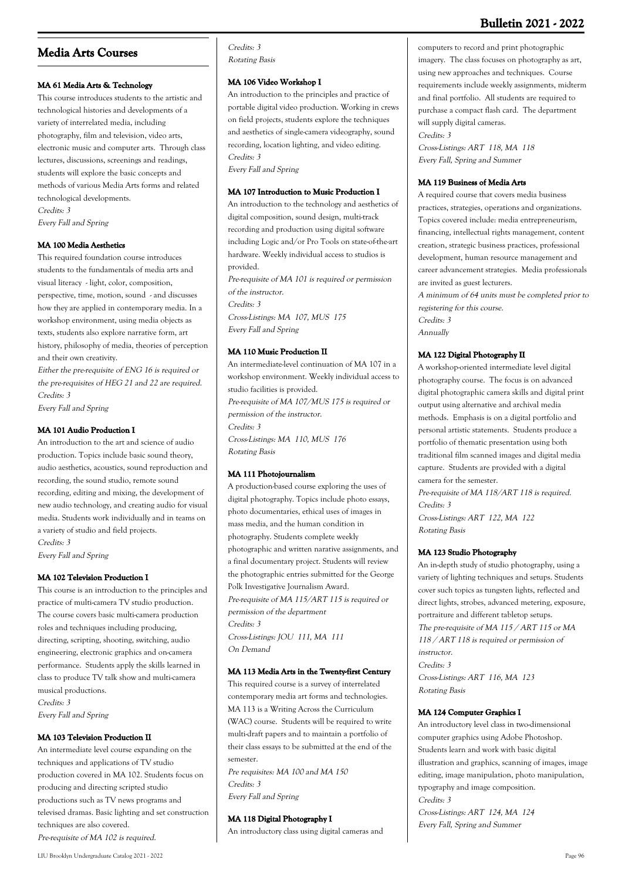# **Media Arts Courses**

### **MA 61 Media Arts & Technology**

This course introduces students to the artistic and technological histories and developments of a variety of interrelated media, including photography, film and television, video arts, electronic music and computer arts. Through class lectures, discussions, screenings and readings, students will explore the basic concepts and methods of various Media Arts forms and related technological developments. Credits: 3 Every Fall and Spring

### **MA 100 Media Aesthetics**

This required foundation course introduces students to the fundamentals of media arts and visual literacy - light, color, composition, perspective, time, motion, sound - and discusses how they are applied in contemporary media. In a workshop environment, using media objects as texts, students also explore narrative form, art history, philosophy of media, theories of perception and their own creativity.

Either the pre-requisite of ENG 16 is required or the pre-requisites of HEG 21 and 22 are required. Credits: 3

Every Fall and Spring

### **MA 101 Audio Production I**

An introduction to the art and science of audio production. Topics include basic sound theory, audio aesthetics, acoustics, sound reproduction and recording, the sound studio, remote sound recording, editing and mixing, the development of new audio technology, and creating audio for visual media. Students work individually and in teams on a variety of studio and field projects. Credits: 3

Every Fall and Spring

#### **MA 102 Television Production I**

This course is an introduction to the principles and practice of multi-camera TV studio production. The course covers basic multi-camera production roles and techniques including producing, directing, scripting, shooting, switching, audio engineering, electronic graphics and on-camera performance. Students apply the skills learned in class to produce TV talk show and multi-camera musical productions. Credits: 3

Every Fall and Spring

#### **MA 103 Television Production II**

An intermediate level course expanding on the techniques and applications of TV studio production covered in MA 102. Students focus on producing and directing scripted studio productions such as TV news programs and televised dramas. Basic lighting and set construction techniques are also covered. Pre-requisite of MA 102 is required.

#### Credits: 3 Rotating Basis

### **MA 106 Video Workshop I**

An introduction to the principles and practice of portable digital video production. Working in crews on field projects, students explore the techniques and aesthetics of single-camera videography, sound recording, location lighting, and video editing. Credits: 3 Every Fall and Spring

#### **MA 107 Introduction to Music Production I**

An introduction to the technology and aesthetics of digital composition, sound design, multi-track recording and production using digital software including Logic and/or Pro Tools on state-of-the-art hardware. Weekly individual access to studios is provided. Pre-requisite of MA 101 is required or permission of the instructor.

Credits: 3

Cross-Listings: MA 107, MUS 175 Every Fall and Spring

### **MA 110 Music Production II**

An intermediate-level continuation of MA 107 in a workshop environment. Weekly individual access to studio facilities is provided. Pre-requisite of MA 107/MUS 175 is required or permission of the instructor. Credits: 3 Cross-Listings: MA 110, MUS 176 Rotating Basis

### **MA 111 Photojournalism**

A production-based course exploring the uses of digital photography. Topics include photo essays, photo documentaries, ethical uses of images in mass media, and the human condition in photography. Students complete weekly photographic and written narative assignments, and a final documentary project. Students will review the photographic entries submitted for the George Polk Investigative Journalism Award. Pre-requisite of MA 115/ART 115 is required or permission of the department Credits: 3 Cross-Listings: JOU 111, MA 111 On Demand

#### **MA 113 Media Arts in the Twenty-first Century**

This required course is a survey of interrelated contemporary media art forms and technologies. MA 113 is a Writing Across the Curriculum (WAC) course. Students will be required to write multi-draft papers and to maintain a portfolio of their class essays to be submitted at the end of the semester.

Pre requisites: MA 100 and MA 150 Credits: 3 Every Fall and Spring

### **MA 118 Digital Photography I**

An introductory class using digital cameras and

computers to record and print photographic imagery. The class focuses on photography as art, using new approaches and techniques. Course requirements include weekly assignments, midterm and final portfolio. All students are required to purchase a compact flash card. The department will supply digital cameras.

Credits: 3

Cross-Listings: ART 118, MA 118 Every Fall, Spring and Summer

#### **MA 119 Business of Media Arts**

A required course that covers media business practices, strategies, operations and organizations. Topics covered include: media entrepreneurism, financing, intellectual rights management, content creation, strategic business practices, professional development, human resource management and career advancement strategies. Media professionals are invited as guest lecturers.

A minimum of 64 units must be completed prior to registering for this course. Credits: 3 Annually

#### **MA 122 Digital Photography II**

A workshop-oriented intermediate level digital photography course. The focus is on advanced digital photographic camera skills and digital print output using alternative and archival media methods. Emphasis is on a digital portfolio and personal artistic statements. Students produce a portfolio of thematic presentation using both traditional film scanned images and digital media capture. Students are provided with a digital camera for the semester.

Pre-requisite of MA 118/ART 118 is required. Credits: 3 Cross-Listings: ART 122, MA 122 Rotating Basis

#### **MA 123 Studio Photography**

An in-depth study of studio photography, using a variety of lighting techniques and setups. Students cover such topics as tungsten lights, reflected and direct lights, strobes, advanced metering, exposure, portraiture and different tabletop setups. The pre-requisite of MA 115 / ART 115 or MA 118 / ART 118 is required or permission of instructor. Credits: 3 Cross-Listings: ART 116, MA 123 Rotating Basis

#### **MA 124 Computer Graphics I**

An introductory level class in two-dimensional computer graphics using Adobe Photoshop. Students learn and work with basic digital illustration and graphics, scanning of images, image editing, image manipulation, photo manipulation, typography and image composition. Credits: 3 Cross-Listings: ART 124, MA 124 Every Fall, Spring and Summer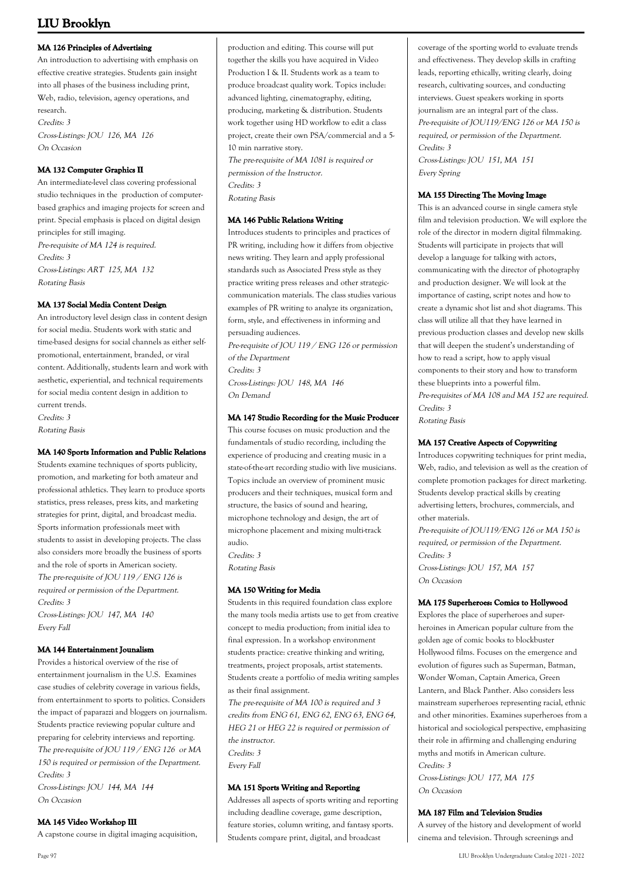### **MA 126 Principles of Advertising**

An introduction to advertising with emphasis on effective creative strategies. Students gain insight into all phases of the business including print, Web, radio, television, agency operations, and research. Credits: 3 Cross-Listings: JOU 126, MA 126 On Occasion

### **MA 132 Computer Graphics II**

An intermediate-level class covering professional studio techniques in the production of computerbased graphics and imaging projects for screen and print. Special emphasis is placed on digital design principles for still imaging. Pre-requisite of MA 124 is required. Credits: 3 Cross-Listings: ART 125, MA 132 Rotating Basis

### **MA 137 Social Media Content Design**

An introductory level design class in content design for social media. Students work with static and time-based designs for social channels as either selfpromotional, entertainment, branded, or viral content. Additionally, students learn and work with aesthetic, experiential, and technical requirements for social media content design in addition to current trends. Credits: 3 Rotating Basis

### **MA 140 Sports Information and Public Relations**

Students examine techniques of sports publicity, promotion, and marketing for both amateur and professional athletics. They learn to produce sports statistics, press releases, press kits, and marketing strategies for print, digital, and broadcast media. Sports information professionals meet with students to assist in developing projects. The class also considers more broadly the business of sports and the role of sports in American society. The pre-requisite of JOU 119 / ENG 126 is required or permission of the Department. Credits: 3 Cross-Listings: JOU 147, MA 140 Every Fall

### **MA 144 Entertainment Jounalism**

Provides a historical overview of the rise of entertainment journalism in the U.S. Examines case studies of celebrity coverage in various fields, from entertainment to sports to politics. Considers the impact of paparazzi and bloggers on journalism. Students practice reviewing popular culture and preparing for celebrity interviews and reporting. The pre-requisite of JOU 119 / ENG 126 or MA 150 is required or permission of the Department. Credits: 3 Cross-Listings: JOU 144, MA 144 On Occasion

### **MA 145 Video Workshop III**

A capstone course in digital imaging acquisition,

production and editing. This course will put together the skills you have acquired in Video Production I & II. Students work as a team to produce broadcast quality work. Topics include: advanced lighting, cinematography, editing, producing, marketing & distribution. Students work together using HD workflow to edit a class project, create their own PSA/commercial and a 5- 10 min narrative story. The pre-requisite of MA 1081 is required or

permission of the Instructor. Credits: 3 Rotating Basis

### **MA 146 Public Relations Writing**

Introduces students to principles and practices of PR writing, including how it differs from objective news writing. They learn and apply professional standards such as Associated Press style as they practice writing press releases and other strategiccommunication materials. The class studies various examples of PR writing to analyze its organization, form, style, and effectiveness in informing and persuading audiences.

Pre-requisite of JOU 119 / ENG 126 or permission of the Department

Credits: 3

Cross-Listings: JOU 148, MA 146 On Demand

### **MA 147 Studio Recording for the Music Producer**

This course focuses on music production and the fundamentals of studio recording, including the experience of producing and creating music in a state-of-the-art recording studio with live musicians. Topics include an overview of prominent music producers and their techniques, musical form and structure, the basics of sound and hearing, microphone technology and design, the art of microphone placement and mixing multi-track audio.

Credits: 3 Rotating Basis

### **MA 150 Writing for Media**

Students in this required foundation class explore the many tools media artists use to get from creative concept to media production; from initial idea to final expression. In a workshop environment students practice: creative thinking and writing, treatments, project proposals, artist statements. Students create a portfolio of media writing samples as their final assignment. The pre-requisite of MA 100 is required and 3

credits from ENG 61, ENG 62, ENG 63, ENG 64, HEG 21 or HEG 22 is required or permission of the instructor. Credits: 3 Every Fall

### **MA 151 Sports Writing and Reporting**

Addresses all aspects of sports writing and reporting including deadline coverage, game description, feature stories, column writing, and fantasy sports. Students compare print, digital, and broadcast

coverage of the sporting world to evaluate trends and effectiveness. They develop skills in crafting leads, reporting ethically, writing clearly, doing research, cultivating sources, and conducting interviews. Guest speakers working in sports journalism are an integral part of the class. Pre-requisite of JOU119/ENG 126 or MA 150 is required, or permission of the Department. Credits: 3

Cross-Listings: JOU 151, MA 151 Every Spring

#### **MA 155 Directing The Moving Image**

This is an advanced course in single camera style film and television production. We will explore the role of the director in modern digital filmmaking. Students will participate in projects that will develop a language for talking with actors, communicating with the director of photography and production designer. We will look at the importance of casting, script notes and how to create a dynamic shot list and shot diagrams. This class will utilize all that they have learned in previous production classes and develop new skills that will deepen the student's understanding of how to read a script, how to apply visual components to their story and how to transform these blueprints into a powerful film. Pre-requisites of MA 108 and MA 152 are required. Credits: 3

Rotating Basis

### **MA 157 Creative Aspects of Copywriting**

Introduces copywriting techniques for print media, Web, radio, and television as well as the creation of complete promotion packages for direct marketing. Students develop practical skills by creating advertising letters, brochures, commercials, and other materials.

Pre-requisite of JOU119/ENG 126 or MA 150 is required, or permission of the Department. Credits: 3 Cross-Listings: JOU 157, MA 157 On Occasion

### **MA 175 Superheroes: Comics to Hollywood**

Explores the place of superheroes and superheroines in American popular culture from the golden age of comic books to blockbuster Hollywood films. Focuses on the emergence and evolution of figures such as Superman, Batman, Wonder Woman, Captain America, Green Lantern, and Black Panther. Also considers less mainstream superheroes representing racial, ethnic and other minorities. Examines superheroes from a historical and sociological perspective, emphasizing their role in affirming and challenging enduring myths and motifs in American culture. Credits: 3

Cross-Listings: JOU 177, MA 175 On Occasion

### **MA 187 Film and Television Studies**

A survey of the history and development of world cinema and television. Through screenings and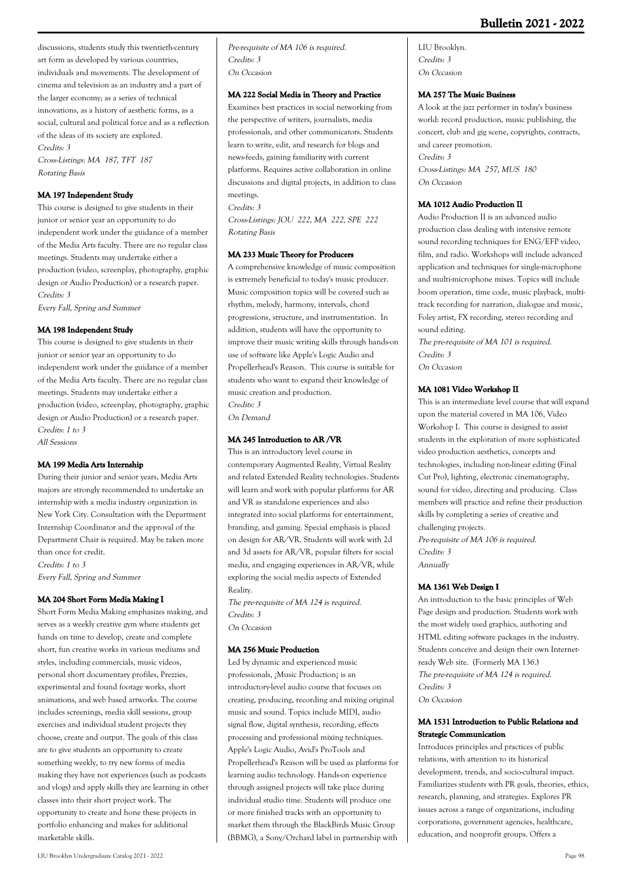discussions, students study this twentieth-century art form as developed by various countries, individuals and movements. The development of cinema and television as an industry and a part of the larger economy; as a series of technical innovations, as a history of aesthetic forms, as a social, cultural and political force and as a reflection of the ideas of its society are explored. Credits: 3 Cross-Listings: MA 187, TFT 187

Rotating Basis

### **MA 197 Independent Study**

This course is designed to give students in their junior or senior year an opportunity to do independent work under the guidance of a member of the Media Arts faculty. There are no regular class meetings. Students may undertake either a production (video, screenplay, photography, graphic design or Audio Production) or a research paper. Credits: 3 Every Fall, Spring and Summer

### **MA 198 Independent Study**

This course is designed to give students in their junior or senior year an opportunity to do independent work under the guidance of a member of the Media Arts faculty. There are no regular class meetings. Students may undertake either a production (video, screenplay, photography, graphic design or Audio Production) or a research paper. Credits: 1 to 3 All Sessions

### **MA 199 Media Arts Internship**

During their junior and senior years, Media Arts majors are strongly recommended to undertake an internship with a media industry organization in New York City. Consultation with the Department Internship Coordinator and the approval of the Department Chair is required. May be taken more than once for credit. Credits: 1 to 3 Every Fall, Spring and Summer

### **MA 204 Short Form Media Making I**

Short Form Media Making emphasizes making, and serves as a weekly creative gym where students get hands on time to develop, create and complete short, fun creative works in various mediums and styles, including commercials, music videos, personal short documentary profiles, Prezzies, experimental and found footage works, short animations, and web based artworks. The course includes screenings, media skill sessions, group exercises and individual student projects they choose, create and output. The goals of this class are to give students an opportunity to create something weekly, to try new forms of media making they have not experiences (such as podcasts and vlogs) and apply skills they are learning in other classes into their short project work. The opportunity to create and hone these projects in portfolio enhancing and makes for additional marketable skills.

Pre-requisite of MA 106 is required. Credits: 3 On Occasion

### **MA 222 Social Media in Theory and Practice**

Examines best practices in social networking from the perspective of writers, journalists, media professionals, and other communicators. Students learn to write, edit, and research for blogs and news-feeds, gaining familiarity with current platforms. Requires active collaboration in online discussions and digital projects, in addition to class meetings.

Credits: 3 Cross-Listings: JOU 222, MA 222, SPE 222 Rotating Basis

### **MA 233 Music Theory for Producers**

A comprehensive knowledge of music composition is extremely beneficial to today's music producer. Music composition topics will be covered such as rhythm, melody, harmony, intervals, chord progressions, structure, and instrumentation. In addition, students will have the opportunity to improve their music writing skills through hands-on use of software like Apple's Logic Audio and Propellerhead's Reason. This course is suitable for students who want to expand their knowledge of music creation and production. Credits: 3 On Demand

### **MA 245 Introduction to AR /VR**

This is an introductory level course in contemporary Augmented Reality, Virtual Reality and related Extended Reality technologies. Students will learn and work with popular platforms for AR and VR as standalone experiences and also integrated into social platforms for entertainment, branding, and gaming. Special emphasis is placed on design for AR/VR. Students will work with 2d and 3d assets for AR/VR, popular filters for social media, and engaging experiences in AR/VR, while exploring the social media aspects of Extended Reality.

The pre-requisite of MA 124 is required. Credits: 3 On Occasion

### **MA 256 Music Production**

Led by dynamic and experienced music professionals, ¿Music Production¿ is an introductory-level audio course that focuses on creating, producing, recording and mixing original music and sound. Topics include MIDI, audio signal flow, digital synthesis, recording, effects processing and professional mixing techniques. Apple's Logic Audio, Avid's ProTools and Propellerhead's Reason will be used as platforms for learning audio technology. Hands-on experience through assigned projects will take place during individual studio time. Students will produce one or more finished tracks with an opportunity to market them through the BlackBirds Music Group (BBMG), a Sony/Orchard label in partnership with

LIU Brooklyn. Credits: 3 On Occasion

#### **MA 257 The Music Business**

A look at the jazz performer in today's business world: record production, music publishing, the concert, club and gig scene, copyrights, contracts, and career promotion. Credits: 3 Cross-Listings: MA 257, MUS 180 On Occasion

### **MA 1012 Audio Production II**

Audio Production II is an advanced audio production class dealing with intensive remote sound recording techniques for ENG/EFP video, film, and radio. Workshops will include advanced application and techniques for single-microphone and multi-microphone mixes. Topics will include boom operation, time code, music playback, multitrack recording for narration, dialogue and music, Foley artist, FX recording, stereo recording and sound editing.

The pre-requisite of MA 101 is required. Credits: 3 On Occasion

#### **MA 1081 Video Workshop II**

This is an intermediate level course that will expand upon the material covered in MA 106, Video Workshop I. This course is designed to assist students in the exploration of more sophisticated video production aesthetics, concepts and technologies, including non-linear editing (Final Cut Pro), lighting, electronic cinematography, sound for video, directing and producing. Class members will practice and refine their production skills by completing a series of creative and challenging projects.

Pre-requisite of MA 106 is required. Credits: 3 Annually

### **MA 1361 Web Design I**

An introduction to the basic principles of Web Page design and production. Students work with the most widely used graphics, authoring and HTML editing software packages in the industry. Students conceive and design their own Internetready Web site. (Formerly MA 136.) The pre-requisite of MA 124 is required. Credits: 3 On Occasion

### **MA 1531 Introduction to Public Relations and Strategic Communication**

Introduces principles and practices of public relations, with attention to its historical development, trends, and socio-cultural impact. Familiarizes students with PR goals, theories, ethics, research, planning, and strategies. Explores PR issues across a range of organizations, including corporations, government agencies, healthcare, education, and nonprofit groups. Offers a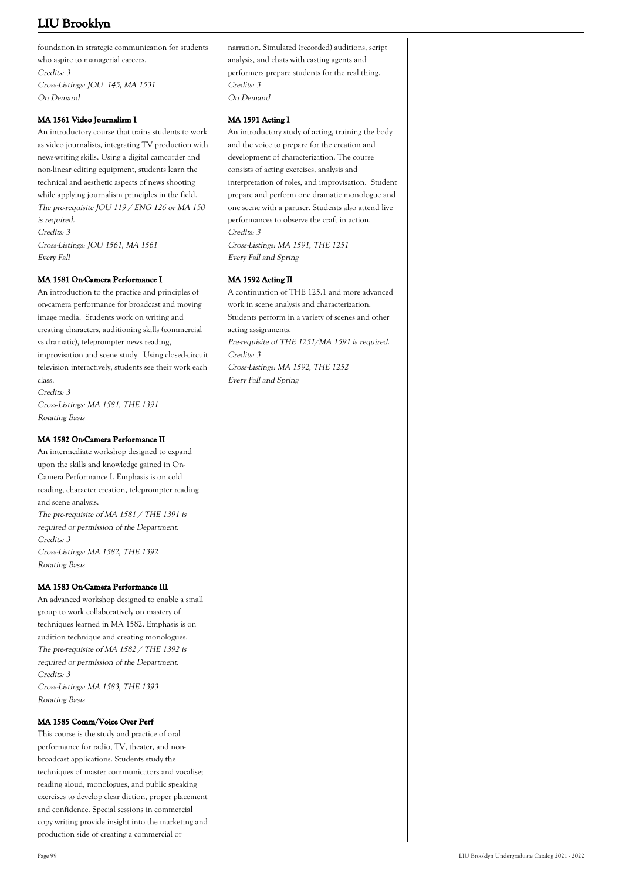foundation in strategic communication for students who aspire to managerial careers. Credits: 3 Cross-Listings: JOU 145, MA 1531 On Demand

### **MA 1561 Video Journalism I**

An introductory course that trains students to work as video journalists, integrating TV production with news-writing skills. Using a digital camcorder and non-linear editing equipment, students learn the technical and aesthetic aspects of news shooting while applying journalism principles in the field. The pre-requisite JOU 119 / ENG 126 or MA 150 is required. Credits: 3 Cross-Listings: JOU 1561, MA 1561 Every Fall

### **MA 1581 On-Camera Performance I**

An introduction to the practice and principles of on-camera performance for broadcast and moving image media. Students work on writing and creating characters, auditioning skills (commercial vs dramatic), teleprompter news reading, improvisation and scene study. Using closed-circuit television interactively, students see their work each class. Credits: 3

Cross-Listings: MA 1581, THE 1391 Rotating Basis

### **MA 1582 On-Camera Performance II**

An intermediate workshop designed to expand upon the skills and knowledge gained in On-Camera Performance I. Emphasis is on cold reading, character creation, teleprompter reading and scene analysis. The pre-requisite of MA 1581 / THE 1391 is required or permission of the Department. Credits: 3 Cross-Listings: MA 1582, THE 1392 Rotating Basis

### **MA 1583 On-Camera Performance III**

An advanced workshop designed to enable a small group to work collaboratively on mastery of techniques learned in MA 1582. Emphasis is on audition technique and creating monologues. The pre-requisite of MA 1582 / THE 1392 is required or permission of the Department. Credits: 3 Cross-Listings: MA 1583, THE 1393 Rotating Basis

### **MA 1585 Comm/Voice Over Perf**

This course is the study and practice of oral performance for radio, TV, theater, and nonbroadcast applications. Students study the techniques of master communicators and vocalise; reading aloud, monologues, and public speaking exercises to develop clear diction, proper placement and confidence. Special sessions in commercial copy writing provide insight into the marketing and production side of creating a commercial or

narration. Simulated (recorded) auditions, script analysis, and chats with casting agents and performers prepare students for the real thing. Credits: 3 On Demand

### **MA 1591 Acting I**

An introductory study of acting, training the body and the voice to prepare for the creation and development of characterization. The course consists of acting exercises, analysis and interpretation of roles, and improvisation. Student prepare and perform one dramatic monologue and one scene with a partner. Students also attend live performances to observe the craft in action. Credits: 3 Cross-Listings: MA 1591, THE 1251

Every Fall and Spring

### **MA 1592 Acting II**

A continuation of THE 125.1 and more advanced work in scene analysis and characterization. Students perform in a variety of scenes and other acting assignments. Pre-requisite of THE 1251/MA 1591 is required. Credits: 3 Cross-Listings: MA 1592, THE 1252 Every Fall and Spring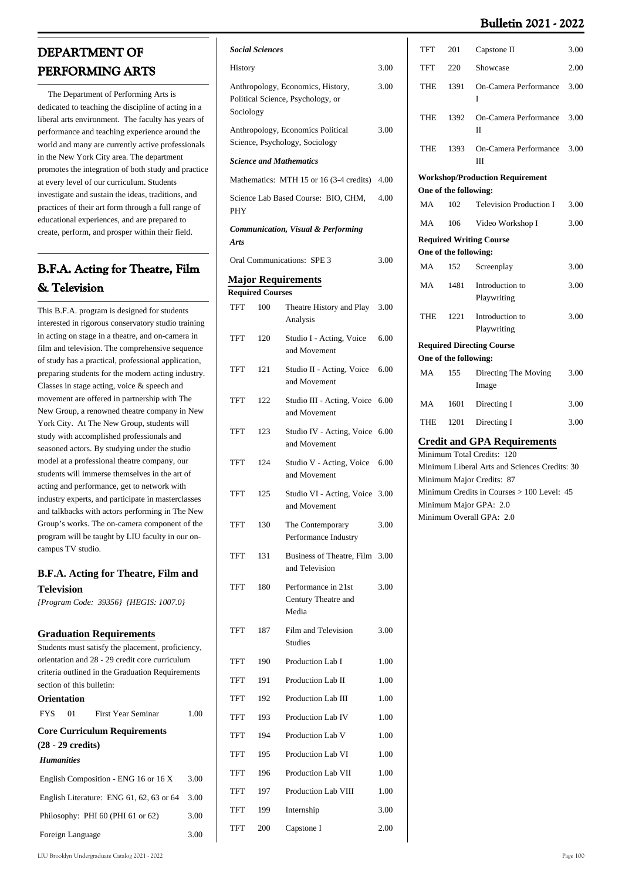# **DEPARTMENT OF PERFORMING ARTS**

 The Department of Performing Arts is dedicated to teaching the discipline of acting in a liberal arts environment. The faculty has years of performance and teaching experience around the world and many are currently active professionals in the New York City area. The department promotes the integration of both study and practice at every level of our curriculum. Students investigate and sustain the ideas, traditions, and practices of their art form through a full range of educational experiences, and are prepared to create, perform, and prosper within their field.

# **B.F.A. Acting for Theatre, Film & Television**

This B.F.A. program is designed for students interested in rigorous conservatory studio training in acting on stage in a theatre, and on-camera in film and television. The comprehensive sequence of study has a practical, professional application, preparing students for the modern acting industry. Classes in stage acting, voice & speech and movement are offered in partnership with The New Group, a renowned theatre company in New York City. At The New Group, students will study with accomplished professionals and seasoned actors. By studying under the studio model at a professional theatre company, our students will immerse themselves in the art of acting and performance, get to network with industry experts, and participate in masterclasses and talkbacks with actors performing in The New Group's works. The on-camera component of the program will be taught by LIU faculty in our oncampus TV studio.

### **B.F.A. Acting for Theatre, Film and Television**

*{Program Code: 39356} {HEGIS: 1007.0}*

### **Graduation Requirements**

| Students must satisfy the placement, proficiency, |                                                  |                                                  |      |  |  |  |
|---------------------------------------------------|--------------------------------------------------|--------------------------------------------------|------|--|--|--|
|                                                   | orientation and 28 - 29 credit core curriculum   |                                                  |      |  |  |  |
|                                                   |                                                  | criteria outlined in the Graduation Requirements |      |  |  |  |
|                                                   |                                                  | section of this bulletin:                        |      |  |  |  |
|                                                   | Orientation                                      |                                                  |      |  |  |  |
|                                                   |                                                  | FYS 01 First Year Seminar                        | 1.00 |  |  |  |
|                                                   |                                                  | <b>Core Curriculum Requirements</b>              |      |  |  |  |
|                                                   | (28 - 29 credits)                                |                                                  |      |  |  |  |
| <b>Humanities</b>                                 |                                                  |                                                  |      |  |  |  |
|                                                   |                                                  | English Composition - ENG 16 or 16 X             | 3.00 |  |  |  |
|                                                   | 3.00<br>English Literature: ENG 61, 62, 63 or 64 |                                                  |      |  |  |  |
|                                                   | Philosophy: PHI 60 (PHI 61 or 62)<br>3.00        |                                                  |      |  |  |  |
| Foreign Language<br>3.00                          |                                                  |                                                  |      |  |  |  |
|                                                   |                                                  |                                                  |      |  |  |  |

|             | <b>Social Sciences</b>                                                 |                                                                     |      |
|-------------|------------------------------------------------------------------------|---------------------------------------------------------------------|------|
| History     | 3.00                                                                   |                                                                     |      |
| Sociology   | Anthropology, Economics, History,<br>Political Science, Psychology, or | 3.00                                                                |      |
|             |                                                                        | Anthropology, Economics Political<br>Science, Psychology, Sociology | 3.00 |
|             |                                                                        | <b>Science and Mathematics</b>                                      |      |
|             |                                                                        | Mathematics: MTH 15 or 16 (3-4 credits) 4.00                        |      |
| PHY         |                                                                        | Science Lab Based Course: BIO, CHM,                                 | 4.00 |
| <b>Arts</b> |                                                                        | <b>Communication, Visual &amp; Performing</b>                       |      |
|             |                                                                        | Oral Communications: SPE 3                                          | 3.00 |
|             |                                                                        | <b>Major Requirements</b>                                           |      |
|             | <b>Required Courses</b>                                                |                                                                     |      |
| TFT         | 100                                                                    | Theatre History and Play<br>Analysis                                | 3.00 |
| TFT         | 120                                                                    | Studio I - Acting, Voice<br>and Movement                            | 6.00 |
| TFT         | 121                                                                    | Studio II - Acting, Voice<br>and Movement                           | 6.00 |
| TFT         | 122                                                                    | Studio III - Acting, Voice 6.00<br>and Movement                     |      |
| TFT         | 123                                                                    | Studio IV - Acting, Voice 6.00<br>and Movement                      |      |
| TFT         | 124                                                                    | Studio V - Acting, Voice<br>and Movement                            | 6.00 |
| TFT         | 125                                                                    | Studio VI - Acting, Voice 3.00<br>and Movement                      |      |
| TFT         | 130                                                                    | The Contemporary<br>Performance Industry                            | 3.00 |
| TFT         | 131                                                                    | Business of Theatre, Film<br>and Television                         | 3.00 |
| TFT         | 180                                                                    | Performance in 21st<br>Century Theatre and<br>Media                 | 3.00 |
| TFT         | 187                                                                    | Film and Television<br><b>Studies</b>                               | 3.00 |
| <b>TFT</b>  | 190                                                                    | Production Lab I                                                    | 1.00 |
| TFT         | 191                                                                    | Production Lab II                                                   | 1.00 |
| TFT         | 192                                                                    | Production Lab III                                                  | 1.00 |
| TFT         | 193                                                                    | Production Lab IV                                                   | 1.00 |
| TFT         | 194                                                                    | Production Lab V                                                    | 1.00 |
| TFT         | 195                                                                    | Production Lab VI                                                   | 1.00 |
| TFT         | 196                                                                    | Production Lab VII                                                  | 1.00 |
| TFT         | 197                                                                    | Production Lab VIII                                                 | 1.00 |
| TFT         | 199                                                                    | Internship                                                          | 3.00 |
| TFT         | 200                                                                    | Capstone I                                                          | 2.00 |

| <b>TFT</b> | 201                   | Capstone II                            | 3.00 |
|------------|-----------------------|----------------------------------------|------|
| TFT        | 220                   | Showcase                               | 2.00 |
| THE        | 1391                  | On-Camera Performance<br>T             | 3.00 |
| THE        | 1392                  | On-Camera Performance<br>П             | 3.00 |
| <b>THE</b> | 1393                  | On-Camera Performance<br>Ш             | 3.00 |
|            |                       | <b>Workshop/Production Requirement</b> |      |
|            | One of the following: |                                        |      |
| <b>MA</b>  | 102                   | <b>Television Production I</b>         | 3.00 |
| MA         | 106                   | Video Workshop I                       | 3.00 |
|            |                       | <b>Required Writing Course</b>         |      |
|            | One of the following: |                                        |      |
| <b>MA</b>  | 152                   | Screenplay                             | 3.00 |
| MA         | 1481                  | Introduction to<br>Playwriting         | 3.00 |
| <b>THE</b> | 1221                  | Introduction to<br>Playwriting         | 3.00 |
|            |                       | <b>Required Directing Course</b>       |      |
|            | One of the following: |                                        |      |
| MA         | 155                   | Directing The Moving<br>Image          | 3.00 |
| MA         | 1601                  | Directing I                            | 3.00 |
| THE        | 1201                  | Directing I                            | 3.00 |
|            |                       | <b>Credit and GPA Requirements</b>     |      |

Minimum Total Credits: 120 Minimum Liberal Arts and Sciences Credits: 30 Minimum Major Credits: 87 Minimum Credits in Courses > 100 Level: 45 Minimum Major GPA: 2.0 Minimum Overall GPA: 2.0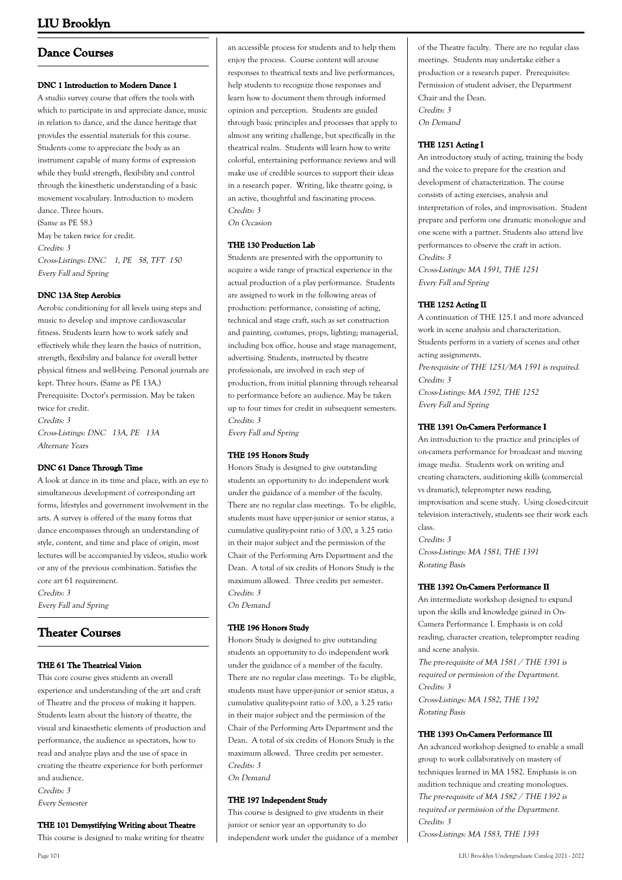## **Dance Courses**

### **DNC 1 Introduction to Modern Dance 1**

A studio survey course that offers the tools with which to participate in and appreciate dance, music in relation to dance, and the dance heritage that provides the essential materials for this course. Students come to appreciate the body as an instrument capable of many forms of expression while they build strength, flexibility and control through the kinesthetic understanding of a basic movement vocabulary. Introduction to modern dance. Three hours.

(Same as PE 58.) May be taken twice for credit. Credits: 3 Cross-Listings: DNC 1, PE 58, TFT 150 Every Fall and Spring

### **DNC 13A Step Aerobics**

Aerobic conditioning for all levels using steps and music to develop and improve cardiovascular fitness. Students learn how to work safely and effectively while they learn the basics of nutrition, strength, flexibility and balance for overall better physical fitness and well-being. Personal journals are kept. Three hours. (Same as PE 13A.) Prerequisite: Doctor's permission. May be taken twice for credit. Credits: 3 Cross-Listings: DNC 13A, PE 13A Alternate Years

### **DNC 61 Dance Through Time**

A look at dance in its time and place, with an eye to simultaneous development of corresponding art forms, lifestyles and government involvement in the arts. A survey is offered of the many forms that dance encompasses through an understanding of style, content, and time and place of origin, most lectures will be accompanied by videos, studio work or any of the previous combination. Satisfies the core art 61 requirement. Credits: 3 Every Fall and Spring

## **Theater Courses**

### **THE 61 The Theatrical Vision**

This core course gives students an overall experience and understanding of the art and craft of Theatre and the process of making it happen. Students learn about the history of theatre, the visual and kinaesthetic elements of production and performance, the audience as spectators, how to read and analyze plays and the use of space in creating the theatre experience for both performer and audience.

Credits: 3 Every Semester

#### **THE 101 Demystifying Writing about Theatre** This course is designed to make writing for theatre

an accessible process for students and to help them enjoy the process. Course content will arouse responses to theatrical texts and live performances, help students to recognize those responses and learn how to document them through informed opinion and perception. Students are guided through basic principles and processes that apply to almost any writing challenge, but specifically in the theatrical realm. Students will learn how to write colorful, entertaining performance reviews and will make use of credible sources to support their ideas in a research paper. Writing, like theatre going, is an active, thoughtful and fascinating process. Credits: 3

On Occasion

### **THE 130 Production Lab**

Students are presented with the opportunity to acquire a wide range of practical experience in the actual production of a play performance. Students are assigned to work in the following areas of production: performance, consisting of acting, technical and stage craft, such as set construction and painting, costumes, props, lighting; managerial, including box office, house and stage management, advertising. Students, instructed by theatre professionals, are involved in each step of production, from initial planning through rehearsal to performance before an audience. May be taken up to four times for credit in subsequent semesters. Credits: 3

Every Fall and Spring

### **THE 195 Honors Study**

Honors Study is designed to give outstanding students an opportunity to do independent work under the guidance of a member of the faculty. There are no regular class meetings. To be eligible, students must have upper-junior or senior status, a cumulative quality-point ratio of 3.00, a 3.25 ratio in their major subject and the permission of the Chair of the Performing Arts Department and the Dean. A total of six credits of Honors Study is the maximum allowed. Three credits per semester. Credits: 3 On Demand

### **THE 196 Honors Study**

Honors Study is designed to give outstanding students an opportunity to do independent work under the guidance of a member of the faculty. There are no regular class meetings. To be eligible, students must have upper-junior or senior status, a cumulative quality-point ratio of 3.00, a 3.25 ratio in their major subject and the permission of the Chair of the Performing Arts Department and the Dean. A total of six credits of Honors Study is the maximum allowed. Three credits per semester. Credits: 3 On Demand

**THE 197 Independent Study**

This course is designed to give students in their junior or senior year an opportunity to do independent work under the guidance of a member of the Theatre faculty. There are no regular class meetings. Students may undertake either a production or a research paper. Prerequisites: Permission of student adviser, the Department Chair and the Dean. Credits: 3 On Demand

### **THE 1251 Acting I**

An introductory study of acting, training the body and the voice to prepare for the creation and development of characterization. The course consists of acting exercises, analysis and interpretation of roles, and improvisation. Student prepare and perform one dramatic monologue and one scene with a partner. Students also attend live performances to observe the craft in action. Credits: 3

Cross-Listings: MA 1591, THE 1251 Every Fall and Spring

### **THE 1252 Acting II**

A continuation of THE 125.1 and more advanced work in scene analysis and characterization. Students perform in a variety of scenes and other acting assignments. Pre-requisite of THE 1251/MA 1591 is required. Credits: 3 Cross-Listings: MA 1592, THE 1252 Every Fall and Spring

### **THE 1391 On-Camera Performance I**

An introduction to the practice and principles of on-camera performance for broadcast and moving image media. Students work on writing and creating characters, auditioning skills (commercial vs dramatic), teleprompter news reading, improvisation and scene study. Using closed-circuit television interactively, students see their work each class.

Credits: 3 Cross-Listings: MA 1581, THE 1391 Rotating Basis

### **THE 1392 On-Camera Performance II**

An intermediate workshop designed to expand upon the skills and knowledge gained in On-Camera Performance I. Emphasis is on cold reading, character creation, teleprompter reading and scene analysis.

The pre-requisite of MA 1581 / THE 1391 is required or permission of the Department. Credits: 3 Cross-Listings: MA 1582, THE 1392

Rotating Basis

### **THE 1393 On-Camera Performance III**

An advanced workshop designed to enable a small group to work collaboratively on mastery of techniques learned in MA 1582. Emphasis is on audition technique and creating monologues. The pre-requisite of MA 1582 / THE 1392 is required or permission of the Department. Credits: 3 Cross-Listings: MA 1583, THE 1393

Page 101 LIU Brooklyn Undergraduate Catalog 2021 - 2022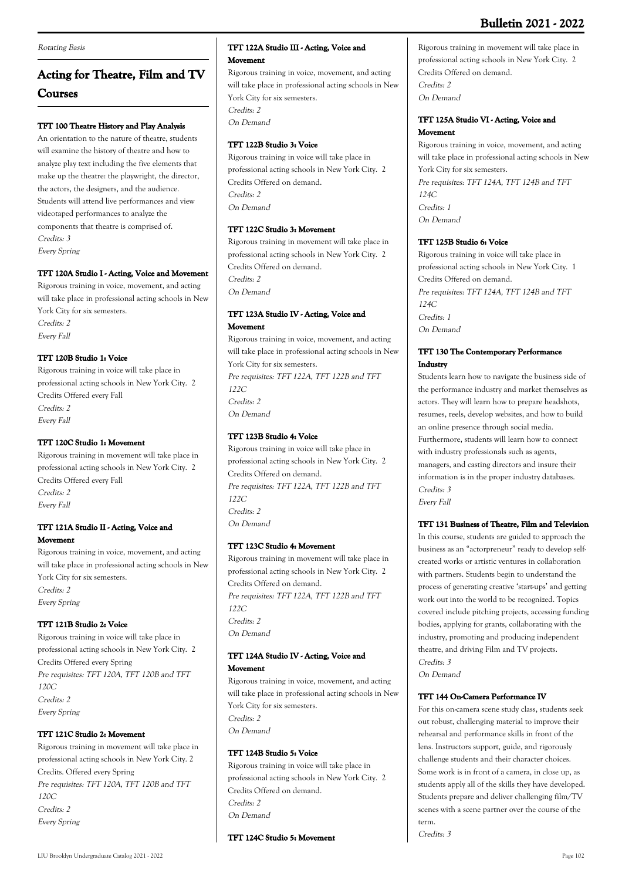#### Rotating Basis

# **Acting for Theatre, Film and TV Courses**

### **TFT 100 Theatre History and Play Analysis**

An orientation to the nature of theatre, students will examine the history of theatre and how to analyze play text including the five elements that make up the theatre: the playwright, the director, the actors, the designers, and the audience. Students will attend live performances and view videotaped performances to analyze the components that theatre is comprised of. Credits: 3 Every Spring

### **TFT 120A Studio I - Acting, Voice and Movement**

Rigorous training in voice, movement, and acting will take place in professional acting schools in New York City for six semesters. Credits: 2 Every Fall

### **TFT 120B Studio 1: Voice**

Rigorous training in voice will take place in professional acting schools in New York City. 2 Credits Offered every Fall Credits: 2 Every Fall

### **TFT 120C Studio 1: Movement**

Rigorous training in movement will take place in professional acting schools in New York City. 2 Credits Offered every Fall Credits: 2 Every Fall

### **TFT 121A Studio II - Acting, Voice and Movement**

Rigorous training in voice, movement, and acting will take place in professional acting schools in New York City for six semesters. Credits: 2 Every Spring

### **TFT 121B Studio 2: Voice**

Rigorous training in voice will take place in professional acting schools in New York City. 2 Credits Offered every Spring Pre requisites: TFT 120A, TFT 120B and TFT  $120C$ Credits: 2 Every Spring

### **TFT 121C Studio 2: Movement**

Rigorous training in movement will take place in professional acting schools in New York City. 2 Credits. Offered every Spring Pre requisites: TFT 120A, TFT 120B and TFT 120C Credits: 2 Every Spring

### **TFT 122A Studio III - Acting, Voice and Movement**

Rigorous training in voice, movement, and acting will take place in professional acting schools in New York City for six semesters. Credits: 2 On Demand

### **TFT 122B Studio 3: Voice**

Rigorous training in voice will take place in professional acting schools in New York City. 2 Credits Offered on demand. Credits: 2 On Demand

### **TFT 122C Studio 3: Movement**

Rigorous training in movement will take place in professional acting schools in New York City. 2 Credits Offered on demand. Credits: 2 On Demand

### **TFT 123A Studio IV - Acting, Voice and Movement**

Rigorous training in voice, movement, and acting will take place in professional acting schools in New York City for six semesters. Pre requisites: TFT 122A, TFT 122B and TFT  $122C$ Credits: 2 On Demand

### **TFT 123B Studio 4: Voice**

Rigorous training in voice will take place in professional acting schools in New York City. 2 Credits Offered on demand. Pre requisites: TFT 122A, TFT 122B and TFT 122C Credits: 2 On Demand

### **TFT 123C Studio 4: Movement**

Rigorous training in movement will take place in professional acting schools in New York City. 2 Credits Offered on demand. Pre requisites: TFT 122A, TFT 122B and TFT 122C Credits: 2 On Demand

### **TFT 124A Studio IV - Acting, Voice and**

### **Movement**

Rigorous training in voice, movement, and acting will take place in professional acting schools in New York City for six semesters. Credits: 2 On Demand

### **TFT 124B Studio 5: Voice**

Rigorous training in voice will take place in professional acting schools in New York City. 2 Credits Offered on demand. Credits: 2 On Demand

### **TFT 124C Studio 5: Movement**

Rigorous training in movement will take place in professional acting schools in New York City. 2 Credits Offered on demand. Credits: 2 On Demand

### **TFT 125A Studio VI - Acting, Voice and Movement**

Rigorous training in voice, movement, and acting will take place in professional acting schools in New York City for six semesters. Pre requisites: TFT 124A, TFT 124B and TFT 124C Credits: 1 On Demand

### **TFT 125B Studio 6: Voice**

Rigorous training in voice will take place in professional acting schools in New York City. 1 Credits Offered on demand. Pre requisites: TFT 124A, TFT 124B and TFT  $124C$ Credits: 1 On Demand

### **TFT 130 The Contemporary Performance Industry**

Students learn how to navigate the business side of the performance industry and market themselves as actors. They will learn how to prepare headshots, resumes, reels, develop websites, and how to build an online presence through social media. Furthermore, students will learn how to connect with industry professionals such as agents, managers, and casting directors and insure their information is in the proper industry databases. Credits: 3 Every Fall

### **TFT 131 Business of Theatre, Film and Television**

In this course, students are guided to approach the business as an "actorpreneur" ready to develop selfcreated works or artistic ventures in collaboration with partners. Students begin to understand the process of generating creative 'start-ups' and getting work out into the world to be recognized. Topics covered include pitching projects, accessing funding bodies, applying for grants, collaborating with the industry, promoting and producing independent theatre, and driving Film and TV projects. Credits: 3 On Demand

### **TFT 144 On-Camera Performance IV**

For this on-camera scene study class, students seek out robust, challenging material to improve their rehearsal and performance skills in front of the lens. Instructors support, guide, and rigorously challenge students and their character choices. Some work is in front of a camera, in close up, as students apply all of the skills they have developed. Students prepare and deliver challenging film/TV scenes with a scene partner over the course of the term.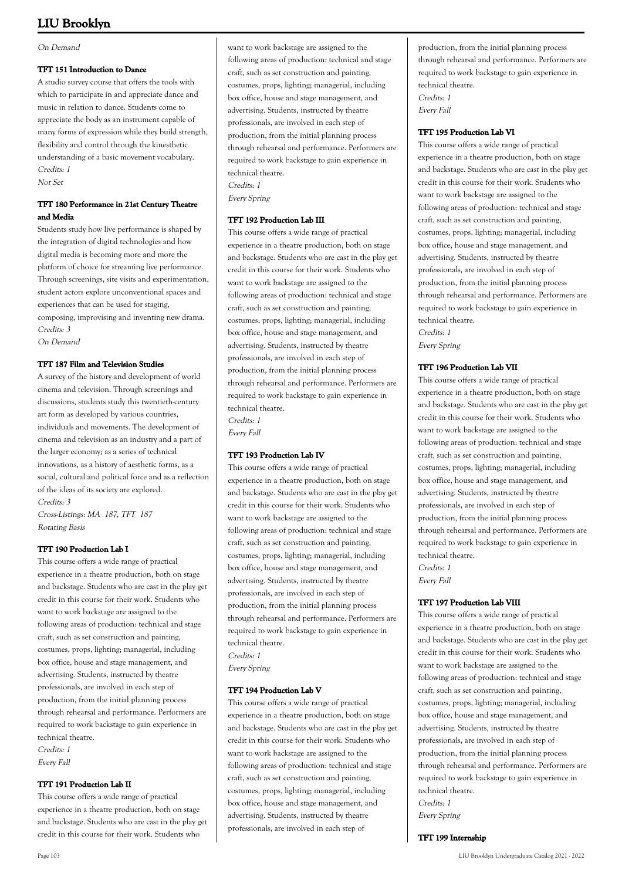#### On Demand

#### **TFT 151 Introduction to Dance**

A studio survey course that offers the tools with which to participate in and appreciate dance and music in relation to dance. Students come to appreciate the body as an instrument capable of many forms of expression while they build strength, flexibility and control through the kinesthetic understanding of a basic movement vocabulary. Credits: 1 Not Set

### **TFT 180 Performance in 21st Century Theatre and Media**

Students study how live performance is shaped by the integration of digital technologies and how digital media is becoming more and more the platform of choice for streaming live performance. Through screenings, site visits and experimentation, student actors explore unconventional spaces and experiences that can be used for staging, composing, improvising and inventing new drama. Credits: 3

On Demand

### **TFT 187 Film and Television Studies**

A survey of the history and development of world cinema and television. Through screenings and discussions, students study this twentieth-century art form as developed by various countries, individuals and movements. The development of cinema and television as an industry and a part of the larger economy; as a series of technical innovations, as a history of aesthetic forms, as a social, cultural and political force and as a reflection of the ideas of its society are explored. Credits: 3

Cross-Listings: MA 187, TFT 187 Rotating Basis

### **TFT 190 Production Lab I**

This course offers a wide range of practical experience in a theatre production, both on stage and backstage. Students who are cast in the play get credit in this course for their work. Students who want to work backstage are assigned to the following areas of production: technical and stage craft, such as set construction and painting, costumes, props, lighting; managerial, including box office, house and stage management, and advertising. Students, instructed by theatre professionals, are involved in each step of production, from the initial planning process through rehearsal and performance. Performers are required to work backstage to gain experience in technical theatre. Credits: 1 Every Fall

### **TFT 191 Production Lab II**

This course offers a wide range of practical experience in a theatre production, both on stage and backstage. Students who are cast in the play get credit in this course for their work. Students who

want to work backstage are assigned to the following areas of production: technical and stage craft, such as set construction and painting, costumes, props, lighting; managerial, including box office, house and stage management, and advertising. Students, instructed by theatre professionals, are involved in each step of production, from the initial planning process through rehearsal and performance. Performers are required to work backstage to gain experience in technical theatre. Credits: 1

Every Spring

### **TFT 192 Production Lab III**

This course offers a wide range of practical experience in a theatre production, both on stage and backstage. Students who are cast in the play get credit in this course for their work. Students who want to work backstage are assigned to the following areas of production: technical and stage craft, such as set construction and painting, costumes, props, lighting; managerial, including box office, house and stage management, and advertising. Students, instructed by theatre professionals, are involved in each step of production, from the initial planning process through rehearsal and performance. Performers are required to work backstage to gain experience in technical theatre. Credits: 1

Every Fall

### **TFT 193 Production Lab IV**

This course offers a wide range of practical experience in a theatre production, both on stage and backstage. Students who are cast in the play get credit in this course for their work. Students who want to work backstage are assigned to the following areas of production: technical and stage craft, such as set construction and painting, costumes, props, lighting; managerial, including box office, house and stage management, and advertising. Students, instructed by theatre professionals, are involved in each step of production, from the initial planning process through rehearsal and performance. Performers are required to work backstage to gain experience in technical theatre. Credits: 1

Every Spring

### **TFT 194 Production Lab V**

This course offers a wide range of practical experience in a theatre production, both on stage and backstage. Students who are cast in the play get credit in this course for their work. Students who want to work backstage are assigned to the following areas of production: technical and stage craft, such as set construction and painting, costumes, props, lighting; managerial, including box office, house and stage management, and advertising. Students, instructed by theatre professionals, are involved in each step of

production, from the initial planning process through rehearsal and performance. Performers are required to work backstage to gain experience in technical theatre. Credits: 1

Every Fall

### **TFT 195 Production Lab VI**

This course offers a wide range of practical experience in a theatre production, both on stage and backstage. Students who are cast in the play get credit in this course for their work. Students who want to work backstage are assigned to the following areas of production: technical and stage craft, such as set construction and painting, costumes, props, lighting; managerial, including box office, house and stage management, and advertising. Students, instructed by theatre professionals, are involved in each step of production, from the initial planning process through rehearsal and performance. Performers are required to work backstage to gain experience in technical theatre.

Credits: 1 Every Spring

### **TFT 196 Production Lab VII**

This course offers a wide range of practical experience in a theatre production, both on stage and backstage. Students who are cast in the play get credit in this course for their work. Students who want to work backstage are assigned to the following areas of production: technical and stage craft, such as set construction and painting, costumes, props, lighting; managerial, including box office, house and stage management, and advertising. Students, instructed by theatre professionals, are involved in each step of production, from the initial planning process through rehearsal and performance. Performers are required to work backstage to gain experience in technical theatre. Credits: 1

Every Fall

### **TFT 197 Production Lab VIII**

This course offers a wide range of practical experience in a theatre production, both on stage and backstage. Students who are cast in the play get credit in this course for their work. Students who want to work backstage are assigned to the following areas of production: technical and stage craft, such as set construction and painting, costumes, props, lighting; managerial, including box office, house and stage management, and advertising. Students, instructed by theatre professionals, are involved in each step of production, from the initial planning process through rehearsal and performance. Performers are required to work backstage to gain experience in technical theatre. Credits: 1

Every Spring

### **TFT 199 Internship**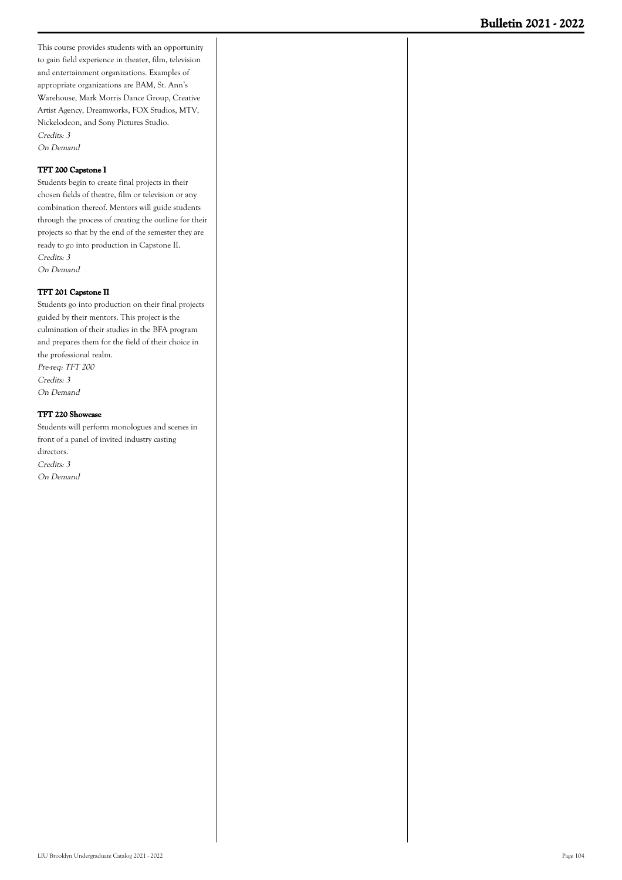This course provides students with an opportunity to gain field experience in theater, film, television and entertainment organizations. Examples of appropriate organizations are BAM, St. Ann's Warehouse, Mark Morris Dance Group, Creative Artist Agency, Dreamworks, FOX Studios, MTV, Nickelodeon, and Sony Pictures Studio. Credits: 3 On Demand

### **TFT 200 Capstone I**

Students begin to create final projects in their chosen fields of theatre, film or television or any combination thereof. Mentors will guide students through the process of creating the outline for their projects so that by the end of the semester they are ready to go into production in Capstone II. Credits: 3 On Demand

#### **TFT 201 Capstone II**

Students go into production on their final projects guided by their mentors. This project is the culmination of their studies in the BFA program and prepares them for the field of their choice in the professional realm. Pre-req: TFT 200 Credits: 3 On Demand

**TFT 220 Showcase**

Students will perform monologues and scenes in front of a panel of invited industry casting directors. Credits: 3 On Demand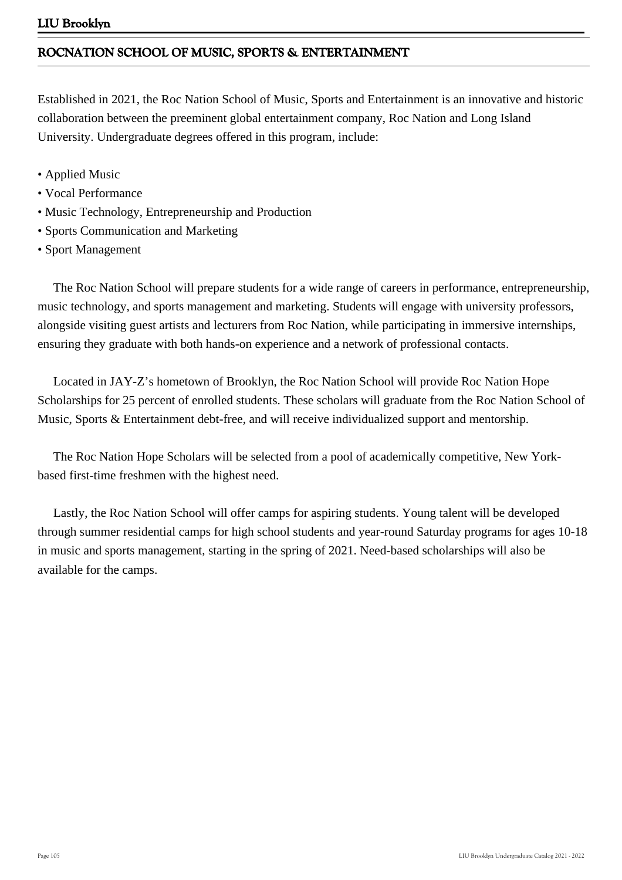# **ROCNATION SCHOOL OF MUSIC, SPORTS & ENTERTAINMENT**

Established in 2021, the Roc Nation School of Music, Sports and Entertainment is an innovative and historic collaboration between the preeminent global entertainment company, Roc Nation and Long Island University. Undergraduate degrees offered in this program, include:

- Applied Music
- Vocal Performance
- Music Technology, Entrepreneurship and Production
- Sports Communication and Marketing
- Sport Management

 The Roc Nation School will prepare students for a wide range of careers in performance, entrepreneurship, music technology, and sports management and marketing. Students will engage with university professors, alongside visiting guest artists and lecturers from Roc Nation, while participating in immersive internships, ensuring they graduate with both hands-on experience and a network of professional contacts.

 Located in JAY-Z's hometown of Brooklyn, the Roc Nation School will provide Roc Nation Hope Scholarships for 25 percent of enrolled students. These scholars will graduate from the Roc Nation School of Music, Sports & Entertainment debt-free, and will receive individualized support and mentorship.

 The Roc Nation Hope Scholars will be selected from a pool of academically competitive, New Yorkbased first-time freshmen with the highest need.

 Lastly, the Roc Nation School will offer camps for aspiring students. Young talent will be developed through summer residential camps for high school students and year-round Saturday programs for ages 10-18 in music and sports management, starting in the spring of 2021. Need-based scholarships will also be available for the camps.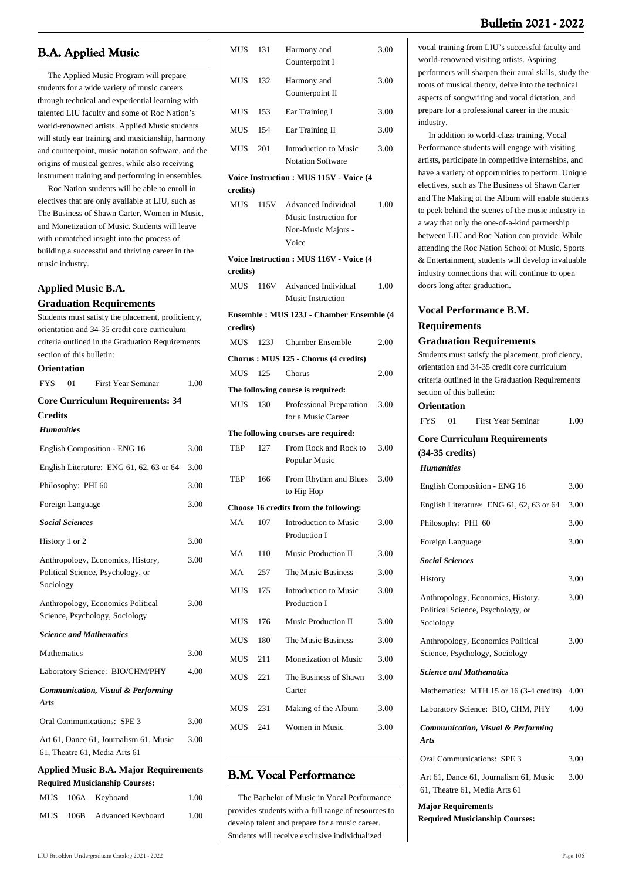### **B.A. Applied Music**

 The Applied Music Program will prepare students for a wide variety of music careers through technical and experiential learning with talented LIU faculty and some of Roc Nation's world-renowned artists. Applied Music students will study ear training and musicianship, harmony and counterpoint, music notation software, and the origins of musical genres, while also receiving instrument training and performing in ensembles.

 Roc Nation students will be able to enroll in electives that are only available at LIU, such as The Business of Shawn Carter, Women in Music, and Monetization of Music. Students will leave with unmatched insight into the process of building a successful and thriving career in the music industry.

### **Applied Music B.A.**

**Graduation Requirements**

Students must satisfy the placement, proficiency, orientation and 34-35 credit core curriculum criteria outlined in the Graduation Requirements section of this bulletin: **Orientation** FYS 01 First Year Seminar 1.00 **Core Curriculum Requirements: 34 Credits** *Humanities* English Composition - ENG 16 3.00 English Literature: ENG 61, 62, 63 or 64 3.00 Philosophy: PHI 60 3.00 Foreign Language 3.00 *Social Sciences* History 1 or 2  $3.00$ Anthropology, Economics, History, Political Science, Psychology, or Sociology 3.00 Anthropology, Economics Political Science, Psychology, Sociology 3.00 *Science and Mathematics* Mathematics 3.00 Laboratory Science: BIO/CHM/PHY 4.00 *Communication, Visual & Performing Arts* Oral Communications: SPE 3 3.00 Art 61, Dance 61, Journalism 61, Music 61, Theatre 61, Media Arts 61 3.00 **Applied Music B.A. Major Requirements Required Musicianship Courses:** MUS 106A Keyboard 1.00

| MUS                                    | 131  | Harmony and<br>Counterpoint I                       | 3.00 |
|----------------------------------------|------|-----------------------------------------------------|------|
| <b>MUS</b>                             | 132  | Harmony and<br>Counterpoint II                      | 3.00 |
| <b>MUS</b>                             | 153  | Ear Training I                                      | 3.00 |
| <b>MUS</b>                             | 154  | Ear Training II                                     | 3.00 |
| MUS                                    | 201  | Introduction to Music<br><b>Notation Software</b>   | 3.00 |
| Voice Instruction: MUS 115V - Voice (4 |      |                                                     |      |
| credits)                               |      |                                                     |      |
| MUS                                    | 115V | <b>Advanced Individual</b><br>Music Instruction for | 1.00 |
|                                        |      | Non-Music Majors -<br>Voice                         |      |
| credits)                               |      | Voice Instruction: MUS 116V - Voice (4              |      |
| MUS                                    | 116V | Advanced Individual<br><b>Music Instruction</b>     | 1.00 |
|                                        |      | Ensemble: MUS 123J - Chamber Ensemble (4            |      |
| credits)                               |      |                                                     |      |
| MUS                                    | 123J | <b>Chamber Ensemble</b>                             | 2.00 |
| MUS                                    | 125  | Chorus: MUS 125 - Chorus (4 credits)<br>Chorus      | 2.00 |
|                                        |      | The following course is required:                   |      |
| <b>MUS</b>                             | 130  | Professional Preparation<br>for a Music Career      | 3.00 |
|                                        |      | The following courses are required:                 |      |
| TEP                                    | 127  | From Rock and Rock to<br>Popular Music              | 3.00 |
| <b>TEP</b>                             | 166  | From Rhythm and Blues<br>to Hip Hop                 | 3.00 |
|                                        |      | Choose 16 credits from the following:               |      |
| MA                                     | 107  | <b>Introduction to Music</b><br>Production I        | 3.00 |
| МA                                     | 110  | Music Production II                                 | 3.00 |
| MA                                     | 257  | The Music Business                                  | 3.00 |
| MUS                                    | 175  | <b>Introduction to Music</b><br>Production I        | 3.00 |
| MUS                                    | 176  | <b>Music Production II</b>                          | 3.00 |
| MUS                                    | 180  | The Music Business                                  | 3.00 |
| MUS                                    | 211  | Monetization of Music                               | 3.00 |
| MUS                                    | 221  | The Business of Shawn<br>Carter                     | 3.00 |
| MUS                                    | 231  | Making of the Album                                 | 3.00 |
| MUS                                    | 241  | Women in Music                                      | 3.00 |
|                                        |      |                                                     |      |

## **B.M. Vocal Performance**

 The Bachelor of Music in Vocal Performance provides students with a full range of resources to develop talent and prepare for a music career. Students will receive exclusive individualized

vocal training from LIU's successful faculty and world-renowned visiting artists. Aspiring performers will sharpen their aural skills, study the roots of musical theory, delve into the technical aspects of songwriting and vocal dictation, and prepare for a professional career in the music industry.

 In addition to world-class training, Vocal Performance students will engage with visiting artists, participate in competitive internships, and have a variety of opportunities to perform. Unique electives, such as The Business of Shawn Carter and The Making of the Album will enable students to peek behind the scenes of the music industry in a way that only the one-of-a-kind partnership between LIU and Roc Nation can provide. While attending the Roc Nation School of Music, Sports & Entertainment, students will develop invaluable industry connections that will continue to open doors long after graduation.

### **Vocal Performance B.M. Requirements**

#### **Graduation Requirements**

Students must satisfy the placement, proficiency, orientation and 34-35 credit core curriculum criteria outlined in the Graduation Requirements section of this bulletin:

### **Orientation**

| <b>FYS</b>                | 01 | First Year Seminar                                                      | 1.00 |
|---------------------------|----|-------------------------------------------------------------------------|------|
|                           |    | <b>Core Curriculum Requirements</b>                                     |      |
| $(34-35 \text{ credits})$ |    |                                                                         |      |
| <b>Humanities</b>         |    |                                                                         |      |
|                           |    | English Composition - ENG 16                                            | 3.00 |
|                           |    | English Literature: ENG 61, 62, 63 or 64                                | 3.00 |
|                           |    | Philosophy: PHI 60                                                      | 3.00 |
| Foreign Language          |    |                                                                         | 3.00 |
| <b>Social Sciences</b>    |    |                                                                         |      |
| History                   |    |                                                                         | 3.00 |
| Sociology                 |    | Anthropology, Economics, History,<br>Political Science, Psychology, or  | 3.00 |
|                           |    | Anthropology, Economics Political<br>Science, Psychology, Sociology     | 3.00 |
|                           |    | <b>Science and Mathematics</b>                                          |      |
|                           |    | Mathematics: MTH 15 or 16 (3-4 credits)                                 | 4.00 |
|                           |    | Laboratory Science: BIO, CHM, PHY                                       | 4.00 |
| <b>Arts</b>               |    | Communication, Visual & Performing                                      |      |
|                           |    | Oral Communications: SPE 3                                              | 3.00 |
|                           |    | Art 61, Dance 61, Journalism 61, Music<br>61, Theatre 61, Media Arts 61 | 3.00 |

**Major Requirements Required Musicianship Courses:**

MUS 106B Advanced Keyboard 1.00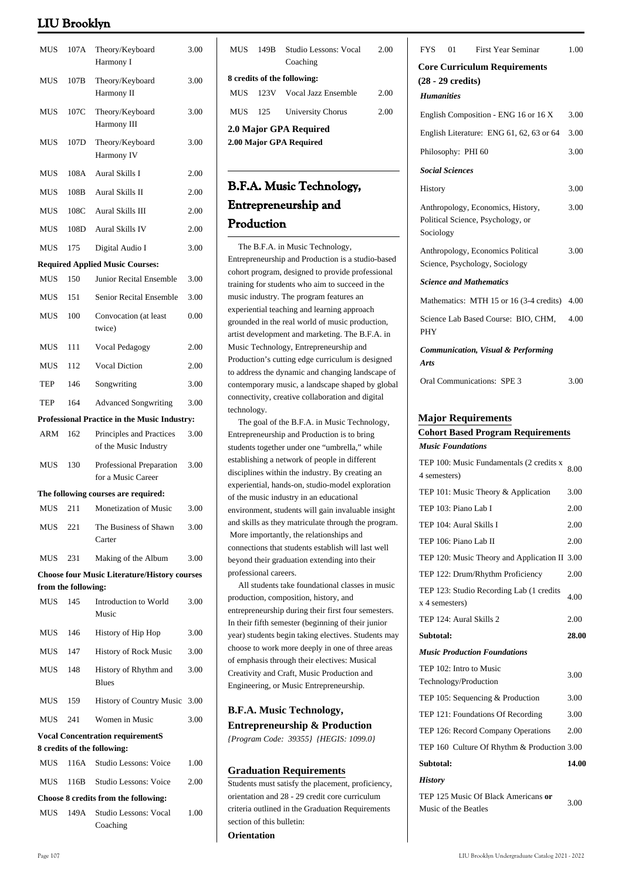| MUS        | 107A                | Theory/Keyboard<br>Harmony I                         | 3.00     |
|------------|---------------------|------------------------------------------------------|----------|
| <b>MUS</b> | 107B                | Theory/Keyboard<br>Harmony II                        | 3.00     |
| MUS        | 107C                | Theory/Keyboard<br>Harmony III                       | 3.00     |
| MUS        | 107D                | Theory/Keyboard<br>Harmony IV                        | 3.00     |
| MUS        | 108A                | Aural Skills I                                       | 2.00     |
| <b>MUS</b> | 108B                | Aural Skills II                                      | 2.00     |
| MUS        | 108C                | Aural Skills III                                     | 2.00     |
| MUS        | 108D                | <b>Aural Skills IV</b>                               | 2.00     |
| <b>MUS</b> | 175                 | Digital Audio I                                      | 3.00     |
|            |                     | <b>Required Applied Music Courses:</b>               |          |
| <b>MUS</b> | 150                 | Junior Recital Ensemble                              | 3.00     |
| MUS        | 151                 | Senior Recital Ensemble                              | 3.00     |
| MUS        | 100                 | Convocation (at least<br>twice)                      | $0.00\,$ |
| <b>MUS</b> | 111                 | <b>Vocal Pedagogy</b>                                | 2.00     |
| MUS        | 112                 | <b>Vocal Diction</b>                                 | 2.00     |
| TEP        | 146                 | Songwriting                                          | 3.00     |
| TEP        | 164                 | <b>Advanced Songwriting</b>                          | 3.00     |
|            |                     | Professional Practice in the Music Industry:         |          |
| ARM        | 162                 | Principles and Practices<br>of the Music Industry    | 3.00     |
| MUS        | 130                 | Professional Preparation<br>for a Music Career       | 3.00     |
|            |                     | The following courses are required:                  |          |
| MUS        | 211                 | Monetization of Music                                | 3.00     |
| MUS        | 221                 | The Business of Shawn<br>Carter                      | 3.00     |
| <b>MUS</b> | 231                 | Making of the Album                                  | 3.00     |
|            |                     | <b>Choose four Music Literature/History courses</b>  |          |
|            | from the following: |                                                      |          |
| MUS        | 145                 | Introduction to World<br>Music                       | 3.00     |
| <b>MUS</b> | 146                 | History of Hip Hop                                   | 3.00     |
| MUS        | 147                 | <b>History of Rock Music</b>                         | 3.00     |
| MUS        | 148                 | History of Rhythm and<br><b>Blues</b>                | 3.00     |
| MUS        | 159                 | <b>History of Country Music</b>                      | 3.00     |
| <b>MUS</b> | 241                 | Women in Music                                       | 3.00     |
|            |                     | <b>Vocal Concentration requirementS</b>              |          |
| <b>MUS</b> | 116A                | 8 credits of the following:<br>Studio Lessons: Voice | 1.00     |
| <b>MUS</b> | 116B                | Studio Lessons: Voice                                | 2.00     |
|            |                     | Choose 8 credits from the following:                 |          |
| MUS        | 149A                | Studio Lessons: Vocal                                | 1.00     |
|            |                     | Coaching                                             |          |

| MUS                         | 149B | Studio Lessons: Vocal | 2.00 |  |
|-----------------------------|------|-----------------------|------|--|
|                             |      | Coaching              |      |  |
| 8 credits of the following: |      |                       |      |  |
| MHS                         | 123V | Vocal Jazz Ensemble   | 2.00 |  |
| MUS                         | 125  | University Chorus     | 2.00 |  |
| 2.0 Major GPA Required      |      |                       |      |  |
| 2.00 Major GPA Required     |      |                       |      |  |
|                             |      |                       |      |  |

# **B.F.A. Music Technology, Entrepreneurship and Production**

 The B.F.A. in Music Technology, Entrepreneurship and Production is a studio-based cohort program, designed to provide professional training for students who aim to succeed in the music industry. The program features an experiential teaching and learning approach grounded in the real world of music production, artist development and marketing. The B.F.A. in Music Technology, Entrepreneurship and Production's cutting edge curriculum is designed to address the dynamic and changing landscape of contemporary music, a landscape shaped by global connectivity, creative collaboration and digital technology.

 The goal of the B.F.A. in Music Technology, Entrepreneurship and Production is to bring students together under one "umbrella," while establishing a network of people in different disciplines within the industry. By creating an experiential, hands-on, studio-model exploration of the music industry in an educational environment, students will gain invaluable insight and skills as they matriculate through the program. More importantly, the relationships and connections that students establish will last well beyond their graduation extending into their professional careers.

 All students take foundational classes in music production, composition, history, and entrepreneurship during their first four semesters. In their fifth semester (beginning of their junior year) students begin taking electives. Students may choose to work more deeply in one of three areas of emphasis through their electives: Musical Creativity and Craft, Music Production and Engineering, or Music Entrepreneurship.

### **B.F.A. Music Technology, Entrepreneurship & Production** *{Program Code: 39355} {HEGIS: 1099.0}*

# **Graduation Requirements**

Students must satisfy the placement, proficiency, orientation and 28 - 29 credit core curriculum criteria outlined in the Graduation Requirements section of this bulletin:

**Orientation**

| <b>FYS</b>                               | 01                          | <b>First Year Seminar</b>                                              | 1.00 |
|------------------------------------------|-----------------------------|------------------------------------------------------------------------|------|
|                                          | $(28 - 29 \text{ credits})$ | <b>Core Curriculum Requirements</b>                                    |      |
| <b>Humanities</b>                        |                             |                                                                        |      |
|                                          |                             | English Composition - ENG 16 or 16 X                                   | 3.00 |
| English Literature: ENG 61, 62, 63 or 64 |                             |                                                                        | 3.00 |
|                                          | Philosophy: PHI 60          |                                                                        | 3.00 |
|                                          | <b>Social Sciences</b>      |                                                                        |      |
| History                                  |                             |                                                                        | 3.00 |
| Sociology                                |                             | Anthropology, Economics, History,<br>Political Science, Psychology, or | 3.00 |
|                                          |                             | Anthropology, Economics Political<br>Science, Psychology, Sociology    | 3.00 |
|                                          |                             | <b>Science and Mathematics</b>                                         |      |
|                                          |                             | Mathematics: MTH 15 or 16 (3-4 credits)                                | 4.00 |
| <b>PHY</b>                               |                             | Science Lab Based Course: BIO, CHM,                                    | 4.00 |
| Arts                                     |                             | <b>Communication, Visual &amp; Performing</b>                          |      |
|                                          |                             | Oral Communications: SPE 3                                             | 3.00 |

### **Major Requirements**

### **Cohort Based Program Requirements** *Music Foundations*

| TEP 100: Music Fundamentals (2 credits x<br>4 semesters)    | 8.00  |
|-------------------------------------------------------------|-------|
| TEP 101: Music Theory & Application                         | 3.00  |
| TEP 103: Piano Lab I                                        | 2.00  |
| TEP 104: Aural Skills I                                     | 2.00  |
| TEP 106: Piano Lab II                                       | 2.00  |
| TEP 120: Music Theory and Application II 3.00               |       |
| TEP 122: Drum/Rhythm Proficiency                            | 2.00  |
| TEP 123: Studio Recording Lab (1 credits)<br>x 4 semesters) | 4.00  |
| TEP 124: Aural Skills 2                                     | 2.00  |
|                                                             |       |
| Subtotal:                                                   | 28.00 |
| <b>Music Production Foundations</b>                         |       |
| TEP 102: Intro to Music<br>Technology/Production            | 3.00  |
| TEP 105: Sequencing & Production                            | 3.00  |
| TEP 121: Foundations Of Recording                           | 3.00  |
| TEP 126: Record Company Operations                          | 2.00  |
| TEP 160 Culture Of Rhythm & Production 3.00                 |       |
| Subtotal:                                                   | 14.00 |
| <b>History</b>                                              |       |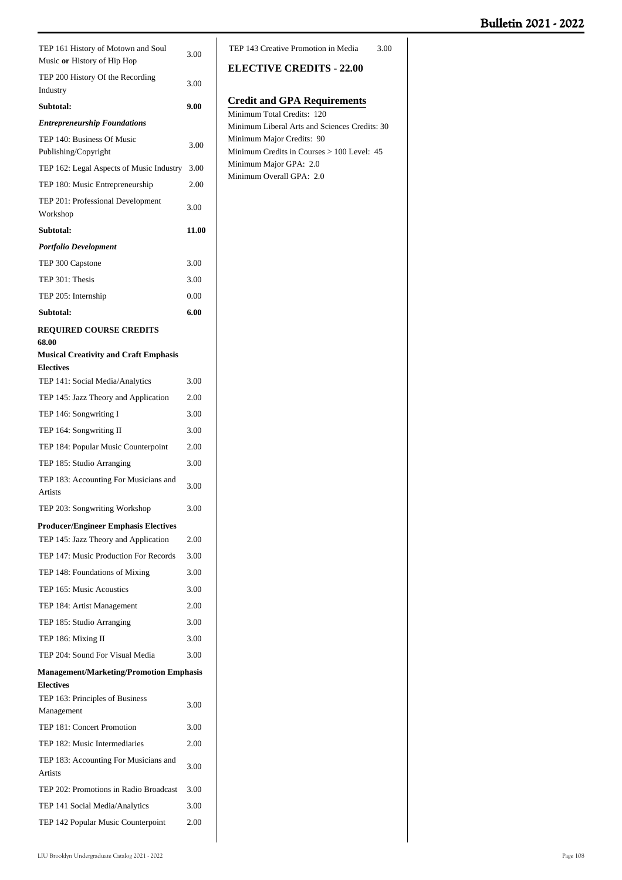| TEP 161 History of Motown and Soul<br>Music or History of Hip Hop                   | 3.00  |
|-------------------------------------------------------------------------------------|-------|
| TEP 200 History Of the Recording<br>Industry                                        | 3.00  |
| Subtotal:                                                                           | 9.00  |
| <b>Entrepreneurship Foundations</b>                                                 |       |
| TEP 140: Business Of Music                                                          |       |
| Publishing/Copyright                                                                | 3.00  |
| TEP 162: Legal Aspects of Music Industry                                            | 3.00  |
| TEP 180: Music Entrepreneurship                                                     | 2.00  |
| TEP 201: Professional Development                                                   | 3.00  |
| Workshop                                                                            |       |
| Subtotal:                                                                           | 11.00 |
| Portfolio Development                                                               |       |
| TEP 300 Capstone                                                                    | 3.00  |
| TEP 301: Thesis                                                                     | 3.00  |
| TEP 205: Internship                                                                 | 0.00  |
| Subtotal:                                                                           | 6.00  |
| <b>REQUIRED COURSE CREDITS</b>                                                      |       |
| 68.00                                                                               |       |
| <b>Musical Creativity and Craft Emphasis</b><br><b>Electives</b>                    |       |
| TEP 141: Social Media/Analytics                                                     | 3.00  |
| TEP 145: Jazz Theory and Application                                                | 2.00  |
| TEP 146: Songwriting I                                                              | 3.00  |
| TEP 164: Songwriting II                                                             | 3.00  |
| TEP 184: Popular Music Counterpoint                                                 | 2.00  |
| TEP 185: Studio Arranging                                                           | 3.00  |
| TEP 183: Accounting For Musicians and                                               | 3.00  |
| Artists                                                                             |       |
| TEP 203: Songwriting Workshop                                                       | 3.00  |
| <b>Producer/Engineer Emphasis Electives</b><br>TEP 145: Jazz Theory and Application | 2.00  |
| TEP 147: Music Production For Records                                               | 3.00  |
|                                                                                     |       |
| TEP 148: Foundations of Mixing<br>TEP 165: Music Acoustics                          | 3.00  |
|                                                                                     | 3.00  |
| TEP 184: Artist Management                                                          | 2.00  |
| TEP 185: Studio Arranging                                                           | 3.00  |
| TEP 186: Mixing II                                                                  | 3.00  |
| TEP 204: Sound For Visual Media                                                     | 3.00  |
| <b>Management/Marketing/Promotion Emphasis</b><br><b>Electives</b>                  |       |
| TEP 163: Principles of Business                                                     |       |
| Management                                                                          | 3.00  |
| TEP 181: Concert Promotion                                                          | 3.00  |
| TEP 182: Music Intermediaries                                                       | 2.00  |
| TEP 183: Accounting For Musicians and<br>Artists                                    | 3.00  |
| TEP 202: Promotions in Radio Broadcast                                              | 3.00  |
| TEP 141 Social Media/Analytics                                                      | 3.00  |
| TEP 142 Popular Music Counterpoint                                                  | 2.00  |
|                                                                                     |       |

## **ELECTIVE CREDITS - 22.00**

# **Credit and GPA Requirements**

| Minimum Total Credits: 120                    |
|-----------------------------------------------|
| Minimum Liberal Arts and Sciences Credits: 30 |
| Minimum Major Credits: 90                     |
| Minimum Credits in Courses > 100 Level: 45    |
| Minimum Major GPA: 2.0                        |
| Minimum Overall GPA: 2.0                      |
|                                               |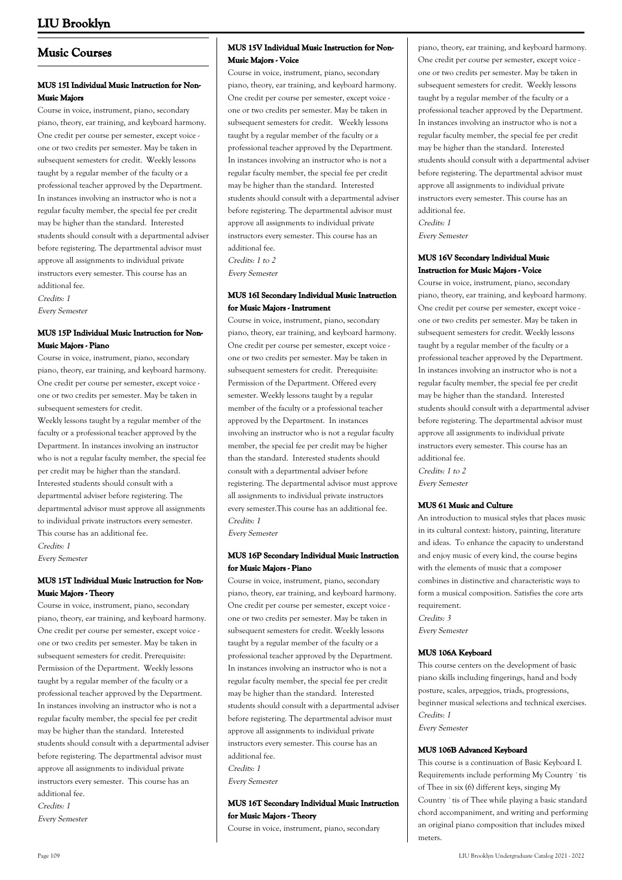## **Music Courses**

## **MUS 15I Individual Music Instruction for Non-Music Majors**

Course in voice, instrument, piano, secondary piano, theory, ear training, and keyboard harmony. One credit per course per semester, except voice one or two credits per semester. May be taken in subsequent semesters for credit. Weekly lessons taught by a regular member of the faculty or a professional teacher approved by the Department. In instances involving an instructor who is not a regular faculty member, the special fee per credit may be higher than the standard. Interested students should consult with a departmental adviser before registering. The departmental advisor must approve all assignments to individual private instructors every semester. This course has an additional fee.

Credits: 1 Every Semester

### **MUS 15P Individual Music Instruction for Non-Music Majors - Piano**

Course in voice, instrument, piano, secondary piano, theory, ear training, and keyboard harmony. One credit per course per semester, except voice one or two credits per semester. May be taken in subsequent semesters for credit.

Weekly lessons taught by a regular member of the faculty or a professional teacher approved by the Department. In instances involving an instructor who is not a regular faculty member, the special fee per credit may be higher than the standard. Interested students should consult with a departmental adviser before registering. The departmental advisor must approve all assignments to individual private instructors every semester. This course has an additional fee. Credits: 1

Every Semester

## **MUS 15T Individual Music Instruction for Non-Music Majors - Theory**

Course in voice, instrument, piano, secondary piano, theory, ear training, and keyboard harmony. One credit per course per semester, except voice one or two credits per semester. May be taken in subsequent semesters for credit. Prerequisite: Permission of the Department. Weekly lessons taught by a regular member of the faculty or a professional teacher approved by the Department. In instances involving an instructor who is not a regular faculty member, the special fee per credit may be higher than the standard. Interested students should consult with a departmental adviser before registering. The departmental advisor must approve all assignments to individual private instructors every semester. This course has an additional fee. Credits: 1

Every Semester

## **MUS 15V Individual Music Instruction for Non-Music Majors - Voice**

Course in voice, instrument, piano, secondary piano, theory, ear training, and keyboard harmony. One credit per course per semester, except voice one or two credits per semester. May be taken in subsequent semesters for credit. Weekly lessons taught by a regular member of the faculty or a professional teacher approved by the Department. In instances involving an instructor who is not a regular faculty member, the special fee per credit may be higher than the standard. Interested students should consult with a departmental adviser before registering. The departmental advisor must approve all assignments to individual private instructors every semester. This course has an additional fee. Credits: 1 to 2

Every Semester

### **MUS 16I Secondary Individual Music Instruction for Music Majors - Instrument**

Course in voice, instrument, piano, secondary piano, theory, ear training, and keyboard harmony. One credit per course per semester, except voice one or two credits per semester. May be taken in subsequent semesters for credit. Prerequisite: Permission of the Department. Offered every semester. Weekly lessons taught by a regular member of the faculty or a professional teacher approved by the Department. In instances involving an instructor who is not a regular faculty member, the special fee per credit may be higher than the standard. Interested students should consult with a departmental adviser before registering. The departmental advisor must approve all assignments to individual private instructors every semester.This course has an additional fee. Credits: 1

Every Semester

## **MUS 16P Secondary Individual Music Instruction for Music Majors - Piano**

Course in voice, instrument, piano, secondary piano, theory, ear training, and keyboard harmony. One credit per course per semester, except voice one or two credits per semester. May be taken in subsequent semesters for credit. Weekly lessons taught by a regular member of the faculty or a professional teacher approved by the Department. In instances involving an instructor who is not a regular faculty member, the special fee per credit may be higher than the standard. Interested students should consult with a departmental adviser before registering. The departmental advisor must approve all assignments to individual private instructors every semester. This course has an additional fee. Credits: 1 Every Semester

## **MUS 16T Secondary Individual Music Instruction for Music Majors - Theory**

Course in voice, instrument, piano, secondary

piano, theory, ear training, and keyboard harmony. One credit per course per semester, except voice one or two credits per semester. May be taken in subsequent semesters for credit. Weekly lessons taught by a regular member of the faculty or a professional teacher approved by the Department. In instances involving an instructor who is not a regular faculty member, the special fee per credit may be higher than the standard. Interested students should consult with a departmental adviser before registering. The departmental advisor must approve all assignments to individual private instructors every semester. This course has an additional fee.

Credits: 1 Every Semester

### **MUS 16V Secondary Individual Music Instruction for Music Majors - Voice**

Course in voice, instrument, piano, secondary piano, theory, ear training, and keyboard harmony. One credit per course per semester, except voice one or two credits per semester. May be taken in subsequent semesters for credit. Weekly lessons taught by a regular member of the faculty or a professional teacher approved by the Department. In instances involving an instructor who is not a regular faculty member, the special fee per credit may be higher than the standard. Interested students should consult with a departmental adviser before registering. The departmental advisor must approve all assignments to individual private instructors every semester. This course has an additional fee. Credits: 1 to 2 Every Semester

#### **MUS 61 Music and Culture**

An introduction to musical styles that places music in its cultural context: history, painting, literature and ideas. To enhance the capacity to understand and enjoy music of every kind, the course begins with the elements of music that a composer combines in distinctive and characteristic ways to form a musical composition. Satisfies the core arts requirement. Credits: 3 Every Semester

#### **MUS 106A Keyboard**

This course centers on the development of basic piano skills including fingerings, hand and body posture, scales, arpeggios, triads, progressions, beginner musical selections and technical exercises. Credits: 1 Every Semester

#### **MUS 106B Advanced Keyboard**

This course is a continuation of Basic Keyboard I. Requirements include performing My Country `tis of Thee in six (6) different keys, singing My Country `tis of Thee while playing a basic standard chord accompaniment, and writing and performing an original piano composition that includes mixed meters.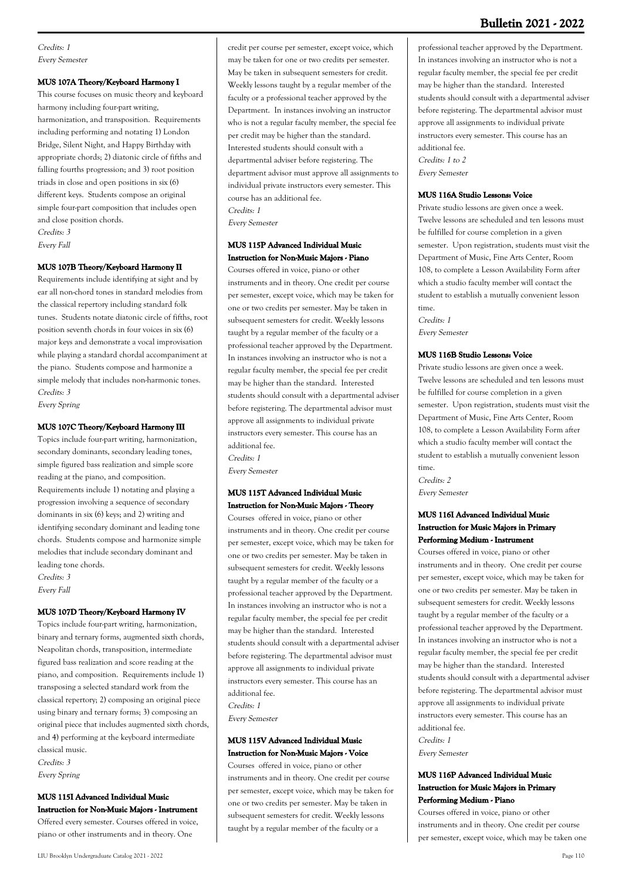Credits: 1 Every Semester

#### **MUS 107A Theory/Keyboard Harmony I**

This course focuses on music theory and keyboard harmony including four-part writing, harmonization, and transposition. Requirements including performing and notating 1) London Bridge, Silent Night, and Happy Birthday with appropriate chords; 2) diatonic circle of fifths and falling fourths progression; and 3) root position triads in close and open positions in six (6) different keys. Students compose an original simple four-part composition that includes open and close position chords. Credits: 3 Every Fall

#### **MUS 107B Theory/Keyboard Harmony II**

Requirements include identifying at sight and by ear all non-chord tones in standard melodies from the classical repertory including standard folk tunes. Students notate diatonic circle of fifths, root position seventh chords in four voices in six (6) major keys and demonstrate a vocal improvisation while playing a standard chordal accompaniment at the piano. Students compose and harmonize a simple melody that includes non-harmonic tones. Credits: 3

Every Spring

#### **MUS 107C Theory/Keyboard Harmony III**

Topics include four-part writing, harmonization, secondary dominants, secondary leading tones, simple figured bass realization and simple score reading at the piano, and composition. Requirements include 1) notating and playing a progression involving a sequence of secondary dominants in six (6) keys; and 2) writing and identifying secondary dominant and leading tone chords. Students compose and harmonize simple melodies that include secondary dominant and leading tone chords. Credits: 3

Every Fall

## **MUS 107D Theory/Keyboard Harmony IV**

Topics include four-part writing, harmonization, binary and ternary forms, augmented sixth chords, Neapolitan chords, transposition, intermediate figured bass realization and score reading at the piano, and composition. Requirements include 1) transposing a selected standard work from the classical repertory; 2) composing an original piece using binary and ternary forms; 3) composing an original piece that includes augmented sixth chords, and 4) performing at the keyboard intermediate classical music. Credits: 3

Every Spring

#### **MUS 115I Advanced Individual Music Instruction for Non-Music Majors - Instrument**

Offered every semester. Courses offered in voice, piano or other instruments and in theory. One

credit per course per semester, except voice, which may be taken for one or two credits per semester. May be taken in subsequent semesters for credit. Weekly lessons taught by a regular member of the faculty or a professional teacher approved by the Department. In instances involving an instructor who is not a regular faculty member, the special fee per credit may be higher than the standard. Interested students should consult with a departmental adviser before registering. The department advisor must approve all assignments to individual private instructors every semester. This course has an additional fee. Credits: 1

Every Semester

## **MUS 115P Advanced Individual Music Instruction for Non-Music Majors - Piano**

Courses offered in voice, piano or other instruments and in theory. One credit per course per semester, except voice, which may be taken for one or two credits per semester. May be taken in subsequent semesters for credit. Weekly lessons taught by a regular member of the faculty or a professional teacher approved by the Department. In instances involving an instructor who is not a regular faculty member, the special fee per credit may be higher than the standard. Interested students should consult with a departmental adviser before registering. The departmental advisor must approve all assignments to individual private instructors every semester. This course has an additional fee. Credits: 1

Every Semester

#### **MUS 115T Advanced Individual Music Instruction for Non-Music Majors - Theory**

Courses offered in voice, piano or other instruments and in theory. One credit per course per semester, except voice, which may be taken for one or two credits per semester. May be taken in subsequent semesters for credit. Weekly lessons taught by a regular member of the faculty or a professional teacher approved by the Department. In instances involving an instructor who is not a regular faculty member, the special fee per credit may be higher than the standard. Interested students should consult with a departmental adviser before registering. The departmental advisor must approve all assignments to individual private instructors every semester. This course has an additional fee. Credits: 1

Every Semester

### **MUS 115V Advanced Individual Music Instruction for Non-Music Majors - Voice**

Courses offered in voice, piano or other instruments and in theory. One credit per course per semester, except voice, which may be taken for one or two credits per semester. May be taken in subsequent semesters for credit. Weekly lessons taught by a regular member of the faculty or a

professional teacher approved by the Department. In instances involving an instructor who is not a regular faculty member, the special fee per credit may be higher than the standard. Interested students should consult with a departmental adviser before registering. The departmental advisor must approve all assignments to individual private instructors every semester. This course has an additional fee. Credits: 1 to 2 Every Semester

### **MUS 116A Studio Lessons: Voice**

Private studio lessons are given once a week. Twelve lessons are scheduled and ten lessons must be fulfilled for course completion in a given semester. Upon registration, students must visit the Department of Music, Fine Arts Center, Room 108, to complete a Lesson Availability Form after which a studio faculty member will contact the student to establish a mutually convenient lesson time.

Credits: 1 Every Semester

#### **MUS 116B Studio Lessons: Voice**

Private studio lessons are given once a week. Twelve lessons are scheduled and ten lessons must be fulfilled for course completion in a given semester. Upon registration, students must visit the Department of Music, Fine Arts Center, Room 108, to complete a Lesson Availability Form after which a studio faculty member will contact the student to establish a mutually convenient lesson time.

Credits: 2 Every Semester

## **MUS 116I Advanced Individual Music Instruction for Music Majors in Primary Performing Medium - Instrument**

Courses offered in voice, piano or other instruments and in theory. One credit per course per semester, except voice, which may be taken for one or two credits per semester. May be taken in subsequent semesters for credit. Weekly lessons taught by a regular member of the faculty or a professional teacher approved by the Department. In instances involving an instructor who is not a regular faculty member, the special fee per credit may be higher than the standard. Interested students should consult with a departmental adviser before registering. The departmental advisor must approve all assignments to individual private instructors every semester. This course has an additional fee.

Credits: 1 Every Semester

### **MUS 116P Advanced Individual Music Instruction for Music Majors in Primary Performing Medium - Piano**

Courses offered in voice, piano or other instruments and in theory. One credit per course per semester, except voice, which may be taken one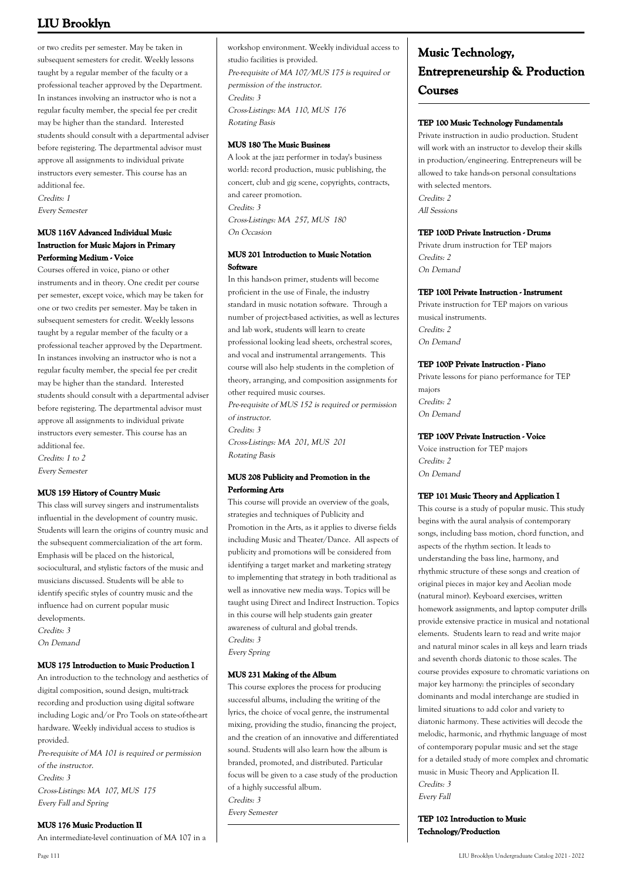or two credits per semester. May be taken in subsequent semesters for credit. Weekly lessons taught by a regular member of the faculty or a professional teacher approved by the Department. In instances involving an instructor who is not a regular faculty member, the special fee per credit may be higher than the standard. Interested students should consult with a departmental adviser before registering. The departmental advisor must approve all assignments to individual private instructors every semester. This course has an additional fee. Credits: 1 Every Semester

## **MUS 116V Advanced Individual Music Instruction for Music Majors in Primary Performing Medium - Voice**

Courses offered in voice, piano or other instruments and in theory. One credit per course per semester, except voice, which may be taken for one or two credits per semester. May be taken in subsequent semesters for credit. Weekly lessons taught by a regular member of the faculty or a professional teacher approved by the Department. In instances involving an instructor who is not a regular faculty member, the special fee per credit may be higher than the standard. Interested students should consult with a departmental adviser before registering. The departmental advisor must approve all assignments to individual private instructors every semester. This course has an additional fee. Credits: 1 to 2

Every Semester

## **MUS 159 History of Country Music**

This class will survey singers and instrumentalists influential in the development of country music. Students will learn the origins of country music and the subsequent commercialization of the art form. Emphasis will be placed on the historical, sociocultural, and stylistic factors of the music and musicians discussed. Students will be able to identify specific styles of country music and the influence had on current popular music developments.

Credits: 3 On Demand

#### **MUS 175 Introduction to Music Production I**

An introduction to the technology and aesthetics of digital composition, sound design, multi-track recording and production using digital software including Logic and/or Pro Tools on state-of-the-art hardware. Weekly individual access to studios is provided.

Pre-requisite of MA 101 is required or permission of the instructor. Credits: 3 Cross-Listings: MA 107, MUS 175 Every Fall and Spring

**MUS 176 Music Production II**

An intermediate-level continuation of MA 107 in a

workshop environment. Weekly individual access to studio facilities is provided. Pre-requisite of MA 107/MUS 175 is required or permission of the instructor. Credits: 3 Cross-Listings: MA 110, MUS 176 Rotating Basis

### **MUS 180 The Music Business**

A look at the jazz performer in today's business world: record production, music publishing, the concert, club and gig scene, copyrights, contracts, and career promotion. Credits: 3 Cross-Listings: MA 257, MUS 180 On Occasion

## **MUS 201 Introduction to Music Notation Software**

In this hands-on primer, students will become proficient in the use of Finale, the industry standard in music notation software. Through a number of project-based activities, as well as lectures and lab work, students will learn to create professional looking lead sheets, orchestral scores, and vocal and instrumental arrangements. This course will also help students in the completion of theory, arranging, and composition assignments for other required music courses.

Pre-requisite of MUS 152 is required or permission of instructor.

Credits: 3 Cross-Listings: MA 201, MUS 201 Rotating Basis

### **MUS 208 Publicity and Promotion in the Performing Arts**

This course will provide an overview of the goals, strategies and techniques of Publicity and Promotion in the Arts, as it applies to diverse fields including Music and Theater/Dance. All aspects of publicity and promotions will be considered from identifying a target market and marketing strategy to implementing that strategy in both traditional as well as innovative new media ways. Topics will be taught using Direct and Indirect Instruction. Topics in this course will help students gain greater awareness of cultural and global trends. Credits: 3 Every Spring

#### **MUS 231 Making of the Album**

This course explores the process for producing successful albums, including the writing of the lyrics, the choice of vocal genre, the instrumental mixing, providing the studio, financing the project, and the creation of an innovative and differentiated sound. Students will also learn how the album is branded, promoted, and distributed. Particular focus will be given to a case study of the production of a highly successful album. Credits: 3 Every Semester

# **Music Technology, Entrepreneurship & Production Courses**

### **TEP 100 Music Technology Fundamentals**

Private instruction in audio production. Student will work with an instructor to develop their skills in production/engineering. Entrepreneurs will be allowed to take hands-on personal consultations with selected mentors. Credits: 2 All Sessions

### **TEP 100D Private Instruction - Drums**

Private drum instruction for TEP majors Credits: 2 On Demand

#### **TEP 100I Private Instruction - Instrument**

Private instruction for TEP majors on various musical instruments. Credits: 2 On Demand

## **TEP 100P Private Instruction - Piano**

Private lessons for piano performance for TEP majors Credits: 2 On Demand

## **TEP 100V Private Instruction - Voice**

Voice instruction for TEP majors Credits: 2 On Demand

#### **TEP 101 Music Theory and Application I**

This course is a study of popular music. This study begins with the aural analysis of contemporary songs, including bass motion, chord function, and aspects of the rhythm section. It leads to understanding the bass line, harmony, and rhythmic structure of these songs and creation of original pieces in major key and Aeolian mode (natural minor). Keyboard exercises, written homework assignments, and laptop computer drills provide extensive practice in musical and notational elements. Students learn to read and write major and natural minor scales in all keys and learn triads and seventh chords diatonic to those scales. The course provides exposure to chromatic variations on major key harmony: the principles of secondary dominants and modal interchange are studied in limited situations to add color and variety to diatonic harmony. These activities will decode the melodic, harmonic, and rhythmic language of most of contemporary popular music and set the stage for a detailed study of more complex and chromatic music in Music Theory and Application II. Credits: 3 Every Fall

**TEP 102 Introduction to Music Technology/Production**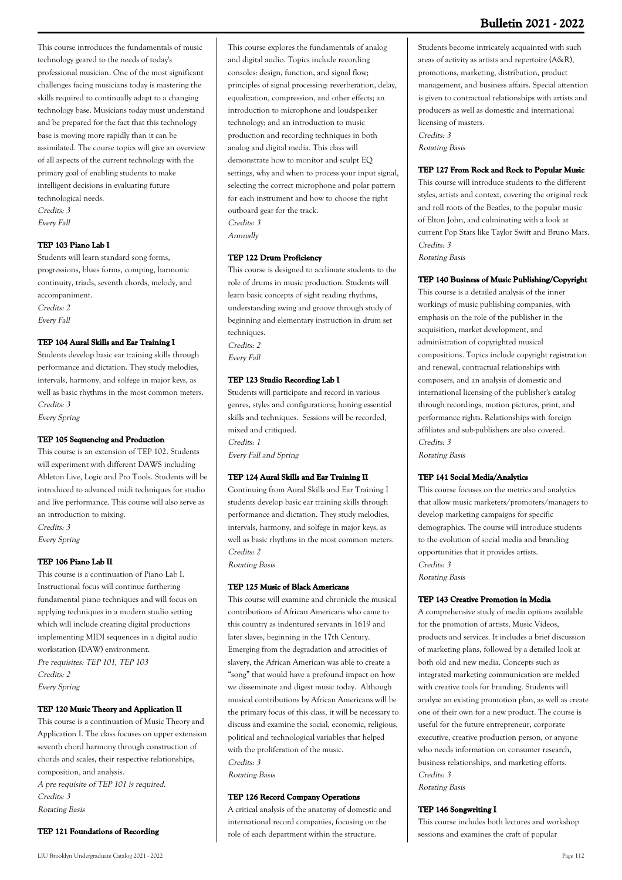This course introduces the fundamentals of music technology geared to the needs of today's professional musician. One of the most significant challenges facing musicians today is mastering the skills required to continually adapt to a changing technology base. Musicians today must understand and be prepared for the fact that this technology base is moving more rapidly than it can be assimilated. The course topics will give an overview of all aspects of the current technology with the primary goal of enabling students to make intelligent decisions in evaluating future technological needs. Credits: 3 Every Fall

## **TEP 103 Piano Lab I**

Students will learn standard song forms, progressions, blues forms, comping, harmonic continuity, triads, seventh chords, melody, and accompaniment. Credits: 2 Every Fall

## **TEP 104 Aural Skills and Ear Training I**

Students develop basic ear training skills through performance and dictation. They study melodies, intervals, harmony, and solfege in major keys, as well as basic rhythms in the most common meters. Credits: 3 Every Spring

## **TEP 105 Sequencing and Production**

This course is an extension of TEP 102. Students will experiment with different DAWS including Ableton Live, Logic and Pro Tools. Students will be introduced to advanced midi techniques for studio and live performance. This course will also serve as an introduction to mixing. Credits: 3 Every Spring

## **TEP 106 Piano Lab II**

This course is a continuation of Piano Lab I. Instructional focus will continue furthering fundamental piano techniques and will focus on applying techniques in a modern studio setting which will include creating digital productions implementing MIDI sequences in a digital audio workstation (DAW) environment. Pre requisites: TEP 101, TEP 103 Credits: 2 Every Spring

## **TEP 120 Music Theory and Application II**

This course is a continuation of Music Theory and Application I. The class focuses on upper extension seventh chord harmony through construction of chords and scales, their respective relationships, composition, and analysis. A pre requisite of TEP 101 is required. Credits: 3 Rotating Basis

## **TEP 121 Foundations of Recording**

This course explores the fundamentals of analog and digital audio. Topics include recording consoles: design, function, and signal flow; principles of signal processing: reverberation, delay, equalization, compression, and other effects; an introduction to microphone and loudspeaker technology; and an introduction to music production and recording techniques in both analog and digital media. This class will demonstrate how to monitor and sculpt EQ settings, why and when to process your input signal, selecting the correct microphone and polar pattern for each instrument and how to choose the right outboard gear for the track. Credits: 3

Annually

## **TEP 122 Drum Proficiency**

This course is designed to acclimate students to the role of drums in music production. Students will learn basic concepts of sight reading rhythms, understanding swing and groove through study of beginning and elementary instruction in drum set techniques. Credits: 2 Every Fall

## **TEP 123 Studio Recording Lab I**

Students will participate and record in various genres, styles and configurations; honing essential skills and techniques. Sessions will be recorded, mixed and critiqued. Credits: 1 Every Fall and Spring

## **TEP 124 Aural Skills and Ear Training II**

Continuing from Aural Skills and Ear Training I students develop basic ear training skills through performance and dictation. They study melodies, intervals, harmony, and solfege in major keys, as well as basic rhythms in the most common meters. Credits: 2 Rotating Basis

## **TEP 125 Music of Black Americans**

This course will examine and chronicle the musical contributions of African Americans who came to this country as indentured servants in 1619 and later slaves, beginning in the 17th Century. Emerging from the degradation and atrocities of slavery, the African American was able to create a "song" that would have a profound impact on how we disseminate and digest music today. Although musical contributions by African Americans will be the primary focus of this class, it will be necessary to discuss and examine the social, economic, religious, political and technological variables that helped with the proliferation of the music. Credits: 3 Rotating Basis

## **TEP 126 Record Company Operations**

A critical analysis of the anatomy of domestic and international record companies, focusing on the role of each department within the structure.

Students become intricately acquainted with such areas of activity as artists and repertoire (A&R), promotions, marketing, distribution, product management, and business affairs. Special attention is given to contractual relationships with artists and producers as well as domestic and international licensing of masters. Credits: 3 Rotating Basis

#### **TEP 127 From Rock and Rock to Popular Music**

This course will introduce students to the different styles, artists and context, covering the original rock and roll roots of the Beatles, to the popular music of Elton John, and culminating with a look at current Pop Stars like Taylor Swift and Bruno Mars. Credits: 3 Rotating Basis

### **TEP 140 Business of Music Publishing/Copyright**

This course is a detailed analysis of the inner workings of music publishing companies, with emphasis on the role of the publisher in the acquisition, market development, and administration of copyrighted musical compositions. Topics include copyright registration and renewal, contractual relationships with composers, and an analysis of domestic and international licensing of the publisher's catalog through recordings, motion pictures, print, and performance rights. Relationships with foreign affiliates and sub-publishers are also covered. Credits: 3

Rotating Basis

#### **TEP 141 Social Media/Analytics**

This course focuses on the metrics and analytics that allow music marketers/promoters/managers to develop marketing campaigns for specific demographics. The course will introduce students to the evolution of social media and branding opportunities that it provides artists. Credits: 3 Rotating Basis

#### **TEP 143 Creative Promotion in Media**

A comprehensive study of media options available for the promotion of artists, Music Videos, products and services. It includes a brief discussion of marketing plans, followed by a detailed look at both old and new media. Concepts such as integrated marketing communication are melded with creative tools for branding. Students will analyze an existing promotion plan, as well as create one of their own for a new product. The course is useful for the future entrepreneur, corporate executive, creative production person, or anyone who needs information on consumer research business relationships, and marketing efforts. Credits: 3 Rotating Basis

### **TEP 146 Songwriting I**

This course includes both lectures and workshop sessions and examines the craft of popular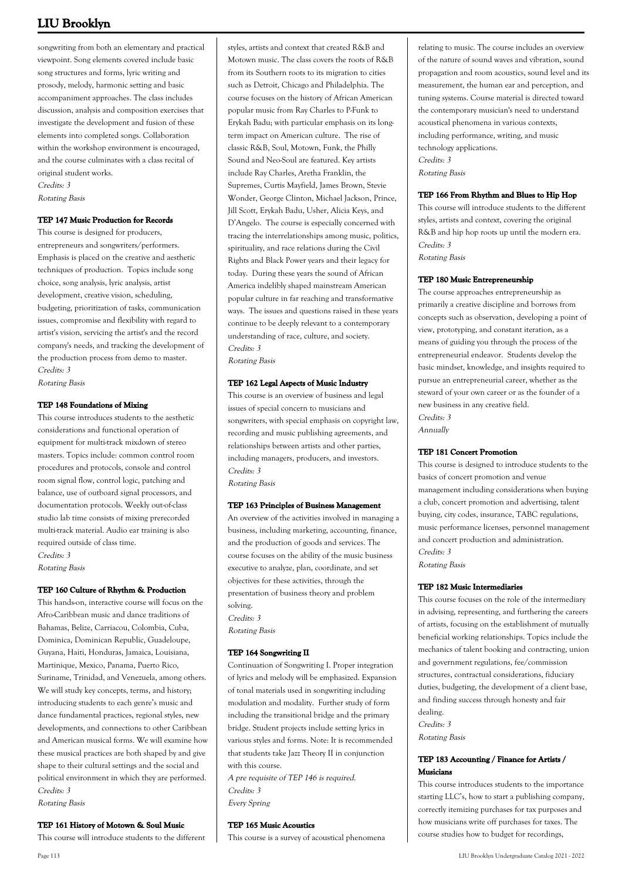songwriting from both an elementary and practical viewpoint. Song elements covered include basic song structures and forms, lyric writing and prosody, melody, harmonic setting and basic accompaniment approaches. The class includes discussion, analysis and composition exercises that investigate the development and fusion of these elements into completed songs. Collaboration within the workshop environment is encouraged, and the course culminates with a class recital of original student works. Credits: 3

Rotating Basis

#### **TEP 147 Music Production for Records**

This course is designed for producers, entrepreneurs and songwriters/performers. Emphasis is placed on the creative and aesthetic techniques of production. Topics include song choice, song analysis, lyric analysis, artist development, creative vision, scheduling, budgeting, prioritization of tasks, communication issues, compromise and flexibility with regard to artist's vision, servicing the artist's and the record company's needs, and tracking the development of the production process from demo to master. Credits: 3 Rotating Basis

#### **TEP 148 Foundations of Mixing**

This course introduces students to the aesthetic considerations and functional operation of equipment for multi-track mixdown of stereo masters. Topics include: common control room procedures and protocols, console and control room signal flow, control logic, patching and balance, use of outboard signal processors, and documentation protocols. Weekly out-of-class studio lab time consists of mixing prerecorded multi-track material. Audio ear training is also required outside of class time. Credits: 3

Rotating Basis

#### **TEP 160 Culture of Rhythm & Production**

This hands-on, interactive course will focus on the Afro-Caribbean music and dance traditions of Bahamas, Belize, Carriacou, Colombia, Cuba, Dominica, Dominican Republic, Guadeloupe, Guyana, Haiti, Honduras, Jamaica, Louisiana, Martinique, Mexico, Panama, Puerto Rico, Suriname, Trinidad, and Venezuela, among others. We will study key concepts, terms, and history; introducing students to each genre's music and dance fundamental practices, regional styles, new developments, and connections to other Caribbean and American musical forms. We will examine how these musical practices are both shaped by and give shape to their cultural settings and the social and political environment in which they are performed. Credits: 3

Rotating Basis

#### **TEP 161 History of Motown & Soul Music**

This course will introduce students to the different

styles, artists and context that created R&B and Motown music. The class covers the roots of R&B from its Southern roots to its migration to cities such as Detroit, Chicago and Philadelphia. The course focuses on the history of African American popular music from Ray Charles to P-Funk to Erykah Badu; with particular emphasis on its longterm impact on American culture. The rise of classic R&B, Soul, Motown, Funk, the Philly Sound and Neo-Soul are featured. Key artists include Ray Charles, Aretha Franklin, the Supremes, Curtis Mayfield, James Brown, Stevie Wonder, George Clinton, Michael Jackson, Prince, Jill Scott, Erykah Badu, Usher, Alicia Keys, and D'Angelo. The course is especially concerned with tracing the interrelationships among music, politics, spirituality, and race relations during the Civil Rights and Black Power years and their legacy for today. During these years the sound of African America indelibly shaped mainstream American popular culture in far reaching and transformative ways. The issues and questions raised in these years continue to be deeply relevant to a contemporary understanding of race, culture, and society. Credits: 3 Rotating Basis

#### **TEP 162 Legal Aspects of Music Industry**

This course is an overview of business and legal issues of special concern to musicians and songwriters, with special emphasis on copyright law, recording and music publishing agreements, and relationships between artists and other parties, including managers, producers, and investors. Credits: 3

Rotating Basis

#### **TEP 163 Principles of Business Management**

An overview of the activities involved in managing a business, including marketing, accounting, finance, and the production of goods and services. The course focuses on the ability of the music business executive to analyze, plan, coordinate, and set objectives for these activities, through the presentation of business theory and problem solving. Credits: 3 Rotating Basis

#### **TEP 164 Songwriting II**

Continuation of Songwriting I. Proper integration of lyrics and melody will be emphasized. Expansion of tonal materials used in songwriting including modulation and modality. Further study of form including the transitional bridge and the primary bridge. Student projects include setting lyrics in various styles and forms. Note: It is recommended that students take Jazz Theory II in conjunction with this course.

A pre requisite of TEP 146 is required. Credits: 3 Every Spring

#### **TEP 165 Music Acoustics**

This course is a survey of acoustical phenomena

relating to music. The course includes an overview of the nature of sound waves and vibration, sound propagation and room acoustics, sound level and its measurement, the human ear and perception, and tuning systems. Course material is directed toward the contemporary musician's need to understand acoustical phenomena in various contexts, including performance, writing, and music technology applications. Credits: 3 Rotating Basis

#### **TEP 166 From Rhythm and Blues to Hip Hop**

This course will introduce students to the different styles, artists and context, covering the original R&B and hip hop roots up until the modern era. Credits: 3 Rotating Basis

#### **TEP 180 Music Entrepreneurship**

The course approaches entrepreneurship as primarily a creative discipline and borrows from concepts such as observation, developing a point of view, prototyping, and constant iteration, as a means of guiding you through the process of the entrepreneurial endeavor. Students develop the basic mindset, knowledge, and insights required to pursue an entrepreneurial career, whether as the steward of your own career or as the founder of a new business in any creative field. Credits: 3 Annually

#### **TEP 181 Concert Promotion**

This course is designed to introduce students to the basics of concert promotion and venue management including considerations when buying a club, concert promotion and advertising, talent buying, city codes, insurance, TABC regulations, music performance licenses, personnel management and concert production and administration. Credits: 3 Rotating Basis

#### **TEP 182 Music Intermediaries**

This course focuses on the role of the intermediary in advising, representing, and furthering the careers of artists, focusing on the establishment of mutually beneficial working relationships. Topics include the mechanics of talent booking and contracting, union and government regulations, fee/commission structures, contractual considerations, fiduciary duties, budgeting, the development of a client base, and finding success through honesty and fair dealing. Credits: 3 Rotating Basis

**TEP 183 Accounting / Finance for Artists / Musicians**

This course introduces students to the importance starting LLC's, how to start a publishing company, correctly itemizing purchases for tax purposes and how musicians write off purchases for taxes. The course studies how to budget for recordings,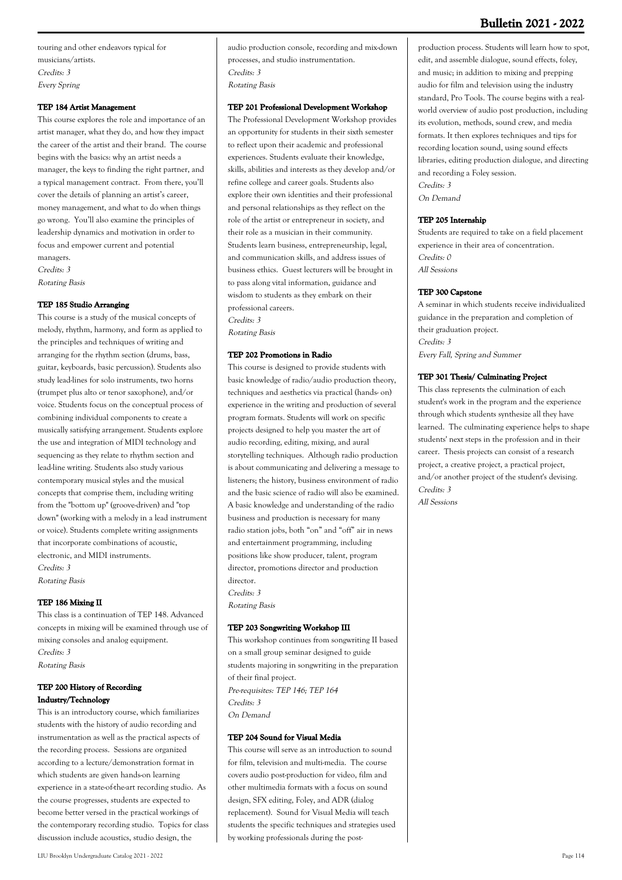touring and other endeavors typical for musicians/artists. Credits: 3 Every Spring

#### **TEP 184 Artist Management**

This course explores the role and importance of an artist manager, what they do, and how they impact the career of the artist and their brand. The course begins with the basics: why an artist needs a manager, the keys to finding the right partner, and a typical management contract. From there, you'll cover the details of planning an artist's career, money management, and what to do when things go wrong. You'll also examine the principles of leadership dynamics and motivation in order to focus and empower current and potential managers. Credits: 3

Rotating Basis

#### **TEP 185 Studio Arranging**

This course is a study of the musical concepts of melody, rhythm, harmony, and form as applied to the principles and techniques of writing and arranging for the rhythm section (drums, bass, guitar, keyboards, basic percussion). Students also study lead-lines for solo instruments, two horns (trumpet plus alto or tenor saxophone), and/or voice. Students focus on the conceptual process of combining individual components to create a musically satisfying arrangement. Students explore the use and integration of MIDI technology and sequencing as they relate to rhythm section and lead-line writing. Students also study various contemporary musical styles and the musical concepts that comprise them, including writing from the "bottom up" (groove-driven) and "top down" (working with a melody in a lead instrument or voice). Students complete writing assignments that incorporate combinations of acoustic, electronic, and MIDI instruments. Credits: 3 Rotating Basis

**TEP 186 Mixing II**

This class is a continuation of TEP 148. Advanced concepts in mixing will be examined through use of mixing consoles and analog equipment. Credits: 3 Rotating Basis

### **TEP 200 History of Recording Industry/Technology**

This is an introductory course, which familiarizes students with the history of audio recording and instrumentation as well as the practical aspects of the recording process. Sessions are organized according to a lecture/demonstration format in which students are given hands-on learning experience in a state-of-the-art recording studio. As the course progresses, students are expected to become better versed in the practical workings of the contemporary recording studio. Topics for class discussion include acoustics, studio design, the

audio production console, recording and mix-down processes, and studio instrumentation. Credits: 3 Rotating Basis

#### **TEP 201 Professional Development Workshop**

The Professional Development Workshop provides an opportunity for students in their sixth semester to reflect upon their academic and professional experiences. Students evaluate their knowledge, skills, abilities and interests as they develop and/or refine college and career goals. Students also explore their own identities and their professional and personal relationships as they reflect on the role of the artist or entrepreneur in society, and their role as a musician in their community. Students learn business, entrepreneurship, legal, and communication skills, and address issues of business ethics. Guest lecturers will be brought in to pass along vital information, guidance and wisdom to students as they embark on their professional careers. Credits: 3 Rotating Basis

#### **TEP 202 Promotions in Radio**

This course is designed to provide students with basic knowledge of radio/audio production theory, techniques and aesthetics via practical (hands- on) experience in the writing and production of several program formats. Students will work on specific projects designed to help you master the art of audio recording, editing, mixing, and aural storytelling techniques. Although radio production is about communicating and delivering a message to listeners; the history, business environment of radio and the basic science of radio will also be examined. A basic knowledge and understanding of the radio business and production is necessary for many radio station jobs, both "on" and "off" air in news and entertainment programming, including positions like show producer, talent, program director, promotions director and production director. Credits: 3

Rotating Basis

#### **TEP 203 Songwriting Workshop III**

This workshop continues from songwriting II based on a small group seminar designed to guide students majoring in songwriting in the preparation of their final project. Pre-requisites: TEP 146; TEP 164 Credits: 3 On Demand

#### **TEP 204 Sound for Visual Media**

This course will serve as an introduction to sound for film, television and multi-media. The course covers audio post-production for video, film and other multimedia formats with a focus on sound design, SFX editing, Foley, and ADR (dialog replacement). Sound for Visual Media will teach students the specific techniques and strategies used by working professionals during the post-

production process. Students will learn how to spot, edit, and assemble dialogue, sound effects, foley, and music; in addition to mixing and prepping audio for film and television using the industry standard, Pro Tools. The course begins with a realworld overview of audio post production, including its evolution, methods, sound crew, and media formats. It then explores techniques and tips for recording location sound, using sound effects libraries, editing production dialogue, and directing and recording a Foley session. Credits: 3 On Demand

#### **TEP 205 Internship**

Students are required to take on a field placement experience in their area of concentration. Credits: 0 All Sessions

#### **TEP 300 Capstone**

A seminar in which students receive individualized guidance in the preparation and completion of their graduation project. Credits: 3 Every Fall, Spring and Summer

#### **TEP 301 Thesis/ Culminating Project**

This class represents the culmination of each student's work in the program and the experience through which students synthesize all they have learned. The culminating experience helps to shape students' next steps in the profession and in their career. Thesis projects can consist of a research project, a creative project, a practical project, and/or another project of the student's devising. Credits: 3 All Sessions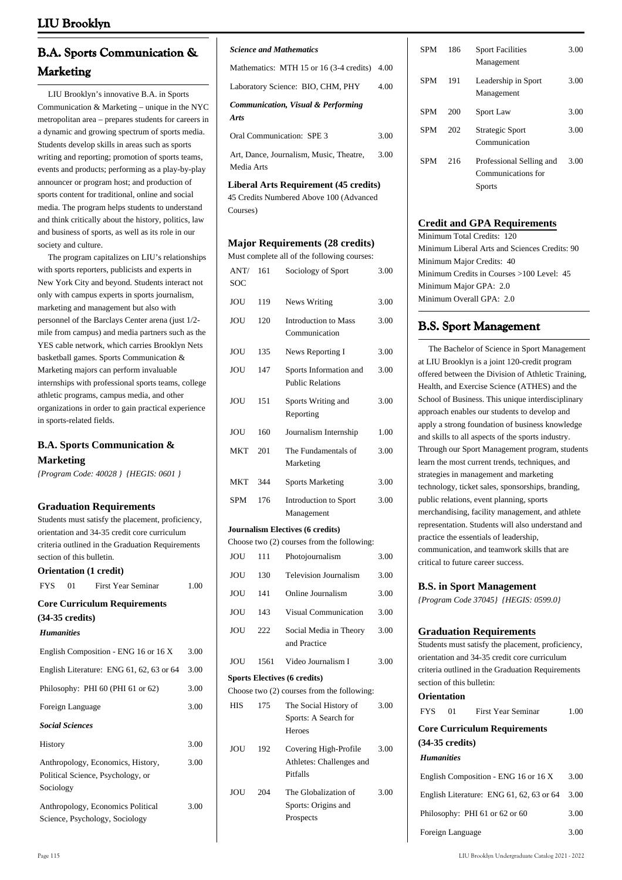## **B.A. Sports Communication & Marketing**

 LIU Brooklyn's innovative B.A. in Sports Communication & Marketing – unique in the NYC metropolitan area – prepares students for careers in a dynamic and growing spectrum of sports media. Students develop skills in areas such as sports writing and reporting; promotion of sports teams, events and products; performing as a play-by-play announcer or program host; and production of sports content for traditional, online and social media. The program helps students to understand and think critically about the history, politics, law and business of sports, as well as its role in our society and culture.

 The program capitalizes on LIU's relationships with sports reporters, publicists and experts in New York City and beyond. Students interact not only with campus experts in sports journalism, marketing and management but also with personnel of the Barclays Center arena (just 1/2 mile from campus) and media partners such as the YES cable network, which carries Brooklyn Nets basketball games. Sports Communication & Marketing majors can perform invaluable internships with professional sports teams, college athletic programs, campus media, and other organizations in order to gain practical experience in sports-related fields.

## **B.A. Sports Communication & Marketing**

*{Program Code: 40028 } {HEGIS: 0601 }*

## **Graduation Requirements**

|                           |    | <b>Graduation Requirements</b>                    |      |
|---------------------------|----|---------------------------------------------------|------|
|                           |    | Students must satisfy the placement, proficiency, |      |
|                           |    | orientation and 34-35 credit core curriculum      |      |
|                           |    | criteria outlined in the Graduation Requirements  |      |
| section of this bulletin. |    |                                                   |      |
|                           |    | Orientation (1 credit)                            |      |
| <b>FYS</b>                | 01 | <b>First Year Seminar</b>                         | 1.00 |
|                           |    | <b>Core Curriculum Requirements</b>               |      |
| $(34-35 \text{ credits})$ |    |                                                   |      |
| <b>Humanities</b>         |    |                                                   |      |
|                           |    | English Composition - ENG 16 or 16 X              | 3.00 |
|                           |    | English Literature: ENG 61, 62, 63 or 64          | 3.00 |
|                           |    | Philosophy: PHI 60 (PHI 61 or 62)                 | 3.00 |
| Foreign Language          |    |                                                   | 3.00 |
| <b>Social Sciences</b>    |    |                                                   |      |
| History                   |    |                                                   | 3.00 |
|                           |    | Anthropology, Economics, History,                 | 3.00 |
|                           |    | Political Science, Psychology, or                 |      |
| Sociology                 |    |                                                   |      |
|                           |    | Anthropology, Economics Political                 | 3.00 |
|                           |    | Science, Psychology, Sociology                    |      |

#### *Science and Mathematics*

Mathematics: MTH 15 or 16 (3-4 credits) 4.00

Laboratory Science: BIO, CHM, PHY 4.00

| <b>Communication, Visual &amp; Performing</b> |      |
|-----------------------------------------------|------|
| Arts                                          |      |
| Oral Communication: SPE 3                     | 3.00 |

Art, Dance, Journalism, Music, Theatre, Media Arts 3.00

**Liberal Arts Requirement (45 credits)** 

45 Credits Numbered Above 100 (Advanced Courses)

#### **Major Requirements (28 credits)**

Must complete all of the following courses:

| ANT/<br>SOC | 161  | Sociology of Sport                                | 3.00 |
|-------------|------|---------------------------------------------------|------|
| JOU         | 119  | News Writing                                      | 3.00 |
| JOU         | 120  | <b>Introduction to Mass</b><br>Communication      | 3.00 |
| JOU         | 135  | News Reporting I                                  | 3.00 |
| JOU         | 147  | Sports Information and<br><b>Public Relations</b> | 3.00 |
| JOU         | 151  | Sports Writing and<br>Reporting                   | 3.00 |
| JOU         | 160  | Journalism Internship                             | 1.00 |
| <b>MKT</b>  | 201  | The Fundamentals of<br>Marketing                  | 3.00 |
| <b>MKT</b>  | 344  | <b>Sports Marketing</b>                           | 3.00 |
| SPM         | 176  | <b>Introduction to Sport</b><br>Management        | 3.00 |
|             |      | <b>Journalism Electives (6 credits)</b>           |      |
|             |      | Choose two (2) courses from the following:        |      |
| <b>JOU</b>  | 111  | Photojournalism                                   | 3.00 |
| JOU         | 130  | <b>Television Journalism</b>                      | 3.00 |
| JOU         | 141  | Online Journalism                                 | 3.00 |
| <b>JOU</b>  | 143  | <b>Visual Communication</b>                       | 3.00 |
| JOU         | 222  | Social Media in Theory<br>and Practice            | 3.00 |
| <b>JOU</b>  | 1561 | Video Journalism I                                | 3.00 |

## **Sports Electives (6 credits)**

Choose two (2) courses from the following: HIS 175 The Social History of

3.00

|     |     | Sports: A Search for                              |      |
|-----|-----|---------------------------------------------------|------|
|     |     | Heroes                                            |      |
| JOU | 192 | Covering High-Profile<br>Athletes: Challenges and | 3.00 |
|     |     | Pitfalls                                          |      |
| JOU | 204 | The Globalization of                              | 3.00 |
|     |     | Sports: Origins and                               |      |

Prospects

| <b>SPM</b> | 186 | <b>Sport Facilities</b><br>Management                           | 3.00 |
|------------|-----|-----------------------------------------------------------------|------|
| <b>SPM</b> | 191 | Leadership in Sport<br>Management                               | 3.00 |
| <b>SPM</b> | 200 | Sport Law                                                       | 3.00 |
| <b>SPM</b> | 202 | Strategic Sport<br>Communication                                | 3.00 |
| <b>SPM</b> | 216 | Professional Selling and<br>Communications for<br><b>Sports</b> | 3.00 |

## **Credit and GPA Requirements**

Minimum Total Credits: 120 Minimum Liberal Arts and Sciences Credits: 90 Minimum Major Credits: 40 Minimum Credits in Courses >100 Level: 45 Minimum Major GPA: 2.0 Minimum Overall GPA: 2.0

## **B.S. Sport Management**

 The Bachelor of Science in Sport Management at LIU Brooklyn is a joint 120-credit program offered between the Division of Athletic Training, Health, and Exercise Science (ATHES) and the School of Business. This unique interdisciplinary approach enables our students to develop and apply a strong foundation of business knowledge and skills to all aspects of the sports industry. Through our Sport Management program, students learn the most current trends, techniques, and strategies in management and marketing technology, ticket sales, sponsorships, branding, public relations, event planning, sports merchandising, facility management, and athlete representation. Students will also understand and practice the essentials of leadership, communication, and teamwork skills that are critical to future career success.

#### **B.S. in Sport Management**

*{Program Code 37045} {HEGIS: 0599.0}*

#### **Graduation Requirements**

**Orientation**

Students must satisfy the placement, proficiency, orientation and 34-35 credit core curriculum criteria outlined in the Graduation Requirements section of this bulletin:

| VI існіаноп                                                      |                                          |      |  |  |
|------------------------------------------------------------------|------------------------------------------|------|--|--|
| 01<br><b>FYS</b>                                                 | <b>First Year Seminar</b>                | 1.00 |  |  |
| <b>Core Curriculum Requirements</b><br>$(34-35 \text{ credits})$ |                                          |      |  |  |
| <b>Humanities</b>                                                |                                          |      |  |  |
|                                                                  | English Composition - ENG 16 or 16 X     | 3.00 |  |  |
|                                                                  | English Literature: ENG 61, 62, 63 or 64 | 3.00 |  |  |
| Philosophy: PHI 61 or 62 or 60                                   |                                          | 3.00 |  |  |
| Foreign Language                                                 |                                          | 3.00 |  |  |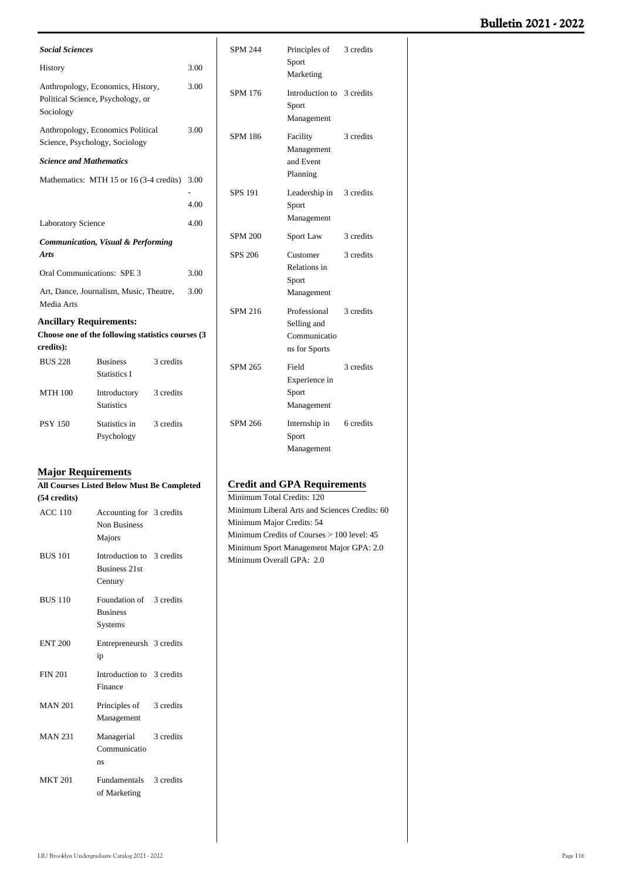| <b>Social Sciences</b>                                        |                                                                        |           |      |  |
|---------------------------------------------------------------|------------------------------------------------------------------------|-----------|------|--|
| History                                                       |                                                                        |           | 3.00 |  |
| Sociology                                                     | Anthropology, Economics, History,<br>Political Science, Psychology, or |           | 3.00 |  |
|                                                               | Anthropology, Economics Political<br>Science, Psychology, Sociology    |           | 3.00 |  |
| <b>Science and Mathematics</b>                                |                                                                        |           |      |  |
|                                                               | Mathematics: MTH 15 or 16 (3-4 credits) 3.00                           |           | 4.00 |  |
| <b>Laboratory Science</b>                                     |                                                                        | 4.00      |      |  |
| <b>Communication, Visual &amp; Performing</b><br><b>Arts</b>  |                                                                        |           |      |  |
| Oral Communications: SPE 3<br>3.00                            |                                                                        |           |      |  |
| Art, Dance, Journalism, Music, Theatre,<br>3.00<br>Media Arts |                                                                        |           |      |  |
| <b>Ancillary Requirements:</b>                                |                                                                        |           |      |  |
|                                                               | Choose one of the following statistics courses (3)                     |           |      |  |
| credits):                                                     |                                                                        |           |      |  |
| <b>BUS 228</b>                                                | <b>Business</b><br><b>Statistics I</b>                                 | 3 credits |      |  |
| <b>MTH 100</b>                                                | Introductory<br><b>Statistics</b>                                      | 3 credits |      |  |
| <b>PSY 150</b>                                                | Statistics in<br>Psychology                                            | 3 credits |      |  |

## **Major Requirements**

| All Courses Listed Below Must Be Completed |                                                              |           |  |
|--------------------------------------------|--------------------------------------------------------------|-----------|--|
| (54 credits)                               |                                                              |           |  |
| <b>ACC 110</b>                             | Accounting for 3 credits<br><b>Non Business</b><br>Majors    |           |  |
| <b>BUS 101</b>                             | Introduction to 3 credits<br><b>Business 21st</b><br>Century |           |  |
| <b>BUS 110</b>                             | Foundation of 3 credits<br><b>Business</b><br>Systems        |           |  |
| <b>ENT 200</b>                             | Entrepreneursh 3 credits<br>ip                               |           |  |
| <b>FIN 201</b>                             | Introduction to 3 credits<br>Finance                         |           |  |
| <b>MAN 201</b>                             | Principles of 3 credits<br>Management                        |           |  |
| <b>MAN 231</b>                             | Managerial<br>Communicatio<br>ns                             | 3 credits |  |
| <b>MKT 201</b>                             | Fundamentals 3 credits<br>of Marketing                       |           |  |

| <b>SPM 244</b> | Principles of 3 credits<br>Sport<br>Marketing                |           |
|----------------|--------------------------------------------------------------|-----------|
| SPM 176        | Introduction to 3 credits<br>Sport<br>Management             |           |
| <b>SPM 186</b> | Facility<br>Management<br>and Event<br>Planning              | 3 credits |
| <b>SPS 191</b> | Leadership in 3 credits<br>Sport<br>Management               |           |
| <b>SPM 200</b> | Sport Law                                                    | 3 credits |
| SPS 206        | Customer<br>Relations in<br>Sport<br>Management              | 3 credits |
| <b>SPM 216</b> | Professional<br>Selling and<br>Communicatio<br>ns for Sports | 3 credits |
| <b>SPM 265</b> | Field<br>Experience in<br>Sport<br>Management                | 3 credits |
| <b>SPM 266</b> | Internship in 6 credits<br>Sport<br>Management               |           |

## **Credit and GPA Requirements**

Minimum Total Credits: 120 Minimum Liberal Arts and Sciences Credits: 60 Minimum Major Credits: 54 Minimum Credits of Courses > 100 level: 45 Minimum Sport Management Major GPA: 2.0 Minimum Overall GPA: 2.0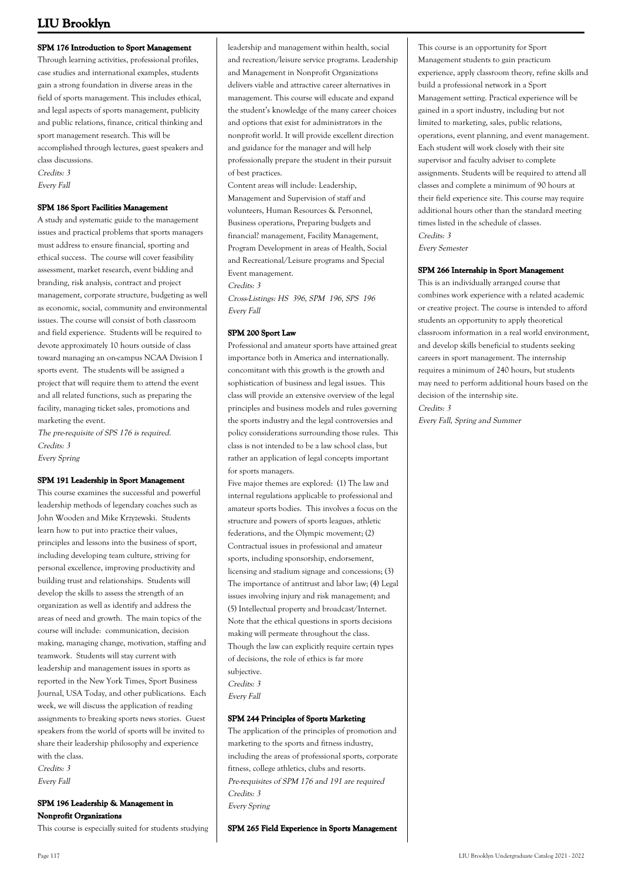### **SPM 176 Introduction to Sport Management**

Through learning activities, professional profiles, case studies and international examples, students gain a strong foundation in diverse areas in the field of sports management. This includes ethical, and legal aspects of sports management, publicity and public relations, finance, critical thinking and sport management research. This will be

accomplished through lectures, guest speakers and class discussions.

Credits: 3 Every Fall

#### **SPM 186 Sport Facilities Management**

A study and systematic guide to the management issues and practical problems that sports managers must address to ensure financial, sporting and ethical success. The course will cover feasibility assessment, market research, event bidding and branding, risk analysis, contract and project management, corporate structure, budgeting as well as economic, social, community and environmental issues. The course will consist of both classroom and field experience. Students will be required to devote approximately 10 hours outside of class toward managing an on-campus NCAA Division I sports event. The students will be assigned a project that will require them to attend the event and all related functions, such as preparing the facility, managing ticket sales, promotions and marketing the event.

The pre-requisite of SPS 176 is required. Credits: 3 Every Spring

#### **SPM 191 Leadership in Sport Management**

This course examines the successful and powerful leadership methods of legendary coaches such as John Wooden and Mike Krzyzewski. Students learn how to put into practice their values, principles and lessons into the business of sport, including developing team culture, striving for personal excellence, improving productivity and building trust and relationships. Students will develop the skills to assess the strength of an organization as well as identify and address the areas of need and growth. The main topics of the course will include: communication, decision making, managing change, motivation, staffing and teamwork. Students will stay current with leadership and management issues in sports as reported in the New York Times, Sport Business Journal, USA Today, and other publications. Each week, we will discuss the application of reading assignments to breaking sports news stories. Guest speakers from the world of sports will be invited to share their leadership philosophy and experience with the class. Credits: 3

Every Fall

### **SPM 196 Leadership & Management in Nonprofit Organizations**

This course is especially suited for students studying

leadership and management within health, social and recreation/leisure service programs. Leadership and Management in Nonprofit Organizations delivers viable and attractive career alternatives in management. This course will educate and expand the student's knowledge of the many career choices and options that exist for administrators in the nonprofit world. It will provide excellent direction and guidance for the manager and will help professionally prepare the student in their pursuit of best practices.

Content areas will include: Leadership, Management and Supervision of staff and volunteers, Human Resources & Personnel, Business operations, Preparing budgets and financial? management, Facility Management, Program Development in areas of Health, Social and Recreational/Leisure programs and Special Event management.

Credits: 3

Cross-Listings: HS 396, SPM 196, SPS 196 Every Fall

#### **SPM 200 Sport Law**

Professional and amateur sports have attained great importance both in America and internationally. concomitant with this growth is the growth and sophistication of business and legal issues. This class will provide an extensive overview of the legal principles and business models and rules governing the sports industry and the legal controversies and policy considerations surrounding those rules. This class is not intended to be a law school class, but rather an application of legal concepts important for sports managers.

Five major themes are explored: (1) The law and internal regulations applicable to professional and amateur sports bodies. This involves a focus on the structure and powers of sports leagues, athletic federations, and the Olympic movement; (2) Contractual issues in professional and amateur sports, including sponsorship, endorsement, licensing and stadium signage and concessions; (3) The importance of antitrust and labor law; (4) Legal issues involving injury and risk management; and (5) Intellectual property and broadcast/Internet. Note that the ethical questions in sports decisions making will permeate throughout the class. Though the law can explicitly require certain types of decisions, the role of ethics is far more subjective. Credits: 3 Every Fall

#### **SPM 244 Principles of Sports Marketing**

The application of the principles of promotion and marketing to the sports and fitness industry, including the areas of professional sports, corporate fitness, college athletics, clubs and resorts. Pre-requisites of SPM 176 and 191 are required Credits: 3 Every Spring

**SPM 265 Field Experience in Sports Management**

This course is an opportunity for Sport Management students to gain practicum experience, apply classroom theory, refine skills and build a professional network in a Sport Management setting. Practical experience will be gained in a sport industry, including but not limited to marketing, sales, public relations, operations, event planning, and event management. Each student will work closely with their site supervisor and faculty adviser to complete assignments. Students will be required to attend all classes and complete a minimum of 90 hours at their field experience site. This course may require additional hours other than the standard meeting times listed in the schedule of classes. Credits: 3 Every Semester

#### **SPM 266 Internship in Sport Management**

This is an individually arranged course that combines work experience with a related academic or creative project. The course is intended to afford students an opportunity to apply theoretical classroom information in a real world environment, and develop skills beneficial to students seeking careers in sport management. The internship requires a minimum of 240 hours, but students may need to perform additional hours based on the decision of the internship site. Credits: 3

Every Fall, Spring and Summer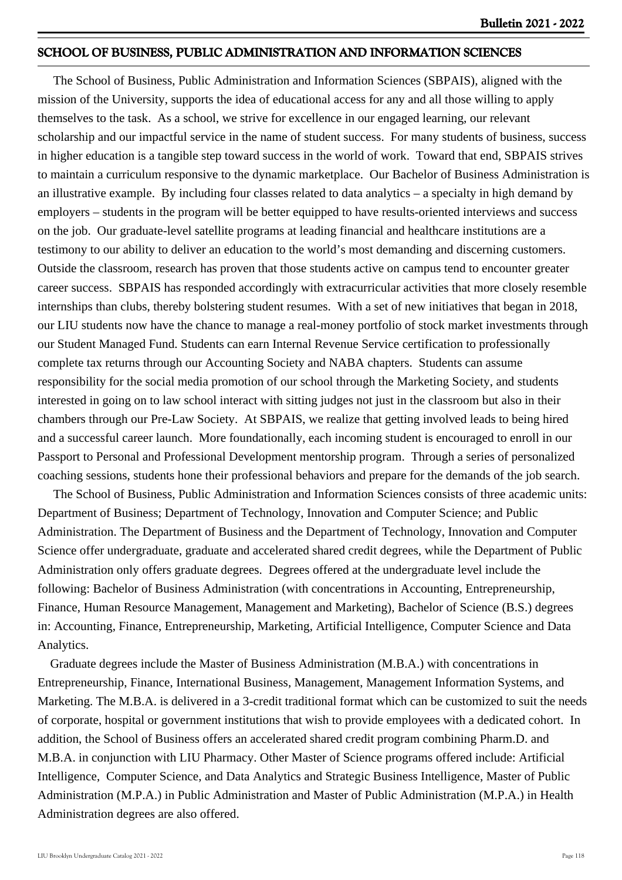## **SCHOOL OF BUSINESS, PUBLIC ADMINISTRATION AND INFORMATION SCIENCES**

 The School of Business, Public Administration and Information Sciences (SBPAIS), aligned with the mission of the University, supports the idea of educational access for any and all those willing to apply themselves to the task. As a school, we strive for excellence in our engaged learning, our relevant scholarship and our impactful service in the name of student success. For many students of business, success in higher education is a tangible step toward success in the world of work. Toward that end, SBPAIS strives to maintain a curriculum responsive to the dynamic marketplace. Our Bachelor of Business Administration is an illustrative example. By including four classes related to data analytics – a specialty in high demand by employers – students in the program will be better equipped to have results-oriented interviews and success on the job. Our graduate-level satellite programs at leading financial and healthcare institutions are a testimony to our ability to deliver an education to the world's most demanding and discerning customers. Outside the classroom, research has proven that those students active on campus tend to encounter greater career success. SBPAIS has responded accordingly with extracurricular activities that more closely resemble internships than clubs, thereby bolstering student resumes. With a set of new initiatives that began in 2018, our LIU students now have the chance to manage a real-money portfolio of stock market investments through our Student Managed Fund. Students can earn Internal Revenue Service certification to professionally complete tax returns through our Accounting Society and NABA chapters. Students can assume responsibility for the social media promotion of our school through the Marketing Society, and students interested in going on to law school interact with sitting judges not just in the classroom but also in their chambers through our Pre-Law Society. At SBPAIS, we realize that getting involved leads to being hired and a successful career launch. More foundationally, each incoming student is encouraged to enroll in our Passport to Personal and Professional Development mentorship program. Through a series of personalized coaching sessions, students hone their professional behaviors and prepare for the demands of the job search.

 The School of Business, Public Administration and Information Sciences consists of three academic units: Department of Business; Department of Technology, Innovation and Computer Science; and Public Administration. The Department of Business and the Department of Technology, Innovation and Computer Science offer undergraduate, graduate and accelerated shared credit degrees, while the Department of Public Administration only offers graduate degrees. Degrees offered at the undergraduate level include the following: Bachelor of Business Administration (with concentrations in Accounting, Entrepreneurship, Finance, Human Resource Management, Management and Marketing), Bachelor of Science (B.S.) degrees in: Accounting, Finance, Entrepreneurship, Marketing, Artificial Intelligence, Computer Science and Data Analytics.

 Graduate degrees include the Master of Business Administration (M.B.A.) with concentrations in Entrepreneurship, Finance, International Business, Management, Management Information Systems, and Marketing. The M.B.A. is delivered in a 3-credit traditional format which can be customized to suit the needs of corporate, hospital or government institutions that wish to provide employees with a dedicated cohort. In addition, the School of Business offers an accelerated shared credit program combining Pharm.D. and M.B.A. in conjunction with LIU Pharmacy. Other Master of Science programs offered include: Artificial Intelligence, Computer Science, and Data Analytics and Strategic Business Intelligence, Master of Public Administration (M.P.A.) in Public Administration and Master of Public Administration (M.P.A.) in Health Administration degrees are also offered.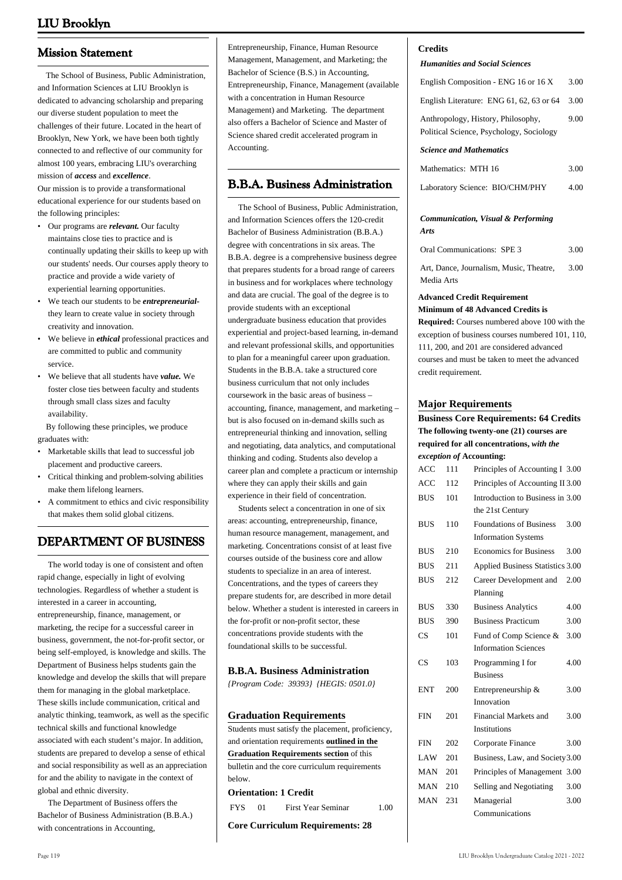## **Mission Statement**

 The School of Business, Public Administration, and Information Sciences at LIU Brooklyn is dedicated to advancing scholarship and preparing our diverse student population to meet the challenges of their future. Located in the heart of Brooklyn, New York, we have been both tightly connected to and reflective of our community for almost 100 years, embracing LIU's overarching mission of *access* and *excellence*.

Our mission is to provide a transformational educational experience for our students based on the following principles:

- Our programs are *relevant*. Our faculty maintains close ties to practice and is continually updating their skills to keep up with our students' needs. Our courses apply theory to practice and provide a wide variety of experiential learning opportunities.
- We teach our students to be *entrepreneurial*they learn to create value in society through creativity and innovation. •
- We believe in *ethical* professional practices and are committed to public and community service. •
- We believe that all students have *value.* We foster close ties between faculty and students through small class sizes and faculty availability. •

 By following these principles, we produce graduates with:

- Marketable skills that lead to successful job placement and productive careers. •
- Critical thinking and problem-solving abilities make them lifelong learners. •
- A commitment to ethics and civic responsibility that makes them solid global citizens. •

# **DEPARTMENT OF BUSINESS**

 The world today is one of consistent and often rapid change, especially in light of evolving technologies. Regardless of whether a student is interested in a career in accounting, entrepreneurship, finance, management, or marketing, the recipe for a successful career in business, government, the not-for-profit sector, or being self-employed, is knowledge and skills. The Department of Business helps students gain the knowledge and develop the skills that will prepare them for managing in the global marketplace. These skills include communication, critical and analytic thinking, teamwork, as well as the specific technical skills and functional knowledge associated with each student's major. In addition, students are prepared to develop a sense of ethical and social responsibility as well as an appreciation for and the ability to navigate in the context of global and ethnic diversity.

 The Department of Business offers the Bachelor of Business Administration (B.B.A.) with concentrations in Accounting,

Entrepreneurship, Finance, Human Resource Management, Management, and Marketing; the Bachelor of Science (B.S.) in Accounting, Entrepreneurship, Finance, Management (available with a concentration in Human Resource Management) and Marketing. The department also offers a Bachelor of Science and Master of Science shared credit accelerated program in Accounting.

## **B.B.A. Business Administration**

 The School of Business, Public Administration, and Information Sciences offers the 120-credit Bachelor of Business Administration (B.B.A.) degree with concentrations in six areas. The B.B.A. degree is a comprehensive business degree that prepares students for a broad range of careers in business and for workplaces where technology and data are crucial. The goal of the degree is to provide students with an exceptional undergraduate business education that provides experiential and project-based learning, in-demand and relevant professional skills, and opportunities to plan for a meaningful career upon graduation. Students in the B.B.A. take a structured core business curriculum that not only includes coursework in the basic areas of business – accounting, finance, management, and marketing – but is also focused on in-demand skills such as entrepreneurial thinking and innovation, selling and negotiating, data analytics, and computational thinking and coding. Students also develop a career plan and complete a practicum or internship where they can apply their skills and gain experience in their field of concentration.

 Students select a concentration in one of six areas: accounting, entrepreneurship, finance, human resource management, management, and marketing. Concentrations consist of at least five courses outside of the business core and allow students to specialize in an area of interest. Concentrations, and the types of careers they prepare students for, are described in more detail below. Whether a student is interested in careers in the for-profit or non-profit sector, these concentrations provide students with the foundational skills to be successful.

## **B.B.A. Business Administration**

*{Program Code: 39393} {HEGIS: 0501.0}*

## **Graduation Requirements**

Students must satisfy the placement, proficiency, and orientation requirements **outlined in the Graduation Requirements section** of this bulletin and the core curriculum requirements below.

## **Orientation: 1 Credit**

FYS 01 First Year Seminar 1.00

**Core Curriculum Requirements: 28**

## **Credits**

#### *Humanities and Social Sciences*

| English Composition - ENG 16 or 16 X                                           | 3.00 |
|--------------------------------------------------------------------------------|------|
| English Literature: ENG 61, 62, 63 or 64                                       | 3.00 |
| Anthropology, History, Philosophy,<br>Political Science, Psychology, Sociology | 9.00 |
| <b>Science and Mathematics</b>                                                 |      |
| Mathematics: MTH 16                                                            | 3.00 |
| Laboratory Science: BIO/CHM/PHY                                                | 4.00 |
| <b>Communication, Visual &amp; Performing</b>                                  |      |

| Arts                       |      |
|----------------------------|------|
| Oral Communications: SPE 3 | 3.00 |

| Art. Dance, Journalism, Music, Theatre. | 3.00 |
|-----------------------------------------|------|
| Media Arts                              |      |

#### **Advanced Credit Requirement Minimum of 48 Advanced Credits is**

**Required:** Courses numbered above 100 with the exception of business courses numbered 101, 110, 111, 200, and 201 are considered advanced courses and must be taken to meet the advanced credit requirement.

## **Major Requirements**

## **Business Core Requirements: 64 Credits The following twenty-one (21) courses are required for all concentrations,** *with the exception of* **Accounting:**

| ACC                    | 111 | Principles of Accounting I 3.00  |      |
|------------------------|-----|----------------------------------|------|
| <b>ACC</b>             | 112 | Principles of Accounting II 3.00 |      |
| <b>BUS</b>             | 101 | Introduction to Business in 3.00 |      |
|                        |     | the 21st Century                 |      |
| <b>BUS</b>             | 110 | <b>Foundations of Business</b>   | 3.00 |
|                        |     | <b>Information Systems</b>       |      |
| <b>BUS</b>             | 210 | <b>Economics for Business</b>    | 3.00 |
| <b>BUS</b>             | 211 | Applied Business Statistics 3.00 |      |
| <b>BUS</b>             | 212 | Career Development and           | 2.00 |
|                        |     | Planning                         |      |
| <b>BUS</b>             | 330 | <b>Business Analytics</b>        | 4.00 |
| <b>BUS</b>             | 390 | <b>Business Practicum</b>        | 3.00 |
| CS                     | 101 | Fund of Comp Science &           | 3.00 |
|                        |     | <b>Information Sciences</b>      |      |
| $\overline{\text{CS}}$ | 103 | Programming I for                | 4.00 |
|                        |     | <b>Business</b>                  |      |
| <b>ENT</b>             | 200 | Entrepreneurship &               | 3.00 |
|                        |     | Innovation                       |      |
| <b>FIN</b>             | 201 | Financial Markets and            | 3.00 |
|                        |     | Institutions                     |      |
| <b>FIN</b>             | 202 | Corporate Finance                | 3.00 |
| LAW                    | 201 | Business, Law, and Society 3.00  |      |
| <b>MAN</b>             | 201 | Principles of Management 3.00    |      |
| <b>MAN</b>             | 210 | Selling and Negotiating          | 3.00 |
| <b>MAN</b>             | 231 | Managerial                       | 3.00 |
|                        |     | Communications                   |      |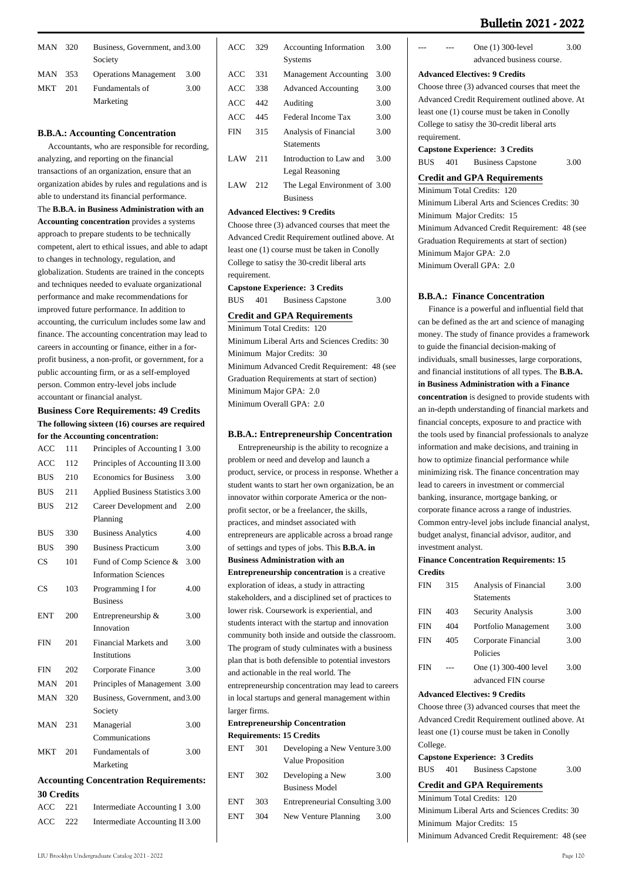| <b>Bulletin 2021 - 2022</b> |  |
|-----------------------------|--|
|-----------------------------|--|

3.00

| MAN        | 320 | Business, Government, and 3.00<br>Society |      |
|------------|-----|-------------------------------------------|------|
| MAN        | 353 | <b>Operations Management</b>              | 3.00 |
| <b>MKT</b> | 201 | Fundamentals of                           | 3.00 |
|            |     | Marketing                                 |      |

#### **B.B.A.: Accounting Concentration**

 Accountants, who are responsible for recording, analyzing, and reporting on the financial transactions of an organization, ensure that an organization abides by rules and regulations and is able to understand its financial performance. The **B.B.A. in Business Administration with an Accounting concentration** provides a systems approach to prepare students to be technically competent, alert to ethical issues, and able to adapt to changes in technology, regulation, and globalization. Students are trained in the concepts and techniques needed to evaluate organizational performance and make recommendations for improved future performance. In addition to accounting, the curriculum includes some law and finance. The accounting concentration may lead to careers in accounting or finance, either in a forprofit business, a non-profit, or government, for a public accounting firm, or as a self-employed person. Common entry-level jobs include accountant or financial analyst.

### **Business Core Requirements: 49 Credits The following sixteen (16) courses are required for the Accounting concentration:**

| <b>ACC</b>        | 111 | Principles of Accounting I 3.00               |  |
|-------------------|-----|-----------------------------------------------|--|
| ACC               | 112 | Principles of Accounting II 3.00              |  |
| <b>BUS</b>        | 210 | <b>Economics for Business</b><br>3.00         |  |
| <b>BUS</b>        | 211 | Applied Business Statistics 3.00              |  |
| <b>BUS</b>        | 212 | Career Development and<br>2.00                |  |
|                   |     | Planning                                      |  |
| <b>BUS</b>        | 330 | <b>Business Analytics</b><br>4.00             |  |
| <b>BUS</b>        | 390 | <b>Business Practicum</b><br>3.00             |  |
| CS                | 101 | Fund of Comp Science &<br>3.00                |  |
|                   |     | <b>Information Sciences</b>                   |  |
| CS                | 103 | Programming I for<br>4.00                     |  |
|                   |     | <b>Business</b>                               |  |
| <b>ENT</b>        | 200 | 3.00<br>Entrepreneurship &                    |  |
|                   |     | Innovation                                    |  |
| <b>FIN</b>        | 201 | Financial Markets and<br>3.00                 |  |
|                   |     | <b>Institutions</b>                           |  |
| <b>FIN</b>        | 202 | 3.00<br>Corporate Finance                     |  |
| MAN               | 201 | Principles of Management 3.00                 |  |
| <b>MAN</b>        | 320 | Business, Government, and 3.00                |  |
|                   |     | Society                                       |  |
| MAN               | 231 | 3.00<br>Managerial                            |  |
|                   |     | Communications                                |  |
| <b>MKT</b>        | 201 | Fundamentals of<br>3.00                       |  |
|                   |     | Marketing                                     |  |
|                   |     | <b>Accounting Concentration Requirements:</b> |  |
| <b>30 Credits</b> |     |                                               |  |
| <b>ACC</b>        | 221 | Intermediate Accounting I 3.00                |  |
| <b>ACC</b>        | 222 | Intermediate Accounting II 3.00               |  |

| ACC        | 329  | <b>Accounting Information</b> | 3.00 |
|------------|------|-------------------------------|------|
|            |      | <b>Systems</b>                |      |
| ACC        | 331  | <b>Management Accounting</b>  | 3.00 |
| ACC        | 338  | <b>Advanced Accounting</b>    | 3.00 |
| ACC        | 442  | Auditing                      | 3.00 |
| ACC        | 445  | Federal Income Tax            | 3.00 |
| <b>FIN</b> | 315  | Analysis of Financial         | 3.00 |
|            |      | <b>Statements</b>             |      |
| LAW        | 2.11 | Introduction to Law and       | 3.00 |
|            |      | Legal Reasoning               |      |
| LAW        | 212  | The Legal Environment of 3.00 |      |
|            |      | <b>Business</b>               |      |

#### **Advanced Electives: 9 Credits**

Choose three (3) advanced courses that meet the Advanced Credit Requirement outlined above. At least one (1) course must be taken in Conolly College to satisy the 30-credit liberal arts requirement.

**Capstone Experience: 3 Credits**

BUS 401 Business Capstone 3.00

#### **Credit and GPA Requirements**

Minimum Total Credits: 120 Minimum Liberal Arts and Sciences Credits: 30 Minimum Major Credits: 30 Minimum Advanced Credit Requirement: 48 (see Graduation Requirements at start of section) Minimum Major GPA: 2.0 Minimum Overall GPA: 2.0

#### **B.B.A.: Entrepreneurship Concentration**

 Entrepreneurship is the ability to recognize a problem or need and develop and launch a product, service, or process in response. Whether a student wants to start her own organization, be an innovator within corporate America or the nonprofit sector, or be a freelancer, the skills, practices, and mindset associated with entrepreneurs are applicable across a broad range of settings and types of jobs. This **B.B.A. in Business Administration with an Entrepreneurship concentration** is a creative exploration of ideas, a study in attracting stakeholders, and a disciplined set of practices to lower risk. Coursework is experiential, and students interact with the startup and innovation community both inside and outside the classroom. The program of study culminates with a business plan that is both defensible to potential investors and actionable in the real world. The entrepreneurship concentration may lead to careers in local startups and general management within larger firms.

#### **Entrepreneurship Concentration Requirements: 15 Credits**

| <b>ENT</b> | 301 | Developing a New Venture 3.00   |      |
|------------|-----|---------------------------------|------|
|            |     | Value Proposition               |      |
| <b>ENT</b> | 302 | Developing a New                | 3.00 |
|            |     | <b>Business Model</b>           |      |
| <b>ENT</b> | 303 | Entrepreneurial Consulting 3.00 |      |
| <b>ENT</b> | 304 | New Venture Planning            | 3.00 |
|            |     |                                 |      |

#### **Advanced Electives: 9 Credits**

Choose three (3) advanced courses that meet the Advanced Credit Requirement outlined above. At least one (1) course must be taken in Conolly College to satisy the 30-credit liberal arts requirement.

One (1) 300-level advanced business course.

**Capstone Experience: 3 Credits** BUS 401 Business Capstone 3.00

## **Credit and GPA Requirements**

Minimum Total Credits: 120 Minimum Liberal Arts and Sciences Credits: 30 Minimum Major Credits: 15 Minimum Advanced Credit Requirement: 48 (see Graduation Requirements at start of section) Minimum Major GPA: 2.0 Minimum Overall GPA: 2.0

#### **B.B.A.: Finance Concentration**

 Finance is a powerful and influential field that can be defined as the art and science of managing money. The study of finance provides a framework to guide the financial decision-making of individuals, small businesses, large corporations, and financial institutions of all types. The **B.B.A. in Business Administration with a Finance concentration** is designed to provide students with an in-depth understanding of financial markets and financial concepts, exposure to and practice with the tools used by financial professionals to analyze information and make decisions, and training in how to optimize financial performance while minimizing risk. The finance concentration may lead to careers in investment or commercial banking, insurance, mortgage banking, or corporate finance across a range of industries. Common entry-level jobs include financial analyst, budget analyst, financial advisor, auditor, and investment analyst.

#### **Finance Concentration Requirements: 15 Credits**

| FIN | 315 | Analysis of Financial | 3.00 |
|-----|-----|-----------------------|------|
|     |     | <b>Statements</b>     |      |
| FIN | 403 | Security Analysis     | 3.00 |
| FIN | 404 | Portfolio Management  | 3.00 |
| FIN | 405 | Corporate Financial   | 3.00 |
|     |     | Policies              |      |
| FIN |     | One (1) 300-400 level | 3.00 |
|     |     | advanced FIN course   |      |

#### **Advanced Electives: 9 Credits**

Choose three (3) advanced courses that meet the Advanced Credit Requirement outlined above. At least one (1) course must be taken in Conolly College.

**Capstone Experience: 3 Credits**

| BUS | 401 |  | <b>Business Capstone</b> | 3.00 |
|-----|-----|--|--------------------------|------|
|-----|-----|--|--------------------------|------|

#### **Credit and GPA Requirements**

Minimum Total Credits: 120 Minimum Liberal Arts and Sciences Credits: 30 Minimum Major Credits: 15 Minimum Advanced Credit Requirement: 48 (see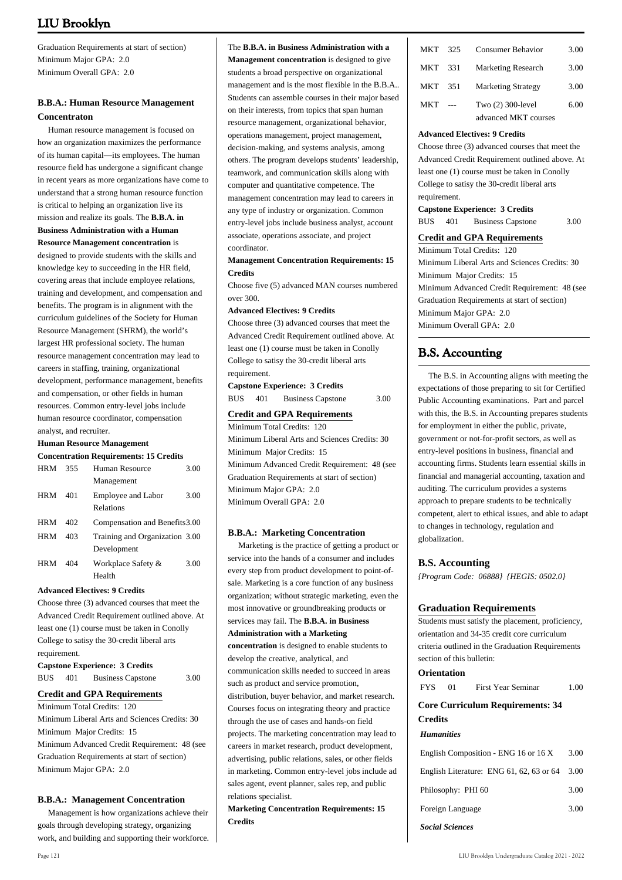Graduation Requirements at start of section) Minimum Major GPA: 2.0 Minimum Overall GPA: 2.0

## **B.B.A.: Human Resource Management Concentraton**

 Human resource management is focused on how an organization maximizes the performance of its human capital—its employees. The human resource field has undergone a significant change in recent years as more organizations have come to understand that a strong human resource function is critical to helping an organization live its mission and realize its goals. The **B.B.A. in Business Administration with a Human Resource Management concentration** is designed to provide students with the skills and knowledge key to succeeding in the HR field, covering areas that include employee relations, training and development, and compensation and benefits. The program is in alignment with the curriculum guidelines of the Society for Human Resource Management (SHRM), the world's largest HR professional society. The human resource management concentration may lead to careers in staffing, training, organizational development, performance management, benefits and compensation, or other fields in human resources. Common entry-level jobs include human resource coordinator, compensation analyst, and recruiter.

### **Human Resource Management**

|            | <b>Concentration Requirements: 15 Credits</b> |                                |      |  |  |
|------------|-----------------------------------------------|--------------------------------|------|--|--|
| <b>HRM</b> | 355                                           | Human Resource                 | 3.00 |  |  |
|            |                                               | Management                     |      |  |  |
| <b>HRM</b> | 401                                           | <b>Employee and Labor</b>      | 3.00 |  |  |
|            |                                               | Relations                      |      |  |  |
| <b>HRM</b> | 402.                                          | Compensation and Benefits 3.00 |      |  |  |
| <b>HRM</b> | 403                                           | Training and Organization 3.00 |      |  |  |
|            |                                               | Development                    |      |  |  |
| <b>HRM</b> | 404                                           | Workplace Safety &             | 3.00 |  |  |
|            |                                               | Health                         |      |  |  |

#### **Advanced Electives: 9 Credits**

Choose three (3) advanced courses that meet the Advanced Credit Requirement outlined above. At least one (1) course must be taken in Conolly College to satisy the 30-credit liberal arts requirement.

**Capstone Experience: 3 Credits** BUS 401 Business Capstone 3.00

#### **Credit and GPA Requirements** Minimum Total Credits: 120

Minimum Liberal Arts and Sciences Credits: 30 Minimum Major Credits: 15 Minimum Advanced Credit Requirement: 48 (see Graduation Requirements at start of section) Minimum Major GPA: 2.0

#### **B.B.A.: Management Concentration**

 Management is how organizations achieve their goals through developing strategy, organizing work, and building and supporting their workforce.

## The **B.B.A. in Business Administration with a**

**Management concentration** is designed to give students a broad perspective on organizational management and is the most flexible in the B.B.A.. Students can assemble courses in their major based on their interests, from topics that span human resource management, organizational behavior, operations management, project management, decision-making, and systems analysis, among others. The program develops students' leadership, teamwork, and communication skills along with computer and quantitative competence. The management concentration may lead to careers in any type of industry or organization. Common entry-level jobs include business analyst, account associate, operations associate, and project coordinator.

### **Management Concentration Requirements: 15 Credits**

Choose five (5) advanced MAN courses numbered  $over 300$ 

#### **Advanced Electives: 9 Credits**

Choose three (3) advanced courses that meet the Advanced Credit Requirement outlined above. At least one (1) course must be taken in Conolly College to satisy the 30-credit liberal arts requirement.

**Capstone Experience: 3 Credits** BUS 401 Business Capstone 3.00

#### **Credit and GPA Requirements**

Minimum Total Credits: 120 Minimum Liberal Arts and Sciences Credits: 30 Minimum Major Credits: 15 Minimum Advanced Credit Requirement: 48 (see Graduation Requirements at start of section) Minimum Major GPA: 2.0 Minimum Overall GPA: 2.0

#### **B.B.A.: Marketing Concentration**

 Marketing is the practice of getting a product or service into the hands of a consumer and includes every step from product development to point-ofsale. Marketing is a core function of any business organization; without strategic marketing, even the most innovative or groundbreaking products or services may fail. The **B.B.A. in Business Administration with a Marketing concentration** is designed to enable students to develop the creative, analytical, and communication skills needed to succeed in areas such as product and service promotion, distribution, buyer behavior, and market research. Courses focus on integrating theory and practice through the use of cases and hands-on field projects. The marketing concentration may lead to careers in market research, product development, advertising, public relations, sales, or other fields in marketing. Common entry-level jobs include ad sales agent, event planner, sales rep, and public relations specialist.

**Marketing Concentration Requirements: 15 Credits**

| <b>MKT</b> | 325 | <b>Consumer Behavior</b>  | 3.00 |
|------------|-----|---------------------------|------|
| MKT        | 331 | <b>Marketing Research</b> | 3.00 |
| <b>MKT</b> | 351 | <b>Marketing Strategy</b> | 3.00 |
| MKT        |     | Two (2) 300-level         | 6.00 |
|            |     | advanced MKT courses      |      |

#### **Advanced Electives: 9 Credits**

Choose three (3) advanced courses that meet the Advanced Credit Requirement outlined above. At least one (1) course must be taken in Conolly College to satisy the 30-credit liberal arts requirement.

#### **Capstone Experience: 3 Credits**

BUS 401 Business Capstone 3.00

## **Credit and GPA Requirements**

Minimum Total Credits: 120 Minimum Liberal Arts and Sciences Credits: 30 Minimum Major Credits: 15 Minimum Advanced Credit Requirement: 48 (see Graduation Requirements at start of section) Minimum Major GPA: 2.0 Minimum Overall GPA: 2.0

## **B.S. Accounting**

 The B.S. in Accounting aligns with meeting the expectations of those preparing to sit for Certified Public Accounting examinations. Part and parcel with this, the B.S. in Accounting prepares students for employment in either the public, private, government or not-for-profit sectors, as well as entry-level positions in business, financial and accounting firms. Students learn essential skills in financial and managerial accounting, taxation and auditing. The curriculum provides a systems approach to prepare students to be technically competent, alert to ethical issues, and able to adapt to changes in technology, regulation and globalization.

#### **B.S. Accounting**

*{Program Code: 06888} {HEGIS: 0502.0}*

#### **Graduation Requirements**

Students must satisfy the placement, proficiency, orientation and 34-35 credit core curriculum criteria outlined in the Graduation Requirements section of this bulletin:

## **Orientation**

| FYS | First Year Seminar | 1.00 |
|-----|--------------------|------|
|     |                    |      |

### **Core Curriculum Requirements: 34 Credits**

## *Humanities*

| English Composition - ENG 16 or 16 X              | 3.00 |
|---------------------------------------------------|------|
| English Literature: ENG $61, 62, 63$ or $64$ 3.00 |      |
| Philosophy: PHI 60                                | 3.00 |
| Foreign Language                                  | 3.00 |
|                                                   |      |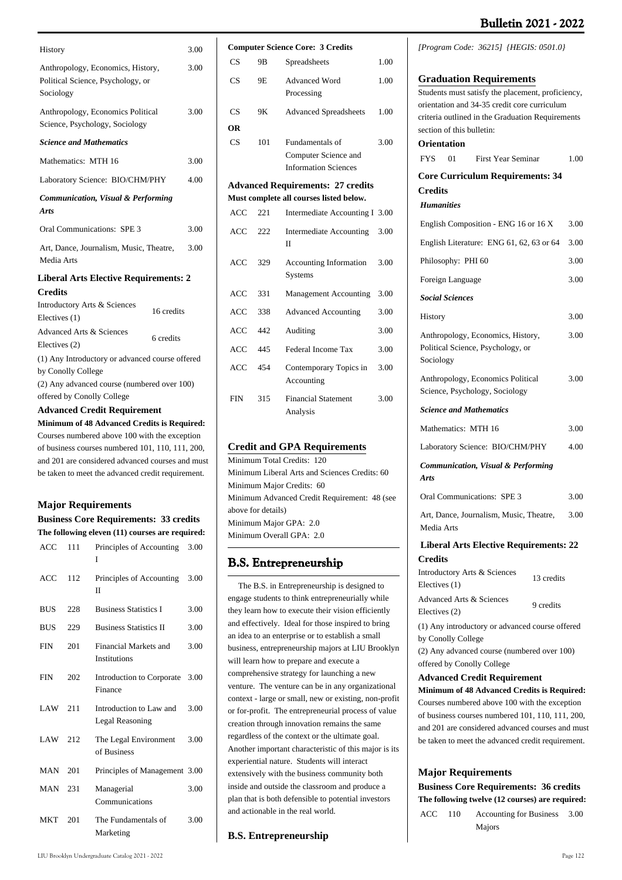| History                                                                             |            | 3.00 |
|-------------------------------------------------------------------------------------|------------|------|
| Anthropology, Economics, History,<br>Political Science, Psychology, or<br>Sociology |            | 3.00 |
| Anthropology, Economics Political<br>Science, Psychology, Sociology                 |            | 3.00 |
| <b>Science and Mathematics</b>                                                      |            |      |
| Mathematics: MTH 16                                                                 |            | 3.00 |
| Laboratory Science: BIO/CHM/PHY                                                     |            | 4.00 |
| <b>Communication, Visual &amp; Performing</b><br>Arts                               |            |      |
| Oral Communications: SPE 3                                                          |            | 3.00 |
| Art, Dance, Journalism, Music, Theatre,<br>Media Arts                               |            | 3.00 |
| <b>Liberal Arts Elective Requirements: 2</b>                                        |            |      |
| <b>Credits</b>                                                                      |            |      |
| Introductory Arts & Sciences<br>Electives (1)                                       | 16 credits |      |
| <b>Advanced Arts &amp; Sciences</b><br>Electives (2)                                | 6 credits  |      |
| (1) Any Introductory or advanced course offered<br>by Conolly College               |            |      |
| (2) Any advanced course (numbered over 100)                                         |            |      |

offered by Conolly College

## **Advanced Credit Requirement**

**Minimum of 48 Advanced Credits is Required:**  Courses numbered above 100 with the exception of business courses numbered 101, 110, 111, 200, and 201 are considered advanced courses and must be taken to meet the advanced credit requirement.

#### **Major Requirements**

**Business Core Requirements: 33 credits The following eleven (11) courses are required:**

| ACC        | 111 | Principles of Accounting<br>3.00<br>T        |      |
|------------|-----|----------------------------------------------|------|
| ACC        | 112 | Principles of Accounting<br>П                | 3.00 |
| <b>BUS</b> | 228 | <b>Business Statistics I</b>                 | 3.00 |
| <b>BUS</b> | 229 | <b>Business Statistics II</b>                | 3.00 |
| <b>FIN</b> | 201 | Financial Markets and<br><b>Institutions</b> | 3.00 |
| <b>FIN</b> | 202 | Introduction to Corporate<br>Finance         | 3.00 |
| $LAW$ 211  |     | Introduction to Law and<br>Legal Reasoning   | 3.00 |
| LAW 212    |     | The Legal Environment<br>of Business         | 3.00 |
| MAN        | 201 | Principles of Management 3.00                |      |
| MAN        | 231 | Managerial<br>Communications                 | 3.00 |
| <b>MKT</b> | 201 | The Fundamentals of<br>Marketing             | 3.00 |

| <b>Computer Science Core: 3 Credits</b> |      |                                                 |      |  |
|-----------------------------------------|------|-------------------------------------------------|------|--|
| CS                                      | 9B   | Spreadsheets                                    | 1.00 |  |
| <b>CS</b>                               | 9Ε   | <b>Advanced Word</b><br>Processing              |      |  |
| CS                                      | 9Κ   | <b>Advanced Spreadsheets</b>                    | 1.00 |  |
| OR                                      |      |                                                 |      |  |
| CS                                      | 101  | Fundamentals of                                 | 3.00 |  |
|                                         |      | Computer Science and                            |      |  |
|                                         |      | <b>Information Sciences</b>                     |      |  |
|                                         |      | <b>Advanced Requirements: 27 credits</b>        |      |  |
|                                         |      | Must complete all courses listed below.         |      |  |
| ACC                                     | 221  | Intermediate Accounting I                       | 3.00 |  |
| ACC                                     | 222. | <b>Intermediate Accounting</b><br>Н             | 3.00 |  |
| <b>ACC</b>                              | 329  | <b>Accounting Information</b><br><b>Systems</b> | 3.00 |  |
| ACC                                     | 331  | <b>Management Accounting</b>                    | 3.00 |  |
| ACC                                     | 338  | <b>Advanced Accounting</b>                      | 3.00 |  |
| <b>ACC</b>                              | 442  | Auditing                                        | 3.00 |  |
| <b>ACC</b>                              | 445  | Federal Income Tax                              | 3.00 |  |
| ACC                                     | 454  | Contemporary Topics in<br>Accounting            | 3.00 |  |
| <b>FIN</b>                              | 315  | <b>Financial Statement</b><br>Analysis          | 3.00 |  |

#### **Credit and GPA Requirements**

Minimum Total Credits: 120 Minimum Liberal Arts and Sciences Credits: 60 Minimum Major Credits: 60 Minimum Advanced Credit Requirement: 48 (see above for details) Minimum Major GPA: 2.0 Minimum Overall GPA: 2.0

## **B.S. Entrepreneurship**

 The B.S. in Entrepreneurship is designed to engage students to think entrepreneurially while they learn how to execute their vision efficiently and effectively. Ideal for those inspired to bring an idea to an enterprise or to establish a small business, entrepreneurship majors at LIU Brooklyn will learn how to prepare and execute a comprehensive strategy for launching a new venture. The venture can be in any organizational context - large or small, new or existing, non-profit or for-profit. The entrepreneurial process of value creation through innovation remains the same regardless of the context or the ultimate goal. Another important characteristic of this major is its experiential nature. Students will interact extensively with the business community both inside and outside the classroom and produce a plan that is both defensible to potential investors and actionable in the real world.

#### **B.S. Entrepreneurship**

*[Program Code: 36215] {HEGIS: 0501.0}*

| <b>Graduation Requirements</b>                              |      |
|-------------------------------------------------------------|------|
| Students must satisfy the placement, proficiency,           |      |
| orientation and 34-35 credit core curriculum                |      |
| criteria outlined in the Graduation Requirements            |      |
| section of this bulletin:                                   |      |
| <b>Orientation</b>                                          |      |
| <b>FYS</b><br>01<br>First Year Seminar                      | 1.00 |
| <b>Core Curriculum Requirements: 34</b>                     |      |
| Credits                                                     |      |
| <b>Humanities</b>                                           |      |
| English Composition - ENG 16 or 16 X                        | 3.00 |
| English Literature: ENG 61, 62, 63 or 64                    | 3.00 |
| Philosophy: PHI 60                                          | 3.00 |
| Foreign Language                                            | 3.00 |
| <b>Social Sciences</b>                                      |      |
| <b>History</b>                                              | 3.00 |
| Anthropology, Economics, History,                           | 3.00 |
| Political Science, Psychology, or                           |      |
| Sociology                                                   |      |
| Anthropology, Economics Political                           | 3.00 |
| Science, Psychology, Sociology                              |      |
| <b>Science and Mathematics</b>                              |      |
| Mathematics: MTH 16                                         | 3.00 |
| Laboratory Science: BIO/CHM/PHY                             | 4.00 |
| Communication, Visual & Performing                          |      |
| Arts                                                        |      |
| Oral Communications: SPE 3                                  | 3.00 |
| Art, Dance, Journalism, Music, Theatre,                     | 3.00 |
| Media Arts                                                  |      |
| <b>Liberal Arts Elective Requirements: 22</b>               |      |
| <b>Credits</b>                                              |      |
| Introductory Arts & Sciences<br>13 credits<br>Electives (1) |      |

| Electives $(1)$          | 13 credits |
|--------------------------|------------|
| Advanced Arts & Sciences | 9 credits  |
| Electives (2)            |            |

(1) Any introductory or advanced course offered by Conolly College

(2) Any advanced course (numbered over 100) offered by Conolly College

#### **Advanced Credit Requirement**

**Minimum of 48 Advanced Credits is Required:**  Courses numbered above 100 with the exception of business courses numbered 101, 110, 111, 200, and 201 are considered advanced courses and must be taken to meet the advanced credit requirement.

#### **Major Requirements**

**Business Core Requirements: 36 credits The following twelve (12 courses) are required:**

ACC 110 Accounting for Business 3.00 Majors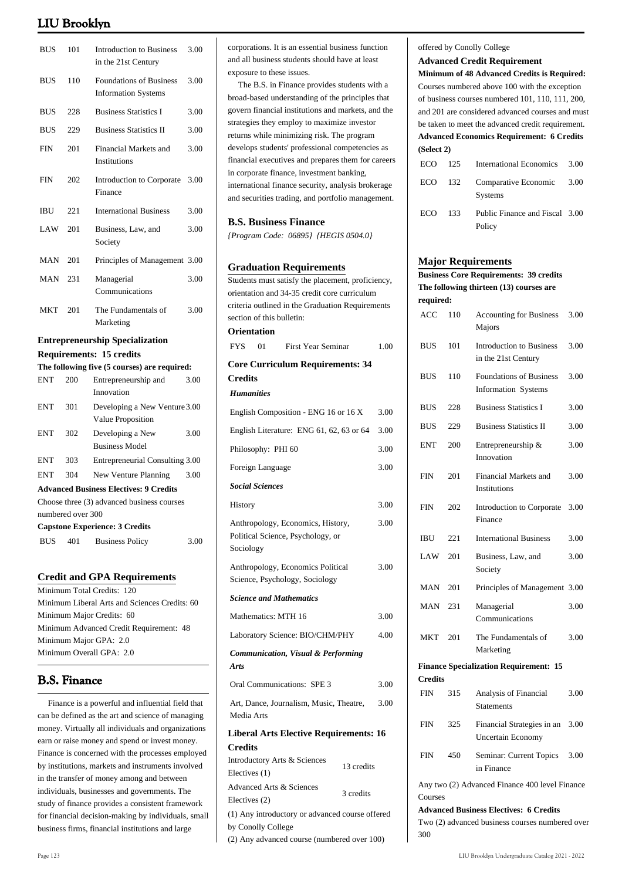| <b>BUS</b>        | 101 | <b>Introduction to Business</b><br>3.00<br>in the 21st Century       |      |
|-------------------|-----|----------------------------------------------------------------------|------|
| <b>BUS</b>        | 110 | <b>Foundations of Business</b><br>3.00<br><b>Information Systems</b> |      |
| <b>BUS</b>        | 228 | <b>Business Statistics I</b>                                         | 3.00 |
| <b>BUS</b>        | 229 | <b>Business Statistics II</b>                                        | 3.00 |
| FIN               | 201 | Financial Markets and<br>Institutions                                | 3.00 |
| <b>FIN</b>        | 202 | Introduction to Corporate<br>Finance                                 | 3.00 |
| <b>IBU</b>        | 221 | <b>International Business</b>                                        | 3.00 |
| LAW               | 201 | Business, Law, and<br>Society                                        |      |
| <b>MAN</b>        | 201 | Principles of Management                                             | 3.00 |
| <b>MAN</b>        | 231 | Managerial<br>Communications                                         |      |
| MKT               | 201 | The Fundamentals of<br>Marketing                                     | 3.00 |
|                   |     | <b>Entrepreneurship Specialization</b>                               |      |
|                   |     | <b>Requirements: 15 credits</b>                                      |      |
|                   |     | The following five (5 courses) are required:                         |      |
| <b>ENT</b>        | 200 | Entrepreneurship and<br>Innovation                                   | 3.00 |
| <b>ENT</b>        | 301 | Developing a New Venture 3.00<br>Value Proposition                   |      |
| <b>ENT</b>        | 302 | Developing a New<br><b>Business Model</b>                            | 3.00 |
| <b>ENT</b>        | 303 | Entrepreneurial Consulting 3.00                                      |      |
| <b>ENT</b>        | 304 | New Venture Planning<br>3.00                                         |      |
|                   |     | <b>Advanced Business Electives: 9 Credits</b>                        |      |
|                   |     | Choose three (3) advanced business courses                           |      |
| numbered over 300 |     |                                                                      |      |
|                   |     | <b>Capstone Experience: 3 Credits</b>                                |      |
| <b>BUS</b>        | 401 | <b>Business Policy</b>                                               | 3.00 |

#### **Credit and GPA Requirements**

Minimum Total Credits: 120 Minimum Liberal Arts and Sciences Credits: 60 Minimum Major Credits: 60 Minimum Advanced Credit Requirement: 48 Minimum Major GPA: 2.0 Minimum Overall GPA: 2.0

## **B.S. Finance**

 Finance is a powerful and influential field that can be defined as the art and science of managing money. Virtually all individuals and organizations earn or raise money and spend or invest money. Finance is concerned with the processes employed by institutions, markets and instruments involved in the transfer of money among and between individuals, businesses and governments. The study of finance provides a consistent framework for financial decision-making by individuals, small business firms, financial institutions and large

corporations. It is an essential business function and all business students should have at least exposure to these issues.

 The B.S. in Finance provides students with a broad-based understanding of the principles that govern financial institutions and markets, and the strategies they employ to maximize investor returns while minimizing risk. The program develops students' professional competencies as financial executives and prepares them for careers in corporate finance, investment banking, international finance security, analysis brokerage and securities trading, and portfolio management.

#### **B.S. Business Finance**

*{Program Code: 06895} {HEGIS 0504.0}*

#### **Graduation Requirements**

Students must satisfy the placement, proficiency, orientation and 34-35 credit core curriculum criteria outlined in the Graduation Requirements section of this bulletin: **Orientation** FYS 01 First Year Seminar 1.00 **Core Curriculum Requirements: 34**

### **Credits** *Humanities*

| English Composition - ENG 16 or 16 X                                                                                 |            | 3.00 |
|----------------------------------------------------------------------------------------------------------------------|------------|------|
| English Literature: ENG 61, 62, 63 or 64                                                                             |            | 3.00 |
| Philosophy: PHI 60                                                                                                   |            | 3.00 |
| Foreign Language                                                                                                     |            | 3.00 |
| <b>Social Sciences</b>                                                                                               |            |      |
| History                                                                                                              |            | 3.00 |
| Anthropology, Economics, History,<br>Political Science, Psychology, or<br>Sociology                                  |            | 3.00 |
| Anthropology, Economics Political<br>Science, Psychology, Sociology                                                  |            | 3.00 |
| <b>Science and Mathematics</b>                                                                                       |            |      |
| Mathematics: MTH 16                                                                                                  |            | 3.00 |
| Laboratory Science: BIO/CHM/PHY                                                                                      |            | 4.00 |
| Communication, Visual & Performing<br>Arts                                                                           |            |      |
| Oral Communications: SPE 3                                                                                           |            | 3.00 |
| Art, Dance, Journalism, Music, Theatre,<br>Media Arts                                                                |            | 3.00 |
| <b>Liberal Arts Elective Requirements: 16</b>                                                                        |            |      |
| <b>Credits</b>                                                                                                       |            |      |
| Introductory Arts & Sciences<br>Electives (1)                                                                        | 13 credits |      |
| <b>Advanced Arts &amp; Sciences</b><br>Electives (2)                                                                 | 3 credits  |      |
| (1) Any introductory or advanced course offered<br>by Conolly College<br>(2) Any advanced course (numbered over 100) |            |      |

#### offered by Conolly College

#### **Advanced Credit Requirement**

**Minimum of 48 Advanced Credits is Required:**  Courses numbered above 100 with the exception of business courses numbered 101, 110, 111, 200, and 201 are considered advanced courses and must be taken to meet the advanced credit requirement. **Advanced Economics Requirement: 6 Credits (Select 2)**

|         | ECO 125 International Economics 3.00        |  |
|---------|---------------------------------------------|--|
| ECO 132 | Comparative Economic 3.00<br><b>Systems</b> |  |
| ECO 133 | Public Finance and Fiscal 3.00<br>Policy    |  |

#### **Major Requirements**

|                |     | <b>Business Core Requirements: 39 credits</b>                |      |
|----------------|-----|--------------------------------------------------------------|------|
|                |     | The following thirteen (13) courses are                      |      |
| required:      |     |                                                              |      |
| ACC            | 110 | <b>Accounting for Business</b><br>Majors                     | 3.00 |
| <b>BUS</b>     | 101 | <b>Introduction to Business</b><br>in the 21st Century       | 3.00 |
| <b>BUS</b>     | 110 | <b>Foundations of Business</b><br><b>Information Systems</b> | 3.00 |
| <b>BUS</b>     | 228 | <b>Business Statistics I</b>                                 | 3.00 |
| <b>BUS</b>     | 229 | <b>Business Statistics II</b>                                | 3.00 |
| <b>ENT</b>     | 200 | Entrepreneurship &<br>Innovation                             | 3.00 |
| <b>FIN</b>     | 201 | Financial Markets and<br><b>Institutions</b>                 | 3.00 |
| <b>FIN</b>     | 202 | Introduction to Corporate<br>Finance                         | 3.00 |
| <b>IBU</b>     | 221 | <b>International Business</b>                                | 3.00 |
| LAW            | 201 | Business, Law, and<br>Society                                | 3.00 |
| MAN            | 201 | Principles of Management 3.00                                |      |
| MAN            | 231 | Managerial<br>Communications                                 | 3.00 |
| <b>MKT</b>     | 201 | The Fundamentals of<br>Marketing                             | 3.00 |
|                |     | <b>Finance Specialization Requirement: 15</b>                |      |
| <b>Credits</b> |     |                                                              |      |
| <b>FIN</b>     | 315 | Analysis of Financial<br><b>Statements</b>                   | 3.00 |
| <b>FIN</b>     | 325 | Financial Strategies in an<br><b>Uncertain Economy</b>       | 3.00 |
| <b>FIN</b>     | 450 | Seminar: Current Topics<br>in Finance                        | 3.00 |
|                |     | Any two (2) Advanced Finance 400 level Finance               |      |
| Courses        |     |                                                              |      |
|                |     | <b>Advanced Business Electives: 6 Credits</b>                |      |

Two (2) advanced business courses numbered over 300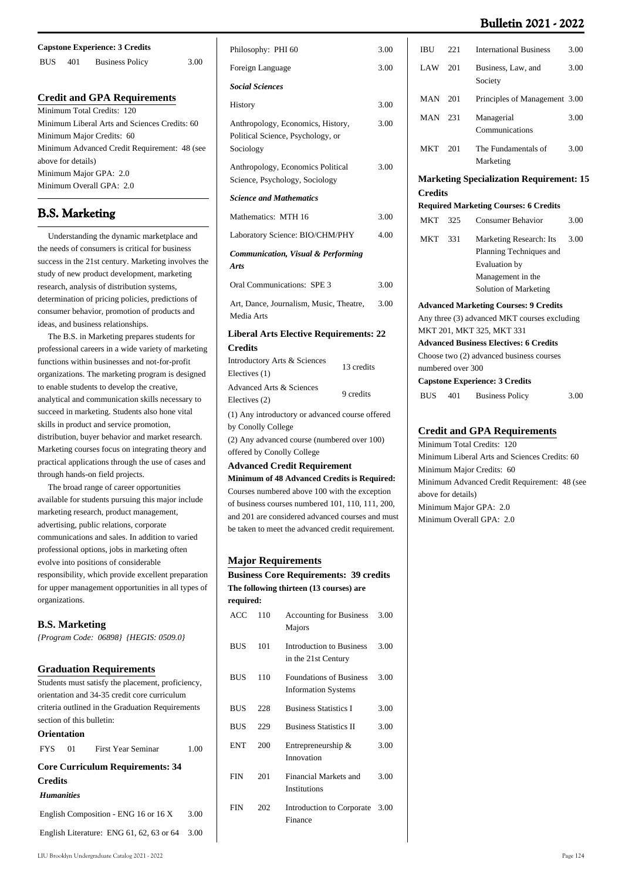| <b>Capstone Experience: 3 Credits</b> |                    |                                               |      |  |
|---------------------------------------|--------------------|-----------------------------------------------|------|--|
| <b>BUS</b>                            | 401                | <b>Business Policy</b>                        | 3.00 |  |
|                                       |                    | <b>Credit and GPA Requirements</b>            |      |  |
|                                       |                    |                                               |      |  |
|                                       |                    | Minimum Total Credits: 120                    |      |  |
|                                       |                    | Minimum Liberal Arts and Sciences Credits: 60 |      |  |
|                                       |                    | Minimum Major Credits: 60                     |      |  |
|                                       |                    | Minimum Advanced Credit Requirement: 48 (see  |      |  |
|                                       | above for details) |                                               |      |  |
|                                       |                    | Minimum Major GPA: 2.0                        |      |  |
|                                       |                    | Minimum Overall GPA: 2.0                      |      |  |

## **B.S. Marketing**

 Understanding the dynamic marketplace and the needs of consumers is critical for business success in the 21st century. Marketing involves the study of new product development, marketing research, analysis of distribution systems, determination of pricing policies, predictions of consumer behavior, promotion of products and ideas, and business relationships.

 The B.S. in Marketing prepares students for professional careers in a wide variety of marketing functions within businesses and not-for-profit organizations. The marketing program is designed to enable students to develop the creative, analytical and communication skills necessary to succeed in marketing. Students also hone vital skills in product and service promotion, distribution, buyer behavior and market research. Marketing courses focus on integrating theory and practical applications through the use of cases and through hands-on field projects.

 The broad range of career opportunities available for students pursuing this major include marketing research, product management, advertising, public relations, corporate communications and sales. In addition to varied professional options, jobs in marketing often evolve into positions of considerable responsibility, which provide excellent preparation for upper management opportunities in all types of organizations.

## **B.S. Marketing**

*{Program Code: 06898} {HEGIS: 0509.0}*

| <b>Graduation Requirements</b>                  |  |
|-------------------------------------------------|--|
| Students must satisfy the placement proficiency |  |

|                    | buddents must satisfy the placement, proficiency, |      |
|--------------------|---------------------------------------------------|------|
|                    | orientation and 34-35 credit core curriculum      |      |
|                    | criteria outlined in the Graduation Requirements  |      |
|                    | section of this bulletin:                         |      |
| <b>Orientation</b> |                                                   |      |
|                    | FYS 01 First Year Seminar                         | 1.00 |
|                    | <b>Core Curriculum Requirements: 34</b>           |      |
| <b>Credits</b>     |                                                   |      |
| <b>Humanities</b>  |                                                   |      |
|                    | English Composition - ENG 16 or 16 X              | 3.00 |
|                    | English Literature: ENG 61, 62, 63 or 64          | 3.00 |
|                    |                                                   |      |

| Philosophy: PHI 60<br>3.00                                                                                                                                                                                                                                   |  |
|--------------------------------------------------------------------------------------------------------------------------------------------------------------------------------------------------------------------------------------------------------------|--|
| Foreign Language<br>3.00                                                                                                                                                                                                                                     |  |
| <b>Social Sciences</b>                                                                                                                                                                                                                                       |  |
| 3.00<br><b>History</b>                                                                                                                                                                                                                                       |  |
| Anthropology, Economics, History,<br>3.00<br>Political Science, Psychology, or<br>Sociology                                                                                                                                                                  |  |
| Anthropology, Economics Political<br>3.00<br>Science, Psychology, Sociology                                                                                                                                                                                  |  |
| <b>Science and Mathematics</b>                                                                                                                                                                                                                               |  |
| Mathematics: MTH 16<br>3.00                                                                                                                                                                                                                                  |  |
| Laboratory Science: BIO/CHM/PHY<br>4.00                                                                                                                                                                                                                      |  |
| Communication, Visual & Performing<br>Arts                                                                                                                                                                                                                   |  |
| Oral Communications: SPE 3<br>3.00                                                                                                                                                                                                                           |  |
| Art, Dance, Journalism, Music, Theatre,<br>3.00<br>Media Arts                                                                                                                                                                                                |  |
| <b>Liberal Arts Elective Requirements: 22</b>                                                                                                                                                                                                                |  |
| <b>Credits</b><br>Introductory Arts & Sciences<br>13 credits<br>Electives (1)                                                                                                                                                                                |  |
| <b>Advanced Arts &amp; Sciences</b><br>9 credits<br>Electives (2)                                                                                                                                                                                            |  |
| (1) Any introductory or advanced course offered<br>by Conolly College<br>(2) Any advanced course (numbered over 100)<br>offered by Conolly College                                                                                                           |  |
| <b>Advanced Credit Requirement</b>                                                                                                                                                                                                                           |  |
| Minimum of 48 Advanced Credits is Required:<br>Courses numbered above 100 with the exception<br>of business courses numbered $101, 110, 111, 200$ ,<br>and 201 are considered advanced courses and must<br>be taken to meet the advanced credit requirement. |  |

#### **Major Requirements**

**Business Core Requirements: 39 credits The following thirteen (13 courses) are required:**

| ACC        | 110 | <b>Accounting for Business</b><br>Majors                     | 3.00 |
|------------|-----|--------------------------------------------------------------|------|
| <b>BUS</b> | 101 | <b>Introduction to Business</b><br>in the 21st Century       | 3.00 |
| <b>BUS</b> | 110 | <b>Foundations of Business</b><br><b>Information Systems</b> | 3.00 |
| <b>BUS</b> | 228 | <b>Business Statistics I</b>                                 | 3.00 |
| <b>BUS</b> | 229 | <b>Business Statistics II</b>                                | 3.00 |
| <b>ENT</b> | 200 | Entrepreneurship &<br>Innovation                             | 3.00 |
| <b>FIN</b> | 201 | Financial Markets and<br>Institutions                        | 3.00 |
| <b>FIN</b> | 202 | Introduction to Corporate<br>Finance                         | 3.00 |
|            |     |                                                              |      |

| IBU            | 221               | <b>International Business</b>                                                                                     | 3.00 |
|----------------|-------------------|-------------------------------------------------------------------------------------------------------------------|------|
| LAW            | 201               | Business, Law, and<br>Society                                                                                     | 3.00 |
| MAN            | 201               | Principles of Management 3.00                                                                                     |      |
| MAN            | 231               | Managerial<br>Communications                                                                                      | 3.00 |
| <b>MKT</b>     | 201               | The Fundamentals of<br>Marketing                                                                                  | 3.00 |
|                |                   | <b>Marketing Specialization Requirement: 15</b>                                                                   |      |
| <b>Credits</b> |                   |                                                                                                                   |      |
|                |                   | <b>Required Marketing Courses: 6 Credits</b>                                                                      |      |
| <b>MKT</b>     | 325               | <b>Consumer Behavior</b>                                                                                          | 3.00 |
| <b>MKT</b>     | 331               | Marketing Research: Its<br>Planning Techniques and<br>Evaluation by<br>Management in the<br>Solution of Marketing | 3.00 |
|                |                   | <b>Advanced Marketing Courses: 9 Credits</b>                                                                      |      |
|                |                   | Any three (3) advanced MKT courses excluding                                                                      |      |
|                |                   | MKT 201, MKT 325, MKT 331                                                                                         |      |
|                |                   | <b>Advanced Business Electives: 6 Credits</b>                                                                     |      |
|                |                   | Choose two (2) advanced business courses                                                                          |      |
|                | numbered over 300 |                                                                                                                   |      |
|                |                   | <b>Capstone Experience: 3 Credits</b>                                                                             |      |

| <b>BUS</b> 401 | <b>Business Policy</b> | 3.00 |
|----------------|------------------------|------|

### **Credit and GPA Requirements**

Minimum Total Credits: 120 Minimum Liberal Arts and Sciences Credits: 60 Minimum Major Credits: 60 Minimum Advanced Credit Requirement: 48 (see above for details) Minimum Major GPA: 2.0 Minimum Overall GPA: 2.0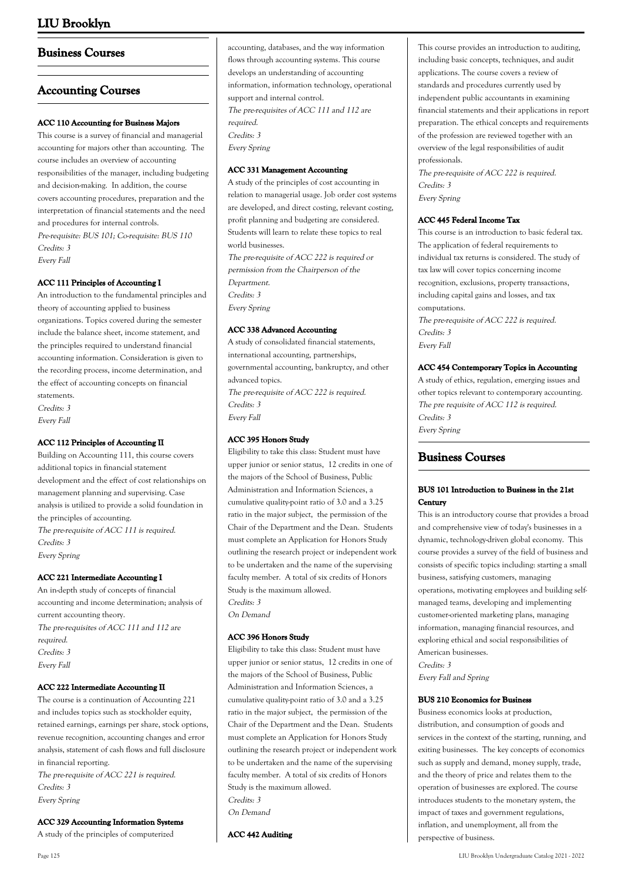## **Business Courses**

## **Accounting Courses**

### **ACC 110 Accounting for Business Majors**

This course is a survey of financial and managerial accounting for majors other than accounting. The course includes an overview of accounting responsibilities of the manager, including budgeting and decision-making. In addition, the course covers accounting procedures, preparation and the interpretation of financial statements and the need and procedures for internal controls. Pre-requisite: BUS 101; Co-requisite: BUS 110 Credits: 3 Every Fall

### **ACC 111 Principles of Accounting I**

An introduction to the fundamental principles and theory of accounting applied to business organizations. Topics covered during the semester include the balance sheet, income statement, and the principles required to understand financial accounting information. Consideration is given to the recording process, income determination, and the effect of accounting concepts on financial statements.

Credits: 3 Every Fall

## **ACC 112 Principles of Accounting II**

Building on Accounting 111, this course covers additional topics in financial statement development and the effect of cost relationships on management planning and supervising. Case analysis is utilized to provide a solid foundation in the principles of accounting. The pre-requisite of ACC 111 is required. Credits: 3 Every Spring

#### **ACC 221 Intermediate Accounting I**

An in-depth study of concepts of financial accounting and income determination; analysis of current accounting theory. The pre-requisites of ACC 111 and 112 are required. Credits: 3 Every Fall

#### **ACC 222 Intermediate Accounting II**

The course is a continuation of Accounting 221 and includes topics such as stockholder equity, retained earnings, earnings per share, stock options, revenue recognition, accounting changes and error analysis, statement of cash flows and full disclosure in financial reporting. The pre-requisite of ACC 221 is required. Credits: 3

Every Spring

**ACC 329 Accounting Information Systems**

A study of the principles of computerized

#### **ACC 331 Management Accounting**

A study of the principles of cost accounting in relation to managerial usage. Job order cost systems are developed, and direct costing, relevant costing, profit planning and budgeting are considered. Students will learn to relate these topics to real world businesses. The pre-requisite of ACC 222 is required or permission from the Chairperson of the Department. Credits: 3 Every Spring

### **ACC 338 Advanced Accounting**

A study of consolidated financial statements, international accounting, partnerships, governmental accounting, bankruptcy, and other advanced topics. The pre-requisite of ACC 222 is required. Credits: 3 Every Fall

## **ACC 395 Honors Study**

Eligibility to take this class: Student must have upper junior or senior status, 12 credits in one of the majors of the School of Business, Public Administration and Information Sciences, a cumulative quality-point ratio of 3.0 and a 3.25 ratio in the major subject, the permission of the Chair of the Department and the Dean. Students must complete an Application for Honors Study outlining the research project or independent work to be undertaken and the name of the supervising faculty member. A total of six credits of Honors Study is the maximum allowed. Credits: 3

On Demand

#### **ACC 396 Honors Study**

Eligibility to take this class: Student must have upper junior or senior status, 12 credits in one of the majors of the School of Business, Public Administration and Information Sciences, a cumulative quality-point ratio of 3.0 and a 3.25 ratio in the major subject, the permission of the Chair of the Department and the Dean. Students must complete an Application for Honors Study outlining the research project or independent work to be undertaken and the name of the supervising faculty member. A total of six credits of Honors Study is the maximum allowed. Credits: 3

On Demand

**ACC 442 Auditing**

This course provides an introduction to auditing, including basic concepts, techniques, and audit applications. The course covers a review of standards and procedures currently used by independent public accountants in examining financial statements and their applications in report preparation. The ethical concepts and requirements of the profession are reviewed together with an overview of the legal responsibilities of audit professionals.

The pre-requisite of ACC 222 is required. Credits: 3 Every Spring

#### **ACC 445 Federal Income Tax**

This course is an introduction to basic federal tax. The application of federal requirements to individual tax returns is considered. The study of tax law will cover topics concerning income recognition, exclusions, property transactions, including capital gains and losses, and tax computations. The pre-requisite of ACC 222 is required. Credits: 3 Every Fall

### **ACC 454 Contemporary Topics in Accounting**

A study of ethics, regulation, emerging issues and other topics relevant to contemporary accounting. The pre requisite of ACC 112 is required. Credits: 3 Every Spring

## **Business Courses**

### **BUS 101 Introduction to Business in the 21st Century**

This is an introductory course that provides a broad and comprehensive view of today's businesses in a dynamic, technology-driven global economy. This course provides a survey of the field of business and consists of specific topics including: starting a small business, satisfying customers, managing operations, motivating employees and building selfmanaged teams, developing and implementing customer-oriented marketing plans, managing information, managing financial resources, and exploring ethical and social responsibilities of American businesses.

Credits: 3 Every Fall and Spring

#### **BUS 210 Economics for Business**

Business economics looks at production, distribution, and consumption of goods and services in the context of the starting, running, and exiting businesses. The key concepts of economics such as supply and demand, money supply, trade, and the theory of price and relates them to the operation of businesses are explored. The course introduces students to the monetary system, the impact of taxes and government regulations, inflation, and unemployment, all from the perspective of business.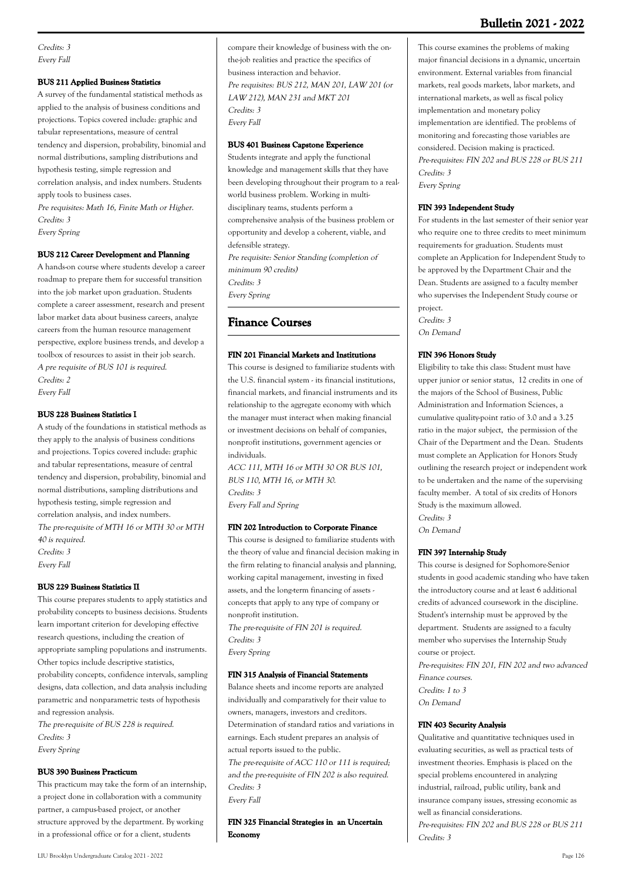Credits: 3 Every Fall

#### **BUS 211 Applied Business Statistics**

A survey of the fundamental statistical methods as applied to the analysis of business conditions and projections. Topics covered include: graphic and tabular representations, measure of central tendency and dispersion, probability, binomial and normal distributions, sampling distributions and hypothesis testing, simple regression and correlation analysis, and index numbers. Students apply tools to business cases.

Pre requisites: Math 16, Finite Math or Higher. Credits: 3

Every Spring

#### **BUS 212 Career Development and Planning**

A hands-on course where students develop a career roadmap to prepare them for successful transition into the job market upon graduation. Students complete a career assessment, research and present labor market data about business careers, analyze careers from the human resource management perspective, explore business trends, and develop a toolbox of resources to assist in their job search. A pre requisite of BUS 101 is required. Credits: 2 Every Fall

#### **BUS 228 Business Statistics I**

A study of the foundations in statistical methods as they apply to the analysis of business conditions and projections. Topics covered include: graphic and tabular representations, measure of central tendency and dispersion, probability, binomial and normal distributions, sampling distributions and hypothesis testing, simple regression and correlation analysis, and index numbers. The pre-requisite of MTH 16 or MTH 30 or MTH 40 is required. Credits: 3 Every Fall

#### **BUS 229 Business Statistics II**

This course prepares students to apply statistics and probability concepts to business decisions. Students learn important criterion for developing effective research questions, including the creation of appropriate sampling populations and instruments. Other topics include descriptive statistics, probability concepts, confidence intervals, sampling designs, data collection, and data analysis including parametric and nonparametric tests of hypothesis and regression analysis. The pre-requisite of BUS 228 is required.

Credits: 3 Every Spring

#### **BUS 390 Business Practicum**

This practicum may take the form of an internship, a project done in collaboration with a community partner, a campus-based project, or another structure approved by the department. By working in a professional office or for a client, students

compare their knowledge of business with the onthe-job realities and practice the specifics of business interaction and behavior. Pre requisites: BUS 212, MAN 201, LAW 201 (or LAW 212), MAN 231 and MKT 201 Credits: 3 Every Fall

### **BUS 401 Business Capstone Experience**

Students integrate and apply the functional knowledge and management skills that they have been developing throughout their program to a realworld business problem. Working in multidisciplinary teams, students perform a comprehensive analysis of the business problem or opportunity and develop a coherent, viable, and defensible strategy. Pre requisite: Senior Standing (completion of minimum 90 credits) Credits: 3 Every Spring

## **Finance Courses**

#### **FIN 201 Financial Markets and Institutions**

This course is designed to familiarize students with the U.S. financial system - its financial institutions, financial markets, and financial instruments and its relationship to the aggregate economy with which the manager must interact when making financial or investment decisions on behalf of companies, nonprofit institutions, government agencies or individuals.

ACC 111, MTH 16 or MTH 30 OR BUS 101, BUS 110, MTH 16, or MTH 30. Credits: 3 Every Fall and Spring

#### **FIN 202 Introduction to Corporate Finance**

This course is designed to familiarize students with the theory of value and financial decision making in the firm relating to financial analysis and planning, working capital management, investing in fixed assets, and the long-term financing of assets concepts that apply to any type of company or nonprofit institution.

The pre-requisite of FIN 201 is required. Credits: 3 Every Spring

#### **FIN 315 Analysis of Financial Statements**

Balance sheets and income reports are analyzed individually and comparatively for their value to owners, managers, investors and creditors. Determination of standard ratios and variations in earnings. Each student prepares an analysis of actual reports issued to the public. The pre-requisite of ACC 110 or 111 is required: and the pre-requisite of FIN 202 is also required. Credits: 3 Every Fall

**FIN 325 Financial Strategies in an Uncertain Economy**

This course examines the problems of making major financial decisions in a dynamic, uncertain environment. External variables from financial markets, real goods markets, labor markets, and international markets, as well as fiscal policy implementation and monetary policy implementation are identified. The problems of monitoring and forecasting those variables are considered. Decision making is practiced. Pre-requisites: FIN 202 and BUS 228 or BUS 211 Credits: 3 Every Spring

#### **FIN 393 Independent Study**

For students in the last semester of their senior year who require one to three credits to meet minimum requirements for graduation. Students must complete an Application for Independent Study to be approved by the Department Chair and the Dean. Students are assigned to a faculty member who supervises the Independent Study course or project. Credits: 3

On Demand

#### **FIN 396 Honors Study**

Eligibility to take this class: Student must have upper junior or senior status, 12 credits in one of the majors of the School of Business, Public Administration and Information Sciences, a cumulative quality-point ratio of 3.0 and a 3.25 ratio in the major subject, the permission of the Chair of the Department and the Dean. Students must complete an Application for Honors Study outlining the research project or independent work to be undertaken and the name of the supervising faculty member. A total of six credits of Honors Study is the maximum allowed. Credits: 3

On Demand

#### **FIN 397 Internship Study**

This course is designed for Sophomore-Senior students in good academic standing who have taken the introductory course and at least 6 additional credits of advanced coursework in the discipline. Student's internship must be approved by the department. Students are assigned to a faculty member who supervises the Internship Study course or project.

Pre-requisites: FIN 201, FIN 202 and two advanced Finance courses. Credits: 1 to 3 On Demand

### **FIN 403 Security Analysis**

Qualitative and quantitative techniques used in evaluating securities, as well as practical tests of investment theories. Emphasis is placed on the special problems encountered in analyzing industrial, railroad, public utility, bank and insurance company issues, stressing economic as well as financial considerations. Pre-requisites: FIN 202 and BUS 228 or BUS 211

Credits: 3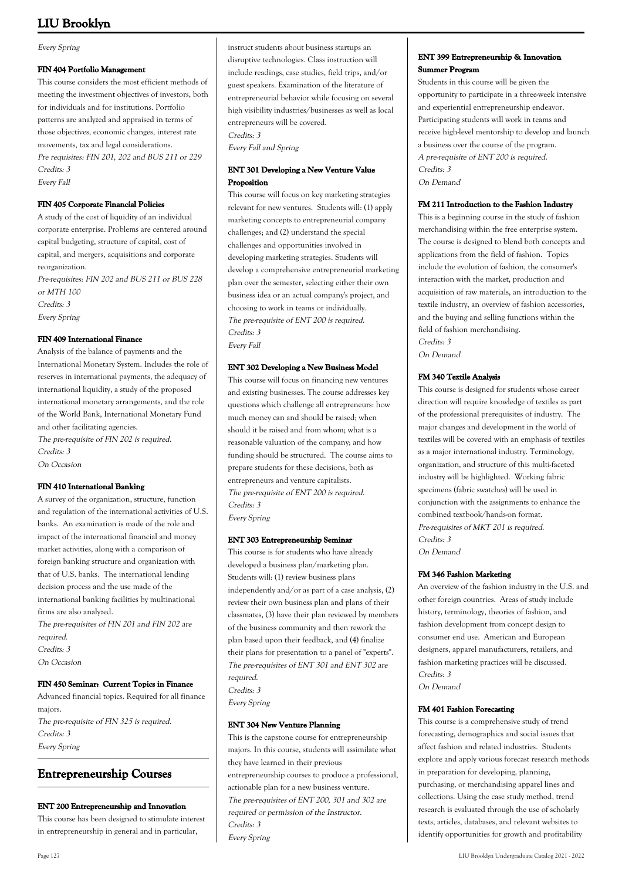#### Every Spring

#### **FIN 404 Portfolio Management**

This course considers the most efficient methods of meeting the investment objectives of investors, both for individuals and for institutions. Portfolio patterns are analyzed and appraised in terms of those objectives, economic changes, interest rate movements, tax and legal considerations. Pre requisites: FIN 201, 202 and BUS 211 or 229 Credits: 3 Every Fall

#### **FIN 405 Corporate Financial Policies**

A study of the cost of liquidity of an individual corporate enterprise. Problems are centered around capital budgeting, structure of capital, cost of capital, and mergers, acquisitions and corporate reorganization. Pre-requisites: FIN 202 and BUS 211 or BUS 228

or MTH 100 Credits: 3 Every Spring

#### **FIN 409 International Finance**

Analysis of the balance of payments and the International Monetary System. Includes the role of reserves in international payments, the adequacy of international liquidity, a study of the proposed international monetary arrangements, and the role of the World Bank, International Monetary Fund and other facilitating agencies. The pre-requisite of FIN 202 is required. Credits: 3 On Occasion

#### **FIN 410 International Banking**

A survey of the organization, structure, function and regulation of the international activities of U.S. banks. An examination is made of the role and impact of the international financial and money market activities, along with a comparison of foreign banking structure and organization with that of U.S. banks. The international lending decision process and the use made of the international banking facilities by multinational firms are also analyzed.

The pre-requisites of FIN 201 and FIN 202 are required. Credits: 3

On Occasion

#### **FIN 450 Seminar: Current Topics in Finance**

Advanced financial topics. Required for all finance majors. The pre-requisite of FIN 325 is required. Credits: 3 Every Spring

## **Entrepreneurship Courses**

### **ENT 200 Entrepreneurship and Innovation**

This course has been designed to stimulate interest in entrepreneurship in general and in particular,

instruct students about business startups an disruptive technologies. Class instruction will include readings, case studies, field trips, and/or guest speakers. Examination of the literature of entrepreneurial behavior while focusing on several high visibility industries/businesses as well as local entrepreneurs will be covered.

Credits: 3

Every Fall and Spring

## **ENT 301 Developing a New Venture Value Proposition**

This course will focus on key marketing strategies relevant for new ventures. Students will: (1) apply marketing concepts to entrepreneurial company challenges; and (2) understand the special challenges and opportunities involved in developing marketing strategies. Students will develop a comprehensive entrepreneurial marketing plan over the semester, selecting either their own business idea or an actual company's project, and choosing to work in teams or individually. The pre-requisite of ENT 200 is required. Credits: 3 Every Fall

#### **ENT 302 Developing a New Business Model**

This course will focus on financing new ventures and existing businesses. The course addresses key questions which challenge all entrepreneurs: how much money can and should be raised; when should it be raised and from whom; what is a reasonable valuation of the company; and how funding should be structured. The course aims to prepare students for these decisions, both as entrepreneurs and venture capitalists. The pre-requisite of ENT 200 is required. Credits: 3 Every Spring

**ENT 303 Entrepreneurship Seminar**

This course is for students who have already developed a business plan/marketing plan. Students will: (1) review business plans independently and/or as part of a case analysis, (2) review their own business plan and plans of their classmates, (3) have their plan reviewed by members of the business community and then rework the plan based upon their feedback, and (4) finalize their plans for presentation to a panel of "experts". The pre-requisites of ENT 301 and ENT 302 are required. Credits: 3 Every Spring

## **ENT 304 New Venture Planning**

This is the capstone course for entrepreneurship majors. In this course, students will assimilate what they have learned in their previous entrepreneurship courses to produce a professional, actionable plan for a new business venture. The pre-requisites of ENT 200, 301 and 302 are required or permission of the Instructor. Credits: 3 Every Spring

### **ENT 399 Entrepreneurship & Innovation Summer Program**

Students in this course will be given the opportunity to participate in a three-week intensive and experiential entrepreneurship endeavor. Participating students will work in teams and receive high-level mentorship to develop and launch a business over the course of the program. A pre-requisite of ENT 200 is required. Credits: 3 On Demand

#### **FM 211 Introduction to the Fashion Industry**

This is a beginning course in the study of fashion merchandising within the free enterprise system. The course is designed to blend both concepts and applications from the field of fashion. Topics include the evolution of fashion, the consumer's interaction with the market, production and acquisition of raw materials, an introduction to the textile industry, an overview of fashion accessories, and the buying and selling functions within the field of fashion merchandising. Credits: 3 On Demand

## **FM 340 Textile Analysis**

This course is designed for students whose career direction will require knowledge of textiles as part of the professional prerequisites of industry. The major changes and development in the world of textiles will be covered with an emphasis of textiles as a major international industry. Terminology, organization, and structure of this multi-faceted industry will be highlighted. Working fabric specimens (fabric swatches) will be used in conjunction with the assignments to enhance the combined textbook/hands-on format. Pre-requisites of MKT 201 is required. Credits: 3 On Demand

**FM 346 Fashion Marketing**

An overview of the fashion industry in the U.S. and other foreign countries. Areas of study include history, terminology, theories of fashion, and fashion development from concept design to consumer end use. American and European designers, apparel manufacturers, retailers, and fashion marketing practices will be discussed. Credits: 3 On Demand

**FM 401 Fashion Forecasting**

This course is a comprehensive study of trend forecasting, demographics and social issues that affect fashion and related industries. Students explore and apply various forecast research methods in preparation for developing, planning, purchasing, or merchandising apparel lines and collections. Using the case study method, trend research is evaluated through the use of scholarly texts, articles, databases, and relevant websites to identify opportunities for growth and profitability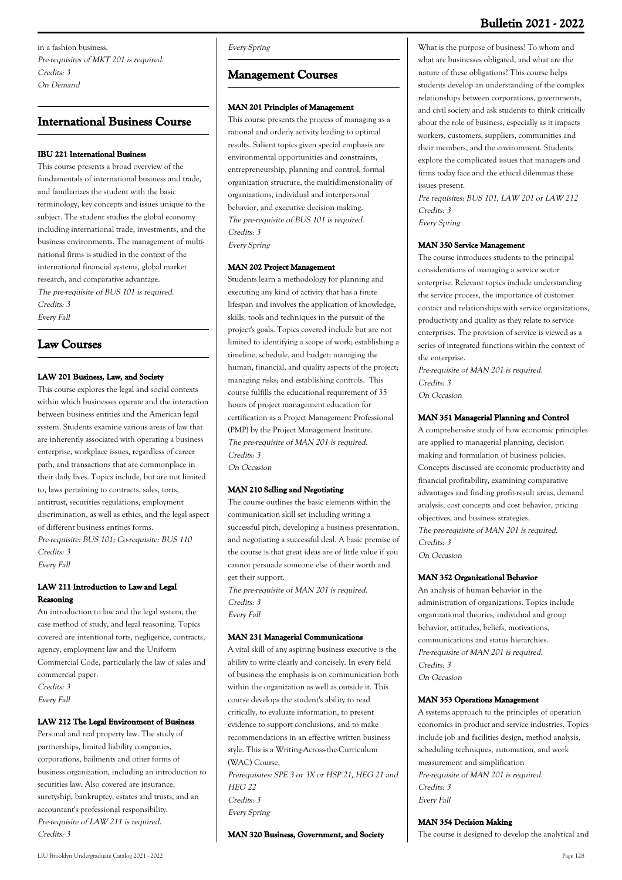## **International Business Course**

#### **IBU 221 International Business**

This course presents a broad overview of the fundamentals of international business and trade, and familiarizes the student with the basic terminology, key concepts and issues unique to the subject. The student studies the global economy including international trade, investments, and the business environments. The management of multinational firms is studied in the context of the international financial systems, global market research, and comparative advantage. The pre-requisite of BUS 101 is required. Credits: 3 Every Fall

## **Law Courses**

## **LAW 201 Business, Law, and Society**

This course explores the legal and social contexts within which businesses operate and the interaction between business entities and the American legal system. Students examine various areas of law that are inherently associated with operating a business enterprise, workplace issues, regardless of career path, and transactions that are commonplace in their daily lives. Topics include, but are not limited to, laws pertaining to contracts, sales, torts, antitrust, securities regulations, employment discrimination, as well as ethics, and the legal aspect of different business entities forms. Pre-requisite: BUS 101; Co-requisite: BUS 110 Credits: 3

Every Fall

## **LAW 211 Introduction to Law and Legal Reasoning**

An introduction to law and the legal system, the case method of study, and legal reasoning. Topics covered are intentional torts, negligence, contracts, agency, employment law and the Uniform Commercial Code, particularly the law of sales and commercial paper. Credits: 3 Every Fall

#### **LAW 212 The Legal Environment of Business**

Personal and real property law. The study of partnerships, limited liability companies, corporations, bailments and other forms of business organization, including an introduction to securities law. Also covered are insurance, suretyship, bankruptcy, estates and trusts, and an accountant's professional responsibility. Pre-requisite of LAW 211 is required. Credits: 3

Every Spring

## **Management Courses**

### **MAN 201 Principles of Management**

This course presents the process of managing as a rational and orderly activity leading to optimal results. Salient topics given special emphasis are environmental opportunities and constraints, entrepreneurship, planning and control, formal organization structure, the multidimensionality of organizations, individual and interpersonal behavior, and executive decision making. The pre-requisite of BUS 101 is required. Credits: 3 Every Spring

#### **MAN 202 Project Management**

Students learn a methodology for planning and executing any kind of activity that has a finite lifespan and involves the application of knowledge, skills, tools and techniques in the pursuit of the project's goals. Topics covered include but are not limited to identifying a scope of work; establishing a timeline, schedule, and budget; managing the human, financial, and quality aspects of the project; managing risks; and establishing controls. This course fulfills the educational requirement of 35 hours of project management education for certification as a Project Management Professional (PMP) by the Project Management Institute. The pre-requisite of MAN 201 is required. Credits: 3 On Occasion

#### **MAN 210 Selling and Negotiating**

The course outlines the basic elements within the communication skill set including writing a successful pitch, developing a business presentation, and negotiating a successful deal. A basic premise of the course is that great ideas are of little value if you cannot persuade someone else of their worth and get their support.

The pre-requisite of MAN 201 is required. Credits: 3 Every Fall

### **MAN 231 Managerial Communications**

A vital skill of any aspiring business executive is the ability to write clearly and concisely. In every field of business the emphasis is on communication both within the organization as well as outside it. This course develops the student's ability to read critically, to evaluate information, to present evidence to support conclusions, and to make recommendations in an effective written business style. This is a Writing-Across-the-Curriculum (WAC) Course.

Prerequisites: SPE 3 or 3X or HSP 21, HEG 21 and  $HEG$  22 Credits: 3 Every Spring

**MAN 320 Business, Government, and Society**

What is the purpose of business? To whom and what are businesses obligated, and what are the nature of these obligations? This course helps students develop an understanding of the complex relationships between corporations, governments, and civil society and ask students to think critically about the role of business, especially as it impacts workers, customers, suppliers, communities and their members, and the environment. Students explore the complicated issues that managers and firms today face and the ethical dilemmas these issues present.

Pre requisites: BUS 101, LAW 201 or LAW 212 Credits: 3

Every Spring

## **MAN 350 Service Management**

The course introduces students to the principal considerations of managing a service sector enterprise. Relevant topics include understanding the service process, the importance of customer contact and relationships with service organizations, productivity and quality as they relate to service enterprises. The provision of service is viewed as a series of integrated functions within the context of the enterprise.

Pre-requisite of MAN 201 is required. Credits: 3 On Occasion

### **MAN 351 Managerial Planning and Control**

A comprehensive study of how economic principles are applied to managerial planning, decision making and formulation of business policies. Concepts discussed are economic productivity and financial profitability, examining comparative advantages and finding profit-result areas, demand analysis, cost concepts and cost behavior, pricing objectives, and business strategies. The pre-requisite of MAN 201 is required. Credits: 3 On Occasion

#### **MAN 352 Organizational Behavior**

An analysis of human behavior in the administration of organizations. Topics include organizational theories, individual and group behavior, attitudes, beliefs, motivations, communications and status hierarchies. Pre-requisite of MAN 201 is required. Credits: 3 On Occasion

#### **MAN 353 Operations Management**

A systems approach to the principles of operation economics in product and service industries. Topics include job and facilities design, method analysis, scheduling techniques, automation, and work measurement and simplification Pre-requisite of MAN 201 is required. Credits: 3 Every Fall

#### **MAN 354 Decision Making**

The course is designed to develop the analytical and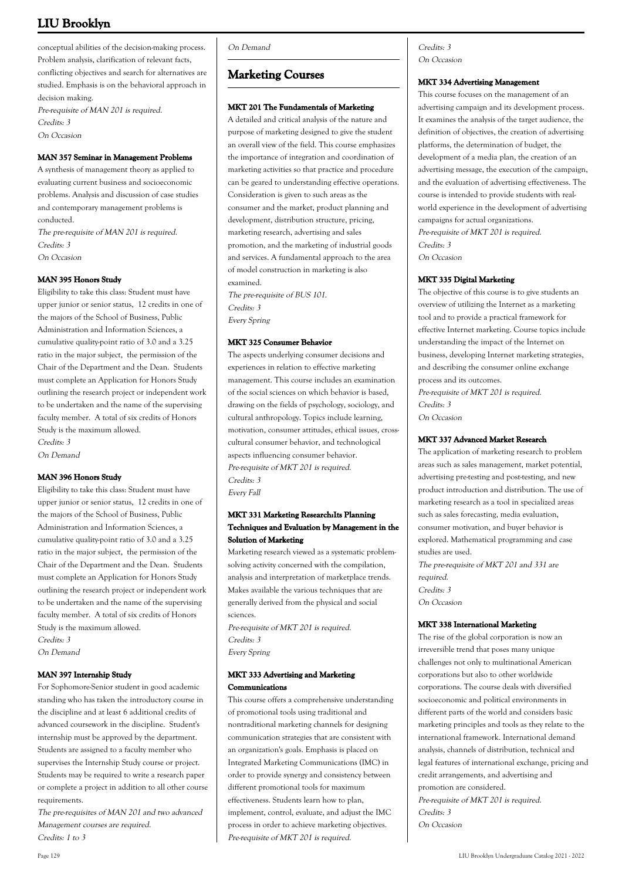conceptual abilities of the decision-making process. Problem analysis, clarification of relevant facts, conflicting objectives and search for alternatives are studied. Emphasis is on the behavioral approach in decision making. Pre-requisite of MAN 201 is required.

Credits: 3

On Occasion

## **MAN 357 Seminar in Management Problems**

A synthesis of management theory as applied to evaluating current business and socioeconomic problems. Analysis and discussion of case studies and contemporary management problems is conducted. The pre-requisite of MAN 201 is required. Credits: 3 On Occasion

## **MAN 395 Honors Study**

Eligibility to take this class: Student must have upper junior or senior status, 12 credits in one of the majors of the School of Business, Public Administration and Information Sciences, a cumulative quality-point ratio of 3.0 and a 3.25 ratio in the major subject, the permission of the Chair of the Department and the Dean. Students must complete an Application for Honors Study outlining the research project or independent work to be undertaken and the name of the supervising faculty member. A total of six credits of Honors Study is the maximum allowed. Credits: 3

On Demand

## **MAN 396 Honors Study**

Eligibility to take this class: Student must have upper junior or senior status, 12 credits in one of the majors of the School of Business, Public Administration and Information Sciences, a cumulative quality-point ratio of 3.0 and a 3.25 ratio in the major subject, the permission of the Chair of the Department and the Dean. Students must complete an Application for Honors Study outlining the research project or independent work to be undertaken and the name of the supervising faculty member. A total of six credits of Honors Study is the maximum allowed. Credits: 3 On Demand

## **MAN 397 Internship Study**

For Sophomore-Senior student in good academic standing who has taken the introductory course in the discipline and at least 6 additional credits of advanced coursework in the discipline. Student's internship must be approved by the department. Students are assigned to a faculty member who supervises the Internship Study course or project. Students may be required to write a research paper or complete a project in addition to all other course requirements.

The pre-requisites of MAN 201 and two advanced Management courses are required. Credits: 1 to 3

On Demand

## **Marketing Courses**

## **MKT 201 The Fundamentals of Marketing**

A detailed and critical analysis of the nature and purpose of marketing designed to give the student an overall view of the field. This course emphasizes the importance of integration and coordination of marketing activities so that practice and procedure can be geared to understanding effective operations. Consideration is given to such areas as the consumer and the market, product planning and development, distribution structure, pricing, marketing research, advertising and sales promotion, and the marketing of industrial goods and services. A fundamental approach to the area of model construction in marketing is also examined.

The pre-requisite of BUS 101. Credits: 3 Every Spring

### **MKT 325 Consumer Behavior**

The aspects underlying consumer decisions and experiences in relation to effective marketing management. This course includes an examination of the social sciences on which behavior is based, drawing on the fields of psychology, sociology, and cultural anthropology. Topics include learning, motivation, consumer attitudes, ethical issues, crosscultural consumer behavior, and technological aspects influencing consumer behavior. Pre-requisite of MKT 201 is required. Credits: 3 Every Fall

## **MKT 331 Marketing Research:Its Planning Techniques and Evaluation by Management in the Solution of Marketing**

Marketing research viewed as a systematic problemsolving activity concerned with the compilation, analysis and interpretation of marketplace trends. Makes available the various techniques that are generally derived from the physical and social sciences.

Pre-requisite of MKT 201 is required. Credits: 3 Every Spring

### **MKT 333 Advertising and Marketing Communications**

This course offers a comprehensive understanding of promotional tools using traditional and nontraditional marketing channels for designing communication strategies that are consistent with an organization's goals. Emphasis is placed on Integrated Marketing Communications (IMC) in order to provide synergy and consistency between different promotional tools for maximum effectiveness. Students learn how to plan, implement, control, evaluate, and adjust the IMC process in order to achieve marketing objectives. Pre-requisite of MKT 201 is required.

Credits: 3 On Occasion

### **MKT 334 Advertising Management**

This course focuses on the management of an advertising campaign and its development process. It examines the analysis of the target audience, the definition of objectives, the creation of advertising platforms, the determination of budget, the development of a media plan, the creation of an advertising message, the execution of the campaign, and the evaluation of advertising effectiveness. The course is intended to provide students with realworld experience in the development of advertising campaigns for actual organizations. Pre-requisite of MKT 201 is required. Credits: 3

On Occasion

## **MKT 335 Digital Marketing**

The objective of this course is to give students an overview of utilizing the Internet as a marketing tool and to provide a practical framework for effective Internet marketing. Course topics include understanding the impact of the Internet on business, developing Internet marketing strategies, and describing the consumer online exchange process and its outcomes.

Pre-requisite of MKT 201 is required. Credits: 3 On Occasion

#### **MKT 337 Advanced Market Research**

The application of marketing research to problem areas such as sales management, market potential, advertising pre-testing and post-testing, and new product introduction and distribution. The use of marketing research as a tool in specialized areas such as sales forecasting, media evaluation, consumer motivation, and buyer behavior is explored. Mathematical programming and case studies are used.

The pre-requisite of MKT 201 and 331 are required. Credits: 3 On Occasion

#### **MKT 338 International Marketing**

The rise of the global corporation is now an irreversible trend that poses many unique challenges not only to multinational American corporations but also to other worldwide corporations. The course deals with diversified socioeconomic and political environments in different parts of the world and considers basic marketing principles and tools as they relate to the international framework. International demand analysis, channels of distribution, technical and legal features of international exchange, pricing and credit arrangements, and advertising and promotion are considered. Pre-requisite of MKT 201 is required. Credits: 3 On Occasion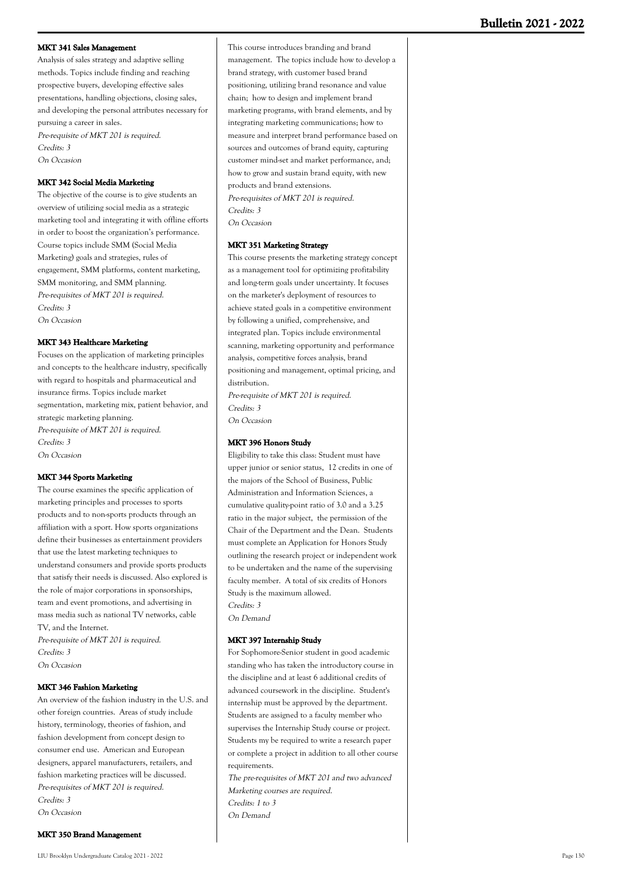#### **MKT 341 Sales Management**

Analysis of sales strategy and adaptive selling methods. Topics include finding and reaching prospective buyers, developing effective sales presentations, handling objections, closing sales, and developing the personal attributes necessary for pursuing a career in sales.

Pre-requisite of MKT 201 is required. Credits: 3 On Occasion

#### **MKT 342 Social Media Marketing**

The objective of the course is to give students an overview of utilizing social media as a strategic marketing tool and integrating it with offline efforts in order to boost the organization's performance. Course topics include SMM (Social Media Marketing) goals and strategies, rules of engagement, SMM platforms, content marketing, SMM monitoring, and SMM planning. Pre-requisites of MKT 201 is required. Credits: 3 On Occasion

#### **MKT 343 Healthcare Marketing**

Focuses on the application of marketing principles and concepts to the healthcare industry, specifically with regard to hospitals and pharmaceutical and insurance firms. Topics include market segmentation, marketing mix, patient behavior, and strategic marketing planning. Pre-requisite of MKT 201 is required. Credits: 3 On Occasion

#### **MKT 344 Sports Marketing**

The course examines the specific application of marketing principles and processes to sports products and to non-sports products through an affiliation with a sport. How sports organizations define their businesses as entertainment providers that use the latest marketing techniques to understand consumers and provide sports products that satisfy their needs is discussed. Also explored is the role of major corporations in sponsorships, team and event promotions, and advertising in mass media such as national TV networks, cable TV, and the Internet.

Pre-requisite of MKT 201 is required. Credits: 3 On Occasion

#### **MKT 346 Fashion Marketing**

An overview of the fashion industry in the U.S. and other foreign countries. Areas of study include history, terminology, theories of fashion, and fashion development from concept design to consumer end use. American and European designers, apparel manufacturers, retailers, and fashion marketing practices will be discussed. Pre-requisites of MKT 201 is required. Credits: 3 On Occasion

This course introduces branding and brand management. The topics include how to develop a brand strategy, with customer based brand positioning, utilizing brand resonance and value chain; how to design and implement brand marketing programs, with brand elements, and by integrating marketing communications; how to measure and interpret brand performance based on sources and outcomes of brand equity, capturing customer mind-set and market performance, and; how to grow and sustain brand equity, with new products and brand extensions. Pre-requisites of MKT 201 is required. Credits: 3 On Occasion

### **MKT 351 Marketing Strategy**

This course presents the marketing strategy concept as a management tool for optimizing profitability and long-term goals under uncertainty. It focuses on the marketer's deployment of resources to achieve stated goals in a competitive environment by following a unified, comprehensive, and integrated plan. Topics include environmental scanning, marketing opportunity and performance analysis, competitive forces analysis, brand positioning and management, optimal pricing, and distribution.

Pre-requisite of MKT 201 is required. Credits: 3 On Occasion

#### **MKT 396 Honors Study**

Eligibility to take this class: Student must have upper junior or senior status, 12 credits in one of the majors of the School of Business, Public Administration and Information Sciences, a cumulative quality-point ratio of 3.0 and a 3.25 ratio in the major subject, the permission of the Chair of the Department and the Dean. Students must complete an Application for Honors Study outlining the research project or independent work to be undertaken and the name of the supervising faculty member. A total of six credits of Honors Study is the maximum allowed. Credits: 3 On Demand

#### **MKT 397 Internship Study**

For Sophomore-Senior student in good academic standing who has taken the introductory course in the discipline and at least 6 additional credits of advanced coursework in the discipline. Student's internship must be approved by the department. Students are assigned to a faculty member who supervises the Internship Study course or project. Students my be required to write a research paper or complete a project in addition to all other course requirements.

The pre-requisites of MKT 201 and two advanced Marketing courses are required. Credits: 1 to 3 On Demand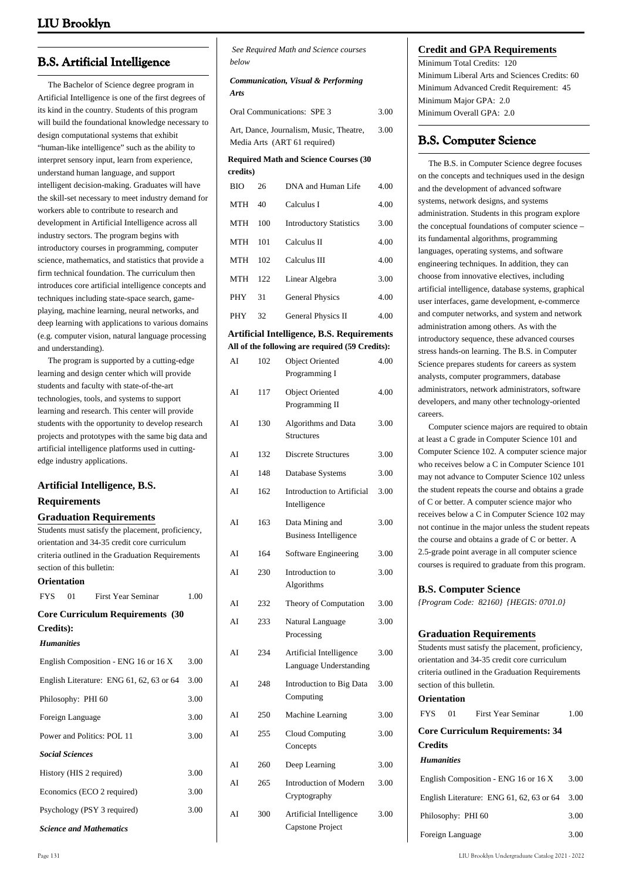## **B.S. Artificial Intelligence**

 The Bachelor of Science degree program in Artificial Intelligence is one of the first degrees of its kind in the country. Students of this program will build the foundational knowledge necessary to design computational systems that exhibit "human-like intelligence" such as the ability to interpret sensory input, learn from experience, understand human language, and support intelligent decision-making. Graduates will have the skill-set necessary to meet industry demand for workers able to contribute to research and development in Artificial Intelligence across all industry sectors. The program begins with introductory courses in programming, computer science, mathematics, and statistics that provide a firm technical foundation. The curriculum then introduces core artificial intelligence concepts and techniques including state-space search, gameplaying, machine learning, neural networks, and deep learning with applications to various domains (e.g. computer vision, natural language processing and understanding).

 The program is supported by a cutting-edge learning and design center which will provide students and faculty with state-of-the-art technologies, tools, and systems to support learning and research. This center will provide students with the opportunity to develop research projects and prototypes with the same big data and artificial intelligence platforms used in cuttingedge industry applications.

# **Artificial Intelligence, B.S.**

#### **Requirements Graduation Requirements**

|                   |                        | Graduation Requirements                           |      |
|-------------------|------------------------|---------------------------------------------------|------|
|                   |                        | Students must satisfy the placement, proficiency, |      |
|                   |                        | orientation and 34-35 credit core curriculum      |      |
|                   |                        | criteria outlined in the Graduation Requirements  |      |
|                   |                        | section of this bulletin:                         |      |
| Orientation       |                        |                                                   |      |
| <b>FYS</b>        | 01                     | <b>First Year Seminar</b>                         | 1.00 |
|                   |                        | <b>Core Curriculum Requirements (30</b>           |      |
| Credits):         |                        |                                                   |      |
| <b>Humanities</b> |                        |                                                   |      |
|                   |                        | English Composition - ENG 16 or 16 X              | 3.00 |
|                   |                        | English Literature: ENG 61, 62, 63 or 64          | 3.00 |
|                   | Philosophy: PHI 60     |                                                   | 3.00 |
|                   | Foreign Language       |                                                   | 3.00 |
|                   |                        | Power and Politics: POL 11                        | 3.00 |
|                   | <b>Social Sciences</b> |                                                   |      |
|                   |                        | History (HIS 2 required)                          | 3.00 |
|                   |                        | Economics (ECO 2 required)                        | 3.00 |
|                   |                        | Psychology (PSY 3 required)                       | 3.00 |
|                   |                        | <b>Science and Mathematics</b>                    |      |

 *See Required Math and Science courses below*

*Communication, Visual & Performing Arts*

| Oral Communications: SPE 3              | 3.00 |
|-----------------------------------------|------|
| Art, Dance, Journalism, Music, Theatre, | 3.00 |

Media Arts (ART 61 required)

#### **Required Math and Science Courses (30 credits)**

| <b>BIO</b> | 26  | DNA and Human Life             | 4.00 |
|------------|-----|--------------------------------|------|
| <b>MTH</b> | 40  | Calculus I                     | 4.00 |
| <b>MTH</b> | 100 | <b>Introductory Statistics</b> | 3.00 |
| <b>MTH</b> | 101 | Calculus II                    | 4.00 |
| MTH        | 102 | Calculus III                   | 4.00 |
| <b>MTH</b> | 122 | Linear Algebra                 | 3.00 |
| <b>PHY</b> | 31  | <b>General Physics</b>         | 4.00 |
| PHY        | 32  | General Physics II             | 4.00 |

**Artificial Intelligence, B.S. Requirements All of the following are required (59 Credits):**

| AI | 102 | <b>Object Oriented</b><br>Programming I           | 4.00 |
|----|-----|---------------------------------------------------|------|
| AI | 117 | <b>Object Oriented</b><br>Programming II          | 4.00 |
| AI | 130 | Algorithms and Data<br><b>Structures</b>          | 3.00 |
| AI | 132 | <b>Discrete Structures</b>                        | 3.00 |
| AI | 148 | Database Systems                                  | 3.00 |
| AI | 162 | <b>Introduction to Artificial</b><br>Intelligence | 3.00 |
| AI | 163 | Data Mining and<br><b>Business Intelligence</b>   | 3.00 |
| AI | 164 | Software Engineering                              | 3.00 |
| AI | 230 | Introduction to<br>Algorithms                     | 3.00 |
| AI | 232 | Theory of Computation                             | 3.00 |
| AI | 233 | Natural Language<br>Processing                    | 3.00 |
| AI | 234 | Artificial Intelligence<br>Language Understanding | 3.00 |
| AI | 248 | Introduction to Big Data<br>Computing             | 3.00 |
| AI | 250 | Machine Learning                                  | 3.00 |
| AI | 255 | <b>Cloud Computing</b><br>Concepts                | 3.00 |
| AI | 260 | Deep Learning                                     | 3.00 |
| AI | 265 | <b>Introduction of Modern</b><br>Cryptography     | 3.00 |
| AI | 300 | Artificial Intelligence<br>Capstone Project       | 3.00 |

## **Credit and GPA Requirements**

Minimum Total Credits: 120 Minimum Liberal Arts and Sciences Credits: 60 Minimum Advanced Credit Requirement: 45 Minimum Major GPA: 2.0 Minimum Overall GPA: 20

## **B.S. Computer Science**

 The B.S. in Computer Science degree focuses on the concepts and techniques used in the design and the development of advanced software systems, network designs, and systems administration. Students in this program explore the conceptual foundations of computer science – its fundamental algorithms, programming languages, operating systems, and software engineering techniques. In addition, they can choose from innovative electives, including artificial intelligence, database systems, graphical user interfaces, game development, e-commerce and computer networks, and system and network administration among others. As with the introductory sequence, these advanced courses stress hands-on learning. The B.S. in Computer Science prepares students for careers as system analysts, computer programmers, database administrators, network administrators, software developers, and many other technology-oriented careers.

 Computer science majors are required to obtain at least a C grade in Computer Science 101 and Computer Science 102. A computer science major who receives below a C in Computer Science 101 may not advance to Computer Science 102 unless the student repeats the course and obtains a grade of C or better. A computer science major who receives below a C in Computer Science 102 may not continue in the major unless the student repeats the course and obtains a grade of C or better. A 2.5-grade point average in all computer science courses is required to graduate from this program.

#### **B.S. Computer Science**

*{Program Code: 82160} {HEGIS: 0701.0}*

## **Graduation Requirements**

Students must satisfy the placement, proficiency, orientation and 34-35 credit core curriculum criteria outlined in the Graduation Requirements section of this bulletin.

## **Orientation**

| Orientation       |                    |                                          |      |
|-------------------|--------------------|------------------------------------------|------|
| <b>FYS</b>        | 01                 | First Year Seminar                       | 1.00 |
|                   |                    | <b>Core Curriculum Requirements: 34</b>  |      |
| <b>Credits</b>    |                    |                                          |      |
| <b>Humanities</b> |                    |                                          |      |
|                   |                    | English Composition - ENG 16 or 16 X     | 3.00 |
|                   |                    | English Literature: ENG 61, 62, 63 or 64 | 3.00 |
|                   | Philosophy: PHI 60 |                                          | 3.00 |

Foreign Language 3.00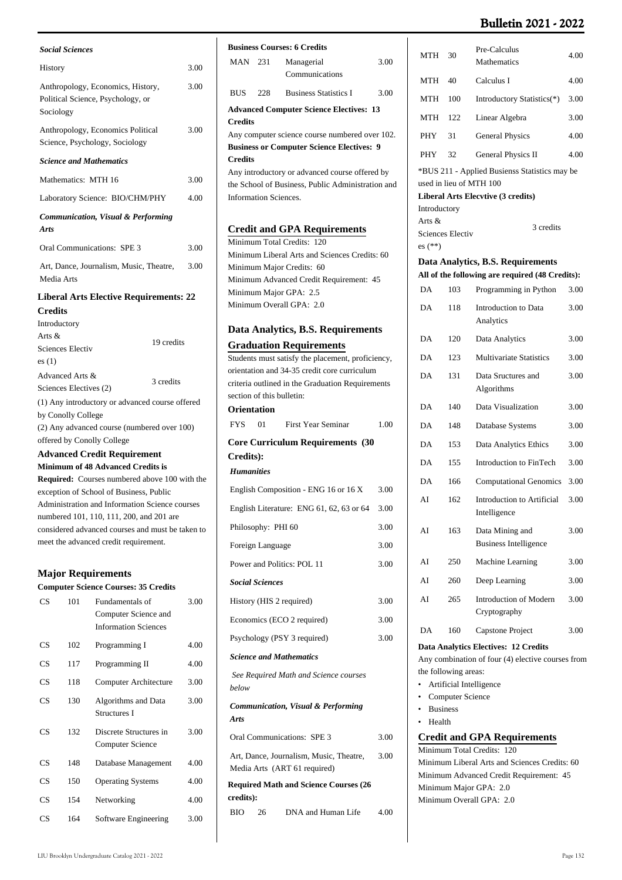| <b>Social Sciences</b>                                                                                               |      |
|----------------------------------------------------------------------------------------------------------------------|------|
| History                                                                                                              | 3.00 |
| Anthropology, Economics, History,<br>Political Science, Psychology, or<br>Sociology                                  | 3.00 |
| Anthropology, Economics Political<br>Science, Psychology, Sociology                                                  | 3.00 |
| <b>Science and Mathematics</b>                                                                                       |      |
| Mathematics: MTH 16                                                                                                  | 3.00 |
| Laboratory Science: BIO/CHM/PHY                                                                                      | 4.00 |
| <b>Communication, Visual &amp; Performing</b><br><b>Arts</b>                                                         |      |
| Oral Communications: SPE 3                                                                                           | 3.00 |
| Art, Dance, Journalism, Music, Theatre,<br>Media Arts                                                                | 3.00 |
| <b>Liberal Arts Elective Requirements: 22</b>                                                                        |      |
| <b>Credits</b>                                                                                                       |      |
| Introductory                                                                                                         |      |
|                                                                                                                      |      |
| Arts $\&$<br>19 credits<br><b>Sciences Electiv</b>                                                                   |      |
| es(1)                                                                                                                |      |
| Advanced Arts &<br>3 credits<br>Sciences Electives (2)                                                               |      |
| (1) Any introductory or advanced course offered<br>by Conolly College<br>(2) Any advanced course (numbered over 100) |      |
| offered by Conolly College                                                                                           |      |
| <b>Advanced Credit Requirement</b>                                                                                   |      |
| Minimum of 48 Advanced Credits is                                                                                    |      |
| Required: Courses numbered above 100 with the                                                                        |      |
| exception of School of Business, Public                                                                              |      |
| Administration and Information Science courses<br>numbered 101, 110, 111, 200, and 201 are                           |      |

## **Major Requirements**

meet the advanced credit requirement.

| <b>Computer Science Courses: 35 Credits</b> |     |                                                                        |      |
|---------------------------------------------|-----|------------------------------------------------------------------------|------|
| $\mathbf{C}\mathbf{S}$                      | 101 | Fundamentals of<br>Computer Science and<br><b>Information Sciences</b> | 3.00 |
| CS                                          | 102 | Programming I                                                          | 4.00 |
| $\mathbf{C}\mathbf{S}$                      | 117 | Programming II                                                         | 4.00 |
| CS                                          | 118 | Computer Architecture                                                  | 3.00 |
| CS                                          | 130 | Algorithms and Data<br>Structures I                                    | 3.00 |
| CS                                          | 132 | Discrete Structures in<br>Computer Science                             | 3.00 |
| CS                                          | 148 | Database Management                                                    | 4.00 |
| CS                                          | 150 | <b>Operating Systems</b>                                               | 4.00 |
| CS                                          | 154 | Networking                                                             | 4.00 |
| CS                                          | 164 | Software Engineering                                                   | 3.00 |
|                                             |     |                                                                        |      |

|                                          | <b>Business Courses: 6 Credits</b> |                                                                                                    |      |
|------------------------------------------|------------------------------------|----------------------------------------------------------------------------------------------------|------|
| <b>MAN</b> 231                           |                                    | Managerial<br>Communications                                                                       | 3.00 |
| <b>BUS</b>                               | 228                                | <b>Business Statistics I</b>                                                                       | 3.00 |
|                                          |                                    | <b>Advanced Computer Science Electives: 13</b>                                                     |      |
| <b>Credits</b>                           |                                    |                                                                                                    |      |
|                                          |                                    | Any computer science course numbered over 102.<br><b>Business or Computer Science Electives: 9</b> |      |
| <b>Credits</b>                           |                                    |                                                                                                    |      |
|                                          |                                    | Any introductory or advanced course offered by                                                     |      |
|                                          | <b>Information Sciences.</b>       | the School of Business, Public Administration and                                                  |      |
|                                          |                                    |                                                                                                    |      |
|                                          |                                    | <b>Credit and GPA Requirements</b>                                                                 |      |
|                                          |                                    | Minimum Total Credits: 120                                                                         |      |
|                                          |                                    | Minimum Liberal Arts and Sciences Credits: 60                                                      |      |
|                                          |                                    | Minimum Major Credits: 60<br>Minimum Advanced Credit Requirement: 45                               |      |
|                                          |                                    | Minimum Major GPA: 2.5                                                                             |      |
|                                          |                                    | Minimum Overall GPA: 2.0                                                                           |      |
|                                          |                                    | Data Analytics, B.S. Requirements                                                                  |      |
|                                          |                                    | <b>Graduation Requirements</b>                                                                     |      |
|                                          |                                    | Students must satisfy the placement, proficiency,                                                  |      |
|                                          |                                    | orientation and 34-35 credit core curriculum<br>criteria outlined in the Graduation Requirements   |      |
|                                          | section of this bulletin:          |                                                                                                    |      |
| <b>Orientation</b>                       |                                    |                                                                                                    |      |
| <b>FYS</b>                               | - 01                               | <b>First Year Seminar</b>                                                                          | 1.00 |
| <b>Core Curriculum Requirements (30</b>  |                                    |                                                                                                    |      |
| Credits):<br><b>Humanities</b>           |                                    |                                                                                                    |      |
|                                          |                                    |                                                                                                    |      |
|                                          |                                    | English Composition - ENG 16 or 16 X                                                               | 3.00 |
| English Literature: ENG 61, 62, 63 or 64 |                                    |                                                                                                    | 3.00 |
| Philosophy: PHI 60<br>3.00               |                                    |                                                                                                    |      |
|                                          |                                    |                                                                                                    |      |
|                                          | Foreign Language                   |                                                                                                    | 3.00 |
|                                          |                                    | Power and Politics: POL 11                                                                         | 3.00 |
|                                          | <b>Social Sciences</b>             |                                                                                                    |      |
|                                          |                                    | History (HIS 2 required)                                                                           | 3.00 |
|                                          |                                    | Economics (ECO 2 required)                                                                         | 3.00 |
|                                          |                                    | Psychology (PSY 3 required)                                                                        | 3.00 |
|                                          |                                    | <b>Science and Mathematics</b>                                                                     |      |
| below                                    |                                    | See Required Math and Science courses                                                              |      |
| Arts                                     |                                    | <b>Communication, Visual &amp; Performing</b>                                                      |      |
|                                          |                                    | Oral Communications: SPE 3                                                                         | 3.00 |
|                                          |                                    | Art, Dance, Journalism, Music, Theatre,<br>Media Arts (ART 61 required)                            | 3.00 |
|                                          |                                    | <b>Required Math and Science Courses (26</b>                                                       |      |
| credits):<br>BIO <b>BIO</b>              | 26                                 | DNA and Human Life                                                                                 | 4.00 |

| MTH                                                                                                               | 30                      | Pre-Calculus<br>Mathematics                                                          | 4.00 |
|-------------------------------------------------------------------------------------------------------------------|-------------------------|--------------------------------------------------------------------------------------|------|
| MTH                                                                                                               | 40                      | Calculus I                                                                           | 4.00 |
| MTH                                                                                                               | 100                     | Introductory Statistics(*)                                                           | 3.00 |
| <b>MTH</b>                                                                                                        | 122                     | Linear Algebra                                                                       | 3.00 |
| PHY                                                                                                               | 31                      | <b>General Physics</b>                                                               | 4.00 |
| <b>PHY</b>                                                                                                        | 32                      | General Physics II                                                                   | 4.00 |
|                                                                                                                   |                         | *BUS 211 - Applied Busienss Statistics may be                                        |      |
|                                                                                                                   |                         | used in lieu of MTH 100                                                              |      |
| Introductory                                                                                                      |                         | Liberal Arts Elecvtive (3 credits)                                                   |      |
| Arts &<br>$es$ $(**)$                                                                                             | <b>Sciences Electiv</b> | 3 credits                                                                            |      |
|                                                                                                                   |                         | Data Analytics, B.S. Requirements<br>All of the following are required (48 Credits): |      |
| DA                                                                                                                | 103                     | Programming in Python                                                                | 3.00 |
| DA                                                                                                                | 118                     | Introduction to Data                                                                 |      |
|                                                                                                                   |                         | Analytics                                                                            | 3.00 |
| DA                                                                                                                | 120                     | Data Analytics                                                                       | 3.00 |
| DA                                                                                                                | 123                     | <b>Multivariate Statistics</b>                                                       | 3.00 |
| DA                                                                                                                | 131                     | Data Sructures and<br>Algorithms                                                     | 3.00 |
| DA                                                                                                                | 140                     | Data Visualization                                                                   | 3.00 |
| DA                                                                                                                | 148                     | Database Systems                                                                     | 3.00 |
| DA                                                                                                                | 153                     | Data Analytics Ethics                                                                | 3.00 |
| DA                                                                                                                | 155                     | Introduction to FinTech                                                              | 3.00 |
| DA                                                                                                                | 166                     | <b>Computational Genomics</b>                                                        | 3.00 |
| AI                                                                                                                | 162                     | Introduction to Artificial<br>Intelligence                                           | 3.00 |
| AI                                                                                                                | 163                     | Data Mining and<br>Business Intelligence                                             | 3.00 |
| AI                                                                                                                | 250                     | Machine Learning                                                                     | 3.00 |
| AI                                                                                                                | 260                     | Deep Learning                                                                        | 3.00 |
| AI                                                                                                                | 265                     | Introduction of Modern<br>Cryptography                                               | 3.00 |
| DA                                                                                                                | 160                     | Capstone Project                                                                     | 3.00 |
| Data Analytics Electives: 12 Credits<br>Any combination of four (4) elective courses from<br>the following areas: |                         |                                                                                      |      |
| Artificial Intelligence<br>Computer Science                                                                       |                         |                                                                                      |      |
| <b>Business</b>                                                                                                   |                         |                                                                                      |      |
| Health                                                                                                            |                         |                                                                                      |      |

**Credit and GPA Requirements**

Minimum Total Credits: 120 Minimum Liberal Arts and Sciences Credits: 60 Minimum Advanced Credit Requirement: 45 Minimum Major GPA: 2.0 Minimum Overall GPA: 2.0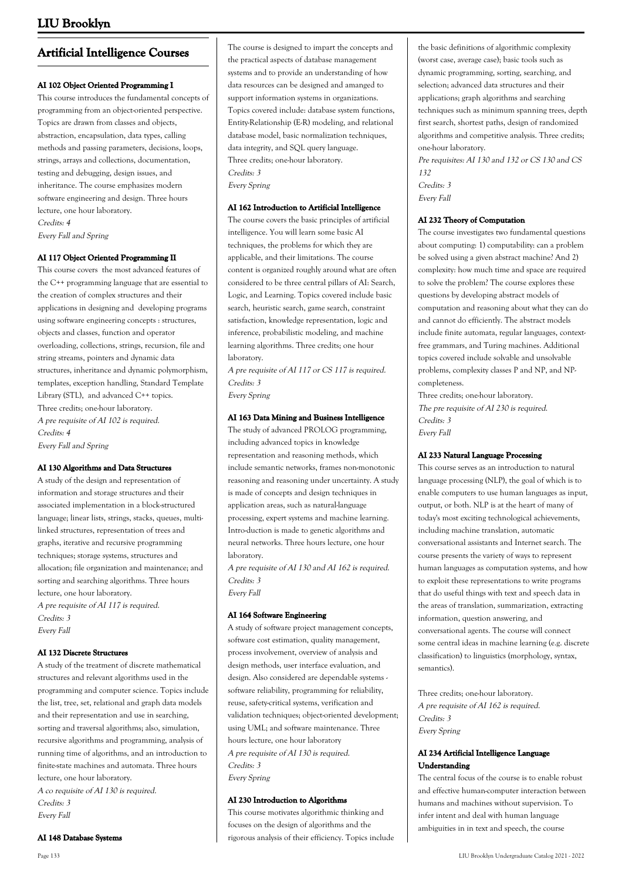## **Artificial Intelligence Courses**

### **AI 102 Object Oriented Programming I**

This course introduces the fundamental concepts of programming from an object-oriented perspective. Topics are drawn from classes and objects, abstraction, encapsulation, data types, calling methods and passing parameters, decisions, loops, strings, arrays and collections, documentation, testing and debugging, design issues, and inheritance. The course emphasizes modern software engineering and design. Three hours lecture, one hour laboratory. Credits: 4

Every Fall and Spring

### **AI 117 Object Oriented Programming II**

This course covers the most advanced features of the C++ programming language that are essential to the creation of complex structures and their applications in designing and developing programs using software engineering concepts : structures, objects and classes, function and operator overloading, collections, strings, recursion, file and string streams, pointers and dynamic data structures, inheritance and dynamic polymorphism, templates, exception handling, Standard Template Library (STL), and advanced C++ topics. Three credits; one-hour laboratory. A pre requisite of AI 102 is required. Credits: 4 Every Fall and Spring

**AI 130 Algorithms and Data Structures**

A study of the design and representation of information and storage structures and their associated implementation in a block-structured language; linear lists, strings, stacks, queues, multilinked structures, representation of trees and graphs, iterative and recursive programming techniques; storage systems, structures and allocation; file organization and maintenance; and sorting and searching algorithms. Three hours lecture, one hour laboratory. A pre requisite of AI 117 is required. Credits: 3 Every Fall

#### **AI 132 Discrete Structures**

A study of the treatment of discrete mathematical structures and relevant algorithms used in the programming and computer science. Topics include the list, tree, set, relational and graph data models and their representation and use in searching, sorting and traversal algorithms; also, simulation, recursive algorithms and programming, analysis of running time of algorithms, and an introduction to finite-state machines and automata. Three hours lecture, one hour laboratory. A co requisite of AI 130 is required.

Credits: 3 Every Fall

**AI 148 Database Systems**

The course is designed to impart the concepts and the practical aspects of database management systems and to provide an understanding of how data resources can be designed and amanged to support information systems in organizations. Topics covered include: database system functions, Entity-Relationship (E-R) modeling, and relational database model, basic normalization techniques, data integrity, and SQL query language. Three credits; one-hour laboratory. Credits: 3 Every Spring

#### **AI 162 Introduction to Artificial Intelligence**

The course covers the basic principles of artificial intelligence. You will learn some basic AI techniques, the problems for which they are applicable, and their limitations. The course content is organized roughly around what are often considered to be three central pillars of AI: Search, Logic, and Learning. Topics covered include basic search, heuristic search, game search, constraint satisfaction, knowledge representation, logic and inference, probabilistic modeling, and machine learning algorithms. Three credits; one hour laboratory.

A pre requisite of AI 117 or CS 117 is required. Credits: 3 Every Spring

#### **AI 163 Data Mining and Business Intelligence**

The study of advanced PROLOG programming, including advanced topics in knowledge representation and reasoning methods, which include semantic networks, frames non-monotonic reasoning and reasoning under uncertainty. A study is made of concepts and design techniques in application areas, such as natural-language processing, expert systems and machine learning. Intro-duction is made to genetic algorithms and neural networks. Three hours lecture, one hour laboratory.

A pre requisite of AI 130 and AI 162 is required. Credits: 3 Every Fall

**AI 164 Software Engineering**

A study of software project management concepts, software cost estimation, quality management, process involvement, overview of analysis and design methods, user interface evaluation, and design. Also considered are dependable systems software reliability, programming for reliability, reuse, safety-critical systems, verification and validation techniques; object-oriented development; using UML; and software maintenance. Three hours lecture, one hour laboratory A pre requisite of AI 130 is required. Credits: 3 Every Spring

#### **AI 230 Introduction to Algorithms**

This course motivates algorithmic thinking and focuses on the design of algorithms and the rigorous analysis of their efficiency. Topics include

the basic definitions of algorithmic complexity (worst case, average case); basic tools such as dynamic programming, sorting, searching, and selection; advanced data structures and their applications; graph algorithms and searching techniques such as minimum spanning trees, depth first search, shortest paths, design of randomized algorithms and competitive analysis. Three credits; one-hour laboratory.

Pre requisites: AI 130 and 132 or CS 130 and CS 132 Credits: 3 Every Fall

#### **AI 232 Theory of Computation**

The course investigates two fundamental questions about computing: 1) computability: can a problem be solved using a given abstract machine? And 2) complexity: how much time and space are required to solve the problem? The course explores these questions by developing abstract models of computation and reasoning about what they can do and cannot do efficiently. The abstract models include finite automata, regular languages, contextfree grammars, and Turing machines. Additional topics covered include solvable and unsolvable problems, complexity classes P and NP, and NPcompleteness.

Three credits; one-hour laboratory. The pre requisite of AI 230 is required. Credits: 3 Every Fall

#### **AI 233 Natural Language Processing**

This course serves as an introduction to natural language processing (NLP), the goal of which is to enable computers to use human languages as input, output, or both. NLP is at the heart of many of today's most exciting technological achievements, including machine translation, automatic conversational assistants and Internet search. The course presents the variety of ways to represent human languages as computation systems, and how to exploit these representations to write programs that do useful things with text and speech data in the areas of translation, summarization, extracting information, question answering, and conversational agents. The course will connect some central ideas in machine learning (e.g. discrete classification) to linguistics (morphology, syntax, semantics).

Three credits; one-hour laboratory. A pre requisite of AI 162 is required. Credits: 3 Every Spring

## **AI 234 Artificial Intelligence Language Understanding**

The central focus of the course is to enable robust and effective human-computer interaction between humans and machines without supervision. To infer intent and deal with human language ambiguities in in text and speech, the course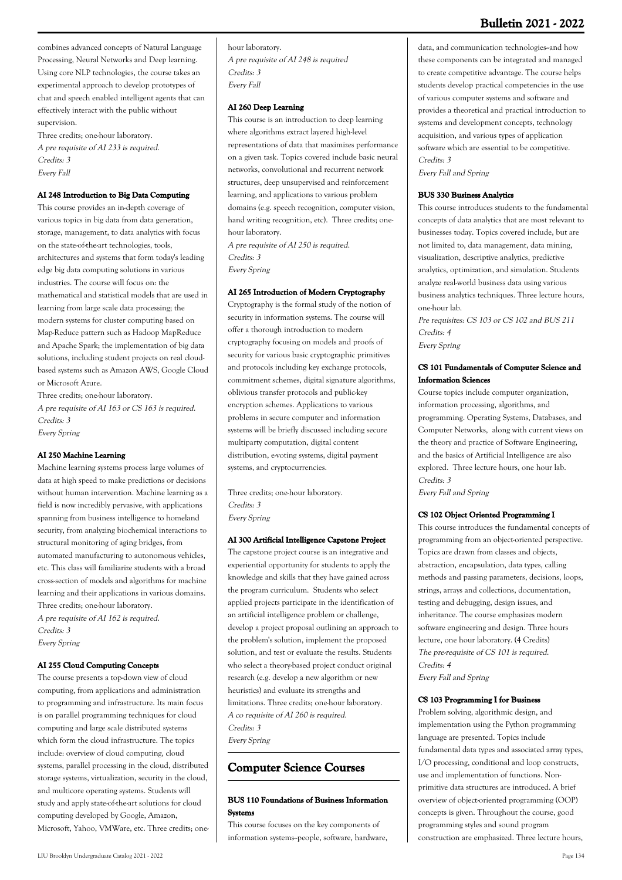combines advanced concepts of Natural Language Processing, Neural Networks and Deep learning. Using core NLP technologies, the course takes an experimental approach to develop prototypes of chat and speech enabled intelligent agents that can effectively interact with the public without supervision.

Three credits; one-hour laboratory. A pre requisite of AI 233 is required. Credits: 3 Every Fall

#### **AI 248 Introduction to Big Data Computing**

This course provides an in-depth coverage of various topics in big data from data generation, storage, management, to data analytics with focus on the state-of-the-art technologies, tools, architectures and systems that form today's leading edge big data computing solutions in various industries. The course will focus on: the mathematical and statistical models that are used in learning from large scale data processing; the modern systems for cluster computing based on Map-Reduce pattern such as Hadoop MapReduce and Apache Spark; the implementation of big data solutions, including student projects on real cloudbased systems such as Amazon AWS, Google Cloud or Microsoft Azure.

Three credits; one-hour laboratory. A pre requisite of AI 163 or CS 163 is required. Credits: 3 Every Spring

#### **AI 250 Machine Learning**

Machine learning systems process large volumes of data at high speed to make predictions or decisions without human intervention. Machine learning as a field is now incredibly pervasive, with applications spanning from business intelligence to homeland security, from analyzing biochemical interactions to structural monitoring of aging bridges, from automated manufacturing to autonomous vehicles, etc. This class will familiarize students with a broad cross-section of models and algorithms for machine learning and their applications in various domains. Three credits; one-hour laboratory. A pre requisite of AI 162 is required. Credits: 3

Every Spring

#### **AI 255 Cloud Computing Concepts**

The course presents a top-down view of cloud computing, from applications and administration to programming and infrastructure. Its main focus is on parallel programming techniques for cloud computing and large scale distributed systems which form the cloud infrastructure. The topics include: overview of cloud computing, cloud systems, parallel processing in the cloud, distributed storage systems, virtualization, security in the cloud, and multicore operating systems. Students will study and apply state-of-the-art solutions for cloud computing developed by Google, Amazon, Microsoft, Yahoo, VMWare, etc. Three credits; onehour laboratory. A pre requisite of AI 248 is required Credits: 3 Every Fall

#### **AI 260 Deep Learning**

This course is an introduction to deep learning where algorithms extract layered high-level representations of data that maximizes performance on a given task. Topics covered include basic neural networks, convolutional and recurrent network structures, deep unsupervised and reinforcement learning, and applications to various problem domains (e.g. speech recognition, computer vision, hand writing recognition, etc). Three credits; onehour laboratory.

A pre requisite of AI 250 is required. Credits: 3 Every Spring

#### **AI 265 Introduction of Modern Cryptography**

Cryptography is the formal study of the notion of security in information systems. The course will offer a thorough introduction to modern cryptography focusing on models and proofs of security for various basic cryptographic primitives and protocols including key exchange protocols, commitment schemes, digital signature algorithms, oblivious transfer protocols and public-key encryption schemes. Applications to various problems in secure computer and information systems will be briefly discussed including secure multiparty computation, digital content distribution, e-voting systems, digital payment systems, and cryptocurrencies.

Three credits; one-hour laboratory. Credits: 3 Every Spring

#### **AI 300 Artificial Intelligence Capstone Project**

The capstone project course is an integrative and experiential opportunity for students to apply the knowledge and skills that they have gained across the program curriculum. Students who select applied projects participate in the identification of an artificial intelligence problem or challenge, develop a project proposal outlining an approach to the problem's solution, implement the proposed solution, and test or evaluate the results. Students who select a theory-based project conduct original research (e.g. develop a new algorithm or new heuristics) and evaluate its strengths and limitations. Three credits; one-hour laboratory. A co requisite of AI 260 is required. Credits: 3 Every Spring

## **Computer Science Courses**

#### **BUS 110 Foundations of Business Information Systems**

This course focuses on the key components of information systems--people, software, hardware, data, and communication technologies--and how these components can be integrated and managed to create competitive advantage. The course helps students develop practical competencies in the use of various computer systems and software and provides a theoretical and practical introduction to systems and development concepts, technology acquisition, and various types of application software which are essential to be competitive. Credits: 3

Every Fall and Spring

#### **BUS 330 Business Analytics**

This course introduces students to the fundamental concepts of data analytics that are most relevant to businesses today. Topics covered include, but are not limited to, data management, data mining, visualization, descriptive analytics, predictive analytics, optimization, and simulation. Students analyze real-world business data using various business analytics techniques. Three lecture hours, one-hour lab.

Pre requisites: CS 103 or CS 102 and BUS 211 Credits: 4 Every Spring

#### **CS 101 Fundamentals of Computer Science and Information Sciences**

Course topics include computer organization, information processing, algorithms, and programming. Operating Systems, Databases, and Computer Networks, along with current views on the theory and practice of Software Engineering, and the basics of Artificial Intelligence are also explored. Three lecture hours, one hour lab. Credits: 3

Every Fall and Spring

#### **CS 102 Object Oriented Programming I**

This course introduces the fundamental concepts of programming from an object-oriented perspective. Topics are drawn from classes and objects, abstraction, encapsulation, data types, calling methods and passing parameters, decisions, loops, strings, arrays and collections, documentation, testing and debugging, design issues, and inheritance. The course emphasizes modern software engineering and design. Three hours lecture, one hour laboratory. (4 Credits) The pre-requisite of CS 101 is required. Credits: 4 Every Fall and Spring

#### **CS 103 Programming I for Business**

Problem solving, algorithmic design, and implementation using the Python programming language are presented. Topics include fundamental data types and associated array types, I/O processing, conditional and loop constructs, use and implementation of functions. Nonprimitive data structures are introduced. A brief overview of object-oriented programming (OOP) concepts is given. Throughout the course, good programming styles and sound program construction are emphasized. Three lecture hours,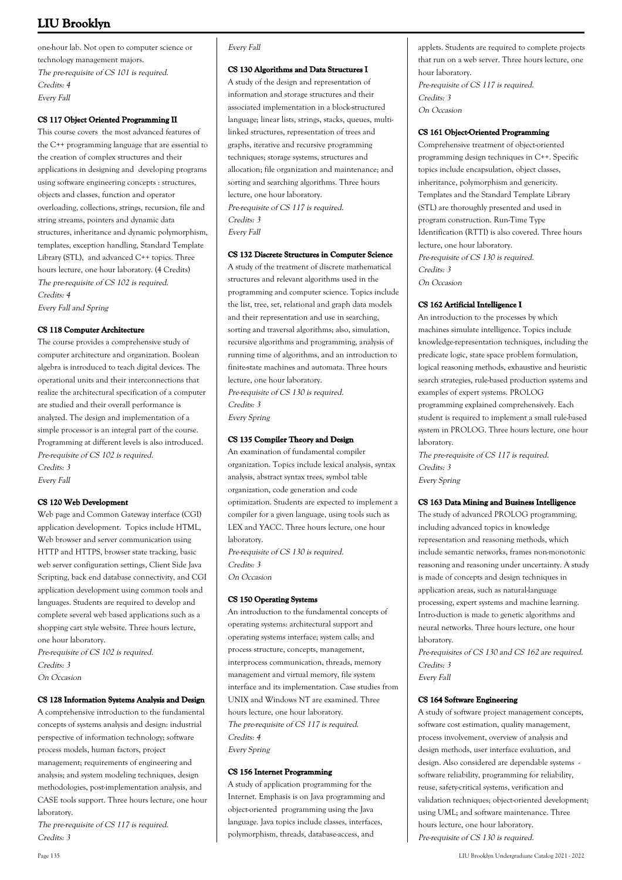one-hour lab. Not open to computer science or technology management majors. The pre-requisite of CS 101 is required. Credits: 4 Every Fall

## **CS 117 Object Oriented Programming II**

This course covers the most advanced features of the C++ programming language that are essential to the creation of complex structures and their applications in designing and developing programs using software engineering concepts : structures, objects and classes, function and operator overloading, collections, strings, recursion, file and string streams, pointers and dynamic data structures, inheritance and dynamic polymorphism, templates, exception handling, Standard Template Library (STL), and advanced C++ topics. Three hours lecture, one hour laboratory. (4 Credits) The pre-requisite of CS 102 is required. Credits: 4 Every Fall and Spring

### **CS 118 Computer Architecture**

The course provides a comprehensive study of computer architecture and organization. Boolean algebra is introduced to teach digital devices. The operational units and their interconnections that realize the architectural specification of a computer are studied and their overall performance is analyzed. The design and implementation of a simple processor is an integral part of the course. Programming at different levels is also introduced. Pre-requisite of CS 102 is required. Credits: 3 Every Fall

## **CS 120 Web Development**

Web page and Common Gateway interface (CGI) application development. Topics include HTML, Web browser and server communication using HTTP and HTTPS, browser state tracking, basic web server configuration settings, Client Side Java Scripting, back end database connectivity, and CGI application development using common tools and languages. Students are required to develop and complete several web based applications such as a shopping cart style website. Three hours lecture, one hour laboratory.

Pre-requisite of CS 102 is required. Credits: 3 On Occasion

## **CS 128 Information Systems Analysis and Design**

A comprehensive introduction to the fundamental concepts of systems analysis and design: industrial perspective of information technology; software process models, human factors, project management; requirements of engineering and analysis; and system modeling techniques, design methodologies, post-implementation analysis, and CASE tools support. Three hours lecture, one hour laboratory.

The pre-requisite of CS 117 is required. Credits: 3

## Every Fall

#### **CS 130 Algorithms and Data Structures I**

A study of the design and representation of information and storage structures and their associated implementation in a block-structured language; linear lists, strings, stacks, queues, multilinked structures, representation of trees and graphs, iterative and recursive programming techniques; storage systems, structures and allocation; file organization and maintenance; and sorting and searching algorithms. Three hours lecture, one hour laboratory. Pre-requisite of CS 117 is required. Credits: 3 Every Fall

#### **CS 132 Discrete Structures in Computer Science**

A study of the treatment of discrete mathematical structures and relevant algorithms used in the programming and computer science. Topics include the list, tree, set, relational and graph data models and their representation and use in searching, sorting and traversal algorithms; also, simulation, recursive algorithms and programming, analysis of running time of algorithms, and an introduction to finite-state machines and automata. Three hours lecture, one hour laboratory.

Pre-requisite of CS 130 is required. Credits: 3 Every Spring

## **CS 135 Compiler Theory and Design**

An examination of fundamental compiler organization. Topics include lexical analysis, syntax analysis, abstract syntax trees, symbol table organization, code generation and code optimization. Students are expected to implement a compiler for a given language, using tools such as LEX and YACC. Three hours lecture, one hour laboratory. Pre-requisite of CS 130 is required. Credits: 3

On Occasion

#### **CS 150 Operating Systems**

An introduction to the fundamental concepts of operating systems: architectural support and operating systems interface; system calls; and process structure, concepts, management, interprocess communication, threads, memory management and virtual memory, file system interface and its implementation. Case studies from UNIX and Windows NT are examined. Three hours lecture, one hour laboratory. The pre-requisite of CS 117 is required. Credits: 4 Every Spring

#### **CS 156 Internet Programming**

A study of application programming for the Internet. Emphasis is on Java programming and object-oriented programming using the Java language. Java topics include classes, interfaces, polymorphism, threads, database-access, and

applets. Students are required to complete projects that run on a web server. Three hours lecture, one hour laboratory. Pre-requisite of CS 117 is required. Credits: 3 On Occasion

### **CS 161 Object-Oriented Programming**

Comprehensive treatment of object-oriented programming design techniques in C++. Specific topics include encapsulation, object classes, inheritance, polymorphism and genericity. Templates and the Standard Template Library (STL) are thoroughly presented and used in program construction. Run-Time Type Identification (RTTI) is also covered. Three hours lecture, one hour laboratory. Pre-requisite of CS 130 is required. Credits: 3 On Occasion

#### **CS 162 Artificial Intelligence I**

An introduction to the processes by which machines simulate intelligence. Topics include knowledge-representation techniques, including the predicate logic, state space problem formulation, logical reasoning methods, exhaustive and heuristic search strategies, rule-based production systems and examples of expert systems. PROLOG programming explained comprehensively. Each student is required to implement a small rule-based system in PROLOG. Three hours lecture, one hour laboratory.

The pre-requisite of CS 117 is required. Credits: 3 Every Spring

#### **CS 163 Data Mining and Business Intelligence**

The study of advanced PROLOG programming, including advanced topics in knowledge representation and reasoning methods, which include semantic networks, frames non-monotonic reasoning and reasoning under uncertainty. A study is made of concepts and design techniques in application areas, such as natural-language processing, expert systems and machine learning. Intro-duction is made to genetic algorithms and neural networks. Three hours lecture, one hour laboratory.

Pre-requisites of CS 130 and CS 162 are required. Credits: 3

Every Fall

#### **CS 164 Software Engineering**

A study of software project management concepts, software cost estimation, quality management, process involvement, overview of analysis and design methods, user interface evaluation, and design. Also considered are dependable systems software reliability, programming for reliability, reuse, safety-critical systems, verification and validation techniques; object-oriented development; using UML; and software maintenance. Three hours lecture, one hour laboratory. Pre-requisite of CS 130 is required.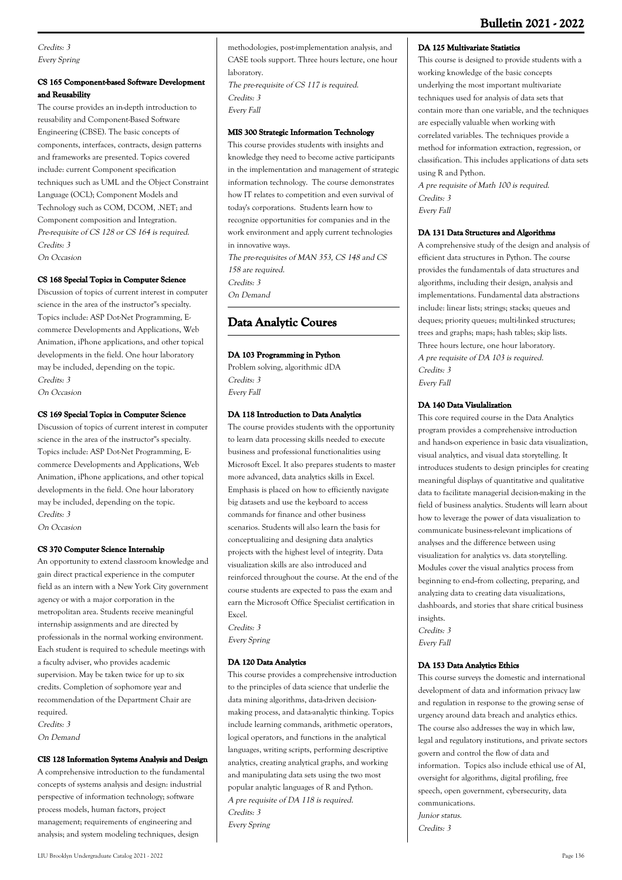Credits: 3 Every Spring

## **CS 165 Component-based Software Development and Reusability**

The course provides an in-depth introduction to reusability and Component-Based Software Engineering (CBSE). The basic concepts of components, interfaces, contracts, design patterns and frameworks are presented. Topics covered include: current Component specification techniques such as UML and the Object Constraint Language (OCL); Component Models and Technology such as COM, DCOM, .NET; and Component composition and Integration. Pre-requisite of CS 128 or CS 164 is required. Credits: 3 On Occasion

## **CS 168 Special Topics in Computer Science**

Discussion of topics of current interest in computer science in the area of the instructor''s specialty. Topics include: ASP Dot-Net Programming, Ecommerce Developments and Applications, Web Animation, iPhone applications, and other topical developments in the field. One hour laboratory may be included, depending on the topic. Credits: 3 On Occasion

## **CS 169 Special Topics in Computer Science**

Discussion of topics of current interest in computer science in the area of the instructor''s specialty. Topics include: ASP Dot-Net Programming, Ecommerce Developments and Applications, Web Animation, iPhone applications, and other topical developments in the field. One hour laboratory may be included, depending on the topic. Credits: 3 On Occasion

#### **CS 370 Computer Science Internship**

An opportunity to extend classroom knowledge and gain direct practical experience in the computer field as an intern with a New York City government agency or with a major corporation in the metropolitan area. Students receive meaningful internship assignments and are directed by professionals in the normal working environment. Each student is required to schedule meetings with a faculty adviser, who provides academic supervision. May be taken twice for up to six credits. Completion of sophomore year and recommendation of the Department Chair are required. Credits: 3

On Demand

#### **CIS 128 Information Systems Analysis and Design**

A comprehensive introduction to the fundamental concepts of systems analysis and design: industrial perspective of information technology; software process models, human factors, project management; requirements of engineering and analysis; and system modeling techniques, design

methodologies, post-implementation analysis, and CASE tools support. Three hours lecture, one hour laboratory. The pre-requisite of CS 117 is required. Credits: 3 Every Fall

### **MIS 300 Strategic Information Technology**

This course provides students with insights and knowledge they need to become active participants in the implementation and management of strategic information technology. The course demonstrates how IT relates to competition and even survival of today's corporations. Students learn how to recognize opportunities for companies and in the work environment and apply current technologies in innovative ways. The pre-requisites of MAN 353, CS 148 and CS 158 are required. Credits: 3

On Demand

## **Data Analytic Coures**

### **DA 103 Programming in Python**

Problem solving, algorithmic dDA Credits: 3 Every Fall

#### **DA 118 Introduction to Data Analytics**

The course provides students with the opportunity to learn data processing skills needed to execute business and professional functionalities using Microsoft Excel. It also prepares students to master more advanced, data analytics skills in Excel. Emphasis is placed on how to efficiently navigate big datasets and use the keyboard to access commands for finance and other business scenarios. Students will also learn the basis for conceptualizing and designing data analytics projects with the highest level of integrity. Data visualization skills are also introduced and reinforced throughout the course. At the end of the course students are expected to pass the exam and earn the Microsoft Office Specialist certification in Excel.

Credits: 3 Every Spring

## **DA 120 Data Analytics**

This course provides a comprehensive introduction to the principles of data science that underlie the data mining algorithms, data-driven decisionmaking process, and data-analytic thinking. Topics include learning commands, arithmetic operators, logical operators, and functions in the analytical languages, writing scripts, performing descriptive analytics, creating analytical graphs, and working and manipulating data sets using the two most popular analytic languages of R and Python. A pre requisite of DA 118 is required. Credits: 3 Every Spring

### **DA 125 Multivariate Statistics**

This course is designed to provide students with a working knowledge of the basic concepts underlying the most important multivariate techniques used for analysis of data sets that contain more than one variable, and the techniques are especially valuable when working with correlated variables. The techniques provide a method for information extraction, regression, or classification. This includes applications of data sets using R and Python.

A pre requisite of Math 100 is required. Credits: 3 Every Fall

#### **DA 131 Data Structures and Algorithms**

A comprehensive study of the design and analysis of efficient data structures in Python. The course provides the fundamentals of data structures and algorithms, including their design, analysis and implementations. Fundamental data abstractions include: linear lists; strings; stacks; queues and deques; priority queues; multi-linked structures; trees and graphs; maps; hash tables; skip lists. Three hours lecture, one hour laboratory. A pre requisite of DA 103 is required. Credits: 3 Every Fall

## **DA 140 Data Visulalization**

This core required course in the Data Analytics program provides a comprehensive introduction and hands-on experience in basic data visualization, visual analytics, and visual data storytelling. It introduces students to design principles for creating meaningful displays of quantitative and qualitative data to facilitate managerial decision-making in the field of business analytics. Students will learn about how to leverage the power of data visualization to communicate business-relevant implications of analyses and the difference between using visualization for analytics vs. data storytelling. Modules cover the visual analytics process from beginning to end-from collecting, preparing, and analyzing data to creating data visualizations, dashboards, and stories that share critical business insights.

Credits: 3 Every Fall

#### **DA 153 Data Analytics Ethics**

This course surveys the domestic and international development of data and information privacy law and regulation in response to the growing sense of urgency around data breach and analytics ethics. The course also addresses the way in which law, legal and regulatory institutions, and private sectors govern and control the flow of data and information. Topics also include ethical use of AI, oversight for algorithms, digital profiling, free speech, open government, cybersecurity, data communications. Junior status. Credits: 3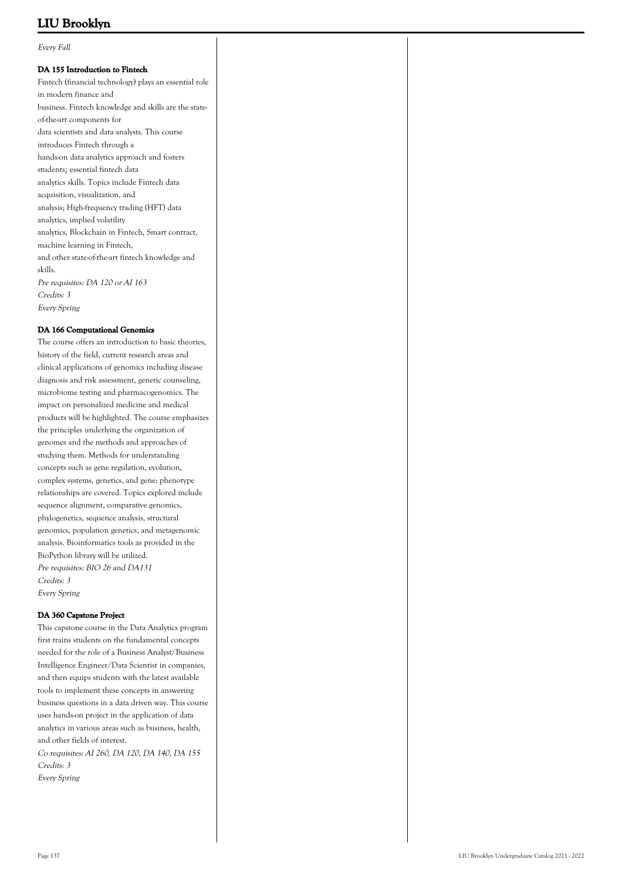Every Fall

#### **DA 155 Introduction to Fintech**

Fintech (financial technology) plays an essential role in modern finance and business. Fintech knowledge and skills are the stateof-the-art components for data scientists and data analysts. This course introduces Fintech through a hands-on data analytics approach and fosters students¿ essential fintech data analytics skills. Topics include Fintech data acquisition, visualization, and analysis; High-frequency trading (HFT) data analytics, implied volatility analytics, Blockchain in Fintech, Smart contract, machine learning in Fintech, and other state-of-the-art fintech knowledge and skills. Pre requisites: DA 120 or AI 163 Credits: 3 Every Spring

### **DA 166 Computational Genomics**

The course offers an introduction to basic theories, history of the field, current research areas and clinical applications of genomics including disease diagnosis and risk assessment, genetic counseling, microbiome testing and pharmacogenomics. The impact on personalized medicine and medical products will be highlighted. The course emphasizes the principles underlying the organization of genomes and the methods and approaches of studying them. Methods for understanding concepts such as gene regulation, evolution, complex systems, genetics, and gene: phenotype relationships are covered. Topics explored include sequence alignment, comparative genomics, phylogenetics, sequence analysis, structural genomics, population genetics, and metagenomic analysis. Bioinformatics tools as provided in the BioPython library will be utilized. Pre requisites: BIO 26 and DA131 Credits: 3 Every Spring

#### **DA 360 Capstone Project**

This capstone course in the Data Analytics program first trains students on the fundamental concepts needed for the role of a Business Analyst/Business Intelligence Engineer/Data Scientist in companies, and then equips students with the latest available tools to implement these concepts in answering business questions in a data driven way. This course uses hands-on project in the application of data analytics in various areas such as business, health, and other fields of interest. Co requisites: AI 260, DA 120, DA 140, DA 155 Credits: 3

Every Spring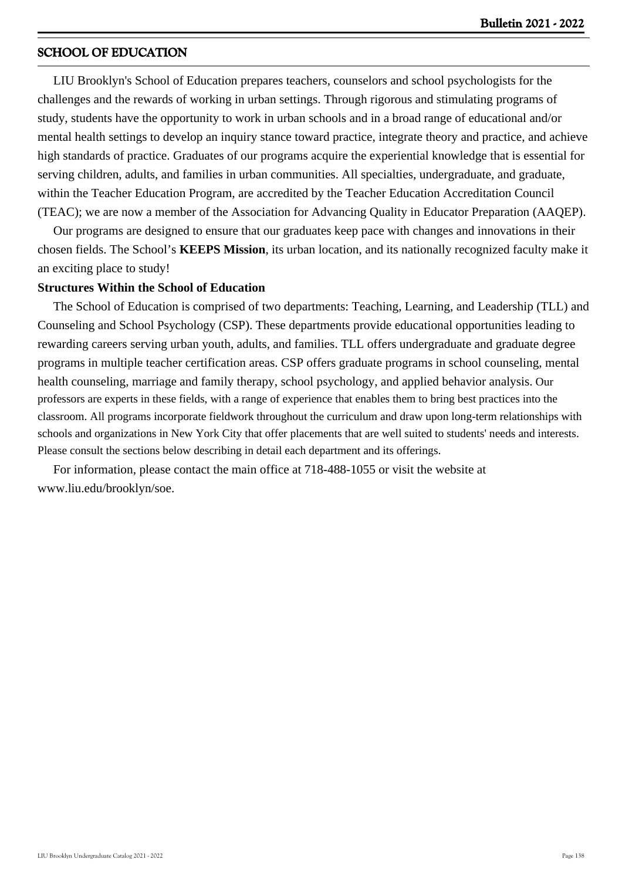## **SCHOOL OF EDUCATION**

 LIU Brooklyn's School of Education prepares teachers, counselors and school psychologists for the challenges and the rewards of working in urban settings. Through rigorous and stimulating programs of study, students have the opportunity to work in urban schools and in a broad range of educational and/or mental health settings to develop an inquiry stance toward practice, integrate theory and practice, and achieve high standards of practice. Graduates of our programs acquire the experiential knowledge that is essential for serving children, adults, and families in urban communities. All specialties, undergraduate, and graduate, within the Teacher Education Program, are accredited by the Teacher Education Accreditation Council (TEAC); we are now a member of the Association for Advancing Quality in Educator Preparation (AAQEP).

 Our programs are designed to ensure that our graduates keep pace with changes and innovations in their chosen fields. The School's **KEEPS Mission**, its urban location, and its nationally recognized faculty make it an exciting place to study!

## **Structures Within the School of Education**

 The School of Education is comprised of two departments: Teaching, Learning, and Leadership (TLL) and Counseling and School Psychology (CSP). These departments provide educational opportunities leading to rewarding careers serving urban youth, adults, and families. TLL offers undergraduate and graduate degree programs in multiple teacher certification areas. CSP offers graduate programs in school counseling, mental health counseling, marriage and family therapy, school psychology, and applied behavior analysis. Our professors are experts in these fields, with a range of experience that enables them to bring best practices into the classroom. All programs incorporate fieldwork throughout the curriculum and draw upon long-term relationships with schools and organizations in New York City that offer placements that are well suited to students' needs and interests. Please consult the sections below describing in detail each department and its offerings.

 For information, please contact the main office at 718-488-1055 or visit the website at www.liu.edu/brooklyn/soe.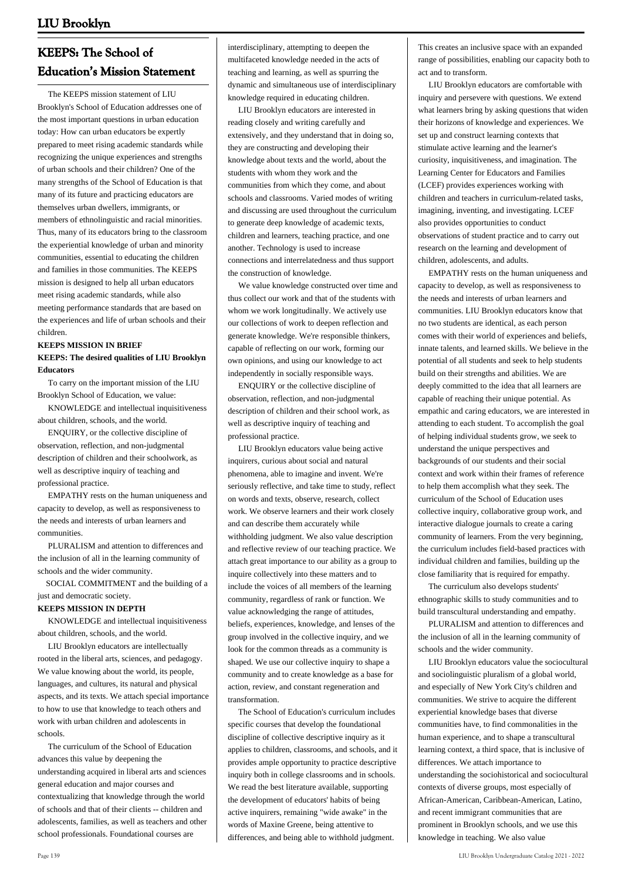## **KEEPS: The School of Education's Mission Statement**

 The KEEPS mission statement of LIU Brooklyn's School of Education addresses one of the most important questions in urban education today: How can urban educators be expertly prepared to meet rising academic standards while recognizing the unique experiences and strengths of urban schools and their children? One of the many strengths of the School of Education is that many of its future and practicing educators are themselves urban dwellers, immigrants, or members of ethnolinguistic and racial minorities. Thus, many of its educators bring to the classroom the experiential knowledge of urban and minority communities, essential to educating the children and families in those communities. The KEEPS mission is designed to help all urban educators meet rising academic standards, while also meeting performance standards that are based on the experiences and life of urban schools and their children.

### **KEEPS MISSION IN BRIEF KEEPS: The desired qualities of LIU Brooklyn Educators**

 To carry on the important mission of the LIU Brooklyn School of Education, we value:

 KNOWLEDGE and intellectual inquisitiveness about children, schools, and the world.

 ENQUIRY, or the collective discipline of observation, reflection, and non-judgmental description of children and their schoolwork, as well as descriptive inquiry of teaching and professional practice.

 EMPATHY rests on the human uniqueness and capacity to develop, as well as responsiveness to the needs and interests of urban learners and communities.

 PLURALISM and attention to differences and the inclusion of all in the learning community of schools and the wider community.

 SOCIAL COMMITMENT and the building of a just and democratic society.

## **KEEPS MISSION IN DEPTH**

 KNOWLEDGE and intellectual inquisitiveness about children, schools, and the world.

 LIU Brooklyn educators are intellectually rooted in the liberal arts, sciences, and pedagogy. We value knowing about the world, its people, languages, and cultures, its natural and physical aspects, and its texts. We attach special importance to how to use that knowledge to teach others and work with urban children and adolescents in schools.

 The curriculum of the School of Education advances this value by deepening the understanding acquired in liberal arts and sciences general education and major courses and contextualizing that knowledge through the world of schools and that of their clients -- children and adolescents, families, as well as teachers and other school professionals. Foundational courses are

interdisciplinary, attempting to deepen the multifaceted knowledge needed in the acts of teaching and learning, as well as spurring the dynamic and simultaneous use of interdisciplinary knowledge required in educating children.

 LIU Brooklyn educators are interested in reading closely and writing carefully and extensively, and they understand that in doing so, they are constructing and developing their knowledge about texts and the world, about the students with whom they work and the communities from which they come, and about schools and classrooms. Varied modes of writing and discussing are used throughout the curriculum to generate deep knowledge of academic texts, children and learners, teaching practice, and one another. Technology is used to increase connections and interrelatedness and thus support the construction of knowledge.

 We value knowledge constructed over time and thus collect our work and that of the students with whom we work longitudinally. We actively use our collections of work to deepen reflection and generate knowledge. We're responsible thinkers, capable of reflecting on our work, forming our own opinions, and using our knowledge to act independently in socially responsible ways.

 ENQUIRY or the collective discipline of observation, reflection, and non-judgmental description of children and their school work, as well as descriptive inquiry of teaching and professional practice.

 LIU Brooklyn educators value being active inquirers, curious about social and natural phenomena, able to imagine and invent. We're seriously reflective, and take time to study, reflect on words and texts, observe, research, collect work. We observe learners and their work closely and can describe them accurately while withholding judgment. We also value description and reflective review of our teaching practice. We attach great importance to our ability as a group to inquire collectively into these matters and to include the voices of all members of the learning community, regardless of rank or function. We value acknowledging the range of attitudes, beliefs, experiences, knowledge, and lenses of the group involved in the collective inquiry, and we look for the common threads as a community is shaped. We use our collective inquiry to shape a community and to create knowledge as a base for action, review, and constant regeneration and transformation.

 The School of Education's curriculum includes specific courses that develop the foundational discipline of collective descriptive inquiry as it applies to children, classrooms, and schools, and it provides ample opportunity to practice descriptive inquiry both in college classrooms and in schools. We read the best literature available, supporting the development of educators' habits of being active inquirers, remaining "wide awake" in the words of Maxine Greene, being attentive to differences, and being able to withhold judgment.

This creates an inclusive space with an expanded range of possibilities, enabling our capacity both to act and to transform.

 LIU Brooklyn educators are comfortable with inquiry and persevere with questions. We extend what learners bring by asking questions that widen their horizons of knowledge and experiences. We set up and construct learning contexts that stimulate active learning and the learner's curiosity, inquisitiveness, and imagination. The Learning Center for Educators and Families (LCEF) provides experiences working with children and teachers in curriculum-related tasks, imagining, inventing, and investigating. LCEF also provides opportunities to conduct observations of student practice and to carry out research on the learning and development of children, adolescents, and adults.

 EMPATHY rests on the human uniqueness and capacity to develop, as well as responsiveness to the needs and interests of urban learners and communities. LIU Brooklyn educators know that no two students are identical, as each person comes with their world of experiences and beliefs, innate talents, and learned skills. We believe in the potential of all students and seek to help students build on their strengths and abilities. We are deeply committed to the idea that all learners are capable of reaching their unique potential. As empathic and caring educators, we are interested in attending to each student. To accomplish the goal of helping individual students grow, we seek to understand the unique perspectives and backgrounds of our students and their social context and work within their frames of reference to help them accomplish what they seek. The curriculum of the School of Education uses collective inquiry, collaborative group work, and interactive dialogue journals to create a caring community of learners. From the very beginning, the curriculum includes field-based practices with individual children and families, building up the close familiarity that is required for empathy.

 The curriculum also develops students' ethnographic skills to study communities and to build transcultural understanding and empathy.

 PLURALISM and attention to differences and the inclusion of all in the learning community of schools and the wider community.

 LIU Brooklyn educators value the sociocultural and sociolinguistic pluralism of a global world, and especially of New York City's children and communities. We strive to acquire the different experiential knowledge bases that diverse communities have, to find commonalities in the human experience, and to shape a transcultural learning context, a third space, that is inclusive of differences. We attach importance to understanding the sociohistorical and sociocultural contexts of diverse groups, most especially of African-American, Caribbean-American, Latino, and recent immigrant communities that are prominent in Brooklyn schools, and we use this knowledge in teaching. We also value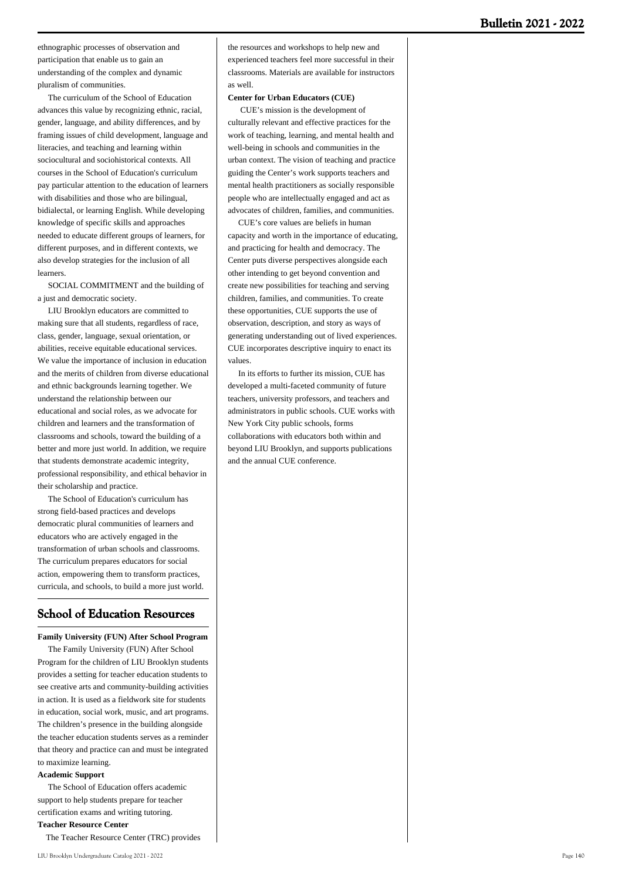ethnographic processes of observation and participation that enable us to gain an understanding of the complex and dynamic pluralism of communities.

 The curriculum of the School of Education advances this value by recognizing ethnic, racial, gender, language, and ability differences, and by framing issues of child development, language and literacies, and teaching and learning within sociocultural and sociohistorical contexts. All courses in the School of Education's curriculum pay particular attention to the education of learners with disabilities and those who are bilingual, bidialectal, or learning English. While developing knowledge of specific skills and approaches needed to educate different groups of learners, for different purposes, and in different contexts, we also develop strategies for the inclusion of all learners.

 SOCIAL COMMITMENT and the building of a just and democratic society.

 LIU Brooklyn educators are committed to making sure that all students, regardless of race, class, gender, language, sexual orientation, or abilities, receive equitable educational services. We value the importance of inclusion in education and the merits of children from diverse educational and ethnic backgrounds learning together. We understand the relationship between our educational and social roles, as we advocate for children and learners and the transformation of classrooms and schools, toward the building of a better and more just world. In addition, we require that students demonstrate academic integrity, professional responsibility, and ethical behavior in their scholarship and practice.

 The School of Education's curriculum has strong field-based practices and develops democratic plural communities of learners and educators who are actively engaged in the transformation of urban schools and classrooms. The curriculum prepares educators for social action, empowering them to transform practices, curricula, and schools, to build a more just world.

## **School of Education Resources**

**Family University (FUN) After School Program**

 The Family University (FUN) After School Program for the children of LIU Brooklyn students provides a setting for teacher education students to see creative arts and community-building activities in action. It is used as a fieldwork site for students in education, social work, music, and art programs. The children's presence in the building alongside the teacher education students serves as a reminder that theory and practice can and must be integrated to maximize learning.

#### **Academic Support**

 The School of Education offers academic support to help students prepare for teacher certification exams and writing tutoring. **Teacher Resource Center**

The Teacher Resource Center (TRC) provides

the resources and workshops to help new and experienced teachers feel more successful in their classrooms. Materials are available for instructors as well.

#### **Center for Urban Educators (CUE)**

 CUE's mission is the development of culturally relevant and effective practices for the work of teaching, learning, and mental health and well-being in schools and communities in the urban context. The vision of teaching and practice guiding the Center's work supports teachers and mental health practitioners as socially responsible people who are intellectually engaged and act as advocates of children, families, and communities.

 CUE's core values are beliefs in human capacity and worth in the importance of educating, and practicing for health and democracy. The Center puts diverse perspectives alongside each other intending to get beyond convention and create new possibilities for teaching and serving children, families, and communities. To create these opportunities, CUE supports the use of observation, description, and story as ways of generating understanding out of lived experiences. CUE incorporates descriptive inquiry to enact its values.

 In its efforts to further its mission, CUE has developed a multi-faceted community of future teachers, university professors, and teachers and administrators in public schools. CUE works with New York City public schools, forms collaborations with educators both within and beyond LIU Brooklyn, and supports publications and the annual CUE conference.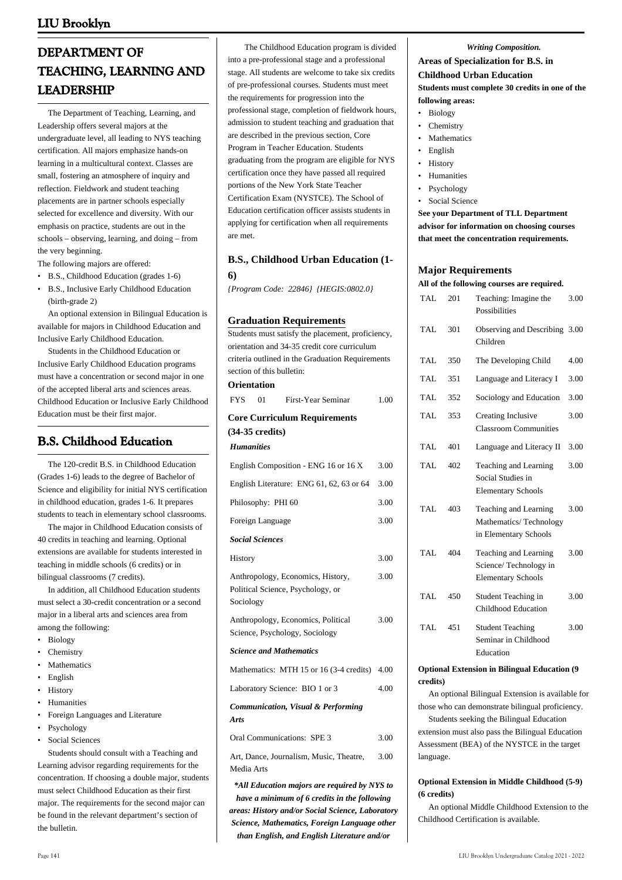# **DEPARTMENT OF TEACHING, LEARNING AND LEADERSHIP**

 The Department of Teaching, Learning, and Leadership offers several majors at the undergraduate level, all leading to NYS teaching certification. All majors emphasize hands-on learning in a multicultural context. Classes are small, fostering an atmosphere of inquiry and reflection. Fieldwork and student teaching placements are in partner schools especially selected for excellence and diversity. With our emphasis on practice, students are out in the schools – observing, learning, and doing – from the very beginning.

The following majors are offered:

• B.S., Childhood Education (grades 1-6) B.S., Inclusive Early Childhood Education • (birth-grade 2)

 An optional extension in Bilingual Education is available for majors in Childhood Education and Inclusive Early Childhood Education.

 Students in the Childhood Education or Inclusive Early Childhood Education programs must have a concentration or second major in one of the accepted liberal arts and sciences areas. Childhood Education or Inclusive Early Childhood Education must be their first major.

## **B.S. Childhood Education**

 The 120-credit B.S. in Childhood Education (Grades 1-6) leads to the degree of Bachelor of Science and eligibility for initial NYS certification in childhood education, grades 1-6. It prepares students to teach in elementary school classrooms.

 The major in Childhood Education consists of 40 credits in teaching and learning. Optional extensions are available for students interested in teaching in middle schools (6 credits) or in bilingual classrooms (7 credits).

 In addition, all Childhood Education students must select a 30-credit concentration or a second major in a liberal arts and sciences area from among the following:

- Biology
- Chemistry
- **Mathematics**
- English
- History
- Humanities
- Foreign Languages and Literature
- **Psychology**
- Social Sciences

 Students should consult with a Teaching and Learning advisor regarding requirements for the concentration. If choosing a double major, students must select Childhood Education as their first major. The requirements for the second major can be found in the relevant department's section of the bulletin.

 The Childhood Education program is divided into a pre-professional stage and a professional stage. All students are welcome to take six credits of pre-professional courses. Students must meet the requirements for progression into the professional stage, completion of fieldwork hours, admission to student teaching and graduation that are described in the previous section, Core Program in Teacher Education. Students graduating from the program are eligible for NYS certification once they have passed all required portions of the New York State Teacher Certification Exam (NYSTCE). The School of Education certification officer assists students in applying for certification when all requirements are met.

## **B.S., Childhood Urban Education (1- 6)**

*{Program Code: 22846} {HEGIS:0802.0}*

#### **Graduation Requirements**

Students must satisfy the placement, proficiency, orientation and 34-35 credit core curriculum criteria outlined in the Graduation Requirements section of this bulletin: **Orientation** FYS 01 First-Year Seminar 1.00 **Core Curriculum Requirements (34-35 credits)** *Humanities* English Composition - ENG 16 or 16 X 3.00 English Literature: ENG 61, 62, 63 or 64 3.00 Philosophy: PHI 60 3.00 Foreign Language 3.00 *Social Sciences* History 3.00 Anthropology, Economics, History, Political Science, Psychology, or Sociology 3.00 Anthropology, Economics, Political Science, Psychology, Sociology 3.00 *Science and Mathematics* Mathematics: MTH 15 or 16 (3-4 credits) 4.00 Laboratory Science: BIO 1 or 3 4.00 *Communication, Visual & Performing Arts* Oral Communications: SPE 3 3.00 Art, Dance, Journalism, Music, Theatre, Media Arts 3.00 *\*All Education majors are required by NYS to*

*have a minimum of 6 credits in the following areas: History and/or Social Science, Laboratory Science, Mathematics, Foreign Language other than English, and English Literature and/or*

#### *Writing Composition.*

## **Areas of Specialization for B.S. in Childhood Urban Education Students must complete 30 credits in one of the**

**following areas:**

- Biology
- Chemistry
- Mathematics
- English
- **History**
- **Humanities**
- **Psychology**
- Social Science

**See your Department of TLL Department advisor for information on choosing courses that meet the concentration requirements.**

### **Major Requirements**

#### **All of the following courses are required.** TAL 201 Teaching: Imagine the 3.00

|      |     | Possibilities                                                               |      |
|------|-----|-----------------------------------------------------------------------------|------|
| TAI. | 301 | Observing and Describing 3.00<br>Children                                   |      |
| TAL. | 350 | The Developing Child                                                        | 4.00 |
| TAL  | 351 | Language and Literacy I                                                     | 3.00 |
| TAL. | 352 | Sociology and Education                                                     | 3.00 |
| TAL. | 353 | Creating Inclusive<br><b>Classroom Communities</b>                          | 3.00 |
| TAL. | 401 | Language and Literacy II                                                    | 3.00 |
| TAL. | 402 | Teaching and Learning<br>Social Studies in<br><b>Elementary Schools</b>     | 3.00 |
| TAL. | 403 | Teaching and Learning<br>Mathematics/Technology<br>in Elementary Schools    | 3.00 |
| TAL. | 404 | Teaching and Learning<br>Science/Technology in<br><b>Elementary Schools</b> | 3.00 |
| TAL  | 450 | Student Teaching in<br>Childhood Education                                  | 3.00 |
| TAL. | 451 | <b>Student Teaching</b><br>Seminar in Childhood<br>Education                | 3.00 |

#### **Optional Extension in Bilingual Education (9 credits)**

 An optional Bilingual Extension is available for those who can demonstrate bilingual proficiency.

 Students seeking the Bilingual Education extension must also pass the Bilingual Education Assessment (BEA) of the NYSTCE in the target language.

### **Optional Extension in Middle Childhood (5-9) (6 credits)**

 An optional Middle Childhood Extension to the Childhood Certification is available.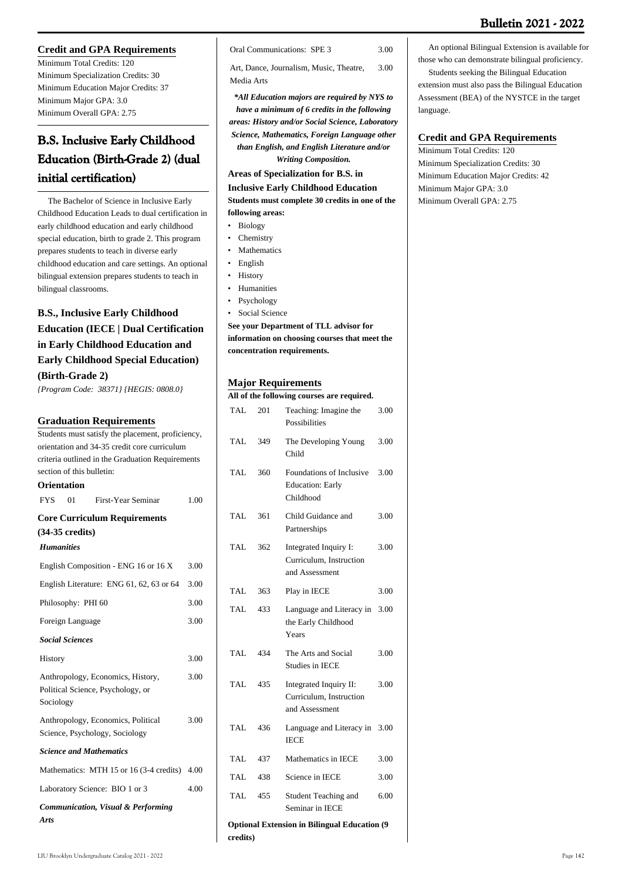## **Credit and GPA Requirements**

Minimum Total Credits: 120 Minimum Specialization Credits: 30 Minimum Education Major Credits: 37 Minimum Major GPA: 3.0 Minimum Overall GPA: 2.75

# **B.S. Inclusive Early Childhood Education (Birth-Grade 2) (dual initial certification)**

 The Bachelor of Science in Inclusive Early Childhood Education Leads to dual certification in early childhood education and early childhood special education, birth to grade 2. This program prepares students to teach in diverse early childhood education and care settings. An optional bilingual extension prepares students to teach in bilingual classrooms.

## **B.S., Inclusive Early Childhood Education (IECE | Dual Certification in Early Childhood Education and Early Childhood Special Education) (Birth-Grade 2)**

*{Program Code: 38371} {HEGIS: 0808.0}*

## **Graduation Requirements**

Students must satisfy the placement, proficiency, orientation and 34-35 credit core curriculum criteria outlined in the Graduation Requirements section of this bulletin: **Orientation** FYS 01 First-Year Seminar 1.00 **Core Curriculum Requirements (34-35 credits)** *Humanities* English Composition - ENG 16 or 16 X 3.00 English Literature: ENG 61, 62, 63 or 64 3.00 Philosophy: PHI 60 3.00 Foreign Language 3.00 *Social Sciences* History 3.00 Anthropology, Economics, History, Political Science, Psychology, or Sociology 3.00 Anthropology, Economics, Political Science, Psychology, Sociology 3.00 *Science and Mathematics* Mathematics: MTH 15 or 16 (3-4 credits) 4.00 Laboratory Science: BIO 1 or 3 4.00 *Communication, Visual & Performing Arts*

Oral Communications: SPE 3 3.00

Art, Dance, Journalism, Music, Theatre, Media Arts 3.00

*\*All Education majors are required by NYS to have a minimum of 6 credits in the following areas: History and/or Social Science, Laboratory Science, Mathematics, Foreign Language other than English, and English Literature and/or Writing Composition.*

**Areas of Specialization for B.S. in**

**Inclusive Early Childhood Education Students must complete 30 credits in one of the following areas:**

- Biology
- Chemistry
- Mathematics
- English
- **History**
- **Humanities**
- Psychology
- Social Science

**See your Department of TLL advisor for information on choosing courses that meet the concentration requirements.**

## **Major Requirements**

| мајог кедин ешенк                                                |                                            |                                                                     |      |  |  |
|------------------------------------------------------------------|--------------------------------------------|---------------------------------------------------------------------|------|--|--|
|                                                                  | All of the following courses are required. |                                                                     |      |  |  |
| <b>TAL</b>                                                       | 201                                        | Teaching: Imagine the<br>Possibilities                              | 3.00 |  |  |
| TAL.                                                             | 349                                        | The Developing Young<br>Child                                       | 3.00 |  |  |
| TAL.                                                             | 360                                        | Foundations of Inclusive<br><b>Education: Early</b><br>Childhood    | 3.00 |  |  |
| TAL                                                              | 361                                        | Child Guidance and<br>Partnerships                                  | 3.00 |  |  |
| <b>TAL</b>                                                       | 362                                        | Integrated Inquiry I:<br>Curriculum, Instruction<br>and Assessment  | 3.00 |  |  |
| TAL                                                              | 363                                        | Play in IECE                                                        | 3.00 |  |  |
| <b>TAL</b>                                                       | 433                                        | Language and Literacy in<br>the Early Childhood<br>Years            | 3.00 |  |  |
| TAL.                                                             | 434                                        | The Arts and Social<br>Studies in IECE                              | 3.00 |  |  |
| <b>TAL</b>                                                       | 435                                        | Integrated Inquiry II:<br>Curriculum, Instruction<br>and Assessment | 3.00 |  |  |
| TAL.                                                             | 436                                        | Language and Literacy in<br><b>IECE</b>                             | 3.00 |  |  |
| TAL                                                              | 437                                        | Mathematics in IECE                                                 | 3.00 |  |  |
| TAL.                                                             | 438                                        | Science in IECE                                                     | 3.00 |  |  |
| <b>TAL</b>                                                       | 455                                        | Student Teaching and<br>Seminar in IECE                             | 6.00 |  |  |
| <b>Optional Extension in Bilingual Education (9)</b><br>credits) |                                            |                                                                     |      |  |  |

LIU Brooklyn Undergraduate Catalog 2021 - 2022 Page 142

 An optional Bilingual Extension is available for those who can demonstrate bilingual proficiency.

 Students seeking the Bilingual Education extension must also pass the Bilingual Education Assessment (BEA) of the NYSTCE in the target language.

## **Credit and GPA Requirements**

Minimum Total Credits: 120 Minimum Specialization Credits: 30 Minimum Education Major Credits: 42 Minimum Major GPA: 3.0 Minimum Overall GPA: 2.75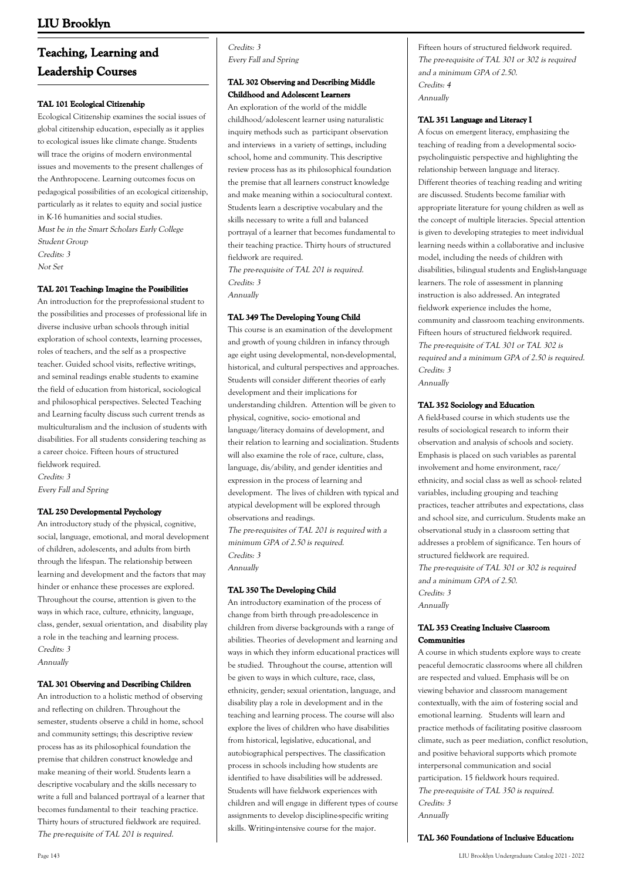# **Teaching, Learning and Leadership Courses**

### **TAL 101 Ecological Citizenship**

Ecological Citizenship examines the social issues of global citizenship education, especially as it applies to ecological issues like climate change. Students will trace the origins of modern environmental issues and movements to the present challenges of the Anthropocene. Learning outcomes focus on pedagogical possibilities of an ecological citizenship, particularly as it relates to equity and social justice in K-16 humanities and social studies. Must be in the Smart Scholars Early College Student Group Credits: 3 Not Set

#### **TAL 201 Teaching: Imagine the Possibilities**

An introduction for the preprofessional student to the possibilities and processes of professional life in diverse inclusive urban schools through initial exploration of school contexts, learning processes, roles of teachers, and the self as a prospective teacher. Guided school visits, reflective writings, and seminal readings enable students to examine the field of education from historical, sociological and philosophical perspectives. Selected Teaching and Learning faculty discuss such current trends as multiculturalism and the inclusion of students with disabilities. For all students considering teaching as a career choice. Fifteen hours of structured fieldwork required. Credits: 3 Every Fall and Spring

## **TAL 250 Developmental Psychology**

An introductory study of the physical, cognitive, social, language, emotional, and moral development of children, adolescents, and adults from birth through the lifespan. The relationship between learning and development and the factors that may hinder or enhance these processes are explored. Throughout the course, attention is given to the ways in which race, culture, ethnicity, language, class, gender, sexual orientation, and disability play a role in the teaching and learning process. Credits: 3 Annually

#### **TAL 301 Observing and Describing Children**

An introduction to a holistic method of observing and reflecting on children. Throughout the semester, students observe a child in home, school and community settings; this descriptive review process has as its philosophical foundation the premise that children construct knowledge and make meaning of their world. Students learn a descriptive vocabulary and the skills necessary to write a full and balanced portrayal of a learner that becomes fundamental to their teaching practice. Thirty hours of structured fieldwork are required. The pre-requisite of TAL 201 is required.

Credits: 3 Every Fall and Spring

## **TAL 302 Observing and Describing Middle Childhood and Adolescent Learners**

An exploration of the world of the middle childhood/adolescent learner using naturalistic inquiry methods such as participant observation and interviews in a variety of settings, including school, home and community. This descriptive review process has as its philosophical foundation the premise that all learners construct knowledge and make meaning within a sociocultural context. Students learn a descriptive vocabulary and the skills necessary to write a full and balanced portrayal of a learner that becomes fundamental to their teaching practice. Thirty hours of structured fieldwork are required. The pre-requisite of TAL 201 is required. Credits: 3

Annually

### **TAL 349 The Developing Young Child**

This course is an examination of the development and growth of young children in infancy through age eight using developmental, non-developmental, historical, and cultural perspectives and approaches. Students will consider different theories of early development and their implications for understanding children. Attention will be given to physical, cognitive, socio- emotional and language/literacy domains of development, and their relation to learning and socialization. Students will also examine the role of race, culture, class, language, dis/ability, and gender identities and expression in the process of learning and development. The lives of children with typical and atypical development will be explored through observations and readings.

The pre-requisites of TAL 201 is required with a minimum GPA of 2.50 is required. Credits: 3 Annually

## **TAL 350 The Developing Child**

An introductory examination of the process of change from birth through pre-adolescence in children from diverse backgrounds with a range of abilities. Theories of development and learning and ways in which they inform educational practices will be studied. Throughout the course, attention will be given to ways in which culture, race, class, ethnicity, gender; sexual orientation, language, and disability play a role in development and in the teaching and learning process. The course will also explore the lives of children who have disabilities from historical, legislative, educational, and autobiographical perspectives. The classification process in schools including how students are identified to have disabilities will be addressed. Students will have fieldwork experiences with children and will engage in different types of course assignments to develop discipline-specific writing skills. Writing-intensive course for the major.

Fifteen hours of structured fieldwork required. The pre-requisite of TAL 301 or 302 is required and a minimum GPA of 2.50. Credits: 4 Annually

#### **TAL 351 Language and Literacy I**

A focus on emergent literacy, emphasizing the teaching of reading from a developmental sociopsycholinguistic perspective and highlighting the relationship between language and literacy. Different theories of teaching reading and writing are discussed. Students become familiar with appropriate literature for young children as well as the concept of multiple literacies. Special attention is given to developing strategies to meet individual learning needs within a collaborative and inclusive model, including the needs of children with disabilities, bilingual students and English-language learners. The role of assessment in planning instruction is also addressed. An integrated fieldwork experience includes the home, community and classroom teaching environments. Fifteen hours of structured fieldwork required. The pre-requisite of TAL 301 or TAL 302 is required and a minimum GPA of 2.50 is required. Credits: 3 Annually

#### **TAL 352 Sociology and Education**

A field-based course in which students use the results of sociological research to inform their observation and analysis of schools and society. Emphasis is placed on such variables as parental involvement and home environment, race/ ethnicity, and social class as well as school- related variables, including grouping and teaching practices, teacher attributes and expectations, class and school size, and curriculum. Students make an observational study in a classroom setting that addresses a problem of significance. Ten hours of structured fieldwork are required. The pre-requisite of TAL 301 or 302 is required and a minimum GPA of 2.50. Credits: 3 Annually

#### **TAL 353 Creating Inclusive Classroom Communities**

A course in which students explore ways to create peaceful democratic classrooms where all children are respected and valued. Emphasis will be on viewing behavior and classroom management contextually, with the aim of fostering social and emotional learning. Students will learn and practice methods of facilitating positive classroom climate, such as peer mediation, conflict resolution, and positive behavioral supports which promote interpersonal communication and social participation. 15 fieldwork hours required. The pre-requisite of TAL 350 is required. Credits: 3 Annually

**TAL 360 Foundations of Inclusive Education:**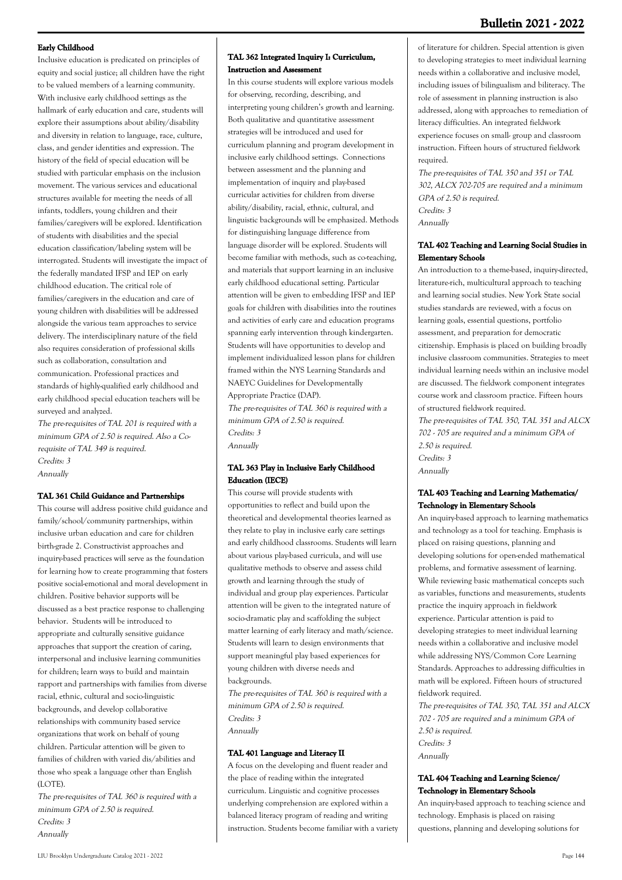## **Bulletin 2021 - 2022**

#### **Early Childhood**

Inclusive education is predicated on principles of equity and social justice; all children have the right to be valued members of a learning community. With inclusive early childhood settings as the hallmark of early education and care, students will explore their assumptions about ability/disability and diversity in relation to language, race, culture, class, and gender identities and expression. The history of the field of special education will be studied with particular emphasis on the inclusion movement. The various services and educational structures available for meeting the needs of all infants, toddlers, young children and their families/caregivers will be explored. Identification of students with disabilities and the special education classification/labeling system will be interrogated. Students will investigate the impact of the federally mandated IFSP and IEP on early childhood education. The critical role of families/caregivers in the education and care of young children with disabilities will be addressed alongside the various team approaches to service delivery. The interdisciplinary nature of the field also requires consideration of professional skills such as collaboration, consultation and communication. Professional practices and standards of highly-qualified early childhood and early childhood special education teachers will be surveyed and analyzed.

The pre-requisites of TAL 201 is required with a minimum GPA of 2.50 is required. Also a Corequisite of TAL 349 is required. Credits: 3 Annually

#### **TAL 361 Child Guidance and Partnerships**

This course will address positive child guidance and family/school/community partnerships, within inclusive urban education and care for children birth-grade 2. Constructivist approaches and inquiry-based practices will serve as the foundation for learning how to create programming that fosters positive social-emotional and moral development in children. Positive behavior supports will be discussed as a best practice response to challenging behavior. Students will be introduced to appropriate and culturally sensitive guidance approaches that support the creation of caring, interpersonal and inclusive learning communities for children; learn ways to build and maintain rapport and partnerships with families from diverse racial, ethnic, cultural and socio-linguistic backgrounds, and develop collaborative relationships with community based service organizations that work on behalf of young children. Particular attention will be given to families of children with varied dis/abilities and those who speak a language other than English  $(LOTE)$ 

The pre-requisites of TAL 360 is required with a minimum GPA of 2.50 is required. Credits: 3 Annually

## **TAL 362 Integrated Inquiry I: Curriculum, Instruction and Assessment**

In this course students will explore various models for observing, recording, describing, and interpreting young children's growth and learning. Both qualitative and quantitative assessment strategies will be introduced and used for curriculum planning and program development in inclusive early childhood settings. Connections between assessment and the planning and implementation of inquiry and play-based curricular activities for children from diverse ability/disability, racial, ethnic, cultural, and linguistic backgrounds will be emphasized. Methods for distinguishing language difference from language disorder will be explored. Students will become familiar with methods, such as co-teaching, and materials that support learning in an inclusive early childhood educational setting. Particular attention will be given to embedding IFSP and IEP goals for children with disabilities into the routines and activities of early care and education programs spanning early intervention through kindergarten. Students will have opportunities to develop and implement individualized lesson plans for children framed within the NYS Learning Standards and NAEYC Guidelines for Developmentally Appropriate Practice (DAP). The pre-requisites of TAL 360 is required with a minimum GPA of 2.50 is required. Credits: 3 Annually

#### **TAL 363 Play in Inclusive Early Childhood Education (IECE)**

This course will provide students with opportunities to reflect and build upon the theoretical and developmental theories learned as they relate to play in inclusive early care settings and early childhood classrooms. Students will learn about various play-based curricula, and will use qualitative methods to observe and assess child growth and learning through the study of individual and group play experiences. Particular attention will be given to the integrated nature of socio-dramatic play and scaffolding the subject matter learning of early literacy and math/science. Students will learn to design environments that support meaningful play based experiences for young children with diverse needs and backgrounds.

The pre-requisites of TAL 360 is required with a minimum GPA of 2.50 is required. Credits: 3 Annually

## **TAL 401 Language and Literacy II**

A focus on the developing and fluent reader and the place of reading within the integrated curriculum. Linguistic and cognitive processes underlying comprehension are explored within a balanced literacy program of reading and writing instruction. Students become familiar with a variety of literature for children. Special attention is given to developing strategies to meet individual learning needs within a collaborative and inclusive model, including issues of bilingualism and biliteracy. The role of assessment in planning instruction is also addressed, along with approaches to remediation of literacy difficulties. An integrated fieldwork experience focuses on small- group and classroom instruction. Fifteen hours of structured fieldwork required.

The pre-requisites of TAL 350 and 351 or TAL 302, ALCX 702-705 are required and a minimum GPA of 2.50 is required. Credits: 3 Annually

#### **TAL 402 Teaching and Learning Social Studies in Elementary Schools**

An introduction to a theme-based, inquiry-directed, literature-rich, multicultural approach to teaching and learning social studies. New York State social studies standards are reviewed, with a focus on learning goals, essential questions, portfolio assessment, and preparation for democratic citizenship. Emphasis is placed on building broadly inclusive classroom communities. Strategies to meet individual learning needs within an inclusive model are discussed. The fieldwork component integrates course work and classroom practice. Fifteen hours of structured fieldwork required.

The pre-requisites of TAL 350, TAL 351 and ALCX 702 - 705 are required and a minimum GPA of 2.50 is required. Credits: 3 Annually

#### **TAL 403 Teaching and Learning Mathematics/ Technology in Elementary Schools**

An inquiry-based approach to learning mathematics and technology as a tool for teaching. Emphasis is placed on raising questions, planning and developing solutions for open-ended mathematical problems, and formative assessment of learning. While reviewing basic mathematical concepts such as variables, functions and measurements, students practice the inquiry approach in fieldwork experience. Particular attention is paid to developing strategies to meet individual learning needs within a collaborative and inclusive model while addressing NYS/Common Core Learning Standards. Approaches to addressing difficulties in math will be explored. Fifteen hours of structured fieldwork required.

The pre-requisites of TAL 350, TAL 351 and ALCX 702 - 705 are required and a minimum GPA of 2.50 is required. Credits: 3 Annually

#### **TAL 404 Teaching and Learning Science/ Technology in Elementary Schools**

An inquiry-based approach to teaching science and technology. Emphasis is placed on raising questions, planning and developing solutions for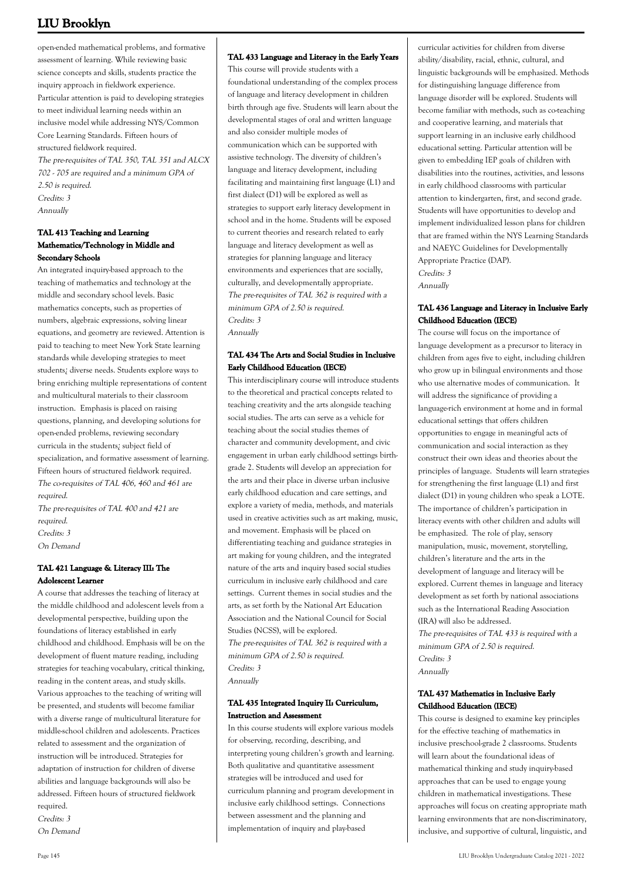open-ended mathematical problems, and formative assessment of learning. While reviewing basic science concepts and skills, students practice the inquiry approach in fieldwork experience. Particular attention is paid to developing strategies to meet individual learning needs within an inclusive model while addressing NYS/Common Core Learning Standards. Fifteen hours of structured fieldwork required. The pre-requisites of TAL 350, TAL 351 and ALCX 702 - 705 are required and a minimum GPA of 2.50 is required. Credits: 3 Annually

## **TAL 413 Teaching and Learning Mathematics/Technology in Middle and Secondary Schools**

An integrated inquiry-based approach to the teaching of mathematics and technology at the middle and secondary school levels. Basic mathematics concepts, such as properties of numbers, algebraic expressions, solving linear equations, and geometry are reviewed. Attention is paid to teaching to meet New York State learning standards while developing strategies to meet students¿ diverse needs. Students explore ways to bring enriching multiple representations of content and multicultural materials to their classroom instruction. Emphasis is placed on raising questions, planning, and developing solutions for open-ended problems, reviewing secondary curricula in the students¿ subject field of specialization, and formative assessment of learning. Fifteen hours of structured fieldwork required. The co-requisites of TAL 406, 460 and 461 are required.

The pre-requisites of TAL 400 and 421 are required. Credits: 3 On Demand

## **TAL 421 Language & Literacy III: The Adolescent Learner**

A course that addresses the teaching of literacy at the middle childhood and adolescent levels from a developmental perspective, building upon the foundations of literacy established in early childhood and childhood. Emphasis will be on the development of fluent mature reading, including strategies for teaching vocabulary, critical thinking, reading in the content areas, and study skills. Various approaches to the teaching of writing will be presented, and students will become familiar with a diverse range of multicultural literature for middle-school children and adolescents. Practices related to assessment and the organization of instruction will be introduced. Strategies for adaptation of instruction for children of diverse abilities and language backgrounds will also be addressed. Fifteen hours of structured fieldwork required. Credits: 3

On Demand

#### **TAL 433 Language and Literacy in the Early Years**

This course will provide students with a foundational understanding of the complex process of language and literacy development in children birth through age five. Students will learn about the developmental stages of oral and written language and also consider multiple modes of communication which can be supported with assistive technology. The diversity of children's language and literacy development, including facilitating and maintaining first language (L1) and first dialect (D1) will be explored as well as strategies to support early literacy development in school and in the home. Students will be exposed to current theories and research related to early language and literacy development as well as strategies for planning language and literacy environments and experiences that are socially, culturally, and developmentally appropriate. The pre-requisites of TAL 362 is required with a minimum GPA of 2.50 is required. Credits: 3 Annually

## **TAL 434 The Arts and Social Studies in Inclusive Early Childhood Education (IECE)**

This interdisciplinary course will introduce students to the theoretical and practical concepts related to teaching creativity and the arts alongside teaching social studies. The arts can serve as a vehicle for teaching about the social studies themes of character and community development, and civic engagement in urban early childhood settings birthgrade 2. Students will develop an appreciation for the arts and their place in diverse urban inclusive early childhood education and care settings, and explore a variety of media, methods, and materials used in creative activities such as art making, music, and movement. Emphasis will be placed on differentiating teaching and guidance strategies in art making for young children, and the integrated nature of the arts and inquiry based social studies curriculum in inclusive early childhood and care settings. Current themes in social studies and the arts, as set forth by the National Art Education Association and the National Council for Social Studies (NCSS), will be explored. The pre-requisites of TAL 362 is required with a minimum GPA of 2.50 is required. Credits: 3 Annually

## **TAL 435 Integrated Inquiry II: Curriculum, Instruction and Assessment**

In this course students will explore various models for observing, recording, describing, and interpreting young children's growth and learning. Both qualitative and quantitative assessment strategies will be introduced and used for curriculum planning and program development in inclusive early childhood settings. Connections between assessment and the planning and implementation of inquiry and play-based

curricular activities for children from diverse ability/disability, racial, ethnic, cultural, and linguistic backgrounds will be emphasized. Methods for distinguishing language difference from language disorder will be explored. Students will become familiar with methods, such as co-teaching and cooperative learning, and materials that support learning in an inclusive early childhood educational setting. Particular attention will be given to embedding IEP goals of children with disabilities into the routines, activities, and lessons in early childhood classrooms with particular attention to kindergarten, first, and second grade. Students will have opportunities to develop and implement individualized lesson plans for children that are framed within the NYS Learning Standards and NAEYC Guidelines for Developmentally Appropriate Practice (DAP). Credits: 3 Annually

#### **TAL 436 Language and Literacy in Inclusive Early Childhood Education (IECE)**

The course will focus on the importance of language development as a precursor to literacy in children from ages five to eight, including children who grow up in bilingual environments and those who use alternative modes of communication. It will address the significance of providing a language-rich environment at home and in formal educational settings that offers children opportunities to engage in meaningful acts of communication and social interaction as they construct their own ideas and theories about the principles of language. Students will learn strategies for strengthening the first language (L1) and first dialect (D1) in young children who speak a LOTE. The importance of children's participation in literacy events with other children and adults will be emphasized. The role of play, sensory manipulation, music, movement, storytelling, children's literature and the arts in the development of language and literacy will be explored. Current themes in language and literacy development as set forth by national associations such as the International Reading Association (IRA) will also be addressed. The pre-requisites of TAL 433 is required with a minimum GPA of 2.50 is required. Credits: 3

Annually

#### **TAL 437 Mathematics in Inclusive Early Childhood Education (IECE)**

This course is designed to examine key principles for the effective teaching of mathematics in inclusive preschool-grade 2 classrooms. Students will learn about the foundational ideas of mathematical thinking and study inquiry-based approaches that can be used to engage young children in mathematical investigations. These approaches will focus on creating appropriate math learning environments that are non-discriminatory, inclusive, and supportive of cultural, linguistic, and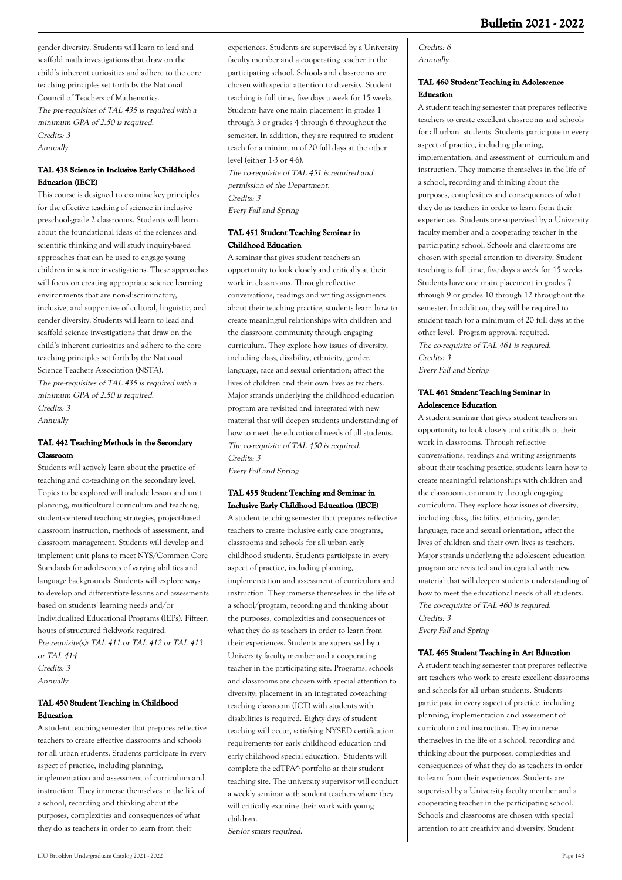gender diversity. Students will learn to lead and scaffold math investigations that draw on the child's inherent curiosities and adhere to the core teaching principles set forth by the National Council of Teachers of Mathematics. The pre-requisites of TAL 435 is required with a minimum GPA of 2.50 is required. Credits: 3 Annually

## **TAL 438 Science in Inclusive Early Childhood Education (IECE)**

This course is designed to examine key principles for the effective teaching of science in inclusive preschool-grade 2 classrooms. Students will learn about the foundational ideas of the sciences and scientific thinking and will study inquiry-based approaches that can be used to engage young children in science investigations. These approaches will focus on creating appropriate science learning environments that are non-discriminatory, inclusive, and supportive of cultural, linguistic, and gender diversity. Students will learn to lead and scaffold science investigations that draw on the child's inherent curiosities and adhere to the core teaching principles set forth by the National Science Teachers Association (NSTA). The pre-requisites of TAL 435 is required with a minimum GPA of 2.50 is required. Credits: 3

Annually

## **TAL 442 Teaching Methods in the Secondary Classroom**

Students will actively learn about the practice of teaching and co-teaching on the secondary level. Topics to be explored will include lesson and unit planning, multicultural curriculum and teaching, student-centered teaching strategies, project-based classroom instruction, methods of assessment, and classroom management. Students will develop and implement unit plans to meet NYS/Common Core Standards for adolescents of varying abilities and language backgrounds. Students will explore ways to develop and differentiate lessons and assessments based on students' learning needs and/or Individualized Educational Programs (IEPs). Fifteen hours of structured fieldwork required. Pre requisite(s): TAL 411 or TAL 412 or TAL 413 or TAL 414 Credits: 3 Annually

## **TAL 450 Student Teaching in Childhood Education**

A student teaching semester that prepares reflective teachers to create effective classrooms and schools for all urban students. Students participate in every aspect of practice, including planning, implementation and assessment of curriculum and instruction. They immerse themselves in the life of a school, recording and thinking about the purposes, complexities and consequences of what they do as teachers in order to learn from their

experiences. Students are supervised by a University faculty member and a cooperating teacher in the participating school. Schools and classrooms are chosen with special attention to diversity. Student teaching is full time, five days a week for 15 weeks. Students have one main placement in grades 1 through 3 or grades 4 through 6 throughout the semester. In addition, they are required to student teach for a minimum of 20 full days at the other level (either 1-3 or 4-6).

The co-requisite of TAL 451 is required and permission of the Department. Credits: 3 Every Fall and Spring

## **TAL 451 Student Teaching Seminar in Childhood Education**

A seminar that gives student teachers an opportunity to look closely and critically at their work in classrooms. Through reflective conversations, readings and writing assignments about their teaching practice, students learn how to create meaningful relationships with children and the classroom community through engaging curriculum. They explore how issues of diversity, including class, disability, ethnicity, gender, language, race and sexual orientation; affect the lives of children and their own lives as teachers. Major strands underlying the childhood education program are revisited and integrated with new material that will deepen students understanding of how to meet the educational needs of all students. The co-requisite of TAL 450 is required. Credits: 3 Every Fall and Spring

## **TAL 455 Student Teaching and Seminar in Inclusive Early Childhood Education (IECE)**

A student teaching semester that prepares reflective teachers to create inclusive early care programs, classrooms and schools for all urban early childhood students. Students participate in every aspect of practice, including planning, implementation and assessment of curriculum and instruction. They immerse themselves in the life of a school/program, recording and thinking about the purposes, complexities and consequences of what they do as teachers in order to learn from their experiences. Students are supervised by a University faculty member and a cooperating teacher in the participating site. Programs, schools and classrooms are chosen with special attention to diversity; placement in an integrated co-teaching teaching classroom (ICT) with students with disabilities is required. Eighty days of student teaching will occur, satisfying NYSED certification requirements for early childhood education and early childhood special education. Students will complete the edTPA^ portfolio at their student teaching site. The university supervisor will conduct a weekly seminar with student teachers where they will critically examine their work with young children.

Senior status required.

#### Credits: 6 Annually

#### **TAL 460 Student Teaching in Adolescence Education**

A student teaching semester that prepares reflective teachers to create excellent classrooms and schools for all urban students. Students participate in every aspect of practice, including planning, implementation, and assessment of curriculum and instruction. They immerse themselves in the life of a school, recording and thinking about the purposes, complexities and consequences of what they do as teachers in order to learn from their experiences. Students are supervised by a University faculty member and a cooperating teacher in the participating school. Schools and classrooms are chosen with special attention to diversity. Student teaching is full time, five days a week for 15 weeks. Students have one main placement in grades 7 through 9 or grades 10 through 12 throughout the semester. In addition, they will be required to student teach for a minimum of 20 full days at the other level. Program approval required. The co-requisite of TAL 461 is required. Credits: 3 Every Fall and Spring

#### **TAL 461 Student Teaching Seminar in Adolescence Education**

A student seminar that gives student teachers an opportunity to look closely and critically at their work in classrooms. Through reflective conversations, readings and writing assignments about their teaching practice, students learn how to create meaningful relationships with children and the classroom community through engaging curriculum. They explore how issues of diversity, including class, disability, ethnicity, gender, language, race and sexual orientation, affect the lives of children and their own lives as teachers. Major strands underlying the adolescent education program are revisited and integrated with new material that will deepen students understanding of how to meet the educational needs of all students. The co-requisite of TAL 460 is required. Credits: 3

Every Fall and Spring

## **TAL 465 Student Teaching in Art Education**

A student teaching semester that prepares reflective art teachers who work to create excellent classrooms and schools for all urban students. Students participate in every aspect of practice, including planning, implementation and assessment of curriculum and instruction. They immerse themselves in the life of a school, recording and thinking about the purposes, complexities and consequences of what they do as teachers in order to learn from their experiences. Students are supervised by a University faculty member and a cooperating teacher in the participating school. Schools and classrooms are chosen with special attention to art creativity and diversity. Student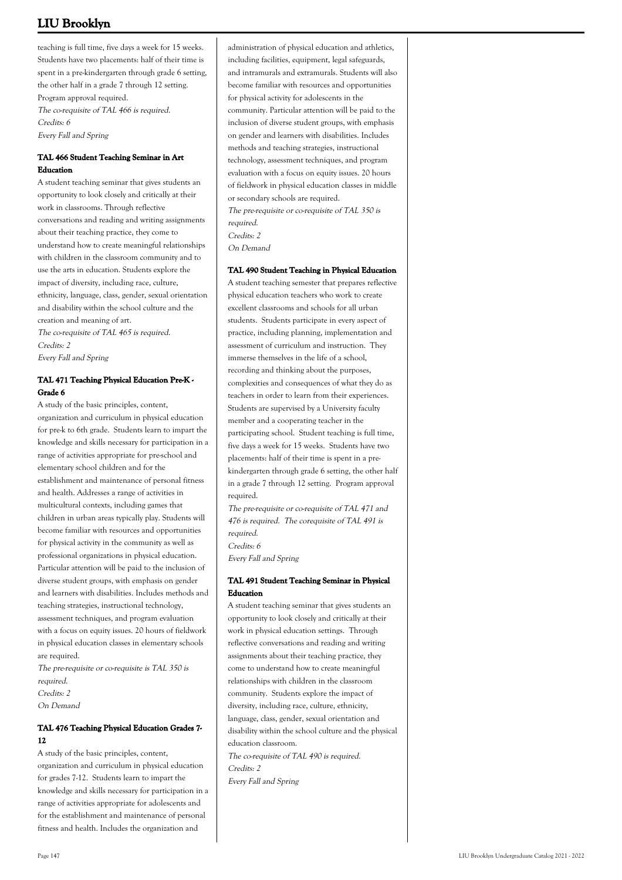teaching is full time, five days a week for 15 weeks. Students have two placements: half of their time is spent in a pre-kindergarten through grade 6 setting, the other half in a grade 7 through 12 setting. Program approval required. The co-requisite of TAL 466 is required. Credits: 6 Every Fall and Spring

## **TAL 466 Student Teaching Seminar in Art Education**

A student teaching seminar that gives students an opportunity to look closely and critically at their work in classrooms. Through reflective conversations and reading and writing assignments about their teaching practice, they come to understand how to create meaningful relationships with children in the classroom community and to use the arts in education. Students explore the impact of diversity, including race, culture, ethnicity, language, class, gender, sexual orientation and disability within the school culture and the creation and meaning of art.

The co-requisite of TAL 465 is required. Credits: 2 Every Fall and Spring

## **TAL 471 Teaching Physical Education Pre-K - Grade 6**

A study of the basic principles, content, organization and curriculum in physical education for pre-k to 6th grade. Students learn to impart the knowledge and skills necessary for participation in a range of activities appropriate for pre-school and elementary school children and for the establishment and maintenance of personal fitness and health. Addresses a range of activities in multicultural contexts, including games that children in urban areas typically play. Students will become familiar with resources and opportunities for physical activity in the community as well as professional organizations in physical education. Particular attention will be paid to the inclusion of diverse student groups, with emphasis on gender and learners with disabilities. Includes methods and teaching strategies, instructional technology, assessment techniques, and program evaluation with a focus on equity issues. 20 hours of fieldwork in physical education classes in elementary schools are required.

The pre-requisite or co-requisite is TAL 350 is required. Credits: 2 On Demand

## **TAL 476 Teaching Physical Education Grades 7- 12**

A study of the basic principles, content, organization and curriculum in physical education for grades 7-12. Students learn to impart the knowledge and skills necessary for participation in a range of activities appropriate for adolescents and for the establishment and maintenance of personal fitness and health. Includes the organization and

administration of physical education and athletics, including facilities, equipment, legal safeguards, and intramurals and extramurals. Students will also become familiar with resources and opportunities for physical activity for adolescents in the community. Particular attention will be paid to the inclusion of diverse student groups, with emphasis on gender and learners with disabilities. Includes methods and teaching strategies, instructional technology, assessment techniques, and program evaluation with a focus on equity issues. 20 hours of fieldwork in physical education classes in middle or secondary schools are required. The pre-requisite or co-requisite of TAL 350 is required. Credits: 2 On Demand

**TAL 490 Student Teaching in Physical Education**

A student teaching semester that prepares reflective physical education teachers who work to create excellent classrooms and schools for all urban students. Students participate in every aspect of practice, including planning, implementation and assessment of curriculum and instruction. They immerse themselves in the life of a school, recording and thinking about the purposes, complexities and consequences of what they do as teachers in order to learn from their experiences. Students are supervised by a University faculty member and a cooperating teacher in the participating school. Student teaching is full time, five days a week for 15 weeks. Students have two placements: half of their time is spent in a prekindergarten through grade 6 setting, the other half in a grade 7 through 12 setting. Program approval required.

The pre-requisite or co-requisite of TAL 471 and 476 is required. The corequisite of TAL 491 is required. Credits: 6 Every Fall and Spring

## **TAL 491 Student Teaching Seminar in Physical Education**

A student teaching seminar that gives students an opportunity to look closely and critically at their work in physical education settings. Through reflective conversations and reading and writing assignments about their teaching practice, they come to understand how to create meaningful relationships with children in the classroom community. Students explore the impact of diversity, including race, culture, ethnicity, language, class, gender, sexual orientation and disability within the school culture and the physical education classroom. The co-requisite of TAL 490 is required.

Credits: 2 Every Fall and Spring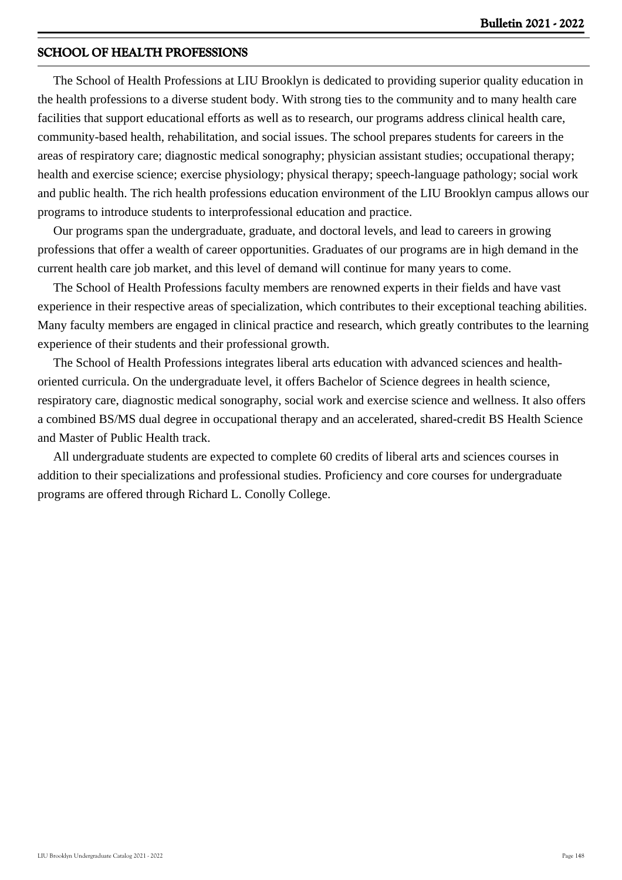## **SCHOOL OF HEALTH PROFESSIONS**

 The School of Health Professions at LIU Brooklyn is dedicated to providing superior quality education in the health professions to a diverse student body. With strong ties to the community and to many health care facilities that support educational efforts as well as to research, our programs address clinical health care, community-based health, rehabilitation, and social issues. The school prepares students for careers in the areas of respiratory care; diagnostic medical sonography; physician assistant studies; occupational therapy; health and exercise science; exercise physiology; physical therapy; speech-language pathology; social work and public health. The rich health professions education environment of the LIU Brooklyn campus allows our programs to introduce students to interprofessional education and practice.

 Our programs span the undergraduate, graduate, and doctoral levels, and lead to careers in growing professions that offer a wealth of career opportunities. Graduates of our programs are in high demand in the current health care job market, and this level of demand will continue for many years to come.

 The School of Health Professions faculty members are renowned experts in their fields and have vast experience in their respective areas of specialization, which contributes to their exceptional teaching abilities. Many faculty members are engaged in clinical practice and research, which greatly contributes to the learning experience of their students and their professional growth.

 The School of Health Professions integrates liberal arts education with advanced sciences and healthoriented curricula. On the undergraduate level, it offers Bachelor of Science degrees in health science, respiratory care, diagnostic medical sonography, social work and exercise science and wellness. It also offers a combined BS/MS dual degree in occupational therapy and an accelerated, shared-credit BS Health Science and Master of Public Health track.

 All undergraduate students are expected to complete 60 credits of liberal arts and sciences courses in addition to their specializations and professional studies. Proficiency and core courses for undergraduate programs are offered through Richard L. Conolly College.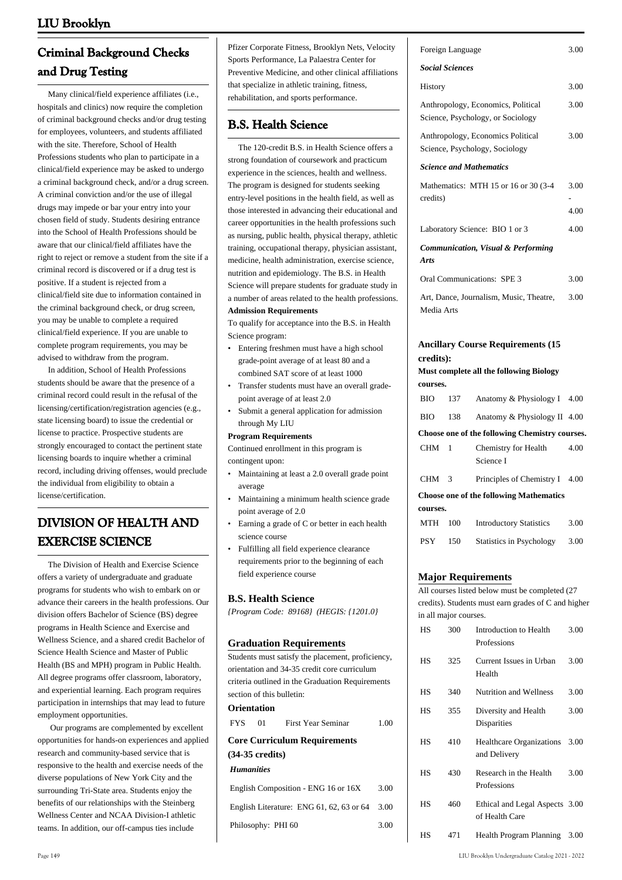# **Criminal Background Checks and Drug Testing**

 Many clinical/field experience affiliates (i.e., hospitals and clinics) now require the completion of criminal background checks and/or drug testing for employees, volunteers, and students affiliated with the site. Therefore, School of Health Professions students who plan to participate in a clinical/field experience may be asked to undergo a criminal background check, and/or a drug screen. A criminal conviction and/or the use of illegal drugs may impede or bar your entry into your chosen field of study. Students desiring entrance into the School of Health Professions should be aware that our clinical/field affiliates have the right to reject or remove a student from the site if a criminal record is discovered or if a drug test is positive. If a student is rejected from a clinical/field site due to information contained in the criminal background check, or drug screen, you may be unable to complete a required clinical/field experience. If you are unable to complete program requirements, you may be advised to withdraw from the program.

 In addition, School of Health Professions students should be aware that the presence of a criminal record could result in the refusal of the licensing/certification/registration agencies (e.g., state licensing board) to issue the credential or license to practice. Prospective students are strongly encouraged to contact the pertinent state licensing boards to inquire whether a criminal record, including driving offenses, would preclude the individual from eligibility to obtain a license/certification.

# **DIVISION OF HEALTH AND EXERCISE SCIENCE**

 The Division of Health and Exercise Science offers a variety of undergraduate and graduate programs for students who wish to embark on or advance their careers in the health professions. Our division offers Bachelor of Science (BS) degree programs in Health Science and Exercise and Wellness Science, and a shared credit Bachelor of Science Health Science and Master of Public Health (BS and MPH) program in Public Health. All degree programs offer classroom, laboratory, and experiential learning. Each program requires participation in internships that may lead to future employment opportunities.

 Our programs are complemented by excellent opportunities for hands-on experiences and applied research and community-based service that is responsive to the health and exercise needs of the diverse populations of New York City and the surrounding Tri-State area. Students enjoy the benefits of our relationships with the Steinberg Wellness Center and NCAA Division-I athletic teams. In addition, our off-campus ties include

Pfizer Corporate Fitness, Brooklyn Nets, Velocity Sports Performance, La Palaestra Center for Preventive Medicine, and other clinical affiliations that specialize in athletic training, fitness, rehabilitation, and sports performance.

## **B.S. Health Science**

 The 120-credit B.S. in Health Science offers a strong foundation of coursework and practicum experience in the sciences, health and wellness. The program is designed for students seeking entry-level positions in the health field, as well as those interested in advancing their educational and career opportunities in the health professions such as nursing, public health, physical therapy, athletic training, occupational therapy, physician assistant, medicine, health administration, exercise science, nutrition and epidemiology. The B.S. in Health Science will prepare students for graduate study in a number of areas related to the health professions. **Admission Requirements**

To qualify for acceptance into the B.S. in Health Science program:

- Entering freshmen must have a high school grade-point average of at least 80 and a combined SAT score of at least 1000 •
- Transfer students must have an overall gradepoint average of at least 2.0 •
- Submit a general application for admission through My LIU •

#### **Program Requirements**

Continued enrollment in this program is contingent upon:

- Maintaining at least a 2.0 overall grade point average •
- Maintaining a minimum health science grade point average of 2.0 •
- Earning a grade of C or better in each health science course •
- Fulfilling all field experience clearance requirements prior to the beginning of each field experience course •

#### **B.S. Health Science**

*{Program Code: 89168} (HEGIS: {1201.0}*

#### **Graduation Requirements**

Students must satisfy the placement, proficiency, orientation and 34-35 credit core curriculum criteria outlined in the Graduation Requirements section of this bulletin: **Orientation** FYS 01 First Year Seminar 1.00 **Core Curriculum Requirements (34-35 credits)** *Humanities* English Composition - ENG 16 or 16X 3.00 English Literature: ENG 61, 62, 63 or 64 3.00 Philosophy: PHI 60 3.00

|                                           | Foreign Language       |                                                                         |              |
|-------------------------------------------|------------------------|-------------------------------------------------------------------------|--------------|
|                                           | <b>Social Sciences</b> |                                                                         |              |
|                                           | History                |                                                                         |              |
|                                           |                        | Anthropology, Economics, Political<br>Science, Psychology, or Sociology | 3.00         |
|                                           |                        | Anthropology, Economics Political<br>Science, Psychology, Sociology     | 3.00         |
|                                           |                        | <b>Science and Mathematics</b>                                          |              |
| credits)                                  |                        | Mathematics: MTH 15 or 16 or 30 (3-4)                                   | 3.00<br>4.00 |
|                                           |                        | Laboratory Science: BIO 1 or 3                                          | 4.00         |
| Arts                                      |                        | <b>Communication, Visual &amp; Performing</b>                           |              |
| <b>Oral Communications: SPE 3</b><br>3.00 |                        |                                                                         |              |
| Media Arts                                |                        | Art, Dance, Journalism, Music, Theatre,                                 | 3.00         |
| credits):                                 |                        | <b>Ancillary Course Requirements (15</b>                                |              |
|                                           |                        | <b>Must complete all the following Biology</b>                          |              |
| courses.<br><b>BIO</b>                    | 137                    | Anatomy & Physiology I 4.00                                             |              |
| <b>BIO</b>                                | 138                    | Anatomy & Physiology II 4.00                                            |              |
|                                           |                        | Choose one of the following Chemistry courses.                          |              |
| CHM                                       | 1                      | Chemistry for Health<br>Science I                                       | 4.00         |
| <b>CHM</b>                                | 3                      | Principles of Chemistry I 4.00                                          |              |
| courses.                                  |                        | <b>Choose one of the following Mathematics</b>                          |              |
| <b>MTH</b>                                | 100                    | <b>Introductory Statistics</b>                                          | 3.00         |
| <b>PSY</b>                                | 150                    | Statistics in Psychology                                                | 3.00         |
|                                           |                        |                                                                         |              |

#### **Major Requirements**

All courses listed below must be completed (27 credits). Students must earn grades of C and higher in all major courses.

| <b>HS</b> | 300 | Introduction to Health<br>Professions            | 3.00 |
|-----------|-----|--------------------------------------------------|------|
| <b>HS</b> | 325 | Current Issues in Urban<br>Health                | 3.00 |
| HS        | 340 | <b>Nutrition and Wellness</b>                    | 3.00 |
| <b>HS</b> | 355 | Diversity and Health<br>Disparities              | 3.00 |
| <b>HS</b> | 410 | Healthcare Organizations<br>and Delivery         | 3.00 |
| <b>HS</b> | 430 | Research in the Health<br>Professions            | 3.00 |
| <b>HS</b> | 460 | Ethical and Legal Aspects 3.00<br>of Health Care |      |
| HS        | 471 | Health Program Planning                          | 3.00 |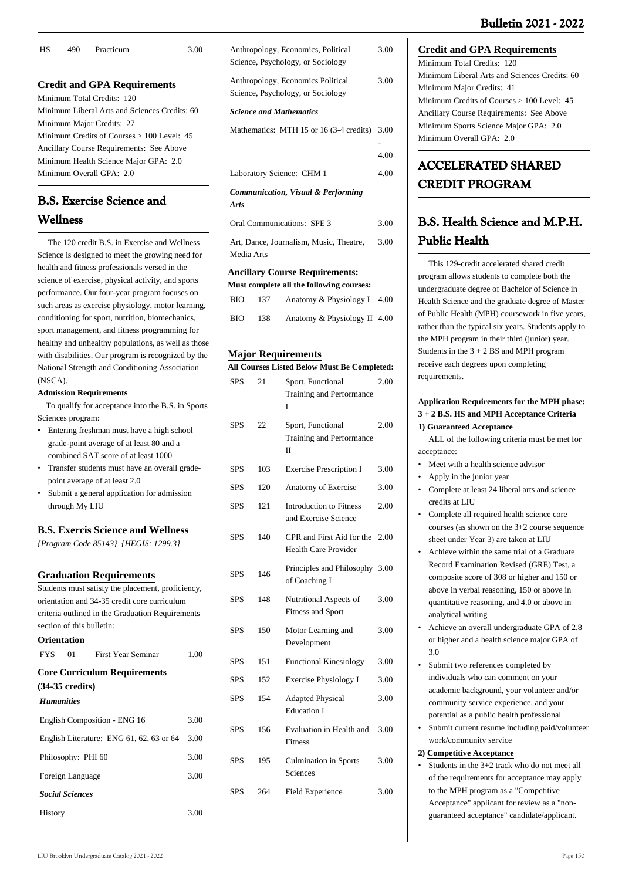| НS | 490. | Practicum                                     | 3.00 |
|----|------|-----------------------------------------------|------|
|    |      |                                               |      |
|    |      | <b>Credit and GPA Requirements</b>            |      |
|    |      | Minimum Total Credits: 120                    |      |
|    |      | Minimum Liberal Arts and Sciences Credits: 60 |      |
|    |      | Minimum Major Credits: 27                     |      |
|    |      | Minimum Credits of Courses $> 100$ Level: 45  |      |
|    |      | Ancillary Course Requirements: See Above      |      |
|    |      | Minimum Health Science Major GPA: 2.0         |      |
|    |      | Minimum Overall GPA: 2.0                      |      |

# **B.S. Exercise Science and Wellness**

 The 120 credit B.S. in Exercise and Wellness Science is designed to meet the growing need for health and fitness professionals versed in the science of exercise, physical activity, and sports performance. Our four-year program focuses on such areas as exercise physiology, motor learning, conditioning for sport, nutrition, biomechanics, sport management, and fitness programming for healthy and unhealthy populations, as well as those with disabilities. Our program is recognized by the National Strength and Conditioning Association (NSCA).

## **Admission Requirements**

 To qualify for acceptance into the B.S. in Sports Sciences program:

- Entering freshman must have a high school grade-point average of at least 80 and a combined SAT score of at least 1000
- Transfer students must have an overall gradepoint average of at least 2.0 •
- Submit a general application for admission through My LIU •

## **B.S. Exercis Science and Wellness**

*{Program Code 85143} {HEGIS: 1299.3}*

## **Graduation Requirements**

Students must satisfy the placement, proficiency, orientation and 34-35 credit core curriculum criteria outlined in the Graduation Requirements section of this bulletin: **Orientation**

|                   |                        | FYS 01 First Year Seminar                | 1.00 |
|-------------------|------------------------|------------------------------------------|------|
|                   |                        | <b>Core Curriculum Requirements</b>      |      |
|                   | (34-35 credits)        |                                          |      |
| <b>Humanities</b> |                        |                                          |      |
|                   |                        | English Composition - ENG 16             | 3.00 |
|                   |                        | English Literature: ENG 61, 62, 63 or 64 | 3.00 |
|                   | Philosophy: PHI 60     |                                          | 3.00 |
|                   | Foreign Language       |                                          | 3.00 |
|                   | <b>Social Sciences</b> |                                          |      |

History 3.00

| Anthropology, Economics, Political<br>Science, Psychology, or Sociology | 3.00         |
|-------------------------------------------------------------------------|--------------|
| Anthropology, Economics Political<br>Science, Psychology, or Sociology  | 3.00         |
| <b>Science and Mathematics</b>                                          |              |
| Mathematics: MTH 15 or 16 (3-4 credits)                                 | 3.00<br>4.00 |
| Laboratory Science: CHM 1                                               | 4.00         |
| <b>Communication, Visual &amp; Performing</b><br><b>Arts</b>            |              |
| Oral Communications: SPE 3                                              | 3.00         |
| Art, Dance, Journalism, Music, Theatre,<br>Media Arts                   | 3.00         |

## **Ancillary Course Requirements:**

| Must complete all the following courses: |     |                              |      |  |
|------------------------------------------|-----|------------------------------|------|--|
| <b>BIO</b>                               | 137 | Anatomy & Physiology I       | 4.00 |  |
| <b>BIO</b>                               | 138 | Anatomy & Physiology II 4.00 |      |  |

## **Major Requirements**

**All Courses Listed Below Must Be Completed:**

| <b>SPS</b> | 21  | Sport, Functional<br>Training and Performance<br>T            | 2.00 |
|------------|-----|---------------------------------------------------------------|------|
| <b>SPS</b> | 22  | Sport, Functional<br>Training and Performance<br>$\mathbf{I}$ | 2.00 |
| <b>SPS</b> | 103 | <b>Exercise Prescription I</b>                                | 3.00 |
| <b>SPS</b> | 120 | Anatomy of Exercise                                           | 3.00 |
| <b>SPS</b> | 121 | <b>Introduction to Fitness</b><br>and Exercise Science        | 2.00 |
| <b>SPS</b> | 140 | CPR and First Aid for the<br><b>Health Care Provider</b>      | 2.00 |
| <b>SPS</b> | 146 | Principles and Philosophy<br>of Coaching I                    | 3.00 |
| <b>SPS</b> | 148 | Nutritional Aspects of<br><b>Fitness and Sport</b>            | 3.00 |
| <b>SPS</b> | 150 | Motor Learning and<br>Development                             | 3.00 |
| <b>SPS</b> | 151 | <b>Functional Kinesiology</b>                                 | 3.00 |
| <b>SPS</b> | 152 | Exercise Physiology I                                         | 3.00 |
| <b>SPS</b> | 154 | <b>Adapted Physical</b><br><b>Education I</b>                 | 3.00 |
| <b>SPS</b> | 156 | Evaluation in Health and<br><b>Fitness</b>                    | 3.00 |
| <b>SPS</b> | 195 | <b>Culmination in Sports</b><br>Sciences                      | 3.00 |
| <b>SPS</b> | 264 | Field Experience                                              | 3.00 |

## **Credit and GPA Requirements**

Minimum Total Credits: 120 Minimum Liberal Arts and Sciences Credits: 60 Minimum Major Credits: 41 Minimum Credits of Courses > 100 Level: 45 Ancillary Course Requirements: See Above Minimum Sports Science Major GPA: 2.0 Minimum Overall GPA: 2.0

# **ACCELERATED SHARED CREDIT PROGRAM**

# **B.S. Health Science and M.P.H. Public Health**

 This 129-credit accelerated shared credit program allows students to complete both the undergraduate degree of Bachelor of Science in Health Science and the graduate degree of Master of Public Health (MPH) coursework in five years, rather than the typical six years. Students apply to the MPH program in their third (junior) year. Students in the  $3 + 2$  BS and MPH program receive each degrees upon completing requirements.

## **Application Requirements for the MPH phase: 3 + 2 B.S. HS and MPH Acceptance Criteria 1) Guaranteed Acceptance**

 ALL of the following criteria must be met for acceptance:

- Meet with a health science advisor
- Apply in the junior year
- Complete at least 24 liberal arts and science credits at LIU
- Complete all required health science core courses (as shown on the 3+2 course sequence sheet under Year 3) are taken at LIU •
- Achieve within the same trial of a Graduate Record Examination Revised (GRE) Test, a composite score of 308 or higher and 150 or above in verbal reasoning, 150 or above in quantitative reasoning, and 4.0 or above in analytical writing •
- Achieve an overall undergraduate GPA of 2.8 or higher and a health science major GPA of 3.0 •
- Submit two references completed by individuals who can comment on your academic background, your volunteer and/or community service experience, and your potential as a public health professional •
- Submit current resume including paid/volunteer work/community service •

## **2) Competitive Acceptance**

• Students in the 3+2 track who do not meet all of the requirements for acceptance may apply to the MPH program as a "Competitive Acceptance" applicant for review as a "nonguaranteed acceptance" candidate/applicant.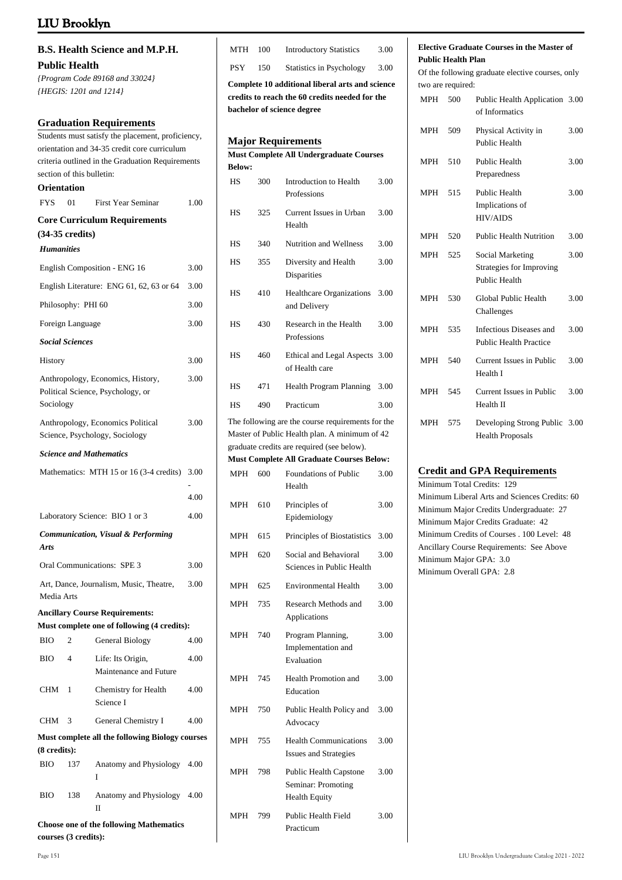# **B.S. Health Science and M.P.H. Public Health**

*{Program Code 89168 and 33024} {HEGIS: 1201 and 1214}*

#### **Graduation Requirements**

Students must satisfy the placement, proficiency, orientation and 34-35 credit core curriculum criteria outlined in the Graduation Requirements section of this bulletin: **Orientation**

# FYS 01 First Year Seminar 1.00

|                   | $(34-35 \text{ credits})$ | <b>Core Curriculum Requirements</b>                                                  |      |
|-------------------|---------------------------|--------------------------------------------------------------------------------------|------|
| <b>Humanities</b> |                           |                                                                                      |      |
|                   |                           | English Composition - ENG 16                                                         | 3.00 |
|                   |                           | English Literature: ENG 61, 62, 63 or 64                                             | 3.00 |
|                   | Philosophy: PHI 60        |                                                                                      | 3.00 |
|                   | Foreign Language          |                                                                                      | 3.00 |
|                   | <b>Social Sciences</b>    |                                                                                      |      |
| History           |                           |                                                                                      | 3.00 |
| Sociology         |                           | Anthropology, Economics, History,<br>Political Science, Psychology, or               | 3.00 |
|                   |                           | Anthropology, Economics Political<br>Science, Psychology, Sociology                  | 3.00 |
|                   |                           | <b>Science and Mathematics</b>                                                       |      |
|                   |                           | Mathematics: MTH 15 or 16 (3-4 credits)                                              | 3.00 |
|                   |                           |                                                                                      | 4.00 |
|                   |                           | Laboratory Science: BIO 1 or 3                                                       | 4.00 |
| <b>Arts</b>       |                           | <b>Communication, Visual &amp; Performing</b>                                        |      |
|                   |                           | Oral Communications: SPE 3                                                           | 3.00 |
| Media Arts        |                           | Art, Dance, Journalism, Music, Theatre,                                              | 3.00 |
|                   |                           | <b>Ancillary Course Requirements:</b><br>Must complete one of following (4 credits): |      |
| <b>BIO</b>        | 2                         | General Biology                                                                      | 4.00 |
| <b>BIO</b>        | $\overline{4}$            | Life: Its Origin,<br>Maintenance and Future                                          | 4.00 |
| <b>CHM</b>        | 1                         | Chemistry for Health<br>Science I                                                    | 4.00 |
| <b>CHM</b>        | 3                         | General Chemistry I                                                                  | 4.00 |
|                   |                           | Must complete all the following Biology courses                                      |      |
| (8 credits):      |                           |                                                                                      |      |
| <b>BIO</b>        | 137                       | Anatomy and Physiology 4.00<br>I                                                     |      |

BIO 138 Anatomy and Physiology 4.00 II

**Choose one of the following Mathematics courses (3 credits):**

| Complete 10 additional liberal arts and science |      |                                 |      |  |
|-------------------------------------------------|------|---------------------------------|------|--|
| <b>PSY</b>                                      | 150  | <b>Statistics in Psychology</b> | 3.00 |  |
| MTH                                             | -100 | <b>Introductory Statistics</b>  | 3.00 |  |

**credits to reach the 60 credits needed for the bachelor of science degree**

## **Major Requirements**

**Must Complete All Undergraduate Courses Below:** HS 300 Introduction to Health Professions 3.00 HS 325 Current Issues in Urban Health 3.00

| <b>HS</b>  | 340 | <b>Nutrition and Wellness</b>                                                                                                                    | 3.00 |
|------------|-----|--------------------------------------------------------------------------------------------------------------------------------------------------|------|
| <b>HS</b>  | 355 | Diversity and Health<br>Disparities                                                                                                              | 3.00 |
| <b>HS</b>  | 410 | <b>Healthcare Organizations</b><br>and Delivery                                                                                                  | 3.00 |
| <b>HS</b>  | 430 | Research in the Health<br>Professions                                                                                                            | 3.00 |
| <b>HS</b>  | 460 | Ethical and Legal Aspects 3.00<br>of Health care                                                                                                 |      |
| HS         | 471 | <b>Health Program Planning</b>                                                                                                                   | 3.00 |
| <b>HS</b>  | 490 | Practicum                                                                                                                                        | 3.00 |
|            |     | The following are the course requirements for the<br>Master of Public Health plan. A minimum of 42<br>graduate credits are required (see below). |      |
|            |     | <b>Must Complete All Graduate Courses Below:</b>                                                                                                 |      |
| <b>MPH</b> | 600 | <b>Foundations of Public</b><br>Health                                                                                                           | 3.00 |
| <b>MPH</b> | 610 | Principles of<br>Epidemiology                                                                                                                    | 3.00 |
| <b>MPH</b> | 615 | Principles of Biostatistics                                                                                                                      | 3.00 |

MPH 620 Social and Behavioral Sciences in Public Health 3.00 MPH 625 Environmental Health 3.00 MPH 735 Research Methods and Applications 3.00 MPH 740 Program Planning, 3.00

Implementation and Evaluation

- MPH 745 Health Promotion and Education 3.00 MPH 750 Public Health Policy and Advocacy 3.00
- MPH 755 Health Communications Issues and Strategies 3.00
- MPH 798 Public Health Capstone Seminar: Promoting Health Equity 3.00
- MPH 799 Public Health Field Practicum 3.00

#### **Elective Graduate Courses in the Master of Public Health Plan**

Of the following graduate elective courses, only two are required:

| <b>MPH</b> | 500 | Public Health Application 3.00<br>of Informatics                            |      |
|------------|-----|-----------------------------------------------------------------------------|------|
| <b>MPH</b> | 509 | Physical Activity in<br>Public Health                                       | 3.00 |
| <b>MPH</b> | 510 | Public Health<br>Preparedness                                               | 3.00 |
| <b>MPH</b> | 515 | Public Health<br>Implications of<br><b>HIV/AIDS</b>                         | 3.00 |
| <b>MPH</b> | 520 | <b>Public Health Nutrition</b>                                              | 3.00 |
| <b>MPH</b> | 525 | Social Marketing<br><b>Strategies for Improving</b><br><b>Public Health</b> | 3.00 |
| <b>MPH</b> | 530 | Global Public Health<br>Challenges                                          | 3.00 |
| <b>MPH</b> | 535 | Infectious Diseases and<br><b>Public Health Practice</b>                    | 3.00 |
| <b>MPH</b> | 540 | Current Issues in Public<br>Health I                                        | 3.00 |
| <b>MPH</b> | 545 | Current Issues in Public<br>Health II                                       | 3.00 |
| <b>MPH</b> | 575 | Developing Strong Public 3.00<br><b>Health Proposals</b>                    |      |

## **Credit and GPA Requirements**

Minimum Total Credits: 129 Minimum Liberal Arts and Sciences Credits: 60 Minimum Major Credits Undergraduate: 27 Minimum Major Credits Graduate: 42 Minimum Credits of Courses . 100 Level: 48 Ancillary Course Requirements: See Above Minimum Major GPA: 3.0 Minimum Overall GPA: 2.8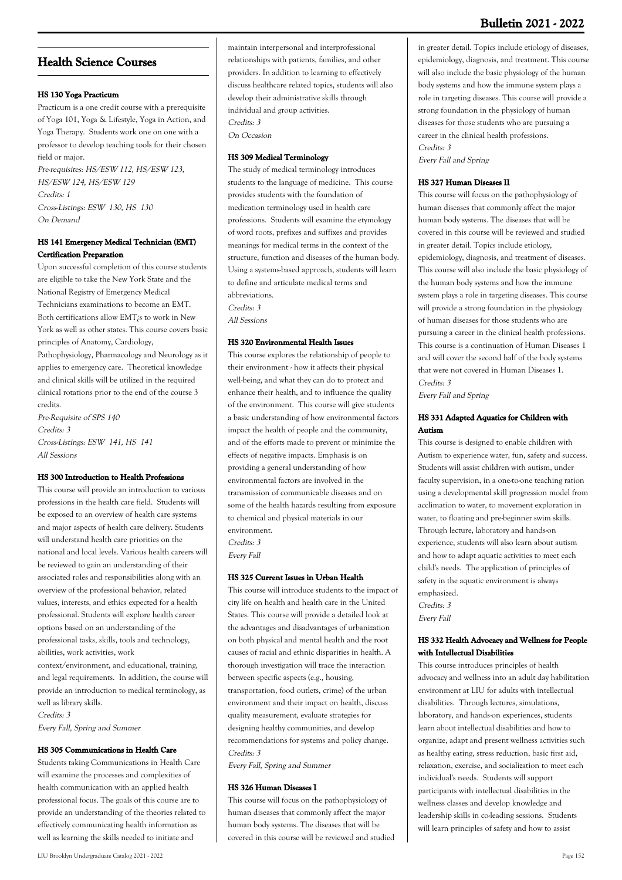## **Bulletin 2021 - 2022**

## **Health Science Courses**

## **HS 130 Yoga Practicum**

Practicum is a one credit course with a prerequisite of Yoga 101, Yoga & Lifestyle, Yoga in Action, and Yoga Therapy. Students work one on one with a professor to develop teaching tools for their chosen field or major.

Pre-requisites: HS/ESW 112, HS/ESW 123, HS/ESW 124, HS/ESW 129 Credits: 1 Cross-Listings: ESW 130, HS 130 On Demand

## **HS 141 Emergency Medical Technician (EMT) Certification Preparation**

Upon successful completion of this course students are eligible to take the New York State and the National Registry of Emergency Medical Technicians examinations to become an EMT. Both certifications allow EMT¿s to work in New York as well as other states. This course covers basic principles of Anatomy, Cardiology, Pathophysiology, Pharmacology and Neurology as it applies to emergency care. Theoretical knowledge and clinical skills will be utilized in the required clinical rotations prior to the end of the course 3 credits.

Pre-Requisite of SPS 140 Credits: 3 Cross-Listings: ESW 141, HS 141 All Sessions

#### **HS 300 Introduction to Health Professions**

This course will provide an introduction to various professions in the health care field. Students will be exposed to an overview of health care systems and major aspects of health care delivery. Students will understand health care priorities on the national and local levels. Various health careers will be reviewed to gain an understanding of their associated roles and responsibilities along with an overview of the professional behavior, related values, interests, and ethics expected for a health professional. Students will explore health career options based on an understanding of the professional tasks, skills, tools and technology, abilities, work activities, work

context/environment, and educational, training, and legal requirements. In addition, the course will provide an introduction to medical terminology, as well as library skills. Credits: 3

Every Fall, Spring and Summer

#### **HS 305 Communications in Health Care**

Students taking Communications in Health Care will examine the processes and complexities of health communication with an applied health professional focus. The goals of this course are to provide an understanding of the theories related to effectively communicating health information as well as learning the skills needed to initiate and

maintain interpersonal and interprofessional relationships with patients, families, and other providers. In addition to learning to effectively discuss healthcare related topics, students will also develop their administrative skills through individual and group activities. Credits: 3 On Occasion

## **HS 309 Medical Terminology**

The study of medical terminology introduces students to the language of medicine. This course provides students with the foundation of medication terminology used in health care professions. Students will examine the etymology of word roots, prefixes and suffixes and provides meanings for medical terms in the context of the structure, function and diseases of the human body. Using a systems-based approach, students will learn to define and articulate medical terms and abbreviations. Credits: 3 All Sessions

#### **HS 320 Environmental Health Issues**

This course explores the relationship of people to their environment - how it affects their physical well-being, and what they can do to protect and enhance their health, and to influence the quality of the environment. This course will give students a basic understanding of how environmental factors impact the health of people and the community, and of the efforts made to prevent or minimize the effects of negative impacts. Emphasis is on providing a general understanding of how environmental factors are involved in the transmission of communicable diseases and on some of the health hazards resulting from exposure to chemical and physical materials in our environment. Credits: 3

Every Fall

## **HS 325 Current Issues in Urban Health**

This course will introduce students to the impact of city life on health and health care in the United States. This course will provide a detailed look at the advantages and disadvantages of urbanization on both physical and mental health and the root causes of racial and ethnic disparities in health. A thorough investigation will trace the interaction between specific aspects (e.g., housing, transportation, food outlets, crime) of the urban environment and their impact on health, discuss quality measurement, evaluate strategies for designing healthy communities, and develop recommendations for systems and policy change. Credits: 3

Every Fall, Spring and Summer

## **HS 326 Human Diseases I**

This course will focus on the pathophysiology of human diseases that commonly affect the major human body systems. The diseases that will be covered in this course will be reviewed and studied

in greater detail. Topics include etiology of diseases, epidemiology, diagnosis, and treatment. This course will also include the basic physiology of the human body systems and how the immune system plays a role in targeting diseases. This course will provide a strong foundation in the physiology of human diseases for those students who are pursuing a career in the clinical health professions. Credits: 3

Every Fall and Spring

#### **HS 327 Human Diseases II**

This course will focus on the pathophysiology of human diseases that commonly affect the major human body systems. The diseases that will be covered in this course will be reviewed and studied in greater detail. Topics include etiology, epidemiology, diagnosis, and treatment of diseases. This course will also include the basic physiology of the human body systems and how the immune system plays a role in targeting diseases. This course will provide a strong foundation in the physiology of human diseases for those students who are pursuing a career in the clinical health professions. This course is a continuation of Human Diseases 1 and will cover the second half of the body systems that were not covered in Human Diseases 1. Credits: 3

Every Fall and Spring

## **HS 331 Adapted Aquatics for Children with Autism**

This course is designed to enable children with Autism to experience water, fun, safety and success. Students will assist children with autism, under faculty supervision, in a one-to-one teaching ration using a developmental skill progression model from acclimation to water, to movement exploration in water, to floating and pre-beginner swim skills. Through lecture, laboratory and hands-on experience, students will also learn about autism and how to adapt aquatic activities to meet each child's needs. The application of principles of safety in the aquatic environment is always emphasized. Credits: 3

Every Fall

## **HS 332 Health Advocacy and Wellness for People with Intellectual Disabilities**

This course introduces principles of health advocacy and wellness into an adult day habilitation environment at LIU for adults with intellectual disabilities. Through lectures, simulations, laboratory, and hands-on experiences, students learn about intellectual disabilities and how to organize, adapt and present wellness activities such as healthy eating, stress reduction, basic first aid, relaxation, exercise, and socialization to meet each individual's needs. Students will support participants with intellectual disabilities in the wellness classes and develop knowledge and leadership skills in co-leading sessions. Students will learn principles of safety and how to assist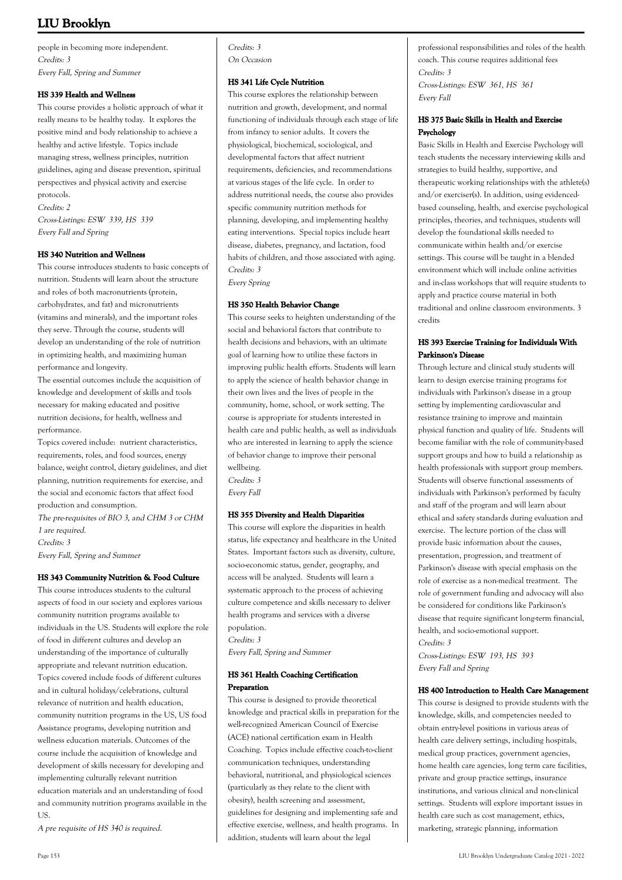people in becoming more independent. Credits: 3 Every Fall, Spring and Summer

#### **HS 339 Health and Wellness**

This course provides a holistic approach of what it really means to be healthy today. It explores the positive mind and body relationship to achieve a healthy and active lifestyle. Topics include managing stress, wellness principles, nutrition guidelines, aging and disease prevention, spiritual perspectives and physical activity and exercise protocols. Credits: 2 Cross-Listings: ESW 339, HS 339 Every Fall and Spring

#### **HS 340 Nutrition and Wellness**

This course introduces students to basic concepts of nutrition. Students will learn about the structure and roles of both macronutrients (protein, carbohydrates, and fat) and micronutrients (vitamins and minerals), and the important roles they serve. Through the course, students will develop an understanding of the role of nutrition in optimizing health, and maximizing human performance and longevity.

The essential outcomes include the acquisition of knowledge and development of skills and tools necessary for making educated and positive nutrition decisions, for health, wellness and performance.

Topics covered include: nutrient characteristics, requirements, roles, and food sources, energy balance, weight control, dietary guidelines, and diet planning, nutrition requirements for exercise, and the social and economic factors that affect food production and consumption.

The pre-requisites of BIO 3, and CHM 3 or CHM 1 are required. Credits: 3 Every Fall, Spring and Summer

#### **HS 343 Community Nutrition & Food Culture**

This course introduces students to the cultural aspects of food in our society and explores various community nutrition programs available to individuals in the US. Students will explore the role of food in different cultures and develop an understanding of the importance of culturally appropriate and relevant nutrition education. Topics covered include foods of different cultures and in cultural holidays/celebrations, cultural relevance of nutrition and health education, community nutrition programs in the US, US food Assistance programs, developing nutrition and wellness education materials. Outcomes of the course include the acquisition of knowledge and development of skills necessary for developing and implementing culturally relevant nutrition education materials and an understanding of food and community nutrition programs available in the US.

A pre requisite of HS 340 is required.

Credits: 3 On Occasion

#### **HS 341 Life Cycle Nutrition**

This course explores the relationship between nutrition and growth, development, and normal functioning of individuals through each stage of life from infancy to senior adults. It covers the physiological, biochemical, sociological, and developmental factors that affect nutrient requirements, deficiencies, and recommendations at various stages of the life cycle. In order to address nutritional needs, the course also provides specific community nutrition methods for planning, developing, and implementing healthy eating interventions. Special topics include heart disease, diabetes, pregnancy, and lactation, food habits of children, and those associated with aging. Credits: 3

Every Spring

#### **HS 350 Health Behavior Change**

This course seeks to heighten understanding of the social and behavioral factors that contribute to health decisions and behaviors, with an ultimate goal of learning how to utilize these factors in improving public health efforts. Students will learn to apply the science of health behavior change in their own lives and the lives of people in the community, home, school, or work setting. The course is appropriate for students interested in health care and public health, as well as individuals who are interested in learning to apply the science of behavior change to improve their personal wellbeing. Credits: 3

Every Fall

## **HS 355 Diversity and Health Disparities**

This course will explore the disparities in health status, life expectancy and healthcare in the United States. Important factors such as diversity, culture, socio-economic status, gender, geography, and access will be analyzed. Students will learn a systematic approach to the process of achieving culture competence and skills necessary to deliver health programs and services with a diverse population. Credits: 3

Every Fall, Spring and Summer

#### **HS 361 Health Coaching Certification Preparation**

This course is designed to provide theoretical knowledge and practical skills in preparation for the well-recognized American Council of Exercise (ACE) national certification exam in Health Coaching. Topics include effective coach-to-client communication techniques, understanding behavioral, nutritional, and physiological sciences (particularly as they relate to the client with obesity), health screening and assessment, guidelines for designing and implementing safe and effective exercise, wellness, and health programs. In addition, students will learn about the legal

professional responsibilities and roles of the health coach. This course requires additional fees Credits: 3 Cross-Listings: ESW 361, HS 361 Every Fall

#### **HS 375 Basic Skills in Health and Exercise Psychology**

Basic Skills in Health and Exercise Psychology will teach students the necessary interviewing skills and strategies to build healthy, supportive, and therapeutic working relationships with the athlete(s) and/or exerciser(s). In addition, using evidencedbased counseling, health, and exercise psychological principles, theories, and techniques, students will develop the foundational skills needed to communicate within health and/or exercise settings. This course will be taught in a blended environment which will include online activities and in-class workshops that will require students to apply and practice course material in both traditional and online classroom environments. 3 credits

## **HS 393 Exercise Training for Individuals With Parkinson's Disease**

Through lecture and clinical study students will learn to design exercise training programs for individuals with Parkinson's disease in a group setting by implementing cardiovascular and resistance training to improve and maintain physical function and quality of life. Students will become familiar with the role of community-based support groups and how to build a relationship as health professionals with support group members. Students will observe functional assessments of individuals with Parkinson's performed by faculty and staff of the program and will learn about ethical and safety standards during evaluation and exercise. The lecture portion of the class will provide basic information about the causes, presentation, progression, and treatment of Parkinson's disease with special emphasis on the role of exercise as a non-medical treatment. The role of government funding and advocacy will also be considered for conditions like Parkinson's disease that require significant long-term financial, health, and socio-emotional support. Credits: 3

Cross-Listings: ESW 193, HS 393 Every Fall and Spring

#### **HS 400 Introduction to Health Care Management**

This course is designed to provide students with the knowledge, skills, and competencies needed to obtain entry-level positions in various areas of health care delivery settings, including hospitals, medical group practices, government agencies, home health care agencies, long term care facilities, private and group practice settings, insurance institutions, and various clinical and non-clinical settings. Students will explore important issues in health care such as cost management, ethics, marketing, strategic planning, information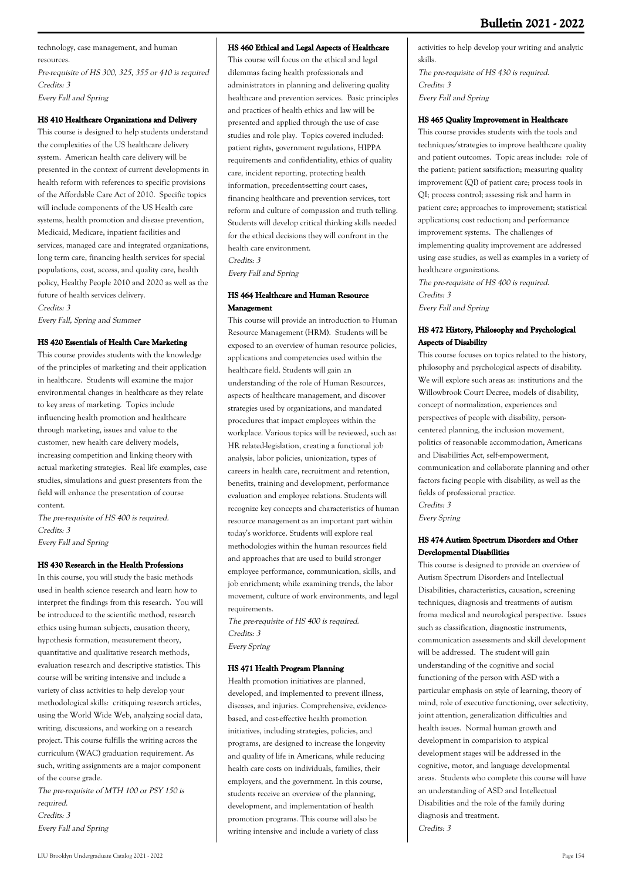technology, case management, and human resources.

Pre-requisite of HS 300, 325, 355 or 410 is required Credits: 3 Every Fall and Spring

## **HS 410 Healthcare Organizations and Delivery**

This course is designed to help students understand the complexities of the US healthcare delivery system. American health care delivery will be presented in the context of current developments in health reform with references to specific provisions of the Affordable Care Act of 2010. Specific topics will include components of the US Health care systems, health promotion and disease prevention, Medicaid, Medicare, inpatient facilities and services, managed care and integrated organizations, long term care, financing health services for special populations, cost, access, and quality care, health policy, Healthy People 2010 and 2020 as well as the future of health services delivery. Credits: 3

Every Fall, Spring and Summer

## **HS 420 Essentials of Health Care Marketing**

This course provides students with the knowledge of the principles of marketing and their application in healthcare. Students will examine the major environmental changes in healthcare as they relate to key areas of marketing. Topics include influencing health promotion and healthcare through marketing, issues and value to the customer, new health care delivery models, increasing competition and linking theory with actual marketing strategies. Real life examples, case studies, simulations and guest presenters from the field will enhance the presentation of course content.

The pre-requisite of HS 400 is required. Credits: 3 Every Fall and Spring

## **HS 430 Research in the Health Professions**

In this course, you will study the basic methods used in health science research and learn how to interpret the findings from this research. You will be introduced to the scientific method, research ethics using human subjects, causation theory, hypothesis formation, measurement theory, quantitative and qualitative research methods, evaluation research and descriptive statistics. This course will be writing intensive and include a variety of class activities to help develop your methodological skills: critiquing research articles, using the World Wide Web, analyzing social data, writing, discussions, and working on a research project. This course fulfills the writing across the curriculum (WAC) graduation requirement. As such, writing assignments are a major component of the course grade.

The pre-requisite of MTH 100 or PSY 150 is required. Credits: 3 Every Fall and Spring

## **HS 460 Ethical and Legal Aspects of Healthcare**

This course will focus on the ethical and legal dilemmas facing health professionals and administrators in planning and delivering quality healthcare and prevention services. Basic principles and practices of health ethics and law will be presented and applied through the use of case studies and role play. Topics covered included: patient rights, government regulations, HIPPA requirements and confidentiality, ethics of quality care, incident reporting, protecting health information, precedent-setting court cases, financing healthcare and prevention services, tort reform and culture of compassion and truth telling. Students will develop critical thinking skills needed for the ethical decisions they will confront in the health care environment.

Credits: 3

Every Fall and Spring

## **HS 464 Healthcare and Human Resource Management**

This course will provide an introduction to Human Resource Management (HRM). Students will be exposed to an overview of human resource policies, applications and competencies used within the healthcare field. Students will gain an understanding of the role of Human Resources, aspects of healthcare management, and discover strategies used by organizations, and mandated procedures that impact employees within the workplace. Various topics will be reviewed, such as: HR related-legislation, creating a functional job analysis, labor policies, unionization, types of careers in health care, recruitment and retention, benefits, training and development, performance evaluation and employee relations. Students will recognize key concepts and characteristics of human resource management as an important part within today's workforce. Students will explore real methodologies within the human resources field and approaches that are used to build stronger employee performance, communication, skills, and job enrichment; while examining trends, the labor movement, culture of work environments, and legal requirements.

The pre-requisite of HS 400 is required. Credits: 3 Every Spring

## **HS 471 Health Program Planning**

Health promotion initiatives are planned, developed, and implemented to prevent illness, diseases, and injuries. Comprehensive, evidencebased, and cost-effective health promotion initiatives, including strategies, policies, and programs, are designed to increase the longevity and quality of life in Americans, while reducing health care costs on individuals, families, their employers, and the government. In this course, students receive an overview of the planning, development, and implementation of health promotion programs. This course will also be writing intensive and include a variety of class

activities to help develop your writing and analytic skills. The pre-requisite of HS 430 is required. Credits: 3 Every Fall and Spring

## **HS 465 Quality Improvement in Healthcare**

This course provides students with the tools and techniques/strategies to improve healthcare quality and patient outcomes. Topic areas include: role of the patient; patient satsifaction; measuring quality improvement (QI) of patient care; process tools in QI; process control; assessing risk and harm in patient care; approaches to improvement; statistical applications; cost reduction; and performance improvement systems. The challenges of implementing quality improvement are addressed using case studies, as well as examples in a variety of healthcare organizations.

The pre-requisite of HS 400 is required. Credits: 3 Every Fall and Spring

## **HS 472 History, Philosophy and Psychological Aspects of Disability**

This course focuses on topics related to the history, philosophy and psychological aspects of disability. We will explore such areas as: institutions and the Willowbrook Court Decree, models of disability, concept of normalization, experiences and perspectives of people with disability, personcentered planning, the inclusion movement, politics of reasonable accommodation, Americans and Disabilities Act, self-empowerment, communication and collaborate planning and other factors facing people with disability, as well as the fields of professional practice. Credits: 3 Every Spring

## **HS 474 Autism Spectrum Disorders and Other Developmental Disabilities**

This course is designed to provide an overview of Autism Spectrum Disorders and Intellectual Disabilities, characteristics, causation, screening techniques, diagnosis and treatments of autism froma medical and neurological perspective. Issues such as classification, diagnostic instruments, communication assessments and skill development will be addressed. The student will gain understanding of the cognitive and social functioning of the person with ASD with a particular emphasis on style of learning, theory of mind, role of executive functioning, over selectivity, joint attention, generalization difficulties and health issues. Normal human growth and development in comparision to atypical development stages will be addressed in the cognitive, motor, and language developmental areas. Students who complete this course will have an understanding of ASD and Intellectual Disabilities and the role of the family during diagnosis and treatment. Credits: 3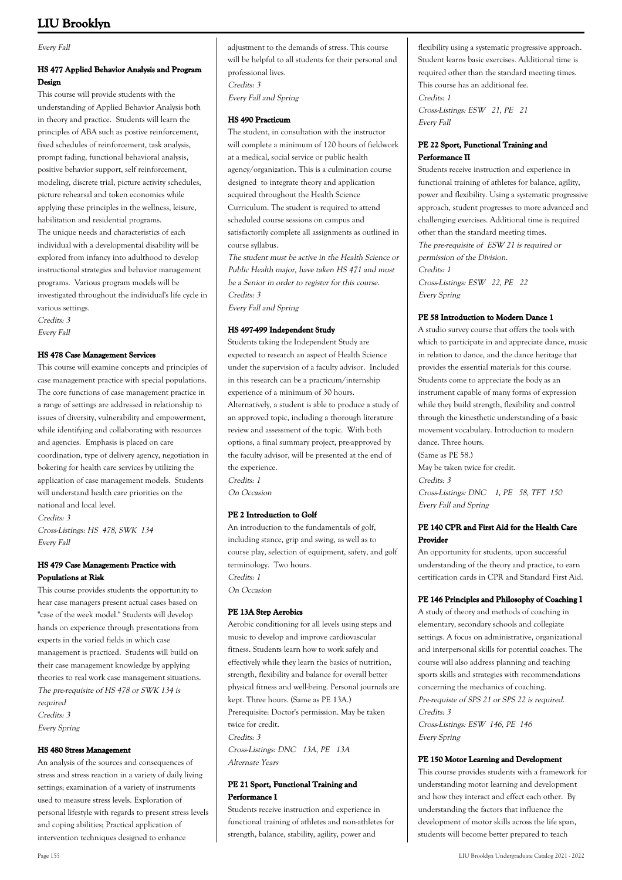Every Fall

## **HS 477 Applied Behavior Analysis and Program Design**

This course will provide students with the understanding of Applied Behavior Analysis both in theory and practice. Students will learn the principles of ABA such as postive reinforcement, fixed schedules of reinforcement, task analysis, prompt fading, functional behavioral analysis, positive behavior support, self reinforcement, modeling, discrete trial, picture activity schedules, picture rehearsal and token economies while applying these principles in the wellness, leisure, habilitation and residential programs. The unique needs and characteristics of each individual with a developmental disability will be explored from infancy into adulthood to develop instructional strategies and behavior management programs. Various program models will be investigated throughout the individual's life cycle in various settings. Credits: 3

Every Fall

## **HS 478 Case Management Services**

This course will examine concepts and principles of case management practice with special populations. The core functions of case management practice in a range of settings are addressed in relationship to issues of diversity, vulnerability and empowerment, while identifying and collaborating with resources and agencies. Emphasis is placed on care coordination, type of delivery agency, negotiation in bokering for health care services by utilizing the application of case management models. Students will understand health care priorities on the national and local level.

Credits: 3 Cross-Listings: HS 478, SWK 134

Every Fall

## **HS 479 Case Management: Practice with Populations at Risk**

This course provides students the opportunity to hear case managers present actual cases based on "case of the week model." Students will develop hands on experience through presentations from experts in the varied fields in which case management is practiced. Students will build on their case management knowledge by applying theories to real work case management situations. The pre-requisite of HS 478 or SWK 134 is required Credits: 3 Every Spring

#### **HS 480 Stress Management**

An analysis of the sources and consequences of stress and stress reaction in a variety of daily living settings; examination of a variety of instruments used to measure stress levels. Exploration of personal lifestyle with regards to present stress levels and coping abilities; Practical application of intervention techniques designed to enhance

adjustment to the demands of stress. This course will be helpful to all students for their personal and professional lives. Credits: 3 Every Fall and Spring

#### **HS 490 Practicum**

The student, in consultation with the instructor will complete a minimum of 120 hours of fieldwork at a medical, social service or public health agency/organization. This is a culmination course designed to integrate theory and application acquired throughout the Health Science Curriculum. The student is required to attend scheduled course sessions on campus and satisfactorily complete all assignments as outlined in course syllabus.

The student must be active in the Health Science or Public Health major, have taken HS 471 and must be a Senior in order to register for this course. Credits: 3 Every Fall and Spring

## **HS 497-499 Independent Study**

Students taking the Independent Study are expected to research an aspect of Health Science under the supervision of a faculty advisor. Included in this research can be a practicum/internship experience of a minimum of 30 hours. Alternatively, a student is able to produce a study of an approved topic, including a thorough literature review and assessment of the topic. With both options, a final summary project, pre-approved by the faculty advisor, will be presented at the end of the experience. Credits: 1

On Occasion

## **PE 2 Introduction to Golf**

An introduction to the fundamentals of golf, including stance, grip and swing, as well as to course play, selection of equipment, safety, and golf terminology. Two hours. Credits: 1 On Occasion

## **PE 13A Step Aerobics**

Aerobic conditioning for all levels using steps and music to develop and improve cardiovascular fitness. Students learn how to work safely and effectively while they learn the basics of nutrition, strength, flexibility and balance for overall better physical fitness and well-being. Personal journals are kept. Three hours. (Same as PE 13A.) Prerequisite: Doctor's permission. May be taken twice for credit. Credits: 3 Cross-Listings: DNC 13A, PE 13A Alternate Years

## **PE 21 Sport, Functional Training and Performance I**

Students receive instruction and experience in functional training of athletes and non-athletes for strength, balance, stability, agility, power and

flexibility using a systematic progressive approach. Student learns basic exercises. Additional time is required other than the standard meeting times. This course has an additional fee. Credits: 1 Cross-Listings: ESW 21, PE 21 Every Fall

## **PE 22 Sport, Functional Training and Performance II**

Students receive instruction and experience in functional training of athletes for balance, agility, power and flexibility. Using a systematic progressive approach, student progresses to more advanced and challenging exercises. Additional time is required other than the standard meeting times. The pre-requisite of ESW 21 is required or permission of the Division. Credits: 1 Cross-Listings: ESW 22, PE 22

Every Spring

## **PE 58 Introduction to Modern Dance 1**

A studio survey course that offers the tools with which to participate in and appreciate dance, music in relation to dance, and the dance heritage that provides the essential materials for this course. Students come to appreciate the body as an instrument capable of many forms of expression while they build strength, flexibility and control through the kinesthetic understanding of a basic movement vocabulary. Introduction to modern dance. Three hours. (Same as PE 58.) May be taken twice for credit. Credits: 3 Cross-Listings: DNC 1, PE 58, TFT 150 Every Fall and Spring

## **PE 140 CPR and First Aid for the Health Care Provider**

An opportunity for students, upon successful understanding of the theory and practice, to earn certification cards in CPR and Standard First Aid.

## **PE 146 Principles and Philosophy of Coaching I**

A study of theory and methods of coaching in elementary, secondary schools and collegiate settings. A focus on administrative, organizational and interpersonal skills for potential coaches. The course will also address planning and teaching sports skills and strategies with recommendations concerning the mechanics of coaching. Pre-requiste of SPS 21 or SPS 22 is required. Credits: 3 Cross-Listings: ESW 146, PE 146 Every Spring

## **PE 150 Motor Learning and Development**

This course provides students with a framework for understanding motor learning and development and how they interact and effect each other. By understanding the factors that influence the development of motor skills across the life span, students will become better prepared to teach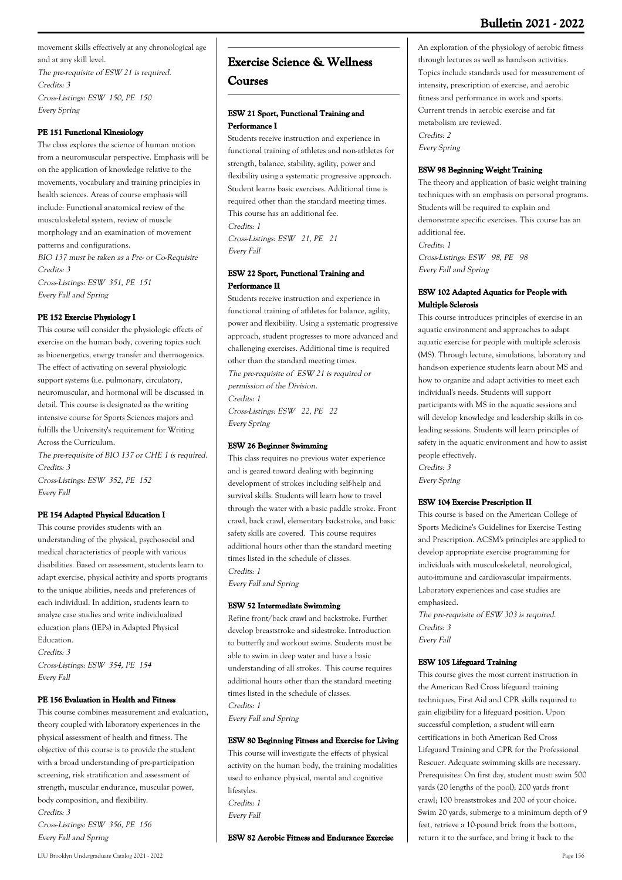movement skills effectively at any chronological age and at any skill level. The pre-requisite of ESW 21 is required. Credits: 3 Cross-Listings: ESW 150, PE 150 Every Spring

#### **PE 151 Functional Kinesiology**

The class explores the science of human motion from a neuromuscular perspective. Emphasis will be on the application of knowledge relative to the movements, vocabulary and training principles in health sciences. Areas of course emphasis will include: Functional anatomical review of the musculoskeletal system, review of muscle morphology and an examination of movement patterns and configurations. BIO 137 must be taken as a Pre- or Co-Requisite Credits: 3 Cross-Listings: ESW 351, PE 151 Every Fall and Spring

#### **PE 152 Exercise Physiology I**

This course will consider the physiologic effects of exercise on the human body, covering topics such as bioenergetics, energy transfer and thermogenics. The effect of activating on several physiologic support systems (i.e. pulmonary, circulatory, neuromuscular, and hormonal will be discussed in detail. This course is designated as the writing intensive course for Sports Sciences majors and fulfills the University's requirement for Writing Across the Curriculum.

The pre-requisite of BIO 137 or CHE 1 is required. Credits: 3 Cross-Listings: ESW 352, PE 152 Every Fall

## **PE 154 Adapted Physical Education I**

This course provides students with an understanding of the physical, psychosocial and medical characteristics of people with various disabilities. Based on assessment, students learn to adapt exercise, physical activity and sports programs to the unique abilities, needs and preferences of each individual. In addition, students learn to analyze case studies and write individualized education plans (IEPs) in Adapted Physical Education. Credits: 3

Cross-Listings: ESW 354, PE 154 Every Fall

#### **PE 156 Evaluation in Health and Fitness**

This course combines measurement and evaluation, theory coupled with laboratory experiences in the physical assessment of health and fitness. The objective of this course is to provide the student with a broad understanding of pre-participation screening, risk stratification and assessment of strength, muscular endurance, muscular power, body composition, and flexibility. Credits: 3

Cross-Listings: ESW 356, PE 156 Every Fall and Spring

## **Exercise Science & Wellness**

## **Courses**

#### **ESW 21 Sport, Functional Training and Performance I**

Students receive instruction and experience in functional training of athletes and non-athletes for strength, balance, stability, agility, power and flexibility using a systematic progressive approach. Student learns basic exercises. Additional time is required other than the standard meeting times. This course has an additional fee. Credits: 1

Cross-Listings: ESW 21, PE 21 Every Fall

#### **ESW 22 Sport, Functional Training and Performance II**

Students receive instruction and experience in functional training of athletes for balance, agility, power and flexibility. Using a systematic progressive approach, student progresses to more advanced and challenging exercises. Additional time is required other than the standard meeting times. The pre-requisite of ESW 21 is required or permission of the Division. Credits: 1 Cross-Listings: ESW 22, PE 22 Every Spring

#### **ESW 26 Beginner Swimming**

This class requires no previous water experience and is geared toward dealing with beginning development of strokes including self-help and survival skills. Students will learn how to travel through the water with a basic paddle stroke. Front crawl, back crawl, elementary backstroke, and basic safety skills are covered. This course requires additional hours other than the standard meeting times listed in the schedule of classes. Credits: 1

Every Fall and Spring

#### **ESW 52 Intermediate Swimming**

Refine front/back crawl and backstroke. Further develop breaststroke and sidestroke. Introduction to butterfly and workout swims. Students must be able to swim in deep water and have a basic understanding of all strokes. This course requires additional hours other than the standard meeting times listed in the schedule of classes. Credits: 1 Every Fall and Spring

#### **ESW 80 Beginning Fitness and Exercise for Living**

This course will investigate the effects of physical activity on the human body, the training modalities used to enhance physical, mental and cognitive lifestyles. Credits: 1 Every Fall

**ESW 82 Aerobic Fitness and Endurance Exercise**

An exploration of the physiology of aerobic fitness through lectures as well as hands-on activities. Topics include standards used for measurement of intensity, prescription of exercise, and aerobic fitness and performance in work and sports. Current trends in aerobic exercise and fat metabolism are reviewed. Credits: 2 Every Spring

#### **ESW 98 Beginning Weight Training**

The theory and application of basic weight training techniques with an emphasis on personal programs. Students will be required to explain and demonstrate specific exercises. This course has an additional fee. Credits: 1 Cross-Listings: ESW 98, PE 98 Every Fall and Spring

## **ESW 102 Adapted Aquatics for People with Multiple Sclerosis**

This course introduces principles of exercise in an aquatic environment and approaches to adapt aquatic exercise for people with multiple sclerosis (MS). Through lecture, simulations, laboratory and hands-on experience students learn about MS and how to organize and adapt activities to meet each individual's needs. Students will support participants with MS in the aquatic sessions and will develop knowledge and leadership skills in coleading sessions. Students will learn principles of safety in the aquatic environment and how to assist people effectively. Credits: 3

Every Spring

#### **ESW 104 Exercise Prescription II**

This course is based on the American College of Sports Medicine's Guidelines for Exercise Testing and Prescription. ACSM's principles are applied to develop appropriate exercise programming for individuals with musculoskeletal, neurological, auto-immune and cardiovascular impairments. Laboratory experiences and case studies are emphasized.

The pre-requisite of ESW 303 is required. Credits: 3 Every Fall

#### **ESW 105 Lifeguard Training**

This course gives the most current instruction in the American Red Cross lifeguard training techniques, First Aid and CPR skills required to gain eligibility for a lifeguard position. Upon successful completion, a student will earn certifications in both American Red Cross Lifeguard Training and CPR for the Professional Rescuer. Adequate swimming skills are necessary. Prerequisites: On first day, student must: swim 500 yards (20 lengths of the pool); 200 yards front crawl; 100 breaststrokes and 200 of your choice. Swim 20 yards, submerge to a minimum depth of 9 feet, retrieve a 10-pound brick from the bottom, return it to the surface, and bring it back to the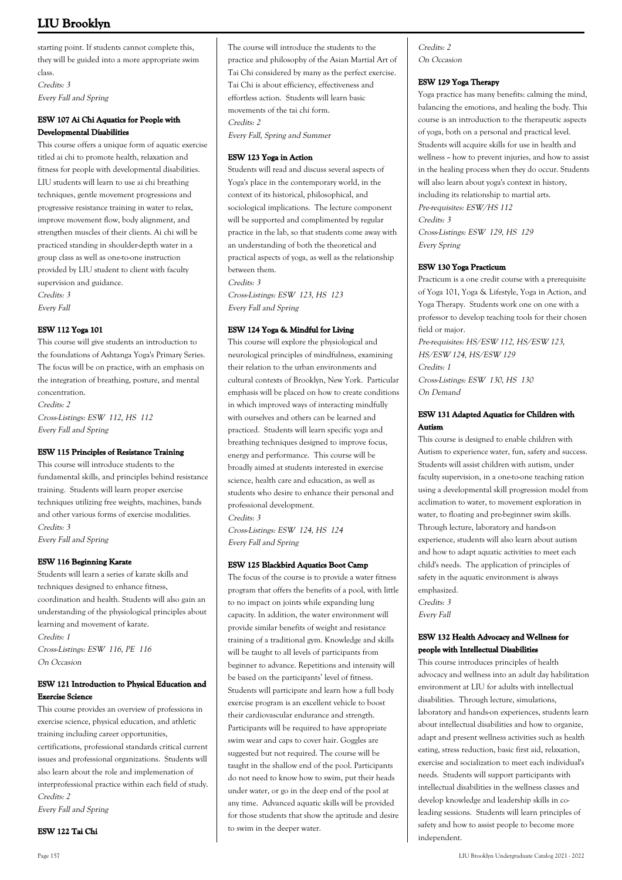starting point. If students cannot complete this, they will be guided into a more appropriate swim class. Credits: 3 Every Fall and Spring

## **ESW 107 Ai Chi Aquatics for People with Developmental Disabilities**

This course offers a unique form of aquatic exercise titled ai chi to promote health, relaxation and fitness for people with developmental disabilities. LIU students will learn to use ai chi breathing techniques, gentle movement progressions and progressive resistance training in water to relax, improve movement flow, body alignment, and strengthen muscles of their clients. Ai chi will be practiced standing in shoulder-depth water in a group class as well as one-to-one instruction provided by LIU student to client with faculty supervision and guidance. Credits: 3

Every Fall

## **ESW 112 Yoga 101**

This course will give students an introduction to the foundations of Ashtanga Yoga's Primary Series. The focus will be on practice, with an emphasis on the integration of breathing, posture, and mental concentration.

Credits: 2 Cross-Listings: ESW 112, HS 112 Every Fall and Spring

#### **ESW 115 Principles of Resistance Training**

This course will introduce students to the fundamental skills, and principles behind resistance training. Students will learn proper exercise techniques utilizing free weights, machines, bands and other various forms of exercise modalities. Credits: 3 Every Fall and Spring

## **ESW 116 Beginning Karate**

Students will learn a series of karate skills and techniques designed to enhance fitness, coordination and health. Students will also gain an understanding of the physiological principles about learning and movement of karate. Credits: 1 Cross-Listings: ESW 116, PE 116 On Occasion

## **ESW 121 Introduction to Physical Education and Exercise Science**

This course provides an overview of professions in exercise science, physical education, and athletic training including career opportunities, certifications, professional standards critical current issues and professional organizations. Students will also learn about the role and implemenation of interprofessional practice within each field of study. Credits: 2

Every Fall and Spring

#### **ESW 122 Tai Chi**

#### **ESW 123 Yoga in Action**

Students will read and discuss several aspects of Yoga's place in the contemporary world, in the context of its historical, philosophical, and sociological implications. The lecture component will be supported and complimented by regular practice in the lab, so that students come away with an understanding of both the theoretical and practical aspects of yoga, as well as the relationship between them.

Credits: 3

Cross-Listings: ESW 123, HS 123 Every Fall and Spring

## **ESW 124 Yoga & Mindful for Living**

This course will explore the physiological and neurological principles of mindfulness, examining their relation to the urban environments and cultural contexts of Brooklyn, New York. Particular emphasis will be placed on how to create conditions in which improved ways of interacting mindfully with ourselves and others can be learned and practiced. Students will learn specific yoga and breathing techniques designed to improve focus, energy and performance. This course will be broadly aimed at students interested in exercise science, health care and education, as well as students who desire to enhance their personal and professional development.

Credits: 3

Cross-Listings: ESW 124, HS 124 Every Fall and Spring

## **ESW 125 Blackbird Aquatics Boot Camp**

The focus of the course is to provide a water fitness program that offers the benefits of a pool, with little to no impact on joints while expanding lung capacity. In addition, the water environment will provide similar benefits of weight and resistance training of a traditional gym. Knowledge and skills will be taught to all levels of participants from beginner to advance. Repetitions and intensity will be based on the participants' level of fitness. Students will participate and learn how a full body exercise program is an excellent vehicle to boost their cardiovascular endurance and strength. Participants will be required to have appropriate swim wear and caps to cover hair. Goggles are suggested but not required. The course will be taught in the shallow end of the pool. Participants do not need to know how to swim, put their heads under water, or go in the deep end of the pool at any time. Advanced aquatic skills will be provided for those students that show the aptitude and desire to swim in the deeper water.

Credits: 2 On Occasion

## **ESW 129 Yoga Therapy**

Yoga practice has many benefits: calming the mind, balancing the emotions, and healing the body. This course is an introduction to the therapeutic aspects of yoga, both on a personal and practical level. Students will acquire skills for use in health and wellness -- how to prevent injuries, and how to assist in the healing process when they do occur. Students will also learn about yoga's context in history, including its relationship to martial arts. Pre-requisites: ESW/HS 112 Credits: 3 Cross-Listings: ESW 129, HS 129 Every Spring

#### **ESW 130 Yoga Practicum**

Practicum is a one credit course with a prerequisite of Yoga 101, Yoga & Lifestyle, Yoga in Action, and Yoga Therapy. Students work one on one with a professor to develop teaching tools for their chosen field or major.

Pre-requisites: HS/ESW 112, HS/ESW 123, HS/ESW 124, HS/ESW 129 Credits: 1 Cross-Listings: ESW 130, HS 130 On Demand

## **ESW 131 Adapted Aquatics for Children with Autism**

This course is designed to enable children with Autism to experience water, fun, safety and success. Students will assist children with autism, under faculty supervision, in a one-to-one teaching ration using a developmental skill progression model from acclimation to water, to movement exploration in water, to floating and pre-beginner swim skills. Through lecture, laboratory and hands-on experience, students will also learn about autism and how to adapt aquatic activities to meet each child's needs. The application of principles of safety in the aquatic environment is always emphasized. Credits: 3

Every Fall

## **ESW 132 Health Advocacy and Wellness for people with Intellectual Disabilities**

This course introduces principles of health advocacy and wellness into an adult day habilitation environment at LIU for adults with intellectual disabilities. Through lecture, simulations, laboratory and hands-on experiences, students learn about intellectual disabilities and how to organize, adapt and present wellness activities such as health eating, stress reduction, basic first aid, relaxation, exercise and socialization to meet each individual's needs. Students will support participants with intellectual disabilities in the wellness classes and develop knowledge and leadership skills in coleading sessions. Students will learn principles of safety and how to assist people to become more independent.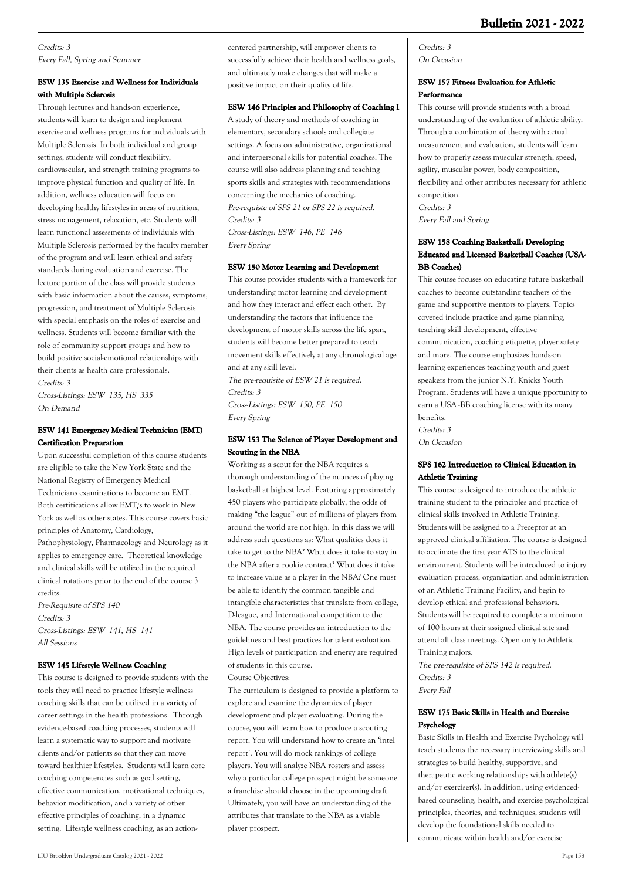## Credits: 3 Every Fall, Spring and Summer

## **ESW 135 Exercise and Wellness for Individuals with Multiple Sclerosis**

Through lectures and hands-on experience, students will learn to design and implement exercise and wellness programs for individuals with Multiple Sclerosis. In both individual and group settings, students will conduct flexibility, cardiovascular, and strength training programs to improve physical function and quality of life. In addition, wellness education will focus on developing healthy lifestyles in areas of nutrition, stress management, relaxation, etc. Students will learn functional assessments of individuals with Multiple Sclerosis performed by the faculty member of the program and will learn ethical and safety standards during evaluation and exercise. The lecture portion of the class will provide students with basic information about the causes, symptoms, progression, and treatment of Multiple Sclerosis with special emphasis on the roles of exercise and wellness. Students will become familiar with the role of community support groups and how to build positive social-emotional relationships with their clients as health care professionals. Credits: 3

Cross-Listings: ESW 135, HS 335 On Demand

## **ESW 141 Emergency Medical Technician (EMT) Certification Preparation**

Upon successful completion of this course students are eligible to take the New York State and the National Registry of Emergency Medical Technicians examinations to become an EMT. Both certifications allow EMT¿s to work in New York as well as other states. This course covers basic principles of Anatomy, Cardiology, Pathophysiology, Pharmacology and Neurology as it applies to emergency care. Theoretical knowledge and clinical skills will be utilized in the required clinical rotations prior to the end of the course 3 credits.

Pre-Requisite of SPS 140 Credits: 3 Cross-Listings: ESW 141, HS 141 All Sessions

## **ESW 145 Lifestyle Wellness Coaching**

This course is designed to provide students with the tools they will need to practice lifestyle wellness coaching skills that can be utilized in a variety of career settings in the health professions. Through evidence-based coaching processes, students will learn a systematic way to support and motivate clients and/or patients so that they can move toward healthier lifestyles. Students will learn core coaching competencies such as goal setting, effective communication, motivational techniques, behavior modification, and a variety of other effective principles of coaching, in a dynamic setting. Lifestyle wellness coaching, as an actioncentered partnership, will empower clients to successfully achieve their health and wellness goals, and ultimately make changes that will make a positive impact on their quality of life.

## **ESW 146 Principles and Philosophy of Coaching I**

A study of theory and methods of coaching in elementary, secondary schools and collegiate settings. A focus on administrative, organizational and interpersonal skills for potential coaches. The course will also address planning and teaching sports skills and strategies with recommendations concerning the mechanics of coaching. Pre-requiste of SPS 21 or SPS 22 is required. Credits: 3 Cross-Listings: ESW 146, PE 146 Every Spring

## **ESW 150 Motor Learning and Development**

This course provides students with a framework for understanding motor learning and development and how they interact and effect each other. By understanding the factors that influence the development of motor skills across the life span, students will become better prepared to teach movement skills effectively at any chronological age and at any skill level.

The pre-requisite of ESW 21 is required. Credits: 3 Cross-Listings: ESW 150, PE 150 Every Spring

#### **ESW 153 The Science of Player Development and Scouting in the NBA**

Working as a scout for the NBA requires a thorough understanding of the nuances of playing basketball at highest level. Featuring approximately 450 players who participate globally, the odds of making "the league" out of millions of players from around the world are not high. In this class we will address such questions as: What qualities does it take to get to the NBA? What does it take to stay in the NBA after a rookie contract? What does it take to increase value as a player in the NBA? One must be able to identify the common tangible and intangible characteristics that translate from college, D-league, and International competition to the NBA. The course provides an introduction to the guidelines and best practices for talent evaluation. High levels of participation and energy are required of students in this course.

Course Objectives: The curriculum is designed to provide a platform to explore and examine the dynamics of player development and player evaluating. During the course, you will learn how to produce a scouting report. You will understand how to create an 'intel report'. You will do mock rankings of college players. You will analyze NBA rosters and assess why a particular college prospect might be someone a franchise should choose in the upcoming draft. Ultimately, you will have an understanding of the attributes that translate to the NBA as a viable player prospect.

Credits: 3 On Occasion

#### **ESW 157 Fitness Evaluation for Athletic Performance**

This course will provide students with a broad understanding of the evaluation of athletic ability. Through a combination of theory with actual measurement and evaluation, students will learn how to properly assess muscular strength, speed, agility, muscular power, body composition, flexibility and other attributes necessary for athletic competition. Credits: 3 Every Fall and Spring

## **ESW 158 Coaching Basketball: Developing Educated and Licensed Basketball Coaches (USA-BB Coaches)**

This course focuses on educating future basketball coaches to become outstanding teachers of the game and supportive mentors to players. Topics covered include practice and game planning, teaching skill development, effective communication, coaching etiquette, player safety and more. The course emphasizes hands-on learning experiences teaching youth and guest speakers from the junior N.Y. Knicks Youth Program. Students will have a unique pportunity to earn a USA -BB coaching license with its many benefits. Credits: 3

On Occasion

## **SPS 162 Introduction to Clinical Education in Athletic Training**

This course is designed to introduce the athletic training student to the principles and practice of clinical skills involved in Athletic Training. Students will be assigned to a Preceptor at an approved clinical affiliation. The course is designed to acclimate the first year ATS to the clinical environment. Students will be introduced to injury evaluation process, organization and administration of an Athletic Training Facility, and begin to develop ethical and professional behaviors. Students will be required to complete a minimum of 100 hours at their assigned clinical site and attend all class meetings. Open only to Athletic Training majors.

The pre-requisite of SPS 142 is required. Credits: 3 Every Fall

## **ESW 175 Basic Skills in Health and Exercise Psychology**

Basic Skills in Health and Exercise Psychology will teach students the necessary interviewing skills and strategies to build healthy, supportive, and therapeutic working relationships with athlete(s) and/or exerciser(s). In addition, using evidencedbased counseling, health, and exercise psychological principles, theories, and techniques, students will develop the foundational skills needed to communicate within health and/or exercise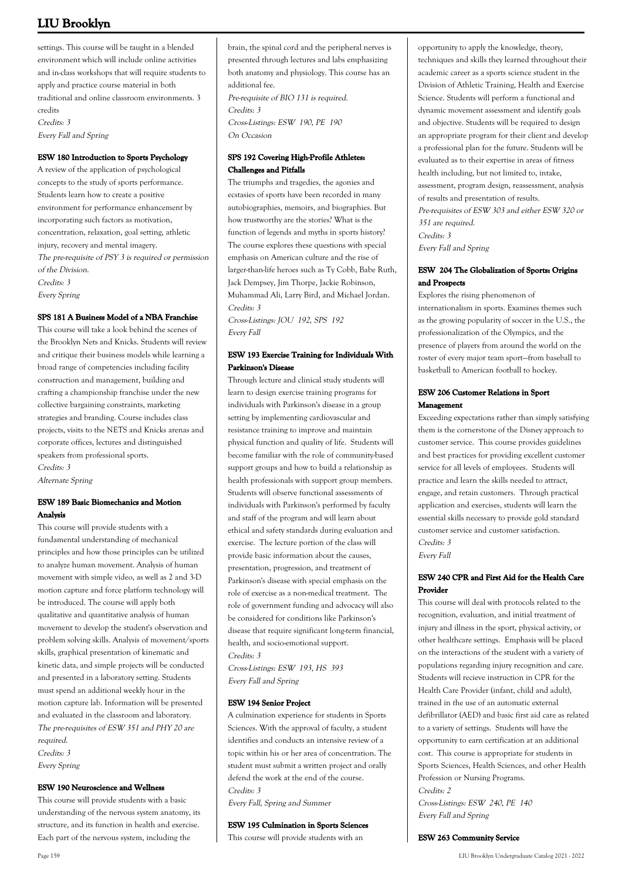settings. This course will be taught in a blended environment which will include online activities and in-class workshops that will require students to apply and practice course material in both traditional and online classroom environments. 3 credits Credits: 3 Every Fall and Spring

#### **ESW 180 Introduction to Sports Psychology**

A review of the application of psychological concepts to the study of sports performance. Students learn how to create a positive environment for performance enhancement by incorporating such factors as motivation, concentration, relaxation, goal setting, athletic injury, recovery and mental imagery. The pre-requisite of PSY 3 is required or permission of the Division. Credits: 3 Every Spring

#### **SPS 181 A Business Model of a NBA Franchise**

This course will take a look behind the scenes of the Brooklyn Nets and Knicks. Students will review and critique their business models while learning a broad range of competencies including facility construction and management, building and crafting a championship franchise under the new collective bargaining constraints, marketing strategies and branding. Course includes class projects, visits to the NETS and Knicks arenas and corporate offices, lectures and distinguished speakers from professional sports. Credits: 3

Alternate Spring

## **ESW 189 Basic Biomechanics and Motion Analysis**

This course will provide students with a fundamental understanding of mechanical principles and how those principles can be utilized to analyze human movement. Analysis of human movement with simple video, as well as 2 and 3-D motion capture and force platform technology will be introduced. The course will apply both qualitative and quantitative analysis of human movement to develop the student's observation and problem solving skills. Analysis of movement/sports skills, graphical presentation of kinematic and kinetic data, and simple projects will be conducted and presented in a laboratory setting. Students must spend an additional weekly hour in the motion capture lab. Information will be presented and evaluated in the classroom and laboratory. The pre-requisites of ESW 351 and PHY 20 are required. Credits: 3

Every Spring

#### **ESW 190 Neuroscience and Wellness**

This course will provide students with a basic understanding of the nervous system anatomy, its structure, and its function in health and exercise. Each part of the nervous system, including the

brain, the spinal cord and the peripheral nerves is presented through lectures and labs emphasizing both anatomy and physiology. This course has an additional fee.

Pre-requisite of BIO 131 is required. Credits: 3 Cross-Listings: ESW 190, PE 190 On Occasion

#### **SPS 192 Covering High-Profile Athletes: Challenges and Pitfalls**

The triumphs and tragedies, the agonies and ecstasies of sports have been recorded in many autobiographies, memoirs, and biographies. But how trustworthy are the stories? What is the function of legends and myths in sports history? The course explores these questions with special emphasis on American culture and the rise of larger-than-life heroes such as Ty Cobb, Babe Ruth, Jack Dempsey, Jim Thorpe, Jackie Robinson, Muhammad Ali, Larry Bird, and Michael Jordan. Credits: 3

Cross-Listings: JOU 192, SPS 192 Every Fall

## **ESW 193 Exercise Training for Individuals With Parkinson's Disease**

Through lecture and clinical study students will learn to design exercise training programs for individuals with Parkinson's disease in a group setting by implementing cardiovascular and resistance training to improve and maintain physical function and quality of life. Students will become familiar with the role of community-based support groups and how to build a relationship as health professionals with support group members. Students will observe functional assessments of individuals with Parkinson's performed by faculty and staff of the program and will learn about ethical and safety standards during evaluation and exercise. The lecture portion of the class will provide basic information about the causes, presentation, progression, and treatment of Parkinson's disease with special emphasis on the role of exercise as a non-medical treatment. The role of government funding and advocacy will also be considered for conditions like Parkinson's disease that require significant long-term financial, health, and socio-emotional support. Credits: 3

Cross-Listings: ESW 193, HS 393 Every Fall and Spring

#### **ESW 194 Senior Project**

A culmination experience for students in Sports Sciences. With the approval of faculty, a student identifies and conducts an intensive review of a topic within his or her area of concentration. The student must submit a written project and orally defend the work at the end of the course. Credits: 3

Every Fall, Spring and Summer

#### **ESW 195 Culmination in Sports Sciences**

This course will provide students with an

opportunity to apply the knowledge, theory, techniques and skills they learned throughout their academic career as a sports science student in the Division of Athletic Training, Health and Exercise Science. Students will perform a functional and dynamic movement assessment and identify goals and objective. Students will be required to design an appropriate program for their client and develop a professional plan for the future. Students will be evaluated as to their expertise in areas of fitness health including, but not limited to, intake, assessment, program design, reassessment, analysis of results and presentation of results. Pre-requisites of ESW 303 and either ESW 320 or 351 are required. Credits: 3 Every Fall and Spring

#### **ESW 204 The Globalization of Sports: Origins and Prospects**

Explores the rising phenomenon of internationalism in sports. Examines themes such as the growing popularity of soccer in the U.S., the professionalization of the Olympics, and the presence of players from around the world on the roster of every major team sport—from baseball to basketball to American football to hockey.

#### **ESW 206 Customer Relations in Sport Management**

Exceeding expectations rather than simply satisfying them is the cornerstone of the Disney approach to customer service. This course provides guidelines and best practices for providing excellent customer service for all levels of employees. Students will practice and learn the skills needed to attract, engage, and retain customers. Through practical application and exercises, students will learn the essential skills necessary to provide gold standard customer service and customer satisfaction. Credits: 3

Every Fall

## **ESW 240 CPR and First Aid for the Health Care Provider**

This course will deal with protocols related to the recognition, evaluation, and initial treatment of injury and illness in the sport, physical activity, or other healthcare settings. Emphasis will be placed on the interactions of the student with a variety of populations regarding injury recognition and care. Students will recieve instruction in CPR for the Health Care Provider (infant, child and adult), trained in the use of an automatic external defibrillator (AED) and basic first aid care as related to a variety of settings. Students will have the opportunity to earn certification at an additional cost. This course is appropriate for students in Sports Sciences, Health Sciences, and other Health Profession or Nursing Programs. Credits: 2

Cross-Listings: ESW 240, PE 140 Every Fall and Spring

#### **ESW 263 Community Service**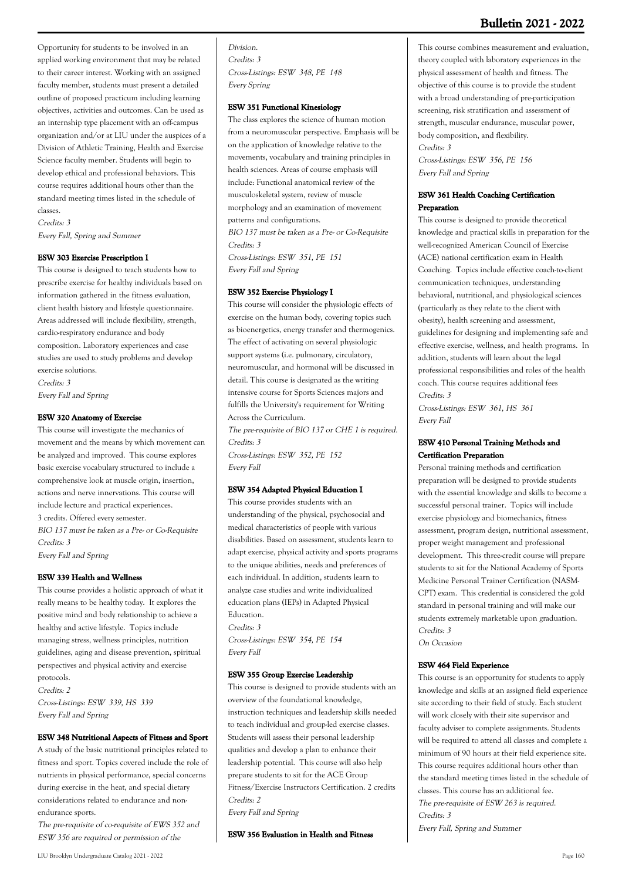## **Bulletin 2021 - 2022**

Opportunity for students to be involved in an applied working environment that may be related to their career interest. Working with an assigned faculty member, students must present a detailed outline of proposed practicum including learning objectives, activities and outcomes. Can be used as an internship type placement with an off-campus organization and/or at LIU under the auspices of a Division of Athletic Training, Health and Exercise Science faculty member. Students will begin to develop ethical and professional behaviors. This course requires additional hours other than the standard meeting times listed in the schedule of classes.

Credits: 3 Every Fall, Spring and Summer

#### **ESW 303 Exercise Prescription I**

This course is designed to teach students how to prescribe exercise for healthy individuals based on information gathered in the fitness evaluation, client health history and lifestyle questionnaire. Areas addressed will include flexibility, strength, cardio-respiratory endurance and body composition. Laboratory experiences and case studies are used to study problems and develop exercise solutions. Credits: 3 Every Fall and Spring

#### **ESW 320 Anatomy of Exercise**

This course will investigate the mechanics of movement and the means by which movement can be analyzed and improved. This course explores basic exercise vocabulary structured to include a comprehensive look at muscle origin, insertion, actions and nerve innervations. This course will include lecture and practical experiences. 3 credits. Offered every semester. BIO 137 must be taken as a Pre- or Co-Requisite Credits: 3

Every Fall and Spring

#### **ESW 339 Health and Wellness**

This course provides a holistic approach of what it really means to be healthy today. It explores the positive mind and body relationship to achieve a healthy and active lifestyle. Topics include managing stress, wellness principles, nutrition guidelines, aging and disease prevention, spiritual perspectives and physical activity and exercise protocols. Credits: 2 Cross-Listings: ESW 339, HS 339 Every Fall and Spring

#### **ESW 348 Nutritional Aspects of Fitness and Sport**

A study of the basic nutritional principles related to fitness and sport. Topics covered include the role of nutrients in physical performance, special concerns during exercise in the heat, and special dietary considerations related to endurance and nonendurance sports.

The pre-requisite of co-requisite of EWS 352 and ESW 356 are required or permission of the

Division. Credits: 3 Cross-Listings: ESW 348, PE 148 Every Spring

#### **ESW 351 Functional Kinesiology**

The class explores the science of human motion from a neuromuscular perspective. Emphasis will be on the application of knowledge relative to the movements, vocabulary and training principles in health sciences. Areas of course emphasis will include: Functional anatomical review of the musculoskeletal system, review of muscle morphology and an examination of movement patterns and configurations. BIO 137 must be taken as a Pre- or Co-Requisite

Credits: 3

Cross-Listings: ESW 351, PE 151 Every Fall and Spring

#### **ESW 352 Exercise Physiology I**

This course will consider the physiologic effects of exercise on the human body, covering topics such as bioenergetics, energy transfer and thermogenics. The effect of activating on several physiologic support systems (i.e. pulmonary, circulatory, neuromuscular, and hormonal will be discussed in detail. This course is designated as the writing intensive course for Sports Sciences majors and fulfills the University's requirement for Writing Across the Curriculum.

The pre-requisite of BIO 137 or CHE 1 is required. Credits: 3

Cross-Listings: ESW 352, PE 152 Every Fall

#### **ESW 354 Adapted Physical Education I**

This course provides students with an understanding of the physical, psychosocial and medical characteristics of people with various disabilities. Based on assessment, students learn to adapt exercise, physical activity and sports programs to the unique abilities, needs and preferences of each individual. In addition, students learn to analyze case studies and write individualized education plans (IEPs) in Adapted Physical Education. Credits: 3 Cross-Listings: ESW 354, PE 154 Every Fall

#### **ESW 355 Group Exercise Leadership**

This course is designed to provide students with an overview of the foundational knowledge, instruction techniques and leadership skills needed to teach individual and group-led exercise classes. Students will assess their personal leadership qualities and develop a plan to enhance their leadership potential. This course will also help prepare students to sit for the ACE Group Fitness/Exercise Instructors Certification. 2 credits Credits: 2

Every Fall and Spring

**ESW 356 Evaluation in Health and Fitness**

This course combines measurement and evaluation, theory coupled with laboratory experiences in the physical assessment of health and fitness. The objective of this course is to provide the student with a broad understanding of pre-participation screening, risk stratification and assessment of strength, muscular endurance, muscular power, body composition, and flexibility. Credits: 3

Cross-Listings: ESW 356, PE 156 Every Fall and Spring

#### **ESW 361 Health Coaching Certification Preparation**

This course is designed to provide theoretical knowledge and practical skills in preparation for the well-recognized American Council of Exercise (ACE) national certification exam in Health Coaching. Topics include effective coach-to-client communication techniques, understanding behavioral, nutritional, and physiological sciences (particularly as they relate to the client with obesity), health screening and assessment, guidelines for designing and implementing safe and effective exercise, wellness, and health programs. In addition, students will learn about the legal professional responsibilities and roles of the health coach. This course requires additional fees Credits: 3

Cross-Listings: ESW 361, HS 361 Every Fall

#### **ESW 410 Personal Training Methods and Certification Preparation**

Personal training methods and certification preparation will be designed to provide students with the essential knowledge and skills to become a successful personal trainer. Topics will include exercise physiology and biomechanics, fitness assessment, program design, nutritional assessment, proper weight management and professional development. This three-credit course will prepare students to sit for the National Academy of Sports Medicine Personal Trainer Certification (NASM-CPT) exam. This credential is considered the gold standard in personal training and will make our students extremely marketable upon graduation. Credits: 3

On Occasion

#### **ESW 464 Field Experience**

This course is an opportunity for students to apply knowledge and skills at an assigned field experience site according to their field of study. Each student will work closely with their site supervisor and faculty adviser to complete assignments. Students will be required to attend all classes and complete a minimum of 90 hours at their field experience site. This course requires additional hours other than the standard meeting times listed in the schedule of classes. This course has an additional fee. The pre-requisite of ESW 263 is required. Credits: 3 Every Fall, Spring and Summer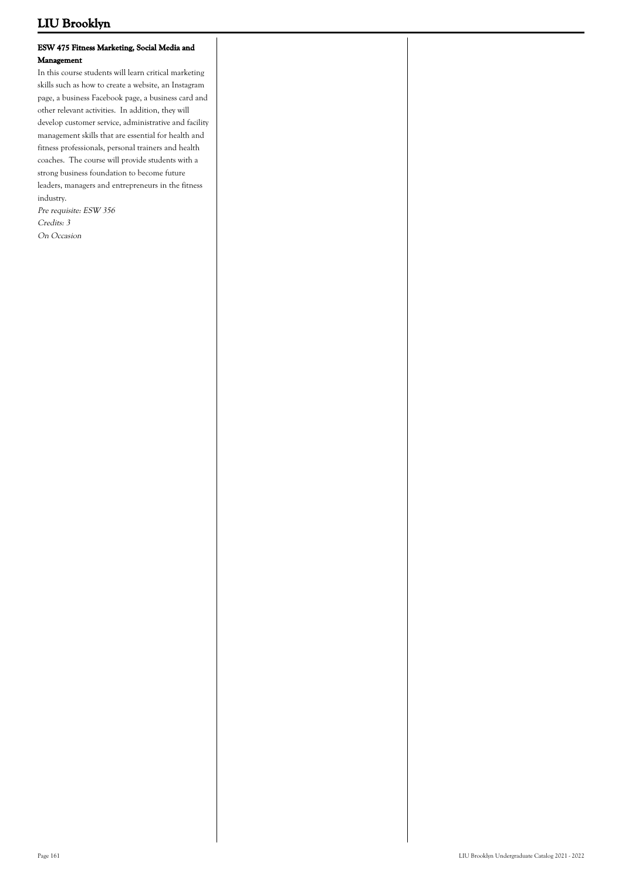## **ESW 475 Fitness Marketing, Social Media and Management**

In this course students will learn critical marketing skills such as how to create a website, an Instagram page, a business Facebook page, a business card and other relevant activities. In addition, they will develop customer service, administrative and facility management skills that are essential for health and fitness professionals, personal trainers and health coaches. The course will provide students with a strong business foundation to become future leaders, managers and entrepreneurs in the fitness industry.

Pre requisite: ESW 356 Credits: 3 On Occasion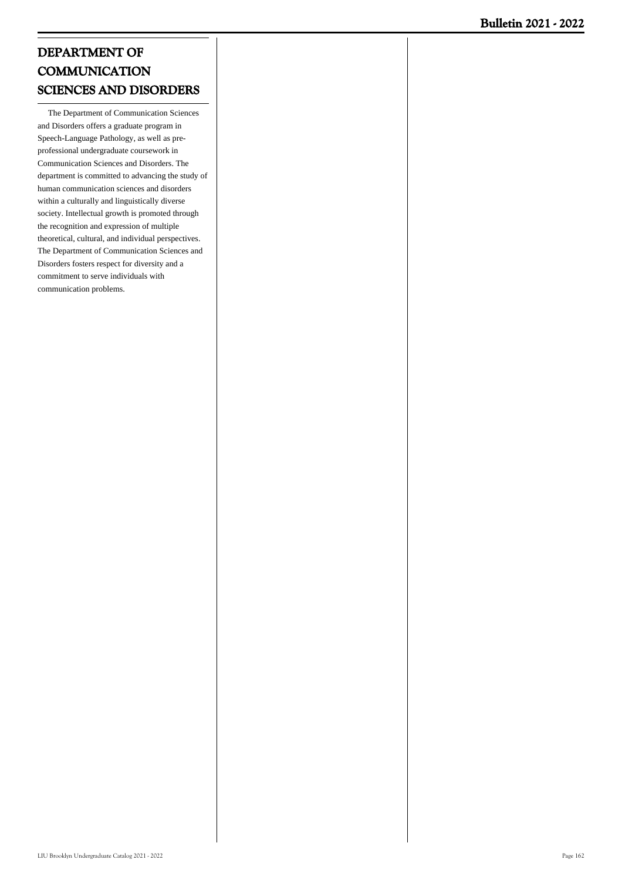# **DEPARTMENT OF COMMUNICATION SCIENCES AND DISORDERS**

 The Department of Communication Sciences and Disorders offers a graduate program in Speech-Language Pathology, as well as preprofessional undergraduate coursework in Communication Sciences and Disorders. The department is committed to advancing the study of human communication sciences and disorders within a culturally and linguistically diverse society. Intellectual growth is promoted through the recognition and expression of multiple theoretical, cultural, and individual perspectives. The Department of Communication Sciences and Disorders fosters respect for diversity and a commitment to serve individuals with communication problems.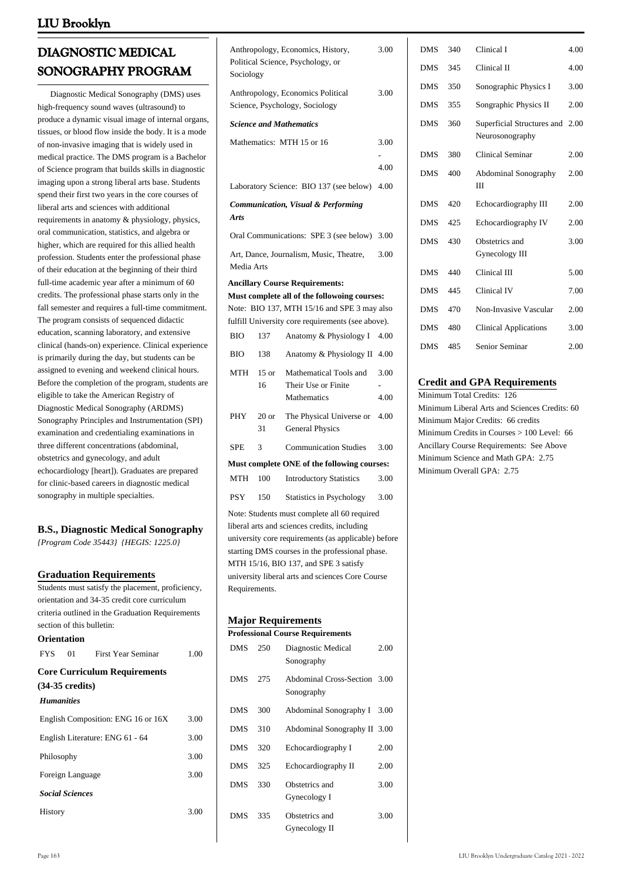# **DIAGNOSTIC MEDICAL SONOGRAPHY PROGRAM**

 Diagnostic Medical Sonography (DMS) uses high-frequency sound waves (ultrasound) to produce a dynamic visual image of internal organs, tissues, or blood flow inside the body. It is a mode of non-invasive imaging that is widely used in medical practice. The DMS program is a Bachelor of Science program that builds skills in diagnostic imaging upon a strong liberal arts base. Students spend their first two years in the core courses of liberal arts and sciences with additional requirements in anatomy & physiology, physics, oral communication, statistics, and algebra or higher, which are required for this allied health profession. Students enter the professional phase of their education at the beginning of their third full-time academic year after a minimum of 60 credits. The professional phase starts only in the fall semester and requires a full-time commitment. The program consists of sequenced didactic education, scanning laboratory, and extensive clinical (hands-on) experience. Clinical experience is primarily during the day, but students can be assigned to evening and weekend clinical hours. Before the completion of the program, students are eligible to take the American Registry of Diagnostic Medical Sonography (ARDMS) Sonography Principles and Instrumentation (SPI) examination and credentialing examinations in three different concentrations (abdominal, obstetrics and gynecology, and adult echocardiology [heart]). Graduates are prepared for clinic-based careers in diagnostic medical sonography in multiple specialties.

## **B.S., Diagnostic Medical Sonography**

*{Program Code 35443} {HEGIS: 1225.0}*

## **Graduation Requirements**

**Orientation**

Students must satisfy the placement, proficiency, orientation and 34-35 credit core curriculum criteria outlined in the Graduation Requirements section of this bulletin:

| <b>FYS</b>        |                           | 01 First Year Seminar               | 1.00 |
|-------------------|---------------------------|-------------------------------------|------|
|                   |                           | <b>Core Curriculum Requirements</b> |      |
|                   | $(34-35 \text{ credits})$ |                                     |      |
| <b>Humanities</b> |                           |                                     |      |
|                   |                           | English Composition: ENG 16 or 16X  | 3.00 |
|                   |                           | English Literature: ENG 61 - 64     | 3.00 |
| Philosophy        |                           |                                     | 3.00 |
|                   | Foreign Language          |                                     | 3.00 |
|                   | <b>Social Sciences</b>    |                                     |      |
| History           |                           |                                     | 3.00 |
|                   |                           |                                     |      |

| Anthropology, Economics, History,<br>Political Science, Psychology, or<br>Sociology |               |                                                                                                                                                                                                                                                                                                     |              |  |
|-------------------------------------------------------------------------------------|---------------|-----------------------------------------------------------------------------------------------------------------------------------------------------------------------------------------------------------------------------------------------------------------------------------------------------|--------------|--|
|                                                                                     |               | Anthropology, Economics Political<br>Science, Psychology, Sociology                                                                                                                                                                                                                                 | 3.00         |  |
|                                                                                     |               | <b>Science and Mathematics</b>                                                                                                                                                                                                                                                                      |              |  |
|                                                                                     |               | Mathematics: MTH 15 or 16                                                                                                                                                                                                                                                                           | 3.00         |  |
|                                                                                     |               |                                                                                                                                                                                                                                                                                                     | 4.00         |  |
|                                                                                     |               | Laboratory Science: BIO 137 (see below)                                                                                                                                                                                                                                                             | 4.00         |  |
| <b>Arts</b>                                                                         |               | <b>Communication, Visual &amp; Performing</b>                                                                                                                                                                                                                                                       |              |  |
|                                                                                     |               | Oral Communications: SPE 3 (see below)                                                                                                                                                                                                                                                              | 3.00         |  |
| Media Arts                                                                          |               | Art, Dance, Journalism, Music, Theatre,                                                                                                                                                                                                                                                             | 3.00         |  |
|                                                                                     |               | <b>Ancillary Course Requirements:</b><br>Must complete all of the followoing courses:<br>Note: BIO 137, MTH 15/16 and SPE 3 may also<br>fulfill University core requirements (see above).                                                                                                           |              |  |
| BIO                                                                                 | 137           | Anatomy & Physiology I                                                                                                                                                                                                                                                                              | 4.00         |  |
| BЮ                                                                                  | 138           | Anatomy & Physiology II                                                                                                                                                                                                                                                                             | 4.00         |  |
| MTH                                                                                 | $15$ or<br>16 | Mathematical Tools and<br>Their Use or Finite<br>Mathematics                                                                                                                                                                                                                                        | 3.00<br>4.00 |  |
| PHY                                                                                 | $20$ or<br>31 | The Physical Universe or<br><b>General Physics</b>                                                                                                                                                                                                                                                  | 4.00         |  |
| SPE                                                                                 | 3             | <b>Communication Studies</b>                                                                                                                                                                                                                                                                        | 3.00         |  |
|                                                                                     |               | Must complete ONE of the following courses:                                                                                                                                                                                                                                                         |              |  |
| <b>MTH</b>                                                                          | 100           | <b>Introductory Statistics</b>                                                                                                                                                                                                                                                                      | 3.00         |  |
| <b>PSY</b>                                                                          | 150           | Statistics in Psychology                                                                                                                                                                                                                                                                            | 3.00         |  |
| Requirements.                                                                       |               | Note: Students must complete all 60 required<br>liberal arts and sciences credits, including<br>university core requirements (as applicable) before<br>starting DMS courses in the professional phase.<br>MTH 15/16, BIO 137, and SPE 3 satisfy<br>university liberal arts and sciences Core Course |              |  |
| <b>Major Requirements</b>                                                           |               |                                                                                                                                                                                                                                                                                                     |              |  |
|                                                                                     |               | <b>Professional Course Requirements</b>                                                                                                                                                                                                                                                             |              |  |
| <b>DMS</b>                                                                          | 250           | Diagnostic Medical<br>Sonography                                                                                                                                                                                                                                                                    | 2.00         |  |

DMS 275 Abdominal Cross-Section 3.00 Sonography DMS 300 Abdominal Sonography I 3.00 DMS 310 Abdominal Sonography II 3.00 DMS 320 Echocardiography I 2.00 DMS 325 Echocardiography II 2.00

Gynecology I

Gynecology II

3.00

3.00

DMS 330 Obstetrics and

DMS 335 Obstetrics and

| <b>DMS</b> | 345 | Clinical II                                   | 4.00 |
|------------|-----|-----------------------------------------------|------|
| <b>DMS</b> | 350 | Sonographic Physics I                         | 3.00 |
| <b>DMS</b> | 355 | Songraphic Physics II                         | 2.00 |
| <b>DMS</b> | 360 | Superficial Structures and<br>Neurosonography | 2.00 |
| <b>DMS</b> | 380 | <b>Clinical Seminar</b>                       | 2.00 |
| <b>DMS</b> | 400 | <b>Abdominal Sonography</b><br>Ш              | 2.00 |
| <b>DMS</b> | 420 | Echocardiography III                          | 2.00 |
| <b>DMS</b> | 425 | Echocardiography IV                           | 2.00 |
| <b>DMS</b> | 430 | Obstetrics and<br>Gynecology III              | 3.00 |
| <b>DMS</b> | 440 | Clinical III                                  | 5.00 |
| <b>DMS</b> | 445 | Clinical IV                                   | 7.00 |
| <b>DMS</b> | 470 | Non-Invasive Vascular                         | 2.00 |
| <b>DMS</b> | 480 | <b>Clinical Applications</b>                  | 3.00 |

DMS 340 Clinical I 4.00

## **Credit and GPA Requirements**

Minimum Total Credits: 126 Minimum Liberal Arts and Sciences Credits: 60 Minimum Major Credits: 66 credits Minimum Credits in Courses > 100 Level: 66 Ancillary Course Requirements: See Above Minimum Science and Math GPA: 2.75 Minimum Overall GPA: 2.75

DMS 485 Senior Seminar 2.00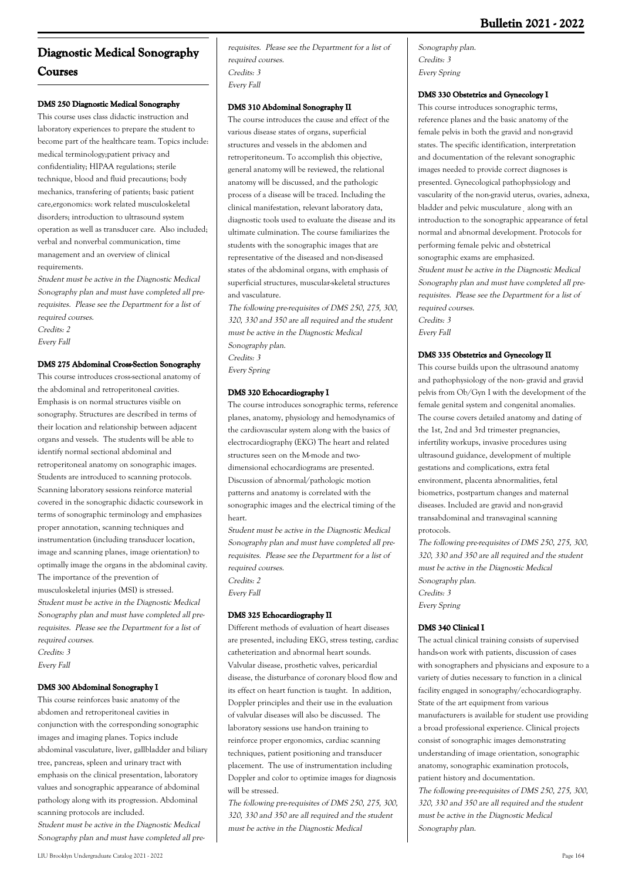# **Diagnostic Medical Sonography Courses**

## **DMS 250 Diagnostic Medical Sonography**

This course uses class didactic instruction and laboratory experiences to prepare the student to become part of the healthcare team. Topics include: medical terminology;patient privacy and confidentiality; HIPAA regulations; sterile technique, blood and fluid precautions; body mechanics, transfering of patients; basic patient care,ergonomics: work related musculoskeletal disorders; introduction to ultrasound system operation as well as transducer care. Also included; verbal and nonverbal communication, time management and an overview of clinical requirements.

Student must be active in the Diagnostic Medical Sonography plan and must have completed all prerequisites. Please see the Department for a list of required courses. Credits: 2

Every Fall

#### **DMS 275 Abdominal Cross-Section Sonography**

This course introduces cross-sectional anatomy of the abdominal and retroperitoneal cavities. Emphasis is on normal structures visible on sonography. Structures are described in terms of their location and relationship between adjacent organs and vessels. The students will be able to identify normal sectional abdominal and retroperitoneal anatomy on sonographic images. Students are introduced to scanning protocols. Scanning laboratory sessions reinforce material covered in the sonographic didactic coursework in terms of sonographic terminology and emphasizes proper annotation, scanning techniques and instrumentation (including transducer location, image and scanning planes, image orientation) to optimally image the organs in the abdominal cavity. The importance of the prevention of musculoskeletal injuries (MSI) is stressed. Student must be active in the Diagnostic Medical Sonography plan and must have completed all prerequisites. Please see the Department for a list of required courses. Credits: 3 Every Fall

#### **DMS 300 Abdominal Sonography I**

This course reinforces basic anatomy of the abdomen and retroperitoneal cavities in conjunction with the corresponding sonographic images and imaging planes. Topics include abdominal vasculature, liver, gallbladder and biliary tree, pancreas, spleen and urinary tract with emphasis on the clinical presentation, laboratory values and sonographic appearance of abdominal pathology along with its progression. Abdominal scanning protocols are included. Student must be active in the Diagnostic Medical Sonography plan and must have completed all pre-

#### **DMS 310 Abdominal Sonography II**

The course introduces the cause and effect of the various disease states of organs, superficial structures and vessels in the abdomen and retroperitoneum. To accomplish this objective, general anatomy will be reviewed, the relational anatomy will be discussed, and the pathologic process of a disease will be traced. Including the clinical manifestation, relevant laboratory data, diagnostic tools used to evaluate the disease and its ultimate culmination. The course familiarizes the students with the sonographic images that are representative of the diseased and non-diseased states of the abdominal organs, with emphasis of superficial structures, muscular-skeletal structures and vasculature.

The following pre-requisites of DMS 250, 275, 300, 320, 330 and 350 are all required and the student must be active in the Diagnostic Medical Sonography plan. Credits: 3 Every Spring

#### **DMS 320 Echocardiography I**

The course introduces sonographic terms, reference planes, anatomy, physiology and hemodynamics of the cardiovascular system along with the basics of electrocardiography (EKG) The heart and related structures seen on the M-mode and twodimensional echocardiograms are presented. Discussion of abnormal/pathologic motion patterns and anatomy is correlated with the sonographic images and the electrical timing of the heart.

Student must be active in the Diagnostic Medical Sonography plan and must have completed all prerequisites. Please see the Department for a list of required courses. Credits: 2 Every Fall

#### **DMS 325 Echocardiography II**

Different methods of evaluation of heart diseases are presented, including EKG, stress testing, cardiac catheterization and abnormal heart sounds. Valvular disease, prosthetic valves, pericardial disease, the disturbance of coronary blood flow and its effect on heart function is taught. In addition, Doppler principles and their use in the evaluation of valvular diseases will also be discussed. The laboratory sessions use hand-on training to reinforce proper ergonomics, cardiac scanning techniques, patient positioning and transducer placement. The use of instrumentation including Doppler and color to optimize images for diagnosis will be stressed.

The following pre-requisites of DMS 250, 275, 300, 320, 330 and 350 are all required and the student must be active in the Diagnostic Medical

Sonography plan. Credits: 3 Every Spring

#### **DMS 330 Obstetrics and Gynecology I**

This course introduces sonographic terms, reference planes and the basic anatomy of the female pelvis in both the gravid and non-gravid states. The specific identification, interpretation and documentation of the relevant sonographic images needed to provide correct diagnoses is presented. Gynecological pathophysiology and vascularity of the non-gravid uterus, ovaries, adnexa, bladder and pelvic musculature¸ along with an introduction to the sonographic appearance of fetal normal and abnormal development. Protocols for performing female pelvic and obstetrical sonographic exams are emphasized. Student must be active in the Diagnostic Medical Sonography plan and must have completed all prerequisites. Please see the Department for a list of required courses. Credits: 3 Every Fall

#### **DMS 335 Obstetrics and Gynecology II**

This course builds upon the ultrasound anatomy and pathophysiology of the non- gravid and gravid pelvis from Ob/Gyn I with the development of the female genital system and congenital anomalies. The course covers detailed anatomy and dating of the 1st, 2nd and 3rd trimester pregnancies, infertility workups, invasive procedures using ultrasound guidance, development of multiple gestations and complications, extra fetal environment, placenta abnormalities, fetal biometrics, postpartum changes and maternal diseases. Included are gravid and non-gravid transabdominal and transvaginal scanning protocols.

The following pre-requisites of DMS 250, 275, 300, 320, 330 and 350 are all required and the student must be active in the Diagnostic Medical Sonography plan. Credits: 3 Every Spring

#### **DMS 340 Clinical I**

The actual clinical training consists of supervised hands-on work with patients, discussion of cases with sonographers and physicians and exposure to a variety of duties necessary to function in a clinical facility engaged in sonography/echocardiography. State of the art equipment from various manufacturers is available for student use providing a broad professional experience. Clinical projects consist of sonographic images demonstrating understanding of image orientation, sonographic anatomy, sonographic examination protocols, patient history and documentation. The following pre-requisites of DMS 250, 275, 300, 320, 330 and 350 are all required and the student must be active in the Diagnostic Medical Sonography plan.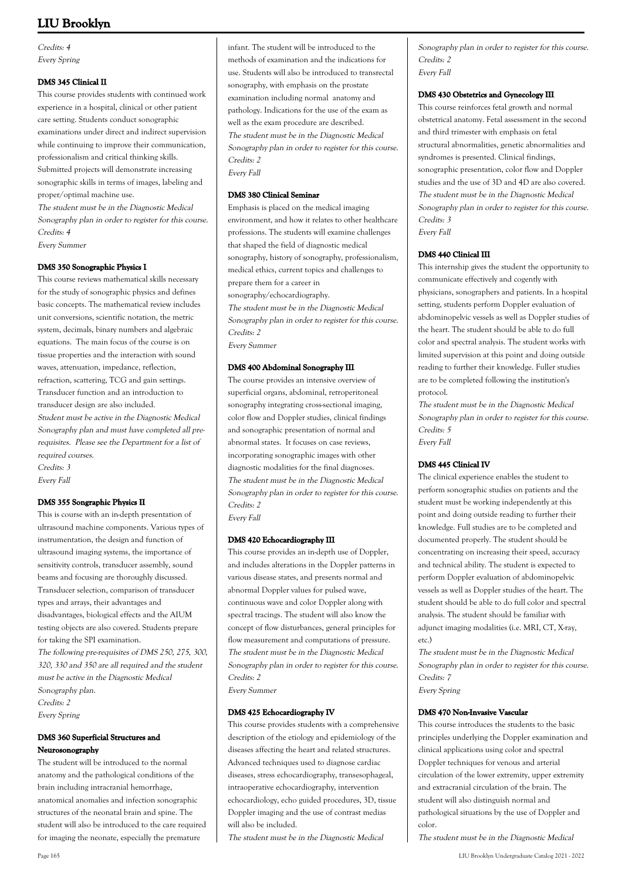Credits: 4 Every Spring

## **DMS 345 Clinical II**

This course provides students with continued work experience in a hospital, clinical or other patient care setting. Students conduct sonographic examinations under direct and indirect supervision while continuing to improve their communication, professionalism and critical thinking skills. Submitted projects will demonstrate increasing sonographic skills in terms of images, labeling and proper/optimal machine use.

The student must be in the Diagnostic Medical Sonography plan in order to register for this course. Credits: 4

Every Summer

## **DMS 350 Sonographic Physics I**

This course reviews mathematical skills necessary for the study of sonographic physics and defines basic concepts. The mathematical review includes unit conversions, scientific notation, the metric system, decimals, binary numbers and algebraic equations. The main focus of the course is on tissue properties and the interaction with sound waves, attenuation, impedance, reflection, refraction, scattering, TCG and gain settings. Transducer function and an introduction to transducer design are also included. Student must be active in the Diagnostic Medical Sonography plan and must have completed all prerequisites. Please see the Department for a list of required courses. Credits: 3 Every Fall

## **DMS 355 Songraphic Physics II**

This is course with an in-depth presentation of ultrasound machine components. Various types of instrumentation, the design and function of ultrasound imaging systems, the importance of sensitivity controls, transducer assembly, sound beams and focusing are thoroughly discussed. Transducer selection, comparison of transducer types and arrays, their advantages and disadvantages, biological effects and the AIUM testing objects are also covered. Students prepare for taking the SPI examination. The following pre-requisites of DMS 250, 275, 300,

320, 330 and 350 are all required and the student must be active in the Diagnostic Medical Sonography plan. Credits: 2 Every Spring

#### **DMS 360 Superficial Structures and Neurosonography**

The student will be introduced to the normal anatomy and the pathological conditions of the brain including intracranial hemorrhage, anatomical anomalies and infection sonographic structures of the neonatal brain and spine. The student will also be introduced to the care required for imaging the neonate, especially the premature

infant. The student will be introduced to the methods of examination and the indications for use. Students will also be introduced to transrectal sonography, with emphasis on the prostate examination including normal anatomy and pathology. Indications for the use of the exam as well as the exam procedure are described. The student must be in the Diagnostic Medical Sonography plan in order to register for this course. Credits: 2 Every Fall

#### **DMS 380 Clinical Seminar**

Emphasis is placed on the medical imaging environment, and how it relates to other healthcare professions. The students will examine challenges that shaped the field of diagnostic medical sonography, history of sonography, professionalism, medical ethics, current topics and challenges to prepare them for a career in sonography/echocardiography. The student must be in the Diagnostic Medical Sonography plan in order to register for this course. Credits: 2 Every Summer

#### **DMS 400 Abdominal Sonography III**

The course provides an intensive overview of superficial organs, abdominal, retroperitoneal sonography integrating cross-sectional imaging, color flow and Doppler studies, clinical findings and sonographic presentation of normal and abnormal states. It focuses on case reviews, incorporating sonographic images with other diagnostic modalities for the final diagnoses. The student must be in the Diagnostic Medical Sonography plan in order to register for this course. Credits: 2

Every Fall

## **DMS 420 Echocardiography III**

This course provides an in-depth use of Doppler, and includes alterations in the Doppler patterns in various disease states, and presents normal and abnormal Doppler values for pulsed wave, continuous wave and color Doppler along with spectral tracings. The student will also know the concept of flow disturbances, general principles for flow measurement and computations of pressure. The student must be in the Diagnostic Medical Sonography plan in order to register for this course. Credits: 2 Every Summer

## **DMS 425 Echocardiography IV**

This course provides students with a comprehensive description of the etiology and epidemiology of the diseases affecting the heart and related structures. Advanced techniques used to diagnose cardiac diseases, stress echocardiography, transesophageal, intraoperative echocardiography, intervention echocardiology, echo guided procedures, 3D, tissue Doppler imaging and the use of contrast medias will also be included.

The student must be in the Diagnostic Medical

Sonography plan in order to register for this course. Credits: 2 Every Fall

#### **DMS 430 Obstetrics and Gynecology III**

This course reinforces fetal growth and normal obstetrical anatomy. Fetal assessment in the second and third trimester with emphasis on fetal structural abnormalities, genetic abnormalities and syndromes is presented. Clinical findings, sonographic presentation, color flow and Doppler studies and the use of 3D and 4D are also covered. The student must be in the Diagnostic Medical Sonography plan in order to register for this course. Credits: 3 Every Fall

#### **DMS 440 Clinical III**

This internship gives the student the opportunity to communicate effectively and cogently with physicians, sonographers and patients. In a hospital setting, students perform Doppler evaluation of abdominopelvic vessels as well as Doppler studies of the heart. The student should be able to do full color and spectral analysis. The student works with limited supervision at this point and doing outside reading to further their knowledge. Fuller studies are to be completed following the institution's protocol.

The student must be in the Diagnostic Medical Sonography plan in order to register for this course. Credits: 5 Every Fall

#### **DMS 445 Clinical IV**

The clinical experience enables the student to perform sonographic studies on patients and the student must be working independently at this point and doing outside reading to further their knowledge. Full studies are to be completed and documented properly. The student should be concentrating on increasing their speed, accuracy and technical ability. The student is expected to perform Doppler evaluation of abdominopelvic vessels as well as Doppler studies of the heart. The student should be able to do full color and spectral analysis. The student should be familiar with adjunct imaging modalities (i.e. MRI, CT, X-ray, etc.)

The student must be in the Diagnostic Medical Sonography plan in order to register for this course. Credits: 7 Every Spring

#### **DMS 470 Non-Invasive Vascular**

This course introduces the students to the basic principles underlying the Doppler examination and clinical applications using color and spectral Doppler techniques for venous and arterial circulation of the lower extremity, upper extremity and extracranial circulation of the brain. The student will also distinguish normal and pathological situations by the use of Doppler and color.

The student must be in the Diagnostic Medical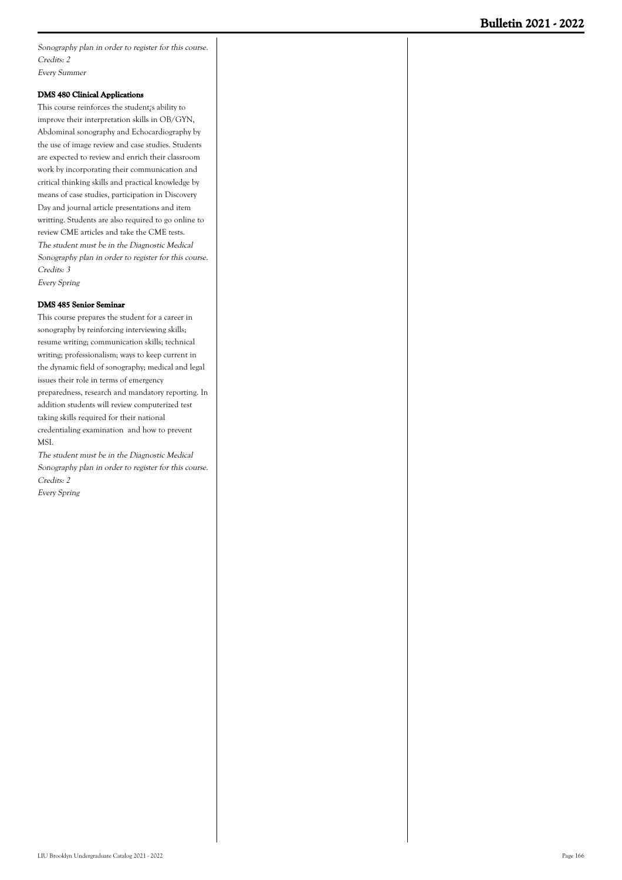Sonography plan in order to register for this course. Credits: 2 Every Summer

#### **DMS 480 Clinical Applications**

This course reinforces the student¿s ability to improve their interpretation skills in OB/GYN, Abdominal sonography and Echocardiography by the use of image review and case studies. Students are expected to review and enrich their classroom work by incorporating their communication and critical thinking skills and practical knowledge by means of case studies, participation in Discovery Day and journal article presentations and item writting. Students are also required to go online to review CME articles and take the CME tests. The student must be in the Diagnostic Medical Sonography plan in order to register for this course. Credits: 3 Every Spring

#### **DMS 485 Senior Seminar**

This course prepares the student for a career in sonography by reinforcing interviewing skills; resume writing; communication skills; technical writing; professionalism; ways to keep current in the dynamic field of sonography; medical and legal issues their role in terms of emergency preparedness, research and mandatory reporting. In addition students will review computerized test taking skills required for their national credentialing examination and how to prevent MSI.

The student must be in the Diagnostic Medical Sonography plan in order to register for this course. Credits: 2 Every Spring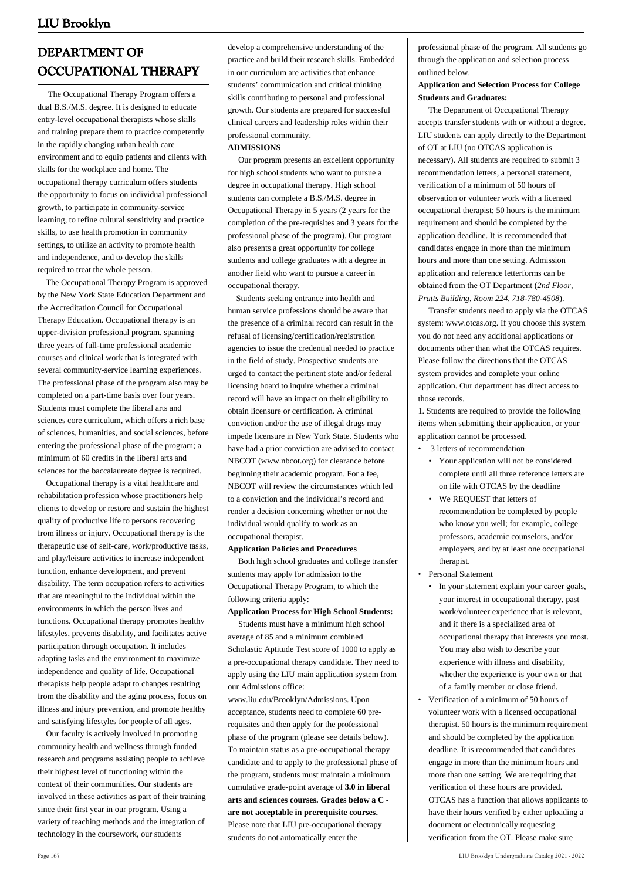# **DEPARTMENT OF OCCUPATIONAL THERAPY**

 The Occupational Therapy Program offers a dual B.S./M.S. degree. It is designed to educate entry-level occupational therapists whose skills and training prepare them to practice competently in the rapidly changing urban health care environment and to equip patients and clients with skills for the workplace and home. The occupational therapy curriculum offers students the opportunity to focus on individual professional growth, to participate in community-service learning, to refine cultural sensitivity and practice skills, to use health promotion in community settings, to utilize an activity to promote health and independence, and to develop the skills required to treat the whole person.

 The Occupational Therapy Program is approved by the New York State Education Department and the Accreditation Council for Occupational Therapy Education. Occupational therapy is an upper-division professional program, spanning three years of full-time professional academic courses and clinical work that is integrated with several community-service learning experiences. The professional phase of the program also may be completed on a part-time basis over four years. Students must complete the liberal arts and sciences core curriculum, which offers a rich base of sciences, humanities, and social sciences, before entering the professional phase of the program; a minimum of 60 credits in the liberal arts and sciences for the baccalaureate degree is required.

 Occupational therapy is a vital healthcare and rehabilitation profession whose practitioners help clients to develop or restore and sustain the highest quality of productive life to persons recovering from illness or injury. Occupational therapy is the therapeutic use of self-care, work/productive tasks, and play/leisure activities to increase independent function, enhance development, and prevent disability. The term occupation refers to activities that are meaningful to the individual within the environments in which the person lives and functions. Occupational therapy promotes healthy lifestyles, prevents disability, and facilitates active participation through occupation. It includes adapting tasks and the environment to maximize independence and quality of life. Occupational therapists help people adapt to changes resulting from the disability and the aging process, focus on illness and injury prevention, and promote healthy and satisfying lifestyles for people of all ages.

 Our faculty is actively involved in promoting community health and wellness through funded research and programs assisting people to achieve their highest level of functioning within the context of their communities. Our students are involved in these activities as part of their training since their first year in our program. Using a variety of teaching methods and the integration of technology in the coursework, our students

develop a comprehensive understanding of the practice and build their research skills. Embedded in our curriculum are activities that enhance students' communication and critical thinking skills contributing to personal and professional growth. Our students are prepared for successful clinical careers and leadership roles within their professional community.

#### **ADMISSIONS**

 Our program presents an excellent opportunity for high school students who want to pursue a degree in occupational therapy. High school students can complete a B.S./M.S. degree in Occupational Therapy in 5 years (2 years for the completion of the pre-requisites and 3 years for the professional phase of the program). Our program also presents a great opportunity for college students and college graduates with a degree in another field who want to pursue a career in occupational therapy.

 Students seeking entrance into health and human service professions should be aware that the presence of a criminal record can result in the refusal of licensing/certification/registration agencies to issue the credential needed to practice in the field of study. Prospective students are urged to contact the pertinent state and/or federal licensing board to inquire whether a criminal record will have an impact on their eligibility to obtain licensure or certification. A criminal conviction and/or the use of illegal drugs may impede licensure in New York State. Students who have had a prior conviction are advised to contact NBCOT ([www.nbcot.org\)](http://www.liu.edu/Brooklyn/Academics/Schools/SHP/Dept/Occupational-Therapy/Programs/www.nbcot.org) for clearance before beginning their academic program. For a fee, NBCOT will review the circumstances which led to a conviction and the individual's record and render a decision concerning whether or not the individual would qualify to work as an occupational therapist.

#### **Application Policies and Procedures**

 Both high school graduates and college transfer students may apply for admission to the Occupational Therapy Program, to which the following criteria apply:

#### **Application Process for High School Students:**

 Students must have a minimum high school average of 85 and a minimum combined Scholastic Aptitude Test score of 1000 to apply as a pre-occupational therapy candidate. They need to apply using the LIU main application system from our Admissions office:

[www.liu.edu/Brooklyn/Admissions.](http://liu.edu/Brooklyn/Admissions.aspx) Upon acceptance, students need to complete 60 prerequisites and then apply for the professional phase of the program (please see details below). To maintain status as a pre-occupational therapy candidate and to apply to the professional phase of the program, students must maintain a minimum cumulative grade-point average of **3.0 in liberal arts and sciences courses. Grades below a C are not acceptable in prerequisite courses.** Please note that LIU pre-occupational therapy students do not automatically enter the

professional phase of the program. All students go through the application and selection process outlined below.

#### **Application and Selection Process for College Students and Graduates:**

 The Department of Occupational Therapy accepts transfer students with or without a degree. LIU students can apply directly to the Department of OT at LIU (no OTCAS application is necessary). All students are required to submit 3 recommendation letters, a personal statement, verification of a minimum of 50 hours of observation or volunteer work with a licensed occupational therapist; 50 hours is the minimum requirement and should be completed by the application deadline. It is recommended that candidates engage in more than the minimum hours and more than one setting. Admission application and reference letterforms can be obtained from the OT Department (*2nd Floor, Pratts Building, Room 224, 718-780-4508*).

 Transfer students need to apply via the OTCAS system: [www.otcas.org.](http://www.otcas.org) If you choose this system you do not need any additional applications or documents other than what the OTCAS requires. Please follow the directions that the OTCAS system provides and complete your online application. Our department has direct access to those records.

1. Students are required to provide the following items when submitting their application, or your application cannot be processed.

- 3 letters of recommendation
	- Your application will not be considered complete until all three reference letters are on file with OTCAS by the deadline
	- We REQUEST that letters of recommendation be completed by people who know you well; for example, college professors, academic counselors, and/or employers, and by at least one occupational therapist.
- Personal Statement
	- In your statement explain your career goals, your interest in occupational therapy, past work/volunteer experience that is relevant, and if there is a specialized area of occupational therapy that interests you most. You may also wish to describe your experience with illness and disability, whether the experience is your own or that of a family member or close friend.
- Verification of a minimum of 50 hours of volunteer work with a licensed occupational therapist. 50 hours is the minimum requirement and should be completed by the application deadline. It is recommended that candidates engage in more than the minimum hours and more than one setting. We are requiring that verification of these hours are provided. OTCAS has a function that allows applicants to have their hours verified by either uploading a document or electronically requesting verification from the OT. Please make sure •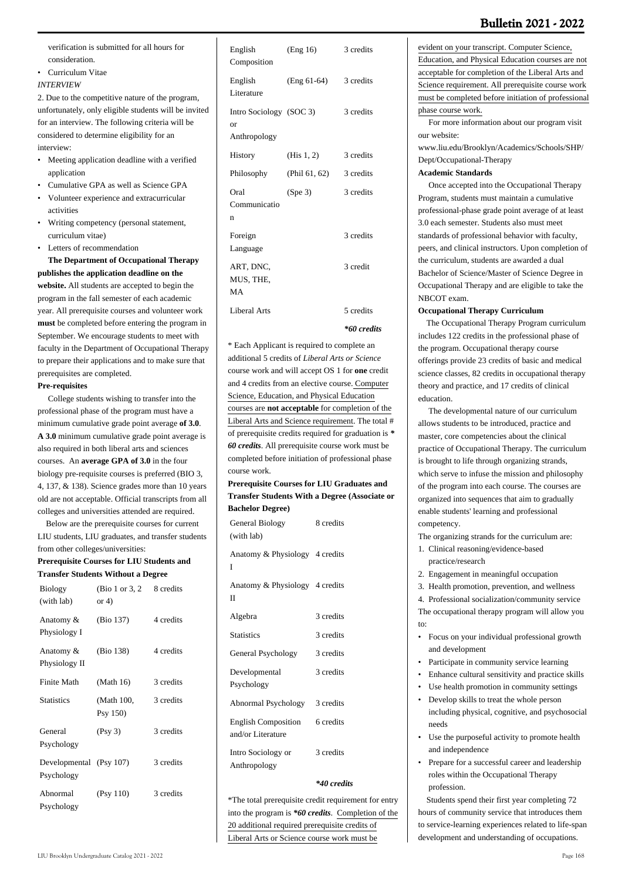verification is submitted for all hours for consideration.

- Curriculum Vitae
- *INTERVIEW*

2. Due to the competitive nature of the program, unfortunately, only eligible students will be invited for an interview. The following criteria will be considered to determine eligibility for an interview:

- Meeting application deadline with a verified application
- Cumulative GPA as well as Science GPA
- Volunteer experience and extracurricular activities •
- Writing competency (personal statement, curriculum vitae) •
- Letters of recommendation

 **The Department of Occupational Therapy publishes the application deadline on the website.** All students are accepted to begin the program in the fall semester of each academic year. All prerequisite courses and volunteer work **must** be completed before entering the program in September. We encourage students to meet with faculty in the Department of Occupational Therapy to prepare their applications and to make sure that prerequisites are completed.

#### **Pre-requisites**

 College students wishing to transfer into the professional phase of the program must have a minimum cumulative grade point average **of 3.0**. **A 3.0** minimum cumulative grade point average is also required in both liberal arts and sciences courses. An **average GPA of 3.0** in the four biology pre-requisite courses is preferred (BIO 3, 4, 137, & 138). Science grades more than 10 years old are not acceptable. Official transcripts from all colleges and universities attended are required.

 Below are the prerequisite courses for current LIU students, LIU graduates, and transfer students from other colleges/universities:

#### **Prerequisite Courses for LIU Students and Transfer Students Without a Degree**

| <b>Biology</b><br>(with lab) | (Bio 1 or 3, 2)<br>or $4)$ | 8 credits |
|------------------------------|----------------------------|-----------|
| Anatomy &<br>Physiology I    | (Bio 137)                  | 4 credits |
| Anatomy &<br>Physiology II   | (Bio 138)                  | 4 credits |
| Finite Math                  | (Math 16)                  | 3 credits |
| <b>Statistics</b>            | (Math 100,<br>Psy 150)     | 3 credits |
| General<br>Psychology        | (Psy 3)                    | 3 credits |
| Developmental<br>Psychology  | (Psy 107)                  | 3 credits |
| Abnormal<br>Psychology       | (Psy 110)                  | 3 credits |

| English<br>Composition                        | (Eng 16)      | 3 credits   |
|-----------------------------------------------|---------------|-------------|
| English<br>Literature                         | $(Eng 61-64)$ | 3 credits   |
| Intro Sociology (SOC 3)<br>or<br>Anthropology |               | 3 credits   |
| History                                       | (His $1, 2$ ) | 3 credits   |
| Philosophy                                    | (Phil 61, 62) | 3 credits   |
| Oral<br>Communicatio<br>n                     | (Spe 3)       | 3 credits   |
| Foreign<br>Language                           |               | 3 credits   |
| ART, DNC,<br>MUS, THE,<br>MA                  |               | 3 credit    |
| Liberal Arts                                  |               | 5 credits   |
|                                               |               | *60 credits |

## \* Each Applicant is required to complete an additional 5 credits of *Liberal Arts or Science* course work and will accept OS 1 for **one** credit and 4 credits from an elective course. Computer Science, Education, and Physical Education courses are **not acceptable** for completion of the Liberal Arts and Science requirement. The total # of prerequisite credits required for graduation is *\* 60 credits*. All prerequisite course work must be completed before initiation of professional phase course work.

#### **Prerequisite Courses for LIU Graduates and Transfer Students With a Degree (Associate or Bachelor Degree)**

| General Biology<br>(with lab)                   | 8 credits |
|-------------------------------------------------|-----------|
| Anatomy & Physiology 4 credits<br>T             |           |
| Anatomy & Physiology 4 credits<br>$_{\rm II}$   |           |
| Algebra                                         | 3 credits |
| <b>Statistics</b>                               | 3 credits |
| General Psychology                              | 3 credits |
| Developmental<br>Psychology                     | 3 credits |
| Abnormal Psychology                             | 3 credits |
| <b>English Composition</b><br>and/or Literature | 6 credits |
| Intro Sociology or<br>Anthropology              | 3 credits |

#### *\*40 credits*

\*The total prerequisite credit requirement for entry into the program is *\*60 credits*. Completion of the 20 additional required prerequisite credits of Liberal Arts or Science course work must be

evident on your transcript. Computer Science, Education, and Physical Education courses are not acceptable for completion of the Liberal Arts and Science requirement. All prerequisite course work must be completed before initiation of professional phase course work.

 For more information about our program visit our website:

[www.liu.edu/Brooklyn/Academics/Schools/SHP/](http://www.liu.edu/Brooklyn/Academics/Schools/SHP/Dept/Occupational-Therapy.aspx) [Dept/Occupational-Therapy](http://www.liu.edu/Brooklyn/Academics/Schools/SHP/Dept/Occupational-Therapy.aspx)

#### **Academic Standards**

 Once accepted into the Occupational Therapy Program, students must maintain a cumulative professional-phase grade point average of at least 3.0 each semester. Students also must meet standards of professional behavior with faculty, peers, and clinical instructors. Upon completion of the curriculum, students are awarded a dual Bachelor of Science/Master of Science Degree in Occupational Therapy and are eligible to take the NBCOT exam.

#### **Occupational Therapy Curriculum**

 The Occupational Therapy Program curriculum includes 122 credits in the professional phase of the program. Occupational therapy course offerings provide 23 credits of basic and medical science classes, 82 credits in occupational therapy theory and practice, and 17 credits of clinical education.

 The developmental nature of our curriculum allows students to be introduced, practice and master, core competencies about the clinical practice of Occupational Therapy. The curriculum is brought to life through organizing strands, which serve to infuse the mission and philosophy of the program into each course. The courses are organized into sequences that aim to gradually enable students' learning and professional competency.

The organizing strands for the curriculum are:

- 1. Clinical reasoning/evidence-based practice/research
- 2. Engagement in meaningful occupation
- 3. Health promotion, prevention, and wellness

4. Professional socialization/community service The occupational therapy program will allow you to:

- Focus on your individual professional growth and development
- Participate in community service learning
- Enhance cultural sensitivity and practice skills
- Use health promotion in community settings
- Develop skills to treat the whole person including physical, cognitive, and psychosocial needs •
- Use the purposeful activity to promote health and independence
- Prepare for a successful career and leadership roles within the Occupational Therapy profession. •

 Students spend their first year completing 72 hours of community service that introduces them to service-learning experiences related to life-span development and understanding of occupations.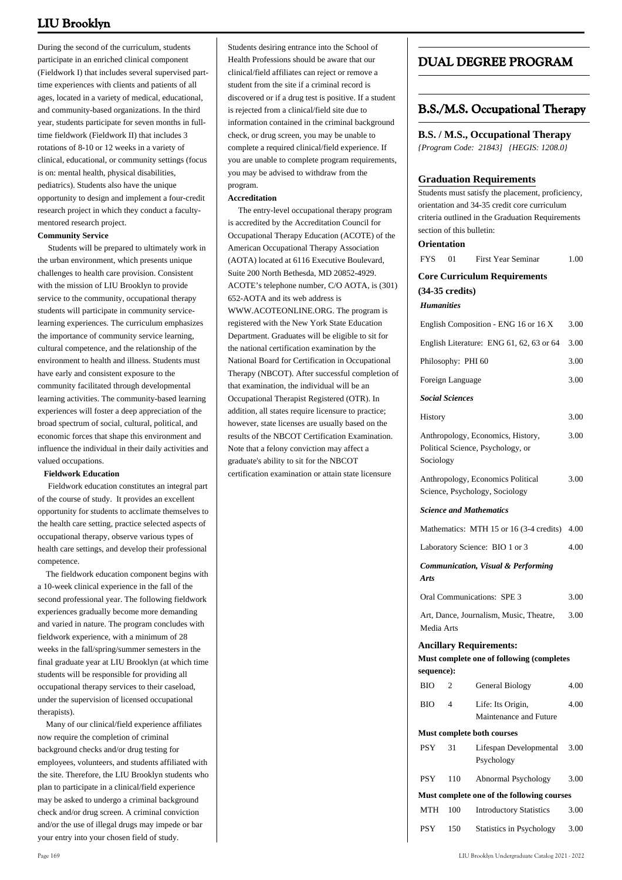During the second of the curriculum, students participate in an enriched clinical component (Fieldwork I) that includes several supervised parttime experiences with clients and patients of all ages, located in a variety of medical, educational, and community-based organizations. In the third year, students participate for seven months in fulltime fieldwork (Fieldwork II) that includes 3 rotations of 8-10 or 12 weeks in a variety of clinical, educational, or community settings (focus is on: mental health, physical disabilities, pediatrics). Students also have the unique opportunity to design and implement a four-credit research project in which they conduct a facultymentored research project.

#### **Community Service**

 Students will be prepared to ultimately work in the urban environment, which presents unique challenges to health care provision. Consistent with the mission of LIU Brooklyn to provide service to the community, occupational therapy students will participate in community servicelearning experiences. The curriculum emphasizes the importance of community service learning, cultural competence, and the relationship of the environment to health and illness. Students must have early and consistent exposure to the community facilitated through developmental learning activities. The community-based learning experiences will foster a deep appreciation of the broad spectrum of social, cultural, political, and economic forces that shape this environment and influence the individual in their daily activities and valued occupations.

#### **Fieldwork Education**

 Fieldwork education constitutes an integral part of the course of study. It provides an excellent opportunity for students to acclimate themselves to the health care setting, practice selected aspects of occupational therapy, observe various types of health care settings, and develop their professional competence.

 The fieldwork education component begins with a 10-week clinical experience in the fall of the second professional year. The following fieldwork experiences gradually become more demanding and varied in nature. The program concludes with fieldwork experience, with a minimum of 28 weeks in the fall/spring/summer semesters in the final graduate year at LIU Brooklyn (at which time students will be responsible for providing all occupational therapy services to their caseload, under the supervision of licensed occupational therapists).

 Many of our clinical/field experience affiliates now require the completion of criminal background checks and/or drug testing for employees, volunteers, and students affiliated with the site. Therefore, the LIU Brooklyn students who plan to participate in a clinical/field experience may be asked to undergo a criminal background check and/or drug screen. A criminal conviction and/or the use of illegal drugs may impede or bar your entry into your chosen field of study.

Students desiring entrance into the School of Health Professions should be aware that our clinical/field affiliates can reject or remove a student from the site if a criminal record is discovered or if a drug test is positive. If a student is rejected from a clinical/field site due to information contained in the criminal background check, or drug screen, you may be unable to complete a required clinical/field experience. If you are unable to complete program requirements, you may be advised to withdraw from the program.

#### **Accreditation**

 The entry-level occupational therapy program is accredited by the Accreditation Council for Occupational Therapy Education (ACOTE) of the American Occupational Therapy Association (AOTA) located at 6116 Executive Boulevard, Suite 200 North Bethesda, MD 20852-4929. ACOTE's telephone number, C/O AOTA, is (301) 652-AOTA and its web address is WWW.ACOTEONLINE.ORG. The program is registered with the New York State Education Department. Graduates will be eligible to sit for the national certification examination by the National Board for Certification in Occupational Therapy (NBCOT). After successful completion of that examination, the individual will be an Occupational Therapist Registered (OTR). In addition, all states require licensure to practice; however, state licenses are usually based on the results of the NBCOT Certification Examination. Note that a felony conviction may affect a graduate's ability to sit for the NBCOT certification examination or attain state licensure

## **DUAL DEGREE PROGRAM**

## **B.S./M.S. Occupational Therapy**

**B.S. / M.S., Occupational Therapy** *{Program Code: 21843] {HEGIS: 1208.0}*

Students must satisfy the placement, proficiency,

#### **Graduation Requirements**

orientation and 34-35 credit core curriculum criteria outlined in the Graduation Requirements section of this bulletin: **Orientation** FYS 01 First Year Seminar 1.00 **Core Curriculum Requirements (34-35 credits)** *Humanities* English Composition - ENG 16 or  $16X$  3.00 English Literature: ENG 61, 62, 63 or 64 3.00 Philosophy: PHI 60 3.00 Foreign Language 3.00 *Social Sciences* History 3.00 Anthropology, Economics, History, Political Science, Psychology, or Sociology 3.00 Anthropology, Economics Political Science, Psychology, Sociology 3.00 *Science and Mathematics* Mathematics: MTH 15 or 16 (3-4 credits) 4.00 Laboratory Science: BIO 1 or 3 4.00 *Communication, Visual & Performing Arts* Oral Communications: SPE 3 3.00 Art, Dance, Journalism, Music, Theatre, Media Arts 3.00 **Ancillary Requirements: Must complete one of following (completes sequence):** BIO 2 General Biology 4.00 BIO 4 Life: Its Origin, Maintenance and Future 4.00 **Must complete both courses** PSY 31 Lifespan Developmental Psychology 3.00 PSY 110 Abnormal Psychology 3.00 **Must complete one of the following courses** MTH 100 Introductory Statistics 3.00 PSY 150 Statistics in Psychology 3.00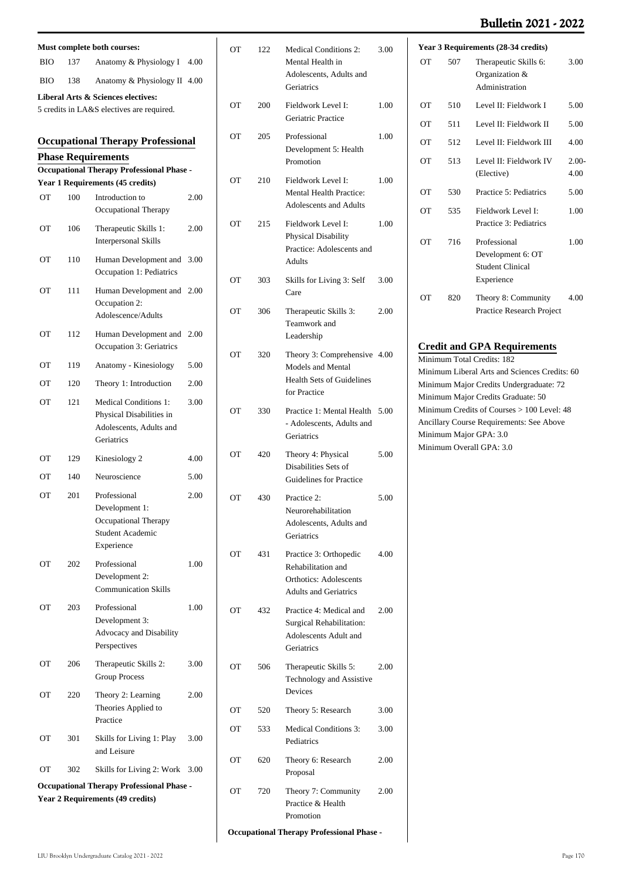## **Bulletin 2021 - 2022**

| Must complete both courses:                                                                 |     |                                                                                                   |      |
|---------------------------------------------------------------------------------------------|-----|---------------------------------------------------------------------------------------------------|------|
| BІO                                                                                         | 137 | Anatomy & Physiology I                                                                            | 4.00 |
| BІO                                                                                         | 138 | Anatomy & Physiology II                                                                           | 4.00 |
|                                                                                             |     | Liberal Arts & Sciences electives:                                                                |      |
|                                                                                             |     | 5 credits in LA&S electives are required.                                                         |      |
|                                                                                             |     | <b>Occupational Therapy Professional</b>                                                          |      |
|                                                                                             |     | <b>Phase Requirements</b>                                                                         |      |
|                                                                                             |     | <b>Occupational Therapy Professional Phase -</b>                                                  |      |
|                                                                                             |     | Year 1 Requirements (45 credits)                                                                  |      |
| OТ                                                                                          | 100 | Introduction to<br>Occupational Therapy                                                           | 2.00 |
| OТ                                                                                          | 106 | Therapeutic Skills 1:<br><b>Interpersonal Skills</b>                                              | 2.00 |
| OТ                                                                                          | 110 | Human Development and<br>Occupation 1: Pediatrics                                                 | 3.00 |
| <b>OT</b>                                                                                   | 111 | Human Development and<br>Occupation 2:<br>Adolescence/Adults                                      | 2.00 |
| OТ                                                                                          | 112 | Human Development and<br>Occupation 3: Geriatrics                                                 | 2.00 |
| OТ                                                                                          | 119 | Anatomy - Kinesiology                                                                             | 5.00 |
| OТ                                                                                          | 120 | Theory 1: Introduction                                                                            | 2.00 |
| ОT                                                                                          | 121 | <b>Medical Conditions 1:</b><br>Physical Disabilities in<br>Adolescents, Adults and<br>Geriatrics | 3.00 |
| OТ                                                                                          | 129 | Kinesiology 2                                                                                     | 4.00 |
| OТ                                                                                          | 140 | Neuroscience                                                                                      | 5.00 |
| ОT                                                                                          | 201 | Professional<br>Development 1:<br>Occupational Therapy<br>Student Academic<br>Experience          | 2.00 |
| OТ                                                                                          | 202 | Professional<br>Development 2:<br><b>Communication Skills</b>                                     | 1.00 |
| OТ                                                                                          | 203 | Professional<br>Development 3:<br>Advocacy and Disability<br>Perspectives                         | 1.00 |
| OТ                                                                                          | 206 | Therapeutic Skills 2:<br><b>Group Process</b>                                                     | 3.00 |
| OТ                                                                                          | 220 | Theory 2: Learning<br>Theories Applied to<br>Practice                                             | 2.00 |
| OТ                                                                                          | 301 | Skills for Living 1: Play<br>and Leisure                                                          | 3.00 |
| OТ                                                                                          | 302 | Skills for Living 2: Work                                                                         | 3.00 |
| <b>Occupational Therapy Professional Phase -</b><br><b>Year 2 Requirements (49 credits)</b> |     |                                                                                                   |      |

|           |     | Mental Health in<br>Adolescents, Adults and<br>Geriatrics                                                     |      |
|-----------|-----|---------------------------------------------------------------------------------------------------------------|------|
| OТ        | 200 | Fieldwork Level I:<br>Geriatric Practice                                                                      | 1.00 |
| OТ        | 205 | Professional<br>Development 5: Health<br>Promotion                                                            | 1.00 |
| <b>OT</b> | 210 | Fieldwork Level I:<br><b>Mental Health Practice:</b><br>Adolescents and Adults                                | 1.00 |
| OТ        | 215 | Fieldwork Level I:<br>Physical Disability<br>Practice: Adolescents and<br><b>Adults</b>                       | 1.00 |
| OТ        | 303 | Skills for Living 3: Self<br>Care                                                                             | 3.00 |
| OТ        | 306 | Therapeutic Skills 3:<br>Teamwork and<br>Leadership                                                           | 2.00 |
| OТ        | 320 | Theory 3: Comprehensive 4.00<br>Models and Mental<br><b>Health Sets of Guidelines</b><br>for Practice         |      |
| OТ        | 330 | Practice 1: Mental Health<br>- Adolescents, Adults and<br>Geriatrics                                          | 5.00 |
| OТ        | 420 | Theory 4: Physical<br>Disabilities Sets of<br><b>Guidelines for Practice</b>                                  | 5.00 |
| OТ        | 430 | Practice 2:<br>Neurorehabilitation<br>Adolescents, Adults and<br>Geriatrics                                   | 5.00 |
| OТ        | 431 | Practice 3: Orthopedic<br>Rehabilitation and<br><b>Orthotics: Adolescents</b><br><b>Adults and Geriatrics</b> | 4.00 |
| OТ        | 432 | Practice 4: Medical and<br>Surgical Rehabilitation:<br>Adolescents Adult and<br>Geriatrics                    | 2.00 |
| OТ        | 506 | Therapeutic Skills 5:<br>Technology and Assistive<br>Devices                                                  | 2.00 |
| OТ        | 520 | Theory 5: Research                                                                                            | 3.00 |
| OТ        | 533 | <b>Medical Conditions 3:</b><br>Pediatrics                                                                    | 3.00 |
| OТ        | 620 | Theory 6: Research<br>Proposal                                                                                | 2.00 |
| OТ        | 720 | Theory 7: Community<br>Practice & Health<br>Promotion                                                         | 2.00 |

OT 122 Medical Conditions 2:

 $\overline{1}$ 

3.00

**Occupational Therapy Professional Phase -**

| Year 3 Requirements (28-34 credits) |     |                                                                            |                 |
|-------------------------------------|-----|----------------------------------------------------------------------------|-----------------|
| OТ                                  | 507 | Therapeutic Skills 6:<br>Organization &<br>Administration                  | 3.00            |
| OТ                                  | 510 | Level II: Fieldwork I                                                      | 5.00            |
| OТ                                  | 511 | Level II: Fieldwork II                                                     | 5.00            |
| OТ                                  | 512 | Level II: Fieldwork III                                                    | 4.00            |
| OТ                                  | 513 | Level II: Fieldwork IV<br>(Elective)                                       | $2.00-$<br>4.00 |
| OТ                                  | 530 | Practice 5: Pediatrics                                                     | 5.00            |
| OТ                                  | 535 | Fieldwork Level I:<br>Practice 3: Pediatrics                               | 1.00            |
| OТ                                  | 716 | Professional<br>Development 6: OT<br><b>Student Clinical</b><br>Experience | 1.00            |
| OТ                                  | 820 | Theory 8: Community<br>Practice Research Project                           | 4.00            |

#### **Credit and GPA Requirements**

Minimum Total Credits: 182 Minimum Liberal Arts and Sciences Credits: 60 Minimum Major Credits Undergraduate: 72 Minimum Major Credits Graduate: 50 Minimum Credits of Courses > 100 Level: 48 Ancillary Course Requirements: See Above Minimum Major GPA: 3.0 Minimum Overall GPA: 3.0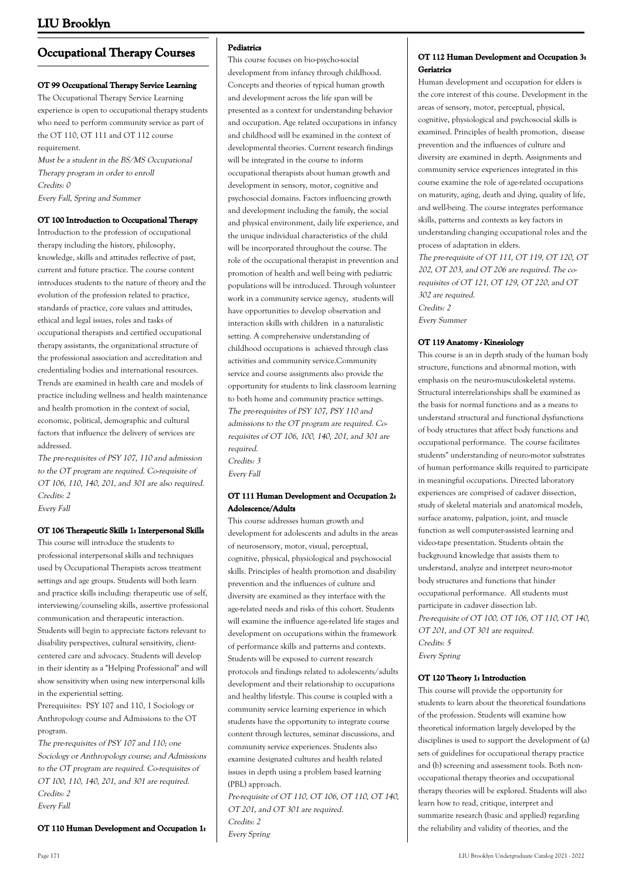## **Occupational Therapy Courses**

#### **OT 99 Occupational Therapy Service Learning**

The Occupational Therapy Service Learning experience is open to occupational therapy students who need to perform community service as part of the OT 110, OT 111 and OT 112 course requirement.

Must be a student in the BS/MS Occupational Therapy program in order to enroll Credits: 0 Every Fall, Spring and Summer

#### **OT 100 Introduction to Occupational Therapy**

Introduction to the profession of occupational therapy including the history, philosophy, knowledge, skills and attitudes reflective of past, current and future practice. The course content introduces students to the nature of theory and the evolution of the profession related to practice, standards of practice, core values and attitudes, ethical and legal issues, roles and tasks of occupational therapists and certified occupational therapy assistants, the organizational structure of the professional association and accreditation and credentialing bodies and international resources. Trends are examined in health care and models of practice including wellness and health maintenance and health promotion in the context of social, economic, political, demographic and cultural factors that influence the delivery of services are addressed.

The pre-requisites of PSY 107, 110 and admission to the OT program are required. Co-requisite of OT 106, 110, 140, 201, and 301 are also required. Credits: 2 Every Fall

#### **OT 106 Therapeutic Skills 1: Interpersonal Skills**

This course will introduce the students to professional interpersonal skills and techniques used by Occupational Therapists across treatment settings and age groups. Students will both learn and practice skills including: therapeutic use of self, interviewing/counseling skills, assertive professional communication and therapeutic interaction. Students will begin to appreciate factors relevant to disability perspectives, cultural sensitivity, clientcentered care and advocacy. Students will develop in their identity as a "Helping Professional" and will show sensitivity when using new interpersonal kills in the experiential setting.

Prerequisites: PSY 107 and 110, 1 Sociology or Anthropology course and Admissions to the OT program.

The pre-requisites of PSY 107 and 110; one Sociology or Anthropology course; and Admissions to the OT program are required. Co-requisites of OT 100, 110, 140, 201, and 301 are required. Credits: 2 Every Fall

**OT 110 Human Development and Occupation 1:**

## **Pediatrics**

This course focuses on bio-psycho-social development from infancy through childhood. Concepts and theories of typical human growth and development across the life span will be presented as a context for understanding behavior and occupation. Age related occupations in infancy and childhood will be examined in the context of developmental theories. Current research findings will be integrated in the course to inform occupational therapists about human growth and development in sensory, motor, cognitive and psychosocial domains. Factors influencing growth and development including the family, the social and physical environment, daily life experience, and the unique individual characteristics of the child will be incorporated throughout the course. The role of the occupational therapist in prevention and promotion of health and well being with pediatric populations will be introduced. Through volunteer work in a community service agency, students will have opportunities to develop observation and interaction skills with children in a naturalistic setting. A comprehensive understanding of childhood occupations is achieved through class activities and community service.Community service and course assignments also provide the opportunity for students to link classroom learning to both home and community practice settings. The pre-requisites of PSY 107, PSY 110 and admissions to the OT program are required. Corequisites of OT 106, 100, 140, 201, and 301 are required.

Credits: 3 Every Fall

#### **OT 111 Human Development and Occupation 2: Adolescence/Adults**

This course addresses human growth and development for adolescents and adults in the areas of neurosensory, motor, visual, perceptual, cognitive, physical, physiological and psychosocial skills. Principles of health promotion and disability prevention and the influences of culture and diversity are examined as they interface with the age-related needs and risks of this cohort. Students will examine the influence age-related life stages and development on occupations within the framework of performance skills and patterns and contexts. Students will be exposed to current research protocols and findings related to adolescents/adults development and their relationship to occupations and healthy lifestyle. This course is coupled with a community service learning experience in which students have the opportunity to integrate course content through lectures, seminar discussions, and community service experiences. Students also examine designated cultures and health related issues in depth using a problem based learning (PBL) approach.

Pre-requisite of OT 110, OT 106, OT 110, OT 140, OT 201, and OT 301 are required. Credits: 2 Every Spring

#### **OT 112 Human Development and Occupation 3: Geriatrics**

Human development and occupation for elders is the core interest of this course. Development in the areas of sensory, motor, perceptual, physical, cognitive, physiological and psychosocial skills is examined. Principles of health promotion, disease prevention and the influences of culture and diversity are examined in depth. Assignments and community service experiences integrated in this course examine the role of age-related occupations on maturity, aging, death and dying, quality of life, and well-being. The course integrates performance skills, patterns and contexts as key factors in understanding changing occupational roles and the process of adaptation in elders. The pre-requisite of OT 111, OT 119, OT 120, OT 202, OT 203, and OT 206 are required. The corequisites of OT 121, OT 129, OT 220, and OT 302 are required. Credits: 2 Every Summer

#### **OT 119 Anatomy - Kinesiology**

This course is an in depth study of the human body structure, functions and abnormal motion, with emphasis on the neuro-musculoskeletal systems. Structural interrelationships shall be examined as the basis for normal functions and as a means to understand structural and functional dysfunctions of body structures that affect body functions and occupational performance. The course facilitates students'' understanding of neuro-motor substrates of human performance skills required to participate in meaningful occupations. Directed laboratory experiences are comprised of cadaver dissection, study of skeletal materials and anatomical models, surface anatomy, palpation, joint, and muscle function as well computer-assisted learning and video-tape presentation. Students obtain the background knowledge that assists them to understand, analyze and interpret neuro-motor body structures and functions that hinder occupational performance. All students must participate in cadaver dissection lab. Pre-requisite of OT 100, OT 106, OT 110, OT 140, OT 201, and OT 301 are required. Credits: 5 Every Spring

#### **OT 120 Theory 1: Introduction**

This course will provide the opportunity for students to learn about the theoretical foundations of the profession. Students will examine how theoretical information largely developed by the disciplines is used to support the development of (a) sets of guidelines for occupational therapy practice and (b) screening and assessment tools. Both nonoccupational therapy theories and occupational therapy theories will be explored. Students will also learn how to read, critique, interpret and summarize research (basic and applied) regarding the reliability and validity of theories, and the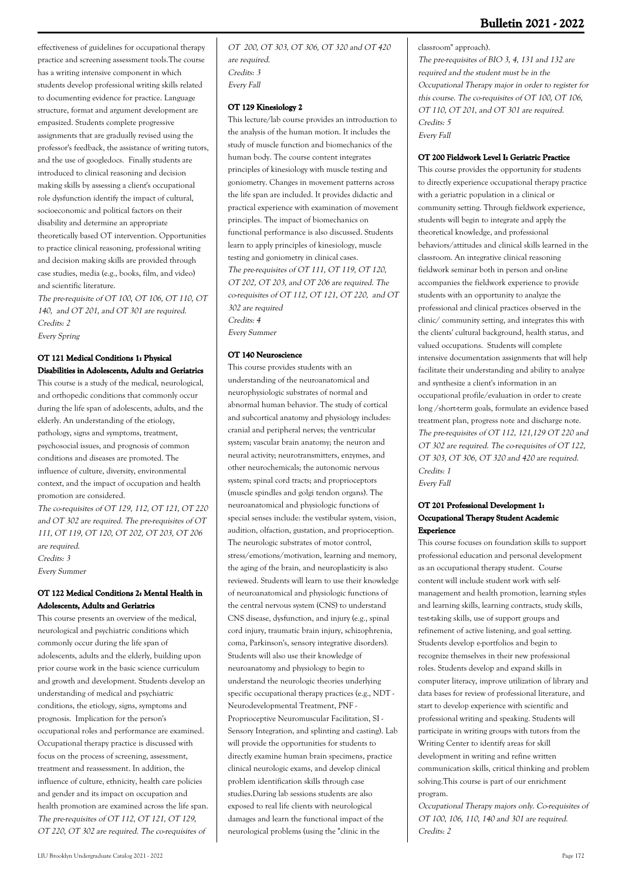effectiveness of guidelines for occupational therapy practice and screening assessment tools.The course has a writing intensive component in which students develop professional writing skills related to documenting evidence for practice. Language structure, format and argument development are empasized. Students complete progressive assignments that are gradually revised using the professor's feedback, the assistance of writing tutors, and the use of googledocs. Finally students are introduced to clinical reasoning and decision making skills by assessing a client's occupational role dysfunction identify the impact of cultural, socioeconomic and political factors on their disability and determine an appropriate theoretically based OT intervention. Opportunities to practice clinical reasoning, professional writing and decision making skills are provided through case studies, media (e.g., books, film, and video) and scientific literature.

The pre-requisite of OT 100, OT 106, OT 110, OT 140, and OT 201, and OT 301 are required. Credits: 2 Every Spring

## **OT 121 Medical Conditions 1: Physical Disabilities in Adolescents, Adults and Geriatrics**

This course is a study of the medical, neurological, and orthopedic conditions that commonly occur during the life span of adolescents, adults, and the elderly. An understanding of the etiology, pathology, signs and symptoms, treatment, psychosocial issues, and prognosis of common conditions and diseases are promoted. The influence of culture, diversity, environmental context, and the impact of occupation and health promotion are considered.

The co-requisites of OT 129, 112, OT 121, OT 220 and OT 302 are required. The pre-requisites of OT 111, OT 119, OT 120, OT 202, OT 203, OT 206 are required. Credits: 3 Every Summer

## **OT 122 Medical Conditions 2: Mental Health in Adolescents, Adults and Geriatrics**

This course presents an overview of the medical, neurological and psychiatric conditions which commonly occur during the life span of adolescents, adults and the elderly, building upon prior course work in the basic science curriculum and growth and development. Students develop an understanding of medical and psychiatric conditions, the etiology, signs, symptoms and prognosis. Implication for the person's occupational roles and performance are examined. Occupational therapy practice is discussed with focus on the process of screening, assessment, treatment and reassessment. In addition, the influence of culture, ethnicity, health care policies and gender and its impact on occupation and health promotion are examined across the life span. The pre-requisites of OT 112, OT 121, OT 129, OT 220, OT 302 are required. The co-requisites of

OT 200, OT 303, OT 306, OT 320 and OT 420 are required. Credits: 3 Every Fall

#### **OT 129 Kinesiology 2**

This lecture/lab course provides an introduction to the analysis of the human motion. It includes the study of muscle function and biomechanics of the human body. The course content integrates principles of kinesiology with muscle testing and goniometry. Changes in movement patterns across the life span are included. It provides didactic and practical experience with examination of movement principles. The impact of biomechanics on functional performance is also discussed. Students learn to apply principles of kinesiology, muscle testing and goniometry in clinical cases. The pre-requisites of OT 111, OT 119, OT 120, OT 202, OT 203, and OT 206 are required. The co-requisites of OT 112, OT 121, OT 220, and OT 302 are required Credits: 4 Every Summer

#### **OT 140 Neuroscience**

This course provides students with an understanding of the neuroanatomical and neurophysiologic substrates of normal and abnormal human behavior. The study of cortical and subcortical anatomy and physiology includes: cranial and peripheral nerves; the ventricular system; vascular brain anatomy; the neuron and neural activity; neurotransmitters, enzymes, and other neurochemicals; the autonomic nervous system; spinal cord tracts; and proprioceptors (muscle spindles and golgi tendon organs). The neuroanatomical and physiologic functions of special senses include: the vestibular system, vision, audition, olfaction, gustation, and proprioception. The neurologic substrates of motor control, stress/emotions/motivation, learning and memory, the aging of the brain, and neuroplasticity is also reviewed. Students will learn to use their knowledge of neuroanatomical and physiologic functions of the central nervous system (CNS) to understand CNS disease, dysfunction, and injury (e.g., spinal cord injury, traumatic brain injury, schizophrenia, coma, Parkinson's, sensory integrative disorders). Students will also use their knowledge of neuroanatomy and physiology to begin to understand the neurologic theories underlying specific occupational therapy practices (e.g., NDT - Neurodevelopmental Treatment, PNF - Proprioceptive Neuromuscular Facilitation, SI - Sensory Integration, and splinting and casting). Lab will provide the opportunities for students to directly examine human brain specimens, practice clinical neurologic exams, and develop clinical problem identification skills through case studies.During lab sessions students are also exposed to real life clients with neurological damages and learn the functional impact of the neurological problems (using the "clinic in the

classroom" approach). The pre-requisites of BIO 3, 4, 131 and 132 are required and the student must be in the Occupational Therapy major in order to register for this course. The co-requisites of OT 100, OT 106, OT 110, OT 201, and OT 301 are required. Credits: 5 Every Fall

## **OT 200 Fieldwork Level I: Geriatric Practice**

This course provides the opportunity for students to directly experience occupational therapy practice with a geriatric population in a clinical or community setting. Through fieldwork experience, students will begin to integrate and apply the theoretical knowledge, and professional behaviors/attitudes and clinical skills learned in the classroom. An integrative clinical reasoning fieldwork seminar both in person and on-line accompanies the fieldwork experience to provide students with an opportunity to analyze the professional and clinical practices observed in the clinic/ community setting, and integrates this with the clients' cultural background, health status, and valued occupations. Students will complete intensive documentation assignments that will help facilitate their understanding and ability to analyze and synthesize a client's information in an occupational profile/evaluation in order to create long /short-term goals, formulate an evidence based treatment plan, progress note and discharge note. The pre-requisites of OT 112, 121,129 OT 220 and OT 302 are required. The co-requisites of OT 122, OT 303, OT 306, OT 320 and 420 are required. Credits: 1 Every Fall

## **OT 201 Professional Development 1: Occupational Therapy Student Academic Experience**

This course focuses on foundation skills to support professional education and personal development as an occupational therapy student. Course content will include student work with selfmanagement and health promotion, learning styles and learning skills, learning contracts, study skills, test-taking skills, use of support groups and refinement of active listening, and goal setting. Students develop e-portfolios and begin to recognize themselves in their new professional roles. Students develop and expand skills in computer literacy, improve utilization of library and data bases for review of professional literature, and start to develop experience with scientific and professional writing and speaking. Students will participate in writing groups with tutors from the Writing Center to identify areas for skill development in writing and refine written communication skills, critical thinking and problem solving.This course is part of our enrichment program.

Occupational Therapy majors only. Co-requisites of OT 100, 106, 110, 140 and 301 are required. Credits: 2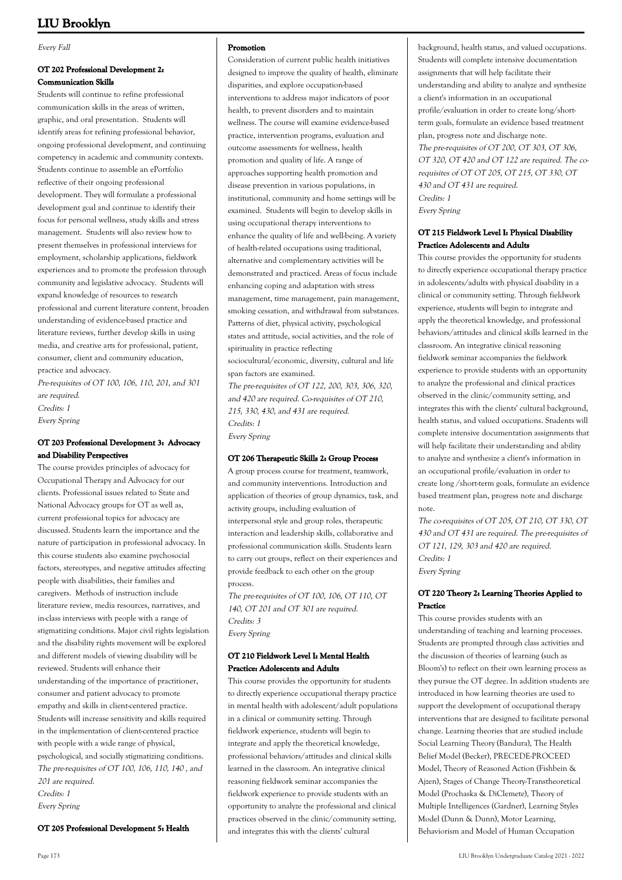#### Every Fall

#### **OT 202 Professional Development 2: Communication Skills**

Students will continue to refine professional communication skills in the areas of written, graphic, and oral presentation. Students will identify areas for refining professional behavior, ongoing professional development, and continuing competency in academic and community contexts. Students continue to assemble an ePortfolio reflective of their ongoing professional development. They will formulate a professional development goal and continue to identify their focus for personal wellness, study skills and stress management. Students will also review how to present themselves in professional interviews for employment, scholarship applications, fieldwork experiences and to promote the profession through community and legislative advocacy. Students will expand knowledge of resources to research professional and current literature content, broaden understanding of evidence-based practice and literature reviews, further develop skills in using media, and creative arts for professional, patient, consumer, client and community education, practice and advocacy.

Pre-requisites of OT 100, 106, 110, 201, and 301 are required. Credits: 1

Every Spring

#### **OT 203 Professional Development 3: Advocacy and Disability Perspectives**

The course provides principles of advocacy for Occupational Therapy and Advocacy for our clients. Professional issues related to State and National Advocacy groups for OT as well as, current professional topics for advocacy are discussed. Students learn the importance and the nature of participation in professional advocacy. In this course students also examine psychosocial factors, stereotypes, and negative attitudes affecting people with disabilities, their families and caregivers. Methods of instruction include literature review, media resources, narratives, and in-class interviews with people with a range of stigmatizing conditions. Major civil rights legislation and the disability rights movement will be explored and different models of viewing disability will be reviewed. Students will enhance their understanding of the importance of practitioner, consumer and patient advocacy to promote empathy and skills in client-centered practice. Students will increase sensitivity and skills required in the implementation of client-centered practice with people with a wide range of physical, psychological, and socially stigmatizing conditions. The pre-requisites of OT 100, 106, 110, 140 , and 201 are required. Credits: 1 Every Spring

**OT 205 Professional Development 5: Health**

#### **Promotion**

Consideration of current public health initiatives designed to improve the quality of health, eliminate disparities, and explore occupation-based interventions to address major indicators of poor health, to prevent disorders and to maintain wellness. The course will examine evidence-based practice, intervention programs, evaluation and outcome assessments for wellness, health promotion and quality of life. A range of approaches supporting health promotion and disease prevention in various populations, in institutional, community and home settings will be examined. Students will begin to develop skills in using occupational therapy interventions to enhance the quality of life and well-being. A variety of health-related occupations using traditional, alternative and complementary activities will be demonstrated and practiced. Areas of focus include enhancing coping and adaptation with stress management, time management, pain management, smoking cessation, and withdrawal from substances. Patterns of diet, physical activity, psychological states and attitude, social activities, and the role of spirituality in practice reflecting

sociocultural/economic, diversity, cultural and life span factors are examined.

The pre-requisites of OT 122, 200, 303, 306, 320, and 420 are required. Co-requisites of OT 210, 215, 330, 430, and 431 are required. Credits: 1 Every Spring

#### **OT 206 Therapeutic Skills 2: Group Process**

A group process course for treatment, teamwork, and community interventions. Introduction and application of theories of group dynamics, task, and activity groups, including evaluation of interpersonal style and group roles, therapeutic interaction and leadership skills, collaborative and professional communication skills. Students learn to carry out groups, reflect on their experiences and provide feedback to each other on the group process.

The pre-requisites of OT 100, 106, OT 110, OT 140, OT 201 and OT 301 are required. Credits: 3 Every Spring

## **OT 210 Fieldwork Level I: Mental Health Practice: Adolescents and Adults**

This course provides the opportunity for students to directly experience occupational therapy practice in mental health with adolescent/adult populations in a clinical or community setting. Through fieldwork experience, students will begin to integrate and apply the theoretical knowledge, professional behaviors/attitudes and clinical skills learned in the classroom. An integrative clinical reasoning fieldwork seminar accompanies the fieldwork experience to provide students with an opportunity to analyze the professional and clinical practices observed in the clinic/community setting, and integrates this with the clients' cultural

background, health status, and valued occupations. Students will complete intensive documentation assignments that will help facilitate their understanding and ability to analyze and synthesize a client's information in an occupational profile/evaluation in order to create long/shortterm goals, formulate an evidence based treatment plan, progress note and discharge note. The pre-requisites of OT 200, OT 303, OT 306, OT 320, OT 420 and OT 122 are required. The corequisites of OT OT 205, OT 215, OT 330, OT 430 and OT 431 are required. Credits: 1 Every Spring

#### **OT 215 Fieldwork Level I: Physical Disability Practice: Adolescents and Adults**

This course provides the opportunity for students to directly experience occupational therapy practice in adolescents/adults with physical disability in a clinical or community setting. Through fieldwork experience, students will begin to integrate and apply the theoretical knowledge, and professional behaviors/attitudes and clinical skills learned in the classroom. An integrative clinical reasoning fieldwork seminar accompanies the fieldwork experience to provide students with an opportunity to analyze the professional and clinical practices observed in the clinic/community setting, and integrates this with the clients' cultural background, health status, and valued occupations. Students will complete intensive documentation assignments that will help facilitate their understanding and ability to analyze and synthesize a client's information in an occupational profile/evaluation in order to create long /short-term goals, formulate an evidence based treatment plan, progress note and discharge note.

The co-requisites of OT 205, OT 210, OT 330, OT 430 and OT 431 are required. The pre-requisites of OT 121, 129, 303 and 420 are required. Credits: 1 Every Spring

## **OT 220 Theory 2: Learning Theories Applied to Practice**

This course provides students with an understanding of teaching and learning processes. Students are prompted through class activities and the discussion of theories of learning (such as Bloom's) to reflect on their own learning process as they pursue the OT degree. In addition students are introduced in how learning theories are used to support the development of occupational therapy interventions that are designed to facilitate personal change. Learning theories that are studied include Social Learning Theory (Bandura), The Health Belief Model (Becker), PRECEDE-PROCEED Model, Theory of Reasoned Action (Fishbein & Ajzen), Stages of Change Theory-Transtheoretical Model (Prochaska & DiClemete), Theory of Multiple Intelligences (Gardner), Learning Styles Model (Dunn & Dunn), Motor Learning, Behaviorism and Model of Human Occupation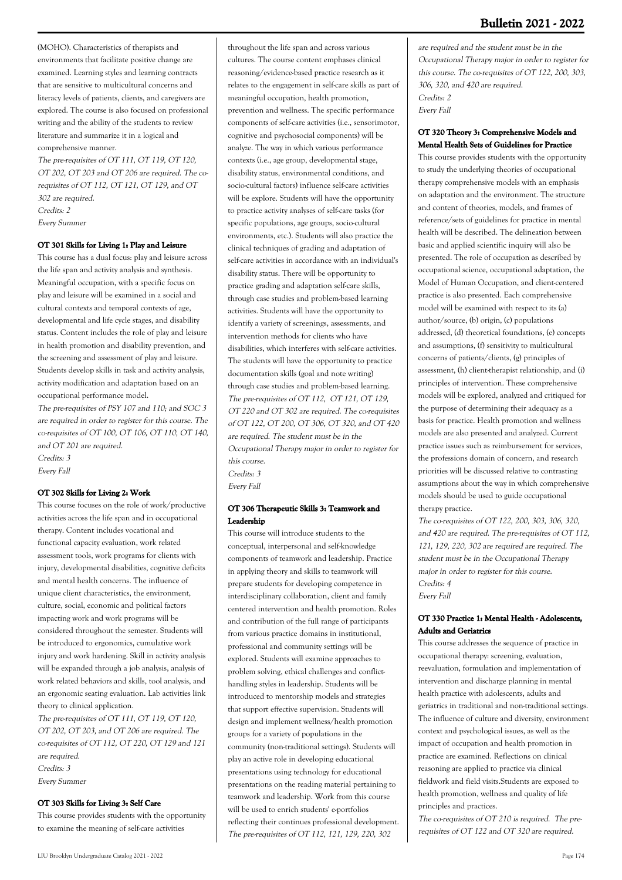(MOHO). Characteristics of therapists and environments that facilitate positive change are examined. Learning styles and learning contracts that are sensitive to multicultural concerns and literacy levels of patients, clients, and caregivers are explored. The course is also focused on professional writing and the ability of the students to review literature and summarize it in a logical and comprehensive manner.

The pre-requisites of OT 111, OT 119, OT 120, OT 202, OT 203 and OT 206 are required. The corequisites of OT 112, OT 121, OT 129, and OT 302 are required. Credits: 2 Every Summer

#### **OT 301 Skills for Living 1: Play and Leisure**

This course has a dual focus: play and leisure across the life span and activity analysis and synthesis. Meaningful occupation, with a specific focus on play and leisure will be examined in a social and cultural contexts and temporal contexts of age, developmental and life cycle stages, and disability status. Content includes the role of play and leisure in health promotion and disability prevention, and the screening and assessment of play and leisure. Students develop skills in task and activity analysis, activity modification and adaptation based on an occupational performance model.

The pre-requisites of PSY 107 and 110; and SOC 3 are required in order to register for this course. The co-requisites of OT 100, OT 106, OT 110, OT 140, and OT 201 are required. Credits: 3 Every Fall

#### **OT 302 Skills for Living 2: Work**

This course focuses on the role of work/productive activities across the life span and in occupational therapy. Content includes vocational and functional capacity evaluation, work related assessment tools, work programs for clients with injury, developmental disabilities, cognitive deficits and mental health concerns. The influence of unique client characteristics, the environment, culture, social, economic and political factors impacting work and work programs will be considered throughout the semester. Students will be introduced to ergonomics, cumulative work injury and work hardening. Skill in activity analysis will be expanded through a job analysis, analysis of work related behaviors and skills, tool analysis, and an ergonomic seating evaluation. Lab activities link theory to clinical application.

The pre-requisites of OT 111, OT 119, OT 120, OT 202, OT 203, and OT 206 are required. The co-requisites of OT 112, OT 220, OT 129 and 121 are required. Credits: 3 Every Summer

#### **OT 303 Skills for Living 3: Self Care**

This course provides students with the opportunity to examine the meaning of self-care activities

throughout the life span and across various cultures. The course content emphases clinical reasoning/evidence-based practice research as it relates to the engagement in self-care skills as part of meaningful occupation, health promotion, prevention and wellness. The specific performance components of self-care activities (i.e., sensorimotor, cognitive and psychosocial components) will be analyze. The way in which various performance contexts (i.e., age group, developmental stage, disability status, environmental conditions, and socio-cultural factors) influence self-care activities will be explore. Students will have the opportunity to practice activity analyses of self-care tasks (for specific populations, age groups, socio-cultural environments, etc.). Students will also practice the clinical techniques of grading and adaptation of self-care activities in accordance with an individual's disability status. There will be opportunity to practice grading and adaptation self-care skills, through case studies and problem-based learning activities. Students will have the opportunity to identify a variety of screenings, assessments, and intervention methods for clients who have disabilities, which interferes with self-care activities. The students will have the opportunity to practice documentation skills (goal and note writing) through case studies and problem-based learning. The pre-requisites of OT 112, OT 121, OT 129, OT 220 and OT 302 are required. The co-requisites of OT 122, OT 200, OT 306, OT 320, and OT 420 are required. The student must be in the Occupational Therapy major in order to register for this course. Credits: 3 Every Fall

## **OT 306 Therapeutic Skills 3: Teamwork and Leadership**

This course will introduce students to the conceptual, interpersonal and self-knowledge components of teamwork and leadership. Practice in applying theory and skills to teamwork will prepare students for developing competence in interdisciplinary collaboration, client and family centered intervention and health promotion. Roles and contribution of the full range of participants from various practice domains in institutional, professional and community settings will be explored. Students will examine approaches to problem solving, ethical challenges and conflicthandling styles in leadership. Students will be introduced to mentorship models and strategies that support effective supervision. Students will design and implement wellness/health promotion groups for a variety of populations in the community (non-traditional settings). Students will play an active role in developing educational presentations using technology for educational presentations on the reading material pertaining to teamwork and leadership. Work from this course will be used to enrich students' e-portfolios reflecting their continues professional development. The pre-requisites of OT 112, 121, 129, 220, 302

are required and the student must be in the Occupational Therapy major in order to register for this course. The co-requisites of OT 122, 200, 303, 306, 320, and 420 are required. Credits: 2 Every Fall

#### **OT 320 Theory 3: Comprehensive Models and Mental Health Sets of Guidelines for Practice**

This course provides students with the opportunity to study the underlying theories of occupational therapy comprehensive models with an emphasis on adaptation and the environment. The structure and content of theories, models, and frames of reference/sets of guidelines for practice in mental health will be described. The delineation between basic and applied scientific inquiry will also be presented. The role of occupation as described by occupational science, occupational adaptation, the Model of Human Occupation, and client-centered practice is also presented. Each comprehensive model will be examined with respect to its (a) author/source, (b) origin, (c) populations addressed, (d) theoretical foundations, (e) concepts and assumptions, (f) sensitivity to multicultural concerns of patients/clients, (g) principles of assessment, (h) client-therapist relationship, and (i) principles of intervention. These comprehensive models will be explored, analyzed and critiqued for the purpose of determining their adequacy as a basis for practice. Health promotion and wellness models are also presented and analyzed. Current practice issues such as reimbursement for services, the professions domain of concern, and research priorities will be discussed relative to contrasting assumptions about the way in which comprehensive models should be used to guide occupational therapy practice.

The co-requisites of OT 122, 200, 303, 306, 320, and 420 are required. The pre-requisites of OT 112, 121, 129, 220, 302 are required are required. The student must be in the Occupational Therapy major in order to register for this course. Credits: 4 Every Fall

#### **OT 330 Practice 1: Mental Health - Adolescents, Adults and Geriatrics**

This course addresses the sequence of practice in occupational therapy: screening, evaluation, reevaluation, formulation and implementation of intervention and discharge planning in mental health practice with adolescents, adults and geriatrics in traditional and non-traditional settings. The influence of culture and diversity, environment context and psychological issues, as well as the impact of occupation and health promotion in practice are examined. Reflections on clinical reasoning are applied to practice via clinical fieldwork and field visits.Students are exposed to health promotion, wellness and quality of life principles and practices.

The co-requisites of OT 210 is required. The prerequisites of OT 122 and OT 320 are required.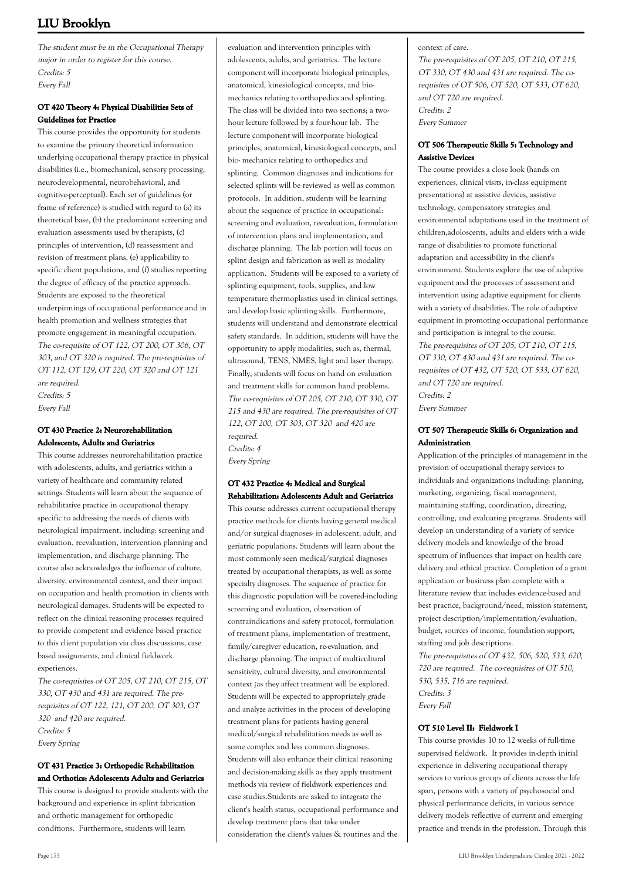The student must be in the Occupational Therapy major in order to register for this course. Credits: 5 Every Fall

## **OT 420 Theory 4: Physical Disabilities Sets of Guidelines for Practice**

This course provides the opportunity for students to examine the primary theoretical information underlying occupational therapy practice in physical disabilities (i.e., biomechanical, sensory processing, neurodevelopmental, neurobehavioral, and cognitive-perceptual). Each set of guidelines (or frame of reference) is studied with regard to (a) its theoretical base, (b) the predominant screening and evaluation assessments used by therapists, (c) principles of intervention, (d) reassessment and revision of treatment plans, (e) applicability to specific client populations, and (f) studies reporting the degree of efficacy of the practice approach. Students are exposed to the theoretical underpinnings of occupational performance and in health promotion and wellness strategies that promote engagement in meaningful occupation. The co-requisite of OT 122, OT 200, OT 306, OT 303, and OT 320 is required. The pre-requisites of OT 112, OT 129, OT 220, OT 320 and OT 121 are required. Credits: 5 Every Fall

**OT 430 Practice 2: Neurorehabilitation**

## **Adolescents, Adults and Geriatrics**

This course addresses neurorehabilitation practice with adolescents, adults, and geriatrics within a variety of healthcare and community related settings. Students will learn about the sequence of rehabilitative practice in occupational therapy specific to addressing the needs of clients with neurological impairment, including: screening and evaluation, reevaluation, intervention planning and implementation, and discharge planning. The course also acknowledges the influence of culture, diversity, environmental context, and their impact on occupation and health promotion in clients with neurological damages. Students will be expected to reflect on the clinical reasoning processes required to provide competent and evidence based practice to this client population via class discussions, case based assignments, and clinical fieldwork experiences.

The co-requisites of OT 205, OT 210, OT 215, OT 330, OT 430 and 431 are required. The prerequisites of OT 122, 121, OT 200, OT 303, OT 320 and 420 are required. Credits: 5 Every Spring

## **OT 431 Practice 3: Orthopedic Rehabilitation and Orthotics: Adolescents Adults and Geriatrics**

This course is designed to provide students with the background and experience in splint fabrication and orthotic management for orthopedic conditions. Furthermore, students will learn

evaluation and intervention principles with adolescents, adults, and geriatrics. The lecture component will incorporate biological principles, anatomical, kinesiological concepts, and biomechanics relating to orthopedics and splinting. The class will be divided into two sections; a twohour lecture followed by a four-hour lab. The lecture component will incorporate biological principles, anatomical, kinesiological concepts, and bio- mechanics relating to orthopedics and splinting. Common diagnoses and indications for selected splints will be reviewed as well as common protocols. In addition, students will be learning about the sequence of practice in occupational: screening and evaluation, reevaluation, formulation of intervention plans and implementation, and discharge planning. The lab portion will focus on splint design and fabrication as well as modality application. Students will be exposed to a variety of splinting equipment, tools, supplies, and low temperature thermoplastics used in clinical settings, and develop basic splinting skills. Furthermore, students will understand and demonstrate electrical safety standards. In addition, students will have the opportunity to apply modalities, such as, thermal, ultrasound, TENS, NMES, light and laser therapy. Finally, students will focus on hand on evaluation and treatment skills for common hand problems. The co-requisites of OT 205, OT 210, OT 330, OT 215 and 430 are required. The pre-requisites of OT 122, OT 200, OT 303, OT 320 and 420 are required. Credits: 4

Every Spring

## **OT 432 Practice 4: Medical and Surgical Rehabilitation: Adolescents Adult and Geriatrics**

This course addresses current occupational therapy practice methods for clients having general medical and/or surgical diagnoses- in adolescent, adult, and geriatric populations. Students will learn about the most commonly seen medical/surgical diagnoses treated by occupational therapists, as well as some specialty diagnoses. The sequence of practice for this diagnostic population will be covered-including screening and evaluation, observation of contraindications and safety protocol, formulation of treatment plans, implementation of treatment, family/caregiver education, re-evaluation, and discharge planning. The impact of multicultural sensitivity, cultural diversity, and environmental context ¿as they affect treatment will be explored. Students will be expected to appropriately grade and analyze activities in the process of developing treatment plans for patients having general medical/surgical rehabilitation needs as well as some complex and less common diagnoses. Students will also enhance their clinical reasoning and decision-making skills as they apply treatment methods via review of fieldwork experiences and case studies.Students are asked to integrate the client's health status, occupational performance and develop treatment plans that take under consideration the client's values & routines and the

context of care.

The pre-requisites of OT 205, OT 210, OT 215, OT 330, OT 430 and 431 are required. The corequisites of OT 506, OT 520, OT 533, OT 620, and OT 720 are required. Credits: 2 Every Summer

## **OT 506 Therapeutic Skills 5: Technology and Assistive Devices**

The course provides a close look (hands on experiences, clinical visits, in-class equipment presentations) at assistive devices, assistive technology, compensatory strategies and environmental adaptations used in the treatment of children,adoloscents, adults and elders with a wide range of disabilities to promote functional adaptation and accessibility in the client's environment. Students explore the use of adaptive equipment and the processes of assessment and intervention using adaptive equipment for clients with a variety of disabilities. The role of adaptive equipment in promoting occupational performance and participation is integral to the course. The pre-requisites of OT 205, OT 210, OT 215, OT 330, OT 430 and 431 are required. The corequisites of OT 432, OT 520, OT 533, OT 620, and OT 720 are required. Credits: 2 Every Summer

## **OT 507 Therapeutic Skills 6: Organization and Administration**

Application of the principles of management in the provision of occupational therapy services to individuals and organizations including: planning, marketing, organizing, fiscal management, maintaining staffing, coordination, directing, controlling, and evaluating programs. Students will develop an understanding of a variety of service delivery models and knowledge of the broad spectrum of influences that impact on health care delivery and ethical practice. Completion of a grant application or business plan complete with a literature review that includes evidence-based and best practice, background/need, mission statement, project description/implementation/evaluation, budget, sources of income, foundation support, staffing and job descriptions.

The pre-requisites of OT 432, 506, 520, 533, 620, 720 are required. The co-requisites of OT 510, 530, 535, 716 are required. Credits: 3 Every Fall

## **OT 510 Level II: Fieldwork I**

This course provides 10 to 12 weeks of full-time supervised fieldwork. It provides in-depth initial experience in delivering occupational therapy services to various groups of clients across the life span, persons with a variety of psychosocial and physical performance deficits, in various service delivery models reflective of current and emerging practice and trends in the profession. Through this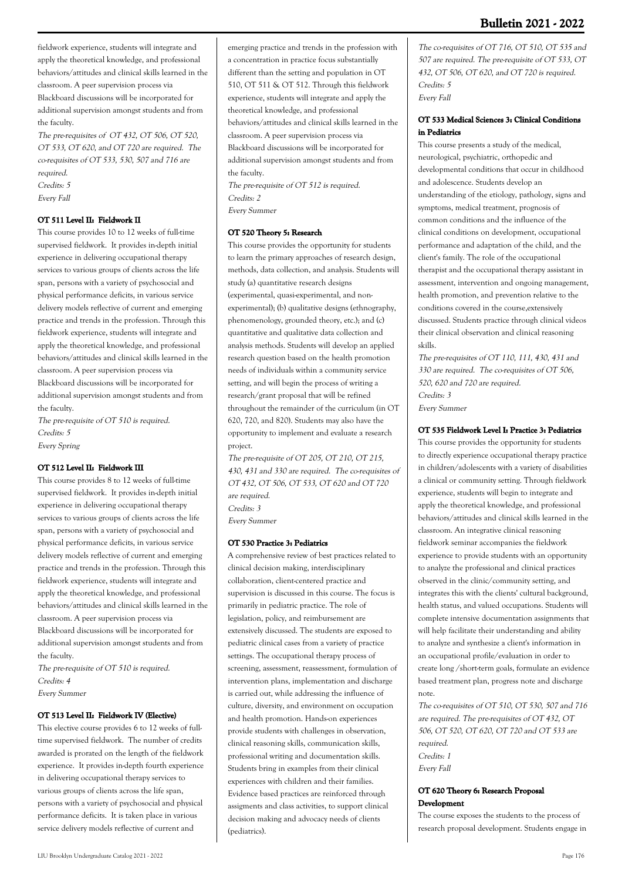The pre-requisites of OT 432, OT 506, OT 520, OT 533, OT 620, and OT 720 are required. The co-requisites of OT 533, 530, 507 and 716 are required. Credits: 5 Every Fall

#### **OT 511 Level II: Fieldwork II**

This course provides 10 to 12 weeks of full-time supervised fieldwork. It provides in-depth initial experience in delivering occupational therapy services to various groups of clients across the life span, persons with a variety of psychosocial and physical performance deficits, in various service delivery models reflective of current and emerging practice and trends in the profession. Through this fieldwork experience, students will integrate and apply the theoretical knowledge, and professional behaviors/attitudes and clinical skills learned in the classroom. A peer supervision process via Blackboard discussions will be incorporated for additional supervision amongst students and from the faculty.

The pre-requisite of OT 510 is required. Credits: 5 Every Spring

#### **OT 512 Level II: Fieldwork III**

This course provides 8 to 12 weeks of full-time supervised fieldwork. It provides in-depth initial experience in delivering occupational therapy services to various groups of clients across the life span, persons with a variety of psychosocial and physical performance deficits, in various service delivery models reflective of current and emerging practice and trends in the profession. Through this fieldwork experience, students will integrate and apply the theoretical knowledge, and professional behaviors/attitudes and clinical skills learned in the classroom. A peer supervision process via Blackboard discussions will be incorporated for additional supervision amongst students and from

the faculty. The pre-requisite of OT 510 is required. Credits: 4 Every Summer

#### **OT 513 Level II: Fieldwork IV (Elective)**

This elective course provides 6 to 12 weeks of fulltime supervised fieldwork. The number of credits awarded is prorated on the length of the fieldwork experience. It provides in-depth fourth experience in delivering occupational therapy services to various groups of clients across the life span, persons with a variety of psychosocial and physical performance deficits. It is taken place in various service delivery models reflective of current and

emerging practice and trends in the profession with a concentration in practice focus substantially different than the setting and population in OT 510, OT 511 & OT 512. Through this fieldwork experience, students will integrate and apply the theoretical knowledge, and professional behaviors/attitudes and clinical skills learned in the classroom. A peer supervision process via Blackboard discussions will be incorporated for additional supervision amongst students and from the faculty. The pre-requisite of OT 512 is required.

Credits: 2 Every Summer

#### **OT 520 Theory 5: Research**

This course provides the opportunity for students to learn the primary approaches of research design, methods, data collection, and analysis. Students will study (a) quantitative research designs (experimental, quasi-experimental, and nonexperimental); (b) qualitative designs (ethnography, phenomenology, grounded theory, etc.); and (c) quantitative and qualitative data collection and analysis methods. Students will develop an applied research question based on the health promotion needs of individuals within a community service setting, and will begin the process of writing a research/grant proposal that will be refined throughout the remainder of the curriculum (in OT 620, 720, and 820). Students may also have the opportunity to implement and evaluate a research project.

The pre-requisite of OT 205, OT 210, OT 215, 430, 431 and 330 are required. The co-requisites of OT 432, OT 506, OT 533, OT 620 and OT 720 are required. Credits: 3 Every Summer

#### **OT 530 Practice 3: Pediatrics**

A comprehensive review of best practices related to clinical decision making, interdisciplinary collaboration, client-centered practice and supervision is discussed in this course. The focus is primarily in pediatric practice. The role of legislation, policy, and reimbursement are extensively discussed. The students are exposed to pediatric clinical cases from a variety of practice settings. The occupational therapy process of screening, assessment, reassessment, formulation of intervention plans, implementation and discharge is carried out, while addressing the influence of culture, diversity, and environment on occupation and health promotion. Hands-on experiences provide students with challenges in observation, clinical reasoning skills, communication skills, professional writing and documentation skills. Students bring in examples from their clinical experiences with children and their families. Evidence based practices are reinforced through assigments and class activities, to support clinical decision making and advocacy needs of clients (pediatrics).

The co-requisites of OT 716, OT 510, OT 535 and 507 are required. The pre-requisite of OT 533, OT 432, OT 506, OT 620, and OT 720 is required. Credits: 5 Every Fall

#### **OT 533 Medical Sciences 3: Clinical Conditions in Pediatrics**

This course presents a study of the medical, neurological, psychiatric, orthopedic and developmental conditions that occur in childhood and adolescence. Students develop an understanding of the etiology, pathology, signs and symptoms, medical treatment, prognosis of common conditions and the influence of the clinical conditions on development, occupational performance and adaptation of the child, and the client's family. The role of the occupational therapist and the occupational therapy assistant in assessment, intervention and ongoing management, health promotion, and prevention relative to the conditions covered in the course,extensively discussed. Students practice through clinical videos their clinical observation and clinical reasoning skills.

The pre-requisites of OT 110, 111, 430, 431 and 330 are required. The co-requisites of OT 506, 520, 620 and 720 are required. Credits: 3 Every Summer

#### **OT 535 Fieldwork Level I: Practice 3: Pediatrics**

This course provides the opportunity for students to directly experience occupational therapy practice in children/adolescents with a variety of disabilities a clinical or community setting. Through fieldwork experience, students will begin to integrate and apply the theoretical knowledge, and professional behaviors/attitudes and clinical skills learned in the classroom. An integrative clinical reasoning fieldwork seminar accompanies the fieldwork experience to provide students with an opportunity to analyze the professional and clinical practices observed in the clinic/community setting, and integrates this with the clients' cultural background, health status, and valued occupations. Students will complete intensive documentation assignments that will help facilitate their understanding and ability to analyze and synthesize a client's information in an occupational profile/evaluation in order to create long /short-term goals, formulate an evidence based treatment plan, progress note and discharge note.

The co-requisites of OT 510, OT 530, 507 and 716 are required. The pre-requisites of OT 432, OT 506, OT 520, OT 620, OT 720 and OT 533 are required. Credits: 1

Every Fall

#### **OT 620 Theory 6: Research Proposal Development**

The course exposes the students to the process of research proposal development. Students engage in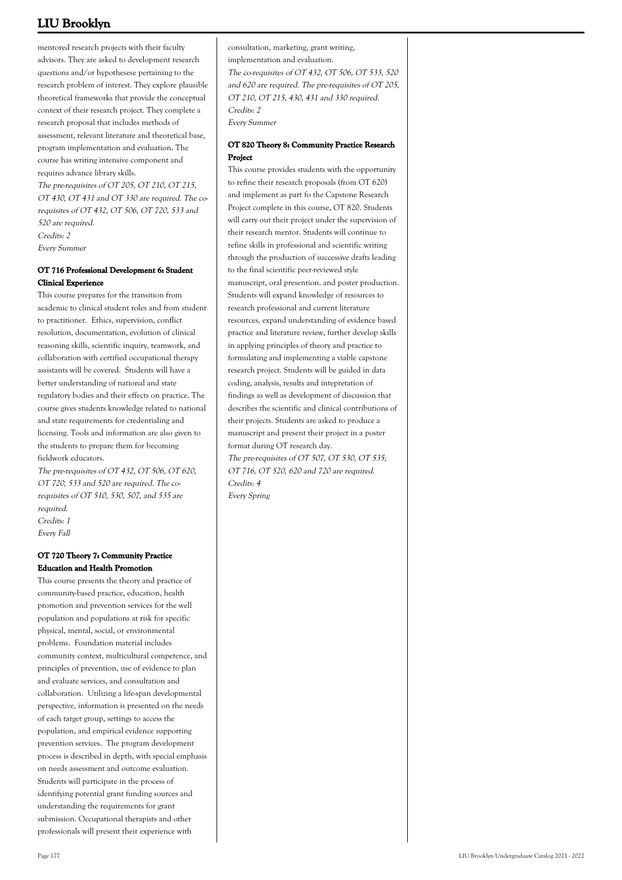mentored research projects with their faculty advisors. They are asked to development research questions and/or hypothesese pertaining to the research problem of interest. They explore plausible theoretical frameworks that provide the conceptual context of their research project. They complete a research proposal that includes methods of assessment, relevant literature and theoretical base, program implementation and evaluation. The course has writing intensive component and requires advance library skills.

The pre-requisites of OT 205, OT 210, OT 215, OT 430, OT 431 and OT 330 are required. The corequisites of OT 432, OT 506, OT 720, 533 and 520 are required. Credits: 2 Every Summer

#### **OT 716 Professional Development 6: Student Clinical Experience**

This course prepares for the transition from academic to clinical student roles and from student to practitioner. Ethics, supervision, conflict resolution, documentation, evolution of clinical reasoning skills, scientific inquiry, teamwork, and collaboration with certified occupational therapy assistants will be covered. Students will have a better understanding of national and state regulatory bodies and their effects on practice. The course gives students knowledge related to national and state requirements for credentialing and licensing. Tools and information are also given to the students to prepare them for becoming fieldwork educators.

The pre-requisites of OT 432, OT 506, OT 620, OT 720, 533 and 520 are required. The corequisites of OT 510, 530, 507, and 535 are required. Credits: 1

Every Fall

## **OT 720 Theory 7: Community Practice Education and Health Promotion**

This course presents the theory and practice of community-based practice, education, health promotion and prevention services for the well population and populations at risk for specific physical, mental, social, or environmental problems. Foundation material includes community context, multicultural competence, and principles of prevention, use of evidence to plan and evaluate services, and consultation and collaboration. Utilizing a life-span developmental perspective, information is presented on the needs of each target group, settings to access the population, and empirical evidence supporting prevention services. The program development process is described in depth, with special emphasis on needs assessment and outcome evaluation. Students will participate in the process of identifying potential grant funding sources and understanding the requirements for grant submission. Occupational therapists and other professionals will present their experience with

consultation, marketing, grant writing, implementation and evaluation. The co-requisites of OT 432, OT 506, OT 533, 520 and 620 are required. The pre-requisites of OT 205, OT 210, OT 215, 430, 431 and 330 required. Credits: 2 Every Summer

## **OT 820 Theory 8: Community Practice Research Project**

This course provides students with the opportunity to refine their research proposals (from OT 620) and implement as part fo the Capstone Research Project complete in this course, OT 820. Students will carry out their project under the supervision of their research mentor. Students will continue to refine skills in professional and scientific writing through the production of successive drafts leading to the final scientific peer-reviewed style manuscript, oral presention. and poster production. Students will expand knowledge of resources to research professional and current literature resources, expand understanding of evidence based practice and literature review, further develop skills in applying principles of theory and practice to formulating and implementing a viable capstone research project. Students will be guided in data coding, analysis, results and intepretation of findings as well as development of discussion that describes the scientific and clinical contributions of their projects. Students are asked to produce a manuscript and present their project in a poster format during OT research day. The pre-requisites of OT 507, OT 530, OT 535, OT 716, OT 520, 620 and 720 are required. Credits: 4 Every Spring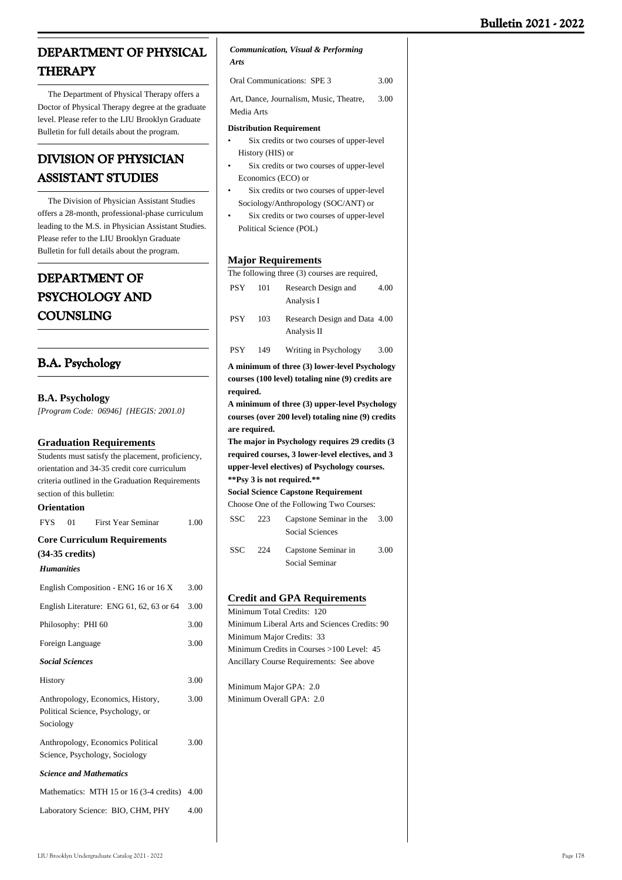# **DEPARTMENT OF PHYSICAL THERAPY**

 The Department of Physical Therapy offers a Doctor of Physical Therapy degree at the graduate level. Please refer to the LIU Brooklyn Graduate Bulletin for full details about the program.

# **DIVISION OF PHYSICIAN ASSISTANT STUDIES**

 The Division of Physician Assistant Studies offers a 28-month, professional-phase curriculum leading to the M.S. in Physician Assistant Studies. Please refer to the LIU Brooklyn Graduate Bulletin for full details about the program.

# **DEPARTMENT OF PSYCHOLOGY AND COUNSLING**

## **B.A. Psychology**

|  | <b>B.A. Psychology</b> |  |
|--|------------------------|--|
|--|------------------------|--|

*[Program Code: 06946] {HEGIS: 2001.0}*

## **Graduation Requirements**

| Students must satisfy the placement, proficiency, |
|---------------------------------------------------|
| orientation and 34-35 credit core curriculum      |
| criteria outlined in the Graduation Requirements  |
| section of this bulletin:                         |
|                                                   |

## **Orientation**

| <b>FYS</b>        | 01                        | <b>First Year Seminar</b>                                              | 1.00 |
|-------------------|---------------------------|------------------------------------------------------------------------|------|
|                   |                           | <b>Core Curriculum Requirements</b>                                    |      |
|                   | $(34-35 \text{ credits})$ |                                                                        |      |
| <b>Humanities</b> |                           |                                                                        |      |
|                   |                           | English Composition - ENG 16 or 16 X                                   | 3.00 |
|                   |                           | English Literature: ENG 61, 62, 63 or 64                               | 3.00 |
|                   | Philosophy: PHI 60        |                                                                        | 3.00 |
|                   | Foreign Language          |                                                                        | 3.00 |
|                   | <b>Social Sciences</b>    |                                                                        |      |
| History           |                           |                                                                        | 3.00 |
| Sociology         |                           | Anthropology, Economics, History,<br>Political Science, Psychology, or | 3.00 |
|                   |                           | Anthropology, Economics Political<br>Science, Psychology, Sociology    | 3.00 |
|                   |                           | <b>Science and Mathematics</b>                                         |      |
|                   |                           | Mathematics: MTH 15 or 16 (3-4 credits) 4.00                           |      |
|                   |                           | Laboratory Science: BIO, CHM, PHY                                      | 4.00 |

#### *Communication, Visual & Performing Arts*

| <b>Oral Communications: SPE 3</b>       | 3.00 |
|-----------------------------------------|------|
| Art. Dance, Journalism, Music, Theatre. | 3.00 |
| Media Arts                              |      |

#### **Distribution Requirement**

- Six credits or two courses of upper-level History (HIS) or •
- Six credits or two courses of upper-level Economics (ECO) or •
- Six credits or two courses of upper-level Sociology/Anthropology (SOC/ANT) or •
- Six credits or two courses of upper-level Political Science (POL) •

## **Major Requirements**

|                                                    |     | мајог кедипешешѕ                             |      |
|----------------------------------------------------|-----|----------------------------------------------|------|
| The following three (3) courses are required,      |     |                                              |      |
| <b>PSY</b>                                         | 101 | Research Design and<br>Analysis I            | 4.00 |
| <b>PSY</b>                                         | 103 | Research Design and Data 4.00<br>Analysis II |      |
| <b>PSY</b>                                         | 149 | Writing in Psychology                        | 3.00 |
| A minimum of three (3) lower-level Psychology      |     |                                              |      |
| courses (100 level) totaling nine (9) credits are  |     |                                              |      |
| required.                                          |     |                                              |      |
| A minimum of three (3) upper-level Psychology      |     |                                              |      |
| courses (over 200 level) totaling nine (9) credits |     |                                              |      |
|                                                    |     |                                              |      |
| are required.                                      |     |                                              |      |
| The major in Psychology requires 29 credits (3     |     |                                              |      |
| required courses, 3 lower-level electives, and 3   |     |                                              |      |
| upper-level electives) of Psychology courses.      |     |                                              |      |
| **Psy 3 is not required.**                         |     |                                              |      |
| <b>Social Science Capstone Requirement</b>         |     |                                              |      |
|                                                    |     | Choose One of the Following Two Courses:     |      |
| <b>SSC</b>                                         | 223 | Capstone Seminar in the                      | 3.00 |
|                                                    |     | <b>Social Sciences</b>                       |      |
| <b>SSC</b>                                         | 224 | Capstone Seminar in                          | 3.00 |
|                                                    |     | Social Seminar                               |      |
|                                                    |     |                                              |      |
|                                                    |     |                                              |      |

## **Credit and GPA Requirements**

Minimum Total Credits: 120 Minimum Liberal Arts and Sciences Credits: 90 Minimum Major Credits: 33 Minimum Credits in Courses >100 Level: 45 Ancillary Course Requirements: See above

Minimum Major GPA: 2.0 Minimum Overall GPA: 2.0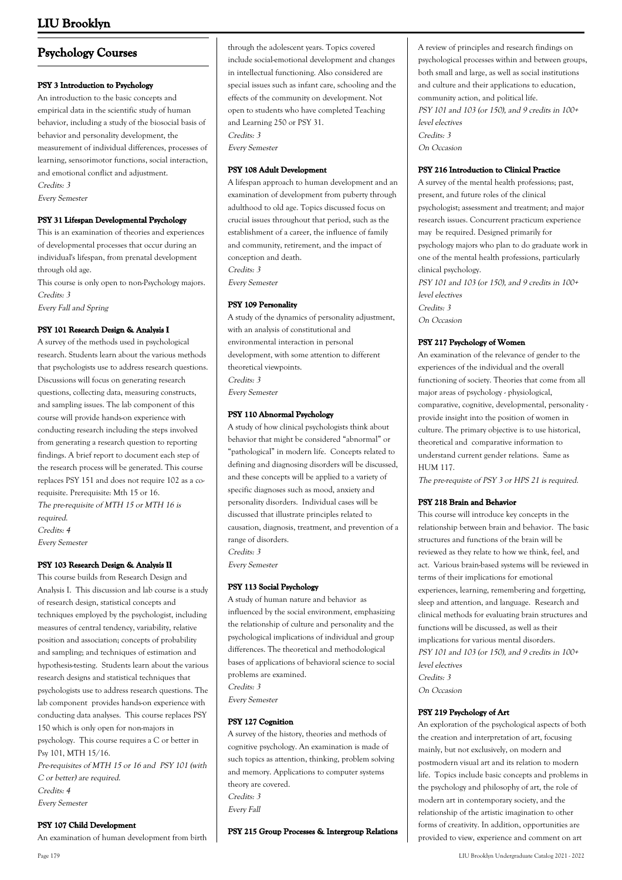## **Psychology Courses**

#### **PSY 3 Introduction to Psychology**

An introduction to the basic concepts and empirical data in the scientific study of human behavior, including a study of the biosocial basis of behavior and personality development, the measurement of individual differences, processes of learning, sensorimotor functions, social interaction, and emotional conflict and adjustment. Credits: 3

Every Semester

#### **PSY 31 Lifespan Developmental Psychology**

This is an examination of theories and experiences of developmental processes that occur during an individual's lifespan, from prenatal development through old age.

This course is only open to non-Psychology majors. Credits: 3

Every Fall and Spring

#### **PSY 101 Research Design & Analysis I**

A survey of the methods used in psychological research. Students learn about the various methods that psychologists use to address research questions. Discussions will focus on generating research questions, collecting data, measuring constructs, and sampling issues. The lab component of this course will provide hands-on experience with conducting research including the steps involved from generating a research question to reporting findings. A brief report to document each step of the research process will be generated. This course replaces PSY 151 and does not require 102 as a corequisite. Prerequisite: Mth 15 or 16. The pre-requisite of MTH 15 or MTH 16 is required. Credits: 4

Every Semester

#### **PSY 103 Research Design & Analysis II**

This course builds from Research Design and Analysis I. This discussion and lab course is a study of research design, statistical concepts and techniques employed by the psychologist, including measures of central tendency, variability, relative position and association; concepts of probability and sampling; and techniques of estimation and hypothesis-testing. Students learn about the various research designs and statistical techniques that psychologists use to address research questions. The lab component provides hands-on experience with conducting data analyses. This course replaces PSY 150 which is only open for non-majors in psychology. This course requires a C or better in Psy 101, MTH 15/16. Pre-requisites of MTH 15 or 16 and PSY 101 (with C or better) are required.

Credits: 4 Every Semester

#### **PSY 107 Child Development**

An examination of human development from birth

Every Semester

#### **PSY 108 Adult Development**

A lifespan approach to human development and an examination of development from puberty through adulthood to old age. Topics discussed focus on crucial issues throughout that period, such as the establishment of a career, the influence of family and community, retirement, and the impact of conception and death. Credits: 3

Every Semester

#### **PSY 109 Personality**

A study of the dynamics of personality adjustment, with an analysis of constitutional and environmental interaction in personal development, with some attention to different theoretical viewpoints. Credits: 3 Every Semester

#### **PSY 110 Abnormal Psychology**

A study of how clinical psychologists think about behavior that might be considered "abnormal" or "pathological" in modern life. Concepts related to defining and diagnosing disorders will be discussed, and these concepts will be applied to a variety of specific diagnoses such as mood, anxiety and personality disorders. Individual cases will be discussed that illustrate principles related to causation, diagnosis, treatment, and prevention of a range of disorders. Credits: 3

Every Semester

#### **PSY 113 Social Psychology**

A study of human nature and behavior as influenced by the social environment, emphasizing the relationship of culture and personality and the psychological implications of individual and group differences. The theoretical and methodological bases of applications of behavioral science to social problems are examined. Credits: 3 Every Semester

#### **PSY 127 Cognition**

A survey of the history, theories and methods of cognitive psychology. An examination is made of such topics as attention, thinking, problem solving and memory. Applications to computer systems theory are covered. Credits: 3 Every Fall

**PSY 215 Group Processes & Intergroup Relations**

A review of principles and research findings on psychological processes within and between groups, both small and large, as well as social institutions and culture and their applications to education, community action, and political life. PSY 101 and 103 (or 150), and 9 credits in 100+ level electives Credits: 3 On Occasion

#### **PSY 216 Introduction to Clinical Practice**

A survey of the mental health professions; past, present, and future roles of the clinical psychologist; assessment and treatment; and major research issues. Concurrent practicum experience may be required. Designed primarily for psychology majors who plan to do graduate work in one of the mental health professions, particularly clinical psychology. PSY 101 and 103 (or 150), and 9 credits in 100+ level electives Credits: 3 On Occasion

#### **PSY 217 Psychology of Women**

An examination of the relevance of gender to the experiences of the individual and the overall functioning of society. Theories that come from all major areas of psychology - physiological, comparative, cognitive, developmental, personality provide insight into the position of women in culture. The primary objective is to use historical, theoretical and comparative information to understand current gender relations. Same as HUM 117.

The pre-requiste of PSY 3 or HPS 21 is required.

#### **PSY 218 Brain and Behavior**

This course will introduce key concepts in the relationship between brain and behavior. The basic structures and functions of the brain will be reviewed as they relate to how we think, feel, and act. Various brain-based systems will be reviewed in terms of their implications for emotional experiences, learning, remembering and forgetting, sleep and attention, and language. Research and clinical methods for evaluating brain structures and functions will be discussed, as well as their implications for various mental disorders. PSY 101 and 103 (or 150), and 9 credits in 100+ level electives Credits: 3 On Occasion

#### **PSY 219 Psychology of Art**

An exploration of the psychological aspects of both the creation and interpretation of art, focusing mainly, but not exclusively, on modern and postmodern visual art and its relation to modern life. Topics include basic concepts and problems in the psychology and philosophy of art, the role of modern art in contemporary society, and the relationship of the artistic imagination to other forms of creativity. In addition, opportunities are provided to view, experience and comment on art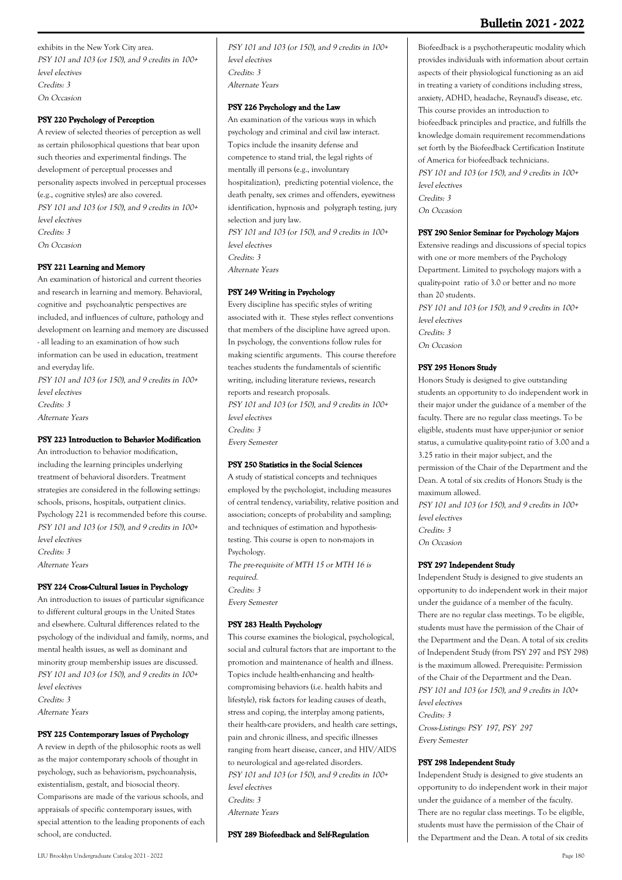## **Bulletin 2021 - 2022**

exhibits in the New York City area. PSY 101 and 103 (or 150), and 9 credits in 100+ level electives Credits: 3 On Occasion

## **PSY 220 Psychology of Perception**

A review of selected theories of perception as well as certain philosophical questions that bear upon such theories and experimental findings. The development of perceptual processes and personality aspects involved in perceptual processes (e.g., cognitive styles) are also covered. PSY 101 and 103 (or 150), and 9 credits in 100+ level electives Credits: 3 On Occasion

### **PSY 221 Learning and Memory**

An examination of historical and current theories and research in learning and memory. Behavioral, cognitive and psychoanalytic perspectives are included, and influences of culture, pathology and development on learning and memory are discussed - all leading to an examination of how such information can be used in education, treatment and everyday life. PSY 101 and 103 (or 150), and 9 credits in 100+ level electives

Credits: 3 Alternate Years

## **PSY 223 Introduction to Behavior Modification**

An introduction to behavior modification, including the learning principles underlying treatment of behavioral disorders. Treatment strategies are considered in the following settings: schools, prisons, hospitals, outpatient clinics. Psychology 221 is recommended before this course. PSY 101 and 103 (or 150), and 9 credits in 100+ level electives Credits: 3 Alternate Years

#### **PSY 224 Cross-Cultural Issues in Psychology**

An introduction to issues of particular significance to different cultural groups in the United States and elsewhere. Cultural differences related to the psychology of the individual and family, norms, and mental health issues, as well as dominant and minority group membership issues are discussed. PSY 101 and 103 (or 150), and 9 credits in 100+ level electives Credits: 3 Alternate Years

### **PSY 225 Contemporary Issues of Psychology**

A review in depth of the philosophic roots as well as the major contemporary schools of thought in psychology, such as behaviorism, psychoanalysis, existentialism, gestalt, and biosocial theory. Comparisons are made of the various schools, and appraisals of specific contemporary issues, with special attention to the leading proponents of each school, are conducted.

PSY 101 and 103 (or 150), and 9 credits in 100+ level electives Credits: 3 Alternate Years

## **PSY 226 Psychology and the Law**

An examination of the various ways in which psychology and criminal and civil law interact. Topics include the insanity defense and competence to stand trial, the legal rights of mentally ill persons (e.g., involuntary hospitalization), predicting potential violence, the death penalty, sex crimes and offenders, eyewitness identification, hypnosis and polygraph testing, jury selection and jury law. PSY 101 and 103 (or 150), and 9 credits in 100+ level electives Credits: 3 Alternate Years

## **PSY 249 Writing in Psychology**

Every discipline has specific styles of writing associated with it. These styles reflect conventions that members of the discipline have agreed upon. In psychology, the conventions follow rules for making scientific arguments. This course therefore teaches students the fundamentals of scientific writing, including literature reviews, research reports and research proposals. PSY 101 and 103 (or 150), and 9 credits in 100+ level electives Credits: 3 Every Semester

## **PSY 250 Statistics in the Social Sciences**

A study of statistical concepts and techniques employed by the psychologist, including measures of central tendency, variability, relative position and association; concepts of probability and sampling; and techniques of estimation and hypothesistesting. This course is open to non-majors in Psychology.

The pre-requisite of MTH 15 or MTH 16 is required. Credits: 3 Every Semester

#### **PSY 283 Health Psychology**

This course examines the biological, psychological, social and cultural factors that are important to the promotion and maintenance of health and illness. Topics include health-enhancing and healthcompromising behaviors (i.e. health habits and lifestyle), risk factors for leading causes of death, stress and coping, the interplay among patients, their health-care providers, and health care settings, pain and chronic illness, and specific illnesses ranging from heart disease, cancer, and HIV/AIDS to neurological and age-related disorders. PSY 101 and 103 (or 150), and 9 credits in 100+ level electives Credits: 3 Alternate Years

**PSY 289 Biofeedback and Self-Regulation**

Biofeedback is a psychotherapeutic modality which provides individuals with information about certain aspects of their physiological functioning as an aid in treating a variety of conditions including stress, anxiety, ADHD, headache, Reynaud's disease, etc. This course provides an introduction to biofeedback principles and practice, and fulfills the knowledge domain requirement recommendations set forth by the Biofeedback Certification Institute of America for biofeedback technicians. PSY 101 and 103 (or 150), and 9 credits in 100+ level electives Credits: 3 On Occasion

#### **PSY 290 Senior Seminar for Psychology Majors**

Extensive readings and discussions of special topics with one or more members of the Psychology Department. Limited to psychology majors with a quality-point ratio of 3.0 or better and no more than 20 students.

PSY 101 and 103 (or 150), and 9 credits in 100+ level electives Credits: 3 On Occasion

### **PSY 295 Honors Study**

Honors Study is designed to give outstanding students an opportunity to do independent work in their major under the guidance of a member of the faculty. There are no regular class meetings. To be eligible, students must have upper-junior or senior status, a cumulative quality-point ratio of 3.00 and a 3.25 ratio in their major subject, and the permission of the Chair of the Department and the Dean. A total of six credits of Honors Study is the maximum allowed. PSY 101 and 103 (or 150), and 9 credits in 100+ level electives

Credits: 3

On Occasion

#### **PSY 297 Independent Study**

Independent Study is designed to give students an opportunity to do independent work in their major under the guidance of a member of the faculty. There are no regular class meetings. To be eligible, students must have the permission of the Chair of the Department and the Dean. A total of six credits of Independent Study (from PSY 297 and PSY 298) is the maximum allowed. Prerequisite: Permission of the Chair of the Department and the Dean. PSY 101 and 103 (or 150), and 9 credits in 100+ level electives Credits: 3 Cross-Listings: PSY 197, PSY 297 Every Semester

#### **PSY 298 Independent Study**

Independent Study is designed to give students an opportunity to do independent work in their major under the guidance of a member of the faculty. There are no regular class meetings. To be eligible, students must have the permission of the Chair of the Department and the Dean. A total of six credits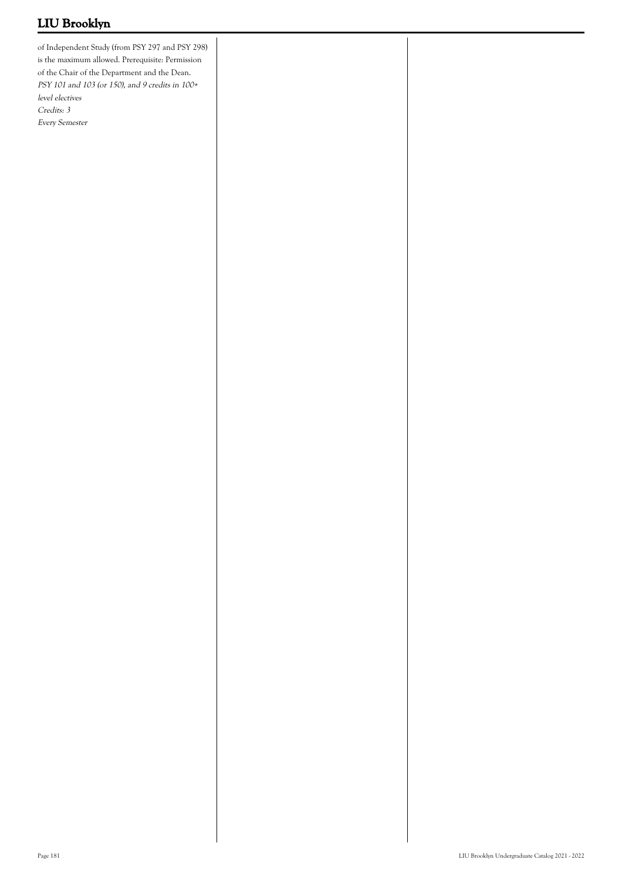of Independent Study (from PSY 297 and PSY 298) is the maximum allowed. Prerequisite: Permission of the Chair of the Department and the Dean. PSY 101 and 103 (or 150), and 9 credits in 100+ level electives Credits: 3 Every Semester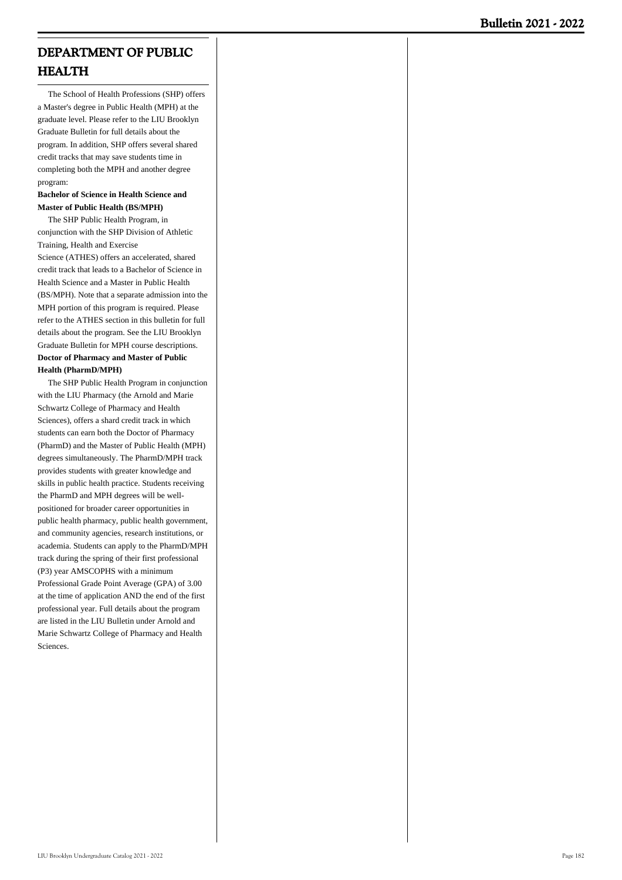# **DEPARTMENT OF PUBLIC HEALTH**

 The School of Health Professions (SHP) offers a Master's degree in Public Health (MPH) at the graduate level. Please refer to the LIU Brooklyn Graduate Bulletin for full details about the program. In addition, SHP offers several shared credit tracks that may save students time in completing both the MPH and another degree program:

## **Bachelor of Science in Health Science and Master of Public Health (BS/MPH)**

 The SHP Public Health Program, in conjunction with the SHP Division of Athletic Training, Health and Exercise Science (ATHES) offers an accelerated, shared credit track that leads to a Bachelor of Science in Health Science and a Master in Public Health (BS/MPH). Note that a separate admission into the MPH portion of this program is required. Please refer to the ATHES section in this bulletin for full details about the program. See the LIU Brooklyn Graduate Bulletin for MPH course descriptions. **Doctor of Pharmacy and Master of Public Health (PharmD/MPH)**

 The SHP Public Health Program in conjunction with the LIU Pharmacy (the Arnold and Marie Schwartz College of Pharmacy and Health Sciences), offers a shard credit track in which students can earn both the Doctor of Pharmacy (PharmD) and the Master of Public Health (MPH) degrees simultaneously. The PharmD/MPH track provides students with greater knowledge and skills in public health practice. Students receiving the PharmD and MPH degrees will be wellpositioned for broader career opportunities in public health pharmacy, public health government, and community agencies, research institutions, or academia. Students can apply to the PharmD/MPH track during the spring of their first professional (P3) year AMSCOPHS with a minimum Professional Grade Point Average (GPA) of 3.00 at the time of application AND the end of the first professional year. Full details about the program are listed in the LIU Bulletin under Arnold and Marie Schwartz College of Pharmacy and Health Sciences.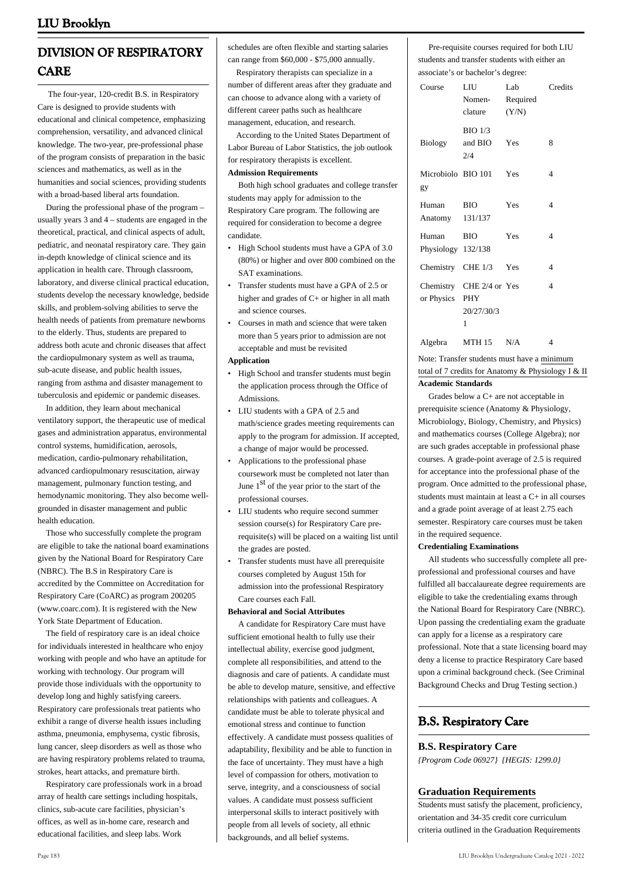# **DIVISION OF RESPIRATORY CARE**

 The four-year, 120-credit B.S. in Respiratory Care is designed to provide students with educational and clinical competence, emphasizing comprehension, versatility, and advanced clinical knowledge. The two-year, pre-professional phase of the program consists of preparation in the basic sciences and mathematics, as well as in the humanities and social sciences, providing students with a broad-based liberal arts foundation.

 During the professional phase of the program – usually years 3 and 4 – students are engaged in the theoretical, practical, and clinical aspects of adult, pediatric, and neonatal respiratory care. They gain in-depth knowledge of clinical science and its application in health care. Through classroom, laboratory, and diverse clinical practical education, students develop the necessary knowledge, bedside skills, and problem-solving abilities to serve the health needs of patients from premature newborns to the elderly. Thus, students are prepared to address both acute and chronic diseases that affect the cardiopulmonary system as well as trauma, sub-acute disease, and public health issues, ranging from asthma and disaster management to tuberculosis and epidemic or pandemic diseases.

 In addition, they learn about mechanical ventilatory support, the therapeutic use of medical gases and administration apparatus, environmental control systems, humidification, aerosols, medication, cardio-pulmonary rehabilitation, advanced cardiopulmonary resuscitation, airway management, pulmonary function testing, and hemodynamic monitoring. They also become wellgrounded in disaster management and public health education.

 Those who successfully complete the program are eligible to take the national board examinations given by the National Board for Respiratory Care (NBRC). The B.S in Respiratory Care is accredited by the Committee on Accreditation for Respiratory Care (CoARC) as program 200205 (www.coarc.com). It is registered with the New York State Department of Education.

 The field of respiratory care is an ideal choice for individuals interested in healthcare who enjoy working with people and who have an aptitude for working with technology. Our program will provide those individuals with the opportunity to develop long and highly satisfying careers. Respiratory care professionals treat patients who exhibit a range of diverse health issues including asthma, pneumonia, emphysema, cystic fibrosis, lung cancer, sleep disorders as well as those who are having respiratory problems related to trauma, strokes, heart attacks, and premature birth.

 Respiratory care professionals work in a broad array of health care settings including hospitals, clinics, sub-acute care facilities, physician's offices, as well as in-home care, research and educational facilities, and sleep labs. Work

schedules are often flexible and starting salaries can range from \$60,000 - \$75,000 annually.

 Respiratory therapists can specialize in a number of different areas after they graduate and can choose to advance along with a variety of different career paths such as healthcare management, education, and research.

 According to the United States Department of Labor Bureau of Labor Statistics, the job outlook for respiratory therapists is excellent.

## **Admission Requirements**

 Both high school graduates and college transfer students may apply for admission to the Respiratory Care program. The following are required for consideration to become a degree candidate.

- High School students must have a GPA of 3.0 (80%) or higher and over 800 combined on the SAT examinations.
- Transfer students must have a GPA of 2.5 or higher and grades of C+ or higher in all math and science courses.
- Courses in math and science that were taken more than 5 years prior to admission are not acceptable and must be revisited •

## **Application**

- High School and transfer students must begin the application process through the Office of Admissions.
- LIU students with a GPA of 2.5 and math/science grades meeting requirements can apply to the program for admission. If accepted, a change of major would be processed. •
- Applications to the professional phase coursework must be completed not later than June  $1<sup>st</sup>$  of the year prior to the start of the professional courses. •
- LIU students who require second summer session course(s) for Respiratory Care prerequisite(s) will be placed on a waiting list until the grades are posted. •
- Transfer students must have all prerequisite courses completed by August 15th for admission into the professional Respiratory Care courses each Fall. •

## **Behavioral and Social Attributes**

 A candidate for Respiratory Care must have sufficient emotional health to fully use their intellectual ability, exercise good judgment, complete all responsibilities, and attend to the diagnosis and care of patients. A candidate must be able to develop mature, sensitive, and effective relationships with patients and colleagues. A candidate must be able to tolerate physical and emotional stress and continue to function effectively. A candidate must possess qualities of adaptability, flexibility and be able to function in the face of uncertainty. They must have a high level of compassion for others, motivation to serve, integrity, and a consciousness of social values. A candidate must possess sufficient interpersonal skills to interact positively with people from all levels of society, all ethnic backgrounds, and all belief systems.

 Pre-requisite courses required for both LIU students and transfer students with either an associate's or bachelor's degree:

| Course                      | LIU<br>Nomen-<br>clature                    | Lab<br>Required<br>(Y/N) | Credits                  |
|-----------------------------|---------------------------------------------|--------------------------|--------------------------|
| <b>Biology</b>              | $BIO$ $1/3$<br>and BIO<br>2/4               | Yes                      | 8                        |
| Microbiolo BIO 101<br>gy    |                                             | Yes                      | 4                        |
| Human<br>Anatomy 131/137    | BIO                                         | <b>Yes</b>               | 4                        |
| Human<br>Physiology 132/138 | <b>BIO</b>                                  | Yes                      | $\overline{4}$           |
|                             | Chemistry CHE 1/3 Yes                       |                          | 4                        |
| or Physics PHY              | Chemistry CHE 2/4 or Yes<br>20/27/30/3<br>1 |                          | $\overline{\mathcal{L}}$ |
| Algebra                     | MTH 15                                      | N/A                      | 4                        |

Note: Transfer students must have a minimum total of 7 credits for Anatomy & Physiology I & II **Academic Standards**

 Grades below a C+ are not acceptable in prerequisite science (Anatomy & Physiology, Microbiology, Biology, Chemistry, and Physics) and mathematics courses (College Algebra); nor are such grades acceptable in professional phase courses. A grade-point average of 2.5 is required for acceptance into the professional phase of the program. Once admitted to the professional phase, students must maintain at least a C+ in all courses and a grade point average of at least 2.75 each semester. Respiratory care courses must be taken in the required sequence.

#### **Credentialing Examinations**

 All students who successfully complete all preprofessional and professional courses and have fulfilled all baccalaureate degree requirements are eligible to take the credentialing exams through the National Board for Respiratory Care (NBRC). Upon passing the credentialing exam the graduate can apply for a license as a respiratory care professional. Note that a state licensing board may deny a license to practice Respiratory Care based upon a criminal background check. (See Criminal Background Checks and Drug Testing section.)

## **B.S. Respiratory Care**

# **B.S. Respiratory Care**

*{Program Code 06927} {HEGIS: 1299.0}*

#### **Graduation Requirements**

Students must satisfy the placement, proficiency, orientation and 34-35 credit core curriculum criteria outlined in the Graduation Requirements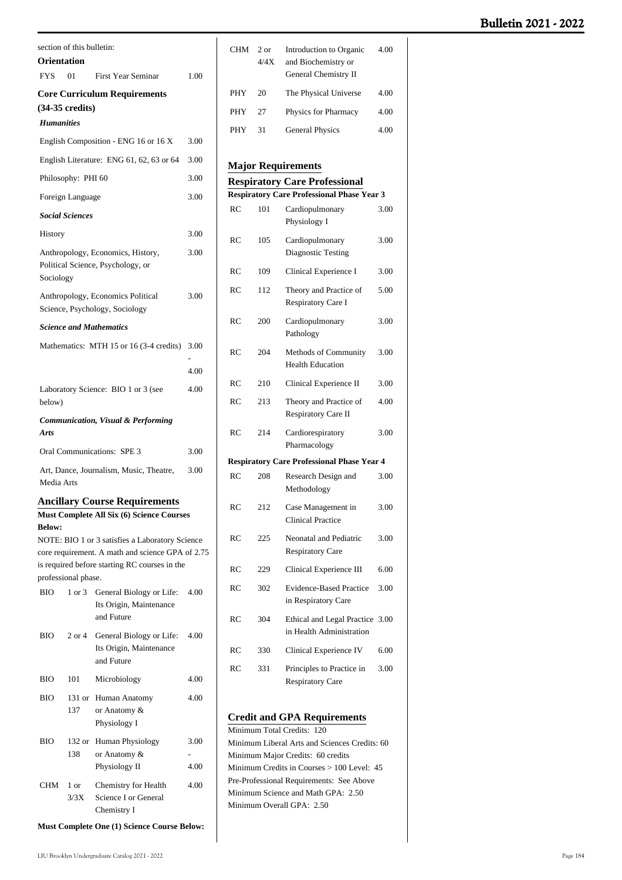| Orientation       | section of this bulletin: |                                                                                                                                      |      |
|-------------------|---------------------------|--------------------------------------------------------------------------------------------------------------------------------------|------|
| <b>FYS</b>        | 01                        | <b>First Year Seminar</b>                                                                                                            | 1.00 |
|                   |                           | <b>Core Curriculum Requirements</b>                                                                                                  |      |
|                   | $(34-35 \text{ credits})$ |                                                                                                                                      |      |
| <b>Humanities</b> |                           |                                                                                                                                      |      |
|                   |                           | English Composition - ENG 16 or 16 X                                                                                                 | 3.00 |
|                   |                           | English Literature: ENG 61, 62, 63 or 64                                                                                             | 3.00 |
|                   | Philosophy: PHI 60        |                                                                                                                                      | 3.00 |
|                   | Foreign Language          |                                                                                                                                      | 3.00 |
|                   | <b>Social Sciences</b>    |                                                                                                                                      |      |
| History           |                           |                                                                                                                                      | 3.00 |
| Sociology         |                           | Anthropology, Economics, History,<br>Political Science, Psychology, or                                                               | 3.00 |
|                   |                           | Anthropology, Economics Political<br>Science, Psychology, Sociology                                                                  | 3.00 |
|                   |                           | <b>Science and Mathematics</b>                                                                                                       |      |
|                   |                           | Mathematics: MTH 15 or 16 (3-4 credits)                                                                                              | 3.00 |
|                   |                           |                                                                                                                                      | 4.00 |
|                   |                           | Laboratory Science: BIO 1 or 3 (see                                                                                                  | 4.00 |
| below)            |                           |                                                                                                                                      |      |
| Arts              |                           | <b>Communication, Visual &amp; Performing</b>                                                                                        |      |
|                   |                           | <b>Oral Communications: SPE 3</b>                                                                                                    | 3.00 |
| Media Arts        |                           | Art, Dance, Journalism, Music, Theatre,                                                                                              | 3.00 |
| <b>Below:</b>     |                           | <b>Ancillary Course Requirements</b><br>Must Complete All Six (6) Science Courses<br>NOTE: BIO 1 or 3 satisfies a Laboratory Science |      |
|                   |                           | core requirement. A math and science GPA of 2.75                                                                                     |      |
|                   | professional phase.       | is required before starting RC courses in the                                                                                        |      |
| BIO               | 1 or 3                    | General Biology or Life:                                                                                                             | 4.00 |
|                   |                           | Its Origin, Maintenance<br>and Future                                                                                                |      |
| <b>BIO</b>        | $2$ or $4$                | General Biology or Life:<br>Its Origin, Maintenance<br>and Future                                                                    | 4.00 |
| ВЮ                | 101                       | Microbiology                                                                                                                         | 4.00 |
| BIO               | 131 or<br>137             | Human Anatomy<br>or Anatomy &<br>Physiology I                                                                                        | 4.00 |
| BІO               | 132 or                    | Human Physiology                                                                                                                     | 3.00 |
|                   | 138                       | or Anatomy &<br>Physiology II                                                                                                        | 4.00 |
| <b>CHM</b>        | 1 or                      | Chemistry for Health                                                                                                                 | 4.00 |
|                   | 3/3X                      | Science I or General<br>Chemistry I                                                                                                  |      |

| CHM                                                                            | 2 or<br>4/4X | <b>Introduction to Organic</b><br>4.00<br>and Biochemistry or<br>General Chemistry II     |      |  |
|--------------------------------------------------------------------------------|--------------|-------------------------------------------------------------------------------------------|------|--|
| PHY                                                                            | 20           | The Physical Universe                                                                     | 4.00 |  |
| PHY                                                                            | 27           | Physics for Pharmacy                                                                      | 4.00 |  |
| PHY                                                                            | 31           | <b>General Physics</b>                                                                    | 4.00 |  |
|                                                                                |              |                                                                                           |      |  |
|                                                                                |              | <b>Major Requirements</b>                                                                 |      |  |
|                                                                                |              | <b>Respiratory Care Professional</b><br><b>Respiratory Care Professional Phase Year 3</b> |      |  |
| RC                                                                             | 101          | Cardiopulmonary                                                                           | 3.00 |  |
|                                                                                |              | Physiology I                                                                              |      |  |
| RC                                                                             | 105          | Cardiopulmonary<br>Diagnostic Testing                                                     | 3.00 |  |
| RC                                                                             | 109          | Clinical Experience I                                                                     | 3.00 |  |
| RC                                                                             | 112          | Theory and Practice of<br>Respiratory Care I                                              | 5.00 |  |
| RC                                                                             | 200          | Cardiopulmonary<br>Pathology                                                              | 3.00 |  |
| RC                                                                             | 204          | Methods of Community<br><b>Health Education</b>                                           | 3.00 |  |
| RC                                                                             | 210          | Clinical Experience II                                                                    | 3.00 |  |
| RC                                                                             | 213          | Theory and Practice of<br>Respiratory Care II                                             | 4.00 |  |
| RC                                                                             | 214          | Cardiorespiratory<br>Pharmacology                                                         | 3.00 |  |
|                                                                                |              | <b>Respiratory Care Professional Phase Year 4</b>                                         |      |  |
| <b>RC</b>                                                                      | 208          | Research Design and<br>Methodology                                                        | 3.00 |  |
| RC                                                                             | 212          | Case Management in<br><b>Clinical Practice</b>                                            | 3.00 |  |
| RC                                                                             | 225          | Neonatal and Pediatric<br><b>Respiratory Care</b>                                         | 3.00 |  |
| RC                                                                             | 229          | Clinical Experience III                                                                   | 6.00 |  |
| RC                                                                             | 302          | <b>Evidence-Based Practice</b><br>in Respiratory Care                                     | 3.00 |  |
| RC                                                                             | 304          | <b>Ethical and Legal Practice</b><br>in Health Administration                             | 3.00 |  |
| RC                                                                             | 330          | Clinical Experience IV                                                                    | 6.00 |  |
| RC                                                                             | 331          | Principles to Practice in<br><b>Respiratory Care</b>                                      | 3.00 |  |
| <b>Credit and GPA Requirements</b>                                             |              |                                                                                           |      |  |
| Minimum Total Credits:<br>120<br>Minimum Liberal Arts and Sciences Credits: 60 |              |                                                                                           |      |  |

Minimum Major Credits: 60 credits Minimum Credits in Courses > 100 Level: 45 Pre-Professional Requirements: See Above Minimum Science and Math GPA: 2.50 Minimum Overall GPA: 2.50

**Must Complete One (1) Science Course Below:**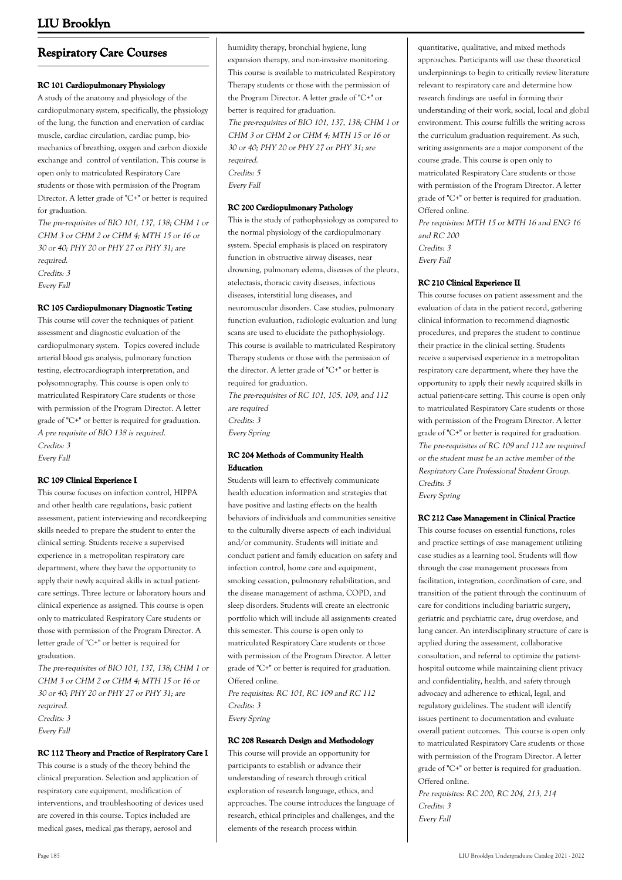# **Respiratory Care Courses**

## **RC 101 Cardiopulmonary Physiology**

A study of the anatomy and physiology of the cardiopulmonary system, specifically, the physiology of the lung, the function and enervation of cardiac muscle, cardiac circulation, cardiac pump, biomechanics of breathing, oxygen and carbon dioxide exchange and control of ventilation. This course is open only to matriculated Respiratory Care students or those with permission of the Program Director. A letter grade of "C+" or better is required for graduation.

The pre-requisites of BIO 101, 137, 138; CHM 1 or CHM 3 or CHM 2 or CHM 4; MTH 15 or 16 or 30 or 40; PHY 20 or PHY 27 or PHY 31; are required. Credits: 3 Every Fall

## **RC 105 Cardiopulmonary Diagnostic Testing**

This course will cover the techniques of patient assessment and diagnostic evaluation of the cardiopulmonary system. Topics covered include arterial blood gas analysis, pulmonary function testing, electrocardiograph interpretation, and polysomnography. This course is open only to matriculated Respiratory Care students or those with permission of the Program Director. A letter grade of "C+" or better is required for graduation. A pre requisite of BIO 138 is required. Credits: 3

Every Fall

## **RC 109 Clinical Experience I**

This course focuses on infection control, HIPPA and other health care regulations, basic patient assessment, patient interviewing and recordkeeping skills needed to prepare the student to enter the clinical setting. Students receive a supervised experience in a metropolitan respiratory care department, where they have the opportunity to apply their newly acquired skills in actual patientcare settings. Three lecture or laboratory hours and clinical experience as assigned. This course is open only to matriculated Respiratory Care students or those with permission of the Program Director. A letter grade of "C+" or better is required for graduation.

The pre-requisites of BIO 101, 137, 138; CHM 1 or CHM 3 or CHM 2 or CHM 4; MTH 15 or 16 or 30 or 40; PHY 20 or PHY 27 or PHY 31; are required. Credits: 3

Every Fall

### **RC 112 Theory and Practice of Respiratory Care I**

This course is a study of the theory behind the clinical preparation. Selection and application of respiratory care equipment, modification of interventions, and troubleshooting of devices used are covered in this course. Topics included are medical gases, medical gas therapy, aerosol and

humidity therapy, bronchial hygiene, lung expansion therapy, and non-invasive monitoring. This course is available to matriculated Respiratory Therapy students or those with the permission of the Program Director. A letter grade of "C+" or better is required for graduation. The pre-requisites of BIO 101, 137, 138; CHM 1 or CHM 3 or CHM 2 or CHM 4; MTH 15 or 16 or 30 or 40; PHY 20 or PHY 27 or PHY 31; are required. Credits: 5 Every Fall

### **RC 200 Cardiopulmonary Pathology**

This is the study of pathophysiology as compared to the normal physiology of the cardiopulmonary system. Special emphasis is placed on respiratory function in obstructive airway diseases, near drowning, pulmonary edema, diseases of the pleura, atelectasis, thoracic cavity diseases, infectious diseases, interstitial lung diseases, and neuromuscular disorders. Case studies, pulmonary function evaluation, radiologic evaluation and lung scans are used to elucidate the pathophysiology. This course is available to matriculated Respiratory Therapy students or those with the permission of the director. A letter grade of "C+" or better is required for graduation.

The pre-requisites of RC 101, 105. 109, and 112 are required Credits: 3 Every Spring

## **RC 204 Methods of Community Health Education**

Students will learn to effectively communicate health education information and strategies that have positive and lasting effects on the health behaviors of individuals and communities sensitive to the culturally diverse aspects of each individual and/or community. Students will initiate and conduct patient and family education on safety and infection control, home care and equipment, smoking cessation, pulmonary rehabilitation, and the disease management of asthma, COPD, and sleep disorders. Students will create an electronic portfolio which will include all assignments created this semester. This course is open only to matriculated Respiratory Care students or those with permission of the Program Director. A letter grade of "C+" or better is required for graduation. Offered online. Pre requisites: RC 101, RC 109 and RC 112

Credits: 3 Every Spring

## **RC 208 Research Design and Methodology**

This course will provide an opportunity for participants to establish or advance their understanding of research through critical exploration of research language, ethics, and approaches. The course introduces the language of research, ethical principles and challenges, and the elements of the research process within

quantitative, qualitative, and mixed methods approaches. Participants will use these theoretical underpinnings to begin to critically review literature relevant to respiratory care and determine how research findings are useful in forming their understanding of their work, social, local and global environment. This course fulfills the writing across the curriculum graduation requirement. As such, writing assignments are a major component of the course grade. This course is open only to matriculated Respiratory Care students or those with permission of the Program Director. A letter grade of "C+" or better is required for graduation. Offered online.

Pre requisites: MTH 15 or MTH 16 and ENG 16 and RC 200 Credits: 3 Every Fall

## **RC 210 Clinical Experience II**

This course focuses on patient assessment and the evaluation of data in the patient record, gathering clinical information to recommend diagnostic procedures, and prepares the student to continue their practice in the clinical setting. Students receive a supervised experience in a metropolitan respiratory care department, where they have the opportunity to apply their newly acquired skills in actual patient-care setting. This course is open only to matriculated Respiratory Care students or those with permission of the Program Director. A letter grade of "C+" or better is required for graduation. The pre-requisites of RC 109 and 112 are required or the student must be an active member of the Respiratory Care Professional Student Group. Credits: 3 Every Spring

#### **RC 212 Case Management in Clinical Practice**

This course focuses on essential functions, roles and practice settings of case management utilizing case studies as a learning tool. Students will flow through the case management processes from facilitation, integration, coordination of care, and transition of the patient through the continuum of care for conditions including bariatric surgery, geriatric and psychiatric care, drug overdose, and lung cancer. An interdisciplinary structure of care is applied during the assessment, collaborative consultation, and referral to optimize the patienthospital outcome while maintaining client privacy and confidentiality, health, and safety through advocacy and adherence to ethical, legal, and regulatory guidelines. The student will identify issues pertinent to documentation and evaluate overall patient outcomes. This course is open only to matriculated Respiratory Care students or those with permission of the Program Director. A letter grade of "C+" or better is required for graduation. Offered online.

Pre requisites: RC 200, RC 204, 213, 214 Credits: 3 Every Fall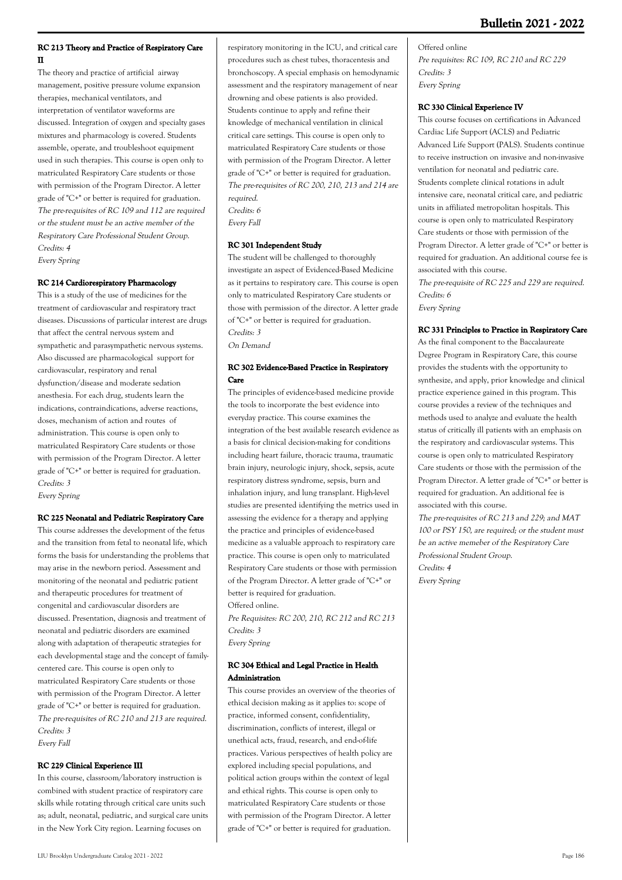## **RC 213 Theory and Practice of Respiratory Care II**

The theory and practice of artificial airway management, positive pressure volume expansion therapies, mechanical ventilators, and interpretation of ventilator waveforms are discussed. Integration of oxygen and specialty gases mixtures and pharmacology is covered. Students assemble, operate, and troubleshoot equipment used in such therapies. This course is open only to matriculated Respiratory Care students or those with permission of the Program Director. A letter grade of "C+" or better is required for graduation. The pre-requisites of RC 109 and 112 are required or the student must be an active member of the Respiratory Care Professional Student Group. Credits: 4 Every Spring

## **RC 214 Cardiorespiratory Pharmacology**

This is a study of the use of medicines for the treatment of cardiovascular and respiratory tract diseases. Discussions of particular interest are drugs that affect the central nervous system and sympathetic and parasympathetic nervous systems. Also discussed are pharmacological support for cardiovascular, respiratory and renal dysfunction/disease and moderate sedation anesthesia. For each drug, students learn the indications, contraindications, adverse reactions, doses, mechanism of action and routes of administration. This course is open only to matriculated Respiratory Care students or those with permission of the Program Director. A letter grade of "C+" or better is required for graduation. Credits: 3 Every Spring

## **RC 225 Neonatal and Pediatric Respiratory Care**

This course addresses the development of the fetus and the transition from fetal to neonatal life, which forms the basis for understanding the problems that may arise in the newborn period. Assessment and monitoring of the neonatal and pediatric patient and therapeutic procedures for treatment of congenital and cardiovascular disorders are discussed. Presentation, diagnosis and treatment of neonatal and pediatric disorders are examined along with adaptation of therapeutic strategies for each developmental stage and the concept of familycentered care. This course is open only to matriculated Respiratory Care students or those with permission of the Program Director. A letter grade of "C+" or better is required for graduation. The pre-requisites of RC 210 and 213 are required. Credits: 3

Every Fall

### **RC 229 Clinical Experience III**

In this course, classroom/laboratory instruction is combined with student practice of respiratory care skills while rotating through critical care units such as; adult, neonatal, pediatric, and surgical care units in the New York City region. Learning focuses on

respiratory monitoring in the ICU, and critical care procedures such as chest tubes, thoracentesis and bronchoscopy. A special emphasis on hemodynamic assessment and the respiratory management of near drowning and obese patients is also provided. Students continue to apply and refine their knowledge of mechanical ventilation in clinical critical care settings. This course is open only to matriculated Respiratory Care students or those with permission of the Program Director. A letter grade of "C+" or better is required for graduation. The pre-requisites of RC 200, 210, 213 and 214 are required. Credits: 6

Every Fall

## **RC 301 Independent Study**

The student will be challenged to thoroughly investigate an aspect of Evidenced-Based Medicine as it pertains to respiratory care. This course is open only to matriculated Respiratory Care students or those with permission of the director. A letter grade of "C+" or better is required for graduation. Credits: 3 On Demand

## **RC 302 Evidence-Based Practice in Respiratory Care**

The principles of evidence-based medicine provide the tools to incorporate the best evidence into everyday practice. This course examines the integration of the best available research evidence as a basis for clinical decision-making for conditions including heart failure, thoracic trauma, traumatic brain injury, neurologic injury, shock, sepsis, acute respiratory distress syndrome, sepsis, burn and inhalation injury, and lung transplant. High-level studies are presented identifying the metrics used in assessing the evidence for a therapy and applying the practice and principles of evidence-based medicine as a valuable approach to respiratory care practice. This course is open only to matriculated Respiratory Care students or those with permission of the Program Director. A letter grade of "C+" or better is required for graduation. Offered online.

Pre Requisites: RC 200, 210, RC 212 and RC 213 Credits: 3 Every Spring

## **RC 304 Ethical and Legal Practice in Health Administration**

This course provides an overview of the theories of ethical decision making as it applies to: scope of practice, informed consent, confidentiality, discrimination, conflicts of interest, illegal or unethical acts, fraud, research, and end-of-life practices. Various perspectives of health policy are explored including special populations, and political action groups within the context of legal and ethical rights. This course is open only to matriculated Respiratory Care students or those with permission of the Program Director. A letter grade of "C+" or better is required for graduation.

Offered online Pre requisites: RC 109, RC 210 and RC 229 Credits: 3 Every Spring

### **RC 330 Clinical Experience IV**

This course focuses on certifications in Advanced Cardiac Life Support (ACLS) and Pediatric Advanced Life Support (PALS). Students continue to receive instruction on invasive and non-invasive ventilation for neonatal and pediatric care. Students complete clinical rotations in adult intensive care, neonatal critical care, and pediatric units in affiliated metropolitan hospitals. This course is open only to matriculated Respiratory Care students or those with permission of the Program Director. A letter grade of "C+" or better is required for graduation. An additional course fee is associated with this course.

The pre-requisite of RC 225 and 229 are required. Credits: 6 Every Spring

### **RC 331 Principles to Practice in Respiratory Care**

As the final component to the Baccalaureate Degree Program in Respiratory Care, this course provides the students with the opportunity to synthesize, and apply, prior knowledge and clinical practice experience gained in this program. This course provides a review of the techniques and methods used to analyze and evaluate the health status of critically ill patients with an emphasis on the respiratory and cardiovascular systems. This course is open only to matriculated Respiratory Care students or those with the permission of the Program Director. A letter grade of "C+" or better is required for graduation. An additional fee is associated with this course.

The pre-requisites of RC 213 and 229; and MAT 100 or PSY 150, are required; or the student must be an active memeber of the Respiratory Care Professional Student Group. Credits: 4 Every Spring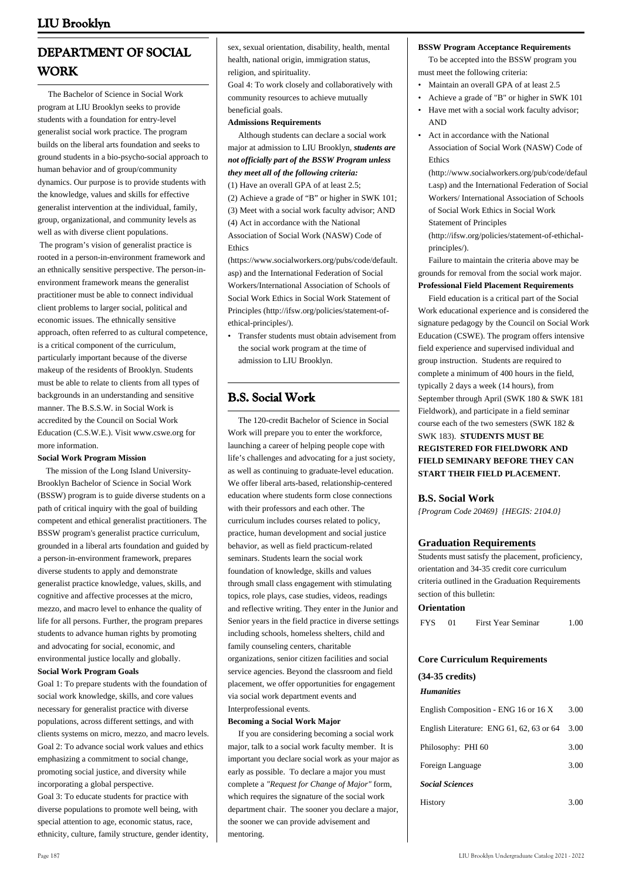# **DEPARTMENT OF SOCIAL WORK**

 The Bachelor of Science in Social Work program at LIU Brooklyn seeks to provide students with a foundation for entry-level generalist social work practice. The program builds on the liberal arts foundation and seeks to ground students in a bio-psycho-social approach to human behavior and of group/community dynamics. Our purpose is to provide students with the knowledge, values and skills for effective generalist intervention at the individual, family, group, organizational, and community levels as well as with diverse client populations.

 The program's vision of generalist practice is rooted in a person-in-environment framework and an ethnically sensitive perspective. The person-inenvironment framework means the generalist practitioner must be able to connect individual client problems to larger social, political and economic issues. The ethnically sensitive approach, often referred to as cultural competence, is a critical component of the curriculum, particularly important because of the diverse makeup of the residents of Brooklyn. Students must be able to relate to clients from all types of backgrounds in an understanding and sensitive manner. The B.S.S.W. in Social Work is accredited by the Council on Social Work Education (C.S.W.E.). Visit www.cswe.org for more information.

#### **Social Work Program Mission**

 The mission of the Long Island University-Brooklyn Bachelor of Science in Social Work (BSSW) program is to guide diverse students on a path of critical inquiry with the goal of building competent and ethical generalist practitioners. The BSSW program's generalist practice curriculum, grounded in a liberal arts foundation and guided by a person-in-environment framework, prepares diverse students to apply and demonstrate generalist practice knowledge, values, skills, and cognitive and affective processes at the micro, mezzo, and macro level to enhance the quality of life for all persons. Further, the program prepares students to advance human rights by promoting and advocating for social, economic, and environmental justice locally and globally. **Social Work Program Goals**

Goal 1: To prepare students with the foundation of social work knowledge, skills, and core values necessary for generalist practice with diverse populations, across different settings, and with clients systems on micro, mezzo, and macro levels. Goal 2: To advance social work values and ethics emphasizing a commitment to social change, promoting social justice, and diversity while incorporating a global perspective.

Goal 3: To educate students for practice with diverse populations to promote well being, with special attention to age, economic status, race, ethnicity, culture, family structure, gender identity, sex, sexual orientation, disability, health, mental health, national origin, immigration status, religion, and spirituality.

Goal 4: To work closely and collaboratively with community resources to achieve mutually beneficial goals.

## **Admissions Requirements**

 Although students can declare a social work major at admission to LIU Brooklyn, *students are not officially part of the BSSW Program unless they meet all of the following criteria:* (1) Have an overall GPA of at least 2.5;

(2) Achieve a grade of "B" or higher in SWK 101;

(3) Meet with a social work faculty advisor; AND (4) Act in accordance with the National Association of Social Work (NASW) Code of Ethics

([https://www.socialworkers.org/pubs/code/default.](https://www.socialworkers.org/pubs/code/default.asp) [asp\)](https://www.socialworkers.org/pubs/code/default.asp) and the International Federation of Social Workers/International Association of Schools of Social Work Ethics in Social Work Statement of Principles ([http://ifsw.org/policies/statement-of](http://ifsw.org/policies/statement-of-ethical-principles/)[ethical-principles/\)](http://ifsw.org/policies/statement-of-ethical-principles/).

Transfer students must obtain advisement from • the social work program at the time of admission to LIU Brooklyn.

# **B.S. Social Work**

 The 120-credit Bachelor of Science in Social Work will prepare you to enter the workforce, launching a career of helping people cope with life's challenges and advocating for a just society, as well as continuing to graduate-level education. We offer liberal arts-based, relationship-centered education where students form close connections with their professors and each other. The curriculum includes courses related to policy, practice, human development and social justice behavior, as well as field practicum-related seminars. Students learn the social work foundation of knowledge, skills and values through small class engagement with stimulating topics, role plays, case studies, videos, readings and reflective writing. They enter in the Junior and Senior years in the field practice in diverse settings including schools, homeless shelters, child and family counseling centers, charitable organizations, senior citizen facilities and social service agencies. Beyond the classroom and field placement, we offer opportunities for engagement via social work department events and Interprofessional events.

## **Becoming a Social Work Major**

 If you are considering becoming a social work major, talk to a social work faculty member. It is important you declare social work as your major as early as possible. To declare a major you must complete a *"Request for Change of Major"* form, which requires the signature of the social work department chair. The sooner you declare a major, the sooner we can provide advisement and mentoring.

### **BSSW Program Acceptance Requirements**

 To be accepted into the BSSW program you must meet the following criteria:

- Maintain an overall GPA of at least 2.5
- Achieve a grade of "B" or higher in SWK 101
- Have met with a social work faculty advisor; AND •
- Act in accordance with the National Association of Social Work (NASW) Code of Ethics •

(http://www.socialworkers.org/pub/code/defaul t.asp) and the International Federation of Social Workers/ International Association of Schools of Social Work Ethics in Social Work Statement of Principles

(http://ifsw.org/policies/statement-of-ethichalprinciples/).

 Failure to maintain the criteria above may be grounds for removal from the social work major. **Professional Field Placement Requirements**

 Field education is a critical part of the Social Work educational experience and is considered the signature pedagogy by the Council on Social Work Education (CSWE). The program offers intensive field experience and supervised individual and group instruction. Students are required to complete a minimum of 400 hours in the field, typically 2 days a week (14 hours), from September through April (SWK 180 & SWK 181 Fieldwork), and participate in a field seminar course each of the two semesters (SWK 182 & SWK 183). **STUDENTS MUST BE REGISTERED FOR FIELDWORK AND FIELD SEMINARY BEFORE THEY CAN START THEIR FIELD PLACEMENT.**

## **B.S. Social Work**

*{Program Code 20469} {HEGIS: 2104.0}*

## **Graduation Requirements**

Students must satisfy the placement, proficiency, orientation and 34-35 credit core curriculum criteria outlined in the Graduation Requirements section of this bulletin:

#### **Orientation**

| <b>FYS</b> | First Year Seminar | 1.00 |
|------------|--------------------|------|
|            |                    |      |

# **Core Curriculum Requirements**

## **(34-35 credits)** *Humanities*

| English Composition - ENG 16 or 16 X     | 3.00 |
|------------------------------------------|------|
| English Literature: ENG 61, 62, 63 or 64 | 3.00 |
| Philosophy: PHI 60                       | 3.00 |
| Foreign Language                         | 3.00 |
| <b>Social Sciences</b>                   |      |
| History                                  |      |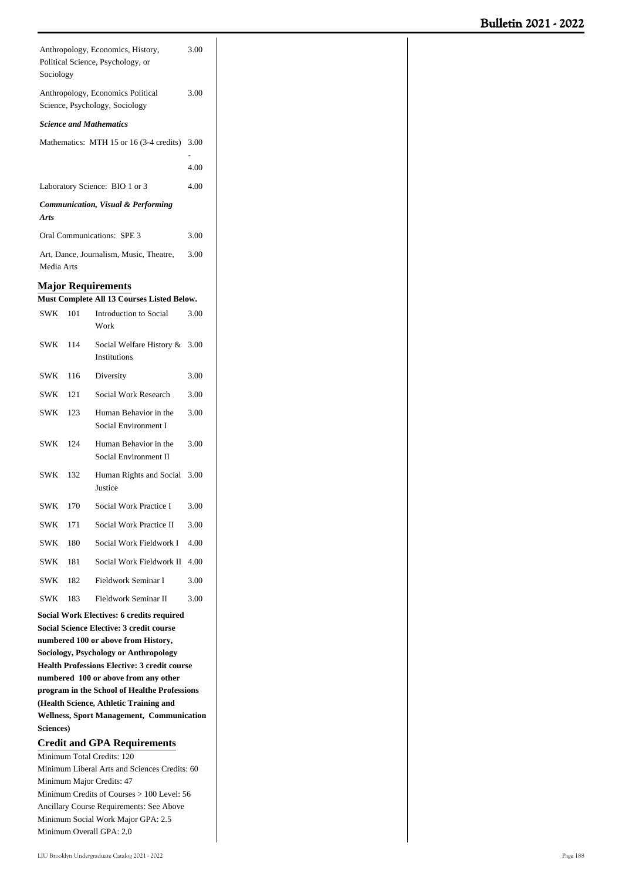| 3.00<br>Anthropology, Economics, History,<br>Political Science, Psychology, or<br>Sociology                                                                                                                                                                                        |                                                                             |                                                                                        |      |  |  |  |  |  |
|------------------------------------------------------------------------------------------------------------------------------------------------------------------------------------------------------------------------------------------------------------------------------------|-----------------------------------------------------------------------------|----------------------------------------------------------------------------------------|------|--|--|--|--|--|
|                                                                                                                                                                                                                                                                                    | Anthropology, Economics Political<br>3.00<br>Science, Psychology, Sociology |                                                                                        |      |  |  |  |  |  |
|                                                                                                                                                                                                                                                                                    |                                                                             | <b>Science and Mathematics</b>                                                         |      |  |  |  |  |  |
|                                                                                                                                                                                                                                                                                    |                                                                             | Mathematics: MTH 15 or 16 (3-4 credits)                                                | 3.00 |  |  |  |  |  |
|                                                                                                                                                                                                                                                                                    |                                                                             |                                                                                        | 4.00 |  |  |  |  |  |
|                                                                                                                                                                                                                                                                                    |                                                                             | Laboratory Science: BIO 1 or 3                                                         | 4.00 |  |  |  |  |  |
| Arts                                                                                                                                                                                                                                                                               |                                                                             | <b>Communication, Visual &amp; Performing</b>                                          |      |  |  |  |  |  |
|                                                                                                                                                                                                                                                                                    |                                                                             | <b>Oral Communications: SPE 3</b>                                                      | 3.00 |  |  |  |  |  |
| Media Arts                                                                                                                                                                                                                                                                         |                                                                             | Art, Dance, Journalism, Music, Theatre,                                                | 3.00 |  |  |  |  |  |
|                                                                                                                                                                                                                                                                                    |                                                                             | <b>Major Requirements</b>                                                              |      |  |  |  |  |  |
|                                                                                                                                                                                                                                                                                    |                                                                             | Must Complete All 13 Courses Listed Below.                                             |      |  |  |  |  |  |
| SWK 101                                                                                                                                                                                                                                                                            |                                                                             | Introduction to Social<br>Work                                                         | 3.00 |  |  |  |  |  |
| SWK                                                                                                                                                                                                                                                                                | 114                                                                         | Social Welfare History &<br><b>Institutions</b>                                        | 3.00 |  |  |  |  |  |
| SWK                                                                                                                                                                                                                                                                                | 116                                                                         | Diversity                                                                              | 3.00 |  |  |  |  |  |
| SWK                                                                                                                                                                                                                                                                                | 121                                                                         | Social Work Research                                                                   | 3.00 |  |  |  |  |  |
| SWK                                                                                                                                                                                                                                                                                | 123                                                                         | Human Behavior in the<br>Social Environment I                                          | 3.00 |  |  |  |  |  |
| SWK                                                                                                                                                                                                                                                                                | 124                                                                         | Human Behavior in the<br>Social Environment II                                         | 3.00 |  |  |  |  |  |
| SWK                                                                                                                                                                                                                                                                                | 132                                                                         | Human Rights and Social<br>Justice                                                     | 3.00 |  |  |  |  |  |
| <b>SWK</b>                                                                                                                                                                                                                                                                         | 170                                                                         | Social Work Practice I                                                                 | 3.00 |  |  |  |  |  |
| <b>SWK</b>                                                                                                                                                                                                                                                                         | 171                                                                         | Social Work Practice II                                                                | 3.00 |  |  |  |  |  |
| <b>SWK</b>                                                                                                                                                                                                                                                                         | 180                                                                         | Social Work Fieldwork I                                                                | 4.00 |  |  |  |  |  |
| SWK                                                                                                                                                                                                                                                                                | 181                                                                         | Social Work Fieldwork II                                                               | 4.00 |  |  |  |  |  |
| SWK                                                                                                                                                                                                                                                                                | 182                                                                         | Fieldwork Seminar I                                                                    | 3.00 |  |  |  |  |  |
| <b>SWK</b>                                                                                                                                                                                                                                                                         | 183                                                                         | Fieldwork Seminar II                                                                   | 3.00 |  |  |  |  |  |
| <b>Social Work Electives: 6 credits required</b><br><b>Social Science Elective: 3 credit course</b><br>numbered 100 or above from History,<br>Sociology, Psychology or Anthropology<br><b>Health Professions Elective: 3 credit course</b><br>numbered 100 or above from any other |                                                                             |                                                                                        |      |  |  |  |  |  |
|                                                                                                                                                                                                                                                                                    |                                                                             | program in the School of Healthe Professions<br>(Health Science, Athletic Training and |      |  |  |  |  |  |
| <b>Wellness, Sport Management, Communication</b>                                                                                                                                                                                                                                   |                                                                             |                                                                                        |      |  |  |  |  |  |
| Sciences)                                                                                                                                                                                                                                                                          |                                                                             |                                                                                        |      |  |  |  |  |  |
|                                                                                                                                                                                                                                                                                    |                                                                             | <b>Credit and GPA Requirements</b><br>Minimum Total Credits: 120                       |      |  |  |  |  |  |
|                                                                                                                                                                                                                                                                                    |                                                                             | Minimum Liberal Arts and Sciences Credits: 60                                          |      |  |  |  |  |  |
|                                                                                                                                                                                                                                                                                    |                                                                             | Minimum Major Credits: 47                                                              |      |  |  |  |  |  |
| Minimum Credits of Courses > 100 Level: 56                                                                                                                                                                                                                                         |                                                                             |                                                                                        |      |  |  |  |  |  |

Minimum Overall GPA: 2.0

Ancillary Course Requirements: See Above Minimum Social Work Major GPA: 2.5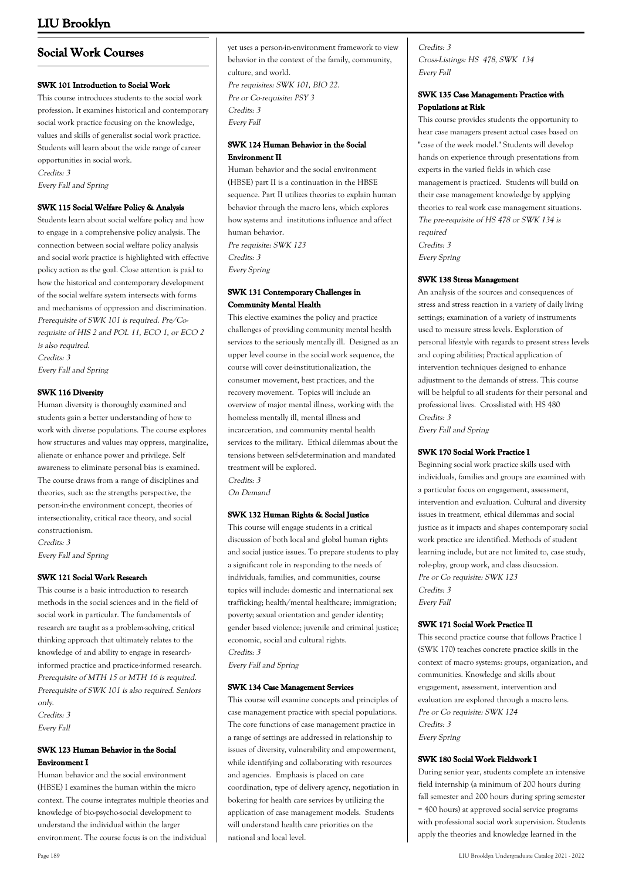# **Social Work Courses**

## **SWK 101 Introduction to Social Work**

This course introduces students to the social work profession. It examines historical and contemporary social work practice focusing on the knowledge, values and skills of generalist social work practice. Students will learn about the wide range of career opportunities in social work.

Credits: 3

Every Fall and Spring

## **SWK 115 Social Welfare Policy & Analysis**

Students learn about social welfare policy and how to engage in a comprehensive policy analysis. The connection between social welfare policy analysis and social work practice is highlighted with effective policy action as the goal. Close attention is paid to how the historical and contemporary development of the social welfare system intersects with forms and mechanisms of oppression and discrimination. Prerequisite of SWK 101 is required. Pre/Corequisite of HIS 2 and POL 11, ECO 1, or ECO 2 is also required. Credits: 3

Every Fall and Spring

## **SWK 116 Diversity**

Human diversity is thoroughly examined and students gain a better understanding of how to work with diverse populations. The course explores how structures and values may oppress, marginalize, alienate or enhance power and privilege. Self awareness to eliminate personal bias is examined. The course draws from a range of disciplines and theories, such as: the strengths perspective, the person-in-the environment concept, theories of intersectionality, critical race theory, and social constructionism. Credits: 3

Every Fall and Spring

## **SWK 121 Social Work Research**

This course is a basic introduction to research methods in the social sciences and in the field of social work in particular. The fundamentals of research are taught as a problem-solving, critical thinking approach that ultimately relates to the knowledge of and ability to engage in researchinformed practice and practice-informed research. Prerequisite of MTH 15 or MTH 16 is required. Prerequisite of SWK 101 is also required. Seniors only.

Credits: 3 Every Fall

## **SWK 123 Human Behavior in the Social Environment I**

Human behavior and the social environment (HBSE) I examines the human within the micro context. The course integrates multiple theories and knowledge of bio-psycho-social development to understand the individual within the larger environment. The course focus is on the individual

yet uses a person-in-environment framework to view behavior in the context of the family, community, culture, and world. Pre requisites: SWK 101, BIO 22. Pre or Co-requisite: PSY 3 Credits: 3 Every Fall

## **SWK 124 Human Behavior in the Social Environment II**

Human behavior and the social environment (HBSE) part II is a continuation in the HBSE sequence. Part II utilizes theories to explain human behavior through the macro lens, which explores how systems and institutions influence and affect human behavior. Pre requisite: SWK 123 Credits: 3

Every Spring

## **SWK 131 Contemporary Challenges in Community Mental Health**

This elective examines the policy and practice challenges of providing community mental health services to the seriously mentally ill. Designed as an upper level course in the social work sequence, the course will cover de-institutionalization, the consumer movement, best practices, and the recovery movement. Topics will include an overview of major mental illness, working with the homeless mentally ill, mental illness and incarceration, and community mental health services to the military. Ethical dilemmas about the tensions between self-determination and mandated treatment will be explored. Credits: 3

On Demand

## **SWK 132 Human Rights & Social Justice**

This course will engage students in a critical discussion of both local and global human rights and social justice issues. To prepare students to play a significant role in responding to the needs of individuals, families, and communities, course topics will include: domestic and international sex trafficking; health/mental healthcare; immigration; poverty; sexual orientation and gender identity; gender based violence; juvenile and criminal justice; economic, social and cultural rights. Credits: 3

Every Fall and Spring

## **SWK 134 Case Management Services**

This course will examine concepts and principles of case management practice with special populations. The core functions of case management practice in a range of settings are addressed in relationship to issues of diversity, vulnerability and empowerment, while identifying and collaborating with resources and agencies. Emphasis is placed on care coordination, type of delivery agency, negotiation in bokering for health care services by utilizing the application of case management models. Students will understand health care priorities on the national and local level.

Credits: 3 Cross-Listings: HS 478, SWK 134 Every Fall

## **SWK 135 Case Management: Practice with Populations at Risk**

This course provides students the opportunity to hear case managers present actual cases based on "case of the week model." Students will develop hands on experience through presentations from experts in the varied fields in which case management is practiced. Students will build on their case management knowledge by applying theories to real work case management situations. The pre-requisite of HS 478 or SWK 134 is required Credits: 3 Every Spring

## **SWK 138 Stress Management**

An analysis of the sources and consequences of stress and stress reaction in a variety of daily living settings; examination of a variety of instruments used to measure stress levels. Exploration of personal lifestyle with regards to present stress levels and coping abilities; Practical application of intervention techniques designed to enhance adjustment to the demands of stress. This course will be helpful to all students for their personal and professional lives. Crosslisted with HS 480 Credits: 3

Every Fall and Spring

## **SWK 170 Social Work Practice I**

Beginning social work practice skills used with individuals, families and groups are examined with a particular focus on engagement, assessment, intervention and evaluation. Cultural and diversity issues in treatment, ethical dilemmas and social justice as it impacts and shapes contemporary social work practice are identified. Methods of student learning include, but are not limited to, case study, role-play, group work, and class disucssion. Pre or Co requisite: SWK 123 Credits: 3 Every Fall

## **SWK 171 Social Work Practice II**

This second practice course that follows Practice I (SWK 170) teaches concrete practice skills in the context of macro systems: groups, organization, and communities. Knowledge and skills about engagement, assessment, intervention and evaluation are explored through a macro lens. Pre or Co requisite: SWK 124 Credits: 3 Every Spring

## **SWK 180 Social Work Fieldwork I**

During senior year, students complete an intensive field internship (a minimum of 200 hours during fall semester and 200 hours during spring semester = 400 hours) at approved social service programs with professional social work supervision. Students apply the theories and knowledge learned in the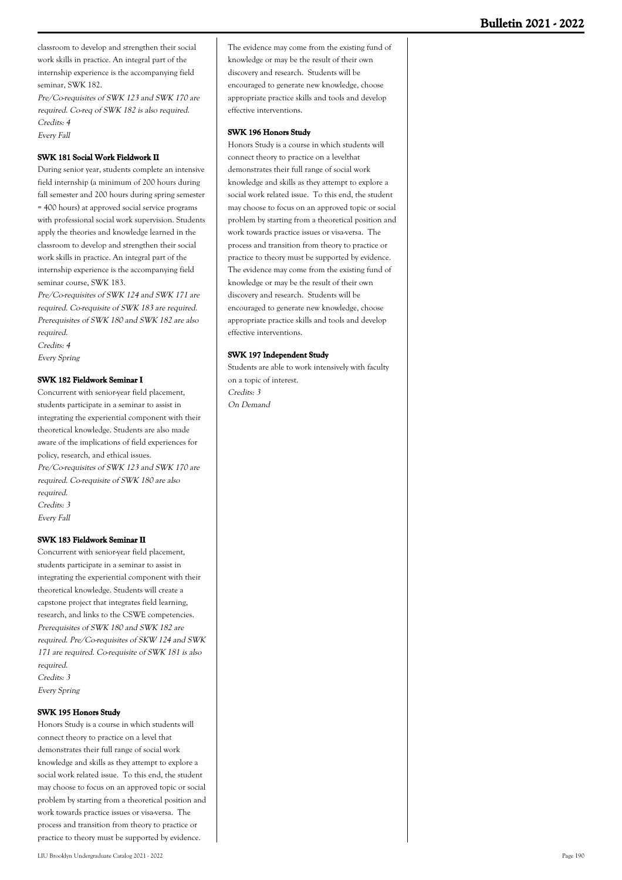classroom to develop and strengthen their social work skills in practice. An integral part of the internship experience is the accompanying field seminar, SWK 182.

Pre/Co-requisites of SWK 123 and SWK 170 are required. Co-req of SWK 182 is also required. Credits: 4 Every Fall

## **SWK 181 Social Work Fieldwork II**

During senior year, students complete an intensive field internship (a minimum of 200 hours during fall semester and 200 hours during spring semester = 400 hours) at approved social service programs with professional social work supervision. Students apply the theories and knowledge learned in the classroom to develop and strengthen their social work skills in practice. An integral part of the internship experience is the accompanying field seminar course, SWK 183.

Pre/Co-requisites of SWK 124 and SWK 171 are required. Co-requisite of SWK 183 are required. Prerequisites of SWK 180 and SWK 182 are also required.

Credits: 4

Every Spring

### **SWK 182 Fieldwork Seminar I**

Concurrent with senior-year field placement, students participate in a seminar to assist in integrating the experiential component with their theoretical knowledge. Students are also made aware of the implications of field experiences for policy, research, and ethical issues. Pre/Co-requisites of SWK 123 and SWK 170 are required. Co-requisite of SWK 180 are also required. Credits: 3 Every Fall

#### **SWK 183 Fieldwork Seminar II**

Concurrent with senior-year field placement, students participate in a seminar to assist in integrating the experiential component with their theoretical knowledge. Students will create a capstone project that integrates field learning, research, and links to the CSWE competencies. Prerequisites of SWK 180 and SWK 182 are required. Pre/Co-requisites of SKW 124 and SWK 171 are required. Co-requisite of SWK 181 is also required. Credits: 3 Every Spring

#### **SWK 195 Honors Study**

Honors Study is a course in which students will connect theory to practice on a level that demonstrates their full range of social work knowledge and skills as they attempt to explore a social work related issue. To this end, the student may choose to focus on an approved topic or social problem by starting from a theoretical position and work towards practice issues or visa-versa. The process and transition from theory to practice or practice to theory must be supported by evidence.

The evidence may come from the existing fund of knowledge or may be the result of their own discovery and research. Students will be encouraged to generate new knowledge, choose appropriate practice skills and tools and develop effective interventions.

## **SWK 196 Honors Study**

Honors Study is a course in which students will connect theory to practice on a levelthat demonstrates their full range of social work knowledge and skills as they attempt to explore a social work related issue. To this end, the student may choose to focus on an approved topic or social problem by starting from a theoretical position and work towards practice issues or visa-versa. The process and transition from theory to practice or practice to theory must be supported by evidence. The evidence may come from the existing fund of knowledge or may be the result of their own discovery and research. Students will be encouraged to generate new knowledge, choose appropriate practice skills and tools and develop effective interventions.

### **SWK 197 Independent Study**

Students are able to work intensively with faculty on a topic of interest. Credits: 3 On Demand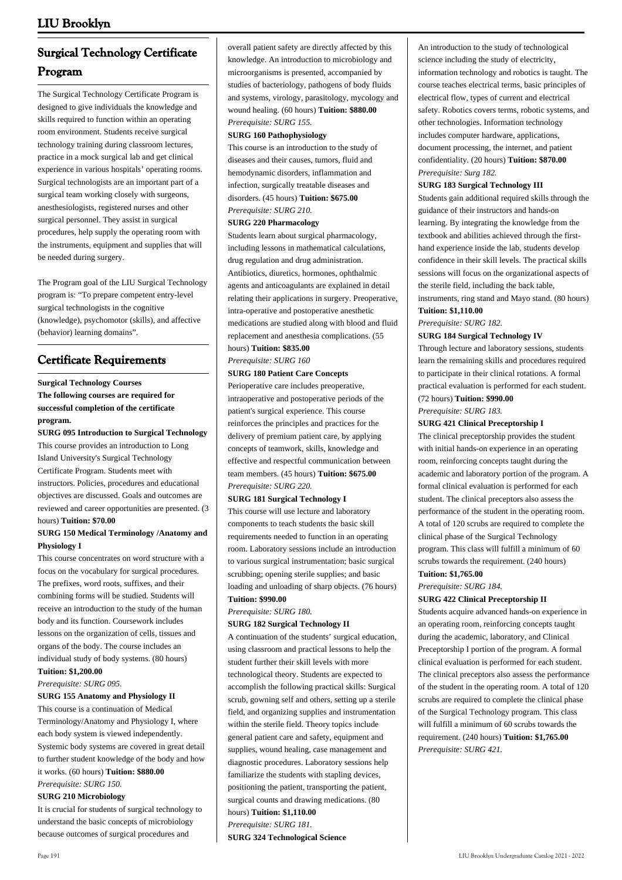# **Surgical Technology Certificate Program**

The Surgical Technology Certificate Program is designed to give individuals the knowledge and skills required to function within an operating room environment. Students receive surgical technology training during classroom lectures, practice in a mock surgical lab and get clinical experience in various hospitals' operating rooms. Surgical technologists are an important part of a surgical team working closely with surgeons, anesthesiologists, registered nurses and other surgical personnel. They assist in surgical procedures, help supply the operating room with the instruments, equipment and supplies that will be needed during surgery.

The Program goal of the LIU Surgical Technology program is: "To prepare competent entry-level surgical technologists in the cognitive (knowledge), psychomotor (skills), and affective (behavior) learning domains".

# **Certificate Requirements**

## **Surgical Technology Courses The following courses are required for successful completion of the certificate program.**

**SURG 095 Introduction to Surgical Technology**

This course provides an introduction to Long Island University's Surgical Technology Certificate Program. Students meet with instructors. Policies, procedures and educational objectives are discussed. Goals and outcomes are reviewed and career opportunities are presented. (3 hours) **Tuition: \$70.00**

## **SURG 150 Medical Terminology /Anatomy and Physiology I**

This course concentrates on word structure with a focus on the vocabulary for surgical procedures. The prefixes, word roots, suffixes, and their combining forms will be studied. Students will receive an introduction to the study of the human body and its function. Coursework includes lessons on the organization of cells, tissues and organs of the body. The course includes an individual study of body systems. (80 hours) **Tuition: \$1,200.00**

*Prerequisite: SURG 095.*

## **SURG 155 Anatomy and Physiology II**

This course is a continuation of Medical Terminology/Anatomy and Physiology I, where each body system is viewed independently. Systemic body systems are covered in great detail to further student knowledge of the body and how it works. (60 hours) **Tuition: \$880.00** *Prerequisite: SURG 150.*

## **SURG 210 Microbiology**

It is crucial for students of surgical technology to understand the basic concepts of microbiology because outcomes of surgical procedures and

overall patient safety are directly affected by this knowledge. An introduction to microbiology and microorganisms is presented, accompanied by studies of bacteriology, pathogens of body fluids and systems, virology, parasitology, mycology and wound healing. (60 hours) **Tuition: \$880.00** *Prerequisite: SURG 155.*

#### **SURG 160 Pathophysiology**

This course is an introduction to the study of diseases and their causes, tumors, fluid and hemodynamic disorders, inflammation and infection, surgically treatable diseases and disorders. (45 hours) **Tuition: \$675.00** *Prerequisite: SURG 210.*

#### **SURG 220 Pharmacology**

Students learn about surgical pharmacology, including lessons in mathematical calculations, drug regulation and drug administration. Antibiotics, diuretics, hormones, ophthalmic agents and anticoagulants are explained in detail relating their applications in surgery. Preoperative, intra-operative and postoperative anesthetic medications are studied along with blood and fluid replacement and anesthesia complications. (55

## hours) **Tuition: \$835.00** *Prerequisite: SURG 160*

# **SURG 180 Patient Care Concepts**

Perioperative care includes preoperative, intraoperative and postoperative periods of the patient's surgical experience. This course reinforces the principles and practices for the delivery of premium patient care, by applying concepts of teamwork, skills, knowledge and effective and respectful communication between team members. (45 hours) **Tuition: \$675.00** *Prerequisite: SURG 220.*

#### **SURG 181 Surgical Technology I**

This course will use lecture and laboratory components to teach students the basic skill requirements needed to function in an operating room. Laboratory sessions include an introduction to various surgical instrumentation; basic surgical scrubbing; opening sterile supplies; and basic loading and unloading of sharp objects. (76 hours) **Tuition: \$990.00**

## *Prerequisite: SURG 180.*

#### **SURG 182 Surgical Technology II**

A continuation of the students' surgical education, using classroom and practical lessons to help the student further their skill levels with more technological theory. Students are expected to accomplish the following practical skills: Surgical scrub, gowning self and others, setting up a sterile field, and organizing supplies and instrumentation within the sterile field. Theory topics include general patient care and safety, equipment and supplies, wound healing, case management and diagnostic procedures. Laboratory sessions help familiarize the students with stapling devices, positioning the patient, transporting the patient, surgical counts and drawing medications. (80 hours) **Tuition: \$1,110.00** *Prerequisite: SURG 181.*

## **SURG 324 Technological Science**

An introduction to the study of technological science including the study of electricity, information technology and robotics is taught. The course teaches electrical terms, basic principles of electrical flow, types of current and electrical safety. Robotics covers terms, robotic systems, and other technologies. Information technology includes computer hardware, applications, document processing, the internet, and patient confidentiality. (20 hours) **Tuition: \$870.00** *Prerequisite: Surg 182.*

#### **SURG 183 Surgical Technology III**

Students gain additional required skills through the guidance of their instructors and hands-on learning. By integrating the knowledge from the textbook and abilities achieved through the firsthand experience inside the lab, students develop confidence in their skill levels. The practical skills sessions will focus on the organizational aspects of the sterile field, including the back table,

instruments, ring stand and Mayo stand. (80 hours) **Tuition: \$1,110.00** 

### *Prerequisite: SURG 182.*

### **SURG 184 Surgical Technology IV**

Through lecture and laboratory sessions, students learn the remaining skills and procedures required to participate in their clinical rotations. A formal practical evaluation is performed for each student. (72 hours) **Tuition: \$990.00**

# *Prerequisite: SURG 183.*

## **SURG 421 Clinical Preceptorship I**

The clinical preceptorship provides the student with initial hands-on experience in an operating room, reinforcing concepts taught during the academic and laboratory portion of the program. A formal clinical evaluation is performed for each student. The clinical preceptors also assess the performance of the student in the operating room. A total of 120 scrubs are required to complete the clinical phase of the Surgical Technology program. This class will fulfill a minimum of 60 scrubs towards the requirement. (240 hours)

## **Tuition: \$1,765.00**

*Prerequisite: SURG 184.*

## **SURG 422 Clinical Preceptorship II**

Students acquire advanced hands-on experience in an operating room, reinforcing concepts taught during the academic, laboratory, and Clinical Preceptorship I portion of the program. A formal clinical evaluation is performed for each student. The clinical preceptors also assess the performance of the student in the operating room. A total of 120 scrubs are required to complete the clinical phase of the Surgical Technology program. This class will fulfill a minimum of 60 scrubs towards the requirement. (240 hours) **Tuition: \$1,765.00** *Prerequisite: SURG 421.*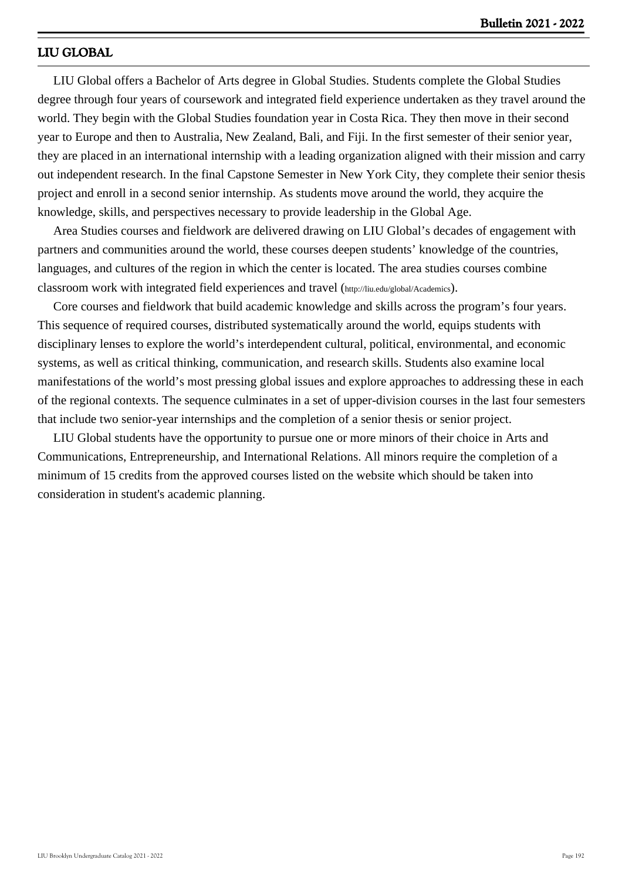## **LIU GLOBAL**

 LIU Global offers a Bachelor of Arts degree in Global Studies. Students complete the Global Studies degree through four years of coursework and integrated field experience undertaken as they travel around the world. They begin with the Global Studies foundation year in Costa Rica. They then move in their second year to Europe and then to Australia, New Zealand, Bali, and Fiji. In the first semester of their senior year, they are placed in an international internship with a leading organization aligned with their mission and carry out independent research. In the final Capstone Semester in New York City, they complete their senior thesis project and enroll in a second senior internship. As students move around the world, they acquire the knowledge, skills, and perspectives necessary to provide leadership in the Global Age.

 Area Studies courses and fieldwork are delivered drawing on LIU Global's decades of engagement with partners and communities around the world, these courses deepen students' knowledge of the countries, languages, and cultures of the region in which the center is located. The area studies courses combine classroom work with integrated field experiences and travel ([http://liu.edu/global/Academics](http://liu.edu/Global/Academics)).

 Core courses and fieldwork that build academic knowledge and skills across the program's four years. This sequence of required courses, distributed systematically around the world, equips students with disciplinary lenses to explore the world's interdependent cultural, political, environmental, and economic systems, as well as critical thinking, communication, and research skills. Students also examine local manifestations of the world's most pressing global issues and explore approaches to addressing these in each of the regional contexts. The sequence culminates in a set of upper-division courses in the last four semesters that include two senior-year internships and the completion of a senior thesis or senior project.

 LIU Global students have the opportunity to pursue one or more minors of their choice in Arts and Communications, Entrepreneurship, and International Relations. All minors require the completion of a minimum of 15 credits from the approved courses listed on the website which should be taken into consideration in student's academic planning.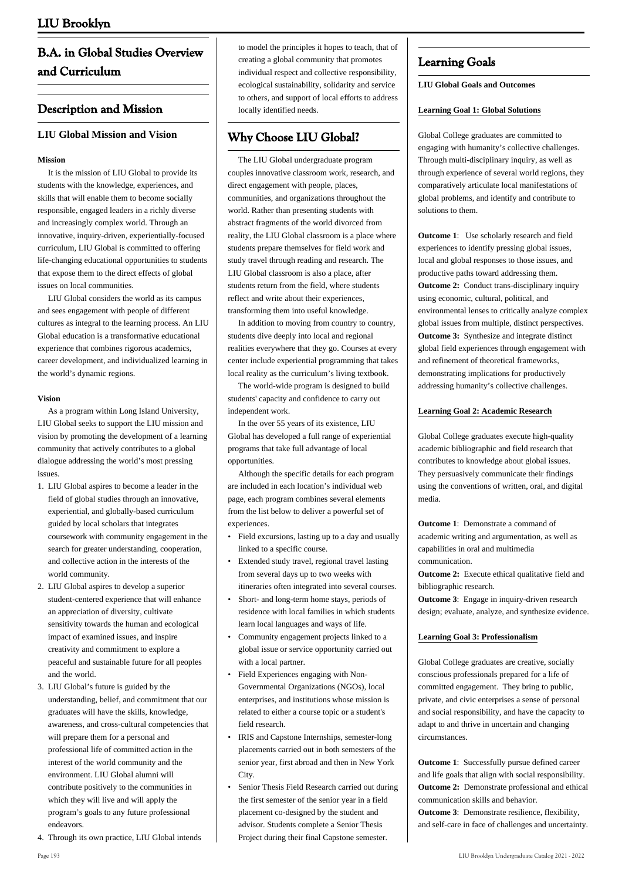# **B.A. in Global Studies Overview and Curriculum**

## **Description and Mission**

## **LIU Global Mission and Vision**

## **Mission**

 It is the mission of LIU Global to provide its students with the knowledge, experiences, and skills that will enable them to become socially responsible, engaged leaders in a richly diverse and increasingly complex world. Through an innovative, inquiry-driven, experientially-focused curriculum, LIU Global is committed to offering life-changing educational opportunities to students that expose them to the direct effects of global issues on local communities.

 LIU Global considers the world as its campus and sees engagement with people of different cultures as integral to the learning process. An LIU Global education is a transformative educational experience that combines rigorous academics, career development, and individualized learning in the world's dynamic regions.

### **Vision**

 As a program within Long Island University, LIU Global seeks to support the LIU mission and vision by promoting the development of a learning community that actively contributes to a global dialogue addressing the world's most pressing issues.

- 1. LIU Global aspires to become a leader in the field of global studies through an innovative, experiential, and globally-based curriculum guided by local scholars that integrates coursework with community engagement in the search for greater understanding, cooperation, and collective action in the interests of the world community.
- 2. LIU Global aspires to develop a superior student-centered experience that will enhance an appreciation of diversity, cultivate sensitivity towards the human and ecological impact of examined issues, and inspire creativity and commitment to explore a peaceful and sustainable future for all peoples and the world.
- LIU Global's future is guided by the 3. understanding, belief, and commitment that our graduates will have the skills, knowledge, awareness, and cross-cultural competencies that will prepare them for a personal and professional life of committed action in the interest of the world community and the environment. LIU Global alumni will contribute positively to the communities in which they will live and will apply the program's goals to any future professional endeavors.
- 4. Through its own practice, LIU Global intends

to model the principles it hopes to teach, that of creating a global community that promotes individual respect and collective responsibility, ecological sustainability, solidarity and service to others, and support of local efforts to address locally identified needs.

# **Why Choose LIU Global?**

 The LIU Global undergraduate program couples innovative classroom work, research, and direct engagement with people, places, communities, and organizations throughout the world. Rather than presenting students with abstract fragments of the world divorced from reality, the LIU Global classroom is a place where students prepare themselves for field work and study travel through reading and research. The LIU Global classroom is also a place, after students return from the field, where students reflect and write about their experiences, transforming them into useful knowledge.

 In addition to moving from country to country, students dive deeply into local and regional realities everywhere that they go. Courses at every center include experiential programming that takes local reality as the curriculum's living textbook.

 The world-wide program is designed to build students' capacity and confidence to carry out independent work.

 In the over 55 years of its existence, LIU Global has developed a full range of experiential programs that take full advantage of local opportunities.

 Although the specific details for each program are included in each location's individual web page, each program combines several elements from the list below to deliver a powerful set of experiences.

- Field excursions, lasting up to a day and usually linked to a specific course.
- Extended study travel, regional travel lasting from several days up to two weeks with itineraries often integrated into several courses. •
- Short- and long-term home stays, periods of residence with local families in which students learn local languages and ways of life. •
- Community engagement projects linked to a global issue or service opportunity carried out with a local partner. •
- Field Experiences engaging with Non-Governmental Organizations (NGOs), local enterprises, and institutions whose mission is related to either a course topic or a student's field research. •
- IRIS and Capstone Internships, semester-long placements carried out in both semesters of the senior year, first abroad and then in New York City. •
- Senior Thesis Field Research carried out during the first semester of the senior year in a field placement co-designed by the student and advisor. Students complete a Senior Thesis Project during their final Capstone semester. •

## **Learning Goals**

## **LIU Global Goals and Outcomes**

## **Learning Goal 1: Global Solutions**

Global College graduates are committed to engaging with humanity's collective challenges. Through multi-disciplinary inquiry, as well as through experience of several world regions, they comparatively articulate local manifestations of global problems, and identify and contribute to solutions to them.

**Outcome 1**: Use scholarly research and field experiences to identify pressing global issues, local and global responses to those issues, and productive paths toward addressing them. **Outcome 2:** Conduct trans-disciplinary inquiry using economic, cultural, political, and environmental lenses to critically analyze complex global issues from multiple, distinct perspectives. **Outcome 3:** Synthesize and integrate distinct global field experiences through engagement with and refinement of theoretical frameworks, demonstrating implications for productively addressing humanity's collective challenges.

## **Learning Goal 2: Academic Research**

Global College graduates execute high-quality academic bibliographic and field research that contributes to knowledge about global issues. They persuasively communicate their findings using the conventions of written, oral, and digital media.

**Outcome 1**: Demonstrate a command of academic writing and argumentation, as well as capabilities in oral and multimedia communication.

**Outcome 2:** Execute ethical qualitative field and bibliographic research.

**Outcome 3**: Engage in inquiry-driven research design; evaluate, analyze, and synthesize evidence.

## **Learning Goal 3: Professionalism**

Global College graduates are creative, socially conscious professionals prepared for a life of committed engagement. They bring to public, private, and civic enterprises a sense of personal and social responsibility, and have the capacity to adapt to and thrive in uncertain and changing circumstances.

**Outcome 1**: Successfully pursue defined career and life goals that align with social responsibility. **Outcome 2:** Demonstrate professional and ethical communication skills and behavior.

**Outcome 3**: Demonstrate resilience, flexibility, and self-care in face of challenges and uncertainty.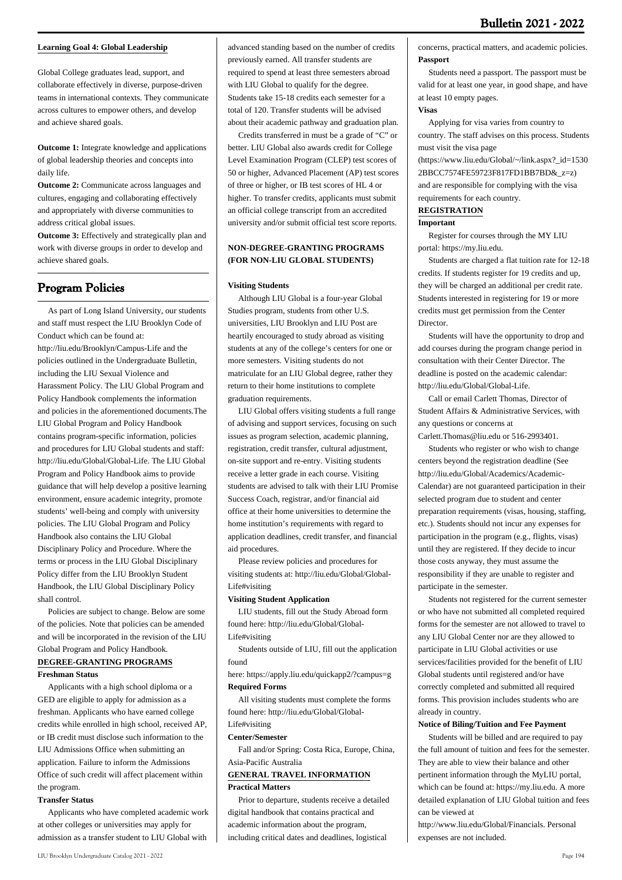## **Learning Goal 4: Global Leadership**

Global College graduates lead, support, and collaborate effectively in diverse, purpose-driven teams in international contexts. They communicate across cultures to empower others, and develop and achieve shared goals.

**Outcome 1:** Integrate knowledge and applications of global leadership theories and concepts into daily life.

**Outcome 2:** Communicate across languages and cultures, engaging and collaborating effectively and appropriately with diverse communities to address critical global issues.

**Outcome 3:** Effectively and strategically plan and work with diverse groups in order to develop and achieve shared goals.

# **Program Policies**

 As part of Long Island University, our students and staff must respect the LIU Brooklyn Code of Conduct which can be found at: http://liu.edu/Brooklyn/Campus-Life and the policies outlined in the Undergraduate Bulletin, including the LIU Sexual Violence and Harassment Policy. The LIU Global Program and Policy Handbook complements the information and policies in the aforementioned documents.The LIU Global Program and Policy Handbook contains program-specific information, policies and procedures for LIU Global students and staff: <http://liu.edu/Global/Global-Life>. The LIU Global Program and Policy Handbook aims to provide guidance that will help develop a positive learning environment, ensure academic integrity, promote students' well-being and comply with university policies. The LIU Global Program and Policy Handbook also contains the LIU Global Disciplinary Policy and Procedure. Where the terms or process in the LIU Global Disciplinary Policy differ from the LIU Brooklyn Student Handbook, the LIU Global Disciplinary Policy shall control.

 Policies are subject to change. Below are some of the policies. Note that policies can be amended and will be incorporated in the revision of the LIU Global Program and Policy Handbook. **DEGREE-GRANTING PROGRAMS**

## **Freshman Status**

 Applicants with a high school diploma or a GED are eligible to apply for admission as a freshman. Applicants who have earned college credits while enrolled in high school, received AP, or IB credit must disclose such information to the LIU Admissions Office when submitting an application. Failure to inform the Admissions Office of such credit will affect placement within the program.

## **Transfer Status**

 Applicants who have completed academic work at other colleges or universities may apply for admission as a transfer student to LIU Global with

advanced standing based on the number of credits previously earned. All transfer students are required to spend at least three semesters abroad with LIU Global to qualify for the degree. Students take 15-18 credits each semester for a total of 120. Transfer students will be advised about their academic pathway and graduation plan.

 Credits transferred in must be a grade of "C" or better. LIU Global also awards credit for College Level Examination Program (CLEP) test scores of 50 or higher, Advanced Placement (AP) test scores of three or higher, or IB test scores of HL 4 or higher. To transfer credits, applicants must submit an official college transcript from an accredited university and/or submit official test score reports.

## **NON-DEGREE-GRANTING PROGRAMS (FOR NON-LIU GLOBAL STUDENTS)**

### **Visiting Students**

 Although LIU Global is a four-year Global Studies program, students from other U.S. universities, LIU Brooklyn and LIU Post are heartily encouraged to study abroad as visiting students at any of the college's centers for one or more semesters. Visiting students do not matriculate for an LIU Global degree, rather they return to their home institutions to complete graduation requirements.

 LIU Global offers visiting students a full range of advising and support services, focusing on such issues as program selection, academic planning, registration, credit transfer, cultural adjustment, on-site support and re-entry. Visiting students receive a letter grade in each course. Visiting students are advised to talk with their LIU Promise Success Coach, registrar, and/or financial aid office at their home universities to determine the home institution's requirements with regard to application deadlines, credit transfer, and financial aid procedures.

 Please review policies and procedures for visiting students at: [http://liu.edu/Global/Global-](http://liu.edu/Global/Global-Life#visiting)[Life#visiting](http://liu.edu/Global/Global-Life#visiting)

## **Visiting Student Application**

 LIU students, fill out the Study Abroad form found here: [http://liu.edu/Global/Global-](http://liu.edu/Global/Global-Life#visiting)[Life#visiting](http://liu.edu/Global/Global-Life#visiting)

 Students outside of LIU, fill out the application found

here: <https://apply.liu.edu/quickapp2/?campus=g> **Required Forms**

 All visiting students must complete the forms found here: [http://liu.edu/Global/Global-](http://liu.edu/Global/Global-Life#visiting)[Life#visiting](http://liu.edu/Global/Global-Life#visiting)

# **Center/Semester**

 Fall and/or Spring: Costa Rica, Europe, China, Asia-Pacific Australia

### **GENERAL TRAVEL INFORMATION Practical Matters**

 Prior to departure, students receive a detailed digital handbook that contains practical and academic information about the program, including critical dates and deadlines, logistical

concerns, practical matters, and academic policies. **Passport**

 Students need a passport. The passport must be valid for at least one year, in good shape, and have at least 10 empty pages.

### **Visas**

 Applying for visa varies from country to country. The staff advises on this process. Students must visit the visa page

(https://www.liu.edu/Global/~/link.aspx?\_id=1530 2BBCC7574FE59723F817FD1BB7BD&\_z=z) and are responsible for complying with the visa requirements for each country.

## **REGISTRATION**

## **Important**

 Register for courses through the MY LIU portal: https://my.liu.edu.

 Students are charged a flat tuition rate for 12-18 credits. If students register for 19 credits and up, they will be charged an additional per credit rate. Students interested in registering for 19 or more credits must get permission from the Center Director.

 Students will have the opportunity to drop and add courses during the program change period in consultation with their Center Director. The deadline is posted on the academic calendar: http://liu.edu/Global/Global-Life.

 Call or email Carlett Thomas, Director of Student Affairs & Administrative Services, with any questions or concerns at

Carlett.Thomas@liu.edu or 516-2993401.

 Students who register or who wish to change centers beyond the registration deadline (See http://liu.edu/Global/Academics/Academic-Calendar) are not guaranteed participation in their selected program due to student and center preparation requirements (visas, housing, staffing, etc.). Students should not incur any expenses for participation in the program (e.g., flights, visas) until they are registered. If they decide to incur those costs anyway, they must assume the responsibility if they are unable to register and participate in the semester.

 Students not registered for the current semester or who have not submitted all completed required forms for the semester are not allowed to travel to any LIU Global Center nor are they allowed to participate in LIU Global activities or use services/facilities provided for the benefit of LIU Global students until registered and/or have correctly completed and submitted all required forms. This provision includes students who are already in country.

## **Notice of Biling/Tuition and Fee Payment**

 Students will be billed and are required to pay the full amount of tuition and fees for the semester. They are able to view their balance and other pertinent information through the MyLIU portal, which can be found at: https://my.liu.edu. A more detailed explanation of LIU Global tuition and fees can be viewed at

http://www.liu.edu/Global/Financials. Personal expenses are not included.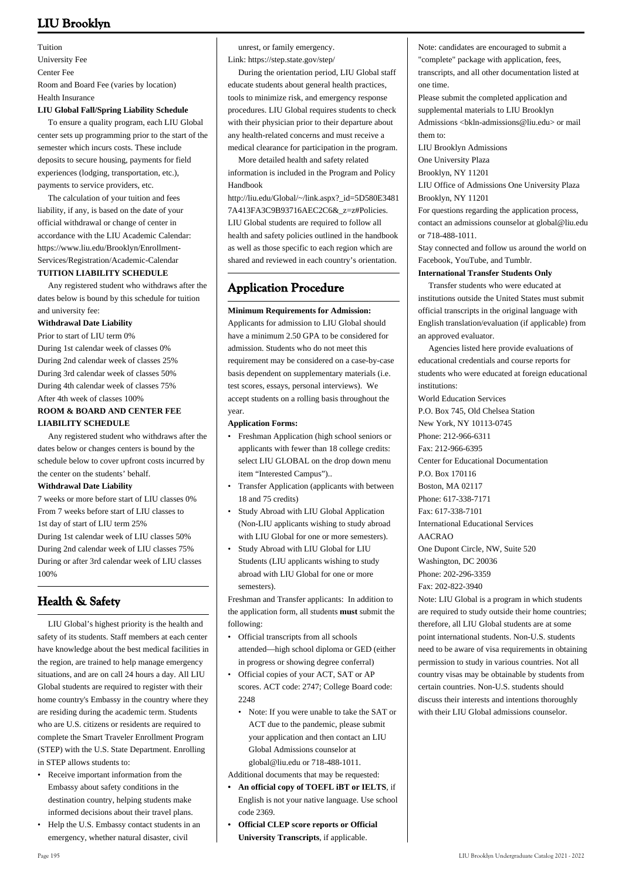Tuition University Fee Center Fee Room and Board Fee (varies by location) Health Insurance

## **LIU Global Fall/Spring Liability Schedule**

 To ensure a quality program, each LIU Global center sets up programming prior to the start of the semester which incurs costs. These include deposits to secure housing, payments for field experiences (lodging, transportation, etc.), payments to service providers, etc.

 The calculation of your tuition and fees liability, if any, is based on the date of your official withdrawal or change of center in accordance with the LIU Academic Calendar: https://www.liu.edu/Brooklyn/Enrollment-Services/Registration/Academic-Calendar **TUITION LIABILITY SCHEDULE**

 Any registered student who withdraws after the dates below is bound by this schedule for tuition and university fee:

#### **Withdrawal Date Liability**

Prior to start of LIU term 0% During 1st calendar week of classes 0% During 2nd calendar week of classes 25% During 3rd calendar week of classes 50% During 4th calendar week of classes 75% After 4th week of classes 100%

## **ROOM & BOARD AND CENTER FEE LIABILITY SCHEDULE**

 Any registered student who withdraws after the dates below or changes centers is bound by the schedule below to cover upfront costs incurred by the center on the students' behalf.

#### **Withdrawal Date Liability**

7 weeks or more before start of LIU classes 0% From 7 weeks before start of LIU classes to 1st day of start of LIU term 25% During 1st calendar week of LIU classes 50% During 2nd calendar week of LIU classes 75% During or after 3rd calendar week of LIU classes 100%

# **Health & Safety**

 LIU Global's highest priority is the health and safety of its students. Staff members at each center have knowledge about the best medical facilities in the region, are trained to help manage emergency situations, and are on call 24 hours a day. All LIU Global students are required to register with their home country's Embassy in the country where they are residing during the academic term. Students who are U.S. citizens or residents are required to complete the Smart Traveler Enrollment Program (STEP) with the U.S. State Department. Enrolling in STEP allows students to:

- Receive important information from the Embassy about safety conditions in the destination country, helping students make informed decisions about their travel plans.
- Help the U.S. Embassy contact students in an emergency, whether natural disaster, civil

unrest, or family emergency.

Link: https://step.state.gov/step/

 During the orientation period, LIU Global staff educate students about general health practices, tools to minimize risk, and emergency response procedures. LIU Global requires students to check with their physician prior to their departure about any health-related concerns and must receive a medical clearance for participation in the program.

 More detailed health and safety related information is included in the Program and Policy Handbook

[http://liu.edu/Global/~/link.aspx?\\_id=5D580E3481](http://liu.edu/Global/~/link.aspx?_id=5D580E34817A413FA3C9B93716AEC2C6&_z=z#Policies) [7A413FA3C9B93716AEC2C6&\\_z=z#Policies](http://liu.edu/Global/~/link.aspx?_id=5D580E34817A413FA3C9B93716AEC2C6&_z=z#Policies). LIU Global students are required to follow all health and safety policies outlined in the handbook as well as those specific to each region which are shared and reviewed in each country's orientation.

## **Application Procedure**

### **Minimum Requirements for Admission:**

Applicants for admission to LIU Global should have a minimum 2.50 GPA to be considered for admission. Students who do not meet this requirement may be considered on a case-by-case basis dependent on supplementary materials (i.e. test scores, essays, personal interviews). We accept students on a rolling basis throughout the year.

## **Application Forms:**

- [Freshman Application](https://apply.liu.edu/quickapp2/?campus=g) (high school seniors or applicants with fewer than 18 college credits: select LIU GLOBAL on the drop down menu item "Interested Campus")..
- [Transfer Application](https://apply.liu.edu/quickapp2/?campus=g) (applicants with between 18 and 75 credits) •
- [Study Abroad with LIU Global Application](https://apply.liu.edu/quickapp2/?campus=g) (Non-LIU applicants wishing to study abroad with LIU Global for one or more semesters). •
- Study Abroad with LIU Global for LIU Students (LIU applicants wishing to study abroad with LIU Global for one or more semesters). •

Freshman and Transfer applicants: In addition to the application form, all students **must** submit the following:

- Official transcripts from all schools attended—high school diploma or GED (either in progress or showing degree conferral)
- Official copies of your ACT, SAT or AP scores. ACT code: 2747; College Board code:  $2248$ •
- Note: If you were unable to take the SAT or ACT due to the pandemic, please submit your application and then contact an LIU Global Admissions counselor at [global@liu.edu](mailto:global@liu.edu) or 718-488-1011.

Additional documents that may be requested:

- **An official copy of TOEFL iBT or IELTS**, if **•** English is not your native language. Use school code 2369.
- **Official CLEP score reports or Official University Transcripts**, if applicable. **•**

Note: candidates are encouraged to submit a "complete" package with application, fees, transcripts, and all other documentation listed at one time. Please submit the completed application and supplemental materials to LIU Brooklyn Admissions <br/> <br/> <br/> <br/> <br/>Admissions@liu.edu> or mail them to: LIU Brooklyn Admissions One University Plaza Brooklyn, NY 11201 LIU Office of Admissions One University Plaza Brooklyn, NY 11201 For questions regarding the application process, contact an admissions counselor at global@liu.edu or 718-488-1011. Stay connected and follow us around the world on [Facebook](http://www.facebook.com/liuglobal), [YouTube](http://www.youtube.com/globalcollegeliu), and [Tumblr.](http://liuglobal.tumblr.com/) **International Transfer Students Only** Transfer students who were educated at institutions outside the United States must submit official transcripts in the original language with English translation/evaluation (if applicable) from an approved evaluator. Agencies listed here provide evaluations of

educational credentials and course reports for students who were educated at foreign educational institutions:

World Education Services P.O. Box 745, Old Chelsea Station New York, NY 10113-0745

Phone: 212-966-6311

Fax: 212-966-6395

Center for Educational Documentation

P.O. Box 170116

Boston, MA 02117

Phone: 617-338-7171

Fax: 617-338-7101 International Educational Services

AACRAO

One Dupont Circle, NW, Suite 520 Washington, DC 20036 Phone: 202-296-3359

Fax: 202-822-3940

Note: LIU Global is a program in which students are required to study outside their home countries; therefore, all LIU Global students are at some point international students. Non-U.S. students need to be aware of visa requirements in obtaining permission to study in various countries. Not all country visas may be obtainable by students from certain countries. Non-U.S. students should discuss their interests and intentions thoroughly with their LIU Global admissions counselor.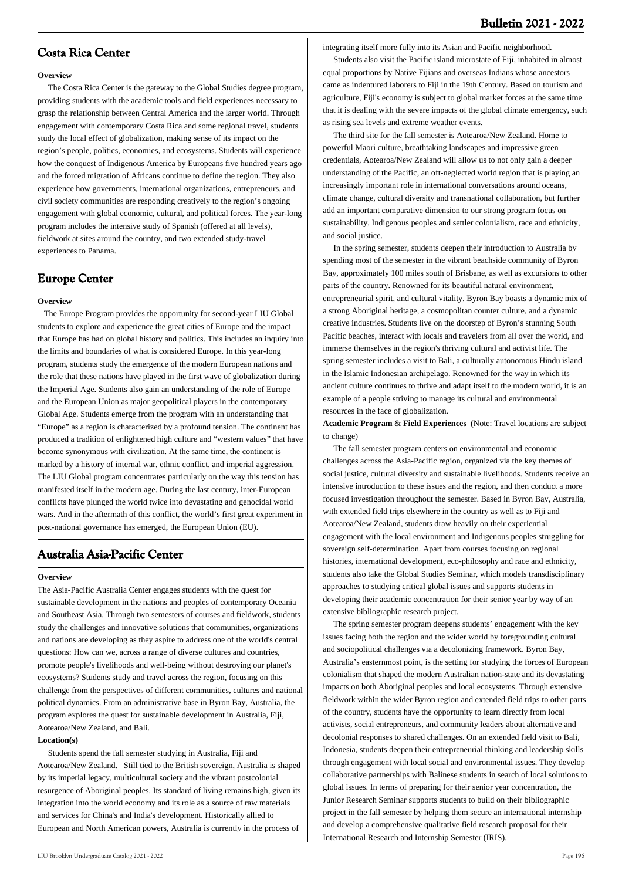## **Costa Rica Center**

#### **Overview**

 The Costa Rica Center is the gateway to the Global Studies degree program, providing students with the academic tools and field experiences necessary to grasp the relationship between Central America and the larger world. Through engagement with contemporary Costa Rica and some regional travel, students study the local effect of globalization, making sense of its impact on the region's people, politics, economies, and ecosystems. Students will experience how the conquest of Indigenous America by Europeans five hundred years ago and the forced migration of Africans continue to define the region. They also experience how governments, international organizations, entrepreneurs, and civil society communities are responding creatively to the region's ongoing engagement with global economic, cultural, and political forces. The year-long program includes the intensive study of Spanish (offered at all levels), fieldwork at sites around the country, and two extended study-travel experiences to Panama.

## **Europe Center**

#### **Overview**

 The Europe Program provides the opportunity for second-year LIU Global students to explore and experience the great cities of Europe and the impact that Europe has had on global history and politics. This includes an inquiry into the limits and boundaries of what is considered Europe. In this year-long program, students study the emergence of the modern European nations and the role that these nations have played in the first wave of globalization during the Imperial Age. Students also gain an understanding of the role of Europe and the European Union as major geopolitical players in the contemporary Global Age. Students emerge from the program with an understanding that "Europe" as a region is characterized by a profound tension. The continent has produced a tradition of enlightened high culture and "western values" that have become synonymous with civilization. At the same time, the continent is marked by a history of internal war, ethnic conflict, and imperial aggression. The LIU Global program concentrates particularly on the way this tension has manifested itself in the modern age. During the last century, inter-European conflicts have plunged the world twice into devastating and genocidal world wars. And in the aftermath of this conflict, the world's first great experiment in post-national governance has emerged, the European Union (EU).

## **Australia Asia-Pacific Center**

#### **Overview**

The Asia-Pacific Australia Center engages students with the quest for sustainable development in the nations and peoples of contemporary Oceania and Southeast Asia. Through two semesters of courses and fieldwork, students study the challenges and innovative solutions that communities, organizations and nations are developing as they aspire to address one of the world's central questions: How can we, across a range of diverse cultures and countries, promote people's livelihoods and well-being without destroying our planet's ecosystems? Students study and travel across the region, focusing on this challenge from the perspectives of different communities, cultures and national political dynamics. From an administrative base in Byron Bay, Australia, the program explores the quest for sustainable development in Australia, Fiji, Aotearoa/New Zealand, and Bali.

#### **Location(s)**

 Students spend the fall semester studying in Australia, Fiji and Aotearoa/New Zealand. Still tied to the British sovereign, Australia is shaped by its imperial legacy, multicultural society and the vibrant postcolonial resurgence of Aboriginal peoples. Its standard of living remains high, given its integration into the world economy and its role as a source of raw materials and services for China's and India's development. Historically allied to European and North American powers, Australia is currently in the process of

integrating itself more fully into its Asian and Pacific neighborhood.

 Students also visit the Pacific island microstate of Fiji, inhabited in almost equal proportions by Native Fijians and overseas Indians whose ancestors came as indentured laborers to Fiji in the 19th Century. Based on tourism and agriculture, Fiji's economy is subject to global market forces at the same time that it is dealing with the severe impacts of the global climate emergency, such as rising sea levels and extreme weather events.

 The third site for the fall semester is Aotearoa/New Zealand. Home to powerful Maori culture, breathtaking landscapes and impressive green credentials, Aotearoa/New Zealand will allow us to not only gain a deeper understanding of the Pacific, an oft-neglected world region that is playing an increasingly important role in international conversations around oceans, climate change, cultural diversity and transnational collaboration, but further add an important comparative dimension to our strong program focus on sustainability, Indigenous peoples and settler colonialism, race and ethnicity, and social justice.

 In the spring semester, students deepen their introduction to Australia by spending most of the semester in the vibrant beachside community of Byron Bay, approximately 100 miles south of Brisbane, as well as excursions to other parts of the country. Renowned for its beautiful natural environment, entrepreneurial spirit, and cultural vitality, Byron Bay boasts a dynamic mix of a strong Aboriginal heritage, a cosmopolitan counter culture, and a dynamic creative industries. Students live on the doorstep of Byron's stunning South Pacific beaches, interact with locals and travelers from all over the world, and immerse themselves in the region's thriving cultural and activist life. The spring semester includes a visit to Bali, a culturally autonomous Hindu island in the Islamic Indonesian archipelago. Renowned for the way in which its ancient culture continues to thrive and adapt itself to the modern world, it is an example of a people striving to manage its cultural and environmental resources in the face of globalization.

**Academic Program** & **Field Experiences (**Note: Travel locations are subject to change)

 The fall semester program centers on environmental and economic challenges across the Asia-Pacific region, organized via the key themes of social justice, cultural diversity and sustainable livelihoods. Students receive an intensive introduction to these issues and the region, and then conduct a more focused investigation throughout the semester. Based in Byron Bay, Australia, with extended field trips elsewhere in the country as well as to Fiji and Aotearoa/New Zealand, students draw heavily on their experiential engagement with the local environment and Indigenous peoples struggling for sovereign self-determination. Apart from courses focusing on regional histories, international development, eco-philosophy and race and ethnicity, students also take the Global Studies Seminar, which models transdisciplinary approaches to studying critical global issues and supports students in developing their academic concentration for their senior year by way of an extensive bibliographic research project.

 The spring semester program deepens students' engagement with the key issues facing both the region and the wider world by foregrounding cultural and sociopolitical challenges via a decolonizing framework. Byron Bay, Australia's easternmost point, is the setting for studying the forces of European colonialism that shaped the modern Australian nation-state and its devastating impacts on both Aboriginal peoples and local ecosystems. Through extensive fieldwork within the wider Byron region and extended field trips to other parts of the country, students have the opportunity to learn directly from local activists, social entrepreneurs, and community leaders about alternative and decolonial responses to shared challenges. On an extended field visit to Bali, Indonesia, students deepen their entrepreneurial thinking and leadership skills through engagement with local social and environmental issues. They develop collaborative partnerships with Balinese students in search of local solutions to global issues. In terms of preparing for their senior year concentration, the Junior Research Seminar supports students to build on their bibliographic project in the fall semester by helping them secure an international internship and develop a comprehensive qualitative field research proposal for their International Research and Internship Semester (IRIS).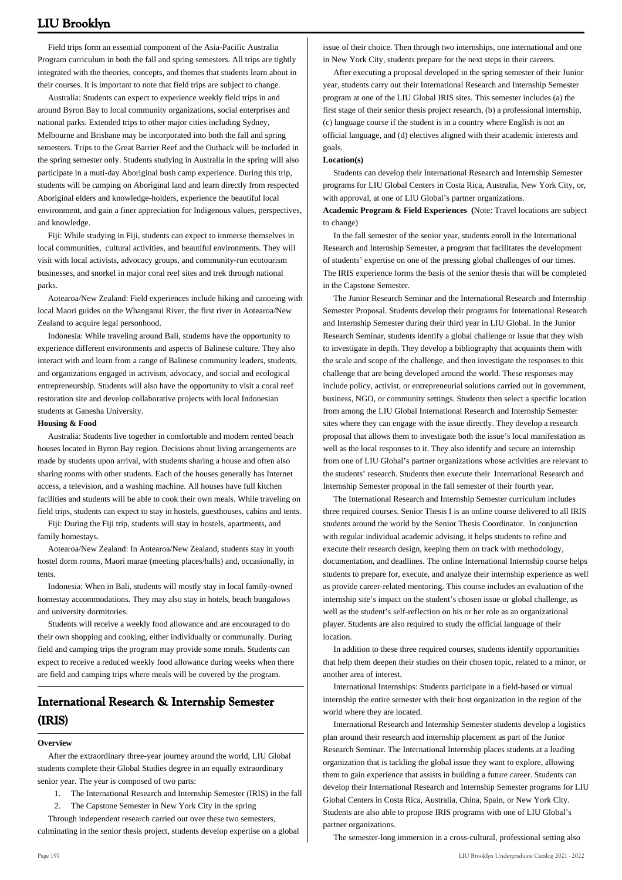Field trips form an essential component of the Asia-Pacific Australia Program curriculum in both the fall and spring semesters. All trips are tightly integrated with the theories, concepts, and themes that students learn about in their courses. It is important to note that field trips are subject to change.

 Australia: Students can expect to experience weekly field trips in and around Byron Bay to local community organizations, social enterprises and national parks. Extended trips to other major cities including Sydney, Melbourne and Brisbane may be incorporated into both the fall and spring semesters. Trips to the Great Barrier Reef and the Outback will be included in the spring semester only. Students studying in Australia in the spring will also participate in a muti-day Aboriginal bush camp experience. During this trip, students will be camping on Aboriginal land and learn directly from respected Aboriginal elders and knowledge-holders, experience the beautiful local environment, and gain a finer appreciation for Indigenous values, perspectives, and knowledge.

 Fiji: While studying in Fiji, students can expect to immerse themselves in local communities, cultural activities, and beautiful environments. They will visit with local activists, advocacy groups, and community-run ecotourism businesses, and snorkel in major coral reef sites and trek through national parks.

 Aotearoa/New Zealand: Field experiences include hiking and canoeing with local Maori guides on the Whanganui River, the first river in Aotearoa/New Zealand to acquire legal personhood.

 Indonesia: While traveling around Bali, students have the opportunity to experience different environments and aspects of Balinese culture. They also interact with and learn from a range of Balinese community leaders, students, and organizations engaged in activism, advocacy, and social and ecological entrepreneurship. Students will also have the opportunity to visit a coral reef restoration site and develop collaborative projects with local Indonesian students at Ganesha University.

#### **Housing & Food**

 Australia: Students live together in comfortable and modern rented beach houses located in Byron Bay region. Decisions about living arrangements are made by students upon arrival, with students sharing a house and often also sharing rooms with other students. Each of the houses generally has Internet access, a television, and a washing machine. All houses have full kitchen facilities and students will be able to cook their own meals. While traveling on field trips, students can expect to stay in hostels, guesthouses, cabins and tents.

 Fiji: During the Fiji trip, students will stay in hostels, apartments, and family homestays.

 Aotearoa/New Zealand: In Aotearoa/New Zealand, students stay in youth hostel dorm rooms, Maori marae (meeting places/halls) and, occasionally, in tents.

 Indonesia: When in Bali, students will mostly stay in local family-owned homestay accommodations. They may also stay in hotels, beach bungalows and university dormitories.

 Students will receive a weekly food allowance and are encouraged to do their own shopping and cooking, either individually or communally. During field and camping trips the program may provide some meals. Students can expect to receive a reduced weekly food allowance during weeks when there are field and camping trips where meals will be covered by the program.

# **International Research & Internship Semester (IRIS)**

#### **Overview**

 After the extraordinary three-year journey around the world, LIU Global students complete their Global Studies degree in an equally extraordinary senior year. The year is composed of two parts:

- 1. The International Research and Internship Semester (IRIS) in the fall
- 2. The Capstone Semester in New York City in the spring

 Through independent research carried out over these two semesters, culminating in the senior thesis project, students develop expertise on a global

issue of their choice. Then through two internships, one international and one in New York City, students prepare for the next steps in their careers.

 After executing a proposal developed in the spring semester of their Junior year, students carry out their International Research and Internship Semester program at one of the LIU Global IRIS sites. This semester includes (a) the first stage of their senior thesis project research, (b) a professional internship, (c) language course if the student is in a country where English is not an official language, and (d) electives aligned with their academic interests and goals.

#### **Location(s)**

 Students can develop their International Research and Internship Semester programs for LIU Global Centers in Costa Rica, Australia, New York City, or, with approval, at one of LIU Global's partner organizations.

**Academic Program & Field Experiences (**Note: Travel locations are subject to change)

 In the fall semester of the senior year, students enroll in the International Research and Internship Semester, a program that facilitates the development of students' expertise on one of the pressing global challenges of our times. The IRIS experience forms the basis of the senior thesis that will be completed in the Capstone Semester.

 The Junior Research Seminar and the International Research and Internship Semester Proposal. Students develop their programs for International Research and Internship Semester during their third year in LIU Global. In the Junior Research Seminar, students identify a global challenge or issue that they wish to investigate in depth. They develop a bibliography that acquaints them with the scale and scope of the challenge, and then investigate the responses to this challenge that are being developed around the world. These responses may include policy, activist, or entrepreneurial solutions carried out in government, business, NGO, or community settings. Students then select a specific location from among the LIU Global International Research and Internship Semester sites where they can engage with the issue directly. They develop a research proposal that allows them to investigate both the issue's local manifestation as well as the local responses to it. They also identify and secure an internship from one of LIU Global's partner organizations whose activities are relevant to the students' research. Students then execute their International Research and Internship Semester proposal in the fall semester of their fourth year.

 The International Research and Internship Semester curriculum includes three required courses. Senior Thesis I is an online course delivered to all IRIS students around the world by the Senior Thesis Coordinator. In conjunction with regular individual academic advising, it helps students to refine and execute their research design, keeping them on track with methodology, documentation, and deadlines. The online International Internship course helps students to prepare for, execute, and analyze their internship experience as well as provide career-related mentoring. This course includes an evaluation of the internship site's impact on the student's chosen issue or global challenge, as well as the student's self-reflection on his or her role as an organizational player. Students are also required to study the official language of their location.

 In addition to these three required courses, students identify opportunities that help them deepen their studies on their chosen topic, related to a minor, or another area of interest.

 International Internships: Students participate in a field-based or virtual internship the entire semester with their host organization in the region of the world where they are located.

 International Research and Internship Semester students develop a logistics plan around their research and internship placement as part of the Junior Research Seminar. The International Internship places students at a leading organization that is tackling the global issue they want to explore, allowing them to gain experience that assists in building a future career. Students can develop their International Research and Internship Semester programs for LIU Global Centers in Costa Rica, Australia, China, Spain, or New York City. Students are also able to propose IRIS programs with one of LIU Global's partner organizations.

The semester-long immersion in a cross-cultural, professional setting also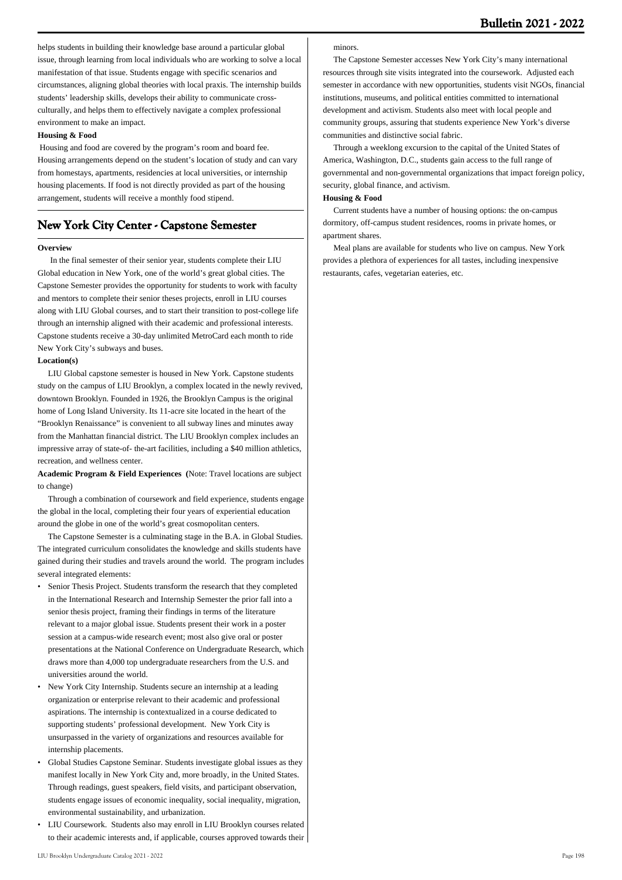helps students in building their knowledge base around a particular global issue, through learning from local individuals who are working to solve a local manifestation of that issue. Students engage with specific scenarios and circumstances, aligning global theories with local praxis. The internship builds students' leadership skills, develops their ability to communicate crossculturally, and helps them to effectively navigate a complex professional environment to make an impact.

#### **Housing & Food**

 Housing and food are covered by the program's room and board fee. Housing arrangements depend on the student's location of study and can vary from homestays, apartments, residencies at local universities, or internship housing placements. If food is not directly provided as part of the housing arrangement, students will receive a monthly food stipend.

## **New York City Center - Capstone Semester**

## **Overview**

 In the final semester of their senior year, students complete their LIU Global education in New York, one of the world's great global cities. The Capstone Semester provides the opportunity for students to work with faculty and mentors to complete their senior theses projects, enroll in LIU courses along with LIU Global courses, and to start their transition to post-college life through an internship aligned with their academic and professional interests. Capstone students receive a 30-day unlimited MetroCard each month to ride New York City's subways and buses.

#### **Location(s)**

 LIU Global capstone semester is housed in New York. Capstone students study on the campus of LIU Brooklyn, a complex located in the newly revived, downtown Brooklyn. Founded in 1926, the Brooklyn Campus is the original home of Long Island University. Its 11-acre site located in the heart of the "Brooklyn Renaissance" is convenient to all subway lines and minutes away from the Manhattan financial district. The LIU Brooklyn complex includes an impressive array of state-of- the-art facilities, including a \$40 million athletics, recreation, and wellness center.

### **Academic Program & Field Experiences (**Note: Travel locations are subject to change)

 Through a combination of coursework and field experience, students engage the global in the local, completing their four years of experiential education around the globe in one of the world's great cosmopolitan centers.

 The Capstone Semester is a culminating stage in the B.A. in Global Studies. The integrated curriculum consolidates the knowledge and skills students have gained during their studies and travels around the world. The program includes several integrated elements:

- Senior Thesis Project. Students transform the research that they completed in the International Research and Internship Semester the prior fall into a senior thesis project, framing their findings in terms of the literature relevant to a major global issue. Students present their work in a poster session at a campus-wide research event; most also give oral or poster presentations at the National Conference on Undergraduate Research, which draws more than 4,000 top undergraduate researchers from the U.S. and universities around the world. •
- New York City Internship. Students secure an internship at a leading organization or enterprise relevant to their academic and professional aspirations. The internship is contextualized in a course dedicated to supporting students' professional development. New York City is unsurpassed in the variety of organizations and resources available for internship placements. •
- Global Studies Capstone Seminar. Students investigate global issues as they manifest locally in New York City and, more broadly, in the United States. Through readings, guest speakers, field visits, and participant observation, students engage issues of economic inequality, social inequality, migration, environmental sustainability, and urbanization. •
- LIU Coursework. Students also may enroll in LIU Brooklyn courses related to their academic interests and, if applicable, courses approved towards their •

## minors.

 The Capstone Semester accesses New York City's many international resources through site visits integrated into the coursework. Adjusted each semester in accordance with new opportunities, students visit NGOs, financial institutions, museums, and political entities committed to international development and activism. Students also meet with local people and community groups, assuring that students experience New York's diverse communities and distinctive social fabric.

 Through a weeklong excursion to the capital of the United States of America, Washington, D.C., students gain access to the full range of governmental and non-governmental organizations that impact foreign policy, security, global finance, and activism.

## **Housing & Food**

 Current students have a number of housing options: the on-campus dormitory, off-campus student residences, rooms in private homes, or apartment shares.

 Meal plans are available for students who live on campus. New York provides a plethora of experiences for all tastes, including inexpensive restaurants, cafes, vegetarian eateries, etc.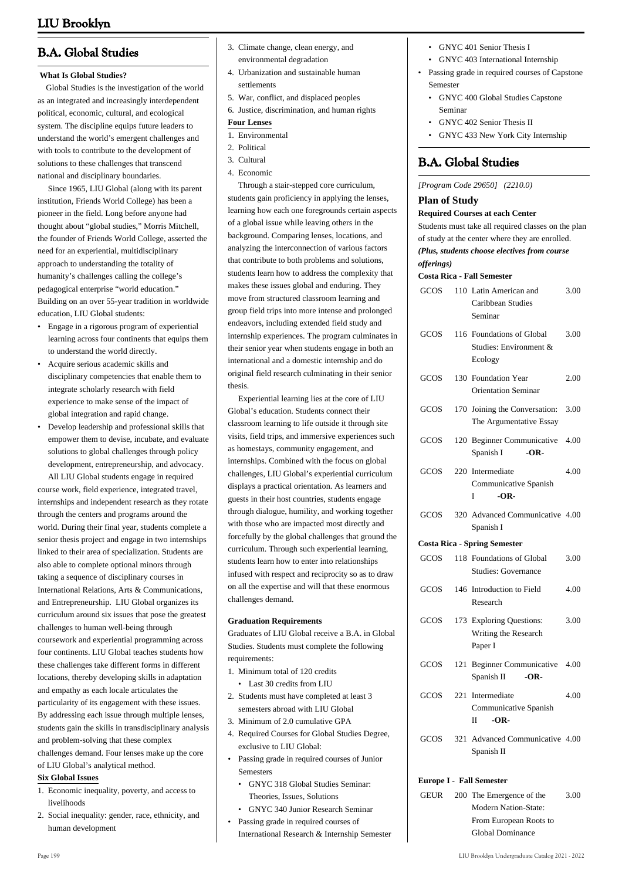# **B.A. Global Studies**

## **What Is Global Studies?**

 Global Studies is the investigation of the world as an integrated and increasingly interdependent political, economic, cultural, and ecological system. The discipline equips future leaders to understand the world's emergent challenges and with tools to contribute to the development of solutions to these challenges that transcend national and disciplinary boundaries.

 Since 1965, LIU Global (along with its parent institution, Friends World College) has been a pioneer in the field. Long before anyone had thought about "global studies," Morris Mitchell, the founder of Friends World College, asserted the need for an experiential, multidisciplinary approach to understanding the totality of humanity's challenges calling the college's pedagogical enterprise "world education." Building on an over 55-year tradition in worldwide education, LIU Global students:

- Engage in a rigorous program of experiential learning across four continents that equips them to understand the world directly.
- Acquire serious academic skills and disciplinary competencies that enable them to integrate scholarly research with field experience to make sense of the impact of global integration and rapid change.
- Develop leadership and professional skills that empower them to devise, incubate, and evaluate solutions to global challenges through policy development, entrepreneurship, and advocacy.

 All LIU Global students engage in required course work, field experience, integrated travel, internships and independent research as they rotate through the centers and programs around the world. During their final year, students complete a senior thesis project and engage in two internships linked to their area of specialization. Students are also able to complete optional minors through taking a sequence of disciplinary courses in International Relations, Arts & Communications, and Entrepreneurship. LIU Global organizes its curriculum around six issues that pose the greatest challenges to human well-being through coursework and experiential programming across four continents. LIU Global teaches students how these challenges take different forms in different locations, thereby developing skills in adaptation and empathy as each locale articulates the particularity of its engagement with these issues. By addressing each issue through multiple lenses, students gain the skills in transdisciplinary analysis and problem-solving that these complex challenges demand. Four lenses make up the core of LIU Global's analytical method.

#### **Six Global Issues**

- Economic inequality, poverty, and access to 1. livelihoods
- 2. Social inequality: gender, race, ethnicity, and human development
- 3. Climate change, clean energy, and environmental degradation
- Urbanization and sustainable human 4. settlements
- 5. War, conflict, and displaced peoples
- 6. Justice, discrimination, and human rights

## **Four Lenses**

- 1. Environmental
- 2. Political
- 3. Cultural
- 4. Economic

 Through a stair-stepped core curriculum, students gain proficiency in applying the lenses, learning how each one foregrounds certain aspects of a global issue while leaving others in the background. Comparing lenses, locations, and analyzing the interconnection of various factors that contribute to both problems and solutions, students learn how to address the complexity that makes these issues global and enduring. They move from structured classroom learning and group field trips into more intense and prolonged endeavors, including extended field study and internship experiences. The program culminates in their senior year when students engage in both an international and a domestic internship and do original field research culminating in their senior thesis.

 Experiential learning lies at the core of LIU Global's education. Students connect their classroom learning to life outside it through site visits, field trips, and immersive experiences such as homestays, community engagement, and internships. Combined with the focus on global challenges, LIU Global's experiential curriculum displays a practical orientation. As learners and guests in their host countries, students engage through dialogue, humility, and working together with those who are impacted most directly and forcefully by the global challenges that ground the curriculum. Through such experiential learning, students learn how to enter into relationships infused with respect and reciprocity so as to draw on all the expertise and will that these enormous challenges demand.

## **Graduation Requirements**

Graduates of LIU Global receive a B.A. in Global Studies. Students must complete the following requirements:

- 1. Minimum total of 120 credits
	- Last 30 credits from LILL
- 2. Students must have completed at least 3 semesters abroad with LIU Global
- 3. Minimum of 2.0 cumulative GPA
- 4. Required Courses for Global Studies Degree, exclusive to LIU Global:
- Passing grade in required courses of Junior Semesters •
- GNYC 318 Global Studies Seminar: Theories, Issues, Solutions
- GNYC 340 Junior Research Seminar Passing grade in required courses of International Research & Internship Semester •
- GNYC 401 Senior Thesis I
- GNYC 403 International Internship
- Passing grade in required courses of Capstone Semester
	- GNYC 400 Global Studies Capstone Seminar
	- GNYC 402 Senior Thesis II
	- GNYC 433 New York City Internship

# **B.A. Global Studies**

## *[Program Code 29650] (2210.0)*

## **Plan of Study**

## **Required Courses at each Center**

Students must take all required classes on the plan of study at the center where they are enrolled. *(Plus, students choose electives from course offerings)* **Costa Rica - Fall Semester** GCOS 110 Latin American and Caribbean Studies Seminar 3.00

|      | GCOS 116 Foundations of Global     | 3.00 |
|------|------------------------------------|------|
|      | Studies: Environment &             |      |
|      | Ecology                            |      |
| GCOS | 130 Foundation Year                | 2.00 |
|      | <b>Orientation Seminar</b>         |      |
| GCOS | 170 Joining the Conversation: 3.00 |      |
|      | The Argumentative Essay            |      |
| GCOS | 120 Beginner Communicative 4.00    |      |
|      | Spanish I<br>$-OR-$                |      |

|  | GCOS 220 Intermediate | 4.00 |
|--|-----------------------|------|
|  | Communicative Spanish |      |
|  | $-OR-$                |      |

|  | GCOS 320 Advanced Communicative 4.00 |  |
|--|--------------------------------------|--|
|  | Spanish I                            |  |

## **Costa Rica - Spring Semester**

| GCOS | 118 Foundations of Global<br>Studies: Governance            | 3.00 |
|------|-------------------------------------------------------------|------|
| GCOS | 146 Introduction to Field<br>Research                       | 4.00 |
| GCOS | 173 Exploring Questions:<br>Writing the Research<br>Paper I | 3.00 |

|  | GCOS 121 Beginner Communicative 4.00<br>Spanish II $-OR$               |      |
|--|------------------------------------------------------------------------|------|
|  | GCOS 221 Intermediate<br>Communicative Spanish<br>-OR-<br>$\mathbf{H}$ | 4.00 |

GCOS 321 Advanced Communicative 4.00 Spanish II

## **Europe I - Fall Semester**

GEUR 200 The Emergence of the Modern Nation-State: From European Roots to Global Dominance 3.00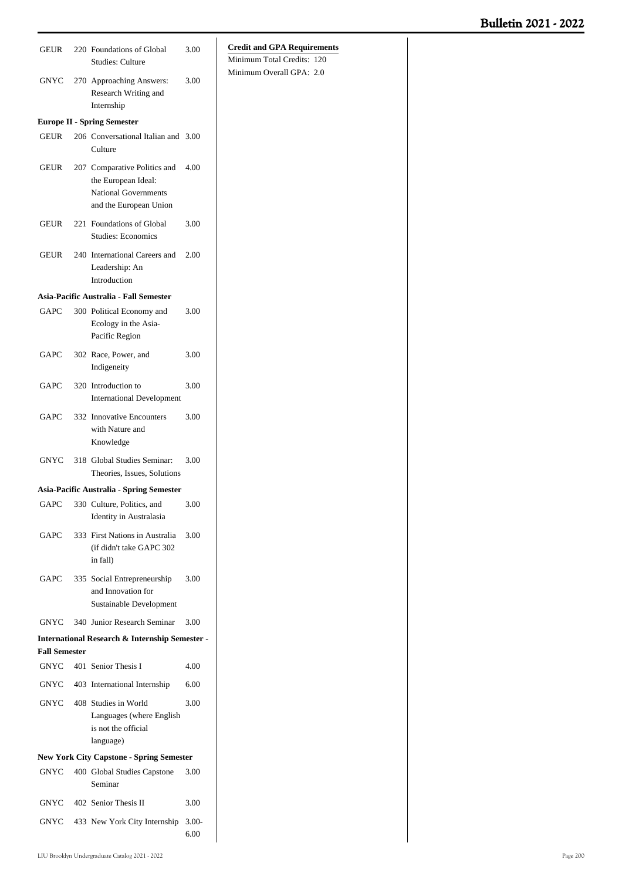| <b>GEUR</b>          | 220 Foundations of Global<br><b>Studies: Culture</b>                                                         | 3.00            | <b>Credit and GPA Requirements</b><br>Minimum Total Credits: 120 |
|----------------------|--------------------------------------------------------------------------------------------------------------|-----------------|------------------------------------------------------------------|
| <b>GNYC</b>          | 270 Approaching Answers:<br>Research Writing and<br>Internship                                               | 3.00            | Minimum Overall GPA: 2.0                                         |
|                      | <b>Europe II - Spring Semester</b>                                                                           |                 |                                                                  |
| <b>GEUR</b>          | 206 Conversational Italian and 3.00<br>Culture                                                               |                 |                                                                  |
| GEUR                 | 207 Comparative Politics and<br>the European Ideal:<br><b>National Governments</b><br>and the European Union | 4.00            |                                                                  |
| GEUR                 | 221 Foundations of Global<br><b>Studies: Economics</b>                                                       | 3.00            |                                                                  |
| GEUR                 | 240 International Careers and<br>Leadership: An<br>Introduction                                              | 2.00            |                                                                  |
|                      | Asia-Pacific Australia - Fall Semester                                                                       |                 |                                                                  |
| GAPC                 | 300 Political Economy and<br>Ecology in the Asia-<br>Pacific Region                                          | 3.00            |                                                                  |
| <b>GAPC</b>          | 302 Race, Power, and<br>Indigeneity                                                                          | 3.00            |                                                                  |
| GAPC                 | 320 Introduction to<br><b>International Development</b>                                                      | 3.00            |                                                                  |
| GAPC                 | 332 Innovative Encounters<br>with Nature and<br>Knowledge                                                    | 3.00            |                                                                  |
| GNYC                 | 318 Global Studies Seminar:<br>Theories, Issues, Solutions                                                   | 3.00            |                                                                  |
|                      | Asia-Pacific Australia - Spring Semester                                                                     |                 |                                                                  |
|                      | GAPC 330 Culture, Politics, and<br>Identity in Australasia                                                   | $3.00\,$        |                                                                  |
| GAPC                 | 333 First Nations in Australia<br>(if didn't take GAPC 302<br>in fall)                                       | 3.00            |                                                                  |
| GAPC                 | 335 Social Entrepreneurship<br>and Innovation for<br>Sustainable Development                                 | 3.00            |                                                                  |
| <b>GNYC</b>          | 340 Junior Research Seminar                                                                                  | 3.00            |                                                                  |
|                      | International Research & Internship Semester -                                                               |                 |                                                                  |
| <b>Fall Semester</b> |                                                                                                              |                 |                                                                  |
| GNYC                 | 401 Senior Thesis I                                                                                          | 4.00            |                                                                  |
| <b>GNYC</b>          | 403 International Internship                                                                                 | 6.00            |                                                                  |
| GNYC                 | 408 Studies in World<br>Languages (where English<br>is not the official<br>language)                         | 3.00            |                                                                  |
|                      | <b>New York City Capstone - Spring Semester</b>                                                              |                 |                                                                  |
| GNYC                 | 400 Global Studies Capstone<br>Seminar                                                                       | 3.00            |                                                                  |
| GNYC                 | 402 Senior Thesis II                                                                                         | 3.00            |                                                                  |
| GNYC                 | 433 New York City Internship                                                                                 | $3.00-$<br>6.00 |                                                                  |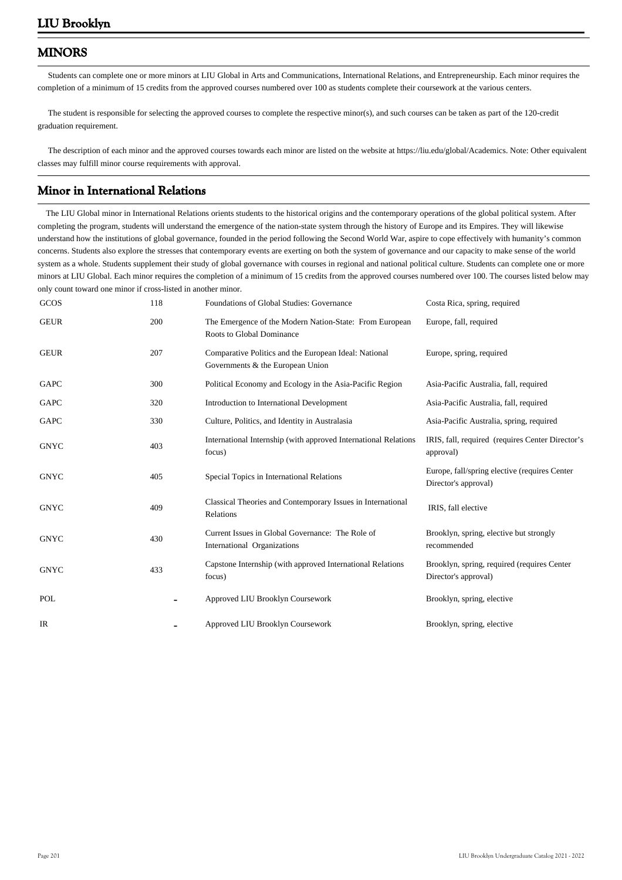# **MINORS**

 Students can complete one or more minors at LIU Global in Arts and Communications, International Relations, and Entrepreneurship. Each minor requires the completion of a minimum of 15 credits from the approved courses numbered over 100 as students complete their coursework at the various centers.

 The student is responsible for selecting the approved courses to complete the respective minor(s), and such courses can be taken as part of the 120-credit graduation requirement.

 The description of each minor and the approved courses towards each minor are listed on the website at https://liu.edu/global/Academics. Note: Other equivalent classes may fulfill minor course requirements with approval.

## **Minor in International Relations**

 The LIU Global minor in International Relations orients students to the historical origins and the contemporary operations of the global political system. After completing the program, students will understand the emergence of the nation-state system through the history of Europe and its Empires. They will likewise understand how the institutions of global governance, founded in the period following the Second World War, aspire to cope effectively with humanity's common concerns. Students also explore the stresses that contemporary events are exerting on both the system of governance and our capacity to make sense of the world system as a whole. Students supplement their study of global governance with courses in regional and national political culture. Students can complete one or more minors at LIU Global. Each minor requires the completion of a minimum of 15 credits from the approved courses numbered over 100. The courses listed below may only count toward one minor if cross-listed in another minor.

| GCOS        | 118 | Foundations of Global Studies: Governance                                                 | Costa Rica, spring, required                                           |
|-------------|-----|-------------------------------------------------------------------------------------------|------------------------------------------------------------------------|
| <b>GEUR</b> | 200 | The Emergence of the Modern Nation-State: From European<br>Roots to Global Dominance      | Europe, fall, required                                                 |
| <b>GEUR</b> | 207 | Comparative Politics and the European Ideal: National<br>Governments & the European Union | Europe, spring, required                                               |
| GAPC        | 300 | Political Economy and Ecology in the Asia-Pacific Region                                  | Asia-Pacific Australia, fall, required                                 |
| GAPC        | 320 | Introduction to International Development                                                 | Asia-Pacific Australia, fall, required                                 |
| GAPC        | 330 | Culture, Politics, and Identity in Australasia                                            | Asia-Pacific Australia, spring, required                               |
| <b>GNYC</b> | 403 | International Internship (with approved International Relations<br>focus)                 | IRIS, fall, required (requires Center Director's<br>approval)          |
| <b>GNYC</b> | 405 | Special Topics in International Relations                                                 | Europe, fall/spring elective (requires Center)<br>Director's approval) |
| <b>GNYC</b> | 409 | Classical Theories and Contemporary Issues in International<br>Relations                  | IRIS, fall elective                                                    |
| <b>GNYC</b> | 430 | Current Issues in Global Governance: The Role of<br>International Organizations           | Brooklyn, spring, elective but strongly<br>recommended                 |
| <b>GNYC</b> |     | Capstone Internship (with approved International Relations)                               | Brooklyn, spring, required (requires Center)                           |
|             | 433 | focus)                                                                                    | Director's approval)                                                   |
| POL         |     | Approved LIU Brooklyn Coursework                                                          | Brooklyn, spring, elective                                             |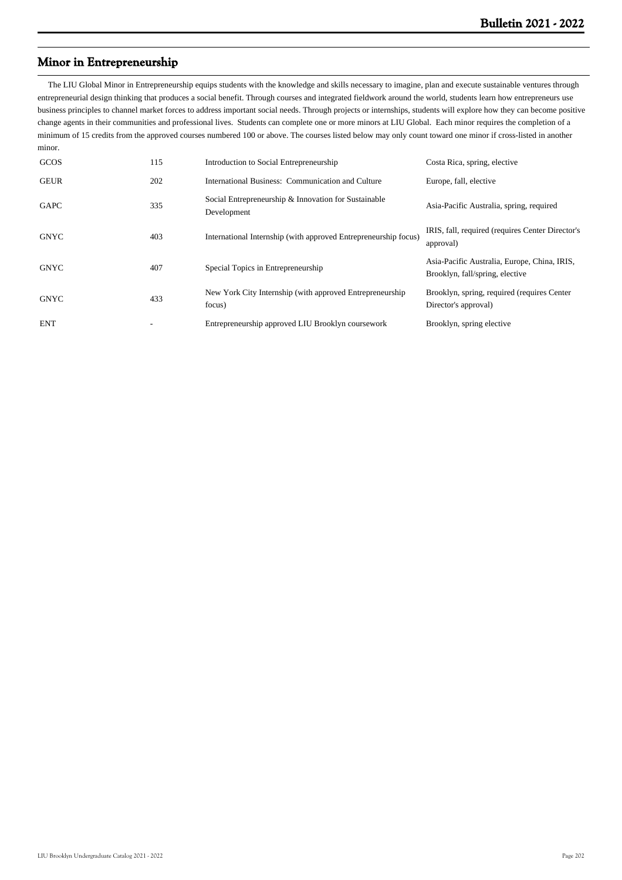## **Minor in Entrepreneurship**

 The LIU Global Minor in Entrepreneurship equips students with the knowledge and skills necessary to imagine, plan and execute sustainable ventures through entrepreneurial design thinking that produces a social benefit. Through courses and integrated fieldwork around the world, students learn how entrepreneurs use business principles to channel market forces to address important social needs. Through projects or internships, students will explore how they can become positive change agents in their communities and professional lives. Students can complete one or more minors at LIU Global. Each minor requires the completion of a minimum of 15 credits from the approved courses numbered 100 or above. The courses listed below may only count toward one minor if cross-listed in another minor.

| GCOS        | 115 | Introduction to Social Entrepreneurship                             | Costa Rica, spring, elective                                                    |
|-------------|-----|---------------------------------------------------------------------|---------------------------------------------------------------------------------|
| <b>GEUR</b> | 202 | International Business: Communication and Culture                   | Europe, fall, elective                                                          |
| <b>GAPC</b> | 335 | Social Entrepreneurship & Innovation for Sustainable<br>Development | Asia-Pacific Australia, spring, required                                        |
| <b>GNYC</b> | 403 | International Internship (with approved Entrepreneurship focus)     | IRIS, fall, required (requires Center Director's<br>approval)                   |
| <b>GNYC</b> | 407 | Special Topics in Entrepreneurship                                  | Asia-Pacific Australia, Europe, China, IRIS,<br>Brooklyn, fall/spring, elective |
| <b>GNYC</b> | 433 | New York City Internship (with approved Entrepreneurship<br>focus)  | Brooklyn, spring, required (requires Center)<br>Director's approval)            |
| <b>ENT</b>  |     | Entrepreneurship approved LIU Brooklyn coursework                   | Brooklyn, spring elective                                                       |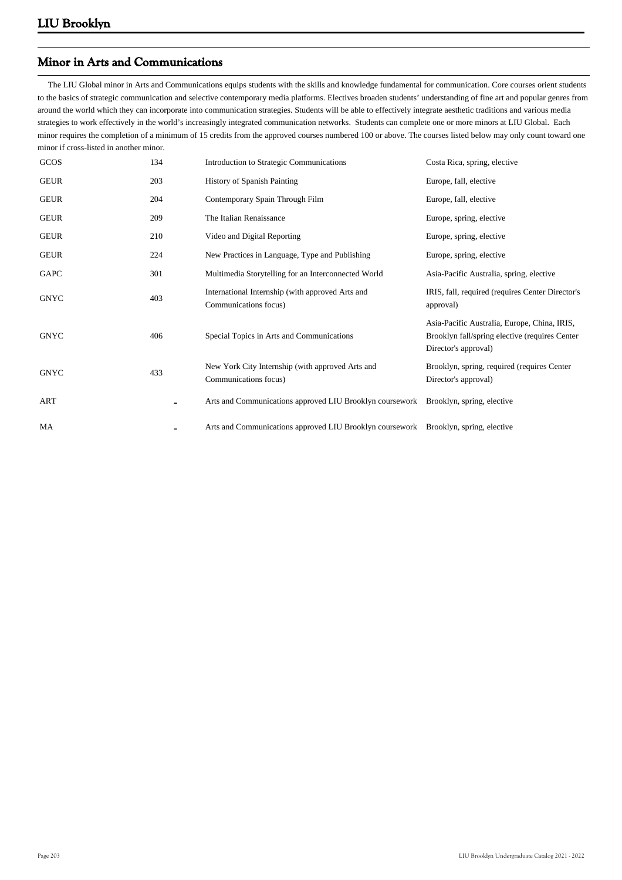# **Minor in Arts and Communications**

 The LIU Global minor in Arts and Communications equips students with the skills and knowledge fundamental for communication. Core courses orient students to the basics of strategic communication and selective contemporary media platforms. Electives broaden students' understanding of fine art and popular genres from around the world which they can incorporate into communication strategies. Students will be able to effectively integrate aesthetic traditions and various media strategies to work effectively in the world's increasingly integrated communication networks. Students can complete one or more minors at LIU Global. Each minor requires the completion of a minimum of 15 credits from the approved courses numbered 100 or above. The courses listed below may only count toward one minor if cross-listed in another minor.

| GCOS        | 134 | Introduction to Strategic Communications                                            | Costa Rica, spring, elective                                                                                           |
|-------------|-----|-------------------------------------------------------------------------------------|------------------------------------------------------------------------------------------------------------------------|
| <b>GEUR</b> | 203 | <b>History of Spanish Painting</b>                                                  | Europe, fall, elective                                                                                                 |
| <b>GEUR</b> | 204 | Contemporary Spain Through Film                                                     | Europe, fall, elective                                                                                                 |
| <b>GEUR</b> | 209 | The Italian Renaissance                                                             | Europe, spring, elective                                                                                               |
| <b>GEUR</b> | 210 | Video and Digital Reporting                                                         | Europe, spring, elective                                                                                               |
| <b>GEUR</b> | 224 | New Practices in Language, Type and Publishing                                      | Europe, spring, elective                                                                                               |
| GAPC        | 301 | Multimedia Storytelling for an Interconnected World                                 | Asia-Pacific Australia, spring, elective                                                                               |
| <b>GNYC</b> | 403 | International Internship (with approved Arts and<br>Communications focus)           | IRIS, fall, required (requires Center Director's<br>approval)                                                          |
| <b>GNYC</b> | 406 | Special Topics in Arts and Communications                                           | Asia-Pacific Australia, Europe, China, IRIS,<br>Brooklyn fall/spring elective (requires Center<br>Director's approval) |
| <b>GNYC</b> | 433 | New York City Internship (with approved Arts and<br>Communications focus)           | Brooklyn, spring, required (requires Center)<br>Director's approval)                                                   |
| ART         |     | Arts and Communications approved LIU Brooklyn coursework Brooklyn, spring, elective |                                                                                                                        |
| MA          |     | Arts and Communications approved LIU Brooklyn coursework Brooklyn, spring, elective |                                                                                                                        |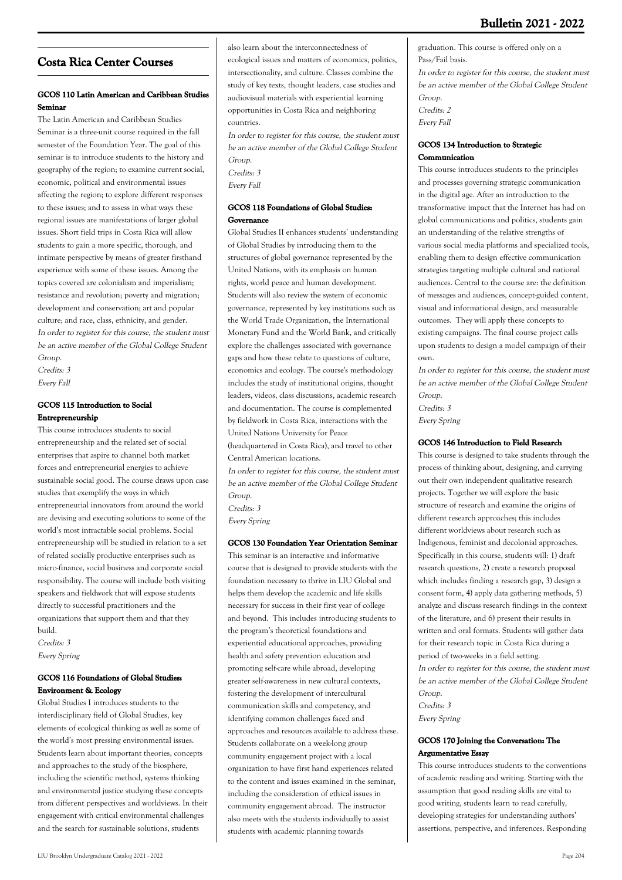# **Costa Rica Center Courses**

## **GCOS 110 Latin American and Caribbean Studies Seminar**

The Latin American and Caribbean Studies Seminar is a three-unit course required in the fall semester of the Foundation Year. The goal of this seminar is to introduce students to the history and geography of the region; to examine current social, economic, political and environmental issues affecting the region; to explore different responses to these issues; and to assess in what ways these regional issues are manifestations of larger global issues. Short field trips in Costa Rica will allow students to gain a more specific, thorough, and intimate perspective by means of greater firsthand experience with some of these issues. Among the topics covered are colonialism and imperialism; resistance and revolution; poverty and migration; development and conservation; art and popular culture; and race, class, ethnicity, and gender. In order to register for this course, the student must be an active member of the Global College Student Group.

Credits: 3 Every Fall

## **GCOS 115 Introduction to Social Entrepreneurship**

This course introduces students to social entrepreneurship and the related set of social enterprises that aspire to channel both market forces and entrepreneurial energies to achieve sustainable social good. The course draws upon case studies that exemplify the ways in which entrepreneurial innovators from around the world are devising and executing solutions to some of the world's most intractable social problems. Social entrepreneurship will be studied in relation to a set of related socially productive enterprises such as micro-finance, social business and corporate social responsibility. The course will include both visiting speakers and fieldwork that will expose students directly to successful practitioners and the organizations that support them and that they build.

Credits: 3 Every Spring

## **GCOS 116 Foundations of Global Studies: Environment & Ecology**

Global Studies I introduces students to the interdisciplinary field of Global Studies, key elements of ecological thinking as well as some of the world's most pressing environmental issues. Students learn about important theories, concepts and approaches to the study of the biosphere, including the scientific method, systems thinking and environmental justice studying these concepts from different perspectives and worldviews. In their engagement with critical environmental challenges and the search for sustainable solutions, students

also learn about the interconnectedness of ecological issues and matters of economics, politics, intersectionality, and culture. Classes combine the study of key texts, thought leaders, case studies and audiovisual materials with experiential learning opportunities in Costa Rica and neighboring countries.

In order to register for this course, the student must be an active member of the Global College Student Group.

Credits: 3 Every Fall

## **GCOS 118 Foundations of Global Studies: Governance**

Global Studies II enhances students' understanding of Global Studies by introducing them to the structures of global governance represented by the United Nations, with its emphasis on human rights, world peace and human development. Students will also review the system of economic governance, represented by key institutions such as the World Trade Organization, the International Monetary Fund and the World Bank, and critically explore the challenges associated with governance gaps and how these relate to questions of culture, economics and ecology. The course's methodology includes the study of institutional origins, thought leaders, videos, class discussions, academic research and documentation. The course is complemented by fieldwork in Costa Rica, interactions with the United Nations University for Peace (headquartered in Costa Rica), and travel to other Central American locations.

In order to register for this course, the student must be an active member of the Global College Student Group. Credits: 3

Every Spring

## **GCOS 130 Foundation Year Orientation Seminar**

This seminar is an interactive and informative course that is designed to provide students with the foundation necessary to thrive in LIU Global and helps them develop the academic and life skills necessary for success in their first year of college and beyond. This includes introducing students to the program's theoretical foundations and experiential educational approaches, providing health and safety prevention education and promoting self-care while abroad, developing greater self-awareness in new cultural contexts, fostering the development of intercultural communication skills and competency, and identifying common challenges faced and approaches and resources available to address these. Students collaborate on a week-long group community engagement project with a local organization to have first hand experiences related to the content and issues examined in the seminar, including the consideration of ethical issues in community engagement abroad. The instructor also meets with the students individually to assist students with academic planning towards

graduation. This course is offered only on a Pass/Fail basis.

In order to register for this course, the student must be an active member of the Global College Student Group. Credits: 2

Every Fall

## **GCOS 134 Introduction to Strategic Communication**

This course introduces students to the principles and processes governing strategic communication in the digital age. After an introduction to the transformative impact that the Internet has had on global communications and politics, students gain an understanding of the relative strengths of various social media platforms and specialized tools, enabling them to design effective communication strategies targeting multiple cultural and national audiences. Central to the course are: the definition of messages and audiences, concept-guided content, visual and informational design, and measurable outcomes. They will apply these concepts to existing campaigns. The final course project calls upon students to design a model campaign of their own.

In order to register for this course, the student must be an active member of the Global College Student Group.

Credits: 3 Every Spring

## **GCOS 146 Introduction to Field Research**

This course is designed to take students through the process of thinking about, designing, and carrying out their own independent qualitative research projects. Together we will explore the basic structure of research and examine the origins of different research approaches; this includes different worldviews about research such as Indigenous, feminist and decolonial approaches. Specifically in this course, students will: 1) draft research questions, 2) create a research proposal which includes finding a research gap, 3) design a consent form, 4) apply data gathering methods, 5) analyze and discuss research findings in the context of the literature, and 6) present their results in written and oral formats. Students will gather data for their research topic in Costa Rica during a period of two-weeks in a field setting. In order to register for this course, the student must be an active member of the Global College Student Group. Credits: 3

Every Spring

## **GCOS 170 Joining the Conversation: The Argumentative Essay**

This course introduces students to the conventions of academic reading and writing. Starting with the assumption that good reading skills are vital to good writing, students learn to read carefully, developing strategies for understanding authors' assertions, perspective, and inferences. Responding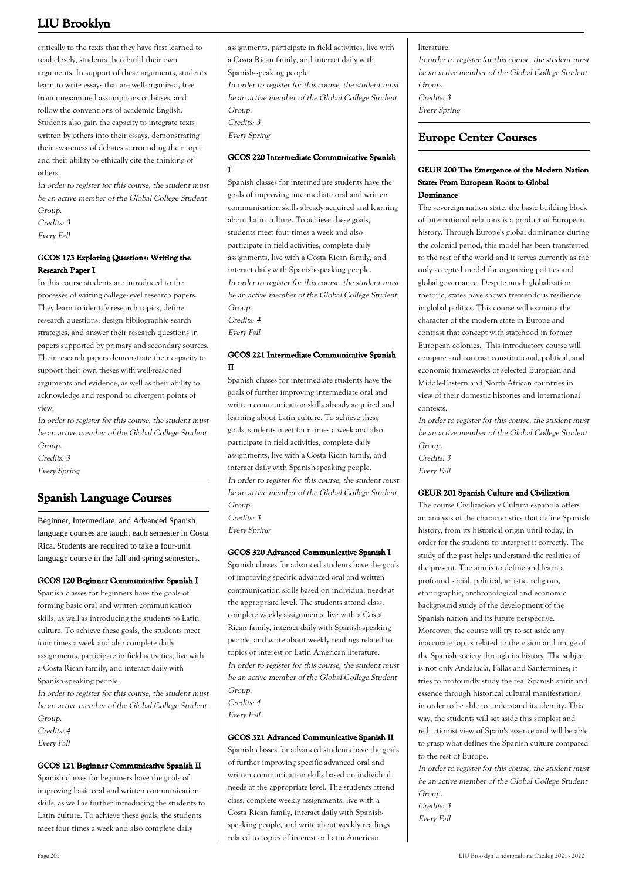critically to the texts that they have first learned to read closely, students then build their own arguments. In support of these arguments, students learn to write essays that are well-organized, free from unexamined assumptions or biases, and follow the conventions of academic English. Students also gain the capacity to integrate texts written by others into their essays, demonstrating their awareness of debates surrounding their topic and their ability to ethically cite the thinking of others.

In order to register for this course, the student must be an active member of the Global College Student Group.

Credits: 3

Every Fall

## **GCOS 173 Exploring Questions: Writing the Research Paper I**

In this course students are introduced to the processes of writing college-level research papers. They learn to identify research topics, define research questions, design bibliographic search strategies, and answer their research questions in papers supported by primary and secondary sources. Their research papers demonstrate their capacity to support their own theses with well-reasoned arguments and evidence, as well as their ability to acknowledge and respond to divergent points of view.

In order to register for this course, the student must be an active member of the Global College Student Group. Credits: 3

Every Spring

# **Spanish Language Courses**

Beginner, Intermediate, and Advanced Spanish language courses are taught each semester in Costa Rica. Students are required to take a four-unit language course in the fall and spring semesters.

## **GCOS 120 Beginner Communicative Spanish I**

Spanish classes for beginners have the goals of forming basic oral and written communication skills, as well as introducing the students to Latin culture. To achieve these goals, the students meet four times a week and also complete daily assignments, participate in field activities, live with a Costa Rican family, and interact daily with Spanish-speaking people.

In order to register for this course, the student must be an active member of the Global College Student Group.

Credits: 4

Every Fall

## **GCOS 121 Beginner Communicative Spanish II**

Spanish classes for beginners have the goals of improving basic oral and written communication skills, as well as further introducing the students to Latin culture. To achieve these goals, the students meet four times a week and also complete daily

assignments, participate in field activities, live with a Costa Rican family, and interact daily with Spanish-speaking people. In order to register for this course, the student must be an active member of the Global College Student Group. Credits: 3 Every Spring

## **GCOS 220 Intermediate Communicative Spanish I**

Spanish classes for intermediate students have the goals of improving intermediate oral and written communication skills already acquired and learning about Latin culture. To achieve these goals, students meet four times a week and also participate in field activities, complete daily assignments, live with a Costa Rican family, and interact daily with Spanish-speaking people. In order to register for this course, the student must be an active member of the Global College Student Group. Credits: 4

Every Fall

## **GCOS 221 Intermediate Communicative Spanish II**

Spanish classes for intermediate students have the goals of further improving intermediate oral and written communication skills already acquired and learning about Latin culture. To achieve these goals, students meet four times a week and also participate in field activities, complete daily assignments, live with a Costa Rican family, and interact daily with Spanish-speaking people. In order to register for this course, the student must be an active member of the Global College Student Group.

Credits: 3

Every Spring

## **GCOS 320 Advanced Communicative Spanish I**

Spanish classes for advanced students have the goals of improving specific advanced oral and written communication skills based on individual needs at the appropriate level. The students attend class, complete weekly assignments, live with a Costa Rican family, interact daily with Spanish-speaking people, and write about weekly readings related to topics of interest or Latin American literature. In order to register for this course, the student must be an active member of the Global College Student Group. Credits: 4

Every Fall

## **GCOS 321 Advanced Communicative Spanish II**

Spanish classes for advanced students have the goals of further improving specific advanced oral and written communication skills based on individual needs at the appropriate level. The students attend class, complete weekly assignments, live with a Costa Rican family, interact daily with Spanishspeaking people, and write about weekly readings related to topics of interest or Latin American

literature.

In order to register for this course, the student must be an active member of the Global College Student Group. Credits: 3 Every Spring

## **Europe Center Courses**

## **GEUR 200 The Emergence of the Modern Nation State: From European Roots to Global Dominance**

The sovereign nation state, the basic building block of international relations is a product of European history. Through Europe's global dominance during the colonial period, this model has been transferred to the rest of the world and it serves currently as the only accepted model for organizing polities and global governance. Despite much globalization rhetoric, states have shown tremendous resilience in global politics. This course will examine the character of the modern state in Europe and contrast that concept with statehood in former European colonies. This introductory course will compare and contrast constitutional, political, and economic frameworks of selected European and Middle-Eastern and North African countries in view of their domestic histories and international contexts.

In order to register for this course, the student must be an active member of the Global College Student Group.

Credits: 3 Every Fall

## **GEUR 201 Spanish Culture and Civilization**

The course Civilización y Cultura española offers an analysis of the characteristics that define Spanish history, from its historical origin until today, in order for the students to interpret it correctly. The study of the past helps understand the realities of the present. The aim is to define and learn a profound social, political, artistic, religious, ethnographic, anthropological and economic background study of the development of the Spanish nation and its future perspective. Moreover, the course will try to set aside any inaccurate topics related to the vision and image of the Spanish society through its history. The subject is not only Andalucía, Fallas and Sanfermines; it tries to profoundly study the real Spanish spirit and essence through historical cultural manifestations in order to be able to understand its identity. This way, the students will set aside this simplest and reductionist view of Spain's essence and will be able to grasp what defines the Spanish culture compared to the rest of Europe.

In order to register for this course, the student must be an active member of the Global College Student Group.

Credits: 3 Every Fall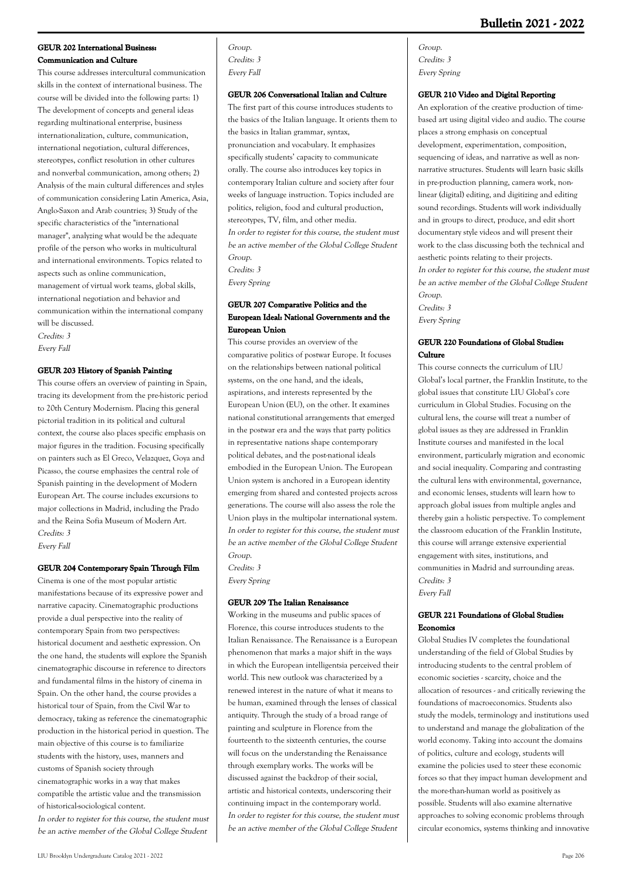## **GEUR 202 International Business: Communication and Culture**

This course addresses intercultural communication skills in the context of international business. The course will be divided into the following parts: 1) The development of concepts and general ideas regarding multinational enterprise, business internationalization, culture, communication, international negotiation, cultural differences, stereotypes, conflict resolution in other cultures and nonverbal communication, among others; 2) Analysis of the main cultural differences and styles of communication considering Latin America, Asia, Anglo-Saxon and Arab countries; 3) Study of the specific characteristics of the "international manager", analyzing what would be the adequate profile of the person who works in multicultural and international environments. Topics related to aspects such as online communication, management of virtual work teams, global skills, international negotiation and behavior and communication within the international company will be discussed.

Credits: 3 Every Fall

## **GEUR 203 History of Spanish Painting**

This course offers an overview of painting in Spain, tracing its development from the pre-historic period to 20th Century Modernism. Placing this general pictorial tradition in its political and cultural context, the course also places specific emphasis on major figures in the tradition. Focusing specifically on painters such as El Greco, Velazquez, Goya and Picasso, the course emphasizes the central role of Spanish painting in the development of Modern European Art. The course includes excursions to major collections in Madrid, including the Prado and the Reina Sofia Museum of Modern Art. Credits: 3 Every Fall

## **GEUR 204 Contemporary Spain Through Film**

Cinema is one of the most popular artistic manifestations because of its expressive power and narrative capacity. Cinematographic productions provide a dual perspective into the reality of contemporary Spain from two perspectives: historical document and aesthetic expression. On the one hand, the students will explore the Spanish cinematographic discourse in reference to directors and fundamental films in the history of cinema in Spain. On the other hand, the course provides a historical tour of Spain, from the Civil War to democracy, taking as reference the cinematographic production in the historical period in question. The main objective of this course is to familiarize students with the history, uses, manners and customs of Spanish society through cinematographic works in a way that makes compatible the artistic value and the transmission of historical-sociological content. In order to register for this course, the student must be an active member of the Global College Student

Group. Credits: 3 Every Fall

### **GEUR 206 Conversational Italian and Culture**

The first part of this course introduces students to the basics of the Italian language. It orients them to the basics in Italian grammar, syntax, pronunciation and vocabulary. It emphasizes specifically students' capacity to communicate orally. The course also introduces key topics in contemporary Italian culture and society after four weeks of language instruction. Topics included are politics, religion, food and cultural production, stereotypes, TV, film, and other media. In order to register for this course, the student must be an active member of the Global College Student Group. Credits: 3 Every Spring

## **GEUR 207 Comparative Politics and the European Ideal: National Governments and the European Union**

This course provides an overview of the comparative politics of postwar Europe. It focuses on the relationships between national political systems, on the one hand, and the ideals, aspirations, and interests represented by the European Union (EU), on the other. It examines national constitutional arrangements that emerged in the postwar era and the ways that party politics in representative nations shape contemporary political debates, and the post-national ideals embodied in the European Union. The European Union system is anchored in a European identity emerging from shared and contested projects across generations. The course will also assess the role the Union plays in the multipolar international system. In order to register for this course, the student must be an active member of the Global College Student Group. Credits: 3

Every Spring

## **GEUR 209 The Italian Renaissance**

Working in the museums and public spaces of Florence, this course introduces students to the Italian Renaissance. The Renaissance is a European phenomenon that marks a major shift in the ways in which the European intelligentsia perceived their world. This new outlook was characterized by a renewed interest in the nature of what it means to be human, examined through the lenses of classical antiquity. Through the study of a broad range of painting and sculpture in Florence from the fourteenth to the sixteenth centuries, the course will focus on the understanding the Renaissance through exemplary works. The works will be discussed against the backdrop of their social, artistic and historical contexts, underscoring their continuing impact in the contemporary world. In order to register for this course, the student must be an active member of the Global College Student

Group. Credits: 3 Every Spring

### **GEUR 210 Video and Digital Reporting**

An exploration of the creative production of timebased art using digital video and audio. The course places a strong emphasis on conceptual development, experimentation, composition, sequencing of ideas, and narrative as well as nonnarrative structures. Students will learn basic skills in pre-production planning, camera work, nonlinear (digital) editing, and digitizing and editing sound recordings. Students will work individually and in groups to direct, produce, and edit short documentary style videos and will present their work to the class discussing both the technical and aesthetic points relating to their projects. In order to register for this course, the student must be an active member of the Global College Student Group. Credits: 3 Every Spring

## **GEUR 220 Foundations of Global Studies: Culture**

This course connects the curriculum of LIU Global's local partner, the Franklin Institute, to the global issues that constitute LIU Global's core curriculum in Global Studies. Focusing on the cultural lens, the course will treat a number of global issues as they are addressed in Franklin Institute courses and manifested in the local environment, particularly migration and economic and social inequality. Comparing and contrasting the cultural lens with environmental, governance, and economic lenses, students will learn how to approach global issues from multiple angles and thereby gain a holistic perspective. To complement the classroom education of the Franklin Institute, this course will arrange extensive experiential engagement with sites, institutions, and communities in Madrid and surrounding areas. Credits: 3 Every Fall

**GEUR 221 Foundations of Global Studies: Economics**

Global Studies IV completes the foundational understanding of the field of Global Studies by introducing students to the central problem of economic societies - scarcity, choice and the allocation of resources - and critically reviewing the foundations of macroeconomics. Students also study the models, terminology and institutions used to understand and manage the globalization of the world economy. Taking into account the domains of politics, culture and ecology, students will examine the policies used to steer these economic forces so that they impact human development and the more-than-human world as positively as possible. Students will also examine alternative approaches to solving economic problems through circular economics, systems thinking and innovative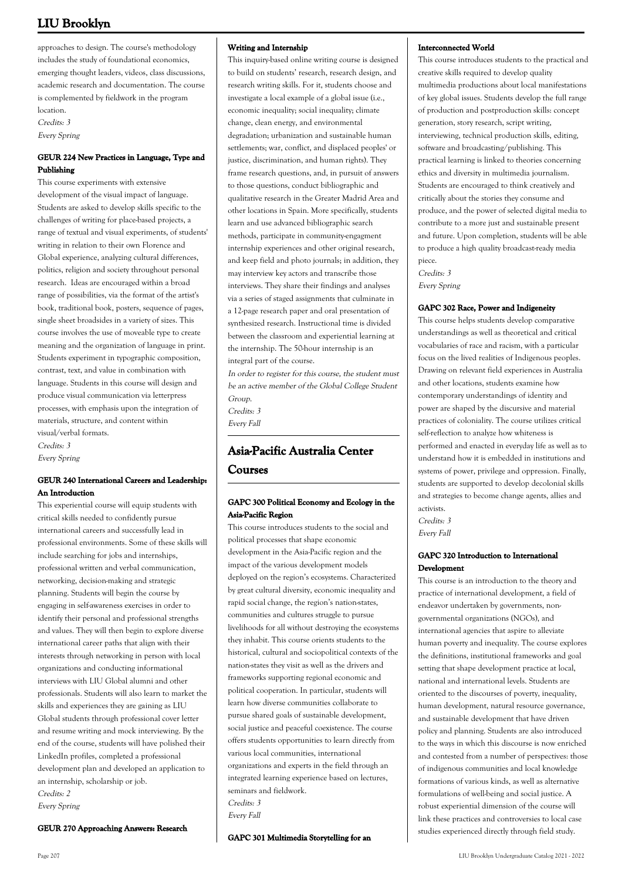approaches to design. The course's methodology includes the study of foundational economics, emerging thought leaders, videos, class discussions, academic research and documentation. The course is complemented by fieldwork in the program location. Credits: 3 Every Spring

## **GEUR 224 New Practices in Language, Type and Publishing**

This course experiments with extensive development of the visual impact of language. Students are asked to develop skills specific to the challenges of writing for place-based projects, a range of textual and visual experiments, of students' writing in relation to their own Florence and Global experience, analyzing cultural differences, politics, religion and society throughout personal research. Ideas are encouraged within a broad range of possibilities, via the format of the artist's book, traditional book, posters, sequence of pages, single sheet broadsides in a variety of sizes. This course involves the use of moveable type to create meaning and the organization of language in print. Students experiment in typographic composition, contrast, text, and value in combination with language. Students in this course will design and produce visual communication via letterpress processes, with emphasis upon the integration of materials, structure, and content within visual/verbal formats.

Credits: 3 Every Spring

## **GEUR 240 International Careers and Leadership: An Introduction**

This experiential course will equip students with critical skills needed to confidently pursue international careers and successfully lead in professional environments. Some of these skills will include searching for jobs and internships, professional written and verbal communication, networking, decision-making and strategic planning. Students will begin the course by engaging in self-awareness exercises in order to identify their personal and professional strengths and values. They will then begin to explore diverse international career paths that align with their interests through networking in person with local organizations and conducting informational interviews with LIU Global alumni and other professionals. Students will also learn to market the skills and experiences they are gaining as LIU Global students through professional cover letter and resume writing and mock interviewing. By the end of the course, students will have polished their LinkedIn profiles, completed a professional development plan and developed an application to an internship, scholarship or job. Credits: 2

Every Spring

## **GEUR 270 Approaching Answers: Research**

## **Writing and Internship**

This inquiry-based online writing course is designed to build on students' research, research design, and research writing skills. For it, students choose and investigate a local example of a global issue (i.e., economic inequality; social inequality; climate change, clean energy, and environmental degradation; urbanization and sustainable human settlements; war, conflict, and displaced peoples' or justice, discrimination, and human rights). They frame research questions, and, in pursuit of answers to those questions, conduct bibliographic and qualitative research in the Greater Madrid Area and other locations in Spain. More specifically, students learn and use advanced bibliographic search methods, participate in community-engagment internship experiences and other original research, and keep field and photo journals; in addition, they may interview key actors and transcribe those interviews. They share their findings and analyses via a series of staged assignments that culminate in a 12-page research paper and oral presentation of synthesized research. Instructional time is divided between the classroom and experiential learning at the internship. The 50-hour internship is an integral part of the course.

In order to register for this course, the student must be an active member of the Global College Student Group.

Credits: 3 Every Fall

# **Asia-Pacific Australia Center Courses**

## **GAPC 300 Political Economy and Ecology in the Asia-Pacific Region**

This course introduces students to the social and political processes that shape economic development in the Asia-Pacific region and the impact of the various development models deployed on the region's ecosystems. Characterized by great cultural diversity, economic inequality and rapid social change, the region's nation-states, communities and cultures struggle to pursue livelihoods for all without destroying the ecosystems they inhabit. This course orients students to the historical, cultural and sociopolitical contexts of the nation-states they visit as well as the drivers and frameworks supporting regional economic and political cooperation. In particular, students will learn how diverse communities collaborate to pursue shared goals of sustainable development, social justice and peaceful coexistence. The course offers students opportunities to learn directly from various local communities, international organizations and experts in the field through an integrated learning experience based on lectures, seminars and fieldwork. Credits: 3 Every Fall

**GAPC 301 Multimedia Storytelling for an**

## **Interconnected World**

This course introduces students to the practical and creative skills required to develop quality multimedia productions about local manifestations of key global issues. Students develop the full range of production and postproduction skills: concept generation, story research, script writing, interviewing, technical production skills, editing, software and broadcasting/publishing. This practical learning is linked to theories concerning ethics and diversity in multimedia journalism. Students are encouraged to think creatively and critically about the stories they consume and produce, and the power of selected digital media to contribute to a more just and sustainable present and future. Upon completion, students will be able to produce a high quality broadcast-ready media piece.

Credits: 3 Every Spring

## **GAPC 302 Race, Power and Indigeneity**

This course helps students develop comparative understandings as well as theoretical and critical vocabularies of race and racism, with a particular focus on the lived realities of Indigenous peoples. Drawing on relevant field experiences in Australia and other locations, students examine how contemporary understandings of identity and power are shaped by the discursive and material practices of coloniality. The course utilizes critical self-reflection to analyze how whiteness is performed and enacted in everyday life as well as to understand how it is embedded in institutions and systems of power, privilege and oppression. Finally, students are supported to develop decolonial skills and strategies to become change agents, allies and activists. Credits: 3

Every Fall

## **GAPC 320 Introduction to International Development**

This course is an introduction to the theory and practice of international development, a field of endeavor undertaken by governments, nongovernmental organizations (NGOs), and international agencies that aspire to alleviate human poverty and inequality. The course explores the definitions, institutional frameworks and goal setting that shape development practice at local, national and international levels. Students are oriented to the discourses of poverty, inequality, human development, natural resource governance, and sustainable development that have driven policy and planning. Students are also introduced to the ways in which this discourse is now enriched and contested from a number of perspectives: those of indigenous communities and local knowledge formations of various kinds, as well as alternative formulations of well-being and social justice. A robust experiential dimension of the course will link these practices and controversies to local case studies experienced directly through field study.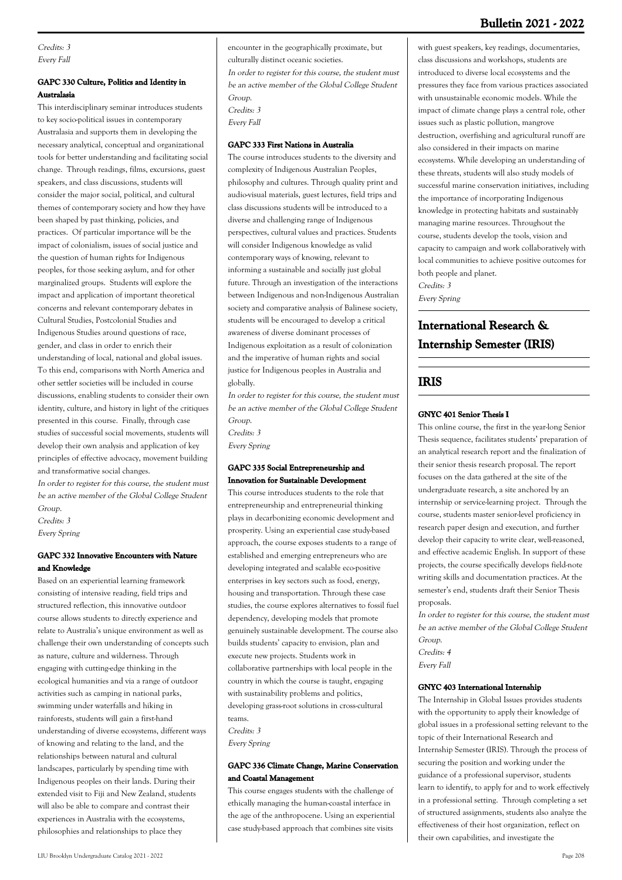## **Bulletin 2021 - 2022**

Credits: 3 Every Fall

## **GAPC 330 Culture, Politics and Identity in Australasia**

This interdisciplinary seminar introduces students to key socio-political issues in contemporary Australasia and supports them in developing the necessary analytical, conceptual and organizational tools for better understanding and facilitating social change. Through readings, films, excursions, guest speakers, and class discussions, students will consider the major social, political, and cultural themes of contemporary society and how they have been shaped by past thinking, policies, and practices. Of particular importance will be the impact of colonialism, issues of social justice and the question of human rights for Indigenous peoples, for those seeking asylum, and for other marginalized groups. Students will explore the impact and application of important theoretical concerns and relevant contemporary debates in Cultural Studies, Postcolonial Studies and Indigenous Studies around questions of race, gender, and class in order to enrich their understanding of local, national and global issues. To this end, comparisons with North America and other settler societies will be included in course discussions, enabling students to consider their own identity, culture, and history in light of the critiques presented in this course. Finally, through case studies of successful social movements, students will develop their own analysis and application of key principles of effective advocacy, movement building and transformative social changes.

In order to register for this course, the student must be an active member of the Global College Student Group.

Credits: 3 Every Spring

## **GAPC 332 Innovative Encounters with Nature and Knowledge**

Based on an experiential learning framework consisting of intensive reading, field trips and structured reflection, this innovative outdoor course allows students to directly experience and relate to Australia's unique environment as well as challenge their own understanding of concepts such as nature, culture and wilderness. Through engaging with cutting-edge thinking in the ecological humanities and via a range of outdoor activities such as camping in national parks, swimming under waterfalls and hiking in rainforests, students will gain a first-hand understanding of diverse ecosystems, different ways of knowing and relating to the land, and the relationships between natural and cultural landscapes, particularly by spending time with Indigenous peoples on their lands. During their extended visit to Fiji and New Zealand, students will also be able to compare and contrast their experiences in Australia with the ecosystems, philosophies and relationships to place they

encounter in the geographically proximate, but culturally distinct oceanic societies.

In order to register for this course, the student must be an active member of the Global College Student Group. Credits: 3

Every Fall

## **GAPC 333 First Nations in Australia**

The course introduces students to the diversity and complexity of Indigenous Australian Peoples, philosophy and cultures. Through quality print and audio-visual materials, guest lectures, field trips and class discussions students will be introduced to a diverse and challenging range of Indigenous perspectives, cultural values and practices. Students will consider Indigenous knowledge as valid contemporary ways of knowing, relevant to informing a sustainable and socially just global future. Through an investigation of the interactions between Indigenous and non-Indigenous Australian society and comparative analysis of Balinese society, students will be encouraged to develop a critical awareness of diverse dominant processes of Indigenous exploitation as a result of colonization and the imperative of human rights and social justice for Indigenous peoples in Australia and globally.

In order to register for this course, the student must be an active member of the Global College Student Group. Credits: 3

Every Spring

## **GAPC 335 Social Entrepreneurship and Innovation for Sustainable Development**

This course introduces students to the role that entrepreneurship and entrepreneurial thinking plays in decarbonizing economic development and prosperity. Using an experiential case study-based approach, the course exposes students to a range of established and emerging entrepreneurs who are developing integrated and scalable eco-positive enterprises in key sectors such as food, energy, housing and transportation. Through these case studies, the course explores alternatives to fossil fuel dependency, developing models that promote genuinely sustainable development. The course also builds students' capacity to envision, plan and execute new projects. Students work in collaborative partnerships with local people in the country in which the course is taught, engaging with sustainability problems and politics, developing grass-root solutions in cross-cultural teams.

Credits: 3

Every Spring

## **GAPC 336 Climate Change, Marine Conservation and Coastal Management**

This course engages students with the challenge of ethically managing the human-coastal interface in the age of the anthropocene. Using an experiential case study-based approach that combines site visits

with guest speakers, key readings, documentaries, class discussions and workshops, students are introduced to diverse local ecosystems and the pressures they face from various practices associated with unsustainable economic models. While the impact of climate change plays a central role, other issues such as plastic pollution, mangrove destruction, overfishing and agricultural runoff are also considered in their impacts on marine ecosystems. While developing an understanding of these threats, students will also study models of successful marine conservation initiatives, including the importance of incorporating Indigenous knowledge in protecting habitats and sustainably managing marine resources. Throughout the course, students develop the tools, vision and capacity to campaign and work collaboratively with local communities to achieve positive outcomes for both people and planet. Credits: 3

Every Spring

# **International Research & Internship Semester (IRIS)**

## **IRIS**

## **GNYC 401 Senior Thesis I**

This online course, the first in the year-long Senior Thesis sequence, facilitates students' preparation of an analytical research report and the finalization of their senior thesis research proposal. The report focuses on the data gathered at the site of the undergraduate research, a site anchored by an internship or service-learning project. Through the course, students master senior-level proficiency in research paper design and execution, and further develop their capacity to write clear, well-reasoned, and effective academic English. In support of these projects, the course specifically develops field-note writing skills and documentation practices. At the semester's end, students draft their Senior Thesis proposals.

In order to register for this course, the student must be an active member of the Global College Student Group. Credits: 4

Every Fall

## **GNYC 403 International Internship**

The Internship in Global Issues provides students with the opportunity to apply their knowledge of global issues in a professional setting relevant to the topic of their International Research and Internship Semester (IRIS). Through the process of securing the position and working under the guidance of a professional supervisor, students learn to identify, to apply for and to work effectively in a professional setting. Through completing a set of structured assignments, students also analyze the effectiveness of their host organization, reflect on their own capabilities, and investigate the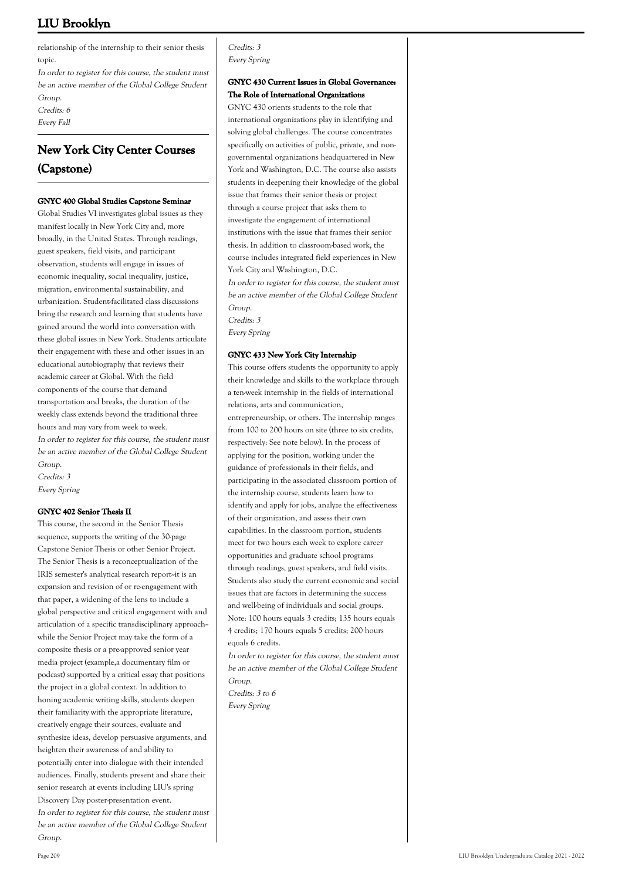relationship of the internship to their senior thesis topic.

In order to register for this course, the student must be an active member of the Global College Student Group. Credits: 6 Every Fall

# **New York City Center Courses (Capstone)**

## **GNYC 400 Global Studies Capstone Seminar**

Global Studies VI investigates global issues as they manifest locally in New York City and, more broadly, in the United States. Through readings, guest speakers, field visits, and participant observation, students will engage in issues of economic inequality, social inequality, justice, migration, environmental sustainability, and urbanization. Student-facilitated class discussions bring the research and learning that students have gained around the world into conversation with these global issues in New York. Students articulate their engagement with these and other issues in an educational autobiography that reviews their academic career at Global. With the field components of the course that demand transportation and breaks, the duration of the weekly class extends beyond the traditional three hours and may vary from week to week. In order to register for this course, the student must be an active member of the Global College Student Group. Credits: 3 Every Spring

## **GNYC 402 Senior Thesis II**

This course, the second in the Senior Thesis sequence, supports the writing of the 30-page Capstone Senior Thesis or other Senior Project. The Senior Thesis is a reconceptualization of the IRIS semester's analytical research report--it is an expansion and revision of or re-engagement with that paper, a widening of the lens to include a global perspective and critical engagement with and articulation of a specific transdisciplinary approach-while the Senior Project may take the form of a composite thesis or a pre-approved senior year media project (example,a documentary film or podcast) supported by a critical essay that positions the project in a global context. In addition to honing academic writing skills, students deepen their familiarity with the appropriate literature, creatively engage their sources, evaluate and synthesize ideas, develop persuasive arguments, and heighten their awareness of and ability to potentially enter into dialogue with their intended audiences. Finally, students present and share their senior research at events including LIU's spring Discovery Day poster-presentation event. In order to register for this course, the student must be an active member of the Global College Student Group.

Credits: 3 Every Spring

## **GNYC 430 Current Issues in Global Governance: The Role of International Organizations**

GNYC 430 orients students to the role that international organizations play in identifying and solving global challenges. The course concentrates specifically on activities of public, private, and nongovernmental organizations headquartered in New York and Washington, D.C. The course also assists students in deepening their knowledge of the global issue that frames their senior thesis or project through a course project that asks them to investigate the engagement of international institutions with the issue that frames their senior thesis. In addition to classroom-based work, the course includes integrated field experiences in New York City and Washington, D.C.

In order to register for this course, the student must be an active member of the Global College Student Group.

Credits: 3

Every Spring

## **GNYC 433 New York City Internship**

This course offers students the opportunity to apply their knowledge and skills to the workplace through a ten-week internship in the fields of international relations, arts and communication, entrepreneurship, or others. The internship ranges from 100 to 200 hours on site (three to six credits, respectively: See note below). In the process of applying for the position, working under the guidance of professionals in their fields, and participating in the associated classroom portion of the internship course, students learn how to identify and apply for jobs, analyze the effectiveness of their organization, and assess their own capabilities. In the classroom portion, students meet for two hours each week to explore career opportunities and graduate school programs through readings, guest speakers, and field visits. Students also study the current economic and social issues that are factors in determining the success and well-being of individuals and social groups. Note: 100 hours equals 3 credits; 135 hours equals 4 credits; 170 hours equals 5 credits; 200 hours equals 6 credits.

In order to register for this course, the student must be an active member of the Global College Student Group. Credits: 3 to 6

Every Spring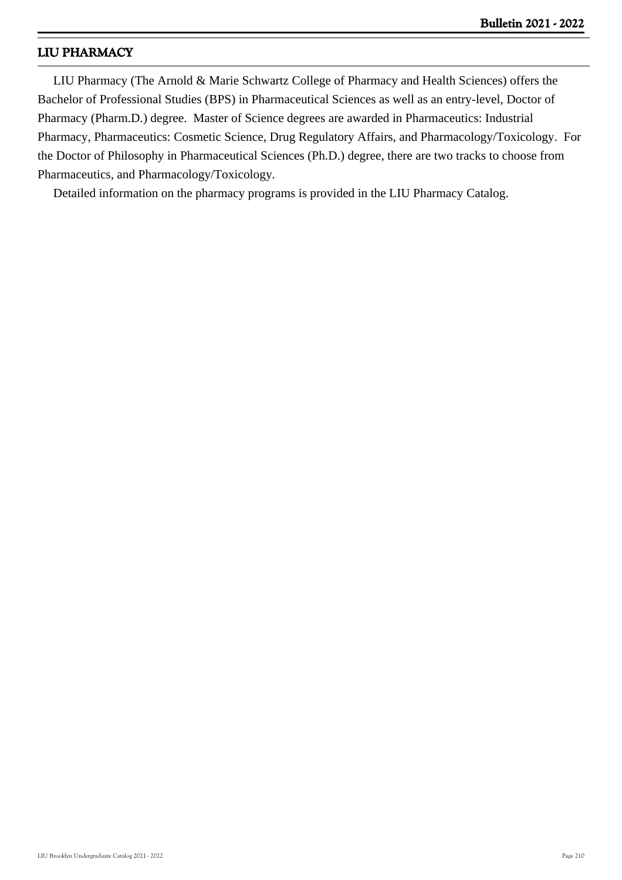# **LIU PHARMACY**

 LIU Pharmacy (The Arnold & Marie Schwartz College of Pharmacy and Health Sciences) offers the Bachelor of Professional Studies (BPS) in Pharmaceutical Sciences as well as an entry-level, Doctor of Pharmacy (Pharm.D.) degree. Master of Science degrees are awarded in Pharmaceutics: Industrial Pharmacy, Pharmaceutics: Cosmetic Science, Drug Regulatory Affairs, and Pharmacology/Toxicology. For the Doctor of Philosophy in Pharmaceutical Sciences (Ph.D.) degree, there are two tracks to choose from Pharmaceutics, and Pharmacology/Toxicology.

Detailed information on the pharmacy programs is provided in the LIU Pharmacy Catalog.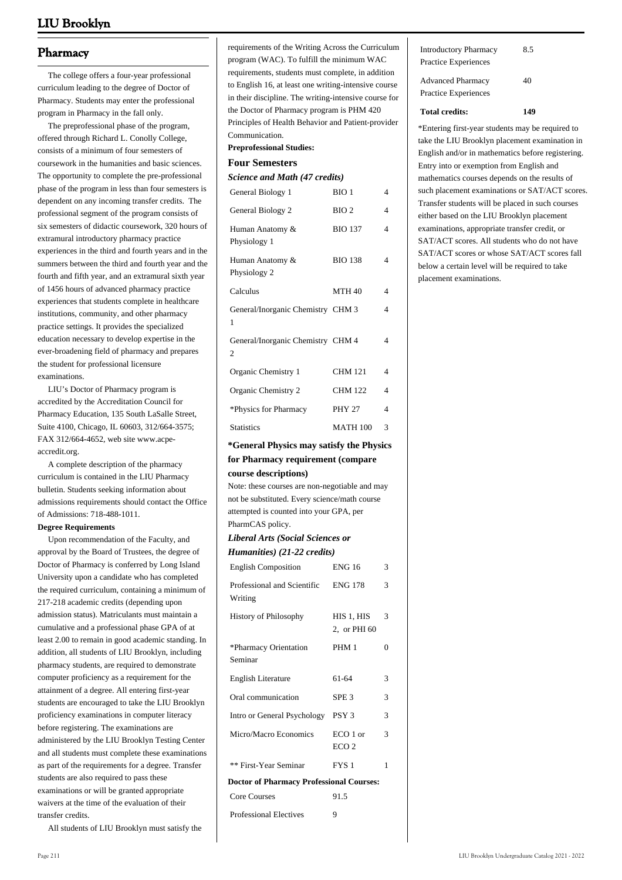## **Pharmacy**

 The college offers a four-year professional curriculum leading to the degree of Doctor of Pharmacy. Students may enter the professional program in Pharmacy in the fall only.

 The preprofessional phase of the program, offered through Richard L. Conolly College, consists of a minimum of four semesters of coursework in the humanities and basic sciences. The opportunity to complete the pre-professional phase of the program in less than four semesters is dependent on any incoming transfer credits. The professional segment of the program consists of six semesters of didactic coursework, 320 hours of extramural introductory pharmacy practice experiences in the third and fourth years and in the summers between the third and fourth year and the fourth and fifth year, and an extramural sixth year of 1456 hours of advanced pharmacy practice experiences that students complete in healthcare institutions, community, and other pharmacy practice settings. It provides the specialized education necessary to develop expertise in the ever-broadening field of pharmacy and prepares the student for professional licensure examinations.

 LIU's Doctor of Pharmacy program is accredited by the Accreditation Council for Pharmacy Education, 135 South LaSalle Street, Suite 4100, Chicago, IL 60603, 312/664-3575; FAX 312/664-4652, web site [www.acpe](http://www.acpe-accredit.org)[accredit.org.](http://www.acpe-accredit.org)

 A complete description of the pharmacy curriculum is contained in the LIU Pharmacy bulletin. Students seeking information about admissions requirements should contact the Office of Admissions: 718-488-1011.

#### **Degree Requirements**

 Upon recommendation of the Faculty, and approval by the Board of Trustees, the degree of Doctor of Pharmacy is conferred by Long Island University upon a candidate who has completed the required curriculum, containing a minimum of 217-218 academic credits (depending upon admission status). Matriculants must maintain a cumulative and a professional phase GPA of at least 2.00 to remain in good academic standing. In addition, all students of LIU Brooklyn, including pharmacy students, are required to demonstrate computer proficiency as a requirement for the attainment of a degree. All entering first-year students are encouraged to take the LIU Brooklyn proficiency examinations in computer literacy before registering. The examinations are administered by the LIU Brooklyn Testing Center and all students must complete these examinations as part of the requirements for a degree. Transfer students are also required to pass these examinations or will be granted appropriate waivers at the time of the evaluation of their transfer credits.

All students of LIU Brooklyn must satisfy the

requirements of the Writing Across the Curriculum program (WAC). To fulfill the minimum WAC requirements, students must complete, in addition to English 16, at least one writing-intensive course in their discipline. The writing-intensive course for the Doctor of Pharmacy program is PHM 420 Principles of Health Behavior and Patient-provider Communication.

## **Preprofessional Studies:**

### **Four Semesters**

| Science and Math (47 credits)                       |                  |                |  |
|-----------------------------------------------------|------------------|----------------|--|
| General Biology 1                                   | BIO <sub>1</sub> | 4              |  |
| General Biology 2                                   | BIO2             | $\overline{4}$ |  |
| Human Anatomy &<br>Physiology 1                     | <b>BIO 137</b>   | $\overline{4}$ |  |
| Human Anatomy &<br>Physiology 2                     | <b>BIO 138</b>   | 4              |  |
| Calculus                                            | <b>MTH 40</b>    | 4              |  |
| General/Inorganic Chemistry CHM 3<br>1              |                  | 4              |  |
| General/Inorganic Chemistry CHM 4<br>$\overline{c}$ |                  | 4              |  |
| Organic Chemistry 1                                 | <b>CHM 121</b>   | $\overline{4}$ |  |
| Organic Chemistry 2                                 | <b>CHM 122</b>   | $\overline{4}$ |  |
| *Physics for Pharmacy                               | <b>PHY 27</b>    | 4              |  |
| <b>Statistics</b>                                   | <b>MATH 100</b>  | 3              |  |

## **\*General Physics may satisfy the Physics**

## **for Pharmacy requirement (compare course descriptions)**

Note: these courses are non-negotiable and may not be substituted. Every science/math course attempted is counted into your GPA, per PharmCAS policy.

## *Liberal Arts (Social Sciences or Humanities) (21-22 credits)*

| <b>English Composition</b>                      | <b>ENG 16</b>                 | 3             |  |
|-------------------------------------------------|-------------------------------|---------------|--|
| Professional and Scientific<br>Writing          | <b>ENG 178</b>                | 3             |  |
| <b>History of Philosophy</b>                    | HIS 1, HIS<br>2, or PHI 60    | 3             |  |
| *Pharmacy Orientation<br>Seminar                | PHM 1                         | 0             |  |
| <b>English Literature</b>                       | 61-64                         | 3             |  |
| Oral communication                              | SPE <sub>3</sub>              | 3             |  |
| Intro or General Psychology PSY 3               |                               | $\mathcal{R}$ |  |
| Micro/Macro Economics                           | $ECO1$ or<br>ECO <sub>2</sub> | $\mathcal{R}$ |  |
| ** First-Year Seminar                           | FYS <sub>1</sub>              | 1             |  |
| <b>Doctor of Pharmacy Professional Courses:</b> |                               |               |  |
| <b>Core Courses</b>                             | 91.5                          |               |  |
| <b>Professional Electives</b>                   | 9                             |               |  |

| Total credits:                                       |     |
|------------------------------------------------------|-----|
| <b>Advanced Pharmacy</b><br>Practice Experiences     | 40  |
| <b>Introductory Pharmacy</b><br>Practice Experiences | 8.5 |
|                                                      |     |

\*Entering first-year students may be required to take the LIU Brooklyn placement examination in English and/or in mathematics before registering. Entry into or exemption from English and mathematics courses depends on the results of such placement examinations or SAT/ACT scores. Transfer students will be placed in such courses either based on the LIU Brooklyn placement examinations, appropriate transfer credit, or SAT/ACT scores. All students who do not have SAT/ACT scores or whose SAT/ACT scores fall below a certain level will be required to take placement examinations.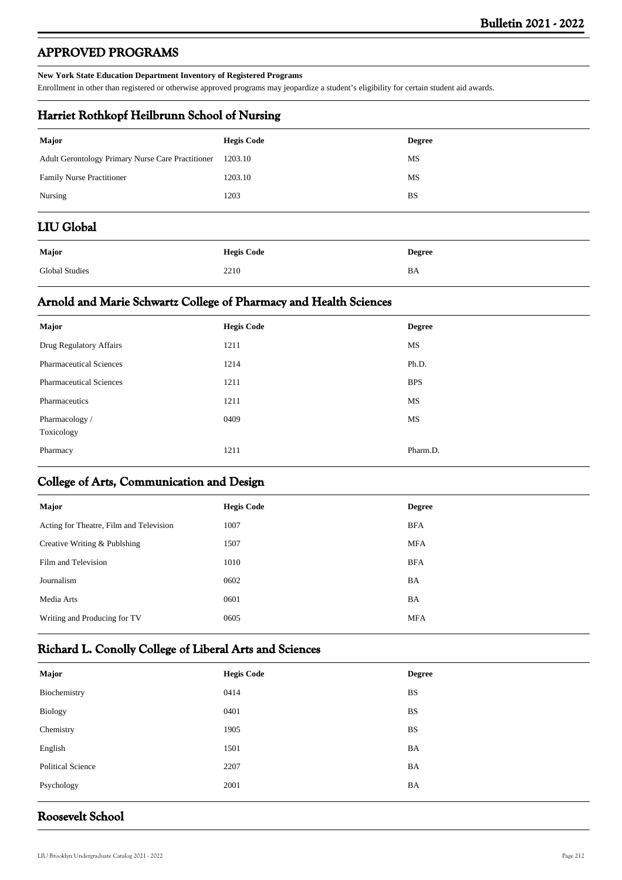# **APPROVED PROGRAMS**

### **New York State Education Department Inventory of Registered Programs**

Enrollment in other than registered or otherwise approved programs may jeopardize a student's eligibility for certain student aid awards.

## **Harriet Rothkopf Heilbrunn School of Nursing**

| <b>Major</b>                                      | <b>Hegis Code</b> | <b>Degree</b> |
|---------------------------------------------------|-------------------|---------------|
| Adult Gerontology Primary Nurse Care Practitioner | 1203.10           | MS            |
| Family Nurse Practitioner                         | 1203.10           | MS            |
| Nursing                                           | 1203              | <b>BS</b>     |
| <b>LIU Global</b>                                 |                   |               |
| <b>Major</b>                                      | <b>Hegis Code</b> | <b>Degree</b> |
| <b>Global Studies</b>                             | 2210              | BA            |

## **Arnold and Marie Schwartz College of Pharmacy and Health Sciences**

| <b>Major</b>                   | <b>Hegis Code</b> | <b>Degree</b> |
|--------------------------------|-------------------|---------------|
| Drug Regulatory Affairs        | 1211              | MS            |
| <b>Pharmaceutical Sciences</b> | 1214              | Ph.D.         |
| <b>Pharmaceutical Sciences</b> | 1211              | <b>BPS</b>    |
| Pharmaceutics                  | 1211              | MS            |
| Pharmacology /<br>Toxicology   | 0409              | MS            |
| Pharmacy                       | 1211              | Pharm.D.      |

## **College of Arts, Communication and Design**

| Major                                   | <b>Hegis Code</b> | <b>Degree</b> |
|-----------------------------------------|-------------------|---------------|
| Acting for Theatre, Film and Television | 1007              | <b>BFA</b>    |
| Creative Writing & Publshing            | 1507              | <b>MFA</b>    |
| Film and Television                     | 1010              | <b>BFA</b>    |
| Journalism                              | 0602              | BA            |
| Media Arts                              | 0601              | BA            |
| Writing and Producing for TV            | 0605              | <b>MFA</b>    |
|                                         |                   |               |

# **Richard L. Conolly College of Liberal Arts and Sciences**

| Major                    | <b>Hegis Code</b> | <b>Degree</b> |
|--------------------------|-------------------|---------------|
| Biochemistry             | 0414              | <b>BS</b>     |
| Biology                  | 0401              | <b>BS</b>     |
| Chemistry                | 1905              | <b>BS</b>     |
| English                  | 1501              | BA            |
| <b>Political Science</b> | 2207              | BA            |
| Psychology               | 2001              | BA            |
|                          |                   |               |

## **Roosevelt School**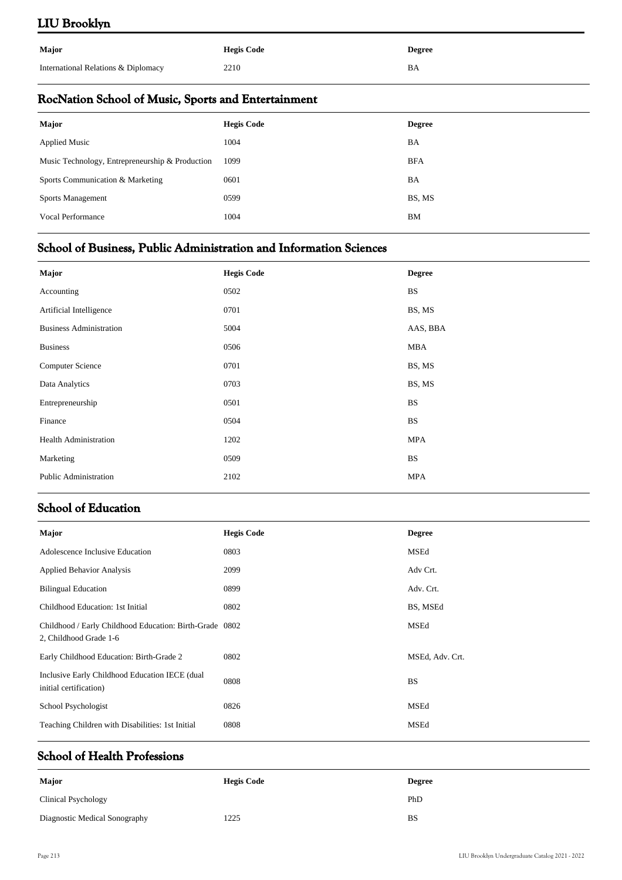| Major                               | <b>Hegis Code</b> | <b>Degree</b> |
|-------------------------------------|-------------------|---------------|
| International Relations & Diplomacy | 2210              | ΒA            |

# **RocNation School of Music, Sports and Entertainment**

| <b>Major</b>                                    | <b>Hegis Code</b> | <b>Degree</b> |
|-------------------------------------------------|-------------------|---------------|
| <b>Applied Music</b>                            | 1004              | BA            |
| Music Technology, Entrepreneurship & Production | 1099              | <b>BFA</b>    |
| Sports Communication & Marketing                | 0601              | BA            |
| <b>Sports Management</b>                        | 0599              | BS, MS        |
| Vocal Performance                               | 1004              | BM            |
|                                                 |                   |               |

# **School of Business, Public Administration and Information Sciences**

| <b>Major</b>                   | <b>Hegis Code</b> | <b>Degree</b> |
|--------------------------------|-------------------|---------------|
| Accounting                     | 0502              | <b>BS</b>     |
| Artificial Intelligence        | 0701              | BS, MS        |
| <b>Business Administration</b> | 5004              | AAS, BBA      |
| <b>Business</b>                | 0506              | MBA           |
| Computer Science               | 0701              | BS, MS        |
| Data Analytics                 | 0703              | BS, MS        |
| Entrepreneurship               | 0501              | <b>BS</b>     |
| Finance                        | 0504              | <b>BS</b>     |
| <b>Health Administration</b>   | 1202              | <b>MPA</b>    |
| Marketing                      | 0509              | <b>BS</b>     |
| Public Administration          | 2102              | <b>MPA</b>    |

## **School of Education**

| Major                                                                             | <b>Hegis Code</b> | <b>Degree</b>   |
|-----------------------------------------------------------------------------------|-------------------|-----------------|
| Adolescence Inclusive Education                                                   | 0803              | MSEd            |
| <b>Applied Behavior Analysis</b>                                                  | 2099              | Adv Crt.        |
| <b>Bilingual Education</b>                                                        | 0899              | Adv. Crt.       |
| Childhood Education: 1st Initial                                                  | 0802              | BS, MSEd        |
| Childhood / Early Childhood Education: Birth-Grade 0802<br>2, Childhood Grade 1-6 |                   | <b>MSEd</b>     |
| Early Childhood Education: Birth-Grade 2                                          | 0802              | MSEd, Adv. Crt. |
| Inclusive Early Childhood Education IECE (dual<br>initial certification)          | 0808              | <b>BS</b>       |
| School Psychologist                                                               | 0826              | MSEd            |
| Teaching Children with Disabilities: 1st Initial                                  | 0808              | MSEd            |

# **School of Health Professions**

| Major                         | <b>Hegis Code</b> | <b>Degree</b> |
|-------------------------------|-------------------|---------------|
| Clinical Psychology           |                   | PhD           |
| Diagnostic Medical Sonography | 1225              | <b>BS</b>     |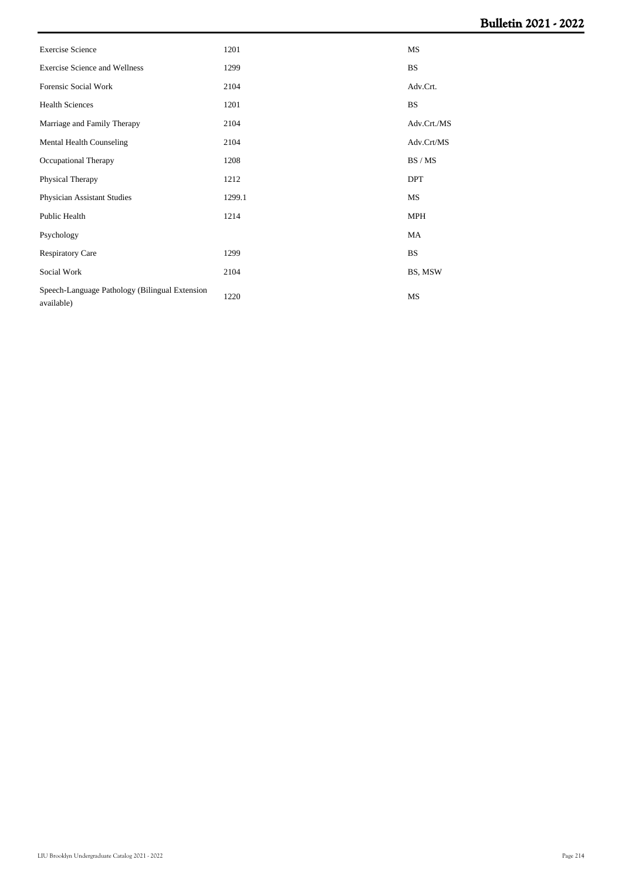# **Bulletin 2021 - 2022**

| <b>Exercise Science</b>                                      | 1201   | MS          |
|--------------------------------------------------------------|--------|-------------|
| <b>Exercise Science and Wellness</b>                         | 1299   | <b>BS</b>   |
| Forensic Social Work                                         | 2104   | Adv.Crt.    |
| <b>Health Sciences</b>                                       | 1201   | <b>BS</b>   |
| Marriage and Family Therapy                                  | 2104   | Adv.Crt./MS |
| Mental Health Counseling                                     | 2104   | Adv.Crt/MS  |
| Occupational Therapy                                         | 1208   | BS/MS       |
| Physical Therapy                                             | 1212   | <b>DPT</b>  |
| Physician Assistant Studies                                  | 1299.1 | MS          |
| Public Health                                                | 1214   | MPH         |
| Psychology                                                   |        | MA          |
| <b>Respiratory Care</b>                                      | 1299   | <b>BS</b>   |
| Social Work                                                  | 2104   | BS, MSW     |
| Speech-Language Pathology (Bilingual Extension<br>available) | 1220   | MS          |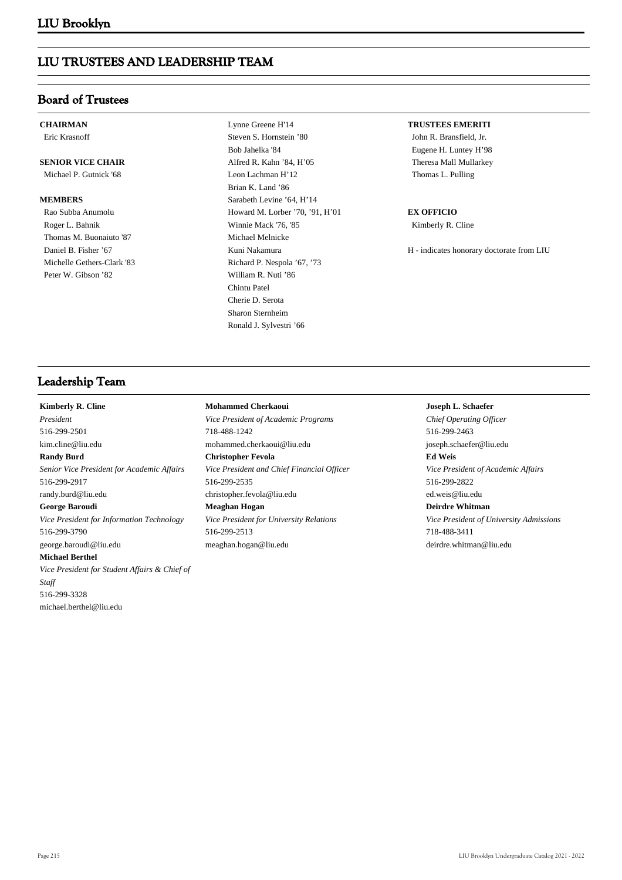# **LIU TRUSTEES AND LEADERSHIP TEAM**

# **Board of Trustees**

**CHAIRMAN**

Eric Krasnoff

# **SENIOR VICE CHAIR**

Michael P. Gutnick '68

## **MEMBERS**

 Rao Subba Anumolu Roger L. Bahnik Thomas M. Buonaiuto '87 Daniel B. Fisher '67 Michelle Gethers-Clark '83 Peter W. Gibson '82

 Lynne Greene H'14 Steven S. Hornstein '80 Bob Jahelka '84 Alfred R. Kahn '84, H'05 Leon Lachman H'12 Brian K. Land '86 Sarabeth Levine '64, H'14 Howard M. Lorber '70, '91, H'01 Winnie Mack '76, '85 Michael Melnicke Kuni Nakamura Richard P. Nespola '67, '73 William R. Nuti '86 Chintu Patel Cherie D. Serota Sharon Sternheim Ronald J. Sylvestri '66

## **TRUSTEES EMERITI**

John R. Bransfield, Jr. Eugene H. Luntey H'98 Theresa Mall Mullarkey Thomas L. Pulling

## **EX OFFICIO**

Kimberly R. Cline

H - indicates honorary doctorate from LIU

## **Leadership Team**

**Kimberly R. Cline** *President* 516-299-2501 kim.cline@liu.edu **Randy Burd** *Senior Vice President for Academic Affairs* 516-299-2917 randy.burd@liu.edu **George Baroudi** *Vice President for Information Technology* 516-299-3790 george.baroudi@liu.edu **Michael Berthel** *Vice President for Student Affairs & Chief of Staff* 516-299-3328

michael.berthel@liu.edu

## **Mohammed Cherkaoui**

*Vice President of Academic Programs* 718-488-1242 mohammed.cherkaoui@liu.edu **Christopher Fevola** *Vice President and Chief Financial Officer* 516-299-2535 christopher.fevola@liu.edu **Meaghan Hogan** *Vice President for University Relations* 516-299-2513 meaghan.hogan@liu.edu

## **Joseph L. Schaefer**

*Chief Operating Officer* 516-299-2463 joseph.schaefer@liu.edu **Ed Weis** *Vice President of Academic Affairs* 516-299-2822 ed.weis@liu.edu

**Deirdre Whitman**

*Vice President of University Admissions* 718-488-3411 deirdre.whitman@liu.edu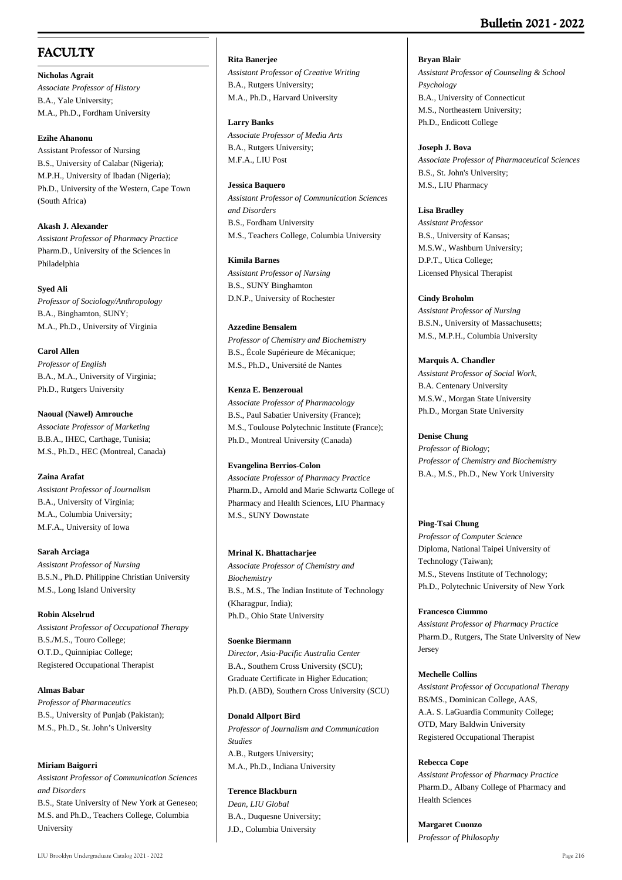# **Bulletin 2021 - 2022**

# **FACULTY**

**Nicholas Agrait** *Associate Professor of History* B.A., Yale University; M.A., Ph.D., Fordham University

### **Ezihe Ahanonu**

Assistant Professor of Nursing B.S., University of Calabar (Nigeria); M.P.H., University of Ibadan (Nigeria); Ph.D., University of the Western, Cape Town (South Africa)

**Akash J. Alexander** *Assistant Professor of Pharmacy Practice* Pharm.D., University of the Sciences in Philadelphia

### **Syed Ali**

*Professor of Sociology/Anthropology* B.A., Binghamton, SUNY; M.A., Ph.D., University of Virginia

**Carol Allen** *Professor of English* B.A., M.A., University of Virginia; Ph.D., Rutgers University

**Naoual (Nawel) Amrouche** *Associate Professor of Marketing* B.B.A., IHEC, Carthage, Tunisia; M.S., Ph.D., HEC (Montreal, Canada)

# **Zaina Arafat**

*Assistant Professor of Journalism* B.A., University of Virginia; M.A., Columbia University; M.F.A., University of Iowa

**Sarah Arciaga** *Assistant Professor of Nursing* B.S.N., Ph.D. Philippine Christian University M.S., Long Island University

# **Robin Akselrud** *Assistant Professor of Occupational Therapy* B.S./M.S., Touro College; O.T.D., Quinnipiac College;

Registered Occupational Therapist

**Almas Babar** *Professor of Pharmaceutics* B.S., University of Punjab (Pakistan); M.S., Ph.D., St. John's University

### **Miriam Baigorri**

*Assistant Professor of Communication Sciences and Disorders* B.S., State University of New York at Geneseo; M.S. and Ph.D., Teachers College, Columbia University

### **Rita Banerjee**

*Assistant Professor of Creative Writing* B.A., Rutgers University; M.A., Ph.D., Harvard University

### **Larry Banks**

*Associate Professor of Media Arts* B.A., Rutgers University; M.F.A., LIU Post

### **Jessica Baquero**

*Assistant Professor of Communication Sciences and Disorders* B.S., Fordham University M.S., Teachers College, Columbia University

### **Kimila Barnes**

*Assistant Professor of Nursing* B.S., SUNY Binghamton D.N.P., University of Rochester

### **Azzedine Bensalem**

*Professor of Chemistry and Biochemistry* B.S., École Supérieure de Mécanique; M.S., Ph.D., Université de Nantes

### **Kenza E. Benzeroual**

*Associate Professor of Pharmacology* B.S., Paul Sabatier University (France); M.S., Toulouse Polytechnic Institute (France); Ph.D., Montreal University (Canada)

# **Evangelina Berrios-Colon**

*Associate Professor of Pharmacy Practice*  Pharm.D., Arnold and Marie Schwartz College of Pharmacy and Health Sciences, LIU Pharmacy M.S., SUNY Downstate

### **Mrinal K. Bhattacharjee**

*Associate Professor of Chemistry and Biochemistry* B.S., M.S., The Indian Institute of Technology (Kharagpur, India); Ph.D., Ohio State University

### **Soenke Biermann**

*Director, Asia-Pacific Australia Center* B.A., Southern Cross University (SCU); Graduate Certificate in Higher Education; Ph.D. (ABD), Southern Cross University (SCU)

### **Donald Allport Bird**

*Professor of Journalism and Communication Studies* A.B., Rutgers University; M.A., Ph.D., Indiana University

# **Terence Blackburn**

*Dean, LIU Global* B.A., Duquesne University; J.D., Columbia University

**Bryan Blair**

*Assistant Professor of Counseling & School Psychology* B.A., University of Connecticut M.S., Northeastern University; Ph.D., Endicott College

### **Joseph J. Bova**

*Associate Professor of Pharmaceutical Sciences* B.S., St. John's University; M.S., LIU Pharmacy

### **Lisa Bradley**

*Assistant Professor* B.S., University of Kansas; M.S.W., Washburn University; D.P.T., Utica College; Licensed Physical Therapist

### **Cindy Broholm**

*Assistant Professor of Nursing* B.S.N., University of Massachusetts; M.S., M.P.H., Columbia University

### **Marquis A. Chandler**

*Assistant Professor of Social Work,* B.A. Centenary University M.S.W., Morgan State University Ph.D., Morgan State University

### **Denise Chung**

*Professor of Biology*; *Professor of Chemistry and Biochemistry* B.A., M.S., Ph.D., New York University

# **Ping-Tsai Chung**

*Professor of Computer Science* Diploma, National Taipei University of Technology (Taiwan); M.S., Stevens Institute of Technology; Ph.D., Polytechnic University of New York

### **Francesco Ciummo**

*Assistant Professor of Pharmacy Practice* Pharm.D., Rutgers, The State University of New Jersey

### **Mechelle Collins**

*Assistant Professor of Occupational Therapy* BS/MS., Dominican College, AAS, A.A. S. LaGuardia Community College; OTD, Mary Baldwin University Registered Occupational Therapist

### **Rebecca Cope**

*Assistant Professor of Pharmacy Practice* Pharm.D., Albany College of Pharmacy and Health Sciences

**Margaret Cuonzo** *Professor of Philosophy*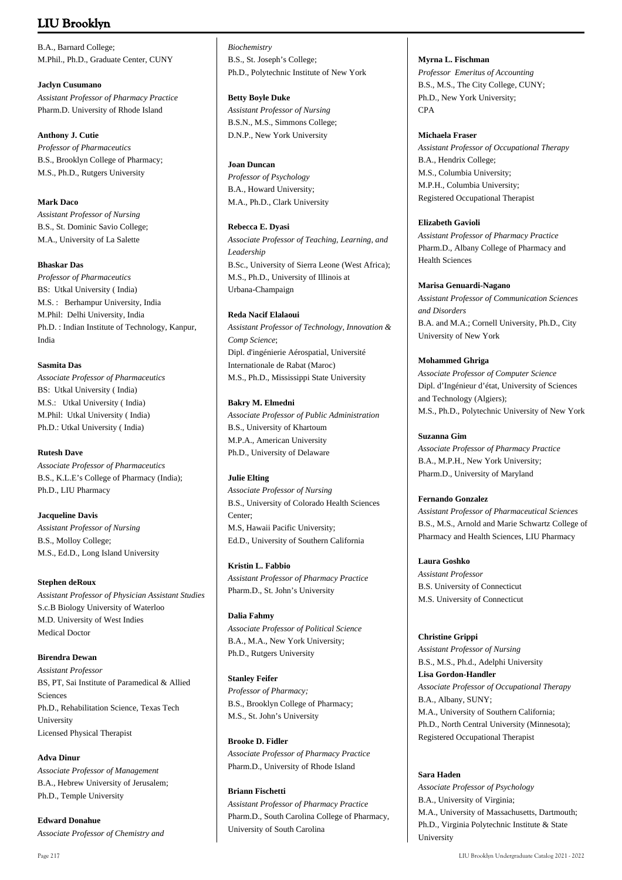# **LIU Brooklyn**

B.A., Barnard College; M.Phil., Ph.D., Graduate Center, CUNY

# **Jaclyn Cusumano**

*Assistant Professor of Pharmacy Practice* Pharm.D. University of Rhode Island

### **Anthony J. Cutie**

*Professor of Pharmaceutics* B.S., Brooklyn College of Pharmacy; M.S., Ph.D., Rutgers University

### **Mark Daco**

*Assistant Professor of Nursing* B.S., St. Dominic Savio College; M.A., University of La Salette

### **Bhaskar Das**

*Professor of Pharmaceutics* BS: Utkal University ( India) M.S. : Berhampur University, India M.Phil: Delhi University, India Ph.D. : Indian Institute of Technology, Kanpur, India

### **Sasmita Das**

*Associate Professor of Pharmaceutics* BS: Utkal University ( India) M.S.: Utkal University ( India) M.Phil: Utkal University ( India) Ph.D.: Utkal University ( India)

# **Rutesh Dave**

*Associate Professor of Pharmaceutics* B.S., K.L.E's College of Pharmacy (India); Ph.D., LIU Pharmacy

**Jacqueline Davis** *Assistant Professor of Nursing* B.S., Molloy College; M.S., Ed.D., Long Island University

**Stephen deRoux** *Assistant Professor of Physician Assistant Studies* S.c.B Biology University of Waterloo M.D. University of West Indies Medical Doctor

**Birendra Dewan** *Assistant Professor* BS, PT, Sai Institute of Paramedical & Allied Sciences Ph.D., Rehabilitation Science, Texas Tech University Licensed Physical Therapist

### **Adva Dinur**

*Associate Professor of Management* B.A., Hebrew University of Jerusalem; Ph.D., Temple University

**Edward Donahue** *Associate Professor of Chemistry and* *Biochemistry* B.S., St. Joseph's College; Ph.D., Polytechnic Institute of New York

### **Betty Boyle Duke**

*Assistant Professor of Nursing* B.S.N., M.S., Simmons College; D.N.P., New York University

### **Joan Duncan**

*Professor of Psychology* B.A., Howard University; M.A., Ph.D., Clark University

### **Rebecca E. Dyasi**

*Associate Professor of Teaching, Learning, and Leadership* B.Sc., University of Sierra Leone (West Africa); M.S., Ph.D., University of Illinois at Urbana-Champaign

### **Reda Nacif Elalaoui**

*Assistant Professor of Technology, Innovation & Comp Science*; Dipl. d'ingénierie Aérospatial, Université Internationale de Rabat (Maroc) M.S., Ph.D., Mississippi State University

### **Bakry M. Elmedni**

*Associate Professor of Public Administration* B.S., University of Khartoum M.P.A., American University Ph.D., University of Delaware

# **Julie Elting**

*Associate Professor of Nursing* B.S., University of Colorado Health Sciences Center; M.S, Hawaii Pacific University; Ed.D., University of Southern California

**Kristin L. Fabbio** *Assistant Professor of Pharmacy Practice* Pharm.D., St. John's University

**Dalia Fahmy** *Associate Professor of Political Science* B.A., M.A., New York University; Ph.D., Rutgers University

### **Stanley Feifer**

*Professor of Pharmacy;* B.S., Brooklyn College of Pharmacy; M.S., St. John's University

# **Brooke D. Fidler**

*Associate Professor of Pharmacy Practice* Pharm.D., University of Rhode Island

# **Briann Fischetti**

*Assistant Professor of Pharmacy Practice* Pharm.D., South Carolina College of Pharmacy, University of South Carolina

### **Myrna L. Fischman**

*Professor Emeritus of Accounting* B.S., M.S., The City College, CUNY; Ph.D., New York University; CPA

### **Michaela Fraser**

*Assistant Professor of Occupational Therapy* B.A., Hendrix College; M.S., Columbia University; M.P.H., Columbia University; Registered Occupational Therapist

### **Elizabeth Gavioli**

*Assistant Professor of Pharmacy Practice* Pharm.D., Albany College of Pharmacy and Health Sciences

### **Marisa Genuardi-Nagano**

*Assistant Professor of Communication Sciences and Disorders* B.A. and M.A.; Cornell University, Ph.D., City University of New York

### **Mohammed Ghriga**

*Associate Professor of Computer Science* Dipl. d'Ingénieur d'état, University of Sciences and Technology (Algiers); M.S., Ph.D., Polytechnic University of New York

### **Suzanna Gim**

*Associate Professor of Pharmacy Practice* B.A., M.P.H., New York University; Pharm.D., University of Maryland

### **Fernando Gonzalez**

*Assistant Professor of Pharmaceutical Sciences* B.S., M.S., Arnold and Marie Schwartz College of Pharmacy and Health Sciences, LIU Pharmacy

# **Laura Goshko**

*Assistant Professor* B.S. University of Connecticut M.S. University of Connecticut

### **Christine Grippi**

*Assistant Professor of Nursing* B.S., M.S., Ph.d., Adelphi University **Lisa Gordon-Handler** *Associate Professor of Occupational Therapy* B.A., Albany, SUNY; M.A., University of Southern California; Ph.D., North Central University (Minnesota); Registered Occupational Therapist

# **Sara Haden**

*Associate Professor of Psychology* B.A., University of Virginia; M.A., University of Massachusetts, Dartmouth; Ph.D., Virginia Polytechnic Institute & State University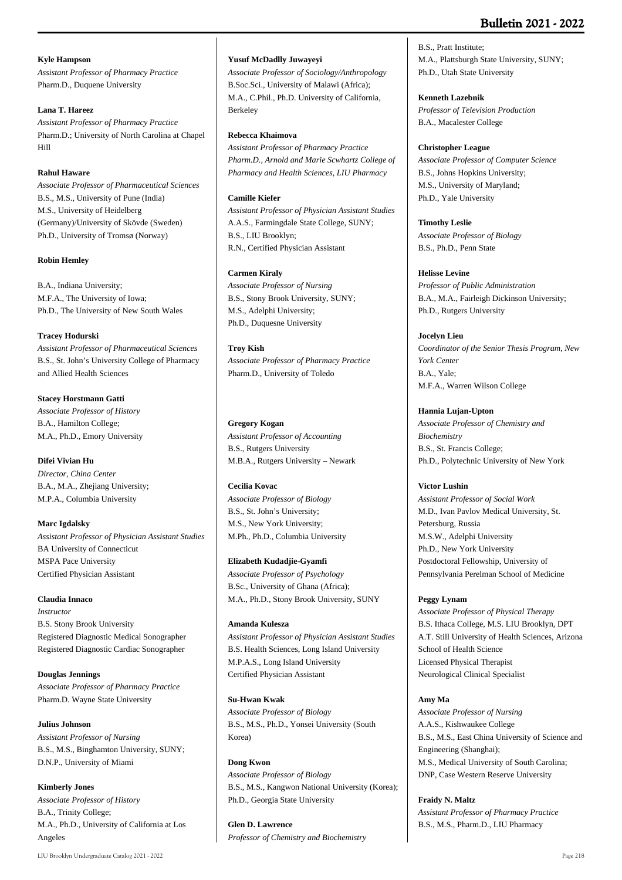# **Bulletin 2021 - 2022**

# **Kyle Hampson**

*Assistant Professor of Pharmacy Practice* Pharm.D., Duquene University

# **Lana T. Hareez**

*Assistant Professor of Pharmacy Practice* Pharm.D.; University of North Carolina at Chapel Hill

# **Rahul Haware**

*Associate Professor of Pharmaceutical Sciences* B.S., M.S., University of Pune (India) M.S., University of Heidelberg (Germany)/University of Skövde (Sweden) Ph.D., University of Tromsø (Norway)

### **Robin Hemley**

B.A., Indiana University; M.F.A., The University of Iowa; Ph.D., The University of New South Wales

### **Tracey Hodurski**

*Assistant Professor of Pharmaceutical Sciences* B.S., St. John's University College of Pharmacy and Allied Health Sciences

### **Stacey Horstmann Gatti**

*Associate Professor of History* B.A., Hamilton College; M.A., Ph.D., Emory University

# **Difei Vivian Hu**

*Director, China Center* B.A., M.A., Zhejiang University; M.P.A., Columbia University

# **Marc Igdalsky**

*Assistant Professor of Physician Assistant Studies* BA University of Connecticut MSPA Pace University Certified Physician Assistant

# **Claudia Innaco**

*Instructor* B.S. Stony Brook University Registered Diagnostic Medical Sonographer Registered Diagnostic Cardiac Sonographer

**Douglas Jennings** *Associate Professor of Pharmacy Practice* Pharm.D. Wayne State University

# **Julius Johnson** *Assistant Professor of Nursing* B.S., M.S., Binghamton University, SUNY; D.N.P., University of Miami

**Kimberly Jones** *Associate Professor of History* B.A., Trinity College; M.A., Ph.D., University of California at Los Angeles

### **Yusuf McDadlly Juwayeyi**

*Associate Professor of Sociology/Anthropology* B.Soc.Sci., University of Malawi (Africa); M.A., C.Phil., Ph.D. University of California, Berkeley

### **Rebecca Khaimova**

*Assistant Professor of Pharmacy Practice Pharm.D., Arnold and Marie Scwhartz College of Pharmacy and Health Sciences, LIU Pharmacy*

### **Camille Kiefer**

*Assistant Professor of Physician Assistant Studies* A.A.S., Farmingdale State College, SUNY; B.S., LIU Brooklyn; R.N., Certified Physician Assistant

# **Carmen Kiraly**

*Associate Professor of Nursing* B.S., Stony Brook University, SUNY; M.S., Adelphi University; Ph.D., Duquesne University

### **Troy Kish**

*Associate Professor of Pharmacy Practice* Pharm.D., University of Toledo

### **Gregory Kogan**

*Assistant Professor of Accounting* B.S., Rutgers University M.B.A., Rutgers University – Newark

### **Cecilia Kovac**

*Associate Professor of Biology* B.S., St. John's University; M.S., New York University; M.Ph., Ph.D., Columbia University

### **Elizabeth Kudadjie-Gyamfi**

*Associate Professor of Psychology* B.Sc., University of Ghana (Africa); M.A., Ph.D., Stony Brook University, SUNY

# **Amanda Kulesza**

*Assistant Professor of Physician Assistant Studies* B.S. Health Sciences, Long Island University M.P.A.S., Long Island University Certified Physician Assistant

### **Su-Hwan Kwak**

*Associate Professor of Biology* B.S., M.S., Ph.D., Yonsei University (South Korea)

# **Dong Kwon**

*Associate Professor of Biology* B.S., M.S., Kangwon National University (Korea); Ph.D., Georgia State University

**Glen D. Lawrence** *Professor of Chemistry and Biochemistry*

B.S., Pratt Institute; M.A., Plattsburgh State University, SUNY; Ph.D., Utah State University

# **Kenneth Lazebnik**

*Professor of Television Production* B.A., Macalester College

### **Christopher League**

*Associate Professor of Computer Science* B.S., Johns Hopkins University; M.S., University of Maryland; Ph.D., Yale University

**Timothy Leslie** *Associate Professor of Biology* B.S., Ph.D., Penn State

### **Helisse Levine**

*Professor of Public Administration* B.A., M.A., Fairleigh Dickinson University; Ph.D., Rutgers University

# **Jocelyn Lieu**

*Coordinator of the Senior Thesis Program, New York Center* B.A., Yale; M.F.A., Warren Wilson College

# **Hannia Lujan-Upton**

*Associate Professor of Chemistry and Biochemistry* B.S., St. Francis College; Ph.D., Polytechnic University of New York

# **Victor Lushin**

*Assistant Professor of Social Work* M.D., Ivan Pavlov Medical University, St. Petersburg, Russia M.S.W., Adelphi University Ph.D., New York University Postdoctoral Fellowship, University of Pennsylvania Perelman School of Medicine

# **Peggy Lynam**

*Associate Professor of Physical Therapy* B.S. Ithaca College, M.S. LIU Brooklyn, DPT A.T. Still University of Health Sciences, Arizona School of Health Science Licensed Physical Therapist Neurological Clinical Specialist

### **Amy Ma**

*Associate Professor of Nursing* A.A.S., Kishwaukee College B.S., M.S., East China University of Science and Engineering (Shanghai); M.S., Medical University of South Carolina; DNP, Case Western Reserve University

# **Fraidy N. Maltz**

*Assistant Professor of Pharmacy Practice* B.S., M.S., Pharm.D., LIU Pharmacy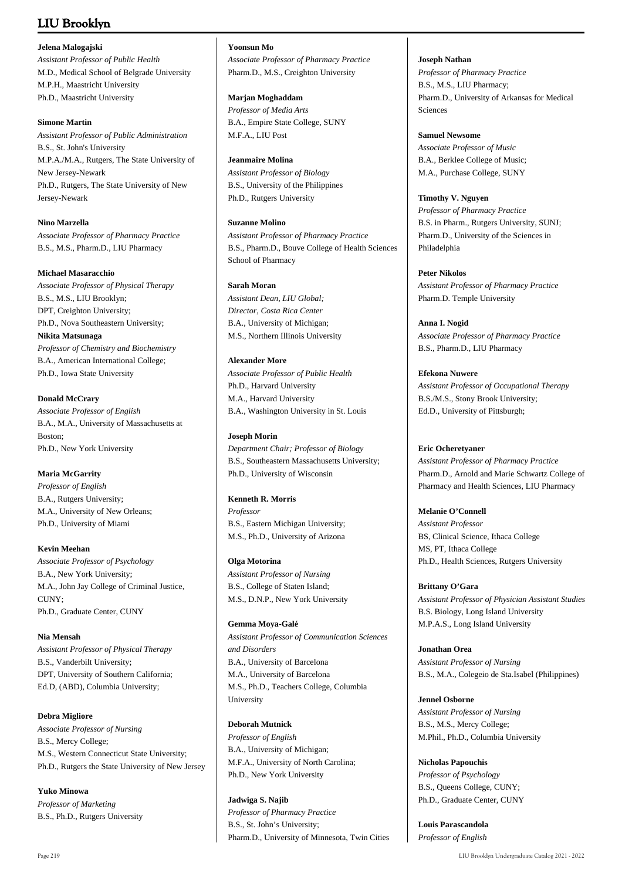# **LIU Brooklyn**

### **Jelena Malogajski**

*Assistant Professor of Public Health* M.D., Medical School of Belgrade University M.P.H., Maastricht University Ph.D., Maastricht University

### **Simone Martin**

*Assistant Professor of Public Administration* B.S., St. John's University M.P.A./M.A., Rutgers, The State University of New Jersey-Newark Ph.D., Rutgers, The State University of New Jersey-Newark

# **Nino Marzella**

*Associate Professor of Pharmacy Practice* B.S., M.S., Pharm.D., LIU Pharmacy

# **Michael Masaracchio**

*Associate Professor of Physical Therapy* B.S., M.S., LIU Brooklyn; DPT, Creighton University; Ph.D., Nova Southeastern University; **Nikita Matsunaga** *Professor of Chemistry and Biochemistry* B.A., American International College; Ph.D., Iowa State University

# **Donald McCrary**

*Associate Professor of English* B.A., M.A., University of Massachusetts at Boston; Ph.D., New York University

# **Maria McGarrity**

*Professor of English* B.A., Rutgers University; M.A., University of New Orleans; Ph.D., University of Miami

# **Kevin Meehan**

*Associate Professor of Psychology* B.A., New York University; M.A., John Jay College of Criminal Justice, CUNY; Ph.D., Graduate Center, CUNY

# **Nia Mensah**

*Assistant Professor of Physical Therapy* B.S., Vanderbilt University; DPT, University of Southern California; Ed.D, (ABD), Columbia University;

# **Debra Migliore**

*Associate Professor of Nursing* B.S., Mercy College; M.S., Western Connecticut State University; Ph.D., Rutgers the State University of New Jersey

**Yuko Minowa** *Professor of Marketing* B.S., Ph.D., Rutgers University

# **Yoonsun Mo**

*Associate Professor of Pharmacy Practice* Pharm.D., M.S., Creighton University

### **Marjan Moghaddam**

*Professor of Media Arts* B.A., Empire State College, SUNY M.F.A., LIU Post

### **Jeanmaire Molina**

*Assistant Professor of Biology* B.S., University of the Philippines Ph.D., Rutgers University

# **Suzanne Molino**

*Assistant Professor of Pharmacy Practice* B.S., Pharm.D., Bouve College of Health Sciences School of Pharmacy

# **Sarah Moran**

*Assistant Dean, LIU Global; Director, Costa Rica Center* B.A., University of Michigan; M.S., Northern Illinois University

# **Alexander More**

*Associate Professor of Public Health* Ph.D., Harvard University M.A., Harvard University B.A., Washington University in St. Louis

# **Joseph Morin**

*Department Chair; Professor of Biology* B.S., Southeastern Massachusetts University; Ph.D., University of Wisconsin

# **Kenneth R. Morris**

*Professor* B.S., Eastern Michigan University; M.S., Ph.D., University of Arizona

# **Olga Motorina**

*Assistant Professor of Nursing* B.S., College of Staten Island; M.S., D.N.P., New York University

**Gemma Moya-Galé** *Assistant Professor of Communication Sciences and Disorders* B.A., University of Barcelona M.A., University of Barcelona M.S., Ph.D., Teachers College, Columbia University

# **Deborah Mutnick**

*Professor of English* B.A., University of Michigan; M.F.A., University of North Carolina; Ph.D., New York University

**Jadwiga S. Najib** *Professor of Pharmacy Practice* B.S., St. John's University; Pharm.D., University of Minnesota, Twin Cities

# **Joseph Nathan**

*Professor of Pharmacy Practice* B.S., M.S., LIU Pharmacy; Pharm.D., University of Arkansas for Medical Sciences

# **Samuel Newsome**

*Associate Professor of Music* B.A., Berklee College of Music; M.A., Purchase College, SUNY

# **Timothy V. Nguyen**

*Professor of Pharmacy Practice* B.S. in Pharm., Rutgers University, SUNJ; Pharm.D., University of the Sciences in Philadelphia

# **Peter Nikolos** *Assistant Professor of Pharmacy Practice*

Pharm.D. Temple University **Anna I. Nogid**

*Associate Professor of Pharmacy Practice* B.S., Pharm.D., LIU Pharmacy

# **Efekona Nuwere**

*Assistant Professor of Occupational Therapy* B.S./M.S., Stony Brook University; Ed.D., University of Pittsburgh;

# **Eric Ocheretyaner**

*Assistant Professor of Pharmacy Practice* Pharm.D., Arnold and Marie Schwartz College of Pharmacy and Health Sciences, LIU Pharmacy

# **Melanie O'Connell**

*Assistant Professor* BS, Clinical Science, Ithaca College MS, PT, Ithaca College Ph.D., Health Sciences, Rutgers University

# **Brittany O'Gara**

*Assistant Professor of Physician Assistant Studies* B.S. Biology, Long Island University M.P.A.S., Long Island University

# **Jonathan Orea** *Assistant Professor of Nursing* B.S., M.A., Colegeio de Sta.Isabel (Philippines)

### **Jennel Osborne** *Assistant Professor of Nursing* B.S., M.S., Mercy College; M.Phil., Ph.D., Columbia University

**Nicholas Papouchis** *Professor of Psychology* B.S., Queens College, CUNY; Ph.D., Graduate Center, CUNY

**Louis Parascandola** *Professor of English*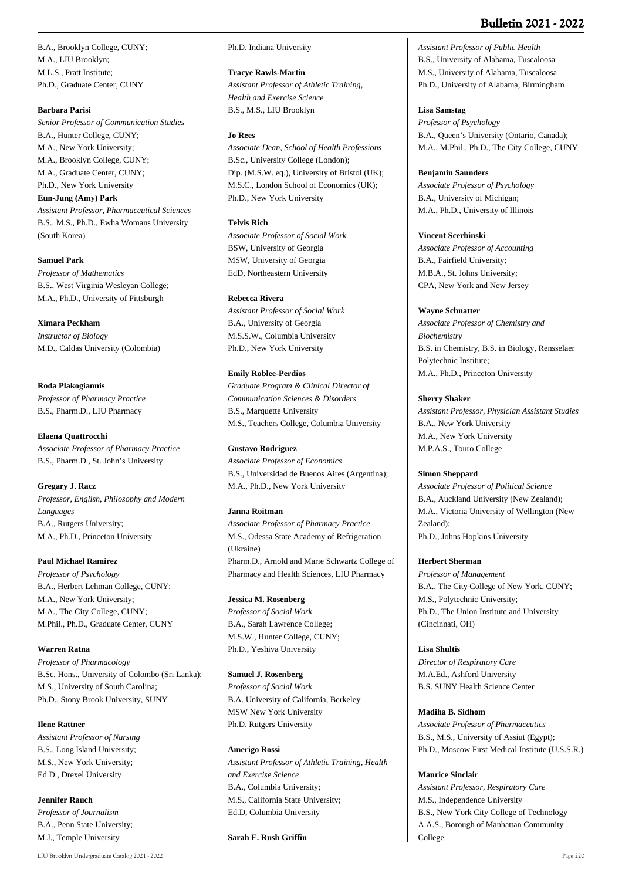# **Bulletin 2021 - 2022**

B.A., Brooklyn College, CUNY; M.A., LIU Brooklyn; M.L.S., Pratt Institute; Ph.D., Graduate Center, CUNY

### **Barbara Parisi**

*Senior Professor of Communication Studies* B.A., Hunter College, CUNY; M.A., New York University; M.A., Brooklyn College, CUNY; M.A., Graduate Center, CUNY; Ph.D., New York University **Eun-Jung (Amy) Park** *Assistant Professor, Pharmaceutical Sciences* B.S., M.S., Ph.D., Ewha Womans University (South Korea)

**Samuel Park** *Professor of Mathematics* B.S., West Virginia Wesleyan College; M.A., Ph.D., University of Pittsburgh

#### **Ximara Peckham**

*Instructor of Biology* M.D., Caldas University (Colombia)

### **Roda Plakogiannis**

*Professor of Pharmacy Practice* B.S., Pharm.D., LIU Pharmacy

**Elaena Quattrocchi** *Associate Professor of Pharmacy Practice* B.S., Pharm.D., St. John's University

### **Gregary J. Racz**

*Professor, English, Philosophy and Modern Languages* B.A., Rutgers University; M.A., Ph.D., Princeton University

#### **Paul Michael Ramirez**

*Professor of Psychology* B.A., Herbert Lehman College, CUNY; M.A., New York University; M.A., The City College, CUNY; M.Phil., Ph.D., Graduate Center, CUNY

### **Warren Ratna**

*Professor of Pharmacology* B.Sc. Hons., University of Colombo (Sri Lanka); M.S., University of South Carolina; Ph.D., Stony Brook University, SUNY

#### **Ilene Rattner**

*Assistant Professor of Nursing* B.S., Long Island University; M.S., New York University; Ed.D., Drexel University

**Jennifer Rauch**

*Professor of Journalism* B.A., Penn State University; M.J., Temple University

### Ph.D. Indiana University

**Tracye Rawls-Martin**

*Assistant Professor of Athletic Training, Health and Exercise Science* B.S., M.S., LIU Brooklyn

#### **Jo Rees**

*Associate Dean, School of Health Professions* B.Sc., University College (London); Dip. (M.S.W. eq.), University of Bristol (UK); M.S.C., London School of Economics (UK); Ph.D., New York University

#### **Telvis Rich**

*Associate Professor of Social Work* BSW, University of Georgia MSW, University of Georgia EdD, Northeastern University

### **Rebecca Rivera**

*Assistant Professor of Social Work* B.A., University of Georgia M.S.S.W., Columbia University Ph.D., New York University

### **Emily Roblee-Perdios**

*Graduate Program & Clinical Director of Communication Sciences & Disorders* B.S., Marquette University M.S., Teachers College, Columbia University

#### **Gustavo Rodriguez**

*Associate Professor of Economics* B.S., Universidad de Buenos Aires (Argentina); M.A., Ph.D., New York University

#### **Janna Roitman**

*Associate Professor of Pharmacy Practice* M.S., Odessa State Academy of Refrigeration (Ukraine) Pharm.D., Arnold and Marie Schwartz College of Pharmacy and Health Sciences, LIU Pharmacy

#### **Jessica M. Rosenberg**

*Professor of Social Work* B.A., Sarah Lawrence College; M.S.W., Hunter College, CUNY; Ph.D., Yeshiva University

#### **Samuel J. Rosenberg**

*Professor of Social Work* B.A. University of California, Berkeley MSW New York University Ph.D. Rutgers University

#### **Amerigo Rossi**

*Assistant Professor of Athletic Training, Health and Exercise Science* B.A., Columbia University; M.S., California State University; Ed.D, Columbia University

**Sarah E. Rush Griffin**

*Assistant Professor of Public Health* B.S., University of Alabama, Tuscaloosa M.S., University of Alabama, Tuscaloosa Ph.D., University of Alabama, Birmingham

**Lisa Samstag**

*Professor of Psychology* B.A., Queen's University (Ontario, Canada); M.A., M.Phil., Ph.D., The City College, CUNY

#### **Benjamin Saunders**

*Associate Professor of Psychology* B.A., University of Michigan; M.A., Ph.D., University of Illinois

### **Vincent Scerbinski**

*Associate Professor of Accounting* B.A., Fairfield University; M.B.A., St. Johns University; CPA, New York and New Jersey

#### **Wayne Schnatter**

*Associate Professor of Chemistry and Biochemistry* B.S. in Chemistry, B.S. in Biology, Rensselaer Polytechnic Institute; M.A., Ph.D., Princeton University

#### **Sherry Shaker**

*Assistant Professor, Physician Assistant Studies* B.A., New York University M.A., New York University M.P.A.S., Touro College

### **Simon Sheppard**

*Associate Professor of Political Science* B.A., Auckland University (New Zealand); M.A., Victoria University of Wellington (New Zealand); Ph.D., Johns Hopkins University

#### **Herbert Sherman**

*Professor of Management* B.A., The City College of New York, CUNY; M.S., Polytechnic University; Ph.D., The Union Institute and University (Cincinnati, OH)

**Lisa Shultis**

*Director of Respiratory Care* M.A.Ed., Ashford University B.S. SUNY Health Science Center

### **Madiha B. Sidhom**

*Associate Professor of Pharmaceutics* B.S., M.S., University of Assiut (Egypt); Ph.D., Moscow First Medical Institute (U.S.S.R.)

#### **Maurice Sinclair**

*Assistant Professor, Respiratory Care* M.S., Independence University B.S., New York City College of Technology A.A.S., Borough of Manhattan Community College